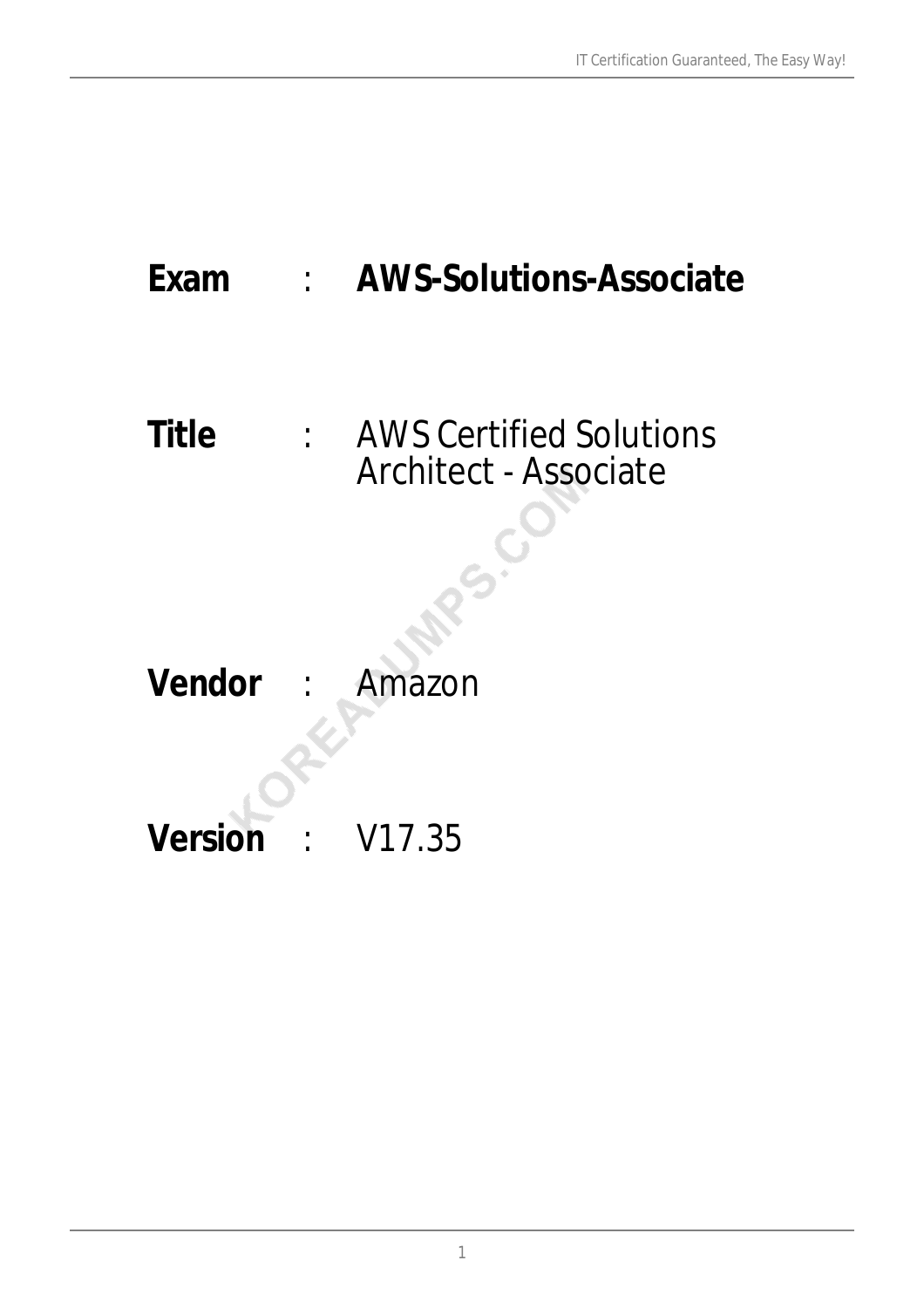# **Exam** : **AWS-Solutions-Associate**

# **Title** : AWS Certified Solutions Architect - Associate

**Vendor** : Amazon

**Version** : V17.35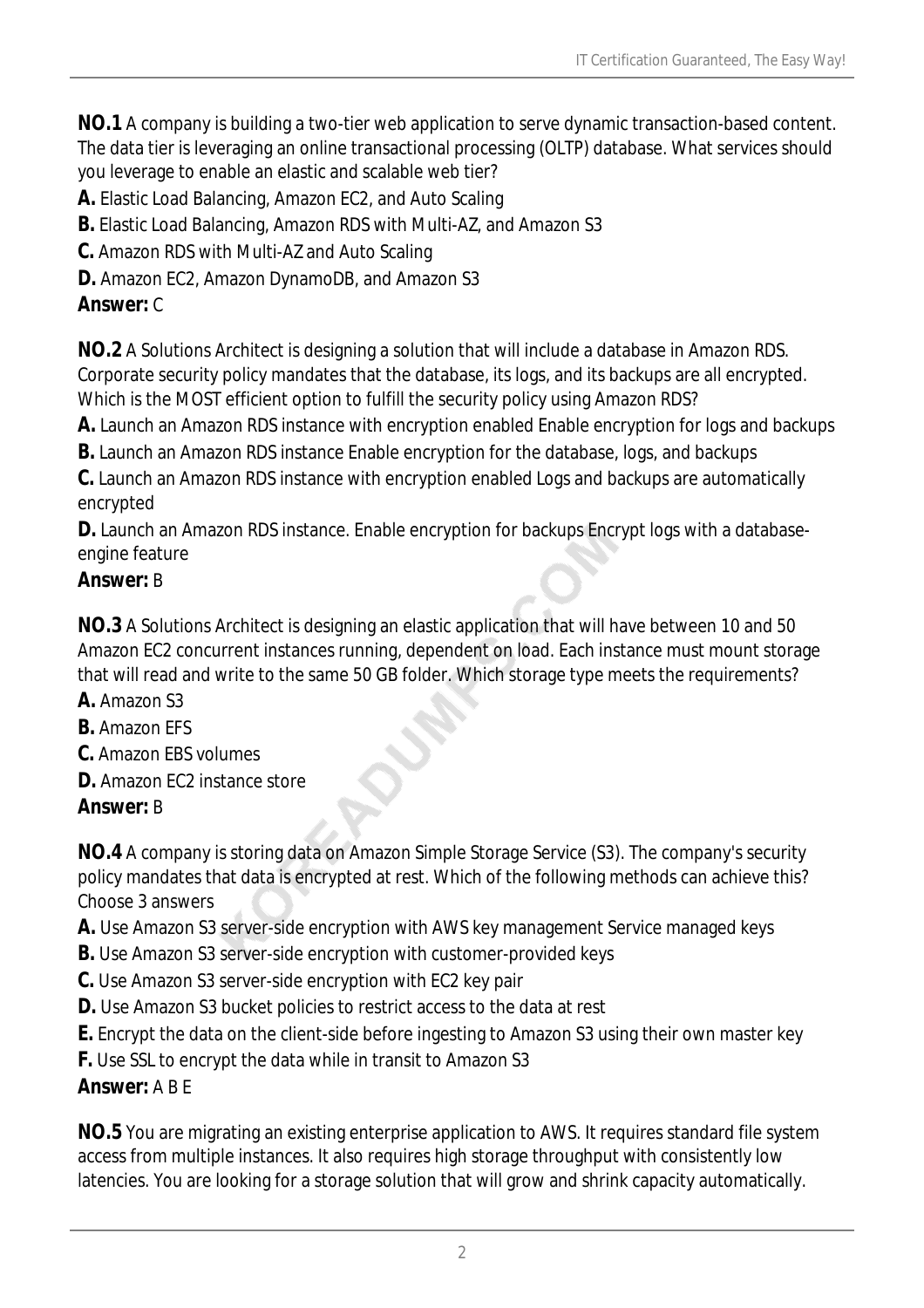**NO.1** A company is building a two-tier web application to serve dynamic transaction-based content. The data tier is leveraging an online transactional processing (OLTP) database. What services should you leverage to enable an elastic and scalable web tier?

**A.** Elastic Load Balancing, Amazon EC2, and Auto Scaling

**B.** Elastic Load Balancing, Amazon RDS with Multi-AZ, and Amazon S3

**C.** Amazon RDS with Multi-AZ and Auto Scaling

**D.** Amazon EC2, Amazon DynamoDB, and Amazon S3

# *Answer:* C

**NO.2** A Solutions Architect is designing a solution that will include a database in Amazon RDS. Corporate security policy mandates that the database, its logs, and its backups are all encrypted. Which is the MOST efficient option to fulfill the security policy using Amazon RDS?

**A.** Launch an Amazon RDS instance with encryption enabled Enable encryption for logs and backups

**B.** Launch an Amazon RDS instance Enable encryption for the database, logs, and backups

**C.** Launch an Amazon RDS instance with encryption enabled Logs and backups are automatically encrypted

**D.** Launch an Amazon RDS instance. Enable encryption for backups Encrypt logs with a databaseengine feature

# *Answer:* B

**NO.3** A Solutions Architect is designing an elastic application that will have between 10 and 50 Amazon EC2 concurrent instances running, dependent on load. Each instance must mount storage that will read and write to the same 50 GB folder. Which storage type meets the requirements?

- **A.** Amazon S3
- **B.** Amazon EFS
- **C.** Amazon EBS volumes
- **D.** Amazon EC2 instance store

# *Answer:* B

**NO.4** A company is storing data on Amazon Simple Storage Service (S3). The company's security policy mandates that data is encrypted at rest. Which of the following methods can achieve this? Choose 3 answers

- **A.** Use Amazon S3 server-side encryption with AWS key management Service managed keys
- **B.** Use Amazon S3 server-side encryption with customer-provided keys
- **C.** Use Amazon S3 server-side encryption with EC2 key pair
- **D.** Use Amazon S3 bucket policies to restrict access to the data at rest
- **E.** Encrypt the data on the client-side before ingesting to Amazon S3 using their own master key
- **F.** Use SSL to encrypt the data while in transit to Amazon S3

# *Answer:* A B E

**NO.5** You are migrating an existing enterprise application to AWS. It requires standard file system access from multiple instances. It also requires high storage throughput with consistently low latencies. You are looking for a storage solution that will grow and shrink capacity automatically.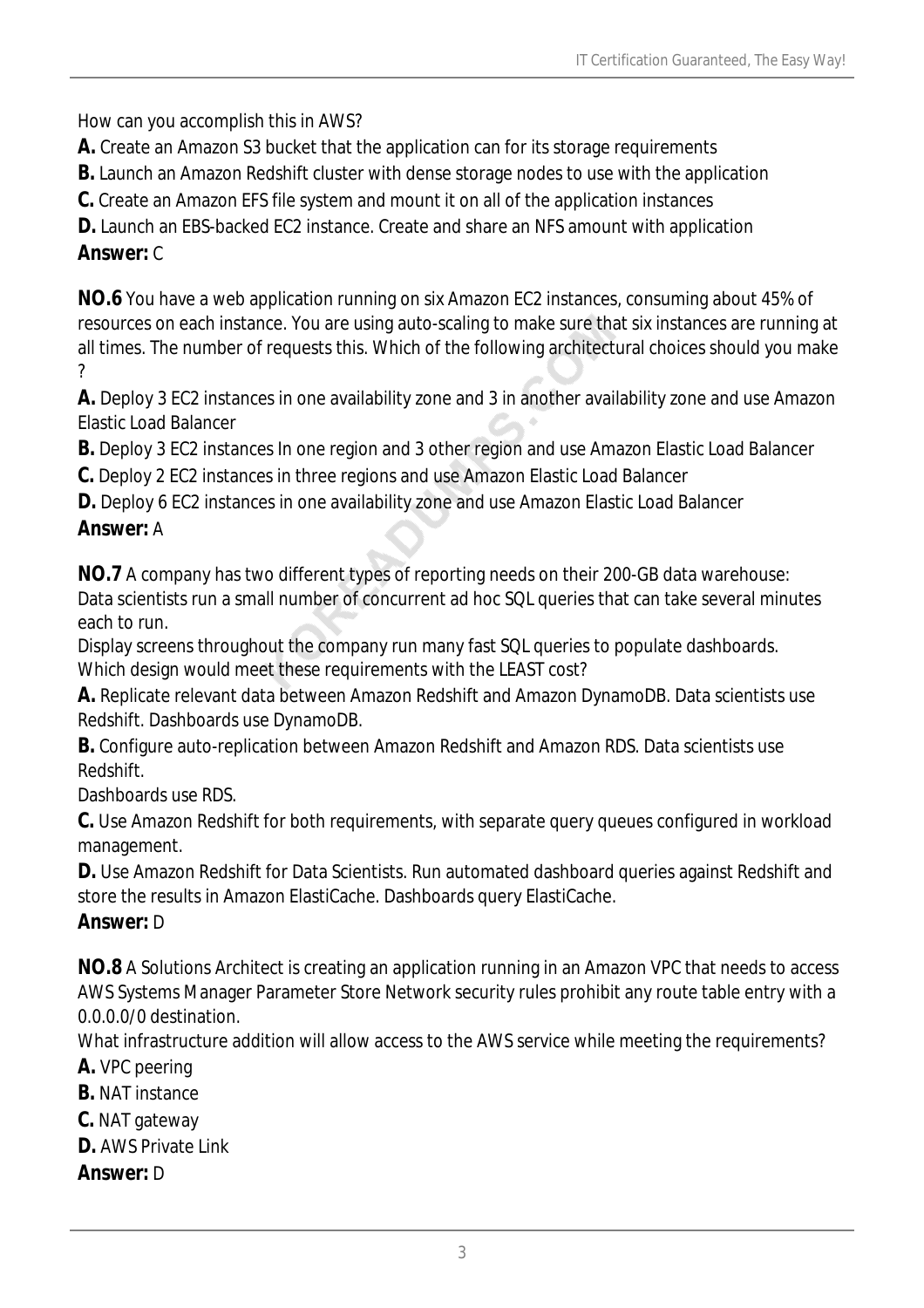How can you accomplish this in AWS?

**A.** Create an Amazon S3 bucket that the application can for its storage requirements

**B.** Launch an Amazon Redshift cluster with dense storage nodes to use with the application

**C.** Create an Amazon EFS file system and mount it on all of the application instances

**D.** Launch an EBS-backed EC2 instance. Create and share an NFS amount with application *Answer:* C

**NO.6** You have a web application running on six Amazon EC2 instances, consuming about 45% of resources on each instance. You are using auto-scaling to make sure that six instances are running at all times. The number of requests this. Which of the following architectural choices should you make ?

**A.** Deploy 3 EC2 instances in one availability zone and 3 in another availability zone and use Amazon Elastic Load Balancer

**B.** Deploy 3 EC2 instances In one region and 3 other region and use Amazon Elastic Load Balancer

**C.** Deploy 2 EC2 instances in three regions and use Amazon Elastic Load Balancer

**D.** Deploy 6 EC2 instances in one availability zone and use Amazon Elastic Load Balancer

## *Answer:* A

**NO.7** A company has two different types of reporting needs on their 200-GB data warehouse: Data scientists run a small number of concurrent ad hoc SQL queries that can take several minutes each to run.

Display screens throughout the company run many fast SQL queries to populate dashboards. Which design would meet these requirements with the LEAST cost?

**A.** Replicate relevant data between Amazon Redshift and Amazon DynamoDB. Data scientists use Redshift. Dashboards use DynamoDB.

**B.** Configure auto-replication between Amazon Redshift and Amazon RDS. Data scientists use **Redshift** 

Dashboards use RDS.

**C.** Use Amazon Redshift for both requirements, with separate query queues configured in workload management.

**D.** Use Amazon Redshift for Data Scientists. Run automated dashboard queries against Redshift and store the results in Amazon ElastiCache. Dashboards query ElastiCache.

## *Answer:* D

**NO.8** A Solutions Architect is creating an application running in an Amazon VPC that needs to access AWS Systems Manager Parameter Store Network security rules prohibit any route table entry with a 0.0.0.0/0 destination.

What infrastructure addition will allow access to the AWS service while meeting the requirements?

**A.** VPC peering

**B.** NAT instance

**C.** NAT gateway

**D.** AWS Private Link

*Answer:* D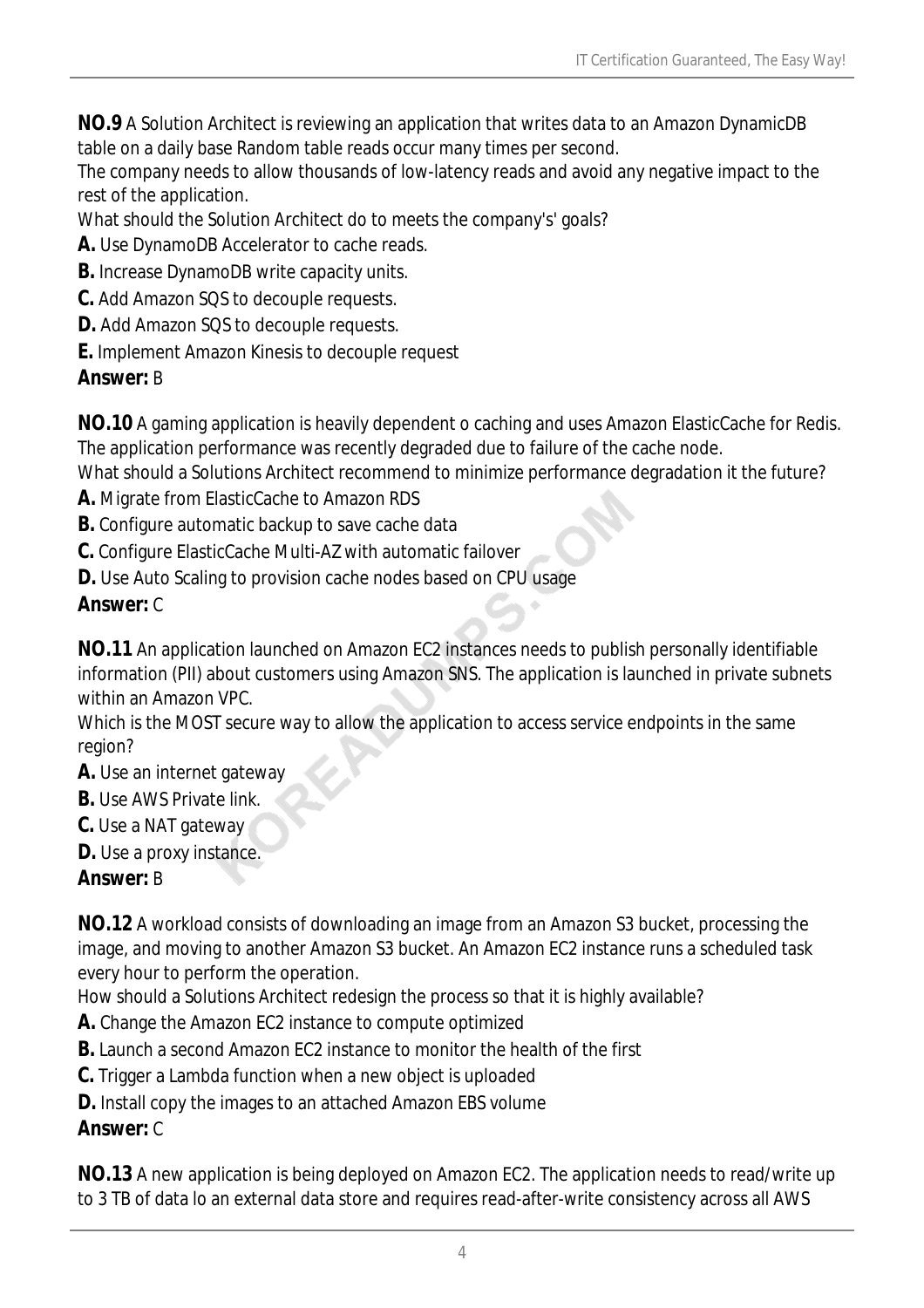**NO.9** A Solution Architect is reviewing an application that writes data to an Amazon DynamicDB table on a daily base Random table reads occur many times per second.

The company needs to allow thousands of low-latency reads and avoid any negative impact to the rest of the application.

What should the Solution Architect do to meets the company's' goals?

**A.** Use DynamoDB Accelerator to cache reads.

- **B.** Increase DynamoDB write capacity units.
- **C.** Add Amazon SQS to decouple requests.
- **D.** Add Amazon SQS to decouple requests.
- **E.** Implement Amazon Kinesis to decouple request

## *Answer:* B

**NO.10** A gaming application is heavily dependent o caching and uses Amazon ElasticCache for Redis. The application performance was recently degraded due to failure of the cache node.

What should a Solutions Architect recommend to minimize performance degradation it the future?

- **A.** Migrate from ElasticCache to Amazon RDS
- **B.** Configure automatic backup to save cache data
- **C.** Configure ElasticCache Multi-AZ with automatic failover
- **D.** Use Auto Scaling to provision cache nodes based on CPU usage

## *Answer:* C

**NO.11** An application launched on Amazon EC2 instances needs to publish personally identifiable information (PII) about customers using Amazon SNS. The application is launched in private subnets within an Amazon VPC.

Which is the MOST secure way to allow the application to access service endpoints in the same region?

- **A.** Use an internet gateway
- **B.** Use AWS Private link.
- **C.** Use a NAT gateway
- **D.** Use a proxy instance.

*Answer:* B

**NO.12** A workload consists of downloading an image from an Amazon S3 bucket, processing the image, and moving to another Amazon S3 bucket. An Amazon EC2 instance runs a scheduled task every hour to perform the operation.

How should a Solutions Architect redesign the process so that it is highly available?

- **A.** Change the Amazon EC2 instance to compute optimized
- **B.** Launch a second Amazon EC2 instance to monitor the health of the first
- **C.** Trigger a Lambda function when a new object is uploaded
- **D.** Install copy the images to an attached Amazon EBS volume

# *Answer:* C

**NO.13** A new application is being deployed on Amazon EC2. The application needs to read/write up to 3 TB of data lo an external data store and requires read-after-write consistency across all AWS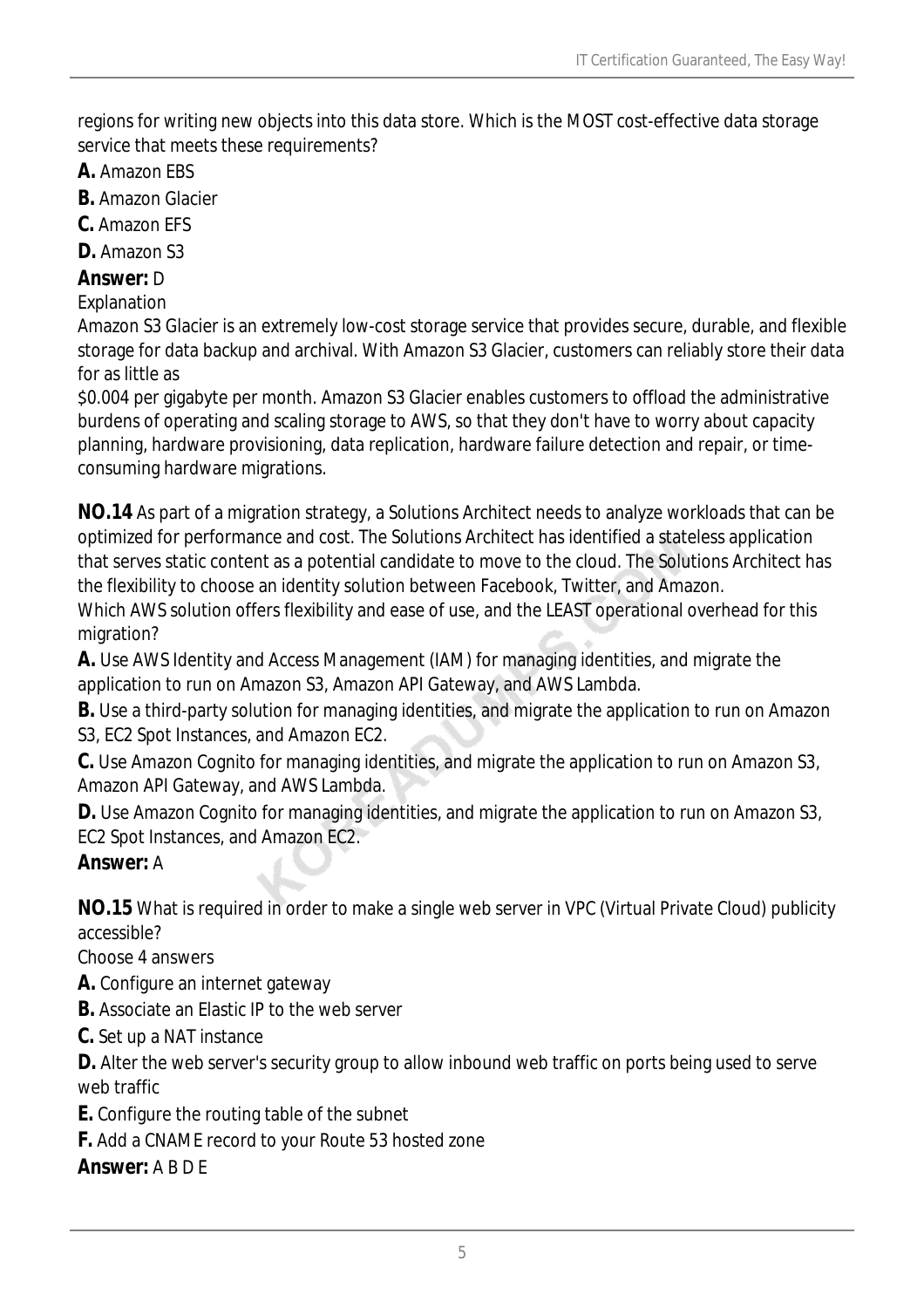regions for writing new objects into this data store. Which is the MOST cost-effective data storage service that meets these requirements?

- **A.** Amazon EBS
- **B.** Amazon Glacier
- **C.** Amazon EFS
- **D.** Amazon S3

#### *Answer:* D

#### Explanation

Amazon S3 Glacier is an extremely low-cost storage service that provides secure, durable, and flexible storage for data backup and archival. With Amazon S3 Glacier, customers can reliably store their data for as little as

\$0.004 per gigabyte per month. Amazon S3 Glacier enables customers to offload the administrative burdens of operating and scaling storage to AWS, so that they don't have to worry about capacity planning, hardware provisioning, data replication, hardware failure detection and repair, or timeconsuming hardware migrations.

**NO.14** As part of a migration strategy, a Solutions Architect needs to analyze workloads that can be optimized for performance and cost. The Solutions Architect has identified a stateless application that serves static content as a potential candidate to move to the cloud. The Solutions Architect has the flexibility to choose an identity solution between Facebook, Twitter, and Amazon. Which AWS solution offers flexibility and ease of use, and the LEAST operational overhead for this migration?

**A.** Use AWS Identity and Access Management (IAM) for managing identities, and migrate the application to run on Amazon S3, Amazon API Gateway, and AWS Lambda.

**B.** Use a third-party solution for managing identities, and migrate the application to run on Amazon S3, EC2 Spot Instances, and Amazon EC2.

**C.** Use Amazon Cognito for managing identities, and migrate the application to run on Amazon S3, Amazon API Gateway, and AWS Lambda.

**D.** Use Amazon Cognito for managing identities, and migrate the application to run on Amazon S3, EC2 Spot Instances, and Amazon EC2.

## *Answer:* A

**NO.15** What is required in order to make a single web server in VPC (Virtual Private Cloud) publicity accessible?

Choose 4 answers

- **A.** Configure an internet gateway
- **B.** Associate an Elastic IP to the web server
- **C.** Set up a NAT instance

**D.** Alter the web server's security group to allow inbound web traffic on ports being used to serve web traffic

- **E.** Configure the routing table of the subnet
- **F.** Add a CNAME record to your Route 53 hosted zone

*Answer:* A B D E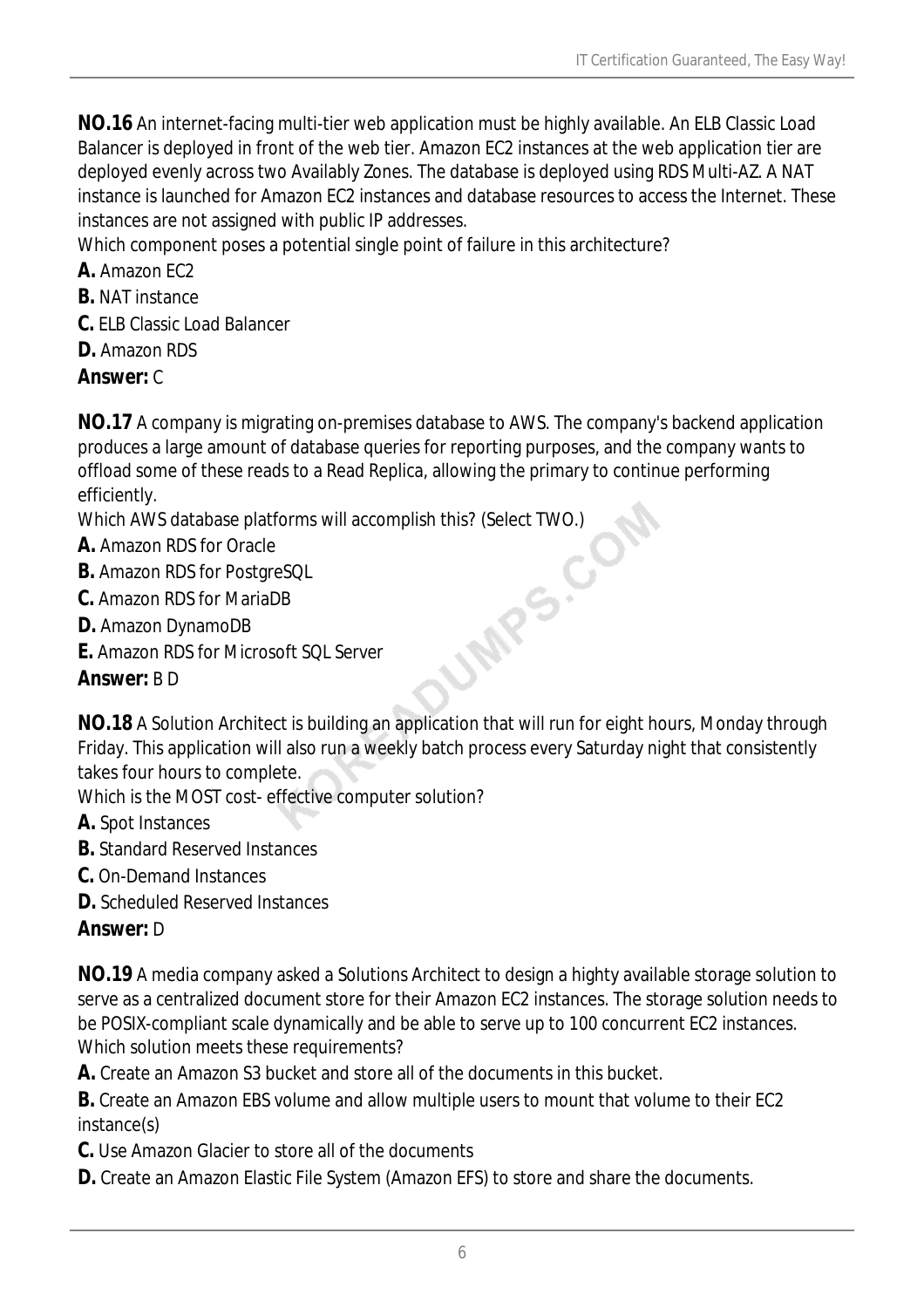**NO.16** An internet-facing multi-tier web application must be highly available. An ELB Classic Load Balancer is deployed in front of the web tier. Amazon EC2 instances at the web application tier are deployed evenly across two Availably Zones. The database is deployed using RDS Multi-AZ. A NAT instance is launched for Amazon EC2 instances and database resources to access the Internet. These instances are not assigned with public IP addresses.

Which component poses a potential single point of failure in this architecture?

- **A.** Amazon EC2
- **B.** NAT instance
- **C.** ELB Classic Load Balancer
- **D.** Amazon RDS
- *Answer:* C

**NO.17** A company is migrating on-premises database to AWS. The company's backend application produces a large amount of database queries for reporting purposes, and the company wants to offload some of these reads to a Read Replica, allowing the primary to continue performing efficiently.

Which AWS database platforms will accomplish this? (Select TWO.)<br> **A.** Amazon RDS for Oracle<br> **B.** Amazon RDS for PostgreSQL<br> **C.** Amazon RDS for MariaDB<br> **D.** Amazon DynamoDB<br> **E.** Amazon RDS for Microsoft <u>SOU</u><br> **Answer:** 

- **A.** Amazon RDS for Oracle
- **B.** Amazon RDS for PostgreSQL
- **C.** Amazon RDS for MariaDB
- **D.** Amazon DynamoDB
- **E.** Amazon RDS for Microsoft SQL Server

## *Answer:* B D

**NO.18** A Solution Architect is building an application that will run for eight hours, Monday through Friday. This application will also run a weekly batch process every Saturday night that consistently takes four hours to complete.

Which is the MOST cost- effective computer solution?

- **A.** Spot Instances
- **B.** Standard Reserved Instances
- **C.** On-Demand Instances
- **D.** Scheduled Reserved Instances

## *Answer:* D

**NO.19** A media company asked a Solutions Architect to design a highty available storage solution to serve as a centralized document store for their Amazon EC2 instances. The storage solution needs to be POSIX-compliant scale dynamically and be able to serve up to 100 concurrent EC2 instances. Which solution meets these requirements?

**A.** Create an Amazon S3 bucket and store all of the documents in this bucket.

**B.** Create an Amazon EBS volume and allow multiple users to mount that volume to their EC2 instance(s)

- **C.** Use Amazon Glacier to store all of the documents
- **D.** Create an Amazon Elastic File System (Amazon EFS) to store and share the documents.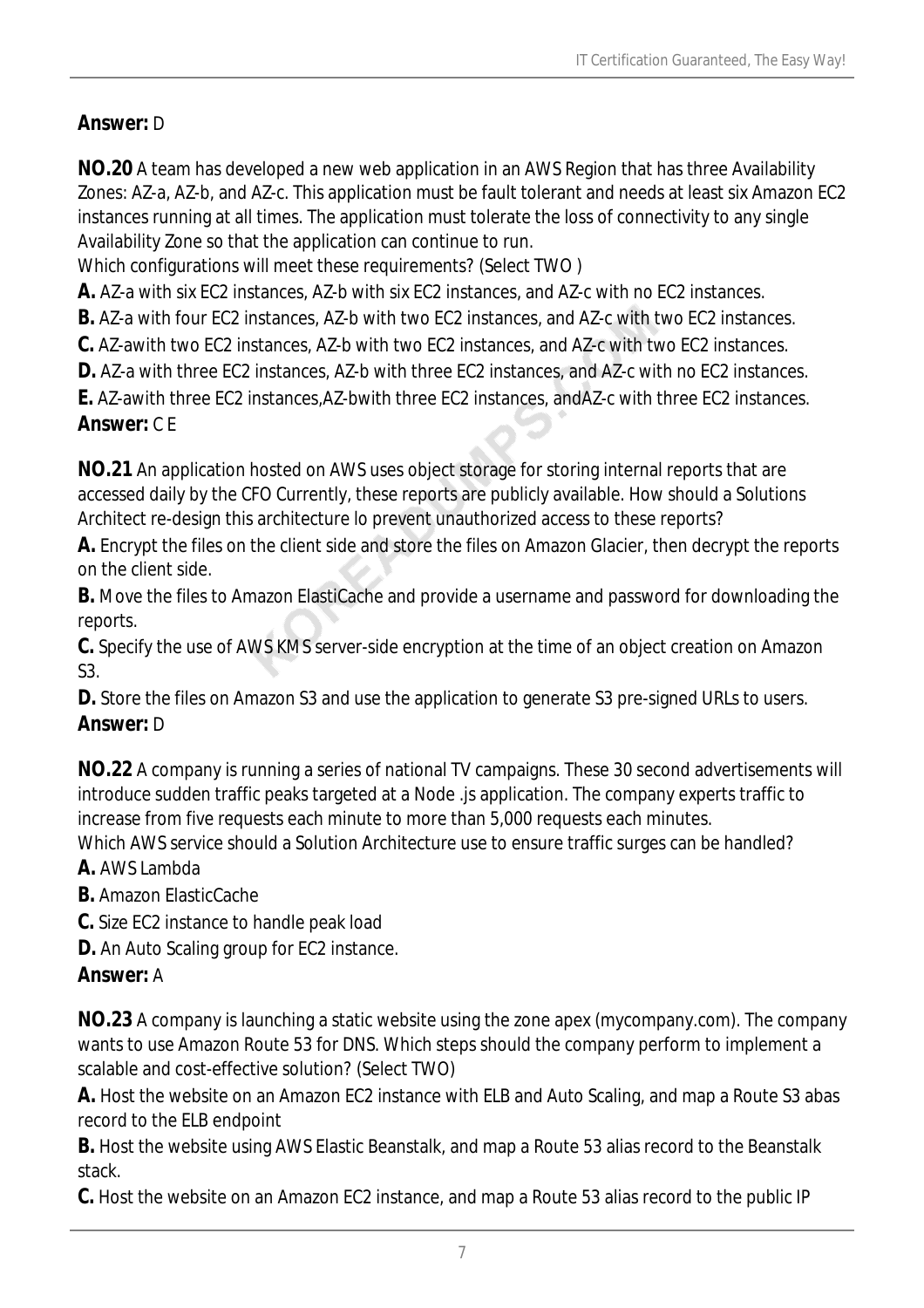## *Answer:* D

**NO.20** A team has developed a new web application in an AWS Region that has three Availability Zones: AZ-a, AZ-b, and AZ-c. This application must be fault tolerant and needs at least six Amazon EC2 instances running at all times. The application must tolerate the loss of connectivity to any single Availability Zone so that the application can continue to run.

Which configurations will meet these requirements? (Select TWO )

**A.** AZ-a with six EC2 instances, AZ-b with six EC2 instances, and AZ-c with no EC2 instances.

**B.** AZ-a with four EC2 instances, AZ-b with two EC2 instances, and AZ-c with two EC2 instances.

**C.** AZ-awith two EC2 instances, AZ-b with two EC2 instances, and AZ-c with two EC2 instances.

**D.** AZ-a with three EC2 instances, AZ-b with three EC2 instances, and AZ-c with no EC2 instances.

**E.** AZ-awith three EC2 instances,AZ-bwith three EC2 instances, andAZ-c with three EC2 instances. *Answer:* C E

**NO.21** An application hosted on AWS uses object storage for storing internal reports that are accessed daily by the CFO Currently, these reports are publicly available. How should a Solutions Architect re-design this architecture lo prevent unauthorized access to these reports?

**A.** Encrypt the files on the client side and store the files on Amazon Glacier, then decrypt the reports on the client side.

**B.** Move the files to Amazon ElastiCache and provide a username and password for downloading the reports.

**C.** Specify the use of AWS KMS server-side encryption at the time of an object creation on Amazon S3.

**D.** Store the files on Amazon S3 and use the application to generate S3 pre-signed URLs to users. *Answer:* D

**NO.22** A company is running a series of national TV campaigns. These 30 second advertisements will introduce sudden traffic peaks targeted at a Node .js application. The company experts traffic to increase from five requests each minute to more than 5,000 requests each minutes.

Which AWS service should a Solution Architecture use to ensure traffic surges can be handled? **A.** AWS Lambda

**B.** Amazon ElasticCache

**C.** Size EC2 instance to handle peak load

**D.** An Auto Scaling group for EC2 instance.

## *Answer:* A

**NO.23** A company is launching a static website using the zone apex (mycompany.com). The company wants to use Amazon Route 53 for DNS. Which steps should the company perform to implement a scalable and cost-effective solution? (Select TWO)

**A.** Host the website on an Amazon EC2 instance with ELB and Auto Scaling, and map a Route S3 abas record to the ELB endpoint

**B.** Host the website using AWS Elastic Beanstalk, and map a Route 53 alias record to the Beanstalk stack.

**C.** Host the website on an Amazon EC2 instance, and map a Route 53 alias record to the public IP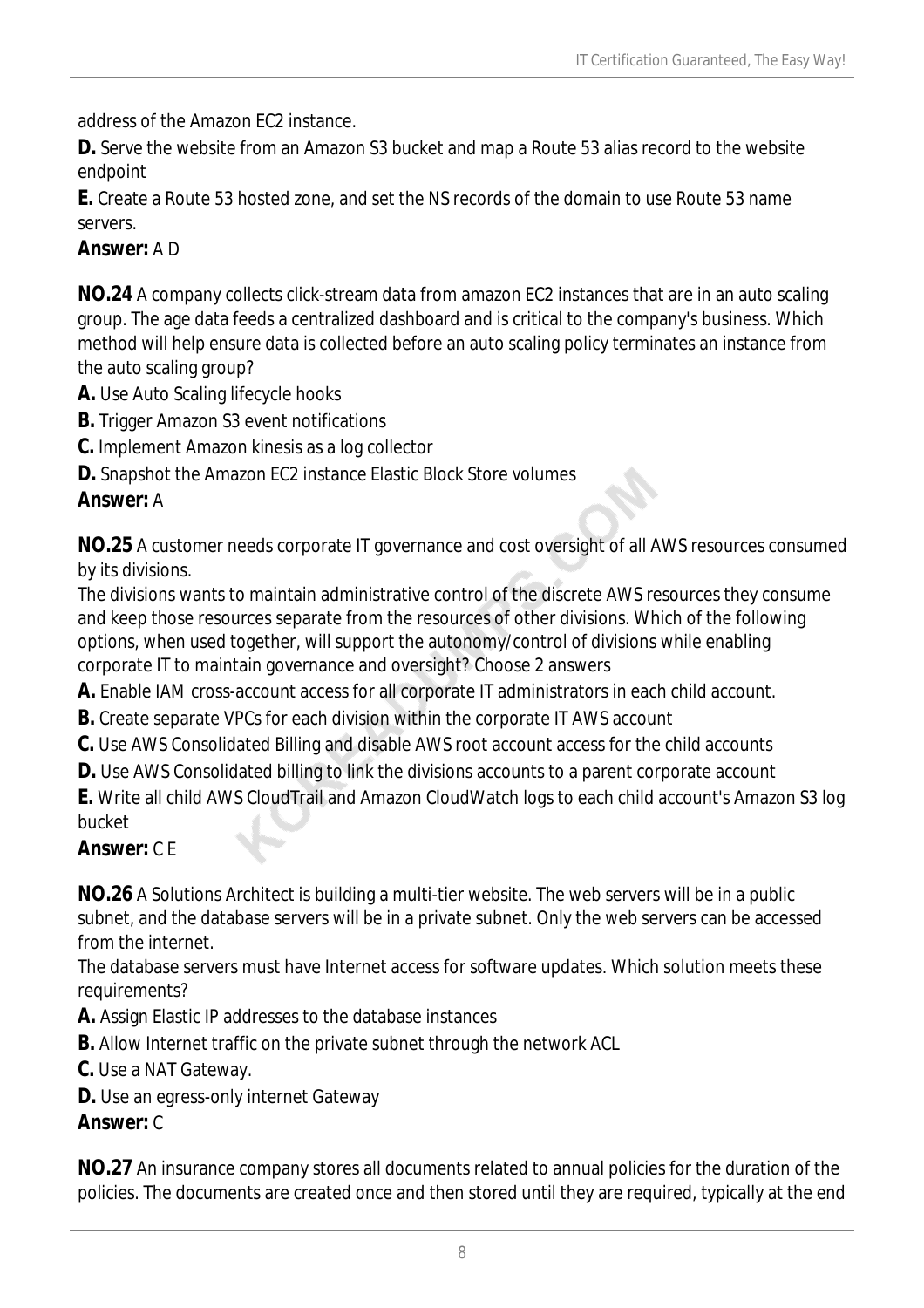address of the Amazon EC2 instance.

**D.** Serve the website from an Amazon S3 bucket and map a Route 53 alias record to the website endpoint

**E.** Create a Route 53 hosted zone, and set the NS records of the domain to use Route 53 name servers.

#### *Answer:* A D

**NO.24** A company collects click-stream data from amazon EC2 instances that are in an auto scaling group. The age data feeds a centralized dashboard and is critical to the company's business. Which method will help ensure data is collected before an auto scaling policy terminates an instance from the auto scaling group?

- **A.** Use Auto Scaling lifecycle hooks
- **B.** Trigger Amazon S3 event notifications
- **C.** Implement Amazon kinesis as a log collector
- **D.** Snapshot the Amazon EC2 instance Elastic Block Store volumes

#### *Answer:* A

**NO.25** A customer needs corporate IT governance and cost oversight of all AWS resources consumed by its divisions.

The divisions wants to maintain administrative control of the discrete AWS resources they consume and keep those resources separate from the resources of other divisions. Which of the following options, when used together, will support the autonomy/control of divisions while enabling corporate IT to maintain governance and oversight? Choose 2 answers

**A.** Enable IAM cross-account access for all corporate IT administrators in each child account.

- **B.** Create separate VPCs for each division within the corporate IT AWS account
- **C.** Use AWS Consolidated Billing and disable AWS root account access for the child accounts
- **D.** Use AWS Consolidated billing to link the divisions accounts to a parent corporate account

**E.** Write all child AWS CloudTrail and Amazon CloudWatch logs to each child account's Amazon S3 log bucket

#### *Answer:* C E

**NO.26** A Solutions Architect is building a multi-tier website. The web servers will be in a public subnet, and the database servers will be in a private subnet. Only the web servers can be accessed from the internet.

The database servers must have Internet access for software updates. Which solution meets these requirements?

**A.** Assign Elastic IP addresses to the database instances

**B.** Allow Internet traffic on the private subnet through the network ACL

**C.** Use a NAT Gateway.

**D.** Use an egress-only internet Gateway

#### *Answer:* C

**NO.27** An insurance company stores all documents related to annual policies for the duration of the policies. The documents are created once and then stored until they are required, typically at the end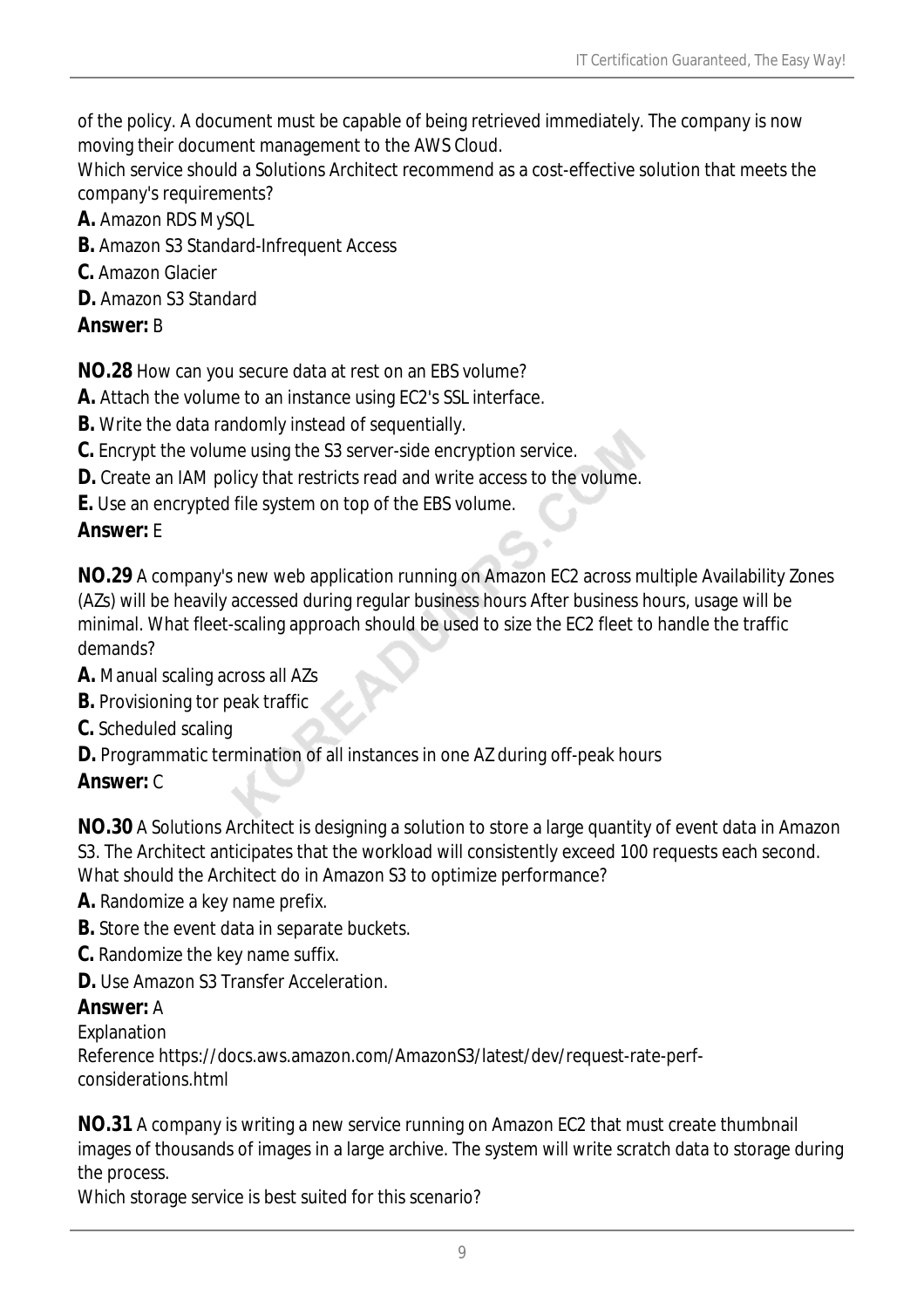of the policy. A document must be capable of being retrieved immediately. The company is now moving their document management to the AWS Cloud.

Which service should a Solutions Architect recommend as a cost-effective solution that meets the company's requirements?

- **A.** Amazon RDS MySQL
- **B.** Amazon S3 Standard-Infrequent Access
- **C.** Amazon Glacier
- **D.** Amazon S3 Standard

#### *Answer:* B

**NO.28** How can you secure data at rest on an EBS volume?

- **A.** Attach the volume to an instance using EC2's SSL interface.
- **B.** Write the data randomly instead of sequentially.
- **C.** Encrypt the volume using the S3 server-side encryption service.
- **D.** Create an IAM policy that restricts read and write access to the volume.
- **E.** Use an encrypted file system on top of the EBS volume.

## *Answer:* E

**NO.29** A company's new web application running on Amazon EC2 across multiple Availability Zones (AZs) will be heavily accessed during regular business hours After business hours, usage will be minimal. What fleet-scaling approach should be used to size the EC2 fleet to handle the traffic demands?

- **A.** Manual scaling across all AZs
- **B.** Provisioning tor peak traffic
- **C.** Scheduled scaling
- **D.** Programmatic termination of all instances in one AZ during off-peak hours

## *Answer:* C

**NO.30** A Solutions Architect is designing a solution to store a large quantity of event data in Amazon S3. The Architect anticipates that the workload will consistently exceed 100 requests each second. What should the Architect do in Amazon S3 to optimize performance?

- **A.** Randomize a key name prefix.
- **B.** Store the event data in separate buckets.
- **C.** Randomize the key name suffix.
- **D.** Use Amazon S3 Transfer Acceleration.

## *Answer:* A

Explanation

Reference https://docs.aws.amazon.com/AmazonS3/latest/dev/request-rate-perfconsiderations.html

**NO.31** A company is writing a new service running on Amazon EC2 that must create thumbnail images of thousands of images in a large archive. The system will write scratch data to storage during the process.

Which storage service is best suited for this scenario?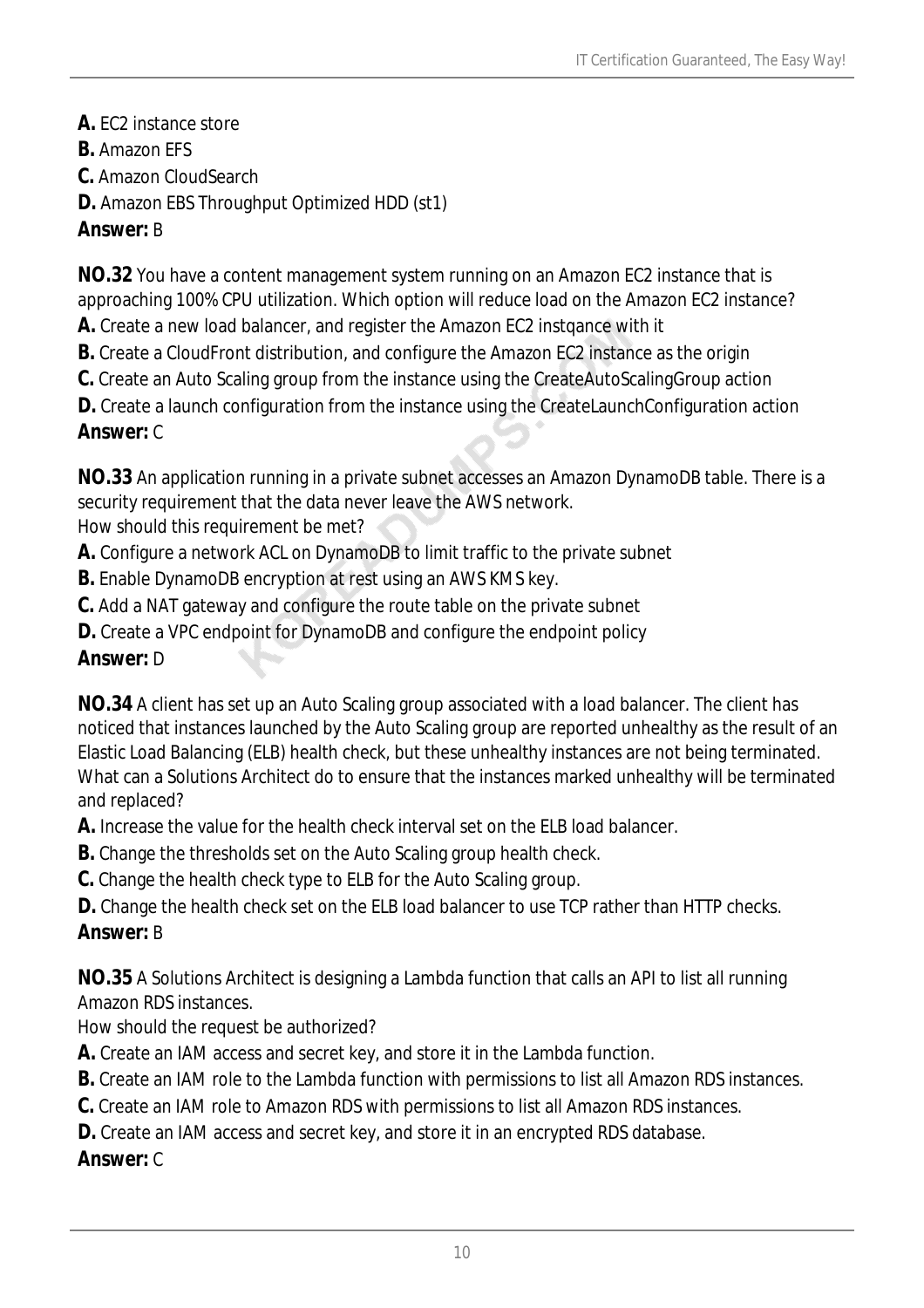- **A.** EC2 instance store
- **B.** Amazon EFS
- **C.** Amazon CloudSearch
- **D.** Amazon EBS Throughput Optimized HDD (st1)

#### *Answer:* B

**NO.32** You have a content management system running on an Amazon EC2 instance that is approaching 100% CPU utilization. Which option will reduce load on the Amazon EC2 instance?

- **A.** Create a new load balancer, and register the Amazon EC2 instqance with it
- **B.** Create a CloudFront distribution, and configure the Amazon EC2 instance as the origin
- **C.** Create an Auto Scaling group from the instance using the CreateAutoScalingGroup action

**D.** Create a launch configuration from the instance using the CreateLaunchConfiguration action

#### *Answer:* C

**NO.33** An application running in a private subnet accesses an Amazon DynamoDB table. There is a security requirement that the data never leave the AWS network.

How should this requirement be met?

- **A.** Configure a network ACL on DynamoDB to limit traffic to the private subnet
- **B.** Enable DynamoDB encryption at rest using an AWS KMS key.
- **C.** Add a NAT gateway and configure the route table on the private subnet
- **D.** Create a VPC endpoint for DynamoDB and configure the endpoint policy

#### *Answer:* D

**NO.34** A client has set up an Auto Scaling group associated with a load balancer. The client has noticed that instances launched by the Auto Scaling group are reported unhealthy as the result of an Elastic Load Balancing (ELB) health check, but these unhealthy instances are not being terminated. What can a Solutions Architect do to ensure that the instances marked unhealthy will be terminated and replaced?

**A.** Increase the value for the health check interval set on the ELB load balancer.

- **B.** Change the thresholds set on the Auto Scaling group health check.
- **C.** Change the health check type to ELB for the Auto Scaling group.
- **D.** Change the health check set on the ELB load balancer to use TCP rather than HTTP checks.

# *Answer:* B

**NO.35** A Solutions Architect is designing a Lambda function that calls an API to list all running Amazon RDS instances.

How should the request be authorized?

- **A.** Create an IAM access and secret key, and store it in the Lambda function.
- **B.** Create an IAM role to the Lambda function with permissions to list all Amazon RDS instances.
- **C.** Create an IAM role to Amazon RDS with permissions to list all Amazon RDS instances.
- **D.** Create an IAM access and secret key, and store it in an encrypted RDS database.

## *Answer:* C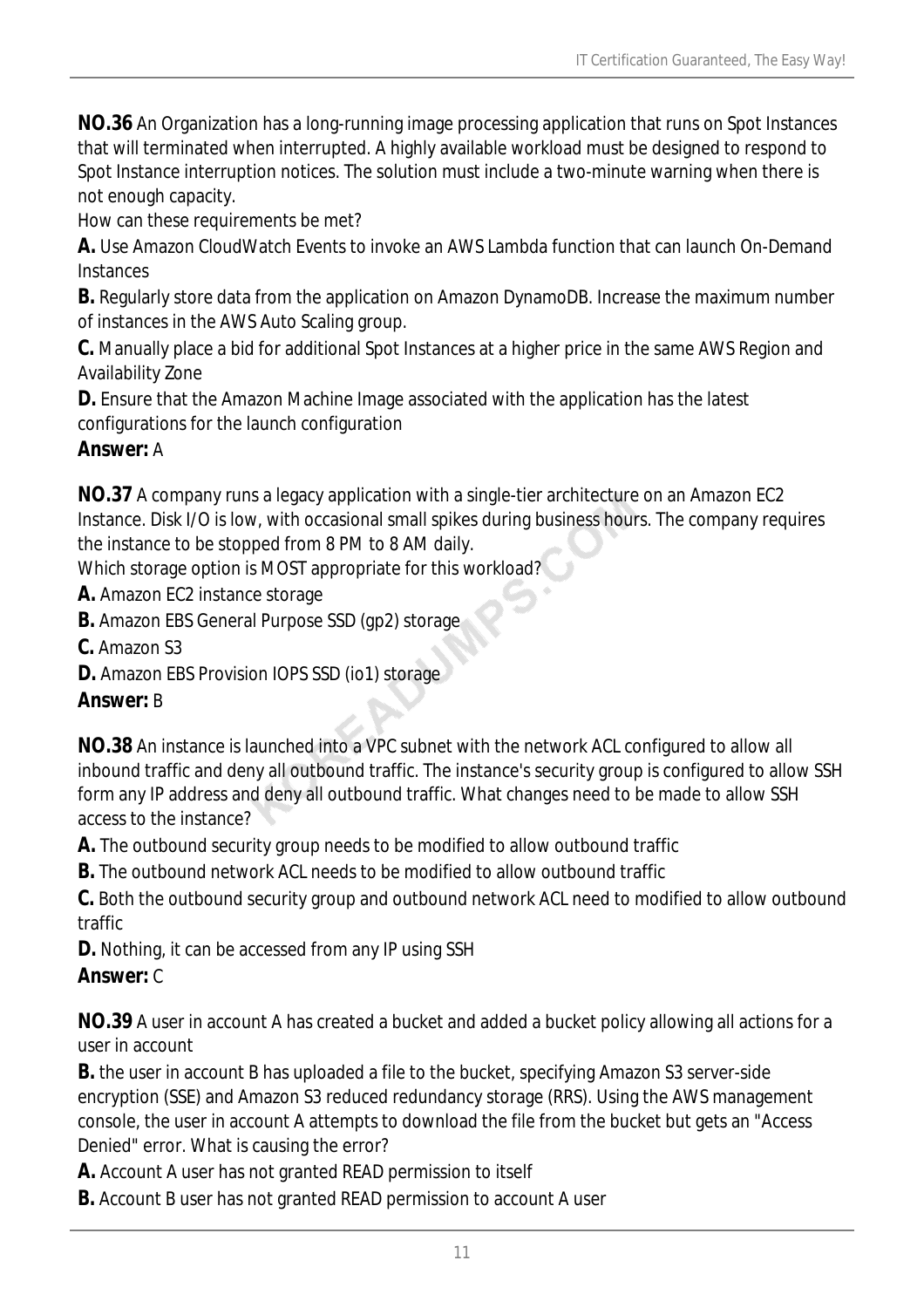**NO.36** An Organization has a long-running image processing application that runs on Spot Instances that will terminated when interrupted. A highly available workload must be designed to respond to Spot Instance interruption notices. The solution must include a two-minute warning when there is not enough capacity.

How can these requirements be met?

**A.** Use Amazon CloudWatch Events to invoke an AWS Lambda function that can launch On-Demand **Instances** 

**B.** Regularly store data from the application on Amazon DynamoDB. Increase the maximum number of instances in the AWS Auto Scaling group.

**C.** Manually place a bid for additional Spot Instances at a higher price in the same AWS Region and Availability Zone

**D.** Ensure that the Amazon Machine Image associated with the application has the latest configurations for the launch configuration

#### *Answer:* A

**NO.37** A company runs a legacy application with a single-tier architecture on an Amazon EC2 Instance. Disk I/O is low, with occasional small spikes during business hours. The company requires the instance to be stopped from 8 PM to 8 AM daily.

Which storage option is MOST appropriate for this workload?

**A.** Amazon EC2 instance storage

- **B.** Amazon EBS General Purpose SSD (gp2) storage
- **C.** Amazon S3
- **D.** Amazon EBS Provision IOPS SSD (io1) storage

## *Answer:* B

**NO.38** An instance is launched into a VPC subnet with the network ACL configured to allow all inbound traffic and deny all outbound traffic. The instance's security group is configured to allow SSH form any IP address and deny all outbound traffic. What changes need to be made to allow SSH access to the instance?

**A.** The outbound security group needs to be modified to allow outbound traffic

**B.** The outbound network ACL needs to be modified to allow outbound traffic

**C.** Both the outbound security group and outbound network ACL need to modified to allow outbound traffic

**D.** Nothing, it can be accessed from any IP using SSH

## *Answer:* C

**NO.39** A user in account A has created a bucket and added a bucket policy allowing all actions for a user in account

**B.** the user in account B has uploaded a file to the bucket, specifying Amazon S3 server-side encryption (SSE) and Amazon S3 reduced redundancy storage (RRS). Using the AWS management console, the user in account A attempts to download the file from the bucket but gets an "Access Denied" error. What is causing the error?

**A.** Account A user has not granted READ permission to itself

**B.** Account B user has not granted READ permission to account A user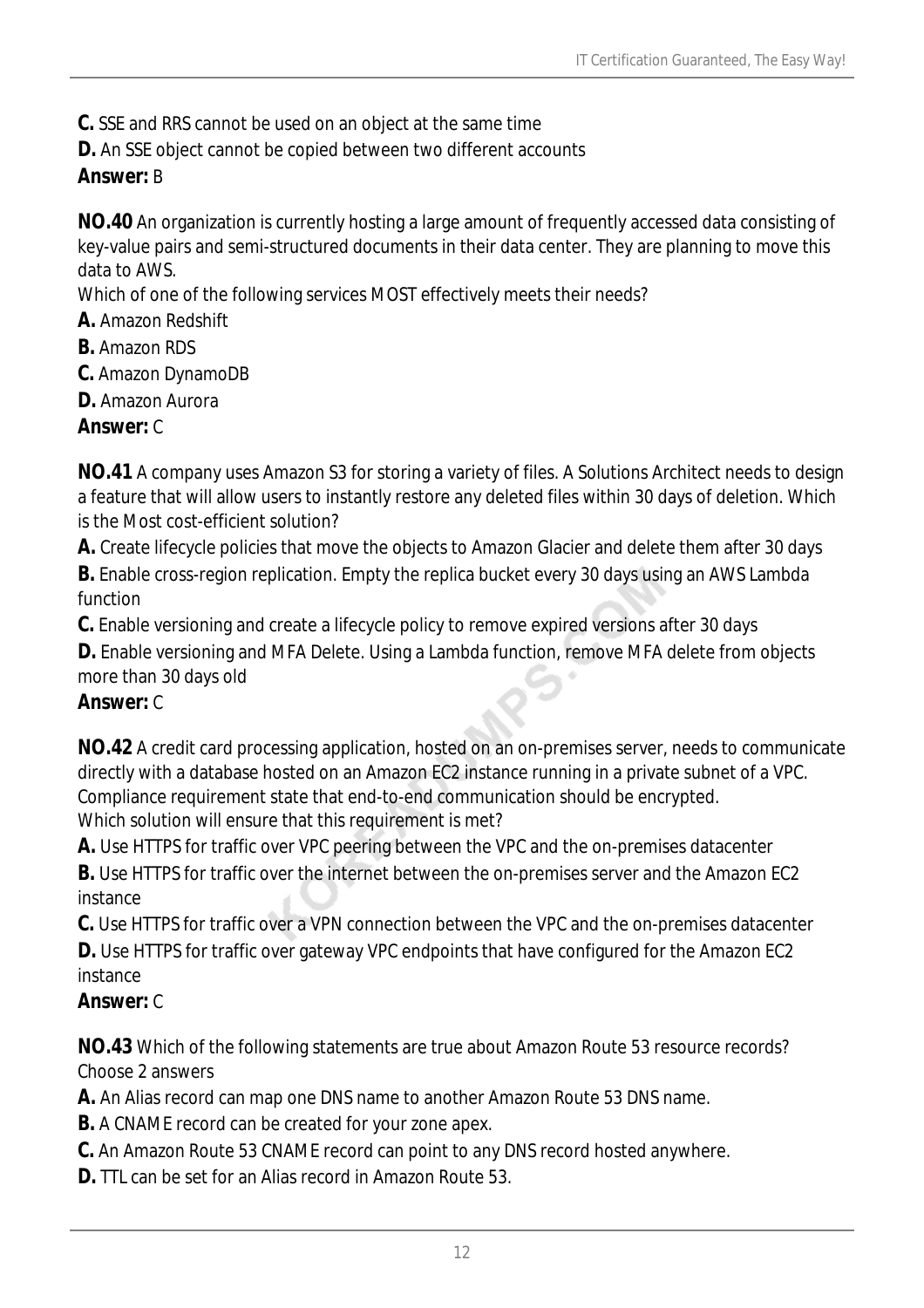**C.** SSE and RRS cannot be used on an object at the same time

**D.** An SSE object cannot be copied between two different accounts

# *Answer:* B

**NO.40** An organization is currently hosting a large amount of frequently accessed data consisting of key-value pairs and semi-structured documents in their data center. They are planning to move this data to AWS.

Which of one of the following services MOST effectively meets their needs?

- **A.** Amazon Redshift
- **B.** Amazon RDS
- **C.** Amazon DynamoDB
- **D.** Amazon Aurora

## *Answer:* C

**NO.41** A company uses Amazon S3 for storing a variety of files. A Solutions Architect needs to design a feature that will allow users to instantly restore any deleted files within 30 days of deletion. Which is the Most cost-efficient solution?

**A.** Create lifecycle policies that move the objects to Amazon Glacier and delete them after 30 days

**B.** Enable cross-region replication. Empty the replica bucket every 30 days using an AWS Lambda function

**C.** Enable versioning and create a lifecycle policy to remove expired versions after 30 days

**D.** Enable versioning and MFA Delete. Using a Lambda function, remove MFA delete from objects more than 30 days old

## *Answer:* C

**NO.42** A credit card processing application, hosted on an on-premises server, needs to communicate directly with a database hosted on an Amazon EC2 instance running in a private subnet of a VPC. Compliance requirement state that end-to-end communication should be encrypted. Which solution will ensure that this requirement is met?

**A.** Use HTTPS for traffic over VPC peering between the VPC and the on-premises datacenter

**B.** Use HTTPS for traffic over the internet between the on-premises server and the Amazon EC2 instance

**C.** Use HTTPS for traffic over a VPN connection between the VPC and the on-premises datacenter

**D.** Use HTTPS for traffic over gateway VPC endpoints that have configured for the Amazon EC2 instance

# *Answer:* C

**NO.43** Which of the following statements are true about Amazon Route 53 resource records? Choose 2 answers

**A.** An Alias record can map one DNS name to another Amazon Route 53 DNS name.

**B.** A CNAME record can be created for your zone apex.

**C.** An Amazon Route 53 CNAME record can point to any DNS record hosted anywhere.

**D.** TTL can be set for an Alias record in Amazon Route 53.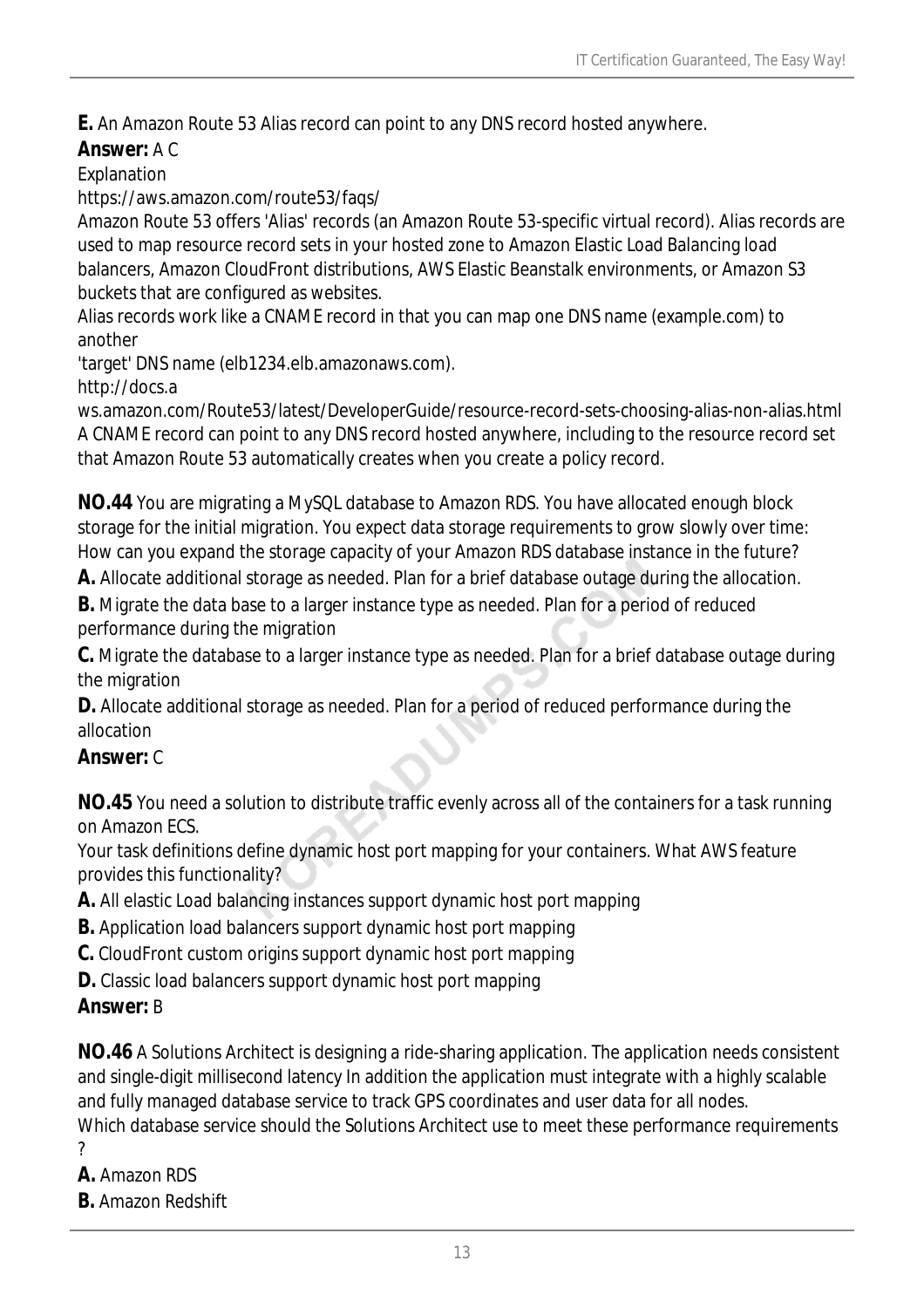**E.** An Amazon Route 53 Alias record can point to any DNS record hosted anywhere.

#### *Answer:* A C

Explanation

https://aws.amazon.com/route53/faqs/

Amazon Route 53 offers 'Alias' records (an Amazon Route 53-specific virtual record). Alias records are used to map resource record sets in your hosted zone to Amazon Elastic Load Balancing load balancers, Amazon CloudFront distributions, AWS Elastic Beanstalk environments, or Amazon S3 buckets that are configured as websites.

Alias records work like a CNAME record in that you can map one DNS name (example.com) to another

'target' DNS name (elb1234.elb.amazonaws.com).

http://docs.a

ws.amazon.com/Route53/latest/DeveloperGuide/resource-record-sets-choosing-alias-non-alias.html A CNAME record can point to any DNS record hosted anywhere, including to the resource record set that Amazon Route 53 automatically creates when you create a policy record.

**NO.44** You are migrating a MySQL database to Amazon RDS. You have allocated enough block storage for the initial migration. You expect data storage requirements to grow slowly over time: How can you expand the storage capacity of your Amazon RDS database instance in the future?

**A.** Allocate additional storage as needed. Plan for a brief database outage during the allocation.

**B.** Migrate the data base to a larger instance type as needed. Plan for a period of reduced performance during the migration

**C.** Migrate the database to a larger instance type as needed. Plan for a brief database outage during the migration

**D.** Allocate additional storage as needed. Plan for a period of reduced performance during the allocation

## *Answer:* C

**NO.45** You need a solution to distribute traffic evenly across all of the containers for a task running on Amazon ECS.

Your task definitions define dynamic host port mapping for your containers. What AWS feature provides this functionality?

- **A.** All elastic Load balancing instances support dynamic host port mapping
- **B.** Application load balancers support dynamic host port mapping
- **C.** CloudFront custom origins support dynamic host port mapping
- **D.** Classic load balancers support dynamic host port mapping

## *Answer:* B

**NO.46** A Solutions Architect is designing a ride-sharing application. The application needs consistent and single-digit millisecond latency In addition the application must integrate with a highly scalable and fully managed database service to track GPS coordinates and user data for all nodes. Which database service should the Solutions Architect use to meet these performance requirements ?

- **A.** Amazon RDS
- **B.** Amazon Redshift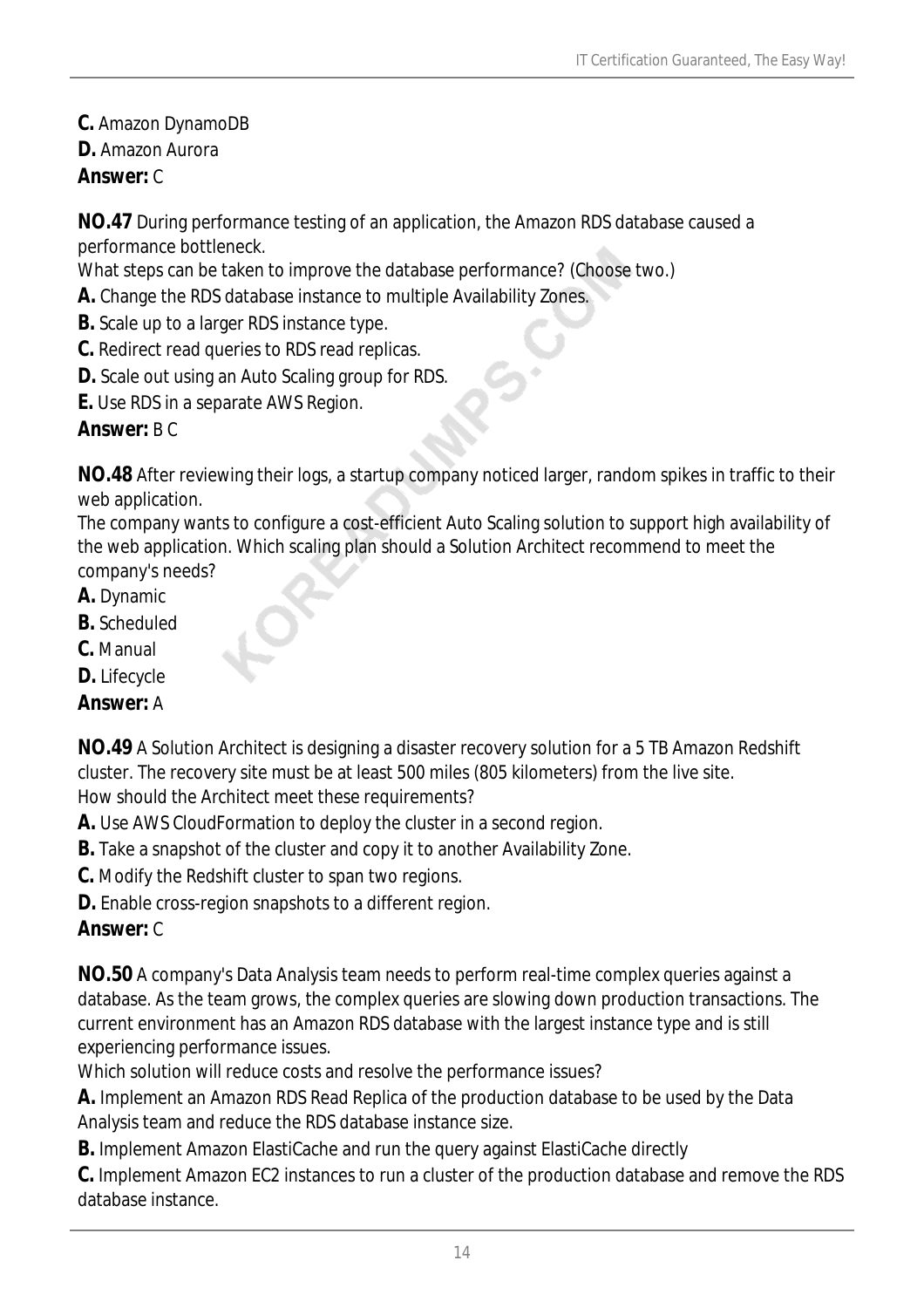- **C.** Amazon DynamoDB
- **D.** Amazon Aurora
- *Answer:* C

**NO.47** During performance testing of an application, the Amazon RDS database caused a performance bottleneck.

What steps can be taken to improve the database performance? (Choose two.)

- **A.** Change the RDS database instance to multiple Availability Zones.
- **B.** Scale up to a larger RDS instance type.
- **C.** Redirect read queries to RDS read replicas.
- **D.** Scale out using an Auto Scaling group for RDS.
- **E.** Use RDS in a separate AWS Region.

#### *Answer:* B C

**NO.48** After reviewing their logs, a startup company noticed larger, random spikes in traffic to their web application.

The company wants to configure a cost-efficient Auto Scaling solution to support high availability of the web application. Which scaling plan should a Solution Architect recommend to meet the company's needs?

- **A.** Dynamic
- **B.** Scheduled
- **C.** Manual
- **D.** Lifecycle

## *Answer:* A

**NO.49** A Solution Architect is designing a disaster recovery solution for a 5 TB Amazon Redshift cluster. The recovery site must be at least 500 miles (805 kilometers) from the live site. How should the Architect meet these requirements?

**A.** Use AWS CloudFormation to deploy the cluster in a second region.

**B.** Take a snapshot of the cluster and copy it to another Availability Zone.

- **C.** Modify the Redshift cluster to span two regions.
- **D.** Enable cross-region snapshots to a different region.

## *Answer:* C

**NO.50** A company's Data Analysis team needs to perform real-time complex queries against a database. As the team grows, the complex queries are slowing down production transactions. The current environment has an Amazon RDS database with the largest instance type and is still experiencing performance issues.

Which solution will reduce costs and resolve the performance issues?

**A.** Implement an Amazon RDS Read Replica of the production database to be used by the Data Analysis team and reduce the RDS database instance size.

**B.** Implement Amazon ElastiCache and run the query against ElastiCache directly

**C.** Implement Amazon EC2 instances to run a cluster of the production database and remove the RDS database instance.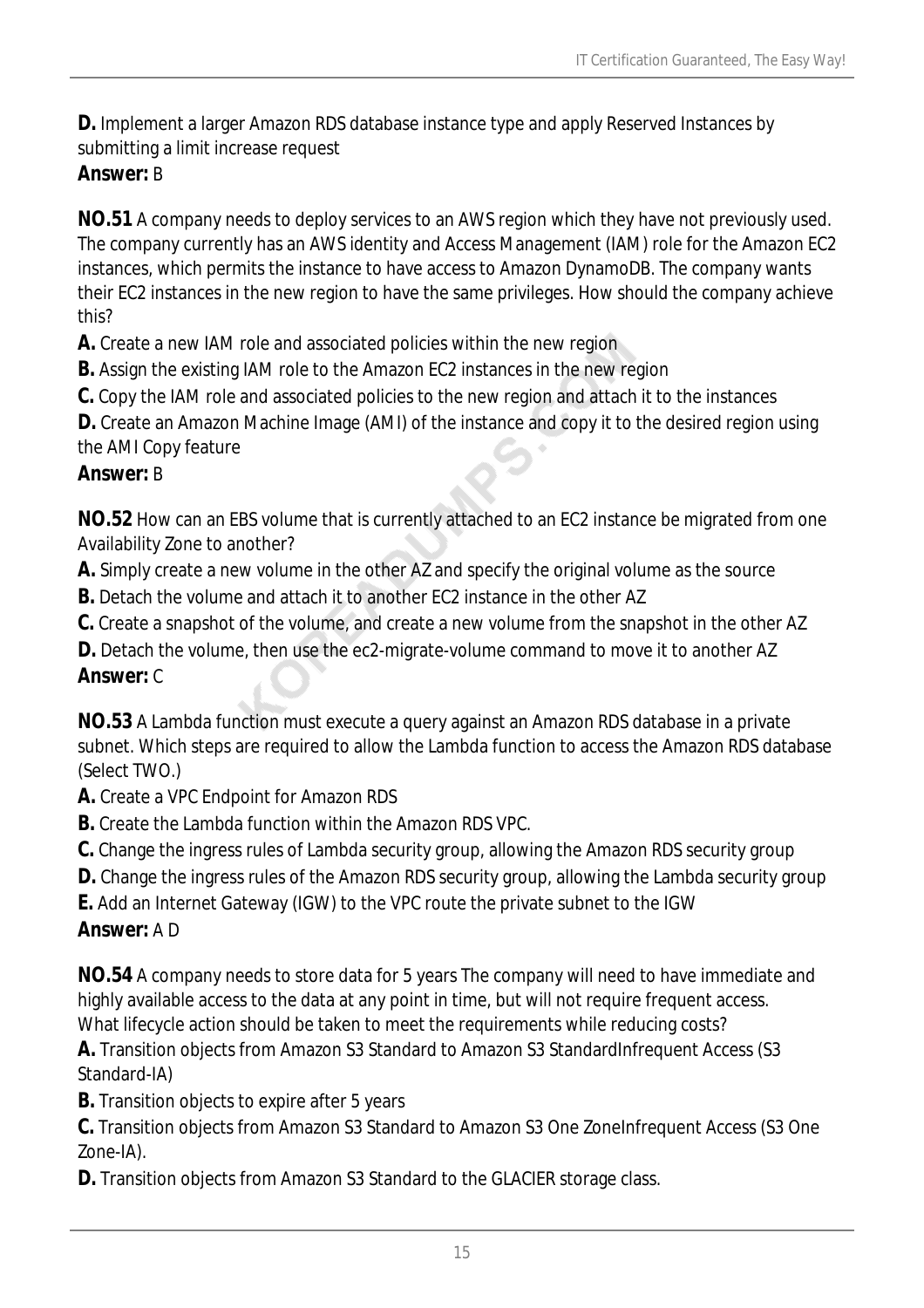**D.** Implement a larger Amazon RDS database instance type and apply Reserved Instances by submitting a limit increase request

## *Answer:* B

**NO.51** A company needs to deploy services to an AWS region which they have not previously used. The company currently has an AWS identity and Access Management (IAM) role for the Amazon EC2 instances, which permits the instance to have access to Amazon DynamoDB. The company wants their EC2 instances in the new region to have the same privileges. How should the company achieve this?

**A.** Create a new IAM role and associated policies within the new region

**B.** Assign the existing IAM role to the Amazon EC2 instances in the new region

**C.** Copy the IAM role and associated policies to the new region and attach it to the instances

**D.** Create an Amazon Machine Image (AMI) of the instance and copy it to the desired region using the AMI Copy feature

#### *Answer:* B

**NO.52** How can an EBS volume that is currently attached to an EC2 instance be migrated from one Availability Zone to another?

**A.** Simply create a new volume in the other AZ and specify the original volume as the source

**B.** Detach the volume and attach it to another EC2 instance in the other AZ

**C.** Create a snapshot of the volume, and create a new volume from the snapshot in the other AZ

**D.** Detach the volume, then use the ec2-migrate-volume command to move it to another AZ *Answer:* C

**NO.53** A Lambda function must execute a query against an Amazon RDS database in a private subnet. Which steps are required to allow the Lambda function to access the Amazon RDS database (Select TWO.)

- **A.** Create a VPC Endpoint for Amazon RDS
- **B.** Create the Lambda function within the Amazon RDS VPC.

**C.** Change the ingress rules of Lambda security group, allowing the Amazon RDS security group

**D.** Change the ingress rules of the Amazon RDS security group, allowing the Lambda security group

**E.** Add an Internet Gateway (IGW) to the VPC route the private subnet to the IGW

## *Answer:* A D

**NO.54** A company needs to store data for 5 years The company will need to have immediate and highly available access to the data at any point in time, but will not require frequent access. What lifecycle action should be taken to meet the requirements while reducing costs?

**A.** Transition objects from Amazon S3 Standard to Amazon S3 StandardInfrequent Access (S3 Standard-IA)

**B.** Transition objects to expire after 5 years

**C.** Transition objects from Amazon S3 Standard to Amazon S3 One ZoneInfrequent Access (S3 One Zone-IA).

**D.** Transition objects from Amazon S3 Standard to the GLACIER storage class.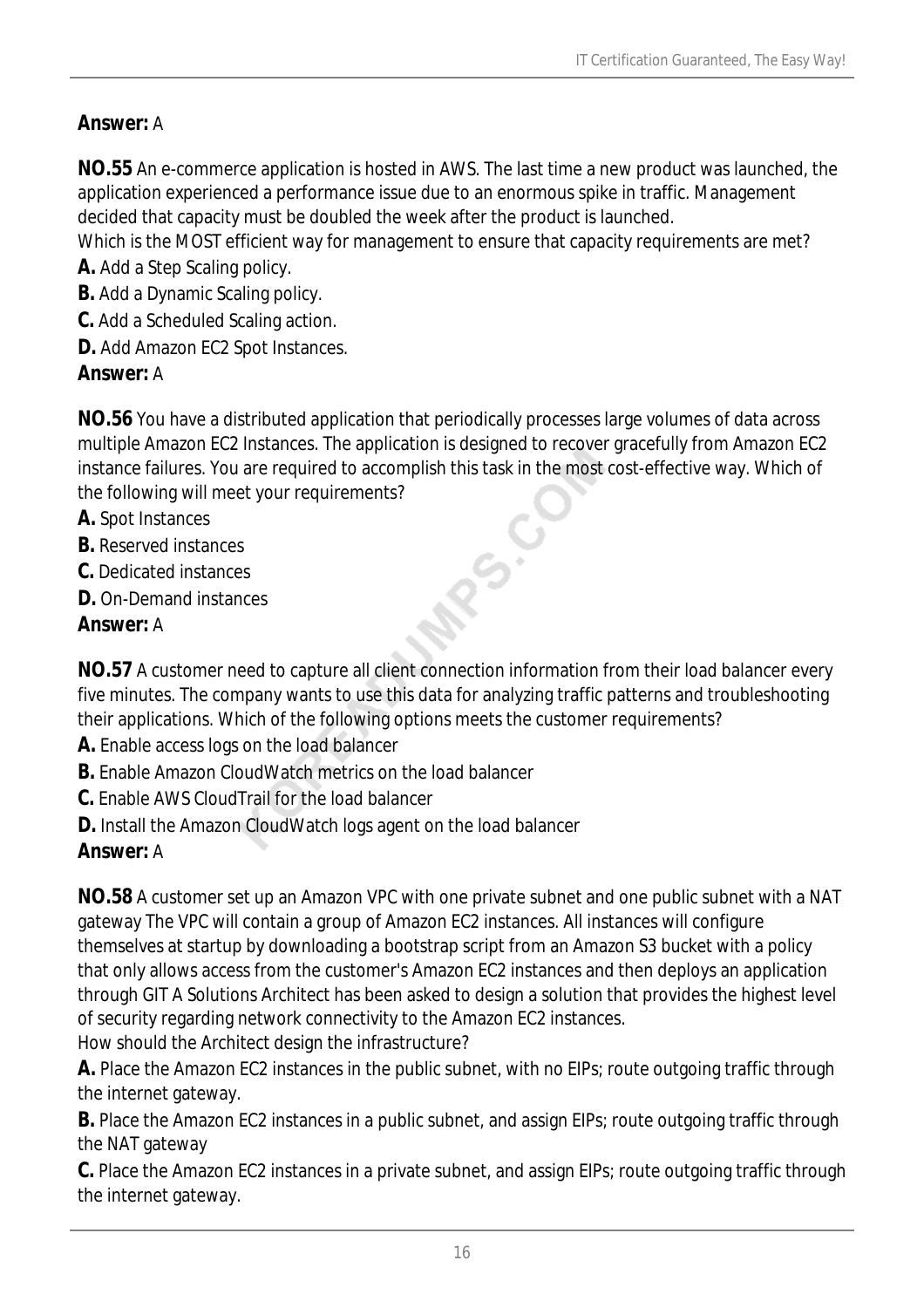## *Answer:* A

**NO.55** An e-commerce application is hosted in AWS. The last time a new product was launched, the application experienced a performance issue due to an enormous spike in traffic. Management decided that capacity must be doubled the week after the product is launched.

Which is the MOST efficient way for management to ensure that capacity requirements are met? **A.** Add a Step Scaling policy.

**B.** Add a Dynamic Scaling policy.

- **C.** Add a Scheduled Scaling action.
- **D.** Add Amazon EC2 Spot Instances.

## *Answer:* A

**NO.56** You have a distributed application that periodically processes large volumes of data across multiple Amazon EC2 Instances. The application is designed to recover gracefully from Amazon EC2 instance failures. You are required to accomplish this task in the most cost-effective way. Which of the following will meet your requirements?

 $\infty$ 

- **A.** Spot Instances
- **B.** Reserved instances
- **C.** Dedicated instances
- **D.** On-Demand instances

## *Answer:* A

**NO.57** A customer need to capture all client connection information from their load balancer every five minutes. The company wants to use this data for analyzing traffic patterns and troubleshooting their applications. Which of the following options meets the customer requirements?

- **A.** Enable access logs on the load balancer
- **B.** Enable Amazon CloudWatch metrics on the load balancer
- **C.** Enable AWS CloudTrail for the load balancer
- **D.** Install the Amazon CloudWatch logs agent on the load balancer

## *Answer:* A

**NO.58** A customer set up an Amazon VPC with one private subnet and one public subnet with a NAT gateway The VPC will contain a group of Amazon EC2 instances. All instances will configure themselves at startup by downloading a bootstrap script from an Amazon S3 bucket with a policy that only allows access from the customer's Amazon EC2 instances and then deploys an application through GIT A Solutions Architect has been asked to design a solution that provides the highest level of security regarding network connectivity to the Amazon EC2 instances.

How should the Architect design the infrastructure?

**A.** Place the Amazon EC2 instances in the public subnet, with no EIPs; route outgoing traffic through the internet gateway.

**B.** Place the Amazon EC2 instances in a public subnet, and assign EIPs; route outgoing traffic through the NAT gateway

**C.** Place the Amazon EC2 instances in a private subnet, and assign EIPs; route outgoing traffic through the internet gateway.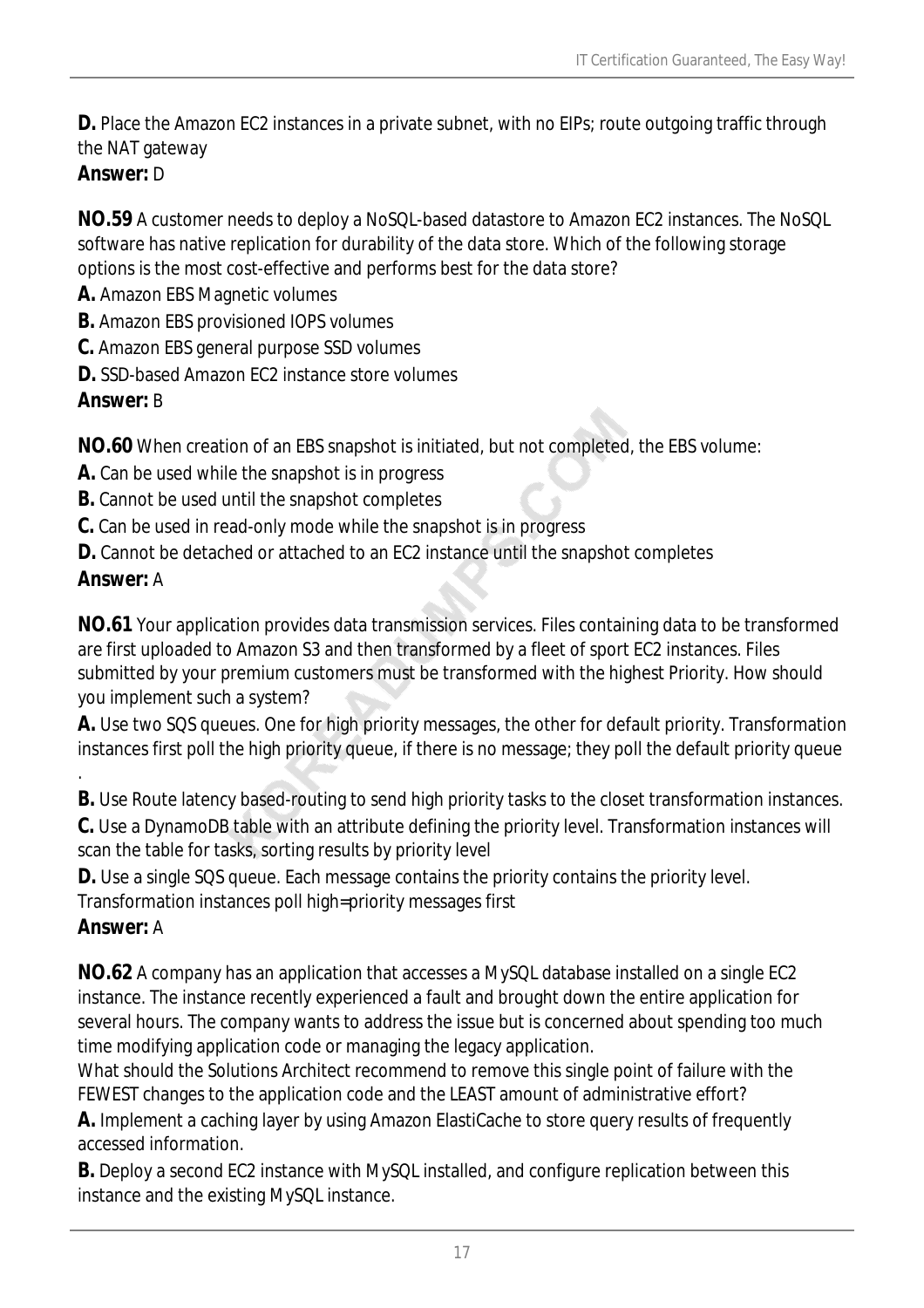**D.** Place the Amazon EC2 instances in a private subnet, with no EIPs; route outgoing traffic through the NAT gateway

## *Answer:* D

**NO.59** A customer needs to deploy a NoSQL-based datastore to Amazon EC2 instances. The NoSQL software has native replication for durability of the data store. Which of the following storage options is the most cost-effective and performs best for the data store?

- **A.** Amazon EBS Magnetic volumes
- **B.** Amazon EBS provisioned IOPS volumes
- **C.** Amazon EBS general purpose SSD volumes
- **D.** SSD-based Amazon FC2 instance store volumes

## *Answer:* B

**NO.60** When creation of an EBS snapshot is initiated, but not completed, the EBS volume:

- **A.** Can be used while the snapshot is in progress
- **B.** Cannot be used until the snapshot completes
- **C.** Can be used in read-only mode while the snapshot is in progress
- **D.** Cannot be detached or attached to an EC2 instance until the snapshot completes

## *Answer:* A

**NO.61** Your application provides data transmission services. Files containing data to be transformed are first uploaded to Amazon S3 and then transformed by a fleet of sport EC2 instances. Files submitted by your premium customers must be transformed with the highest Priority. How should you implement such a system?

**A.** Use two SQS queues. One for high priority messages, the other for default priority. Transformation instances first poll the high priority queue, if there is no message; they poll the default priority queue

**B.** Use Route latency based-routing to send high priority tasks to the closet transformation instances.

**C.** Use a DynamoDB table with an attribute defining the priority level. Transformation instances will scan the table for tasks, sorting results by priority level

**D.** Use a single SQS queue. Each message contains the priority contains the priority level.

Transformation instances poll high=priority messages first

## *Answer:* A

.

**NO.62** A company has an application that accesses a MySQL database installed on a single EC2 instance. The instance recently experienced a fault and brought down the entire application for several hours. The company wants to address the issue but is concerned about spending too much time modifying application code or managing the legacy application.

What should the Solutions Architect recommend to remove this single point of failure with the FEWEST changes to the application code and the LEAST amount of administrative effort?

**A.** Implement a caching layer by using Amazon ElastiCache to store query results of frequently accessed information.

**B.** Deploy a second EC2 instance with MySQL installed, and configure replication between this instance and the existing MySQL instance.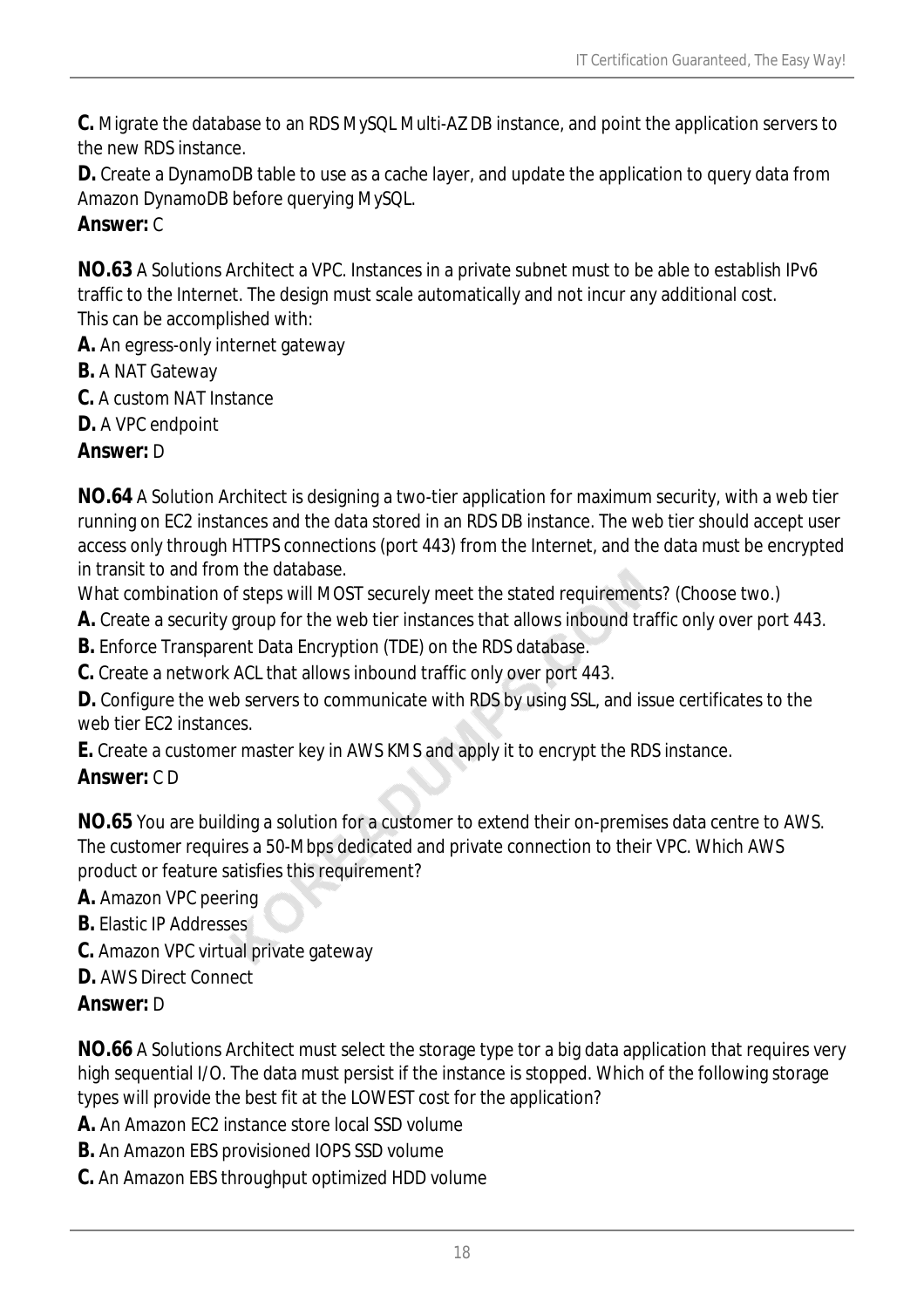**C.** Migrate the database to an RDS MySQL Multi-AZ DB instance, and point the application servers to the new RDS instance.

**D.** Create a DynamoDB table to use as a cache layer, and update the application to query data from Amazon DynamoDB before querying MySQL.

#### *Answer:* C

**NO.63** A Solutions Architect a VPC. Instances in a private subnet must to be able to establish IPv6 traffic to the Internet. The design must scale automatically and not incur any additional cost. This can be accomplished with:

**A.** An egress-only internet gateway

- **B.** A NAT Gateway
- **C.** A custom NAT Instance
- **D.** A VPC endpoint

*Answer:* D

**NO.64** A Solution Architect is designing a two-tier application for maximum security, with a web tier running on EC2 instances and the data stored in an RDS DB instance. The web tier should accept user access only through HTTPS connections (port 443) from the Internet, and the data must be encrypted in transit to and from the database.

What combination of steps will MOST securely meet the stated requirements? (Choose two.)

**A.** Create a security group for the web tier instances that allows inbound traffic only over port 443.

**B.** Enforce Transparent Data Encryption (TDE) on the RDS database.

**C.** Create a network ACL that allows inbound traffic only over port 443.

**D.** Configure the web servers to communicate with RDS by using SSL, and issue certificates to the web tier FC2 instances.

**E.** Create a customer master key in AWS KMS and apply it to encrypt the RDS instance.

#### *Answer:* C D

**NO.65** You are building a solution for a customer to extend their on-premises data centre to AWS. The customer requires a 50-Mbps dedicated and private connection to their VPC. Which AWS product or feature satisfies this requirement?

**A.** Amazon VPC peering

- **B.** Elastic IP Addresses
- **C.** Amazon VPC virtual private gateway
- **D.** AWS Direct Connect

## *Answer:* D

**NO.66** A Solutions Architect must select the storage type tor a big data application that requires very high sequential I/O. The data must persist if the instance is stopped. Which of the following storage types will provide the best fit at the LOWEST cost for the application?

**A.** An Amazon EC2 instance store local SSD volume

**B.** An Amazon EBS provisioned IOPS SSD volume

**C.** An Amazon EBS throughput optimized HDD volume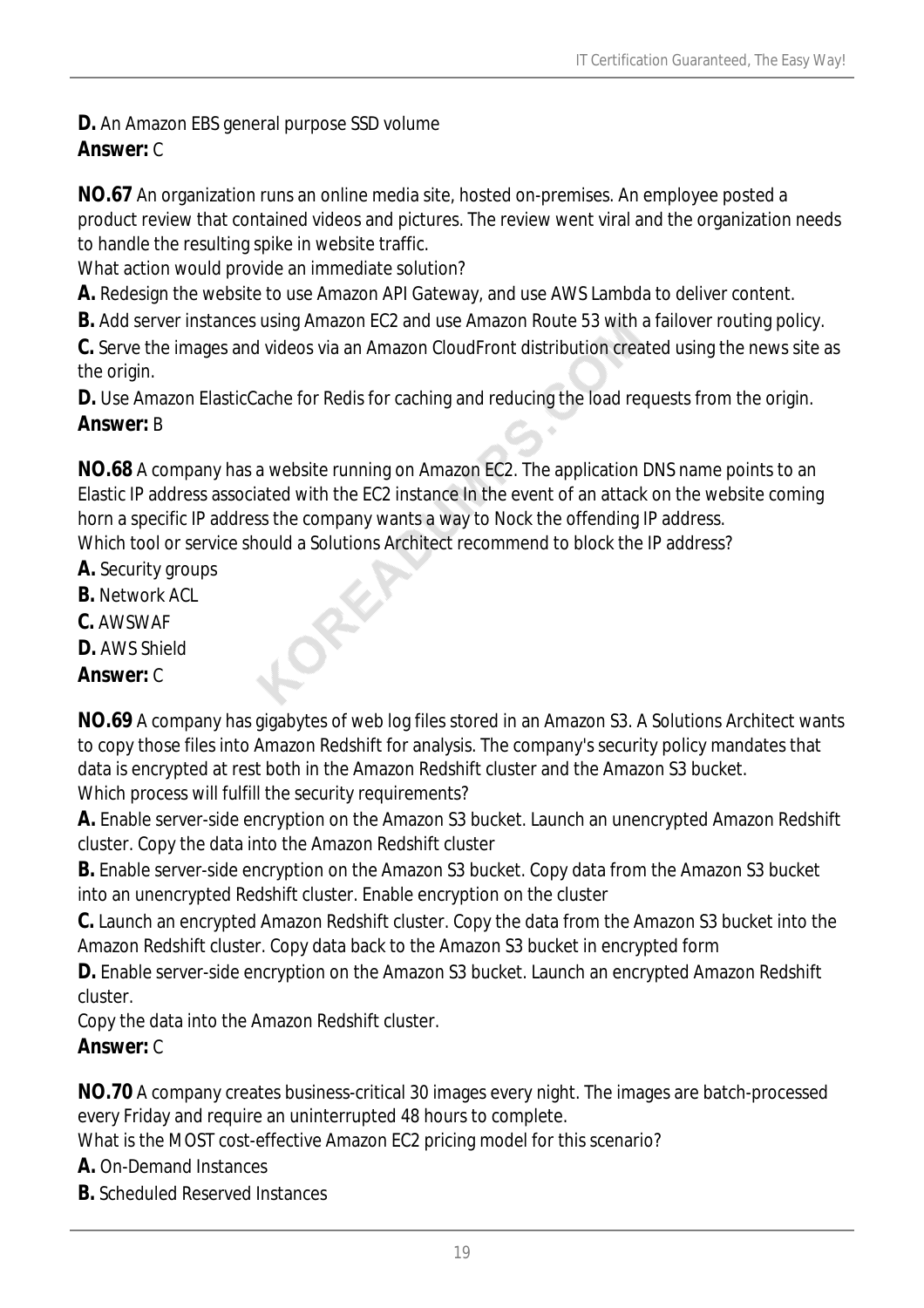**D.** An Amazon EBS general purpose SSD volume *Answer:* C

**NO.67** An organization runs an online media site, hosted on-premises. An employee posted a product review that contained videos and pictures. The review went viral and the organization needs to handle the resulting spike in website traffic.

What action would provide an immediate solution?

**A.** Redesign the website to use Amazon API Gateway, and use AWS Lambda to deliver content.

**B.** Add server instances using Amazon EC2 and use Amazon Route 53 with a failover routing policy.

**C.** Serve the images and videos via an Amazon CloudFront distribution created using the news site as the origin.

**D.** Use Amazon ElasticCache for Redis for caching and reducing the load requests from the origin. *Answer:* B

**NO.68** A company has a website running on Amazon EC2. The application DNS name points to an Elastic IP address associated with the EC2 instance In the event of an attack on the website coming horn a specific IP address the company wants a way to Nock the offending IP address. Which tool or service should a Solutions Architect recommend to block the IP address?

- **A.** Security groups
- **B.** Network ACL
- **C.** AWSWAF
- **D.** AWS Shield

## *Answer:* C

**NO.69** A company has gigabytes of web log files stored in an Amazon S3. A Solutions Architect wants to copy those files into Amazon Redshift for analysis. The company's security policy mandates that data is encrypted at rest both in the Amazon Redshift cluster and the Amazon S3 bucket. Which process will fulfill the security requirements?

**A.** Enable server-side encryption on the Amazon S3 bucket. Launch an unencrypted Amazon Redshift cluster. Copy the data into the Amazon Redshift cluster

**B.** Enable server-side encryption on the Amazon S3 bucket. Copy data from the Amazon S3 bucket into an unencrypted Redshift cluster. Enable encryption on the cluster

**C.** Launch an encrypted Amazon Redshift cluster. Copy the data from the Amazon S3 bucket into the Amazon Redshift cluster. Copy data back to the Amazon S3 bucket in encrypted form

**D.** Enable server-side encryption on the Amazon S3 bucket. Launch an encrypted Amazon Redshift cluster.

Copy the data into the Amazon Redshift cluster.

## *Answer:* C

**NO.70** A company creates business-critical 30 images every night. The images are batch-processed every Friday and require an uninterrupted 48 hours to complete.

What is the MOST cost-effective Amazon EC2 pricing model for this scenario?

**A.** On-Demand Instances

**B.** Scheduled Reserved Instances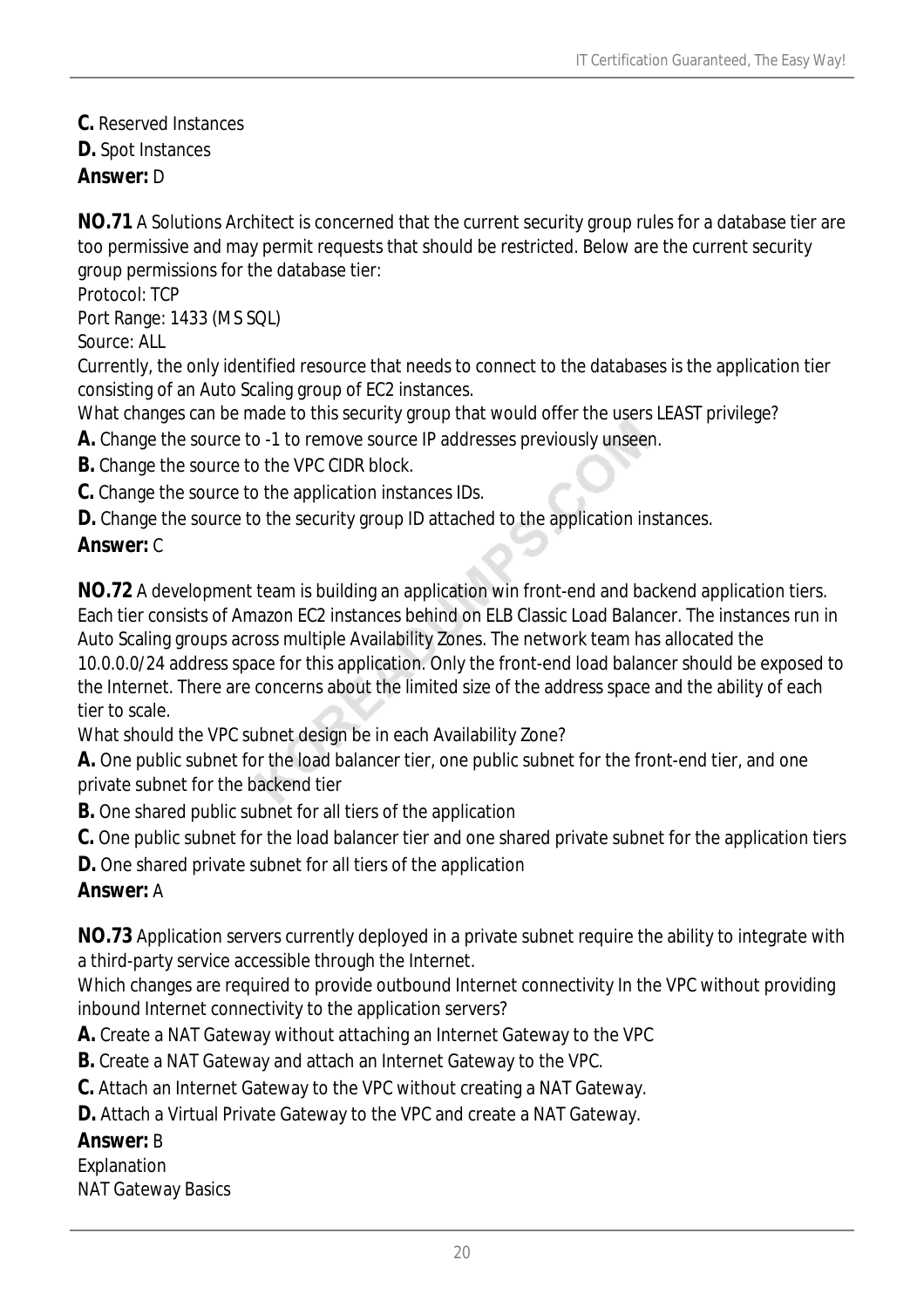**C.** Reserved Instances **D.** Spot Instances *Answer:* D

**NO.71** A Solutions Architect is concerned that the current security group rules for a database tier are too permissive and may permit requests that should be restricted. Below are the current security group permissions for the database tier:

Protocol: TCP

Port Range: 1433 (MS SQL)

Source: ALL

Currently, the only identified resource that needs to connect to the databases is the application tier consisting of an Auto Scaling group of EC2 instances.

What changes can be made to this security group that would offer the users LEAST privilege?

**A.** Change the source to -1 to remove source IP addresses previously unseen.

**B.** Change the source to the VPC CIDR block.

**C.** Change the source to the application instances IDs.

**D.** Change the source to the security group ID attached to the application instances.

#### *Answer:* C

**NO.72** A development team is building an application win front-end and backend application tiers. Each tier consists of Amazon EC2 instances behind on ELB Classic Load Balancer. The instances run in Auto Scaling groups across multiple Availability Zones. The network team has allocated the 10.0.0.0/24 address space for this application. Only the front-end load balancer should be exposed to the Internet. There are concerns about the limited size of the address space and the ability of each tier to scale.

What should the VPC subnet design be in each Availability Zone?

**A.** One public subnet for the load balancer tier, one public subnet for the front-end tier, and one private subnet for the backend tier

**B.** One shared public subnet for all tiers of the application

**C.** One public subnet for the load balancer tier and one shared private subnet for the application tiers

**D.** One shared private subnet for all tiers of the application

# *Answer:* A

**NO.73** Application servers currently deployed in a private subnet require the ability to integrate with a third-party service accessible through the Internet.

Which changes are required to provide outbound Internet connectivity In the VPC without providing inbound Internet connectivity to the application servers?

**A.** Create a NAT Gateway without attaching an Internet Gateway to the VPC

**B.** Create a NAT Gateway and attach an Internet Gateway to the VPC.

**C.** Attach an Internet Gateway to the VPC without creating a NAT Gateway.

**D.** Attach a Virtual Private Gateway to the VPC and create a NAT Gateway.

## *Answer:* B

Explanation

NAT Gateway Basics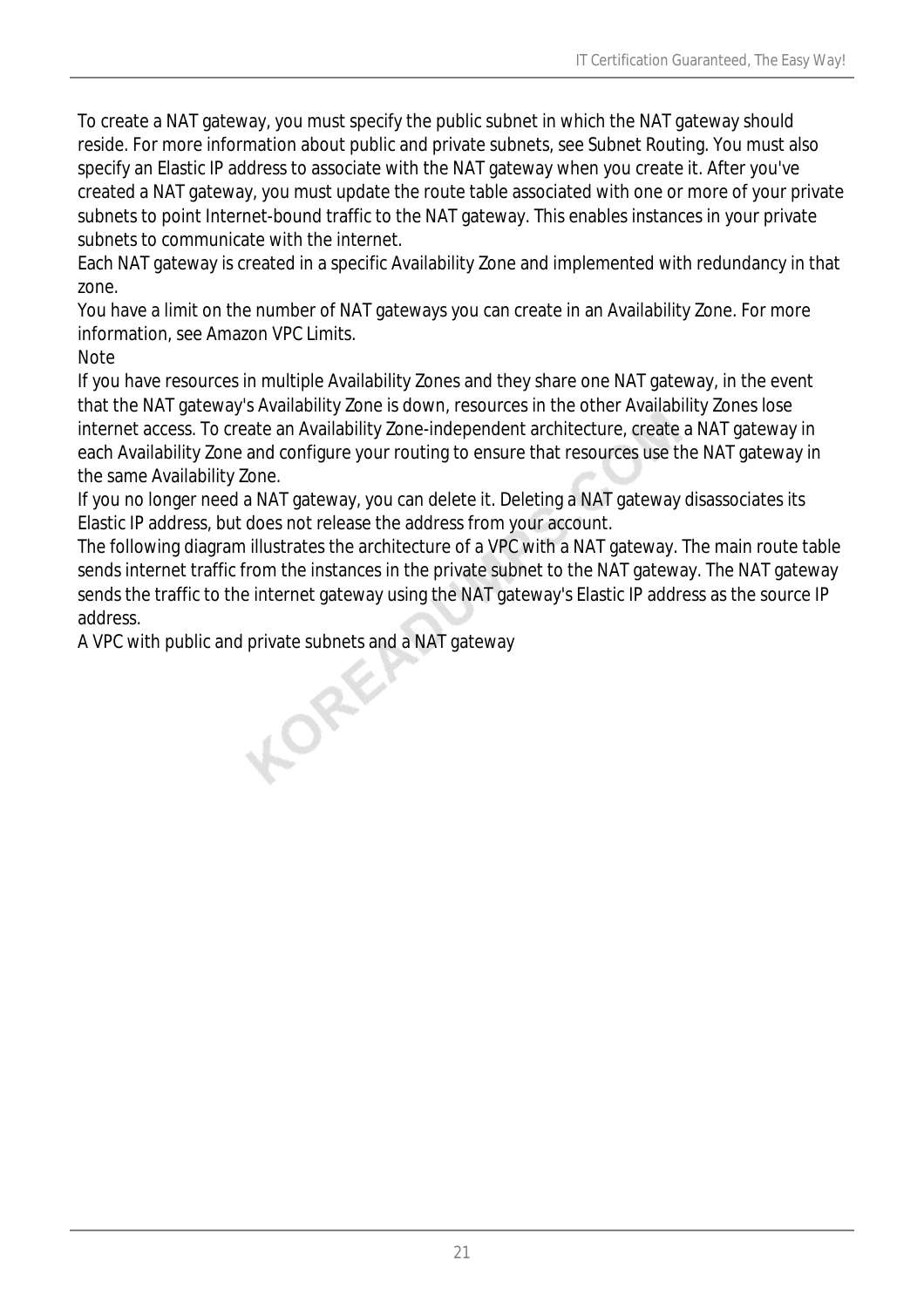To create a NAT gateway, you must specify the public subnet in which the NAT gateway should reside. For more information about public and private subnets, see Subnet Routing. You must also specify an Elastic IP address to associate with the NAT gateway when you create it. After you've created a NAT gateway, you must update the route table associated with one or more of your private subnets to point Internet-bound traffic to the NAT gateway. This enables instances in your private subnets to communicate with the internet.

Each NAT gateway is created in a specific Availability Zone and implemented with redundancy in that zone.

You have a limit on the number of NAT gateways you can create in an Availability Zone. For more information, see Amazon VPC Limits.

**Note** 

If you have resources in multiple Availability Zones and they share one NAT gateway, in the event that the NAT gateway's Availability Zone is down, resources in the other Availability Zones lose internet access. To create an Availability Zone-independent architecture, create a NAT gateway in each Availability Zone and configure your routing to ensure that resources use the NAT gateway in the same Availability Zone.

If you no longer need a NAT gateway, you can delete it. Deleting a NAT gateway disassociates its Elastic IP address, but does not release the address from your account.

The following diagram illustrates the architecture of a VPC with a NAT gateway. The main route table sends internet traffic from the instances in the private subnet to the NAT gateway. The NAT gateway sends the traffic to the internet gateway using the NAT gateway's Elastic IP address as the source IP address.

A VPC with public and private subnets and a NAT gateway<br>
A vector of the public and private subnets and a NAT gateway<br>
A vector of the public and private subnets and a NAT gateway<br>
A vector of the public and private subnet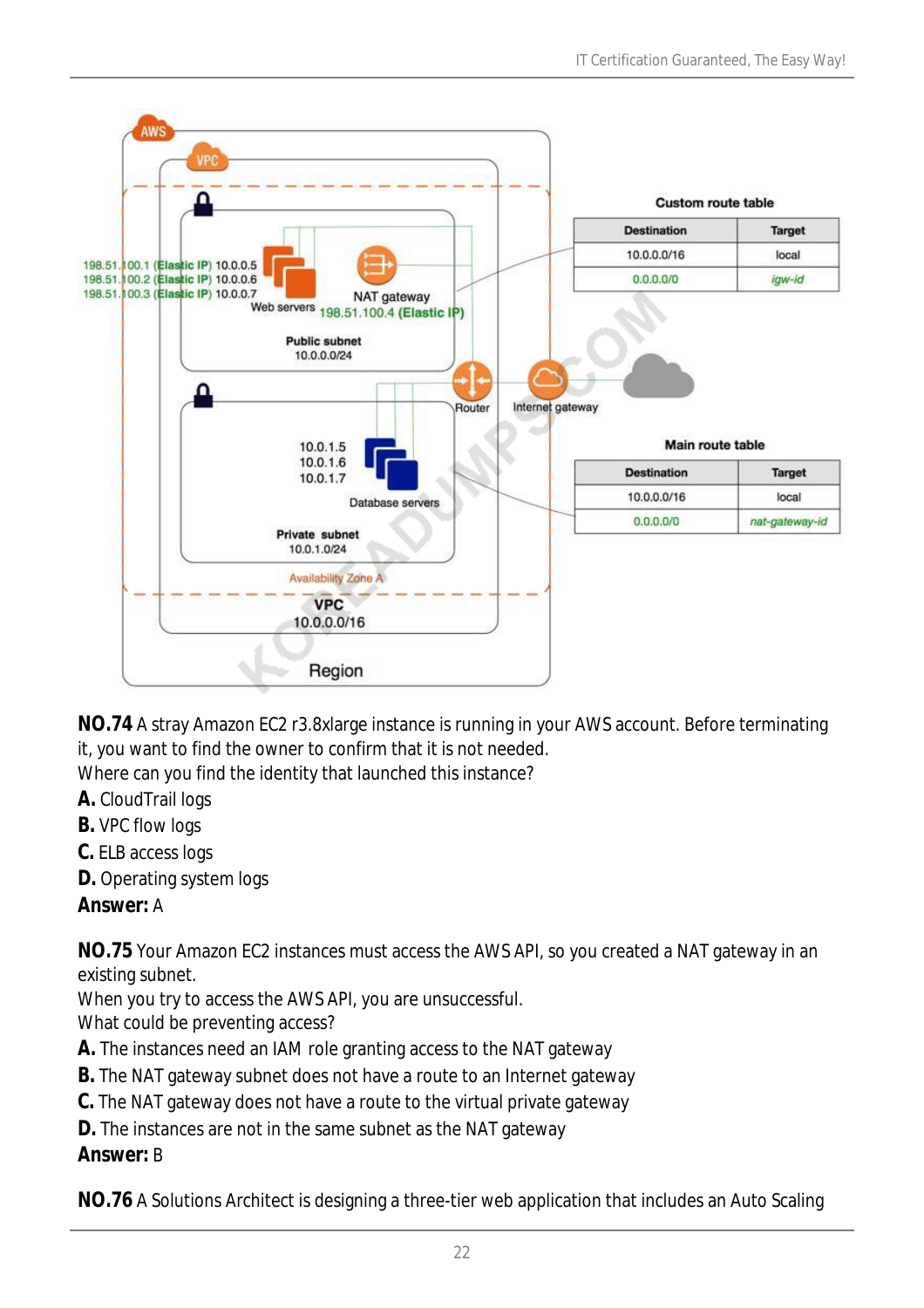

**NO.74** A stray Amazon EC2 r3.8xlarge instance is running in your AWS account. Before terminating it, you want to find the owner to confirm that it is not needed. Where can you find the identity that launched this instance?

- **A.** CloudTrail logs
- **B.** VPC flow logs
- **C.** ELB access logs
- **D.** Operating system logs

## *Answer:* A

**NO.75** Your Amazon EC2 instances must access the AWS API, so you created a NAT gateway in an existing subnet.

When you try to access the AWS API, you are unsuccessful.

What could be preventing access?

- **A.** The instances need an IAM role granting access to the NAT gateway
- **B.** The NAT gateway subnet does not have a route to an Internet gateway
- **C.** The NAT gateway does not have a route to the virtual private gateway

**D.** The instances are not in the same subnet as the NAT gateway

## *Answer:* B

**NO.76** A Solutions Architect is designing a three-tier web application that includes an Auto Scaling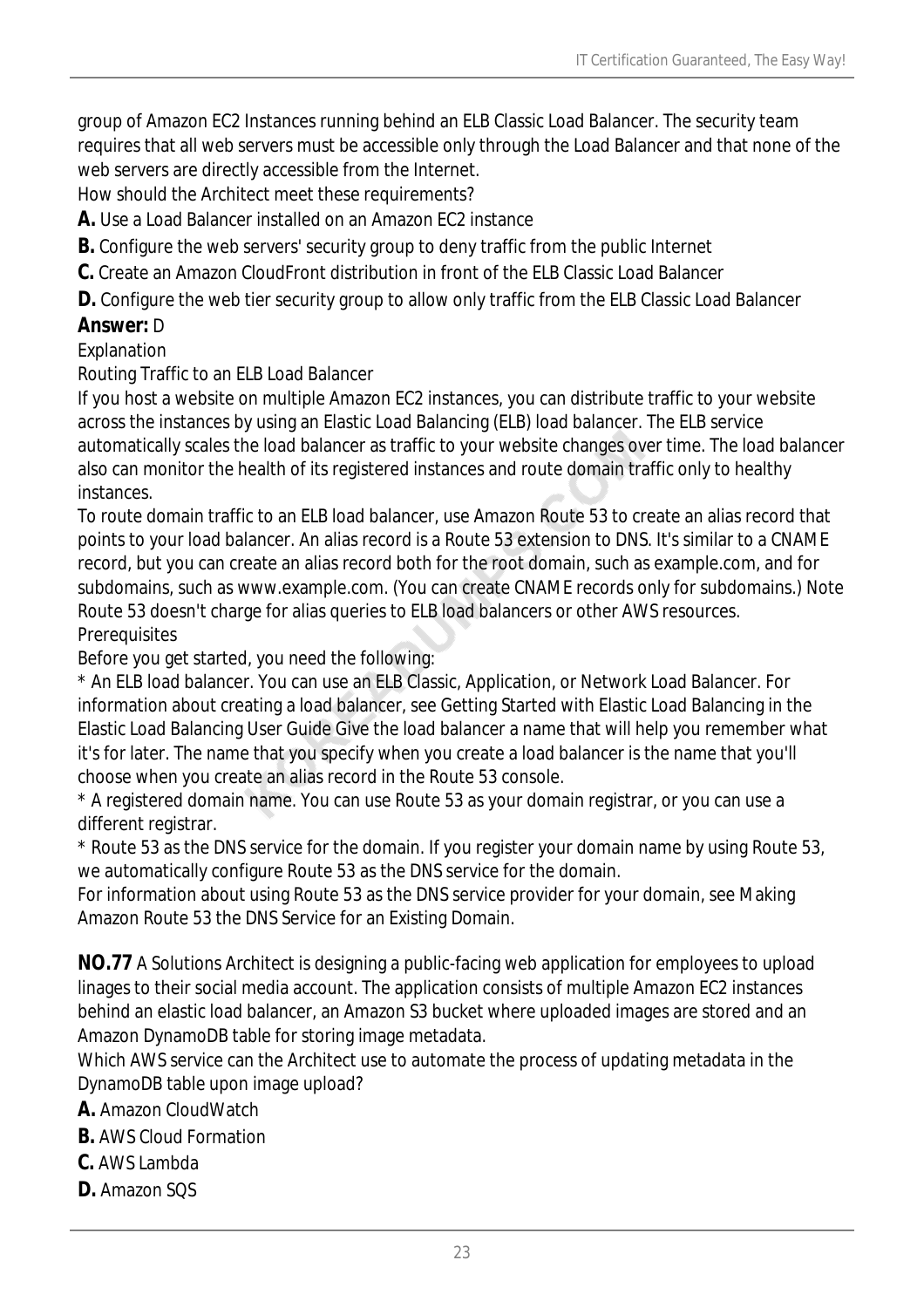group of Amazon EC2 Instances running behind an ELB Classic Load Balancer. The security team requires that all web servers must be accessible only through the Load Balancer and that none of the web servers are directly accessible from the Internet.

How should the Architect meet these requirements?

**A.** Use a Load Balancer installed on an Amazon EC2 instance

**B.** Configure the web servers' security group to deny traffic from the public Internet

**C.** Create an Amazon CloudFront distribution in front of the ELB Classic Load Balancer

**D.** Configure the web tier security group to allow only traffic from the ELB Classic Load Balancer

## *Answer:* D

#### Explanation

Routing Traffic to an ELB Load Balancer

If you host a website on multiple Amazon EC2 instances, you can distribute traffic to your website across the instances by using an Elastic Load Balancing (ELB) load balancer. The ELB service automatically scales the load balancer as traffic to your website changes over time. The load balancer also can monitor the health of its registered instances and route domain traffic only to healthy instances.

To route domain traffic to an ELB load balancer, use Amazon Route 53 to create an alias record that points to your load balancer. An alias record is a Route 53 extension to DNS. It's similar to a CNAME record, but you can create an alias record both for the root domain, such as example.com, and for subdomains, such as www.example.com. (You can create CNAME records only for subdomains.) Note Route 53 doesn't charge for alias queries to ELB load balancers or other AWS resources. **Prerequisites** 

Before you get started, you need the following:

\* An ELB load balancer. You can use an ELB Classic, Application, or Network Load Balancer. For information about creating a load balancer, see Getting Started with Elastic Load Balancing in the Elastic Load Balancing User Guide Give the load balancer a name that will help you remember what it's for later. The name that you specify when you create a load balancer is the name that you'll choose when you create an alias record in the Route 53 console.

\* A registered domain name. You can use Route 53 as your domain registrar, or you can use a different registrar.

\* Route 53 as the DNS service for the domain. If you register your domain name by using Route 53, we automatically configure Route 53 as the DNS service for the domain.

For information about using Route 53 as the DNS service provider for your domain, see Making Amazon Route 53 the DNS Service for an Existing Domain.

**NO.77** A Solutions Architect is designing a public-facing web application for employees to upload linages to their social media account. The application consists of multiple Amazon EC2 instances behind an elastic load balancer, an Amazon S3 bucket where uploaded images are stored and an Amazon DynamoDB table for storing image metadata.

Which AWS service can the Architect use to automate the process of updating metadata in the DynamoDB table upon image upload?

**A.** Amazon CloudWatch

**B.** AWS Cloud Formation

- **C.** AWS Lambda
- **D.** Amazon SQS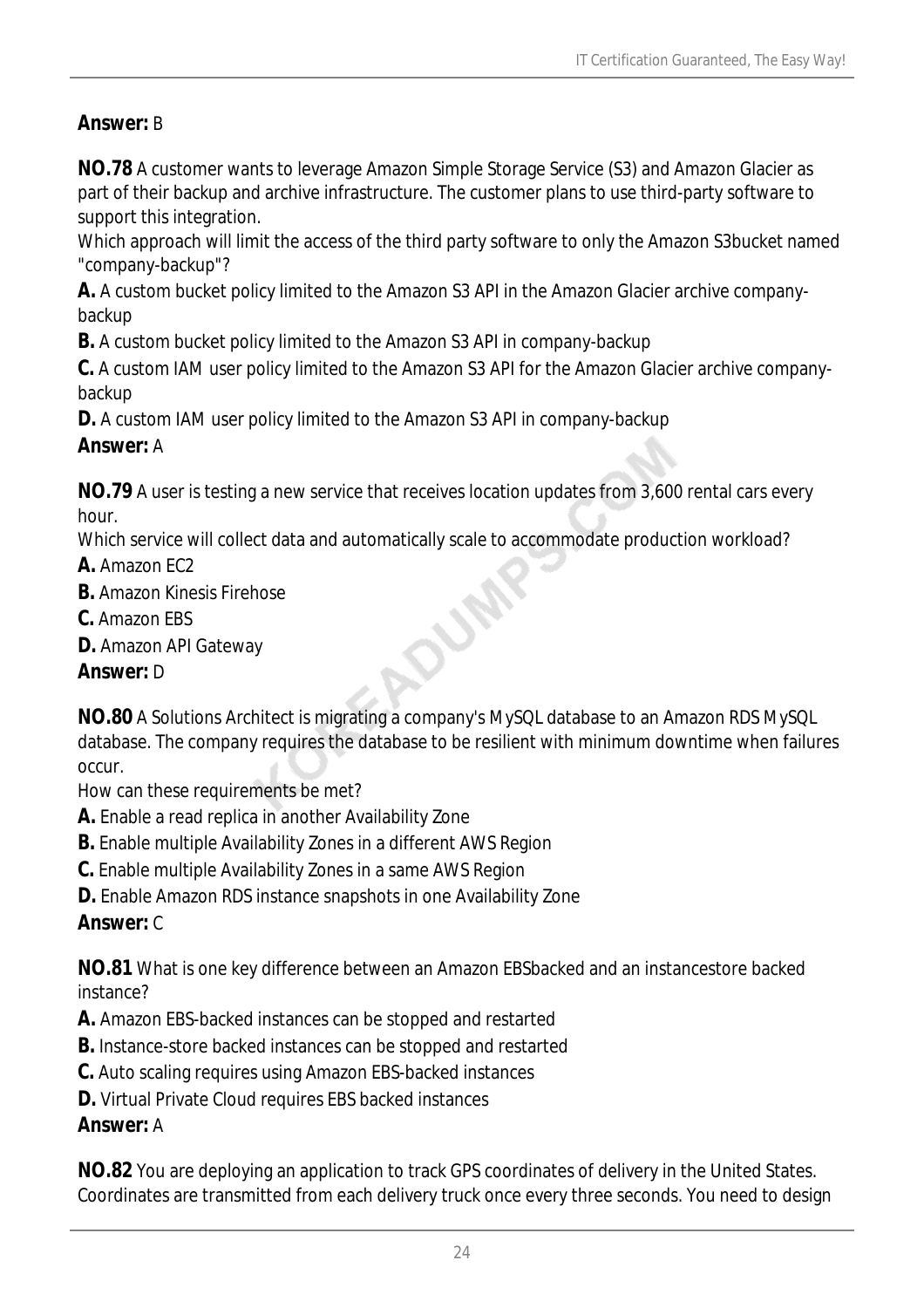## *Answer:* B

**NO.78** A customer wants to leverage Amazon Simple Storage Service (S3) and Amazon Glacier as part of their backup and archive infrastructure. The customer plans to use third-party software to support this integration.

Which approach will limit the access of the third party software to only the Amazon S3bucket named "company-backup"?

**A.** A custom bucket policy limited to the Amazon S3 API in the Amazon Glacier archive companybackup

**B.** A custom bucket policy limited to the Amazon S3 API in company-backup

**C.** A custom IAM user policy limited to the Amazon S3 API for the Amazon Glacier archive companybackup

**D.** A custom IAM user policy limited to the Amazon S3 API in company-backup

#### *Answer:* A

**NO.79** A user is testing a new service that receives location updates from 3,600 rental cars every hour.

r<br>O

Which service will collect data and automatically scale to accommodate production workload?

- **A.** Amazon EC2
- **B.** Amazon Kinesis Firehose
- **C.** Amazon EBS
- **D.** Amazon API Gateway

## *Answer:* D

**NO.80** A Solutions Architect is migrating a company's MySQL database to an Amazon RDS MySQL database. The company requires the database to be resilient with minimum downtime when failures occur.

How can these requirements be met?

- **A.** Enable a read replica in another Availability Zone
- **B.** Enable multiple Availability Zones in a different AWS Region
- **C.** Enable multiple Availability Zones in a same AWS Region
- **D.** Enable Amazon RDS instance snapshots in one Availability Zone

## *Answer:* C

**NO.81** What is one key difference between an Amazon EBSbacked and an instancestore backed instance?

- **A.** Amazon EBS-backed instances can be stopped and restarted
- **B.** Instance-store backed instances can be stopped and restarted
- **C.** Auto scaling requires using Amazon EBS-backed instances
- **D.** Virtual Private Cloud requires EBS backed instances

## *Answer:* A

**NO.82** You are deploying an application to track GPS coordinates of delivery in the United States. Coordinates are transmitted from each delivery truck once every three seconds. You need to design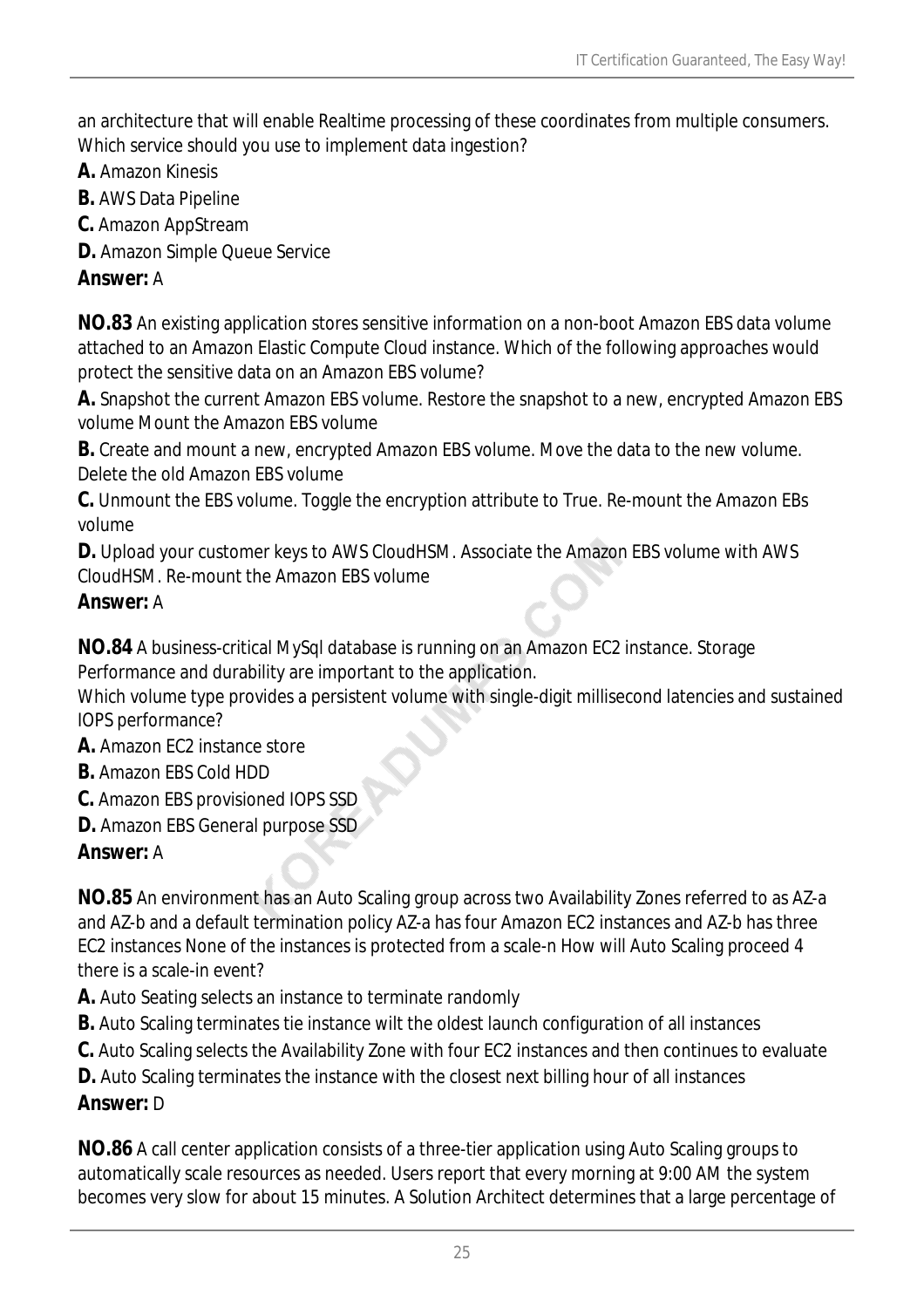an architecture that will enable Realtime processing of these coordinates from multiple consumers. Which service should you use to implement data ingestion?

- **A.** Amazon Kinesis
- **B.** AWS Data Pipeline
- **C.** Amazon AppStream
- **D.** Amazon Simple Queue Service

#### *Answer:* A

**NO.83** An existing application stores sensitive information on a non-boot Amazon EBS data volume attached to an Amazon Elastic Compute Cloud instance. Which of the following approaches would protect the sensitive data on an Amazon EBS volume?

**A.** Snapshot the current Amazon EBS volume. Restore the snapshot to a new, encrypted Amazon EBS volume Mount the Amazon EBS volume

**B.** Create and mount a new, encrypted Amazon EBS volume. Move the data to the new volume. Delete the old Amazon EBS volume

**C.** Unmount the EBS volume. Toggle the encryption attribute to True. Re-mount the Amazon EBs volume

**D.** Upload your customer keys to AWS CloudHSM. Associate the Amazon EBS volume with AWS CloudHSM. Re-mount the Amazon EBS volume

#### *Answer:* A

**NO.84** A business-critical MySql database is running on an Amazon EC2 instance. Storage Performance and durability are important to the application.

Which volume type provides a persistent volume with single-digit millisecond latencies and sustained IOPS performance?

- **A.** Amazon EC2 instance store
- **B.** Amazon EBS Cold HDD
- **C.** Amazon EBS provisioned IOPS SSD
- **D.** Amazon EBS General purpose SSD

## *Answer:* A

**NO.85** An environment has an Auto Scaling group across two Availability Zones referred to as AZ-a and AZ-b and a default termination policy AZ-a has four Amazon EC2 instances and AZ-b has three EC2 instances None of the instances is protected from a scale-n How will Auto Scaling proceed 4 there is a scale-in event?

**A.** Auto Seating selects an instance to terminate randomly

**B.** Auto Scaling terminates tie instance wilt the oldest launch configuration of all instances

**C.** Auto Scaling selects the Availability Zone with four EC2 instances and then continues to evaluate

**D.** Auto Scaling terminates the instance with the closest next billing hour of all instances

## *Answer:* D

**NO.86** A call center application consists of a three-tier application using Auto Scaling groups to automatically scale resources as needed. Users report that every morning at 9:00 AM the system becomes very slow for about 15 minutes. A Solution Architect determines that a large percentage of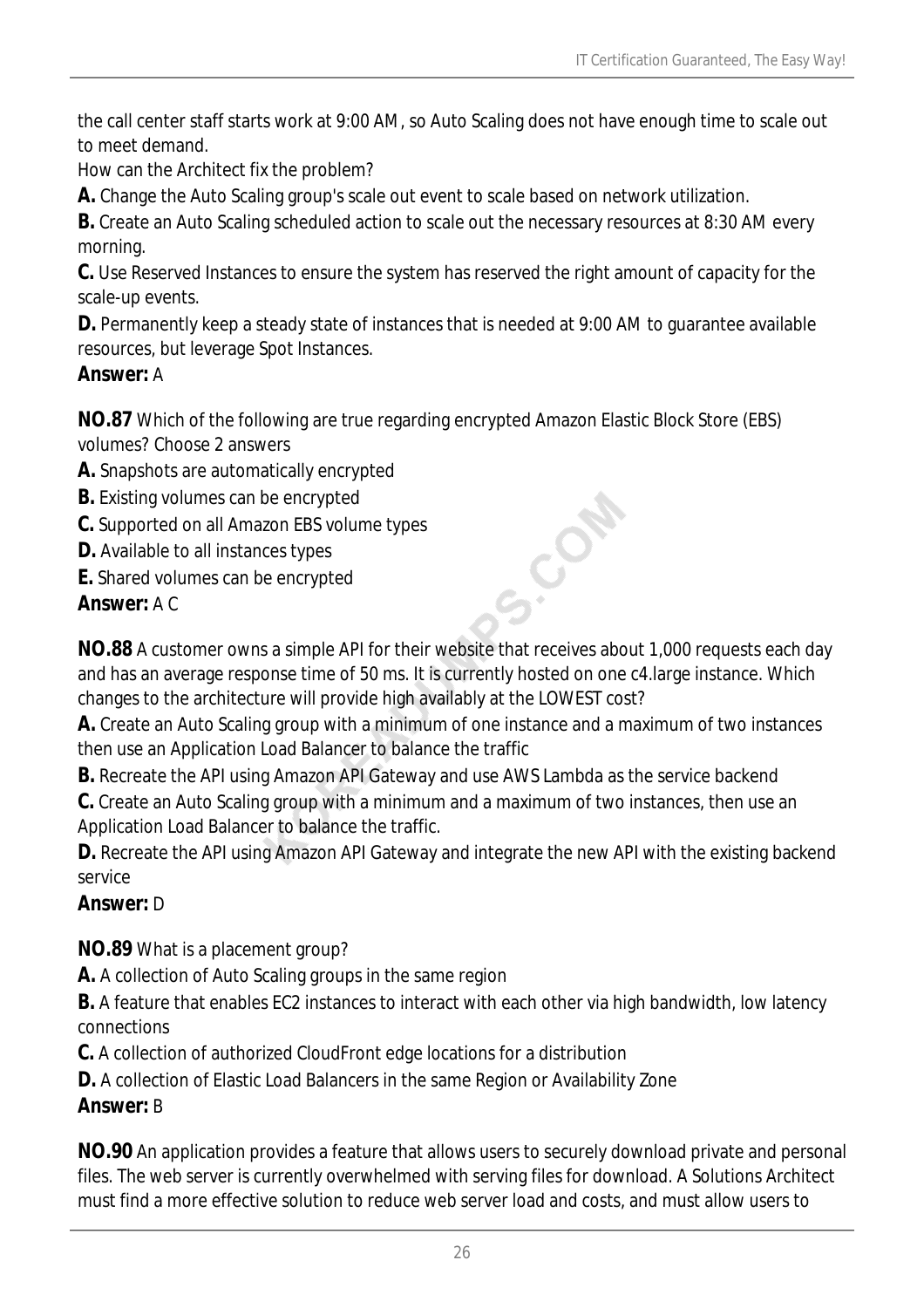the call center staff starts work at 9:00 AM, so Auto Scaling does not have enough time to scale out to meet demand.

How can the Architect fix the problem?

**A.** Change the Auto Scaling group's scale out event to scale based on network utilization.

**B.** Create an Auto Scaling scheduled action to scale out the necessary resources at 8:30 AM every morning.

**C.** Use Reserved Instances to ensure the system has reserved the right amount of capacity for the scale-up events.

**D.** Permanently keep a steady state of instances that is needed at 9:00 AM to guarantee available resources, but leverage Spot Instances.

## *Answer:* A

**NO.87** Which of the following are true regarding encrypted Amazon Elastic Block Store (EBS) volumes? Choose 2 answers

**A.** Snapshots are automatically encrypted

**B.** Existing volumes can be encrypted

**C.** Supported on all Amazon EBS volume types

**D.** Available to all instances types

**E.** Shared volumes can be encrypted

## *Answer:* A C

**NO.88** A customer owns a simple API for their website that receives about 1,000 requests each day and has an average response time of 50 ms. It is currently hosted on one c4.large instance. Which changes to the architecture will provide high availably at the LOWEST cost?

S.Com

**A.** Create an Auto Scaling group with a minimum of one instance and a maximum of two instances then use an Application Load Balancer to balance the traffic

**B.** Recreate the API using Amazon API Gateway and use AWS Lambda as the service backend

**C.** Create an Auto Scaling group with a minimum and a maximum of two instances, then use an Application Load Balancer to balance the traffic.

**D.** Recreate the API using Amazon API Gateway and integrate the new API with the existing backend service

## *Answer:* D

**NO.89** What is a placement group?

**A.** A collection of Auto Scaling groups in the same region

**B.** A feature that enables EC2 instances to interact with each other via high bandwidth, low latency connections

**C.** A collection of authorized CloudFront edge locations for a distribution

**D.** A collection of Elastic Load Balancers in the same Region or Availability Zone

# *Answer:* B

**NO.90** An application provides a feature that allows users to securely download private and personal files. The web server is currently overwhelmed with serving files for download. A Solutions Architect must find a more effective solution to reduce web server load and costs, and must allow users to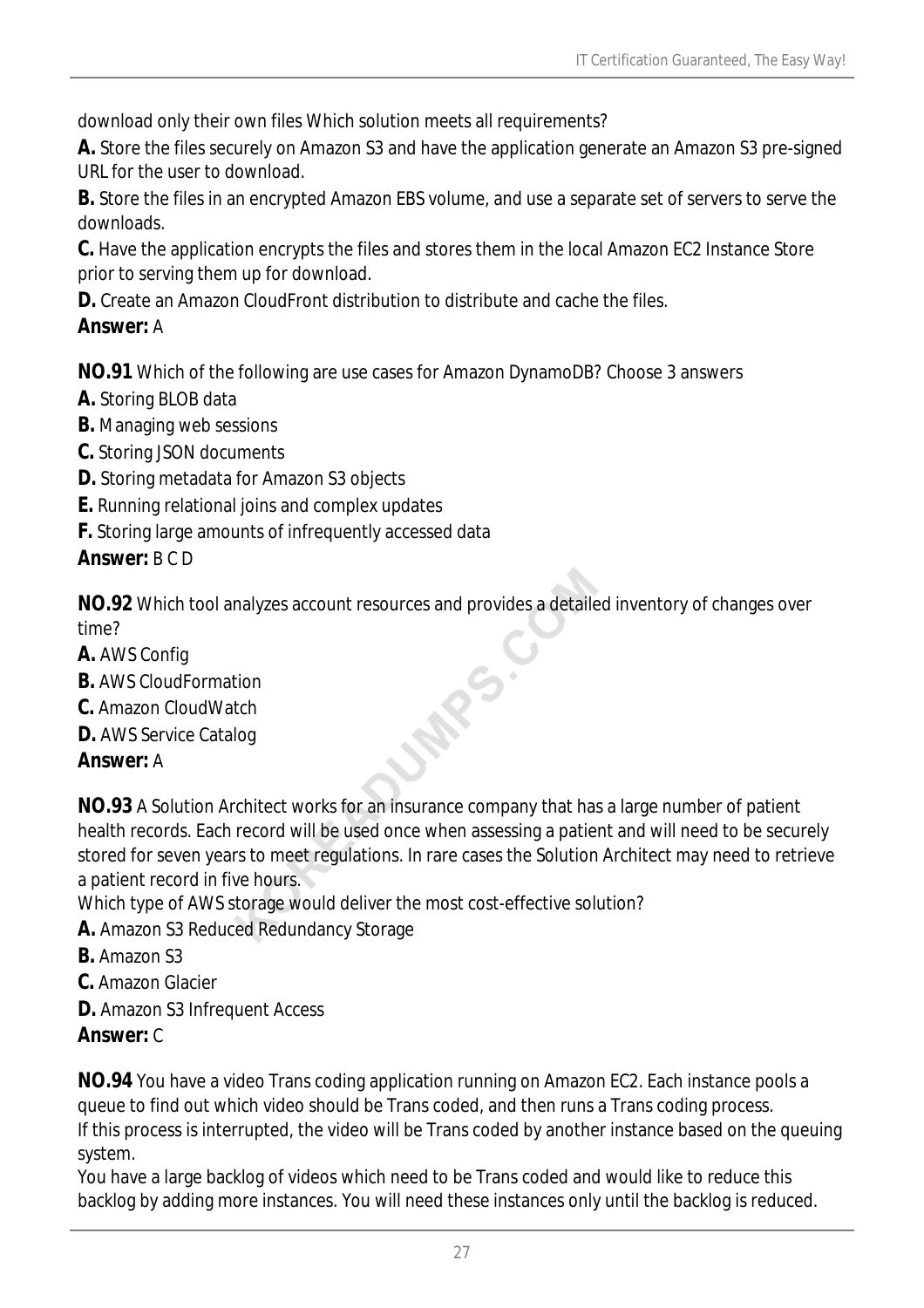download only their own files Which solution meets all requirements?

**A.** Store the files securely on Amazon S3 and have the application generate an Amazon S3 pre-signed URL for the user to download.

**B.** Store the files in an encrypted Amazon EBS volume, and use a separate set of servers to serve the downloads.

**C.** Have the application encrypts the files and stores them in the local Amazon EC2 Instance Store prior to serving them up for download.

**D.** Create an Amazon CloudFront distribution to distribute and cache the files.

## *Answer:* A

**NO.91** Which of the following are use cases for Amazon DynamoDB? Choose 3 answers

- **A.** Storing BLOB data
- **B.** Managing web sessions
- **C.** Storing JSON documents
- **D.** Storing metadata for Amazon S3 objects
- **E.** Running relational joins and complex updates
- **F.** Storing large amounts of infrequently accessed data

## *Answer:* B C D

**NO.92** Which tool analyzes account resources and provides a detailed inventory of changes over time? **R**S.

- **A.** AWS Config
- **B.** AWS CloudFormation
- **C.** Amazon CloudWatch
- **D.** AWS Service Catalog

## *Answer:* A

**NO.93** A Solution Architect works for an insurance company that has a large number of patient health records. Each record will be used once when assessing a patient and will need to be securely stored for seven years to meet regulations. In rare cases the Solution Architect may need to retrieve a patient record in five hours.

Which type of AWS storage would deliver the most cost-effective solution?

- **A.** Amazon S3 Reduced Redundancy Storage
- **B.** Amazon S3
- **C.** Amazon Glacier
- **D.** Amazon S3 Infrequent Access

## *Answer:* C

**NO.94** You have a video Trans coding application running on Amazon EC2. Each instance pools a queue to find out which video should be Trans coded, and then runs a Trans coding process. If this process is interrupted, the video will be Trans coded by another instance based on the queuing system.

You have a large backlog of videos which need to be Trans coded and would like to reduce this backlog by adding more instances. You will need these instances only until the backlog is reduced.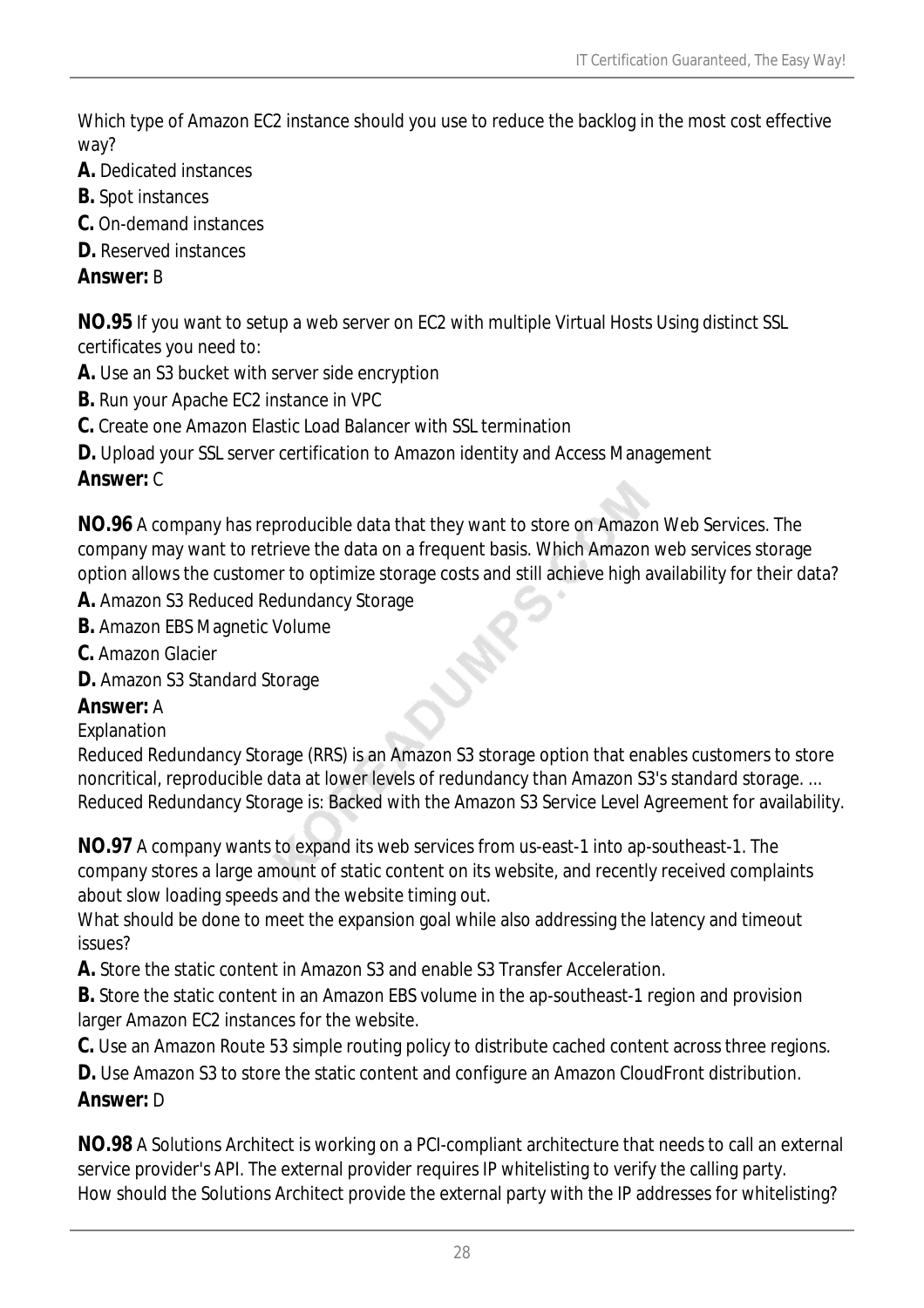Which type of Amazon EC2 instance should you use to reduce the backlog in the most cost effective way?

- **A.** Dedicated instances
- **B.** Spot instances
- **C.** On-demand instances
- **D.** Reserved instances

#### *Answer:* B

**NO.95** If you want to setup a web server on EC2 with multiple Virtual Hosts Using distinct SSL certificates you need to:

- **A.** Use an S3 bucket with server side encryption
- **B.** Run your Apache EC2 instance in VPC
- **C.** Create one Amazon Elastic Load Balancer with SSL termination
- **D.** Upload your SSL server certification to Amazon identity and Access Management

## *Answer:* C

**NO.96** A company has reproducible data that they want to store on Amazon Web Services. The company may want to retrieve the data on a frequent basis. Which Amazon web services storage option allows the customer to optimize storage costs and still achieve high availability for their data?

- **A.** Amazon S3 Reduced Redundancy Storage
- **B.** Amazon EBS Magnetic Volume
- **C.** Amazon Glacier
- **D.** Amazon S3 Standard Storage

## *Answer:* A

#### **Explanation**

Reduced Redundancy Storage (RRS) is an Amazon S3 storage option that enables customers to store noncritical, reproducible data at lower levels of redundancy than Amazon S3's standard storage. ... Reduced Redundancy Storage is: Backed with the Amazon S3 Service Level Agreement for availability.

**NO.97** A company wants to expand its web services from us-east-1 into ap-southeast-1. The company stores a large amount of static content on its website, and recently received complaints about slow loading speeds and the website timing out.

What should be done to meet the expansion goal while also addressing the latency and timeout issues?

**A.** Store the static content in Amazon S3 and enable S3 Transfer Acceleration.

**B.** Store the static content in an Amazon EBS volume in the ap-southeast-1 region and provision larger Amazon EC2 instances for the website.

**C.** Use an Amazon Route 53 simple routing policy to distribute cached content across three regions.

**D.** Use Amazon S3 to store the static content and configure an Amazon CloudFront distribution.

## *Answer:* D

**NO.98** A Solutions Architect is working on a PCI-compliant architecture that needs to call an external service provider's API. The external provider requires IP whitelisting to verify the calling party. How should the Solutions Architect provide the external party with the IP addresses for whitelisting?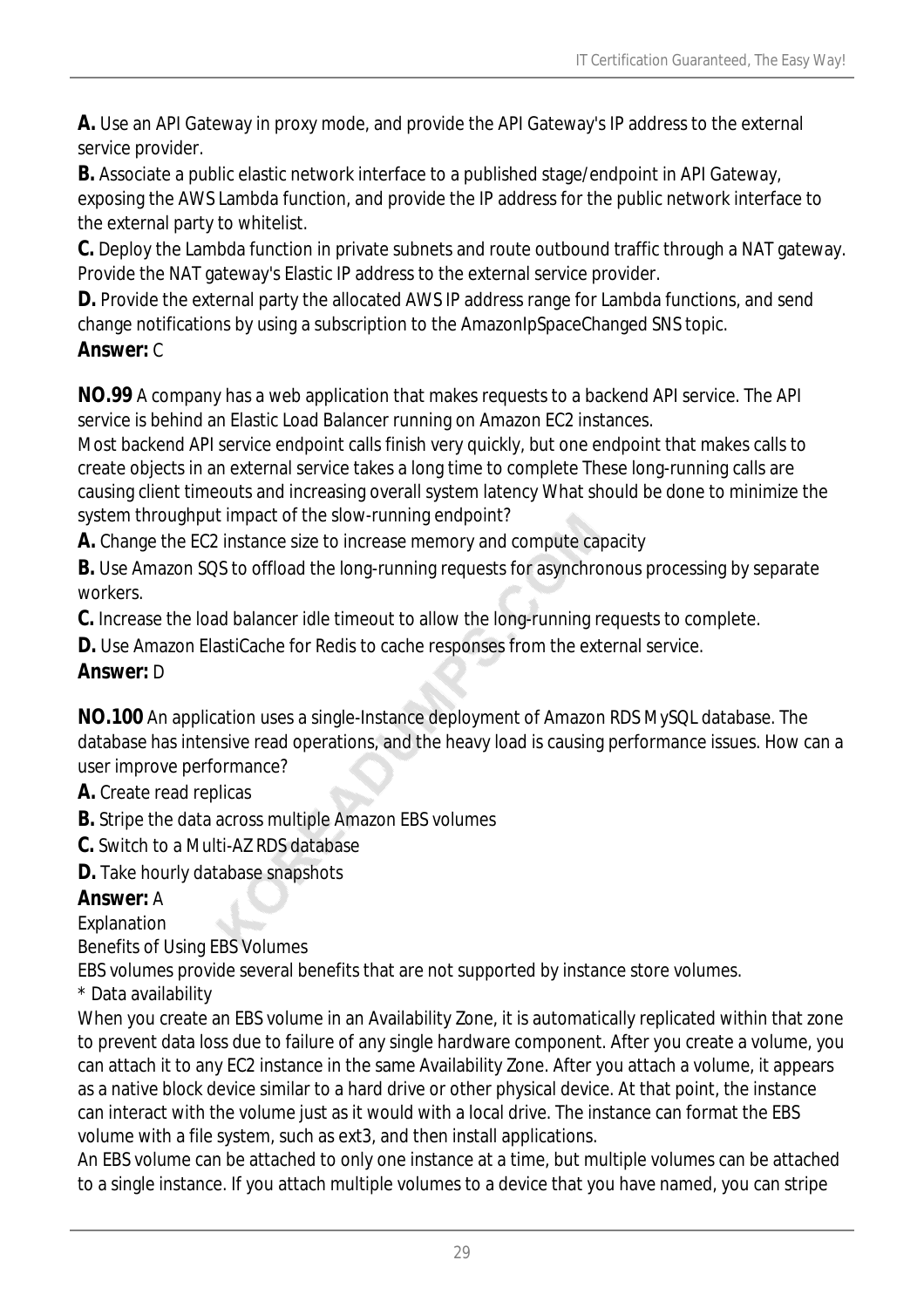**A.** Use an API Gateway in proxy mode, and provide the API Gateway's IP address to the external service provider.

**B.** Associate a public elastic network interface to a published stage/endpoint in API Gateway, exposing the AWS Lambda function, and provide the IP address for the public network interface to the external party to whitelist.

**C.** Deploy the Lambda function in private subnets and route outbound traffic through a NAT gateway. Provide the NAT gateway's Elastic IP address to the external service provider.

**D.** Provide the external party the allocated AWS IP address range for Lambda functions, and send change notifications by using a subscription to the AmazonIpSpaceChanged SNS topic.

## *Answer:* C

**NO.99** A company has a web application that makes requests to a backend API service. The API service is behind an Elastic Load Balancer running on Amazon EC2 instances.

Most backend API service endpoint calls finish very quickly, but one endpoint that makes calls to create objects in an external service takes a long time to complete These long-running calls are causing client timeouts and increasing overall system latency What should be done to minimize the system throughput impact of the slow-running endpoint?

**A.** Change the EC2 instance size to increase memory and compute capacity

**B.** Use Amazon SQS to offload the long-running requests for asynchronous processing by separate workers.

**C.** Increase the load balancer idle timeout to allow the long-running requests to complete.

**D.** Use Amazon ElastiCache for Redis to cache responses from the external service.

## *Answer:* D

**NO.100** An application uses a single-Instance deployment of Amazon RDS MySQL database. The database has intensive read operations, and the heavy load is causing performance issues. How can a user improve performance?

#### **A.** Create read replicas

**B.** Stripe the data across multiple Amazon EBS volumes

**C.** Switch to a Multi-AZ RDS database

**D.** Take hourly database snapshots

## *Answer:* A

Explanation

Benefits of Using EBS Volumes

EBS volumes provide several benefits that are not supported by instance store volumes.

\* Data availability

When you create an EBS volume in an Availability Zone, it is automatically replicated within that zone to prevent data loss due to failure of any single hardware component. After you create a volume, you can attach it to any EC2 instance in the same Availability Zone. After you attach a volume, it appears as a native block device similar to a hard drive or other physical device. At that point, the instance can interact with the volume just as it would with a local drive. The instance can format the EBS volume with a file system, such as ext3, and then install applications.

An EBS volume can be attached to only one instance at a time, but multiple volumes can be attached to a single instance. If you attach multiple volumes to a device that you have named, you can stripe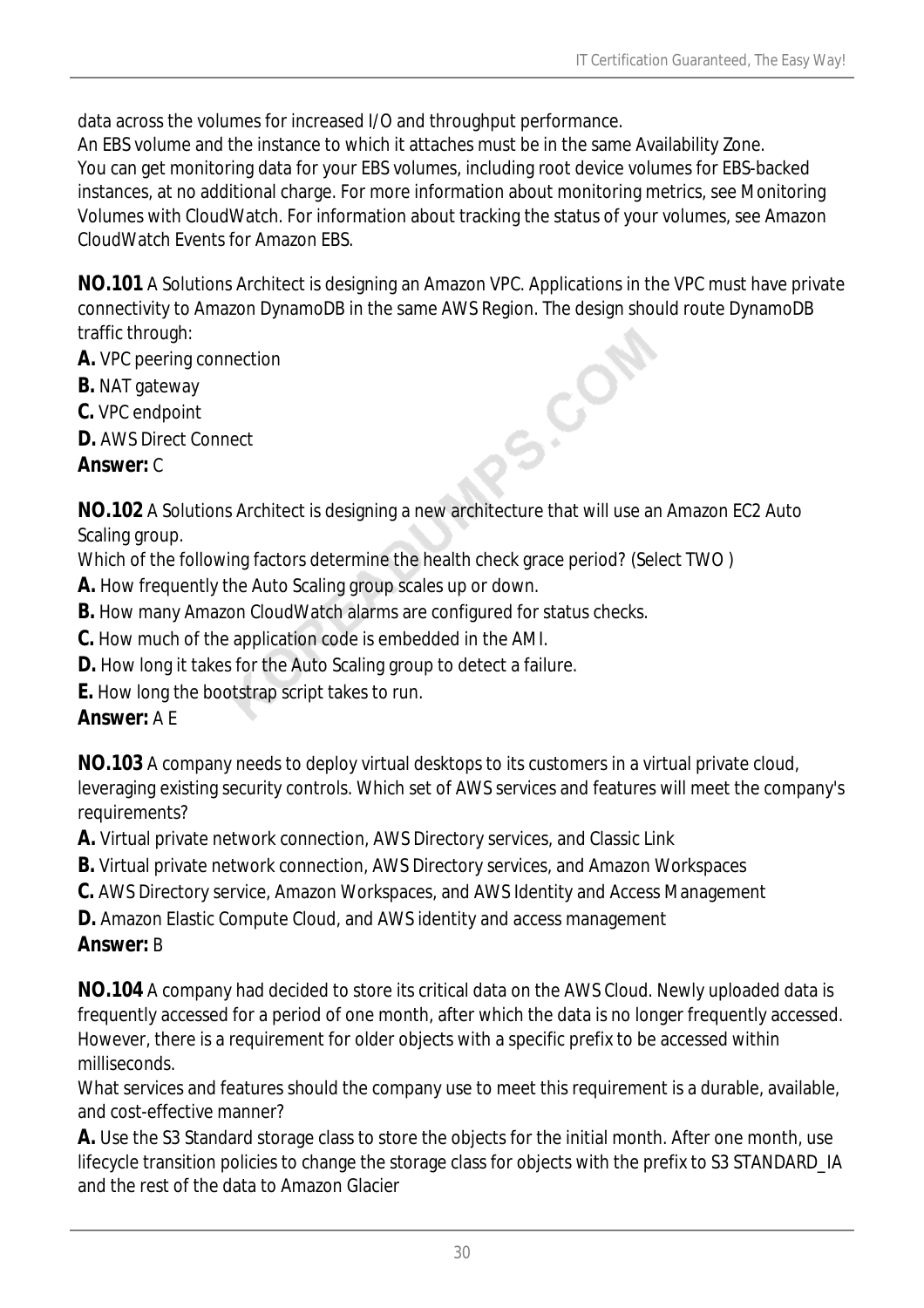data across the volumes for increased I/O and throughput performance.

An EBS volume and the instance to which it attaches must be in the same Availability Zone. You can get monitoring data for your EBS volumes, including root device volumes for EBS-backed instances, at no additional charge. For more information about monitoring metrics, see Monitoring Volumes with CloudWatch. For information about tracking the status of your volumes, see Amazon CloudWatch Events for Amazon EBS.

**NO.101** A Solutions Architect is designing an Amazon VPC. Applications in the VPC must have private connectivity to Amazon DynamoDB in the same AWS Region. The design should route DynamoDB traffic through: S.COR

- **A.** VPC peering connection
- **B.** NAT gateway
- **C.** VPC endpoint
- **D.** AWS Direct Connect

#### *Answer:* C

**NO.102** A Solutions Architect is designing a new architecture that will use an Amazon EC2 Auto Scaling group.

Which of the following factors determine the health check grace period? (Select TWO )

- **A.** How frequently the Auto Scaling group scales up or down.
- **B.** How many Amazon CloudWatch alarms are configured for status checks.
- **C.** How much of the application code is embedded in the AMI.
- **D.** How long it takes for the Auto Scaling group to detect a failure.
- **E.** How long the bootstrap script takes to run.

## *Answer:* A E

**NO.103** A company needs to deploy virtual desktops to its customers in a virtual private cloud, leveraging existing security controls. Which set of AWS services and features will meet the company's requirements?

**A.** Virtual private network connection, AWS Directory services, and Classic Link

- **B.** Virtual private network connection, AWS Directory services, and Amazon Workspaces
- **C.** AWS Directory service, Amazon Workspaces, and AWS Identity and Access Management
- **D.** Amazon Elastic Compute Cloud, and AWS identity and access management

## *Answer:* B

**NO.104** A company had decided to store its critical data on the AWS Cloud. Newly uploaded data is frequently accessed for a period of one month, after which the data is no longer frequently accessed. However, there is a requirement for older objects with a specific prefix to be accessed within milliseconds.

What services and features should the company use to meet this requirement is a durable, available, and cost-effective manner?

**A.** Use the S3 Standard storage class to store the objects for the initial month. After one month, use lifecycle transition policies to change the storage class for objects with the prefix to S3 STANDARD\_IA and the rest of the data to Amazon Glacier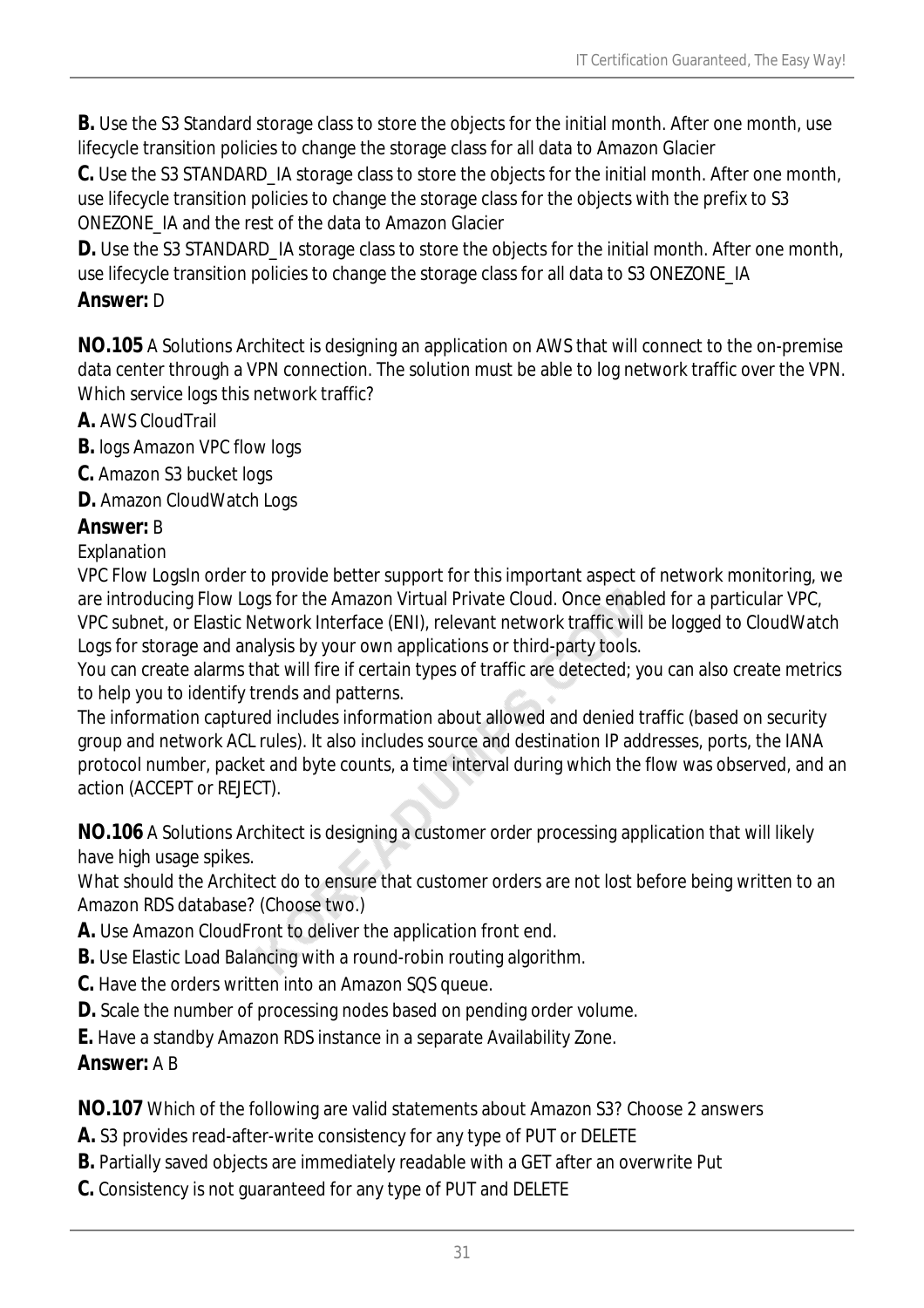**B.** Use the S3 Standard storage class to store the objects for the initial month. After one month, use lifecycle transition policies to change the storage class for all data to Amazon Glacier

**C.** Use the S3 STANDARD\_IA storage class to store the objects for the initial month. After one month, use lifecycle transition policies to change the storage class for the objects with the prefix to S3 ONEZONE\_IA and the rest of the data to Amazon Glacier

**D.** Use the S3 STANDARD\_IA storage class to store the objects for the initial month. After one month, use lifecycle transition policies to change the storage class for all data to S3 ONEZONE\_IA

#### *Answer:* D

**NO.105** A Solutions Architect is designing an application on AWS that will connect to the on-premise data center through a VPN connection. The solution must be able to log network traffic over the VPN. Which service logs this network traffic?

**A.** AWS CloudTrail

**B.** logs Amazon VPC flow logs

**C.** Amazon S3 bucket logs

**D.** Amazon CloudWatch Logs

## *Answer:* B

Explanation

VPC Flow LogsIn order to provide better support for this important aspect of network monitoring, we are introducing Flow Logs for the Amazon Virtual Private Cloud. Once enabled for a particular VPC, VPC subnet, or Elastic Network Interface (ENI), relevant network traffic will be logged to CloudWatch Logs for storage and analysis by your own applications or third-party tools.

You can create alarms that will fire if certain types of traffic are detected; you can also create metrics to help you to identify trends and patterns.

The information captured includes information about allowed and denied traffic (based on security group and network ACL rules). It also includes source and destination IP addresses, ports, the IANA protocol number, packet and byte counts, a time interval during which the flow was observed, and an action (ACCEPT or REJECT).

**NO.106** A Solutions Architect is designing a customer order processing application that will likely have high usage spikes.

What should the Architect do to ensure that customer orders are not lost before being written to an Amazon RDS database? (Choose two.)

- **A.** Use Amazon CloudFront to deliver the application front end.
- **B.** Use Elastic Load Balancing with a round-robin routing algorithm.
- **C.** Have the orders written into an Amazon SQS queue.
- **D.** Scale the number of processing nodes based on pending order volume.
- **E.** Have a standby Amazon RDS instance in a separate Availability Zone.

## *Answer:* A B

**NO.107** Which of the following are valid statements about Amazon S3? Choose 2 answers

- **A.** S3 provides read-after-write consistency for any type of PUT or DELETE
- **B.** Partially saved objects are immediately readable with a GET after an overwrite Put
- **C.** Consistency is not guaranteed for any type of PUT and DELETE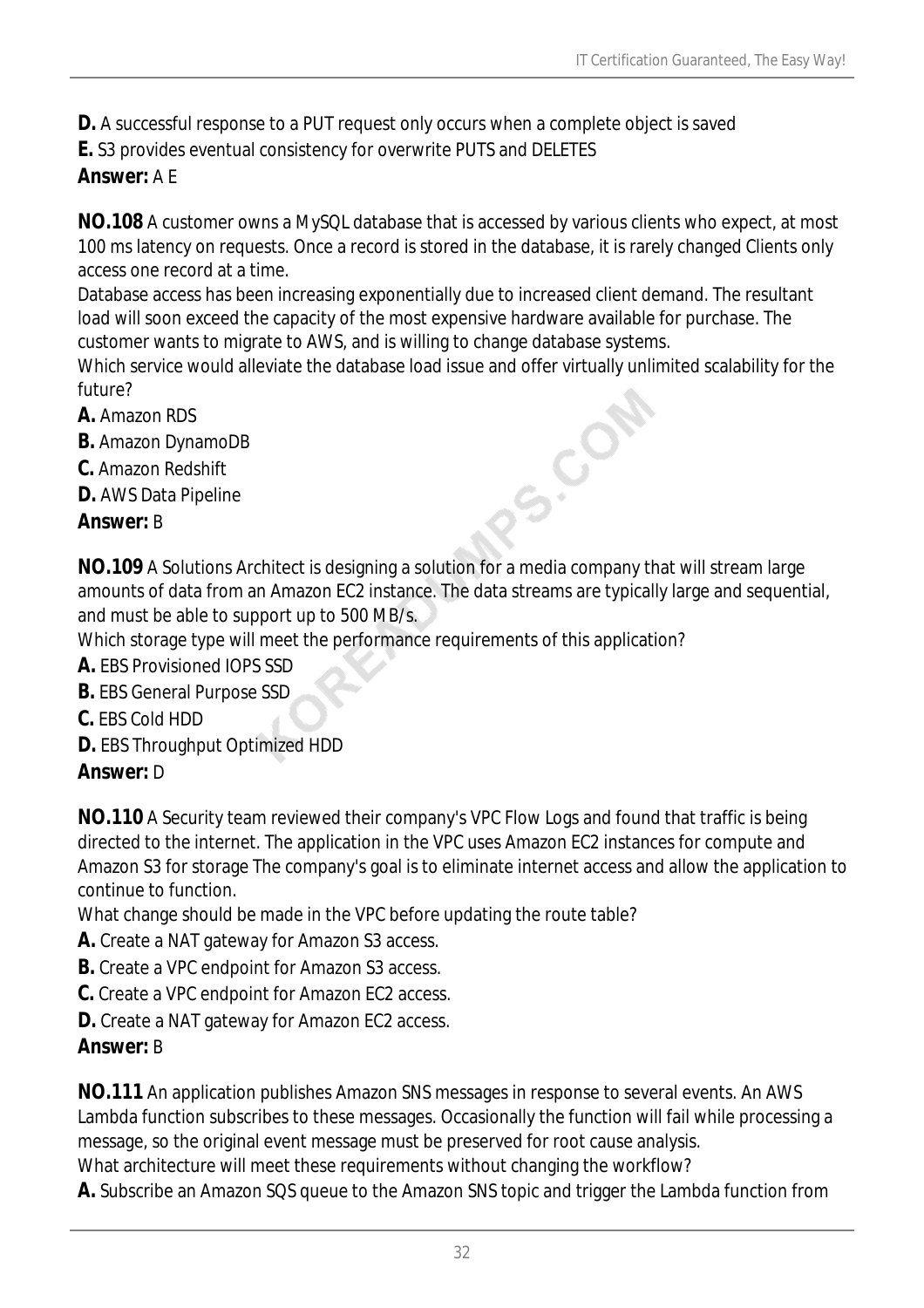**D.** A successful response to a PUT request only occurs when a complete object is saved

**E.** S3 provides eventual consistency for overwrite PUTS and DELETES

#### *Answer:* A E

**NO.108** A customer owns a MySQL database that is accessed by various clients who expect, at most 100 ms latency on requests. Once a record is stored in the database, it is rarely changed Clients only access one record at a time.

Database access has been increasing exponentially due to increased client demand. The resultant load will soon exceed the capacity of the most expensive hardware available for purchase. The customer wants to migrate to AWS, and is willing to change database systems.

Which service would alleviate the database load issue and offer virtually unlimited scalability for the future? **S.CON** 

- **A.** Amazon RDS
- **B.** Amazon DynamoDB
- **C.** Amazon Redshift
- **D.** AWS Data Pipeline

#### *Answer:* B

**NO.109** A Solutions Architect is designing a solution for a media company that will stream large amounts of data from an Amazon EC2 instance. The data streams are typically large and sequential, and must be able to support up to 500 MB/s.

Which storage type will meet the performance requirements of this application?

**A.** EBS Provisioned IOPS SSD

- **B.** EBS General Purpose SSD
- **C.** EBS Cold HDD
- **D.** EBS Throughput Optimized HDD

#### *Answer:* D

**NO.110** A Security team reviewed their company's VPC Flow Logs and found that traffic is being directed to the internet. The application in the VPC uses Amazon EC2 instances for compute and Amazon S3 for storage The company's goal is to eliminate internet access and allow the application to continue to function.

What change should be made in the VPC before updating the route table?

- **A.** Create a NAT gateway for Amazon S3 access.
- **B.** Create a VPC endpoint for Amazon S3 access.
- **C.** Create a VPC endpoint for Amazon EC2 access.
- **D.** Create a NAT gateway for Amazon EC2 access.

#### *Answer:* B

**NO.111** An application publishes Amazon SNS messages in response to several events. An AWS Lambda function subscribes to these messages. Occasionally the function will fail while processing a message, so the original event message must be preserved for root cause analysis. What architecture will meet these requirements without changing the workflow?

**A.** Subscribe an Amazon SQS queue to the Amazon SNS topic and trigger the Lambda function from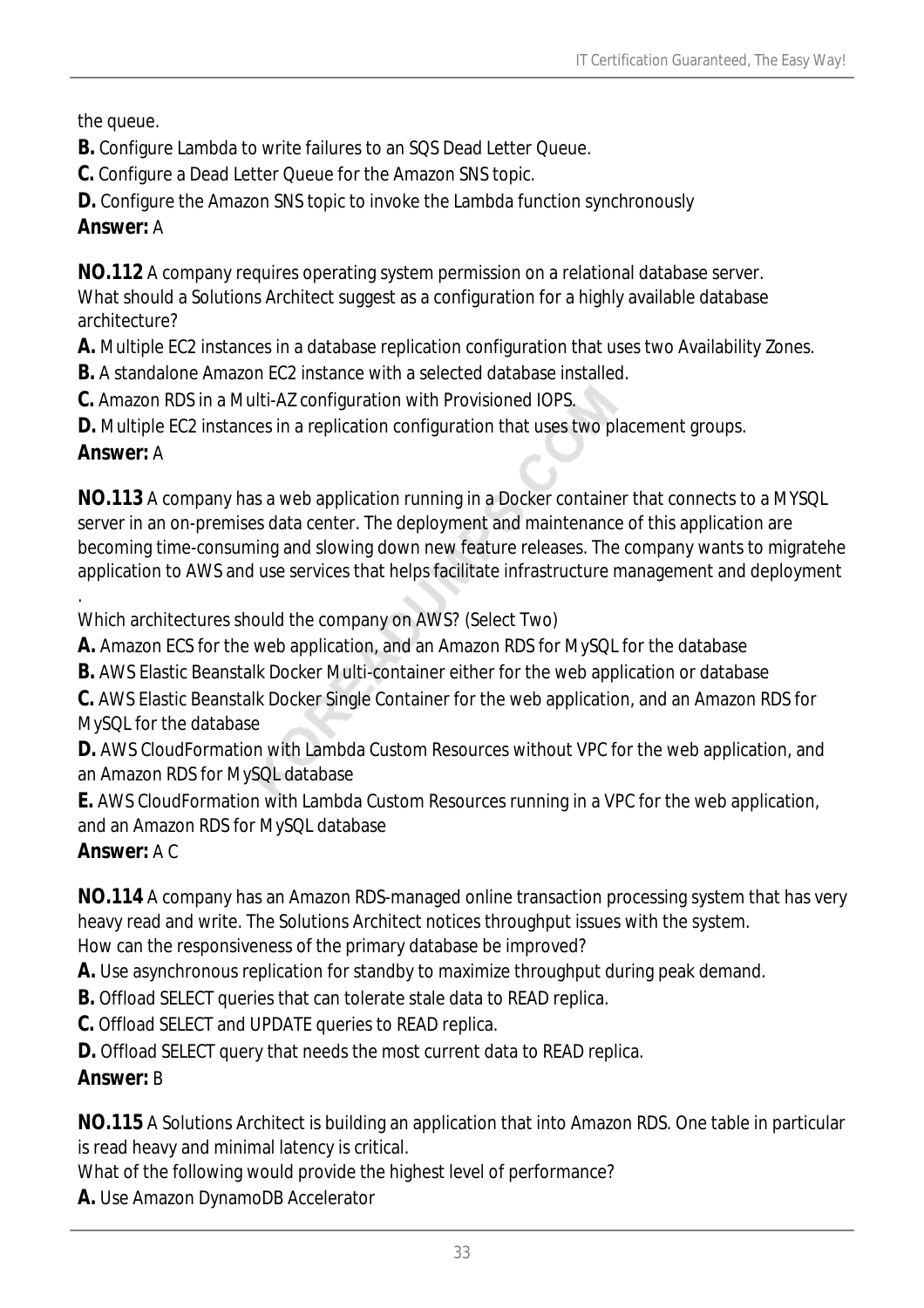the queue.

- **B.** Configure Lambda to write failures to an SQS Dead Letter Queue.
- **C.** Configure a Dead Letter Queue for the Amazon SNS topic.
- **D.** Configure the Amazon SNS topic to invoke the Lambda function synchronously

## *Answer:* A

**NO.112** A company requires operating system permission on a relational database server. What should a Solutions Architect suggest as a configuration for a highly available database architecture?

**A.** Multiple EC2 instances in a database replication configuration that uses two Availability Zones.

**B.** A standalone Amazon EC2 instance with a selected database installed.

**C.** Amazon RDS in a Multi-AZ configuration with Provisioned IOPS.

**D.** Multiple EC2 instances in a replication configuration that uses two placement groups.

# *Answer:* A

**NO.113** A company has a web application running in a Docker container that connects to a MYSQL server in an on-premises data center. The deployment and maintenance of this application are becoming time-consuming and slowing down new feature releases. The company wants to migratehe application to AWS and use services that helps facilitate infrastructure management and deployment

. Which architectures should the company on AWS? (Select Two)

**A.** Amazon ECS for the web application, and an Amazon RDS for MySQL for the database

**B.** AWS Elastic Beanstalk Docker Multi-container either for the web application or database

**C.** AWS Elastic Beanstalk Docker Single Container for the web application, and an Amazon RDS for MySQL for the database

**D.** AWS CloudFormation with Lambda Custom Resources without VPC for the web application, and an Amazon RDS for MySQL database

**E.** AWS CloudFormation with Lambda Custom Resources running in a VPC for the web application, and an Amazon RDS for MySQL database

# *Answer:* A C

**NO.114** A company has an Amazon RDS-managed online transaction processing system that has very heavy read and write. The Solutions Architect notices throughput issues with the system. How can the responsiveness of the primary database be improved?

**A.** Use asynchronous replication for standby to maximize throughput during peak demand.

**B.** Offload SELECT queries that can tolerate stale data to READ replica.

**C.** Offload SELECT and UPDATE queries to READ replica.

**D.** Offload SELECT query that needs the most current data to READ replica.

# *Answer:* B

**NO.115** A Solutions Architect is building an application that into Amazon RDS. One table in particular is read heavy and minimal latency is critical.

What of the following would provide the highest level of performance?

**A.** Use Amazon DynamoDB Accelerator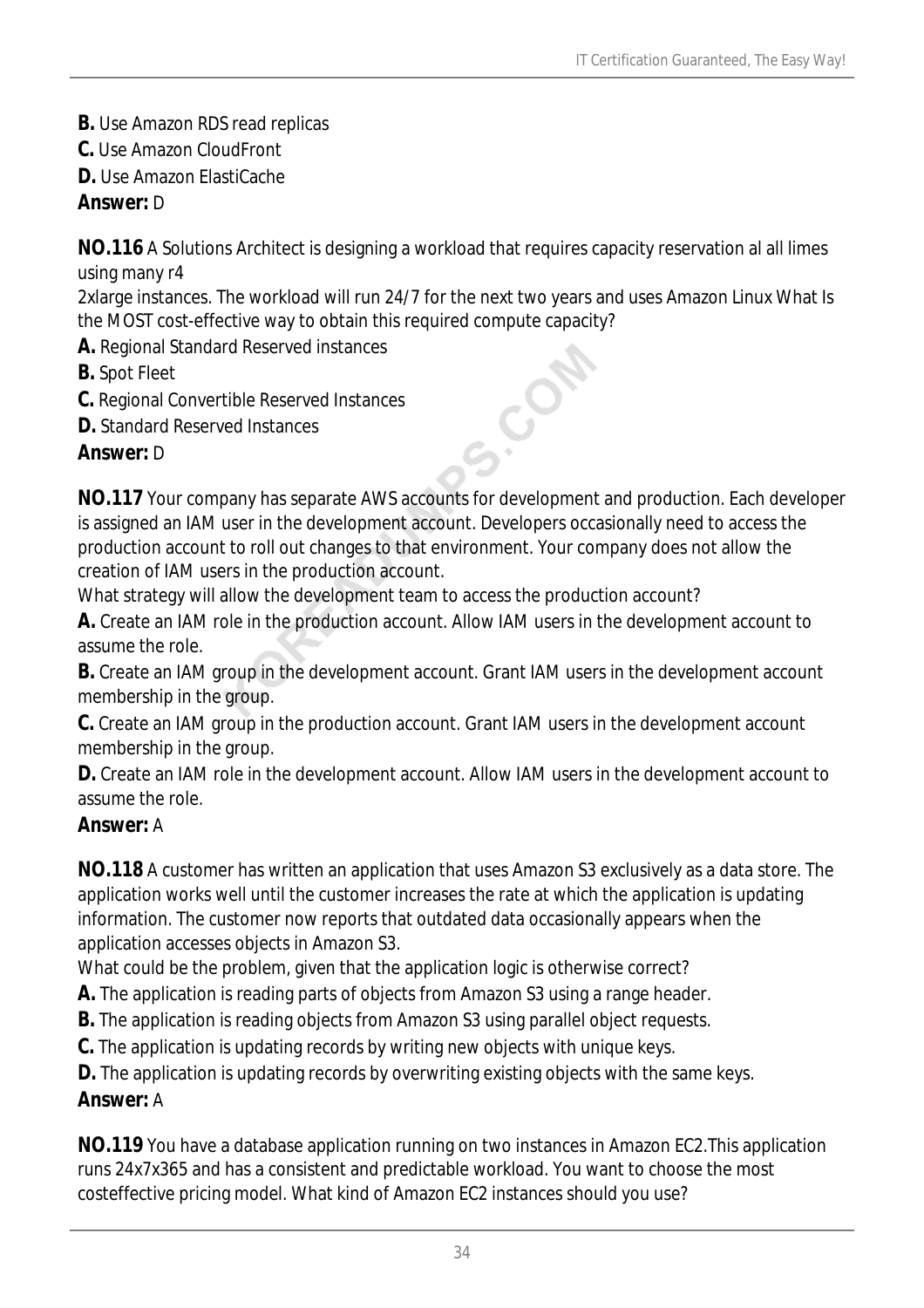- **B.** Use Amazon RDS read replicas
- **C.** Use Amazon CloudFront
- **D.** Use Amazon ElastiCache

#### *Answer:* D

**NO.116** A Solutions Architect is designing a workload that requires capacity reservation al all limes using many r4

2xlarge instances. The workload will run 24/7 for the next two years and uses Amazon Linux What Is the MOST cost-effective way to obtain this required compute capacity?

- **A.** Regional Standard Reserved instances
- **B.** Spot Fleet
- **C.** Regional Convertible Reserved Instances
- **D.** Standard Reserved Instances

#### *Answer:* D

**NO.117** Your company has separate AWS accounts for development and production. Each developer is assigned an IAM user in the development account. Developers occasionally need to access the production account to roll out changes to that environment. Your company does not allow the creation of IAM users in the production account.

S.CO

What strategy will allow the development team to access the production account?

**A.** Create an IAM role in the production account. Allow IAM users in the development account to assume the role.

**B.** Create an IAM group in the development account. Grant IAM users in the development account membership in the group.

**C.** Create an IAM group in the production account. Grant IAM users in the development account membership in the group.

**D.** Create an IAM role in the development account. Allow IAM users in the development account to assume the role.

## *Answer:* A

**NO.118** A customer has written an application that uses Amazon S3 exclusively as a data store. The application works well until the customer increases the rate at which the application is updating information. The customer now reports that outdated data occasionally appears when the application accesses objects in Amazon S3.

What could be the problem, given that the application logic is otherwise correct?

- **A.** The application is reading parts of objects from Amazon S3 using a range header.
- **B.** The application is reading objects from Amazon S3 using parallel object requests.
- **C.** The application is updating records by writing new objects with unique keys.

**D.** The application is updating records by overwriting existing objects with the same keys. *Answer:* A

**NO.119** You have a database application running on two instances in Amazon EC2.This application runs 24x7x365 and has a consistent and predictable workload. You want to choose the most costeffective pricing model. What kind of Amazon EC2 instances should you use?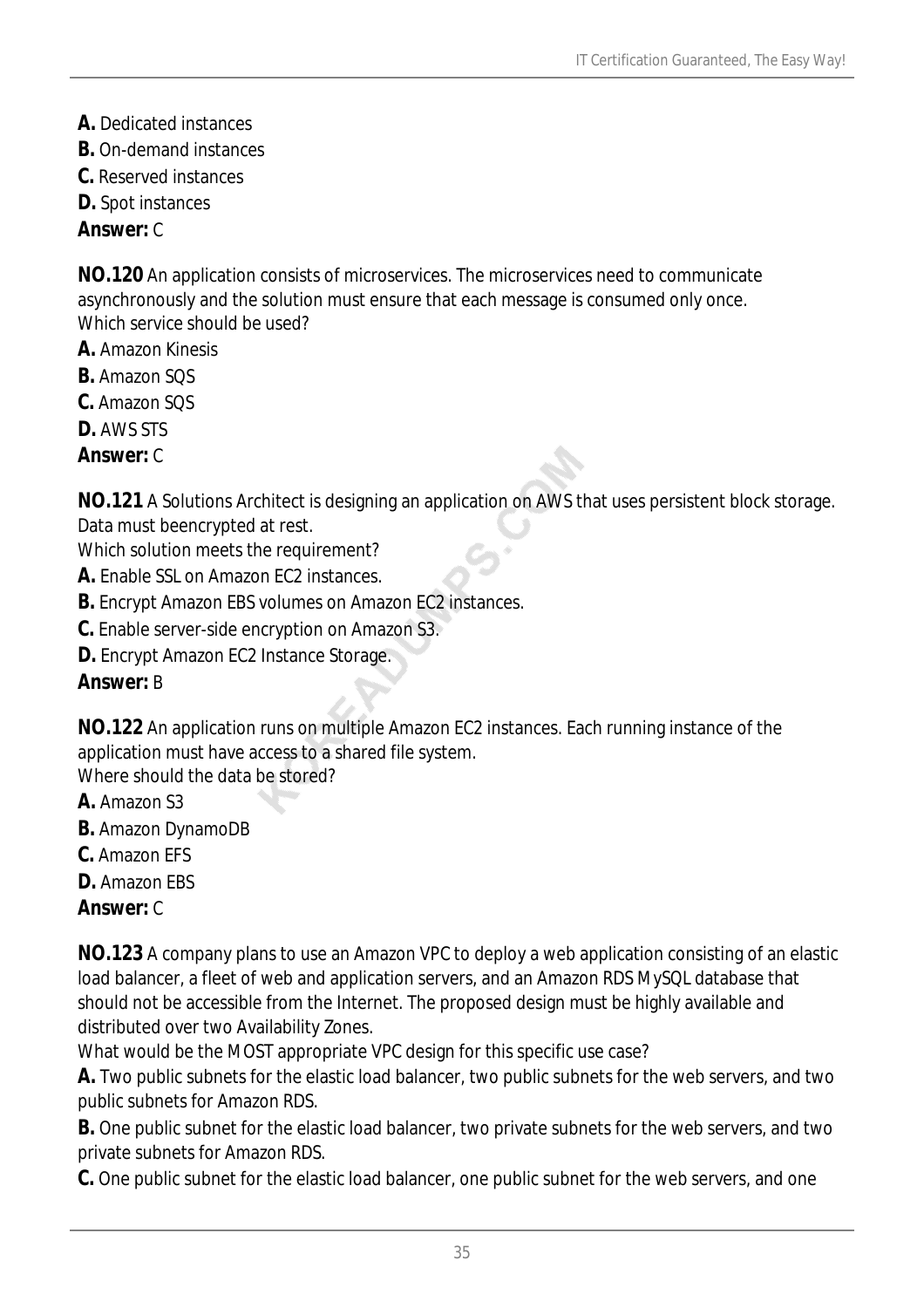- **A.** Dedicated instances
- **B.** On-demand instances
- **C.** Reserved instances
- **D.** Spot instances

#### *Answer:* C

**NO.120** An application consists of microservices. The microservices need to communicate asynchronously and the solution must ensure that each message is consumed only once. Which service should be used?

- **A.** Amazon Kinesis
- **B.** Amazon SQS
- **C.** Amazon SQS
- **D.** AWS STS
- *Answer:* C

**NO.121** A Solutions Architect is designing an application on AWS that uses persistent block storage. Data must beencrypted at rest.

Which solution meets the requirement?

- **A.** Enable SSL on Amazon EC2 instances.
- **B.** Encrypt Amazon EBS volumes on Amazon EC2 instances.
- **C.** Enable server-side encryption on Amazon S3.
- **D.** Encrypt Amazon EC2 Instance Storage.

#### *Answer:* B

**NO.122** An application runs on multiple Amazon EC2 instances. Each running instance of the application must have access to a shared file system.

Where should the data be stored?

- **A.** Amazon S3
- **B.** Amazon DynamoDB
- **C.** Amazon EFS
- **D.** Amazon EBS

#### *Answer:* C

**NO.123** A company plans to use an Amazon VPC to deploy a web application consisting of an elastic load balancer, a fleet of web and application servers, and an Amazon RDS MySQL database that should not be accessible from the Internet. The proposed design must be highly available and distributed over two Availability Zones.

What would be the MOST appropriate VPC design for this specific use case?

**A.** Two public subnets for the elastic load balancer, two public subnets for the web servers, and two public subnets for Amazon RDS.

**B.** One public subnet for the elastic load balancer, two private subnets for the web servers, and two private subnets for Amazon RDS.

**C.** One public subnet for the elastic load balancer, one public subnet for the web servers, and one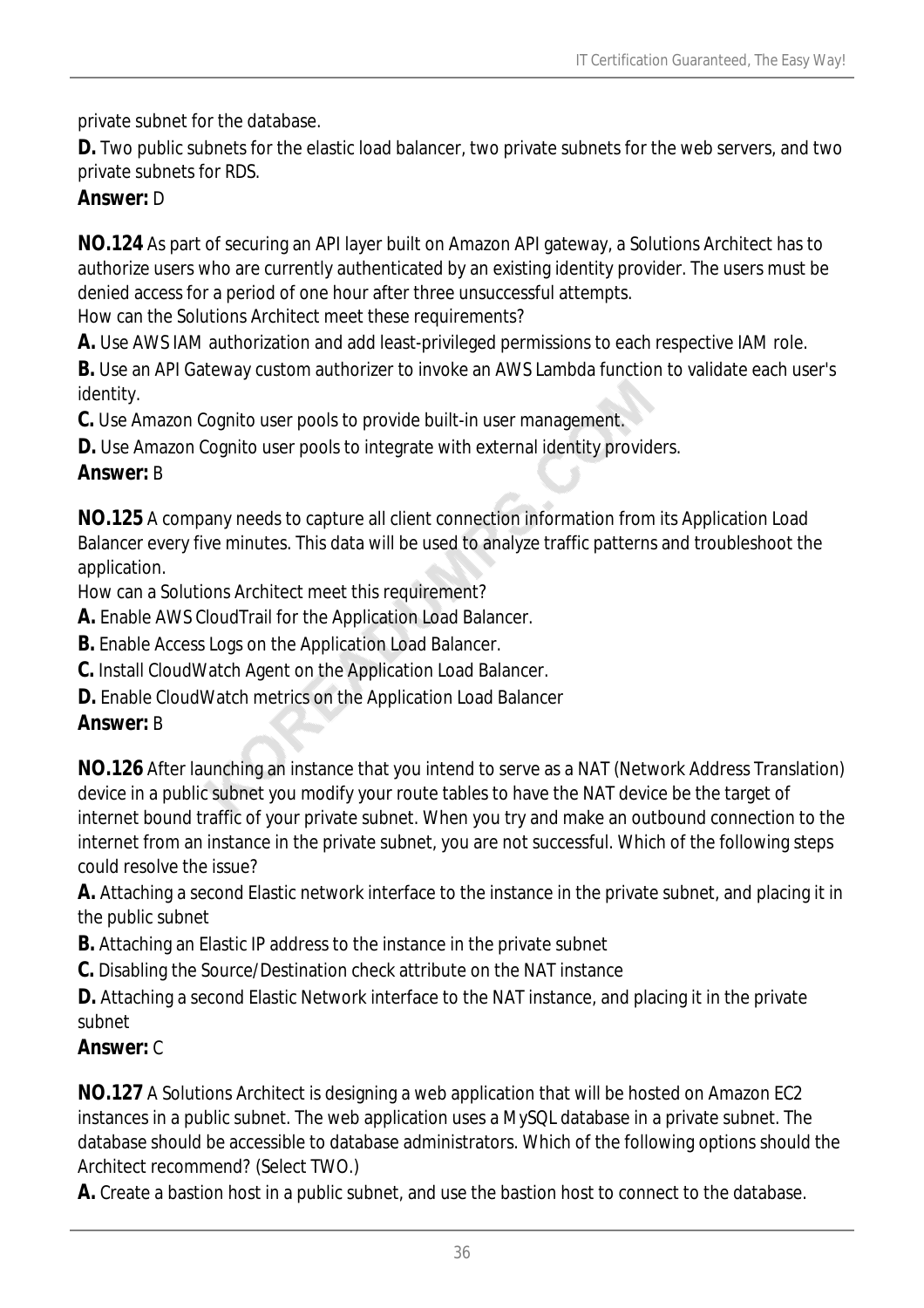private subnet for the database.

**D.** Two public subnets for the elastic load balancer, two private subnets for the web servers, and two private subnets for RDS.

#### *Answer:* D

**NO.124** As part of securing an API layer built on Amazon API gateway, a Solutions Architect has to authorize users who are currently authenticated by an existing identity provider. The users must be denied access for a period of one hour after three unsuccessful attempts.

How can the Solutions Architect meet these requirements?

**A.** Use AWS IAM authorization and add least-privileged permissions to each respective IAM role.

**B.** Use an API Gateway custom authorizer to invoke an AWS Lambda function to validate each user's identity.

**C.** Use Amazon Cognito user pools to provide built-in user management.

**D.** Use Amazon Cognito user pools to integrate with external identity providers.

#### *Answer:* B

**NO.125** A company needs to capture all client connection information from its Application Load Balancer every five minutes. This data will be used to analyze traffic patterns and troubleshoot the application.

How can a Solutions Architect meet this requirement?

**A.** Enable AWS CloudTrail for the Application Load Balancer.

**B.** Enable Access Logs on the Application Load Balancer.

**C.** Install CloudWatch Agent on the Application Load Balancer.

**D.** Enable CloudWatch metrics on the Application Load Balancer

## *Answer:* B

**NO.126** After launching an instance that you intend to serve as a NAT (Network Address Translation) device in a public subnet you modify your route tables to have the NAT device be the target of internet bound traffic of your private subnet. When you try and make an outbound connection to the internet from an instance in the private subnet, you are not successful. Which of the following steps could resolve the issue?

**A.** Attaching a second Elastic network interface to the instance in the private subnet, and placing it in the public subnet

**B.** Attaching an Elastic IP address to the instance in the private subnet

**C.** Disabling the Source/Destination check attribute on the NAT instance

**D.** Attaching a second Elastic Network interface to the NAT instance, and placing it in the private subnet

## *Answer:* C

**NO.127** A Solutions Architect is designing a web application that will be hosted on Amazon EC2 instances in a public subnet. The web application uses a MySQL database in a private subnet. The database should be accessible to database administrators. Which of the following options should the Architect recommend? (Select TWO.)

**A.** Create a bastion host in a public subnet, and use the bastion host to connect to the database.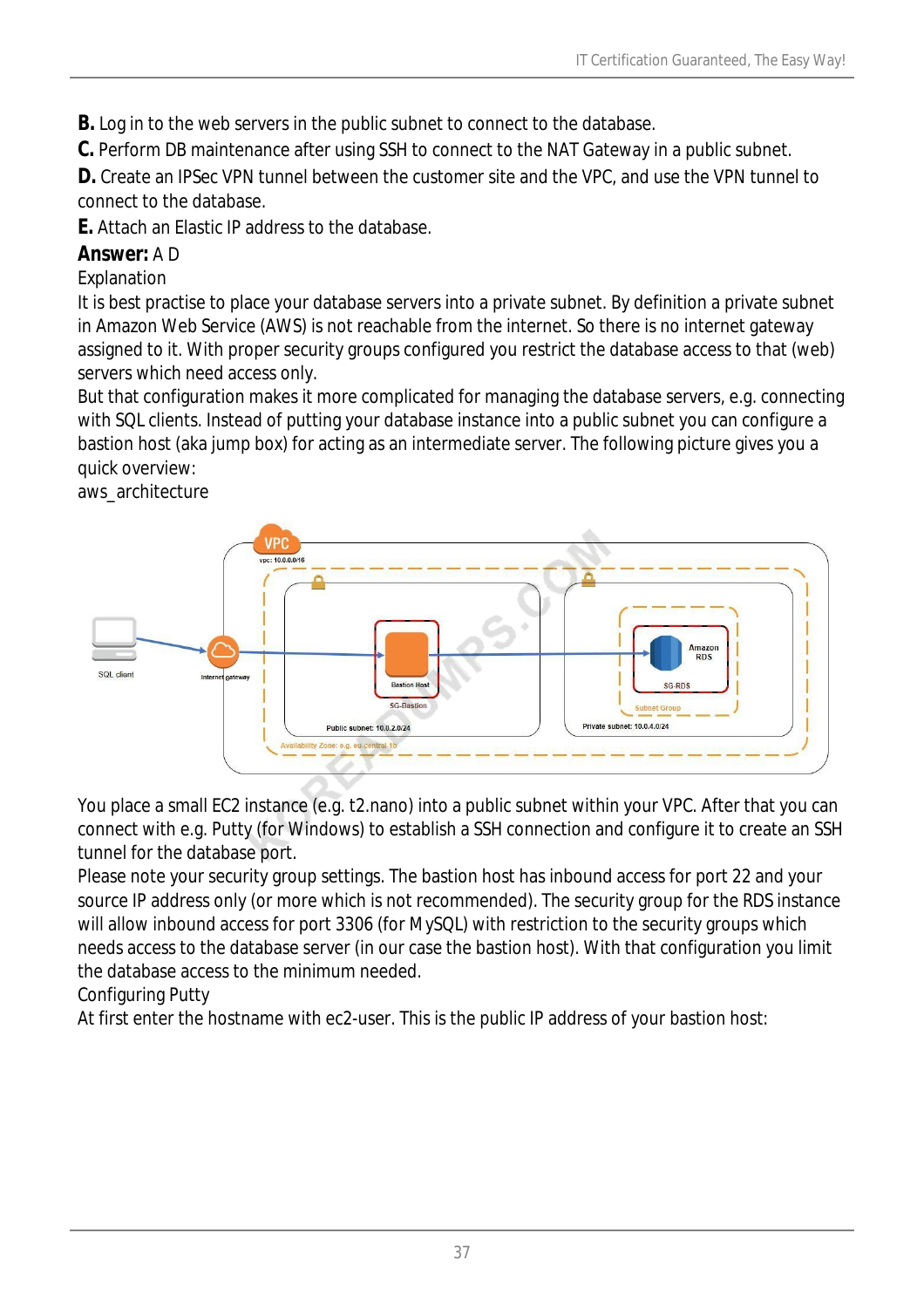**B.** Log in to the web servers in the public subnet to connect to the database.

**C.** Perform DB maintenance after using SSH to connect to the NAT Gateway in a public subnet.

**D.** Create an IPSec VPN tunnel between the customer site and the VPC, and use the VPN tunnel to connect to the database.

**E.** Attach an Elastic IP address to the database.

### *Answer:* A D

Explanation

It is best practise to place your database servers into a private subnet. By definition a private subnet in Amazon Web Service (AWS) is not reachable from the internet. So there is no internet gateway assigned to it. With proper security groups configured you restrict the database access to that (web) servers which need access only.

But that configuration makes it more complicated for managing the database servers, e.g. connecting with SQL clients. Instead of putting your database instance into a public subnet you can configure a bastion host (aka jump box) for acting as an intermediate server. The following picture gives you a quick overview:





You place a small EC2 instance (e.g. t2.nano) into a public subnet within your VPC. After that you can connect with e.g. Putty (for Windows) to establish a SSH connection and configure it to create an SSH tunnel for the database port.

Please note your security group settings. The bastion host has inbound access for port 22 and your source IP address only (or more which is not recommended). The security group for the RDS instance will allow inbound access for port 3306 (for MySQL) with restriction to the security groups which needs access to the database server (in our case the bastion host). With that configuration you limit the database access to the minimum needed.

### Configuring Putty

At first enter the hostname with ec2-user. This is the public IP address of your bastion host: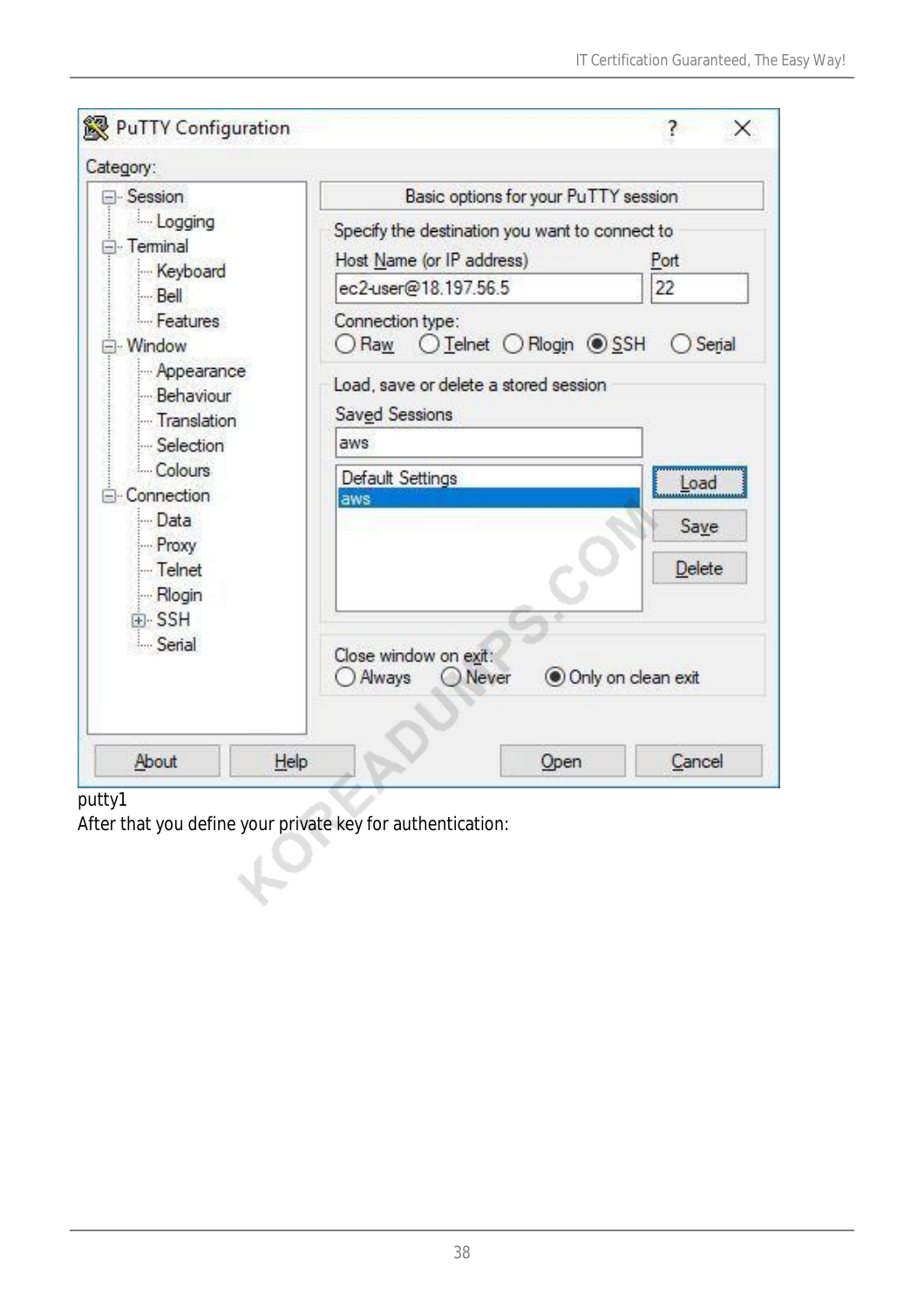| PuTTY Configuration<br>Category:                                                                                                                               |                                                                             |                    |  |
|----------------------------------------------------------------------------------------------------------------------------------------------------------------|-----------------------------------------------------------------------------|--------------------|--|
| <b>E</b> -Session                                                                                                                                              | Basic options for your PuTTY session                                        |                    |  |
| Logging<br><b>E</b> -Terminal                                                                                                                                  | Specify the destination you want to connect to<br>Host Name (or IP address) | Port               |  |
| Keyboard<br>$B$ ell                                                                                                                                            | ec2-user@18.197.56.5                                                        | 22                 |  |
| Features<br>- Window<br>Appearance<br>Behaviour<br>Translation<br>Selection<br>Colours<br>Connection<br>Data<br>Proxy<br>Telnet<br>- Rlogin<br>F-SSH<br>Serial | Connection type:<br>Raw                                                     | Serial             |  |
|                                                                                                                                                                | Load, save or delete a stored session<br>Saved Sessions                     |                    |  |
|                                                                                                                                                                | aws                                                                         |                    |  |
|                                                                                                                                                                | Default Settings                                                            | Load               |  |
|                                                                                                                                                                | aws                                                                         | Save               |  |
|                                                                                                                                                                |                                                                             | Delete             |  |
|                                                                                                                                                                | Close window on exit:<br>Always<br>O Never                                  | Only on clean exit |  |
| About                                                                                                                                                          | Help<br>Open                                                                | Cancel             |  |

#### putty1

After that you define your private key for authentication: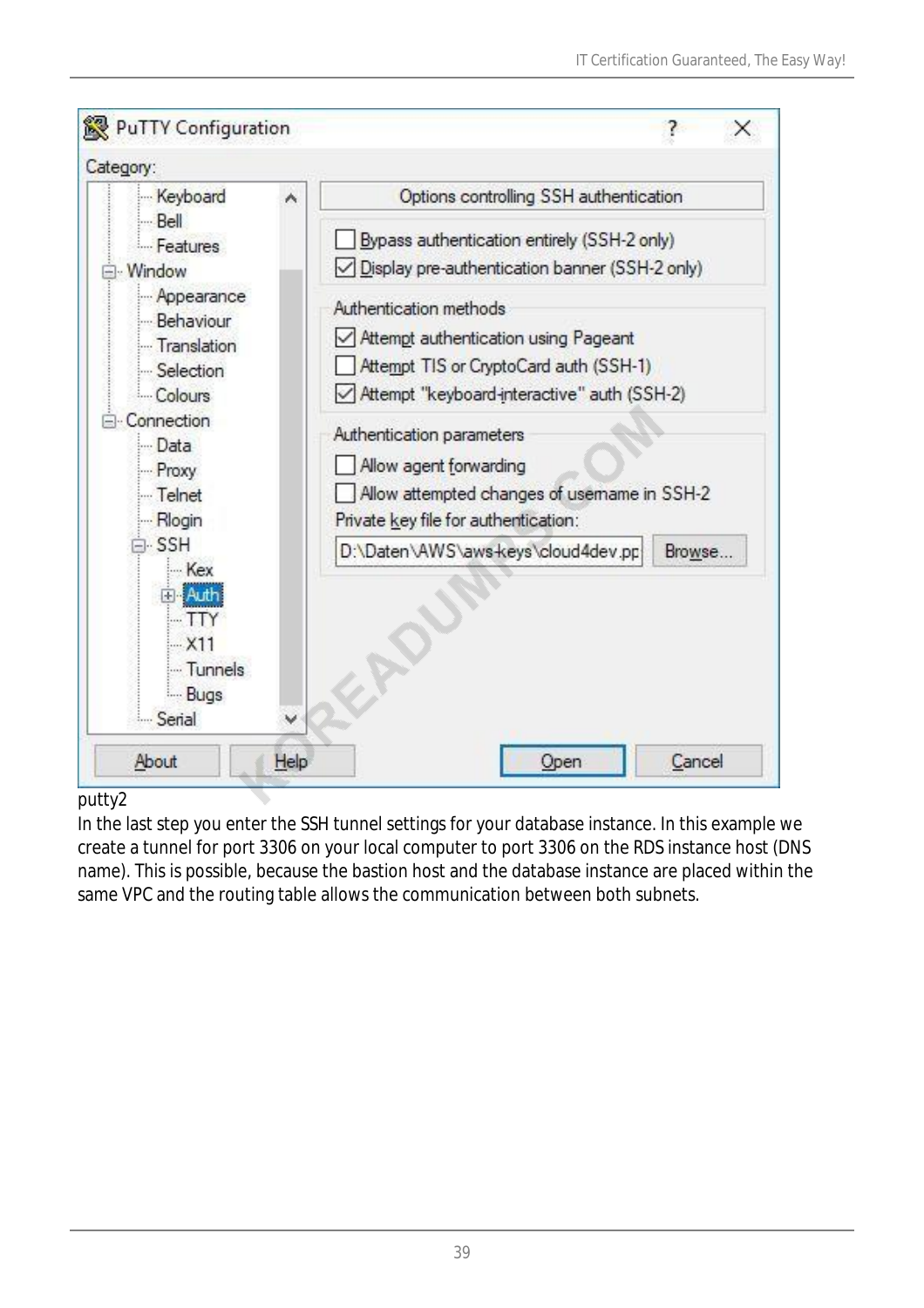

### putty2

In the last step you enter the SSH tunnel settings for your database instance. In this example we create a tunnel for port 3306 on your local computer to port 3306 on the RDS instance host (DNS name). This is possible, because the bastion host and the database instance are placed within the same VPC and the routing table allows the communication between both subnets.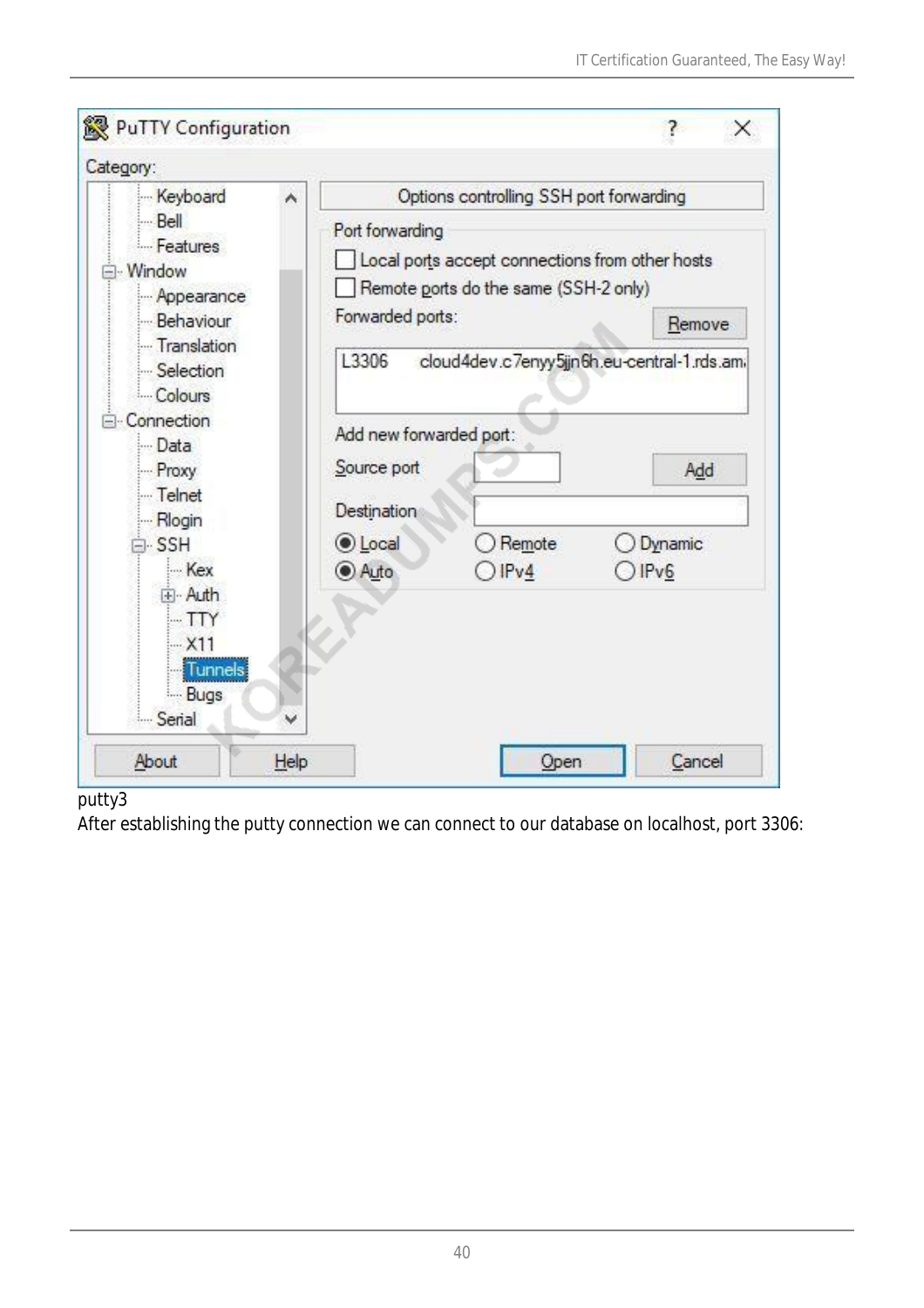| Keyboard                                                                                      | ۸ | Options controlling SSH port forwarding                                                                                         |                |                                                    |
|-----------------------------------------------------------------------------------------------|---|---------------------------------------------------------------------------------------------------------------------------------|----------------|----------------------------------------------------|
| Bel<br>Features<br>Window<br>Appearance<br>Behaviour                                          |   | Port forwarding<br>Local ports accept connections from other hosts<br>Remote ports do the same (SSH-2 only)<br>Forwarded ports: |                | Remove                                             |
| Translation<br>Selection<br>Colours<br>Connection<br>Data<br>Proxy<br>- Telnet                |   | L3306<br>Add new forwarded port:<br>Source port                                                                                 |                | cloud4dev.c7enyy5jjn6h.eu-central-1.rds.am/<br>Add |
| Rlogin<br>$\neg$ SSH<br>- Kex<br>Fi-Auth<br>$-TTY$<br>$-X11$<br><b>Tunnels</b><br><b>Bugs</b> |   | Destination<br><b>OLocal</b><br>Auto                                                                                            | Remote<br> Py4 | Dynamic<br>DFv6                                    |

#### putty3

After establishing the putty connection we can connect to our database on localhost, port 3306: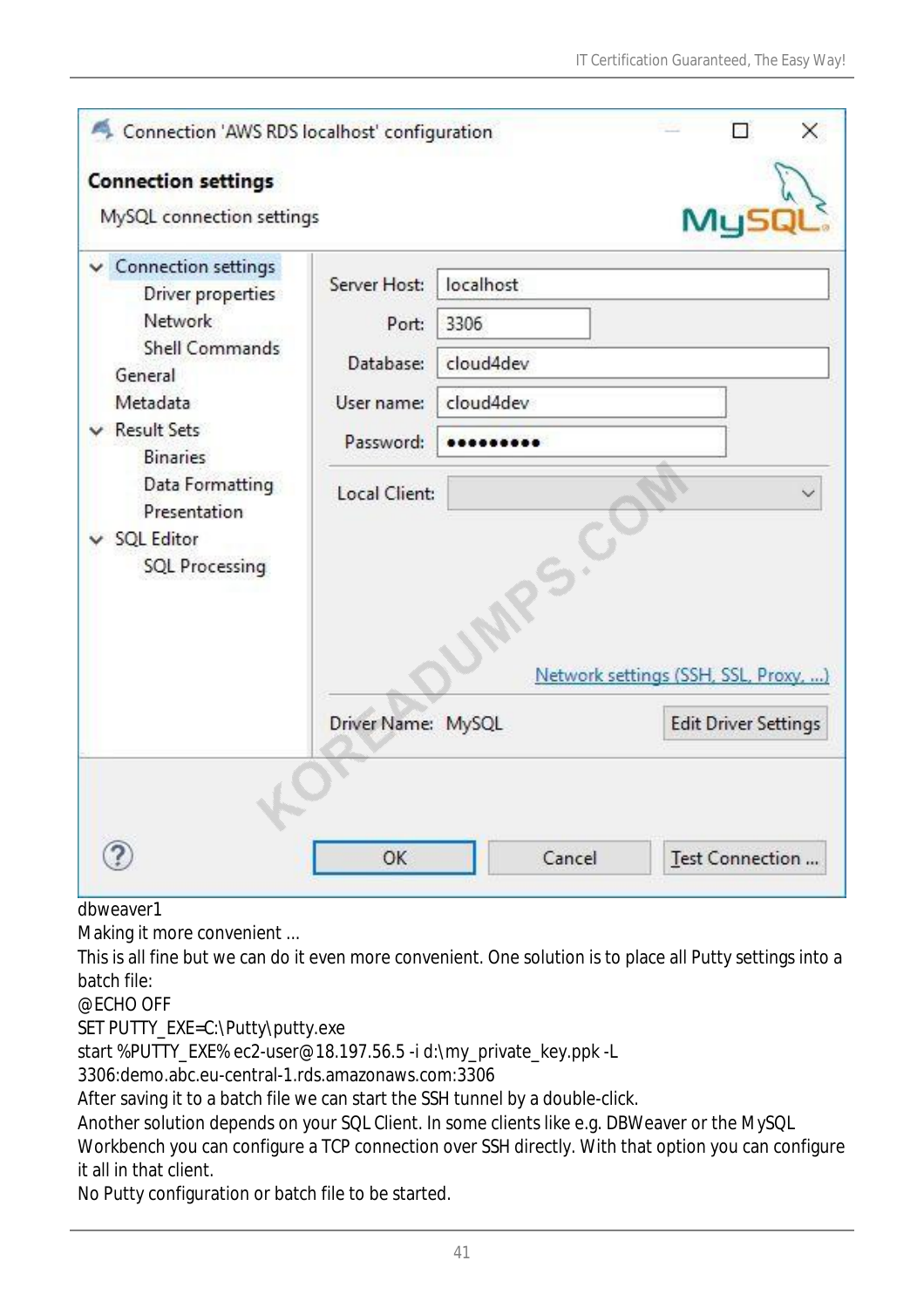| Connection 'AWS RDS localhost' configuration<br><b>Connection settings</b><br>MySQL connection settings                                                                                                                         |                                                  |                                             | My!                                  | × |
|---------------------------------------------------------------------------------------------------------------------------------------------------------------------------------------------------------------------------------|--------------------------------------------------|---------------------------------------------|--------------------------------------|---|
| <b>Connection settings</b><br>Driver properties<br>Network<br><b>Shell Commands</b><br>General<br>Metadata<br><b>Result Sets</b><br><b>Binaries</b><br>Data Formatting<br>Presentation<br>v SQL Editor<br><b>SQL Processing</b> | Server Host:<br>Port:<br>Database:<br>User name: | localhost<br>3306<br>cloud4dev<br>cloud4dev |                                      |   |
|                                                                                                                                                                                                                                 | Password:<br>Local Client:                       |                                             | Network settings (SSH, SSL, Proxy, ) |   |
|                                                                                                                                                                                                                                 | Driver Name: MySQL                               |                                             | <b>Edit Driver Settings</b>          |   |
|                                                                                                                                                                                                                                 | OK                                               | Cancel                                      | Test Connection                      |   |

dbweaver1

Making it more convenient ...

This is all fine but we can do it even more convenient. One solution is to place all Putty settings into a batch file:

@ECHO OFF

SET PUTTY\_EXE=C:\Putty\putty.exe

start %PUTTY\_EXE% ec2-user@18.197.56.5 -i d:\my\_private\_key.ppk -L

3306:demo.abc.eu-central-1.rds.amazonaws.com:3306

After saving it to a batch file we can start the SSH tunnel by a double-click.

Another solution depends on your SQL Client. In some clients like e.g. DBWeaver or the MySQL

Workbench you can configure a TCP connection over SSH directly. With that option you can configure it all in that client.

No Putty configuration or batch file to be started.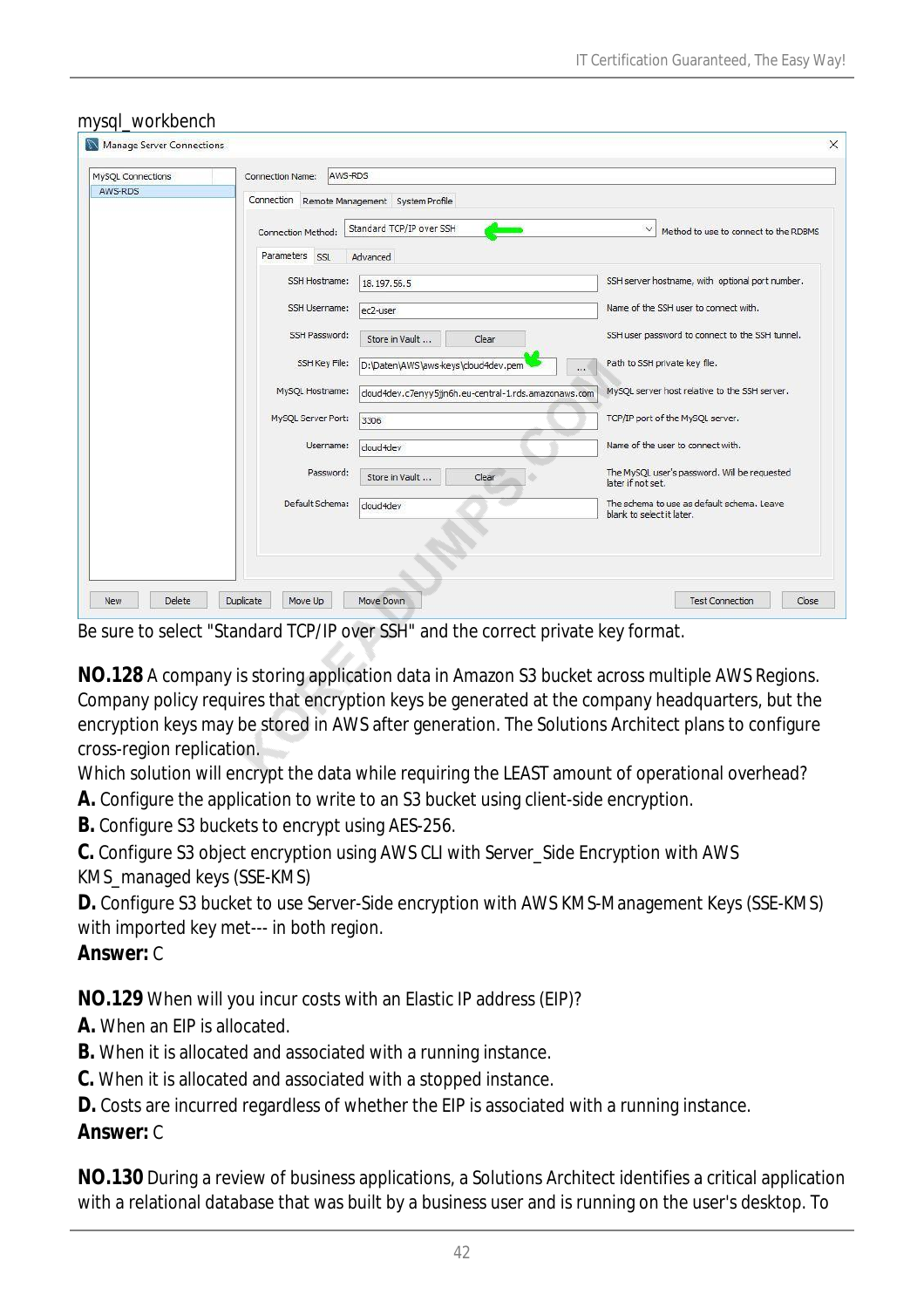| MySQL Connections | AWS-RDS<br><b>Connection Name:</b>          |                                                       |                                                                         |
|-------------------|---------------------------------------------|-------------------------------------------------------|-------------------------------------------------------------------------|
| AWS-RDS           | Connection Remote Management System Profile |                                                       |                                                                         |
|                   | Connection Method:                          | Standard TCP/IP over SSH                              | $\checkmark$<br>Method to use to connect to the RDBMS                   |
|                   | Parameters SSL                              | Advanced                                              |                                                                         |
|                   | SSH Hostname:                               | 18.197.56.5                                           | SSH server hostname, with optional port number.                         |
|                   | SSH Username:                               | ec2-user                                              | Name of the SSH user to connect with.                                   |
|                   | SSH Password:                               | Store in Vault<br>Clear                               | SSH user password to connect to the SSH tunnel.                         |
|                   | <b>SSH Key File:</b>                        | D:\Daten\AWS\aws-keys\cloud4dev.pem<br>$\ldots$       | Path to SSH private key file.                                           |
|                   | MySQL Hostname:                             | cloud4dev.c7enyy5jjn6h.eu-central-1.rds.amazonaws.com | MySQL server host relative to the SSH server.                           |
|                   | MySQL Server Port:                          | 3306                                                  | TCP/IP port of the MySQL server.                                        |
|                   | Username:                                   | doud4dev                                              | Name of the user to connect with.                                       |
|                   | Password:                                   | Store in Vault<br>Clear                               | The MySQL user's password. Will be requested<br>later if not set.       |
|                   | Default Schema:                             | cloud4dev                                             | The schema to use as default schema, Leave<br>blank to select it later. |
|                   |                                             |                                                       |                                                                         |
|                   |                                             |                                                       |                                                                         |

#### mysql\_workbench

Be sure to select "Standard TCP/IP over SSH" and the correct private key format.

**NO.128** A company is storing application data in Amazon S3 bucket across multiple AWS Regions. Company policy requires that encryption keys be generated at the company headquarters, but the encryption keys may be stored in AWS after generation. The Solutions Architect plans to configure cross-region replication.

Which solution will encrypt the data while requiring the LEAST amount of operational overhead?

**A.** Configure the application to write to an S3 bucket using client-side encryption.

**B.** Configure S3 buckets to encrypt using AES-256.

**C.** Configure S3 object encryption using AWS CLI with Server\_Side Encryption with AWS KMS\_managed keys (SSE-KMS)

**D.** Configure S3 bucket to use Server-Side encryption with AWS KMS-Management Keys (SSE-KMS) with imported key met--- in both region.

#### *Answer:* C

**NO.129** When will you incur costs with an Elastic IP address (EIP)?

**A.** When an EIP is allocated.

**B.** When it is allocated and associated with a running instance.

**C.** When it is allocated and associated with a stopped instance.

**D.** Costs are incurred regardless of whether the EIP is associated with a running instance.

#### *Answer:* C

**NO.130** During a review of business applications, a Solutions Architect identifies a critical application with a relational database that was built by a business user and is running on the user's desktop. To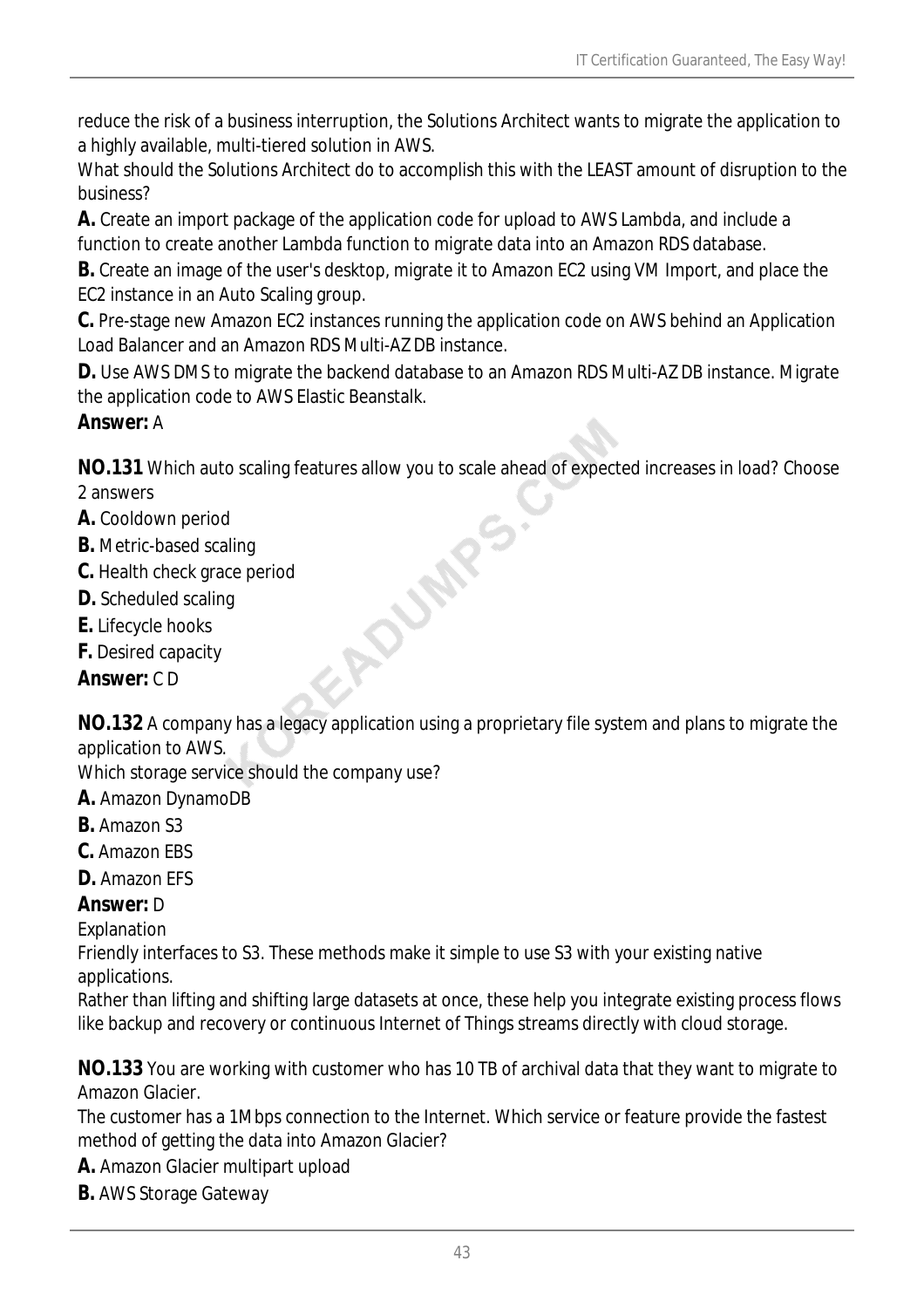reduce the risk of a business interruption, the Solutions Architect wants to migrate the application to a highly available, multi-tiered solution in AWS.

What should the Solutions Architect do to accomplish this with the LEAST amount of disruption to the business?

**A.** Create an import package of the application code for upload to AWS Lambda, and include a function to create another Lambda function to migrate data into an Amazon RDS database.

**B.** Create an image of the user's desktop, migrate it to Amazon EC2 using VM Import, and place the EC2 instance in an Auto Scaling group.

**C.** Pre-stage new Amazon EC2 instances running the application code on AWS behind an Application Load Balancer and an Amazon RDS Multi-AZ DB instance.

**D.** Use AWS DMS to migrate the backend database to an Amazon RDS Multi-AZ DB instance. Migrate the application code to AWS Elastic Beanstalk.

### *Answer:* A

**NO.131** Which auto scaling features allow you to scale ahead of expected increases in load? Choose 2 answers<br> **A.** Cooldown period<br> **B.** Metric-based scaling<br> **C.** Health check grace period<br> **D.** Scheduled scaling<br> **E.** L 2 answers

- **A.** Cooldown period
- **B.** Metric-based scaling
- **C.** Health check grace period
- **D.** Scheduled scaling
- **E.** Lifecycle hooks
- **F.** Desired capacity

*Answer:* C D

**NO.132** A company has a legacy application using a proprietary file system and plans to migrate the application to AWS.

Which storage service should the company use?

- **A.** Amazon DynamoDB
- **B.** Amazon S3
- **C.** Amazon EBS
- **D.** Amazon EFS

### *Answer:* D

Explanation

Friendly interfaces to S3. These methods make it simple to use S3 with your existing native applications.

Rather than lifting and shifting large datasets at once, these help you integrate existing process flows like backup and recovery or continuous Internet of Things streams directly with cloud storage.

**NO.133** You are working with customer who has 10 TB of archival data that they want to migrate to Amazon Glacier.

The customer has a 1Mbps connection to the Internet. Which service or feature provide the fastest method of getting the data into Amazon Glacier?

- **A.** Amazon Glacier multipart upload
- **B.** AWS Storage Gateway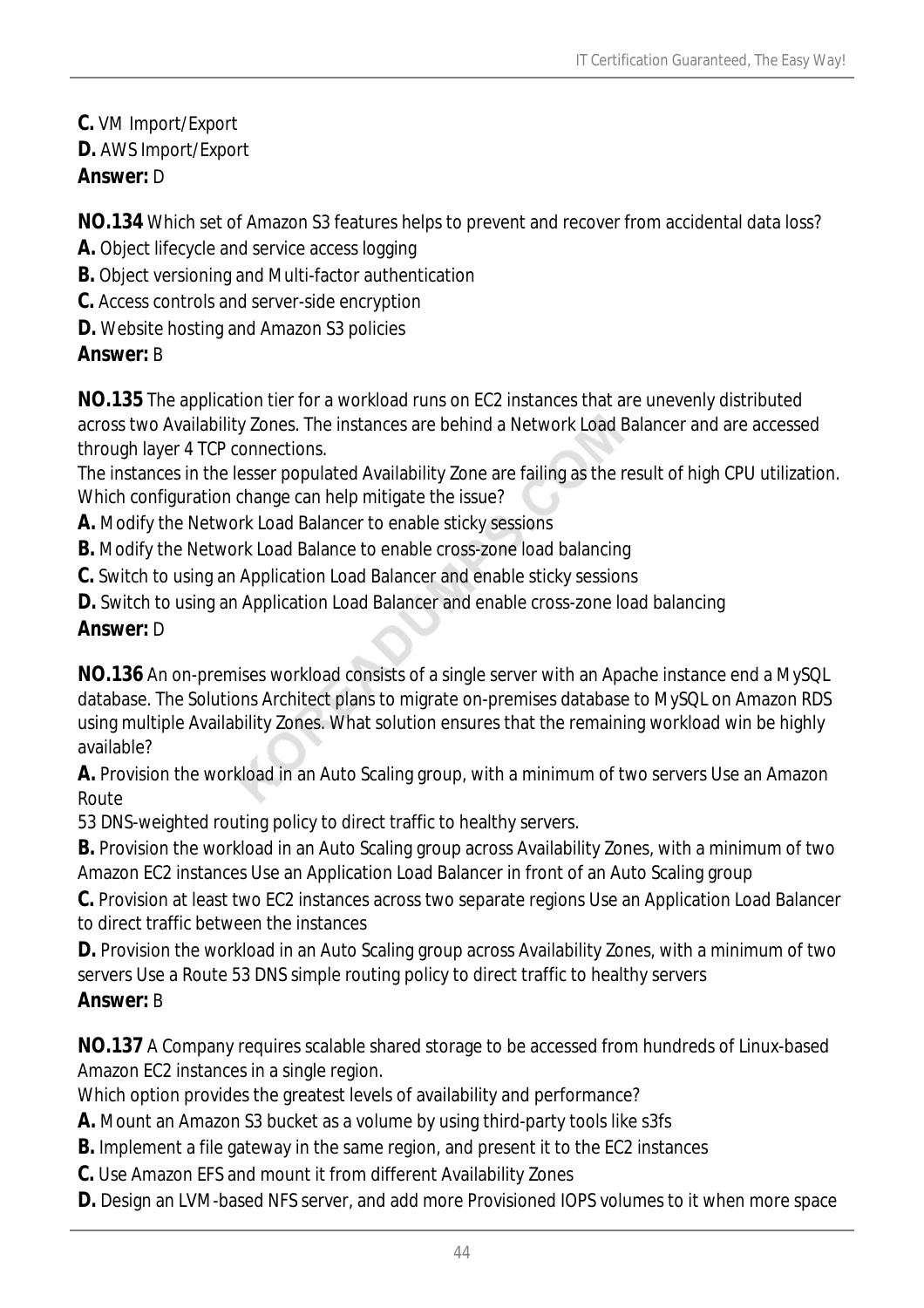**C.** VM Import/Export **D.** AWS Import/Export *Answer:* D

**NO.134** Which set of Amazon S3 features helps to prevent and recover from accidental data loss?

- **A.** Object lifecycle and service access logging
- **B.** Object versioning and Multi-factor authentication
- **C.** Access controls and server-side encryption
- **D.** Website hosting and Amazon S3 policies

### *Answer:* B

**NO.135** The application tier for a workload runs on EC2 instances that are unevenly distributed across two Availability Zones. The instances are behind a Network Load Balancer and are accessed through layer 4 TCP connections.

The instances in the lesser populated Availability Zone are failing as the result of high CPU utilization. Which configuration change can help mitigate the issue?

- **A.** Modify the Network Load Balancer to enable sticky sessions
- **B.** Modify the Network Load Balance to enable cross-zone load balancing
- **C.** Switch to using an Application Load Balancer and enable sticky sessions
- **D.** Switch to using an Application Load Balancer and enable cross-zone load balancing

### *Answer:* D

**NO.136** An on-premises workload consists of a single server with an Apache instance end a MySQL database. The Solutions Architect plans to migrate on-premises database to MySQL on Amazon RDS using multiple Availability Zones. What solution ensures that the remaining workload win be highly available?

**A.** Provision the workload in an Auto Scaling group, with a minimum of two servers Use an Amazon **Route** 

53 DNS-weighted routing policy to direct traffic to healthy servers.

**B.** Provision the workload in an Auto Scaling group across Availability Zones, with a minimum of two Amazon EC2 instances Use an Application Load Balancer in front of an Auto Scaling group

**C.** Provision at least two EC2 instances across two separate regions Use an Application Load Balancer to direct traffic between the instances

**D.** Provision the workload in an Auto Scaling group across Availability Zones, with a minimum of two servers Use a Route 53 DNS simple routing policy to direct traffic to healthy servers

### *Answer:* B

**NO.137** A Company requires scalable shared storage to be accessed from hundreds of Linux-based Amazon EC2 instances in a single region.

Which option provides the greatest levels of availability and performance?

- **A.** Mount an Amazon S3 bucket as a volume by using third-party tools like s3fs
- **B.** Implement a file gateway in the same region, and present it to the EC2 instances
- **C.** Use Amazon EFS and mount it from different Availability Zones
- **D.** Design an LVM-based NFS server, and add more Provisioned IOPS volumes to it when more space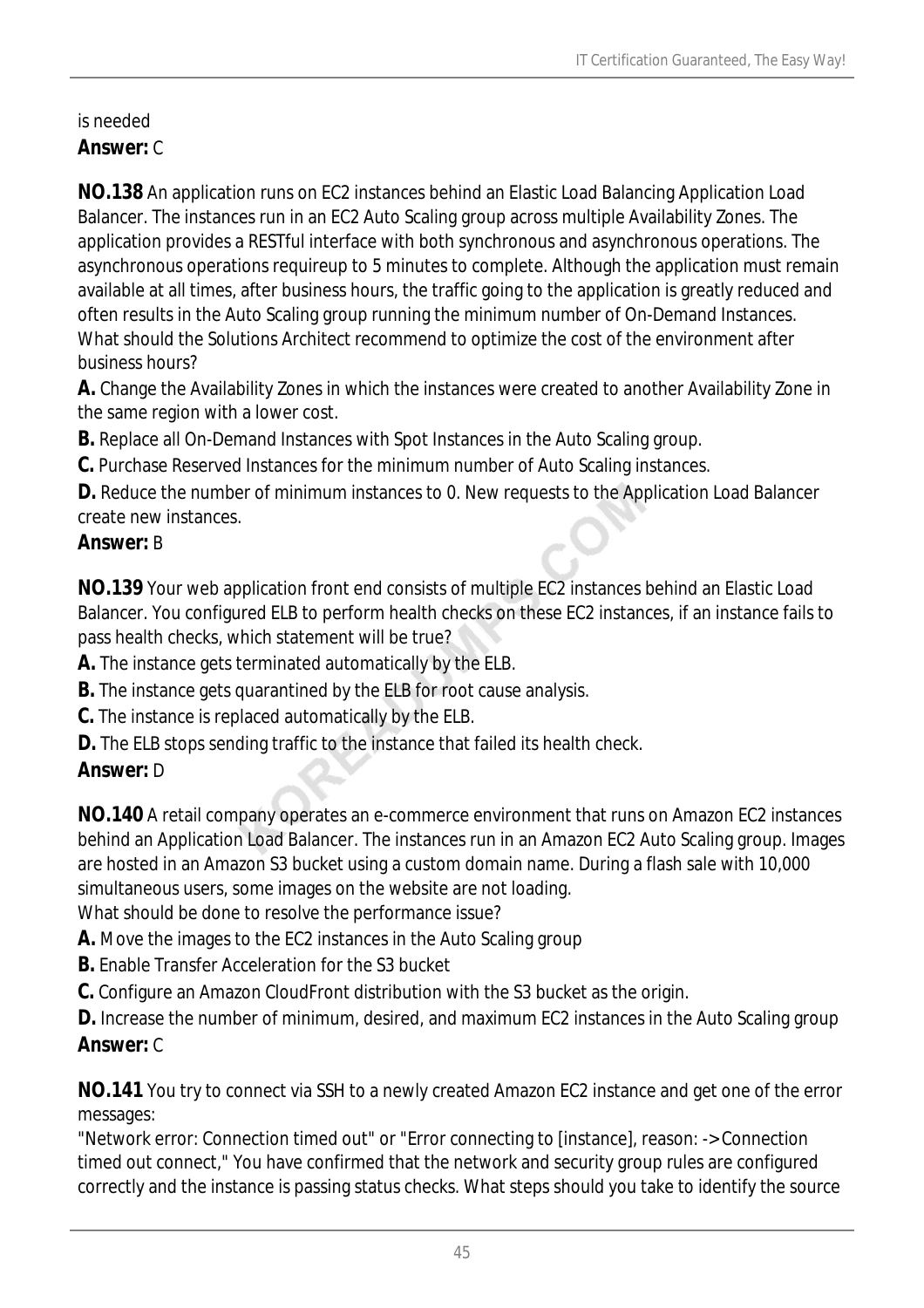# is needed

## *Answer:* C

**NO.138** An application runs on EC2 instances behind an Elastic Load Balancing Application Load Balancer. The instances run in an EC2 Auto Scaling group across multiple Availability Zones. The application provides a RESTful interface with both synchronous and asynchronous operations. The asynchronous operations requireup to 5 minutes to complete. Although the application must remain available at all times, after business hours, the traffic going to the application is greatly reduced and often results in the Auto Scaling group running the minimum number of On-Demand Instances. What should the Solutions Architect recommend to optimize the cost of the environment after business hours?

**A.** Change the Availability Zones in which the instances were created to another Availability Zone in the same region with a lower cost.

**B.** Replace all On-Demand Instances with Spot Instances in the Auto Scaling group.

**C.** Purchase Reserved Instances for the minimum number of Auto Scaling instances.

**D.** Reduce the number of minimum instances to 0. New requests to the Application Load Balancer create new instances.

## *Answer:* B

**NO.139** Your web application front end consists of multiple EC2 instances behind an Elastic Load Balancer. You configured ELB to perform health checks on these EC2 instances, if an instance fails to pass health checks, which statement will be true?

**A.** The instance gets terminated automatically by the ELB.

- **B.** The instance gets quarantined by the ELB for root cause analysis.
- **C.** The instance is replaced automatically by the ELB.
- **D.** The ELB stops sending traffic to the instance that failed its health check.

## *Answer:* D

**NO.140** A retail company operates an e-commerce environment that runs on Amazon EC2 instances behind an Application Load Balancer. The instances run in an Amazon EC2 Auto Scaling group. Images are hosted in an Amazon S3 bucket using a custom domain name. During a flash sale with 10,000 simultaneous users, some images on the website are not loading.

What should be done to resolve the performance issue?

- **A.** Move the images to the EC2 instances in the Auto Scaling group
- **B.** Enable Transfer Acceleration for the S3 bucket

**C.** Configure an Amazon CloudFront distribution with the S3 bucket as the origin.

**D.** Increase the number of minimum, desired, and maximum EC2 instances in the Auto Scaling group *Answer:* C

**NO.141** You try to connect via SSH to a newly created Amazon EC2 instance and get one of the error messages:

"Network error: Connection timed out" or "Error connecting to [instance], reason: -> Connection timed out connect," You have confirmed that the network and security group rules are configured correctly and the instance is passing status checks. What steps should you take to identify the source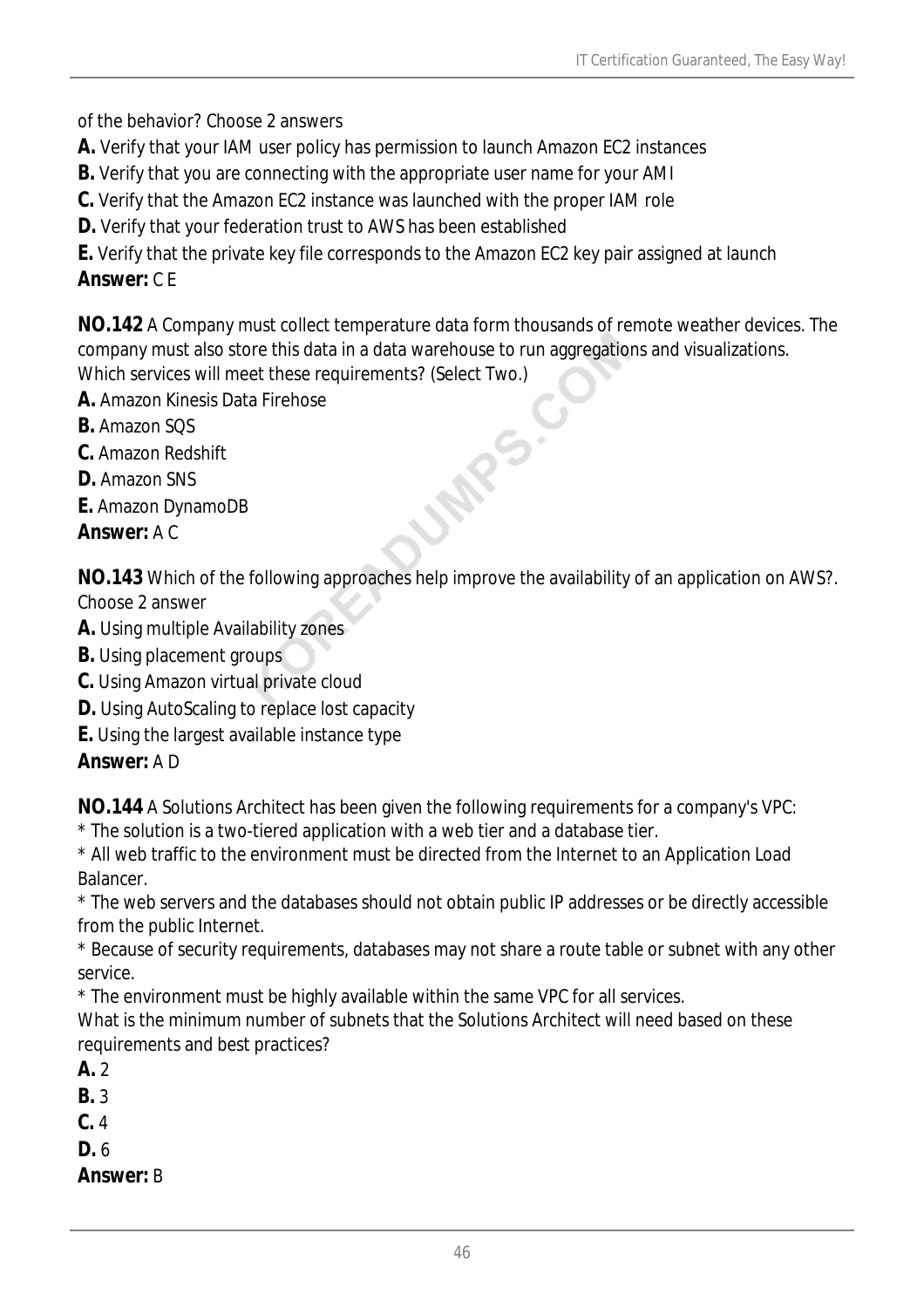of the behavior? Choose 2 answers

- **A.** Verify that your IAM user policy has permission to launch Amazon EC2 instances
- **B.** Verify that you are connecting with the appropriate user name for your AMI
- **C.** Verify that the Amazon EC2 instance was launched with the proper IAM role

**D.** Verify that your federation trust to AWS has been established

**E.** Verify that the private key file corresponds to the Amazon EC2 key pair assigned at launch *Answer:* C E

**NO.142** A Company must collect temperature data form thousands of remote weather devices. The company must also store this data in a data warehouse to run aggregations and visualizations. Which services will meet these requirements? (Select Two.)

- **A.** Amazon Kinesis Data Firehose
- **B.** Amazon SQS
- **C.** Amazon Redshift
- **D.** Amazon SNS
- **E.** Amazon DynamoDB

*Answer:* A C

**NO.143** Which of the following approaches help improve the availability of an application on AWS?. Choose 2 answer

**JARS** 

- **A.** Using multiple Availability zones
- **B.** Using placement groups
- **C.** Using Amazon virtual private cloud
- **D.** Using AutoScaling to replace lost capacity
- **E.** Using the largest available instance type

*Answer:* A D

**NO.144** A Solutions Architect has been given the following requirements for a company's VPC:

\* The solution is a two-tiered application with a web tier and a database tier.

\* All web traffic to the environment must be directed from the Internet to an Application Load Balancer.

\* The web servers and the databases should not obtain public IP addresses or be directly accessible from the public Internet.

\* Because of security requirements, databases may not share a route table or subnet with any other service.

\* The environment must be highly available within the same VPC for all services.

What is the minimum number of subnets that the Solutions Architect will need based on these requirements and best practices?

- **A.** 2
- **B.** 3
- **C.** 4
- **D.** 6

*Answer:* B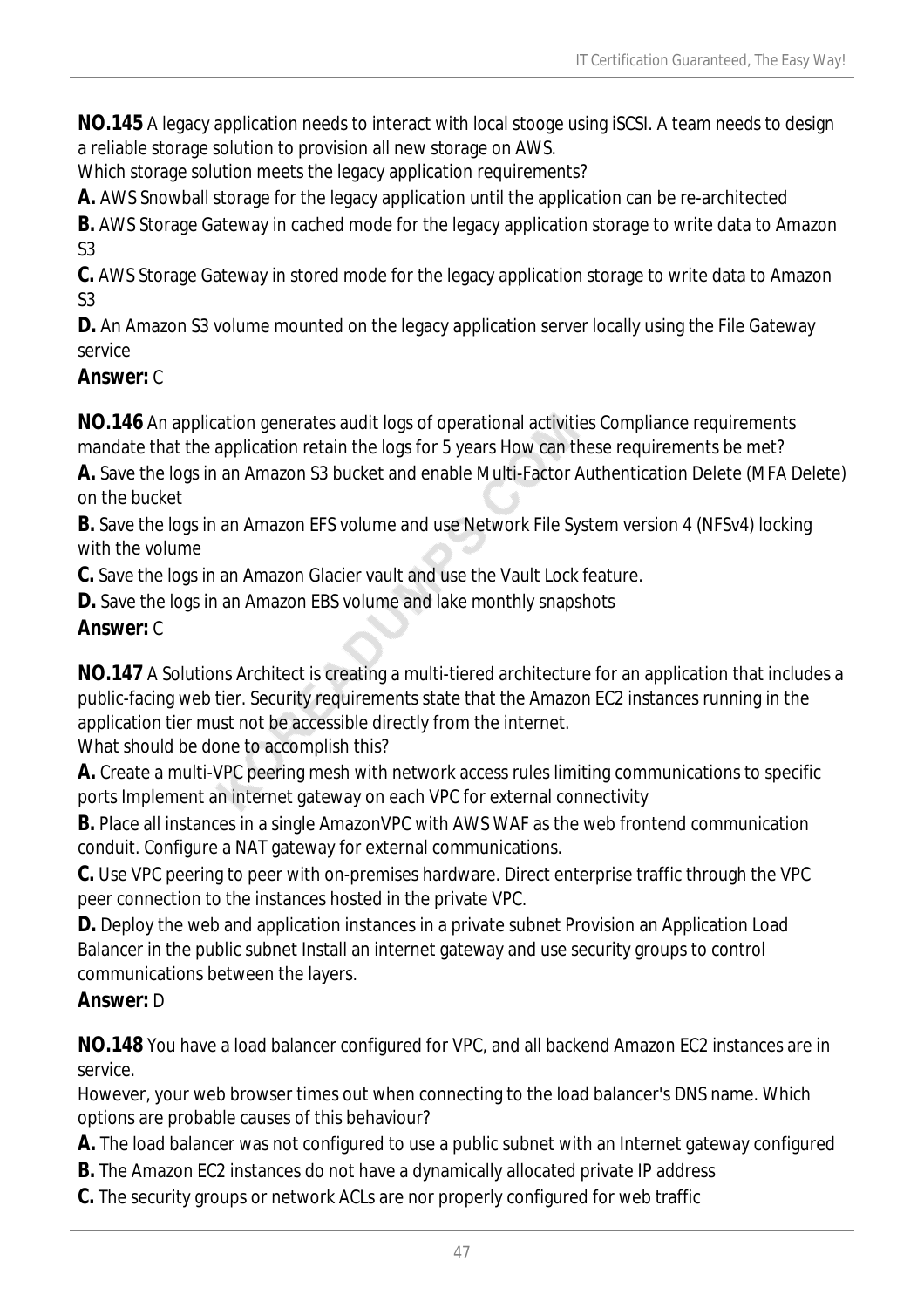**NO.145** A legacy application needs to interact with local stooge using iSCSI. A team needs to design a reliable storage solution to provision all new storage on AWS.

Which storage solution meets the legacy application requirements?

**A.** AWS Snowball storage for the legacy application until the application can be re-architected

**B.** AWS Storage Gateway in cached mode for the legacy application storage to write data to Amazon S3

**C.** AWS Storage Gateway in stored mode for the legacy application storage to write data to Amazon S3

**D.** An Amazon S3 volume mounted on the legacy application server locally using the File Gateway service

#### *Answer:* C

**NO.146** An application generates audit logs of operational activities Compliance requirements mandate that the application retain the logs for 5 years How can these requirements be met?

**A.** Save the logs in an Amazon S3 bucket and enable Multi-Factor Authentication Delete (MFA Delete) on the bucket

**B.** Save the logs in an Amazon EFS volume and use Network File System version 4 (NFSv4) locking with the volume

**C.** Save the logs in an Amazon Glacier vault and use the Vault Lock feature.

**D.** Save the logs in an Amazon EBS volume and lake monthly snapshots

### *Answer:* C

**NO.147** A Solutions Architect is creating a multi-tiered architecture for an application that includes a public-facing web tier. Security requirements state that the Amazon EC2 instances running in the application tier must not be accessible directly from the internet.

What should be done to accomplish this?

**A.** Create a multi-VPC peering mesh with network access rules limiting communications to specific ports Implement an internet gateway on each VPC for external connectivity

**B.** Place all instances in a single AmazonVPC with AWS WAF as the web frontend communication conduit. Configure a NAT gateway for external communications.

**C.** Use VPC peering to peer with on-premises hardware. Direct enterprise traffic through the VPC peer connection to the instances hosted in the private VPC.

**D.** Deploy the web and application instances in a private subnet Provision an Application Load Balancer in the public subnet Install an internet gateway and use security groups to control communications between the layers.

### *Answer:* D

**NO.148** You have a load balancer configured for VPC, and all backend Amazon EC2 instances are in service.

However, your web browser times out when connecting to the load balancer's DNS name. Which options are probable causes of this behaviour?

- **A.** The load balancer was not configured to use a public subnet with an Internet gateway configured
- **B.** The Amazon EC2 instances do not have a dynamically allocated private IP address
- **C.** The security groups or network ACLs are nor properly configured for web traffic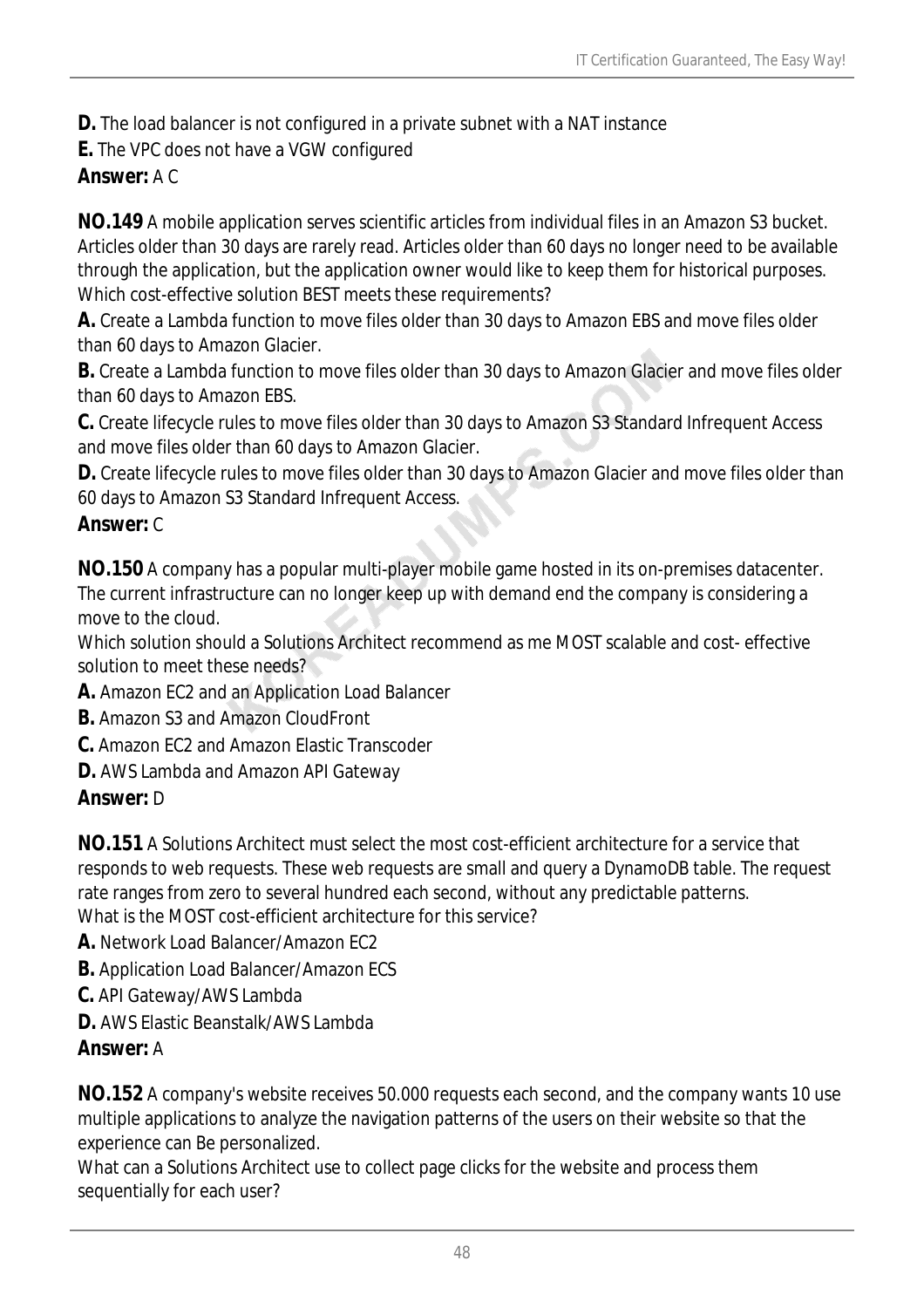**D.** The load balancer is not configured in a private subnet with a NAT instance

**E.** The VPC does not have a VGW configured

*Answer:* A C

**NO.149** A mobile application serves scientific articles from individual files in an Amazon S3 bucket. Articles older than 30 days are rarely read. Articles older than 60 days no longer need to be available through the application, but the application owner would like to keep them for historical purposes. Which cost-effective solution BEST meets these requirements?

**A.** Create a Lambda function to move files older than 30 days to Amazon EBS and move files older than 60 days to Amazon Glacier.

**B.** Create a Lambda function to move files older than 30 days to Amazon Glacier and move files older than 60 days to Amazon EBS.

**C.** Create lifecycle rules to move files older than 30 days to Amazon S3 Standard Infrequent Access and move files older than 60 days to Amazon Glacier.

**D.** Create lifecycle rules to move files older than 30 days to Amazon Glacier and move files older than 60 days to Amazon S3 Standard Infrequent Access.

## *Answer:* C

**NO.150** A company has a popular multi-player mobile game hosted in its on-premises datacenter. The current infrastructure can no longer keep up with demand end the company is considering a move to the cloud.

Which solution should a Solutions Architect recommend as me MOST scalable and cost- effective solution to meet these needs?

- **A.** Amazon EC2 and an Application Load Balancer
- **B.** Amazon S3 and Amazon CloudFront
- **C.** Amazon EC2 and Amazon Elastic Transcoder
- **D.** AWS Lambda and Amazon API Gateway

### *Answer:* D

**NO.151** A Solutions Architect must select the most cost-efficient architecture for a service that responds to web requests. These web requests are small and query a DynamoDB table. The request rate ranges from zero to several hundred each second, without any predictable patterns. What is the MOST cost-efficient architecture for this service?

- **A.** Network Load Balancer/Amazon EC2
- **B.** Application Load Balancer/Amazon ECS
- **C.** API Gateway/AWS Lambda
- **D.** AWS Elastic Beanstalk/AWS Lambda

### *Answer:* A

**NO.152** A company's website receives 50.000 requests each second, and the company wants 10 use multiple applications to analyze the navigation patterns of the users on their website so that the experience can Be personalized.

What can a Solutions Architect use to collect page clicks for the website and process them sequentially for each user?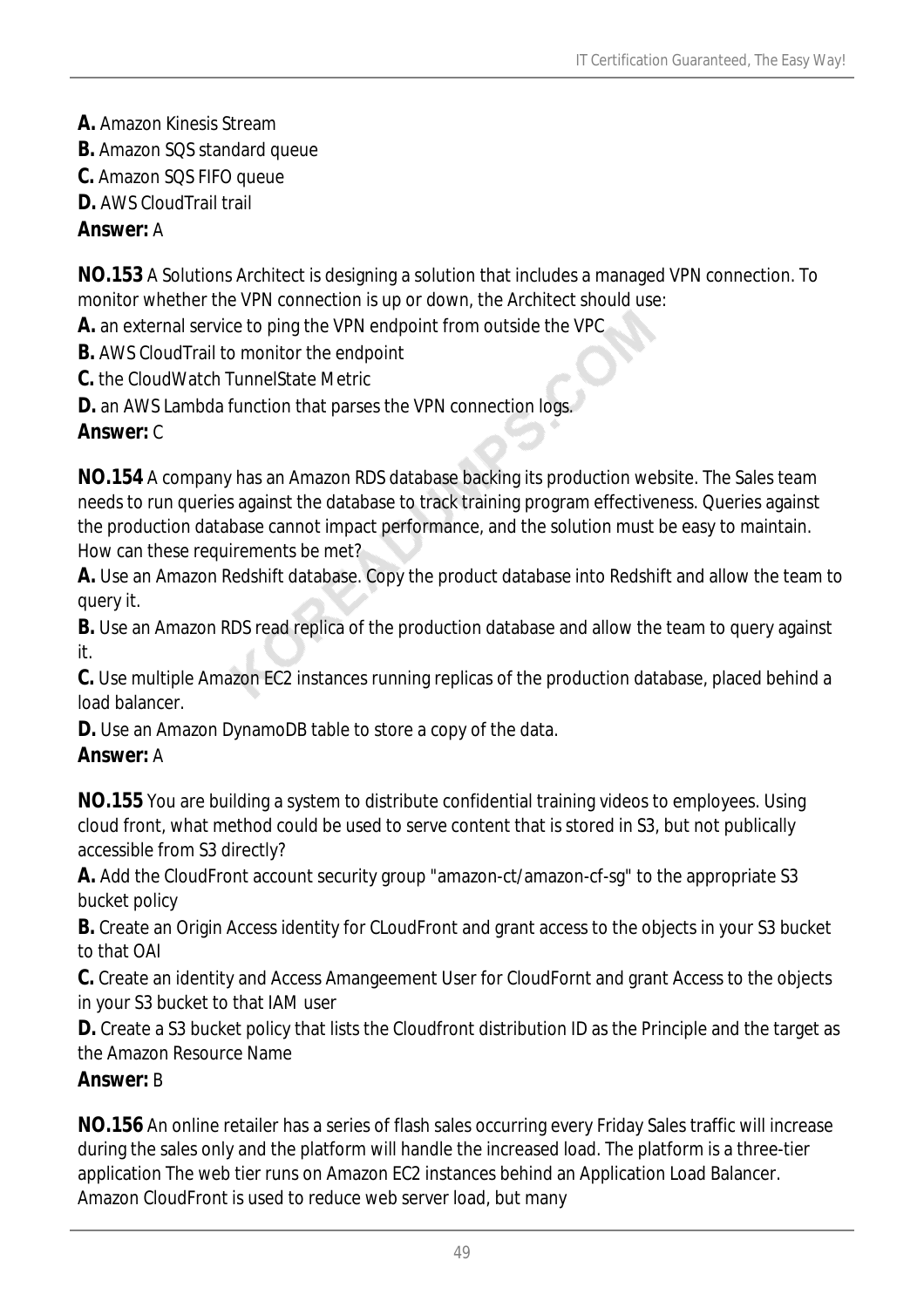- **A.** Amazon Kinesis Stream
- **B.** Amazon SQS standard queue
- **C.** Amazon SQS FIFO queue
- **D.** AWS CloudTrail trail

#### *Answer:* A

**NO.153** A Solutions Architect is designing a solution that includes a managed VPN connection. To monitor whether the VPN connection is up or down, the Architect should use:

- **A.** an external service to ping the VPN endpoint from outside the VPC
- **B.** AWS CloudTrail to monitor the endpoint
- **C.** the CloudWatch TunnelState Metric
- **D.** an AWS Lambda function that parses the VPN connection logs.

### *Answer:* C

**NO.154** A company has an Amazon RDS database backing its production website. The Sales team needs to run queries against the database to track training program effectiveness. Queries against the production database cannot impact performance, and the solution must be easy to maintain. How can these requirements be met?

**A.** Use an Amazon Redshift database. Copy the product database into Redshift and allow the team to query it.

**B.** Use an Amazon RDS read replica of the production database and allow the team to query against it.

**C.** Use multiple Amazon EC2 instances running replicas of the production database, placed behind a load balancer.

**D.** Use an Amazon DynamoDB table to store a copy of the data.

### *Answer:* A

**NO.155** You are building a system to distribute confidential training videos to employees. Using cloud front, what method could be used to serve content that is stored in S3, but not publically accessible from S3 directly?

**A.** Add the CloudFront account security group "amazon-ct/amazon-cf-sg" to the appropriate S3 bucket policy

**B.** Create an Origin Access identity for CLoudFront and grant access to the objects in your S3 bucket to that OAI

**C.** Create an identity and Access Amangeement User for CloudFornt and grant Access to the objects in your S3 bucket to that IAM user

**D.** Create a S3 bucket policy that lists the Cloudfront distribution ID as the Principle and the target as the Amazon Resource Name

### *Answer:* B

**NO.156** An online retailer has a series of flash sales occurring every Friday Sales traffic will increase during the sales only and the platform will handle the increased load. The platform is a three-tier application The web tier runs on Amazon EC2 instances behind an Application Load Balancer. Amazon CloudFront is used to reduce web server load, but many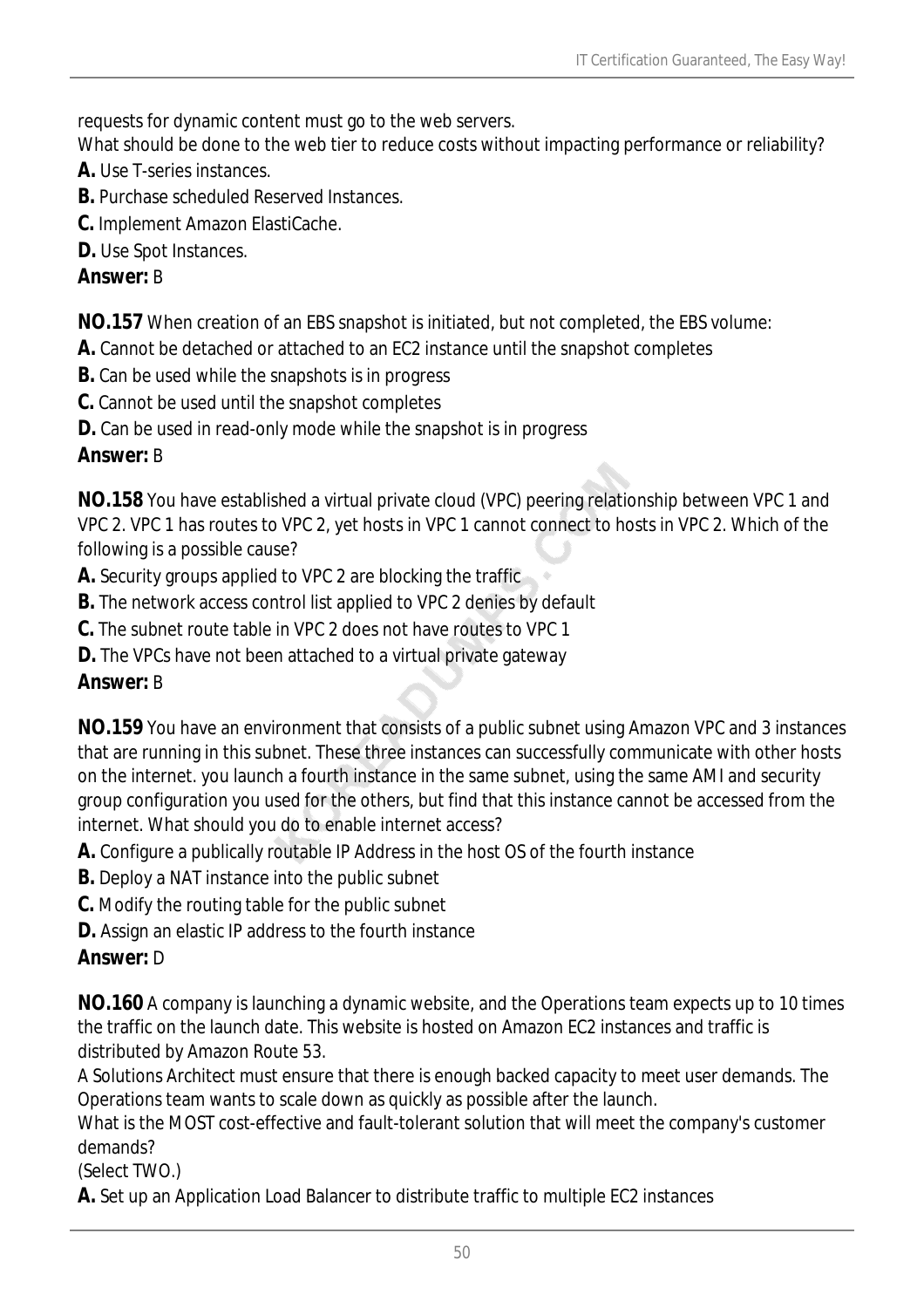requests for dynamic content must go to the web servers.

What should be done to the web tier to reduce costs without impacting performance or reliability?

- **A.** Use T-series instances.
- **B.** Purchase scheduled Reserved Instances.
- **C.** Implement Amazon ElastiCache.
- **D.** Use Spot Instances.

#### *Answer:* B

**NO.157** When creation of an EBS snapshot is initiated, but not completed, the EBS volume:

- **A.** Cannot be detached or attached to an EC2 instance until the snapshot completes
- **B.** Can be used while the snapshots is in progress
- **C.** Cannot be used until the snapshot completes
- **D.** Can be used in read-only mode while the snapshot is in progress

### *Answer:* B

**NO.158** You have established a virtual private cloud (VPC) peering relationship between VPC 1 and VPC 2. VPC 1 has routes to VPC 2, yet hosts in VPC 1 cannot connect to hosts in VPC 2. Which of the following is a possible cause?

**A.** Security groups applied to VPC 2 are blocking the traffic

- **B.** The network access control list applied to VPC 2 denies by default
- **C.** The subnet route table in VPC 2 does not have routes to VPC 1
- **D.** The VPCs have not been attached to a virtual private gateway

### *Answer:* B

**NO.159** You have an environment that consists of a public subnet using Amazon VPC and 3 instances that are running in this subnet. These three instances can successfully communicate with other hosts on the internet. you launch a fourth instance in the same subnet, using the same AMI and security group configuration you used for the others, but find that this instance cannot be accessed from the internet. What should you do to enable internet access?

**A.** Configure a publically routable IP Address in the host OS of the fourth instance

**B.** Deploy a NAT instance into the public subnet

- **C.** Modify the routing table for the public subnet
- **D.** Assign an elastic IP address to the fourth instance

### *Answer:* D

**NO.160** A company is launching a dynamic website, and the Operations team expects up to 10 times the traffic on the launch date. This website is hosted on Amazon EC2 instances and traffic is distributed by Amazon Route 53.

A Solutions Architect must ensure that there is enough backed capacity to meet user demands. The Operations team wants to scale down as quickly as possible after the launch.

What is the MOST cost-effective and fault-tolerant solution that will meet the company's customer demands?

(Select TWO.)

**A.** Set up an Application Load Balancer to distribute traffic to multiple EC2 instances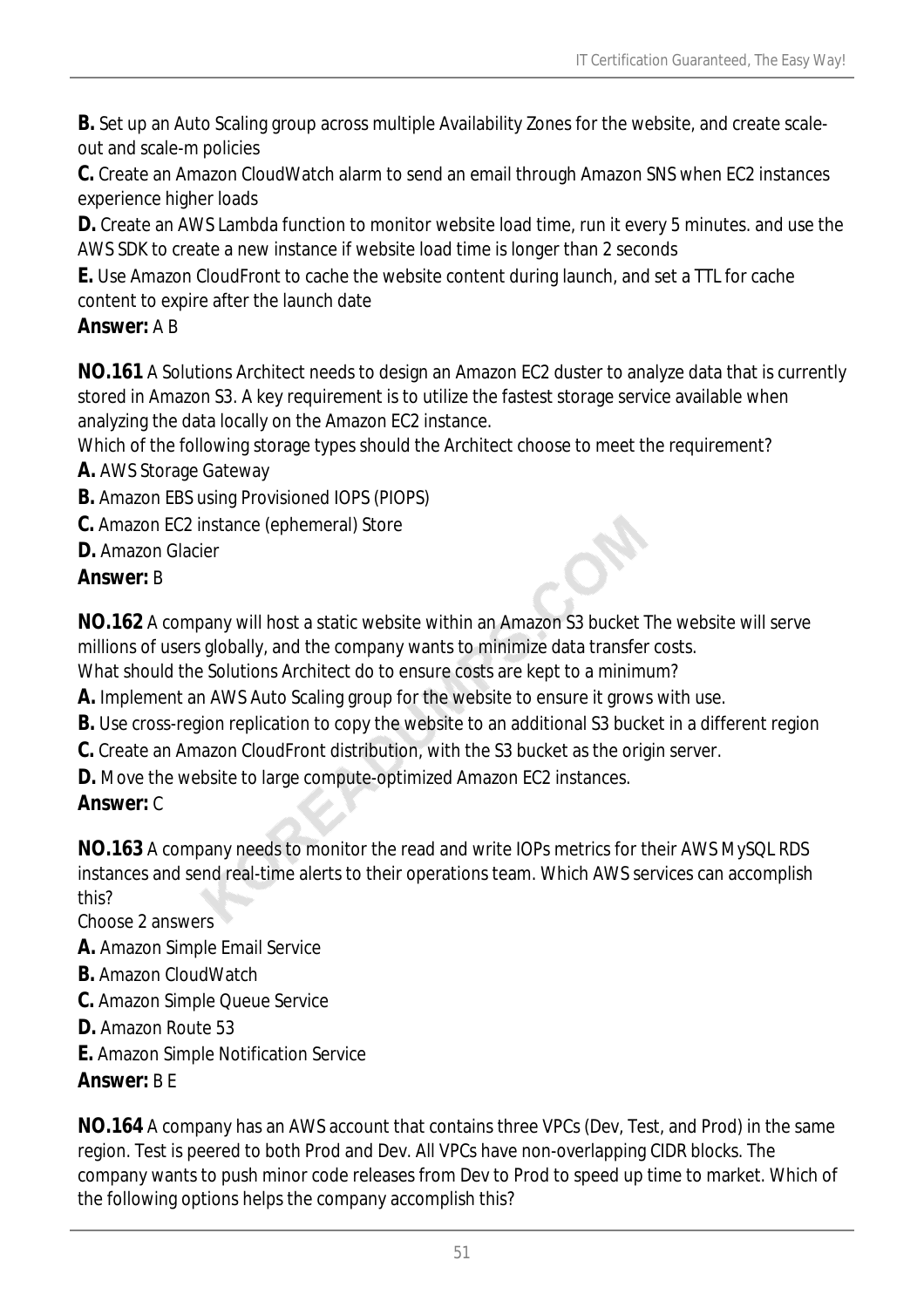**B.** Set up an Auto Scaling group across multiple Availability Zones for the website, and create scaleout and scale-m policies

**C.** Create an Amazon CloudWatch alarm to send an email through Amazon SNS when EC2 instances experience higher loads

**D.** Create an AWS Lambda function to monitor website load time, run it every 5 minutes. and use the AWS SDK to create a new instance if website load time is longer than 2 seconds

**E.** Use Amazon CloudFront to cache the website content during launch, and set a TTL for cache content to expire after the launch date

### *Answer:* A B

**NO.161** A Solutions Architect needs to design an Amazon EC2 duster to analyze data that is currently stored in Amazon S3. A key requirement is to utilize the fastest storage service available when analyzing the data locally on the Amazon EC2 instance.

Which of the following storage types should the Architect choose to meet the requirement?

- **A.** AWS Storage Gateway
- **B.** Amazon EBS using Provisioned IOPS (PIOPS)
- **C.** Amazon EC2 instance (ephemeral) Store
- **D.** Amazon Glacier

## *Answer:* B

**NO.162** A company will host a static website within an Amazon S3 bucket The website will serve millions of users globally, and the company wants to minimize data transfer costs.

What should the Solutions Architect do to ensure costs are kept to a minimum?

- **A.** Implement an AWS Auto Scaling group for the website to ensure it grows with use.
- **B.** Use cross-region replication to copy the website to an additional S3 bucket in a different region
- **C.** Create an Amazon CloudFront distribution, with the S3 bucket as the origin server.
- **D.** Move the website to large compute-optimized Amazon EC2 instances.

*Answer:* C

**NO.163** A company needs to monitor the read and write IOPs metrics for their AWS MySQL RDS instances and send real-time alerts to their operations team. Which AWS services can accomplish this?

Choose 2 answers

- **A.** Amazon Simple Email Service
- **B.** Amazon CloudWatch
- **C.** Amazon Simple Queue Service
- **D.** Amazon Route 53
- **E.** Amazon Simple Notification Service

## *Answer:* B E

**NO.164** A company has an AWS account that contains three VPCs (Dev, Test, and Prod) in the same region. Test is peered to both Prod and Dev. All VPCs have non-overlapping CIDR blocks. The company wants to push minor code releases from Dev to Prod to speed up time to market. Which of the following options helps the company accomplish this?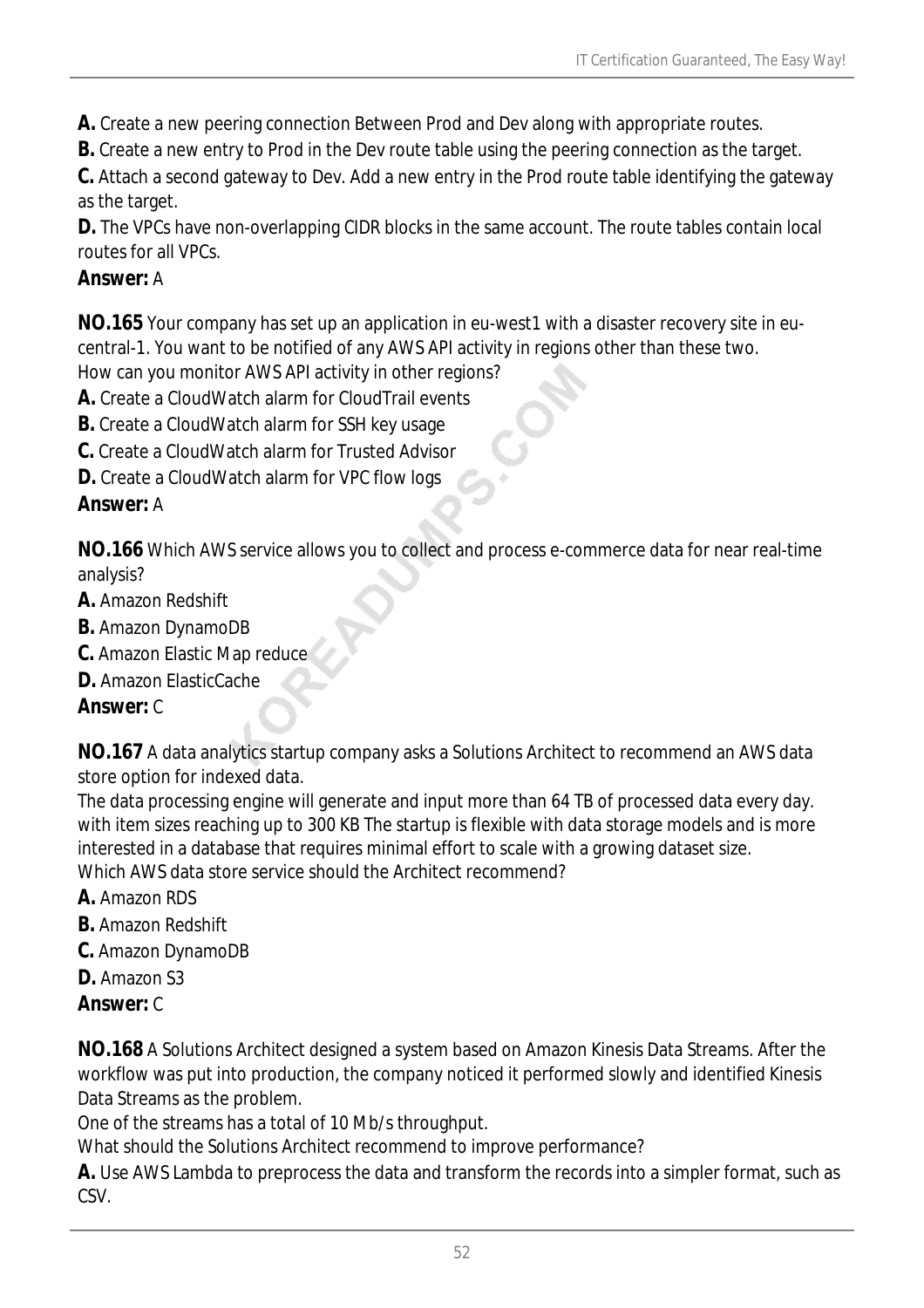- **A.** Create a new peering connection Between Prod and Dev along with appropriate routes.
- **B.** Create a new entry to Prod in the Dev route table using the peering connection as the target.

**C.** Attach a second gateway to Dev. Add a new entry in the Prod route table identifying the gateway as the target.

**D.** The VPCs have non-overlapping CIDR blocks in the same account. The route tables contain local routes for all VPCs.

#### *Answer:* A

**NO.165** Your company has set up an application in eu-west1 with a disaster recovery site in eucentral-1. You want to be notified of any AWS API activity in regions other than these two. How can you monitor AWS API activity in other regions?

- **A.** Create a CloudWatch alarm for CloudTrail events
- **B.** Create a CloudWatch alarm for SSH key usage
- **C.** Create a CloudWatch alarm for Trusted Advisor
- **D.** Create a CloudWatch alarm for VPC flow logs

#### *Answer:* A

**NO.166** Which AWS service allows you to collect and process e-commerce data for near real-time analysis?

- **A.** Amazon Redshift
- **B.** Amazon DynamoDB
- **C.** Amazon Elastic Map reduce
- **D.** Amazon ElasticCache

#### *Answer:* C

**NO.167** A data analytics startup company asks a Solutions Architect to recommend an AWS data store option for indexed data.

The data processing engine will generate and input more than 64 TB of processed data every day. with item sizes reaching up to 300 KB The startup is flexible with data storage models and is more interested in a database that requires minimal effort to scale with a growing dataset size. Which AWS data store service should the Architect recommend?

- **A.** Amazon RDS
- **B.** Amazon Redshift
- **C.** Amazon DynamoDB
- **D.** Amazon S3
- *Answer:* C

**NO.168** A Solutions Architect designed a system based on Amazon Kinesis Data Streams. After the workflow was put into production, the company noticed it performed slowly and identified Kinesis Data Streams as the problem.

One of the streams has a total of 10 Mb/s throughput.

What should the Solutions Architect recommend to improve performance?

**A.** Use AWS Lambda to preprocess the data and transform the records into a simpler format, such as CSV.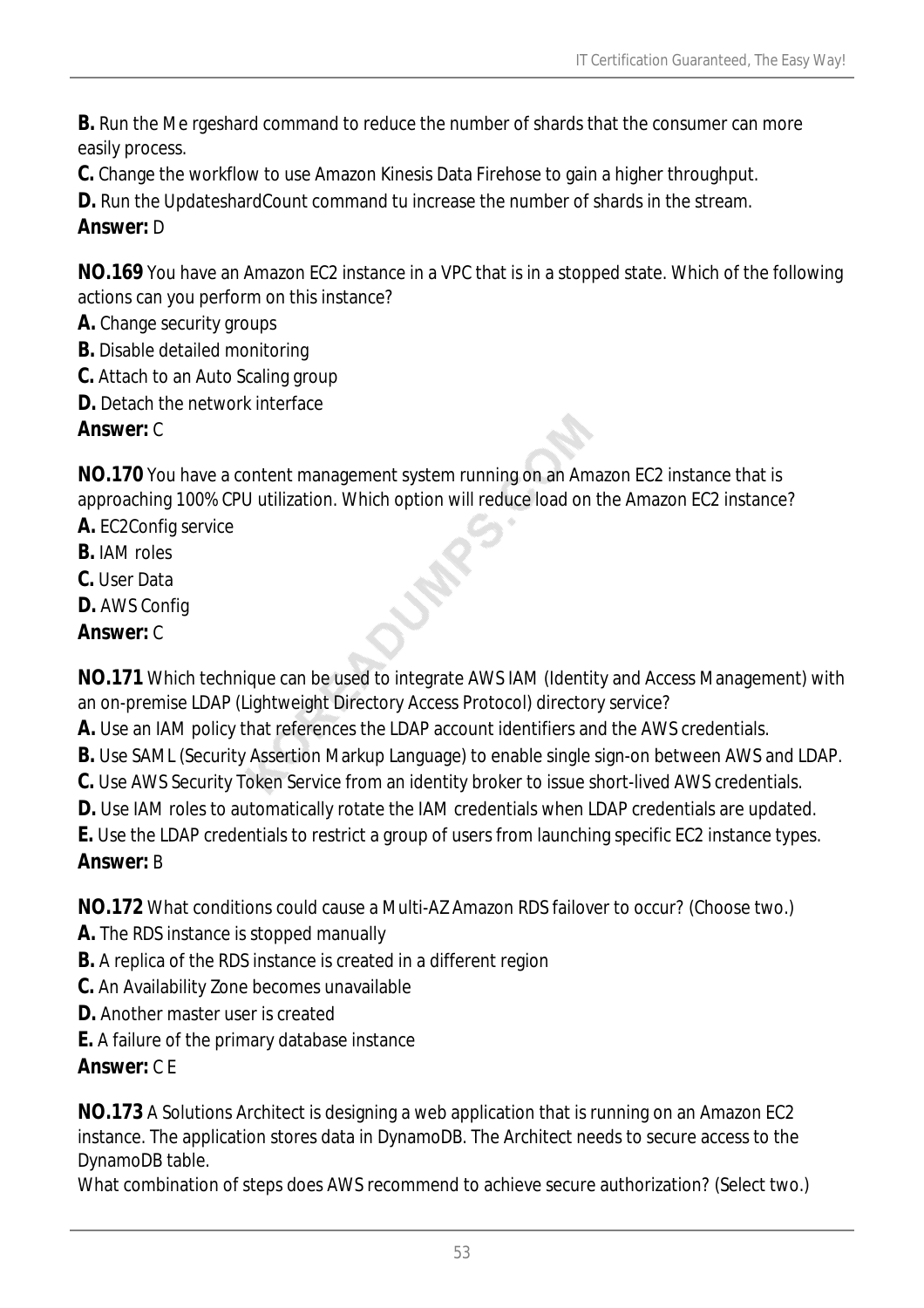**B.** Run the Me rgeshard command to reduce the number of shards that the consumer can more easily process.

**C.** Change the workflow to use Amazon Kinesis Data Firehose to gain a higher throughput.

**D.** Run the UpdateshardCount command tu increase the number of shards in the stream.

### *Answer:* D

**NO.169** You have an Amazon EC2 instance in a VPC that is in a stopped state. Which of the following actions can you perform on this instance?

- **A.** Change security groups
- **B.** Disable detailed monitoring
- **C.** Attach to an Auto Scaling group
- **D.** Detach the network interface

### *Answer:* C

**NO.170** You have a content management system running on an Amazon EC2 instance that is approaching 100% CPU utilization. Which option will reduce load on the Amazon EC2 instance?

- **A.** EC2Config service
- **B.** IAM roles
- **C.** User Data
- **D.** AWS Config
- *Answer:* C

**NO.171** Which technique can be used to integrate AWS IAM (Identity and Access Management) with an on-premise LDAP (Lightweight Directory Access Protocol) directory service?

- **A.** Use an IAM policy that references the LDAP account identifiers and the AWS credentials.
- **B.** Use SAML (Security Assertion Markup Language) to enable single sign-on between AWS and LDAP.
- **C.** Use AWS Security Token Service from an identity broker to issue short-lived AWS credentials.
- **D.** Use IAM roles to automatically rotate the IAM credentials when LDAP credentials are updated.
- **E.** Use the LDAP credentials to restrict a group of users from launching specific EC2 instance types.

### *Answer:* B

**NO.172** What conditions could cause a Multi-AZ Amazon RDS failover to occur? (Choose two.)

- **A.** The RDS instance is stopped manually
- **B.** A replica of the RDS instance is created in a different region
- **C.** An Availability Zone becomes unavailable
- **D.** Another master user is created
- **E.** A failure of the primary database instance

### *Answer:* C E

**NO.173** A Solutions Architect is designing a web application that is running on an Amazon EC2 instance. The application stores data in DynamoDB. The Architect needs to secure access to the DynamoDB table.

What combination of steps does AWS recommend to achieve secure authorization? (Select two.)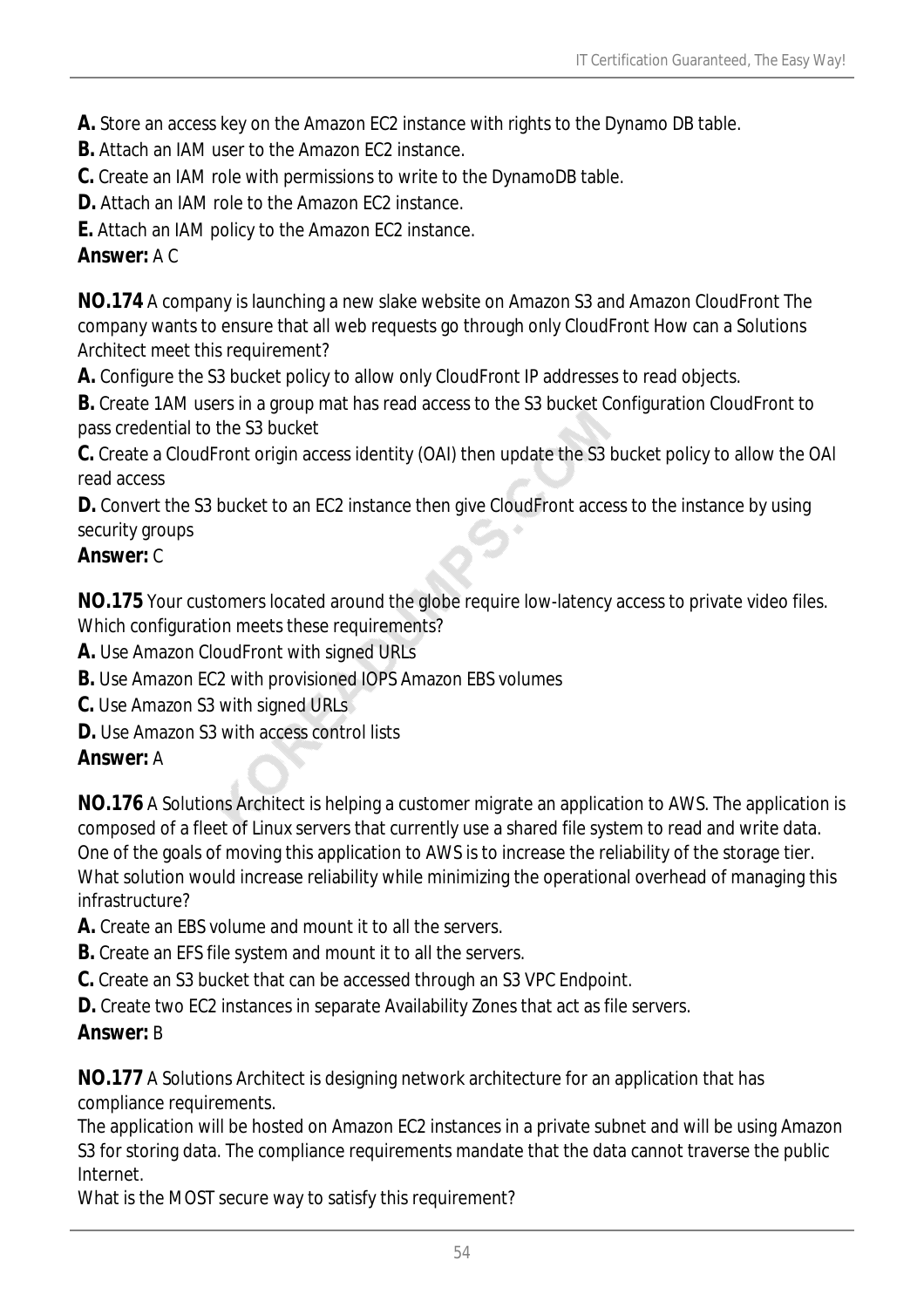**A.** Store an access key on the Amazon EC2 instance with rights to the Dynamo DB table.

**B.** Attach an IAM user to the Amazon EC2 instance.

**C.** Create an IAM role with permissions to write to the DynamoDB table.

**D.** Attach an IAM role to the Amazon FC2 instance.

**E.** Attach an IAM policy to the Amazon EC2 instance.

#### *Answer:* A C

**NO.174** A company is launching a new slake website on Amazon S3 and Amazon CloudFront The company wants to ensure that all web requests go through only CloudFront How can a Solutions Architect meet this requirement?

**A.** Configure the S3 bucket policy to allow only CloudFront IP addresses to read objects.

**B.** Create 1AM users in a group mat has read access to the S3 bucket Configuration CloudFront to pass credential to the S3 bucket

**C.** Create a CloudFront origin access identity (OAI) then update the S3 bucket policy to allow the OAl read access

**D.** Convert the S3 bucket to an EC2 instance then give CloudFront access to the instance by using security groups

### *Answer:* C

**NO.175** Your customers located around the globe require low-latency access to private video files. Which configuration meets these requirements?

**A.** Use Amazon CloudFront with signed URLs

- **B.** Use Amazon EC2 with provisioned IOPS Amazon EBS volumes
- **C.** Use Amazon S3 with signed URLs
- **D.** Use Amazon S3 with access control lists

### *Answer:* A

**NO.176** A Solutions Architect is helping a customer migrate an application to AWS. The application is composed of a fleet of Linux servers that currently use a shared file system to read and write data. One of the goals of moving this application to AWS is to increase the reliability of the storage tier. What solution would increase reliability while minimizing the operational overhead of managing this infrastructure?

- **A.** Create an EBS volume and mount it to all the servers.
- **B.** Create an EFS file system and mount it to all the servers.
- **C.** Create an S3 bucket that can be accessed through an S3 VPC Endpoint.
- **D.** Create two EC2 instances in separate Availability Zones that act as file servers.

### *Answer:* B

**NO.177** A Solutions Architect is designing network architecture for an application that has compliance requirements.

The application will be hosted on Amazon EC2 instances in a private subnet and will be using Amazon S3 for storing data. The compliance requirements mandate that the data cannot traverse the public Internet.

What is the MOST secure way to satisfy this requirement?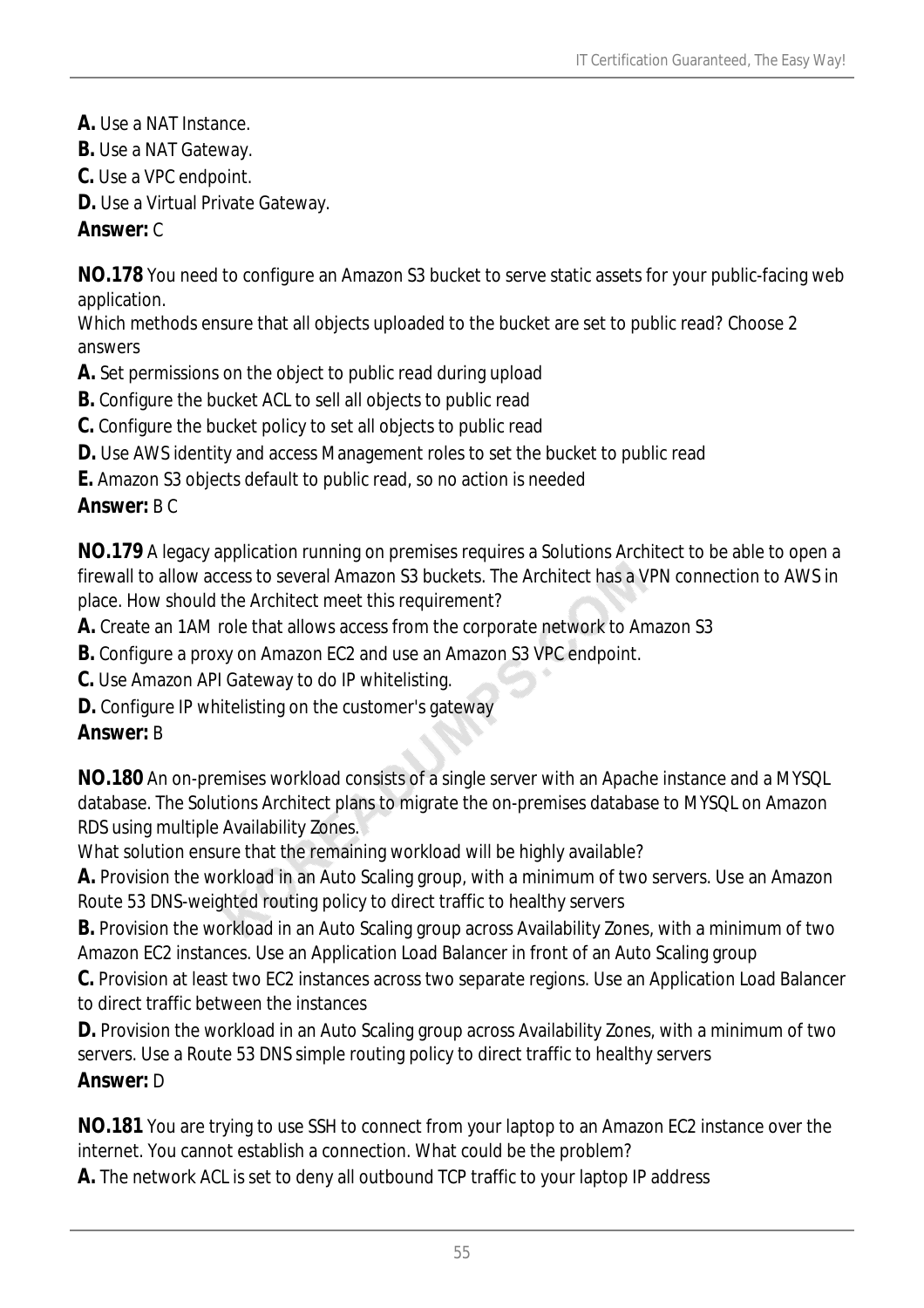- **A.** Use a NAT Instance.
- **B.** Use a NAT Gateway.
- **C.** Use a VPC endpoint.
- **D.** Use a Virtual Private Gateway.

### *Answer:* C

**NO.178** You need to configure an Amazon S3 bucket to serve static assets for your public-facing web application.

Which methods ensure that all objects uploaded to the bucket are set to public read? Choose 2 answers

- **A.** Set permissions on the object to public read during upload
- **B.** Configure the bucket ACL to sell all objects to public read
- **C.** Configure the bucket policy to set all objects to public read
- **D.** Use AWS identity and access Management roles to set the bucket to public read
- **E.** Amazon S3 objects default to public read, so no action is needed

## *Answer:* B C

**NO.179** A legacy application running on premises requires a Solutions Architect to be able to open a firewall to allow access to several Amazon S3 buckets. The Architect has a VPN connection to AWS in place. How should the Architect meet this requirement?

- **A.** Create an 1AM role that allows access from the corporate network to Amazon S3
- **B.** Configure a proxy on Amazon EC2 and use an Amazon S3 VPC endpoint.
- **C.** Use Amazon API Gateway to do IP whitelisting.
- **D.** Configure IP whitelisting on the customer's gateway

### *Answer:* B

**NO.180** An on-premises workload consists of a single server with an Apache instance and a MYSQL database. The Solutions Architect plans to migrate the on-premises database to MYSQL on Amazon RDS using multiple Availability Zones.

What solution ensure that the remaining workload will be highly available?

**A.** Provision the workload in an Auto Scaling group, with a minimum of two servers. Use an Amazon Route 53 DNS-weighted routing policy to direct traffic to healthy servers

**B.** Provision the workload in an Auto Scaling group across Availability Zones, with a minimum of two Amazon EC2 instances. Use an Application Load Balancer in front of an Auto Scaling group

**C.** Provision at least two EC2 instances across two separate regions. Use an Application Load Balancer to direct traffic between the instances

**D.** Provision the workload in an Auto Scaling group across Availability Zones, with a minimum of two servers. Use a Route 53 DNS simple routing policy to direct traffic to healthy servers

### *Answer:* D

**NO.181** You are trying to use SSH to connect from your laptop to an Amazon EC2 instance over the internet. You cannot establish a connection. What could be the problem?

**A.** The network ACL is set to deny all outbound TCP traffic to your laptop IP address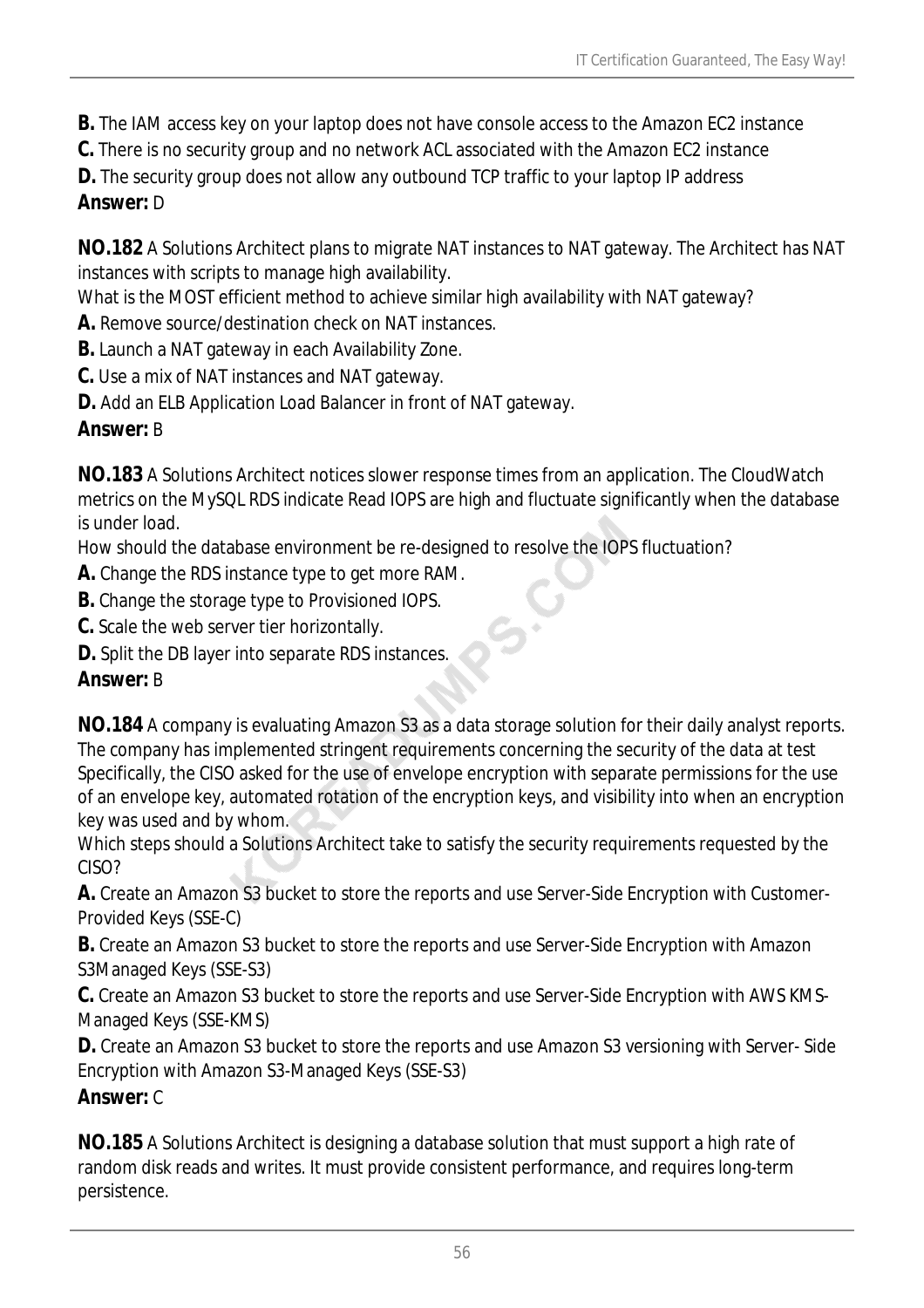- **B.** The IAM access key on your laptop does not have console access to the Amazon EC2 instance
- **C.** There is no security group and no network ACL associated with the Amazon EC2 instance
- **D.** The security group does not allow any outbound TCP traffic to your laptop IP address

### *Answer:* D

**NO.182** A Solutions Architect plans to migrate NAT instances to NAT gateway. The Architect has NAT instances with scripts to manage high availability.

What is the MOST efficient method to achieve similar high availability with NAT gateway?

- **A.** Remove source/destination check on NAT instances.
- **B.** Launch a NAT gateway in each Availability Zone.
- **C.** Use a mix of NAT instances and NAT gateway.
- **D.** Add an ELB Application Load Balancer in front of NAT gateway.

### *Answer:* B

**NO.183** A Solutions Architect notices slower response times from an application. The CloudWatch metrics on the MySQL RDS indicate Read IOPS are high and fluctuate significantly when the database is under load.

How should the database environment be re-designed to resolve the IOPS fluctuation?

- **A.** Change the RDS instance type to get more RAM.
- **B.** Change the storage type to Provisioned IOPS.
- **C.** Scale the web server tier horizontally.
- **D.** Split the DB layer into separate RDS instances.

### *Answer:* B

**NO.184** A company is evaluating Amazon S3 as a data storage solution for their daily analyst reports. The company has implemented stringent requirements concerning the security of the data at test Specifically, the CISO asked for the use of envelope encryption with separate permissions for the use of an envelope key, automated rotation of the encryption keys, and visibility into when an encryption key was used and by whom.

Which steps should a Solutions Architect take to satisfy the security requirements requested by the CISO?

**A.** Create an Amazon S3 bucket to store the reports and use Server-Side Encryption with Customer-Provided Keys (SSE-C)

**B.** Create an Amazon S3 bucket to store the reports and use Server-Side Encryption with Amazon S3Managed Keys (SSE-S3)

**C.** Create an Amazon S3 bucket to store the reports and use Server-Side Encryption with AWS KMS-Managed Keys (SSE-KMS)

**D.** Create an Amazon S3 bucket to store the reports and use Amazon S3 versioning with Server- Side Encryption with Amazon S3-Managed Keys (SSE-S3)

### *Answer:* C

**NO.185** A Solutions Architect is designing a database solution that must support a high rate of random disk reads and writes. It must provide consistent performance, and requires long-term persistence.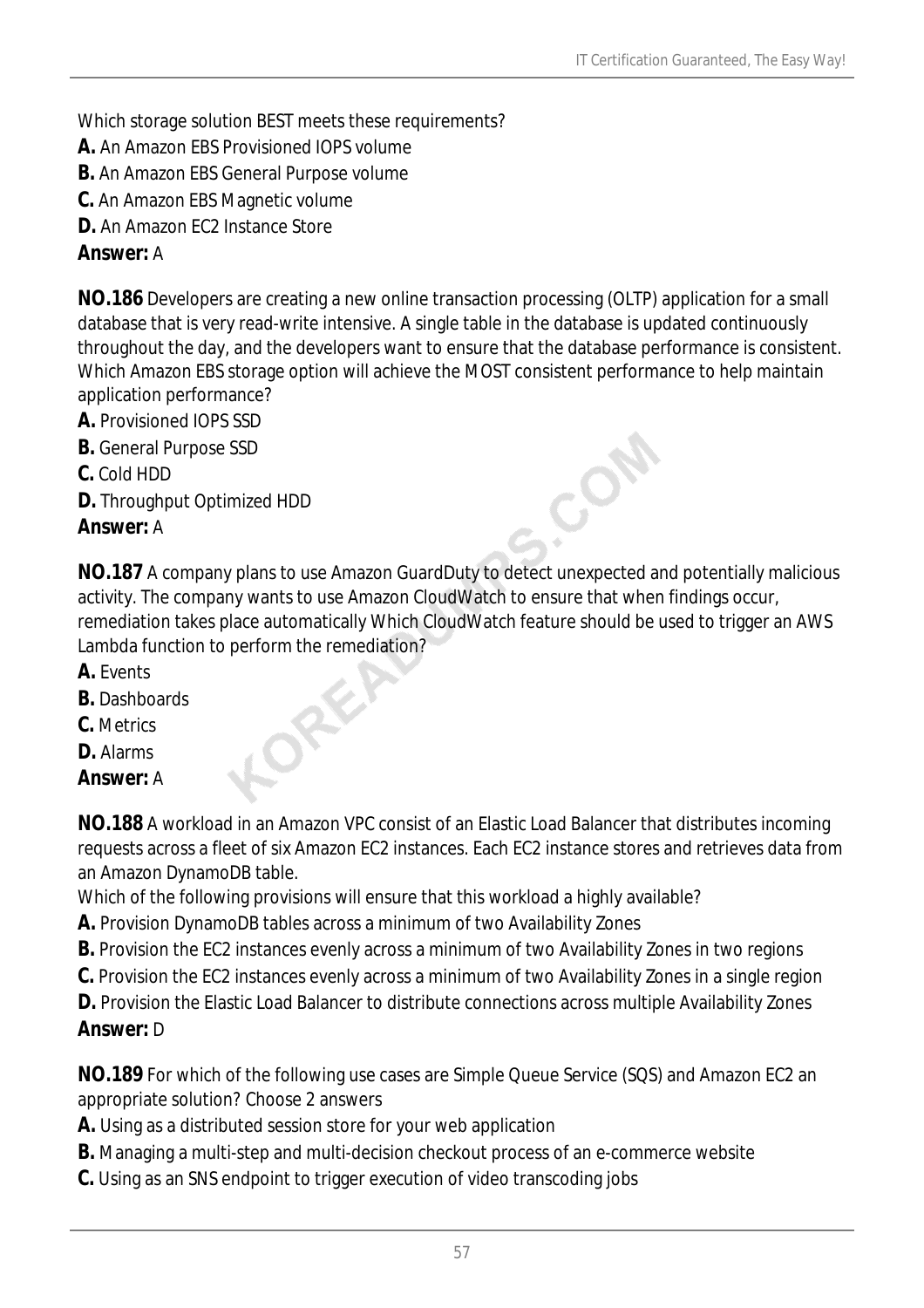Which storage solution BEST meets these requirements?

- **A.** An Amazon EBS Provisioned IOPS volume
- **B.** An Amazon EBS General Purpose volume
- **C.** An Amazon EBS Magnetic volume
- **D.** An Amazon EC2 Instance Store

#### *Answer:* A

**NO.186** Developers are creating a new online transaction processing (OLTP) application for a small database that is very read-write intensive. A single table in the database is updated continuously throughout the day, and the developers want to ensure that the database performance is consistent. Which Amazon EBS storage option will achieve the MOST consistent performance to help maintain application performance?

- **A.** Provisioned IOPS SSD
- **B.** General Purpose SSD
- **C.** Cold HDD
- **D.** Throughput Optimized HDD

#### *Answer:* A

**NO.187** A company plans to use Amazon GuardDuty to detect unexpected and potentially malicious activity. The company wants to use Amazon CloudWatch to ensure that when findings occur, remediation takes place automatically Which CloudWatch feature should be used to trigger an AWS Lambda function to perform the remediation?

CON

- **A.** Events
- **B.** Dashboards
- **C.** Metrics
- **D.** Alarms

#### *Answer:* A

**NO.188** A workload in an Amazon VPC consist of an Elastic Load Balancer that distributes incoming requests across a fleet of six Amazon EC2 instances. Each EC2 instance stores and retrieves data from an Amazon DynamoDB table.

- Which of the following provisions will ensure that this workload a highly available?
- **A.** Provision DynamoDB tables across a minimum of two Availability Zones
- **B.** Provision the EC2 instances evenly across a minimum of two Availability Zones in two regions
- **C.** Provision the EC2 instances evenly across a minimum of two Availability Zones in a single region
- **D.** Provision the Elastic Load Balancer to distribute connections across multiple Availability Zones *Answer:* D

**NO.189** For which of the following use cases are Simple Queue Service (SQS) and Amazon EC2 an appropriate solution? Choose 2 answers

**A.** Using as a distributed session store for your web application

 $\delta^2$ 

- **B.** Managing a multi-step and multi-decision checkout process of an e-commerce website
- **C.** Using as an SNS endpoint to trigger execution of video transcoding jobs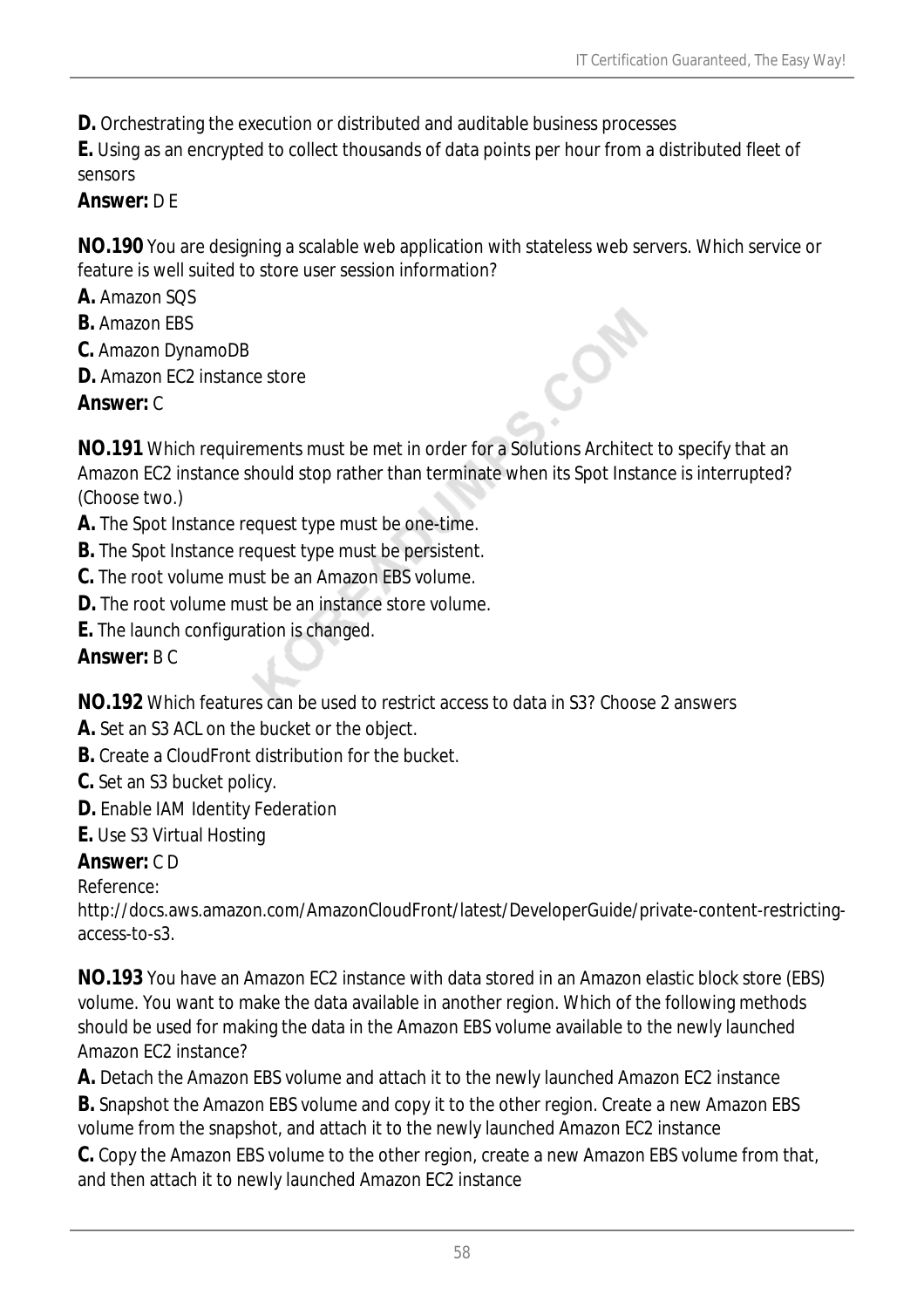**D.** Orchestrating the execution or distributed and auditable business processes

**E.** Using as an encrypted to collect thousands of data points per hour from a distributed fleet of sensors

### *Answer:* D E

**NO.190** You are designing a scalable web application with stateless web servers. Which service or feature is well suited to store user session information?

**A.** Amazon SQS

- **B.** Amazon EBS
- **C.** Amazon DynamoDB
- **D.** Amazon FC2 instance store

### *Answer:* C

**NO.191** Which requirements must be met in order for a Solutions Architect to specify that an Amazon EC2 instance should stop rather than terminate when its Spot Instance is interrupted? (Choose two.)

- **A.** The Spot Instance request type must be one-time.
- **B.** The Spot Instance request type must be persistent.
- **C.** The root volume must be an Amazon EBS volume.
- **D.** The root volume must be an instance store volume.
- **E.** The launch configuration is changed.

*Answer:* B C

**NO.192** Which features can be used to restrict access to data in S3? Choose 2 answers

- **A.** Set an S3 ACL on the bucket or the object.
- **B.** Create a CloudFront distribution for the bucket.
- **C.** Set an S3 bucket policy.
- **D.** Enable IAM Identity Federation
- **E.** Use S3 Virtual Hosting

#### *Answer:* C D

Reference:

http://docs.aws.amazon.com/AmazonCloudFront/latest/DeveloperGuide/private-content-restrictingaccess-to-s3.

**NO.193** You have an Amazon EC2 instance with data stored in an Amazon elastic block store (EBS) volume. You want to make the data available in another region. Which of the following methods should be used for making the data in the Amazon EBS volume available to the newly launched Amazon EC2 instance?

**A.** Detach the Amazon EBS volume and attach it to the newly launched Amazon EC2 instance

**B.** Snapshot the Amazon EBS volume and copy it to the other region. Create a new Amazon EBS volume from the snapshot, and attach it to the newly launched Amazon EC2 instance

**C.** Copy the Amazon EBS volume to the other region, create a new Amazon EBS volume from that, and then attach it to newly launched Amazon EC2 instance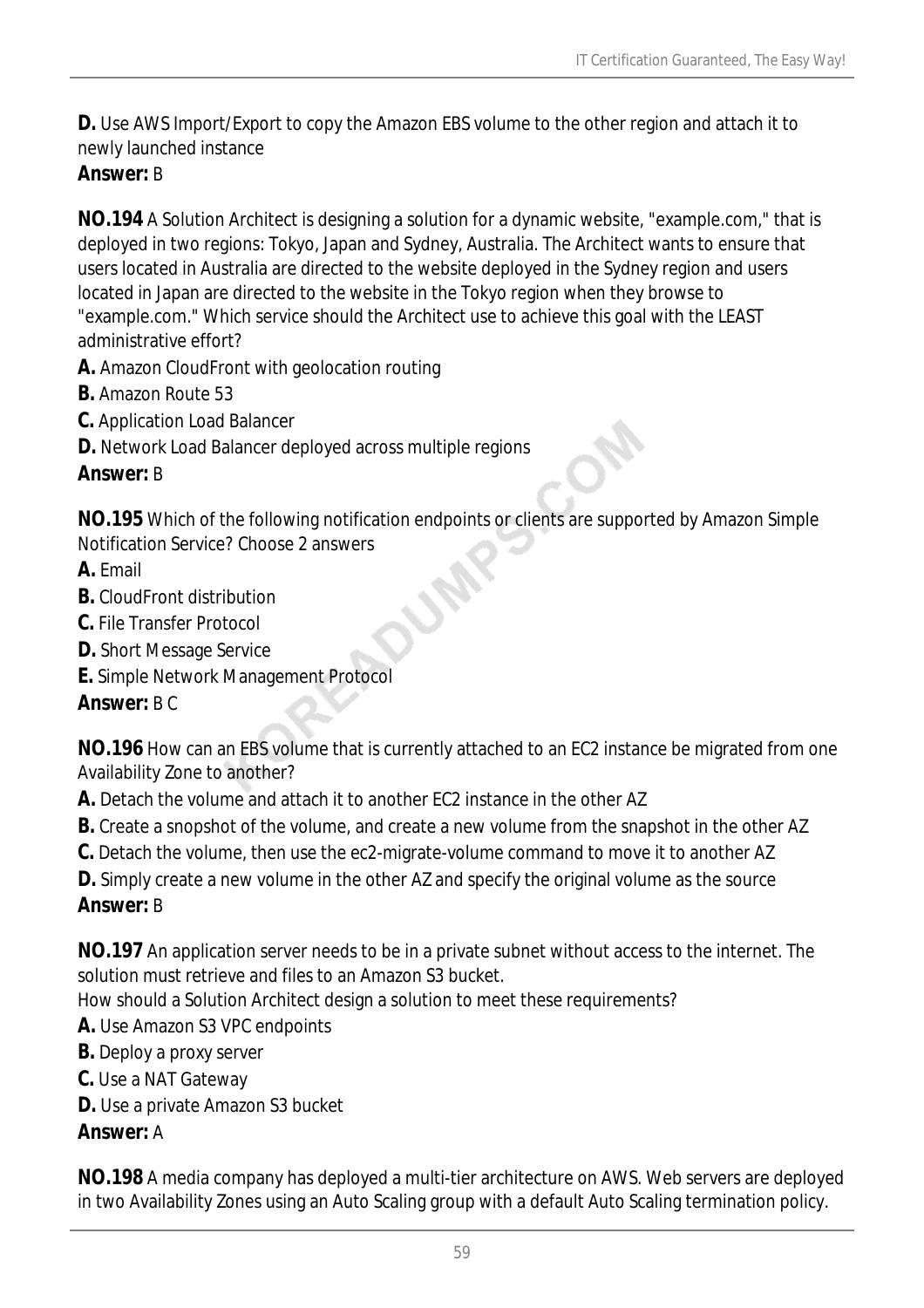**D.** Use AWS Import/Export to copy the Amazon EBS volume to the other region and attach it to newly launched instance

### *Answer:* B

**NO.194** A Solution Architect is designing a solution for a dynamic website, "example.com," that is deployed in two regions: Tokyo, Japan and Sydney, Australia. The Architect wants to ensure that users located in Australia are directed to the website deployed in the Sydney region and users located in Japan are directed to the website in the Tokyo region when they browse to "example.com." Which service should the Architect use to achieve this goal with the LEAST administrative effort?

- **A.** Amazon CloudFront with geolocation routing
- **B.** Amazon Route 53
- **C.** Application Load Balancer
- **D.** Network Load Balancer deployed across multiple regions

### *Answer:* B

**NO.195** Which of the following notification endpoints or clients are supported by Amazon Simple Notification Service? Choose 2 answers

- **A.** Email
- **B.** CloudFront distribution
- **C.** File Transfer Protocol
- **D.** Short Message Service
- **E.** Simple Network Management Protocol

### *Answer:* B C

**NO.196** How can an EBS volume that is currently attached to an EC2 instance be migrated from one Availability Zone to another?

- **A.** Detach the volume and attach it to another EC2 instance in the other AZ
- **B.** Create a snopshot of the volume, and create a new volume from the snapshot in the other AZ
- **C.** Detach the volume, then use the ec2-migrate-volume command to move it to another AZ
- **D.** Simply create a new volume in the other AZ and specify the original volume as the source *Answer:* B

**NO.197** An application server needs to be in a private subnet without access to the internet. The solution must retrieve and files to an Amazon S3 bucket.

How should a Solution Architect design a solution to meet these requirements?

- **A.** Use Amazon S3 VPC endpoints
- **B.** Deploy a proxy server
- **C.** Use a NAT Gateway
- **D.** Use a private Amazon S3 bucket

## *Answer:* A

**NO.198** A media company has deployed a multi-tier architecture on AWS. Web servers are deployed in two Availability Zones using an Auto Scaling group with a default Auto Scaling termination policy.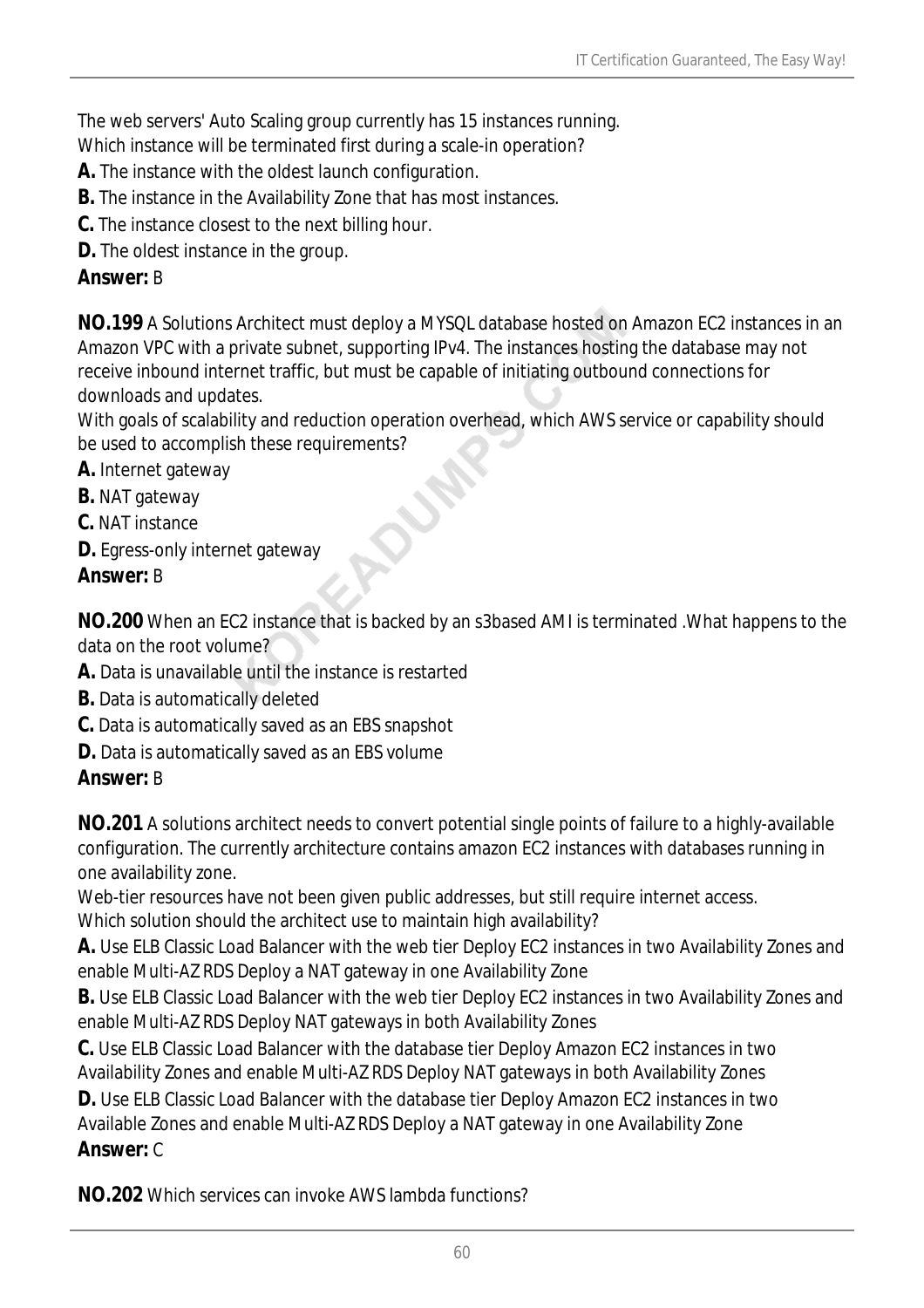The web servers' Auto Scaling group currently has 15 instances running.

Which instance will be terminated first during a scale-in operation?

- **A.** The instance with the oldest launch configuration.
- **B.** The instance in the Availability Zone that has most instances.
- **C.** The instance closest to the next billing hour.
- **D.** The oldest instance in the group.

### *Answer:* B

**NO.199** A Solutions Architect must deploy a MYSQL database hosted on Amazon EC2 instances in an Amazon VPC with a private subnet, supporting IPv4. The instances hosting the database may not receive inbound internet traffic, but must be capable of initiating outbound connections for downloads and updates.

With goals of scalability and reduction operation overhead, which AWS service or capability should be used to accomplish these requirements?

- **A.** Internet gateway
- **B.** NAT gateway
- **C.** NAT instance
- **D.** Egress-only internet gateway

## *Answer:* B

**NO.200** When an EC2 instance that is backed by an s3based AMI is terminated .What happens to the data on the root volume?

- **A.** Data is unavailable until the instance is restarted
- **B.** Data is automatically deleted
- **C.** Data is automatically saved as an EBS snapshot
- **D.** Data is automatically saved as an EBS volume

### *Answer:* B

**NO.201** A solutions architect needs to convert potential single points of failure to a highly-available configuration. The currently architecture contains amazon EC2 instances with databases running in one availability zone.

Web-tier resources have not been given public addresses, but still require internet access. Which solution should the architect use to maintain high availability?

**A.** Use ELB Classic Load Balancer with the web tier Deploy EC2 instances in two Availability Zones and enable Multi-AZ RDS Deploy a NAT gateway in one Availability Zone

**B.** Use ELB Classic Load Balancer with the web tier Deploy EC2 instances in two Availability Zones and enable Multi-AZ RDS Deploy NAT gateways in both Availability Zones

**C.** Use ELB Classic Load Balancer with the database tier Deploy Amazon EC2 instances in two Availability Zones and enable Multi-AZ RDS Deploy NAT gateways in both Availability Zones

**D.** Use ELB Classic Load Balancer with the database tier Deploy Amazon EC2 instances in two Available Zones and enable Multi-AZ RDS Deploy a NAT gateway in one Availability Zone *Answer:* C

**NO.202** Which services can invoke AWS lambda functions?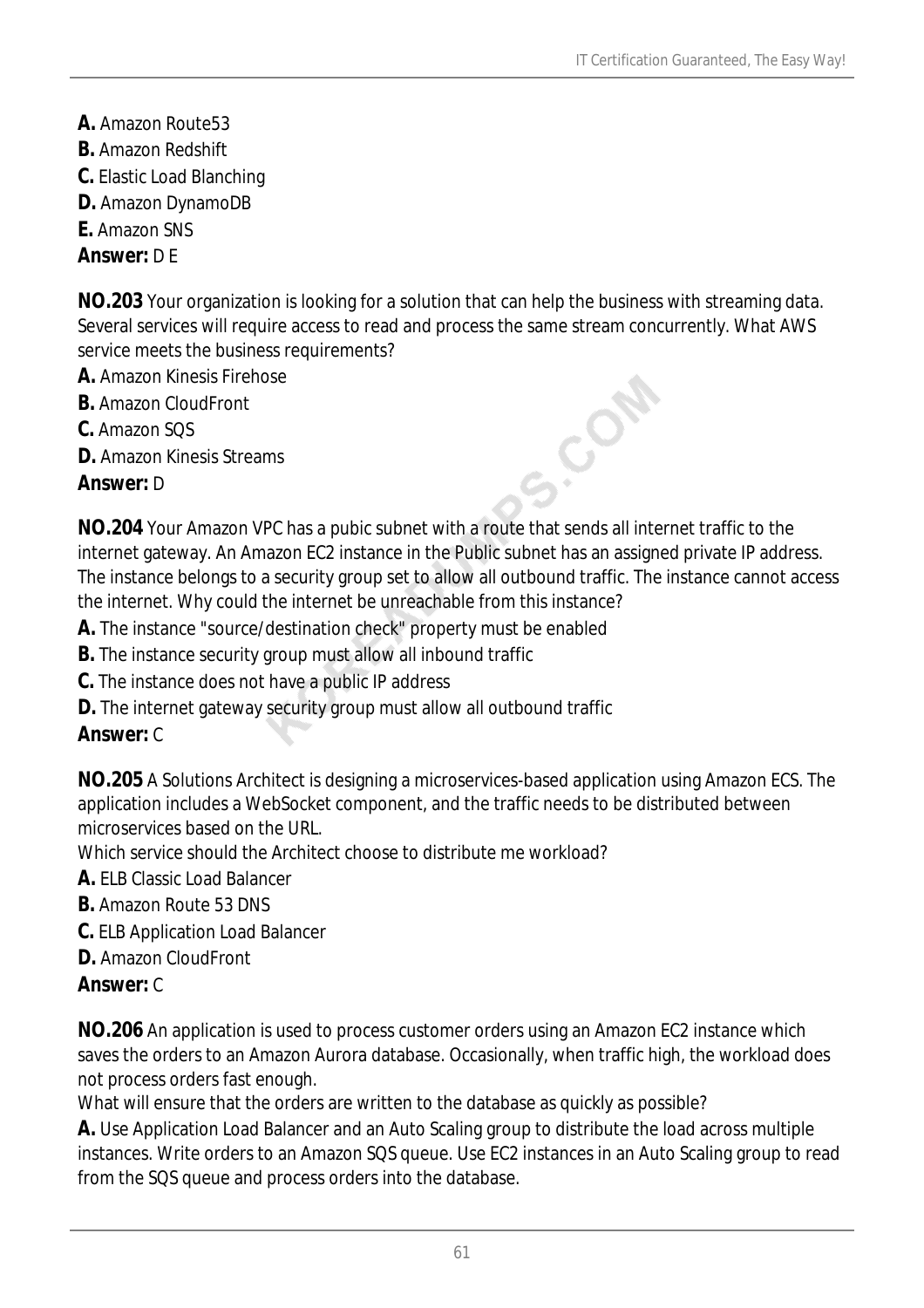- **A.** Amazon Route53
- **B.** Amazon Redshift
- **C.** Elastic Load Blanching
- **D.** Amazon DynamoDB
- **E.** Amazon SNS

#### *Answer:* D E

**NO.203** Your organization is looking for a solution that can help the business with streaming data. Several services will require access to read and process the same stream concurrently. What AWS service meets the business requirements?

- **A.** Amazon Kinesis Firehose
- **B.** Amazon CloudFront
- **C.** Amazon SQS
- **D.** Amazon Kinesis Streams

#### *Answer:* D

**NO.204** Your Amazon VPC has a pubic subnet with a route that sends all internet traffic to the internet gateway. An Amazon EC2 instance in the Public subnet has an assigned private IP address. The instance belongs to a security group set to allow all outbound traffic. The instance cannot access the internet. Why could the internet be unreachable from this instance?

S.COM

- **A.** The instance "source/destination check" property must be enabled
- **B.** The instance security group must allow all inbound traffic
- **C.** The instance does not have a public IP address
- **D.** The internet gateway security group must allow all outbound traffic

### *Answer:* C

**NO.205** A Solutions Architect is designing a microservices-based application using Amazon ECS. The application includes a WebSocket component, and the traffic needs to be distributed between microservices based on the URL.

Which service should the Architect choose to distribute me workload?

- **A.** ELB Classic Load Balancer
- **B.** Amazon Route 53 DNS
- **C.** ELB Application Load Balancer
- **D.** Amazon CloudFront

### *Answer:* C

**NO.206** An application is used to process customer orders using an Amazon EC2 instance which saves the orders to an Amazon Aurora database. Occasionally, when traffic high, the workload does not process orders fast enough.

What will ensure that the orders are written to the database as quickly as possible?

**A.** Use Application Load Balancer and an Auto Scaling group to distribute the load across multiple instances. Write orders to an Amazon SQS queue. Use EC2 instances in an Auto Scaling group to read from the SQS queue and process orders into the database.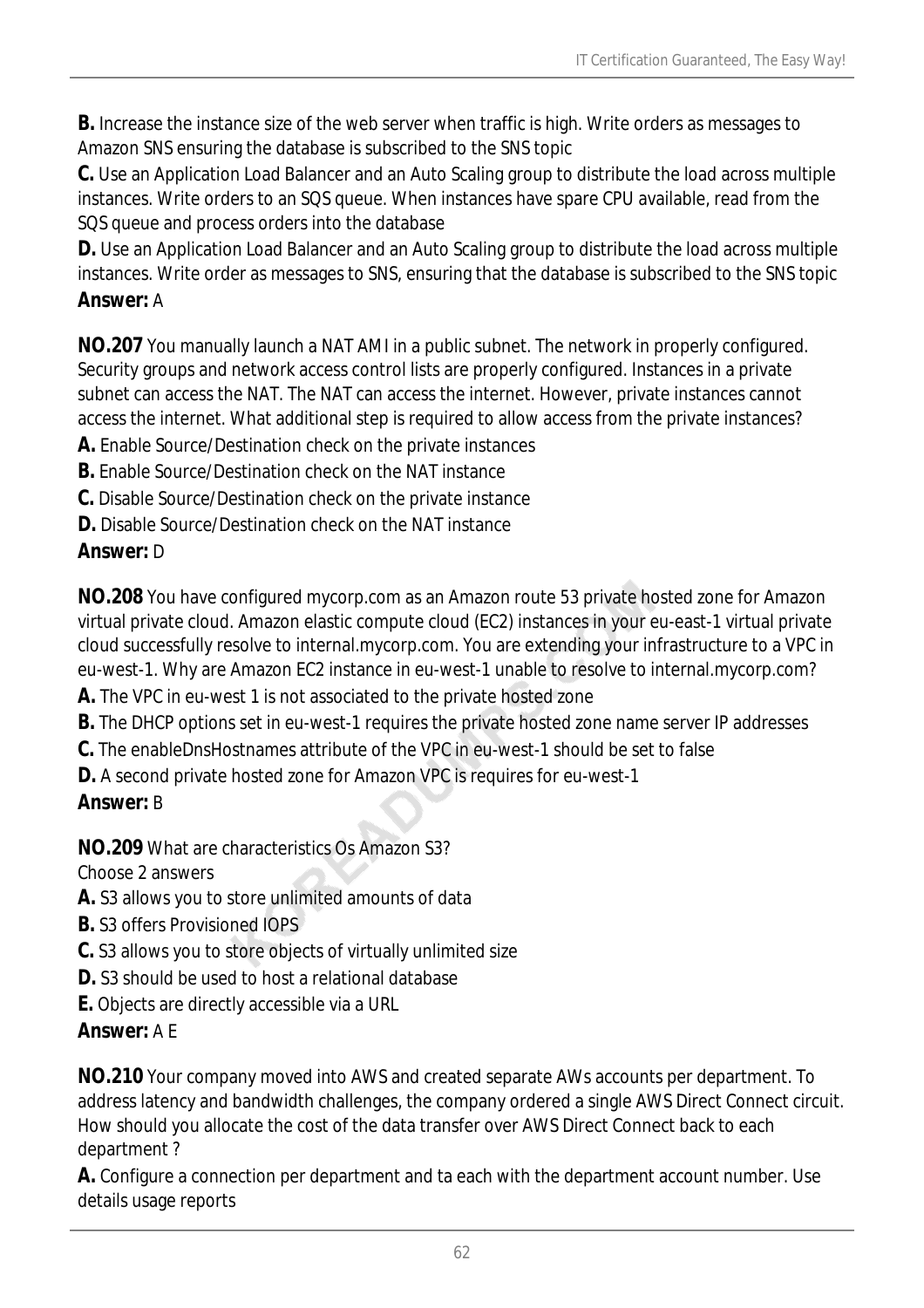**B.** Increase the instance size of the web server when traffic is high. Write orders as messages to Amazon SNS ensuring the database is subscribed to the SNS topic

**C.** Use an Application Load Balancer and an Auto Scaling group to distribute the load across multiple instances. Write orders to an SQS queue. When instances have spare CPU available, read from the SQS queue and process orders into the database

**D.** Use an Application Load Balancer and an Auto Scaling group to distribute the load across multiple instances. Write order as messages to SNS, ensuring that the database is subscribed to the SNS topic *Answer:* A

**NO.207** You manually launch a NAT AMI in a public subnet. The network in properly configured. Security groups and network access control lists are properly configured. Instances in a private subnet can access the NAT. The NAT can access the internet. However, private instances cannot access the internet. What additional step is required to allow access from the private instances?

**A.** Enable Source/Destination check on the private instances

**B.** Enable Source/Destination check on the NAT instance

**C.** Disable Source/Destination check on the private instance

**D.** Disable Source/Destination check on the NAT instance

## *Answer:* D

**NO.208** You have configured mycorp.com as an Amazon route 53 private hosted zone for Amazon virtual private cloud. Amazon elastic compute cloud (EC2) instances in your eu-east-1 virtual private cloud successfully resolve to internal.mycorp.com. You are extending your infrastructure to a VPC in eu-west-1. Why are Amazon EC2 instance in eu-west-1 unable to resolve to internal.mycorp.com?

- **A.** The VPC in eu-west 1 is not associated to the private hosted zone
- **B.** The DHCP options set in eu-west-1 requires the private hosted zone name server IP addresses
- **C.** The enableDnsHostnames attribute of the VPC in eu-west-1 should be set to false
- **D.** A second private hosted zone for Amazon VPC is requires for eu-west-1

## *Answer:* B

**NO.209** What are characteristics Os Amazon S3?

Choose 2 answers

- **A.** S3 allows you to store unlimited amounts of data
- **B.** S3 offers Provisioned IOPS
- **C.** S3 allows you to store objects of virtually unlimited size
- **D.** S3 should be used to host a relational database
- **E.** Objects are directly accessible via a URL

## *Answer:* A E

**NO.210** Your company moved into AWS and created separate AWs accounts per department. To address latency and bandwidth challenges, the company ordered a single AWS Direct Connect circuit. How should you allocate the cost of the data transfer over AWS Direct Connect back to each department ?

**A.** Configure a connection per department and ta each with the department account number. Use details usage reports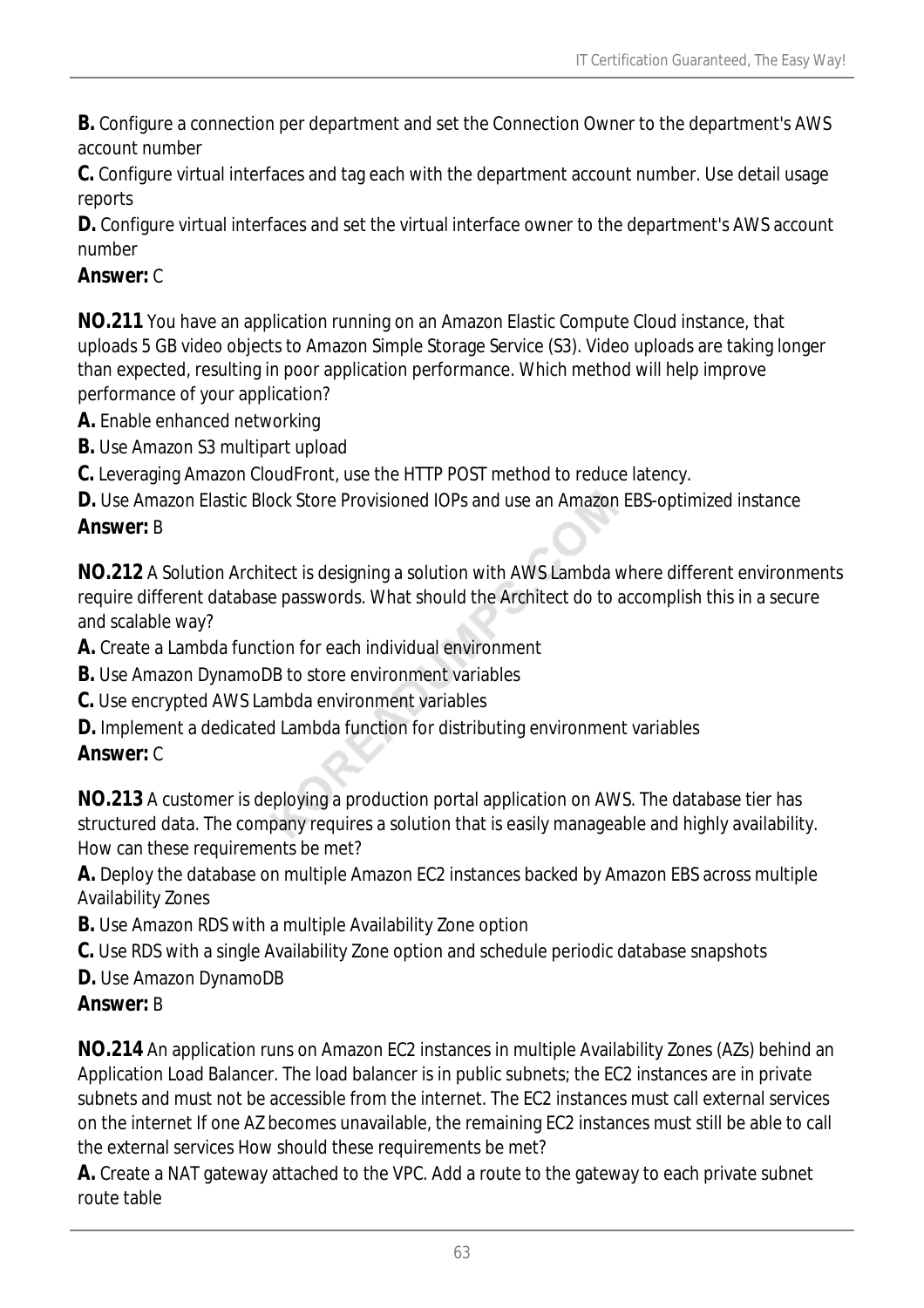**B.** Configure a connection per department and set the Connection Owner to the department's AWS account number

**C.** Configure virtual interfaces and tag each with the department account number. Use detail usage reports

**D.** Configure virtual interfaces and set the virtual interface owner to the department's AWS account number

### *Answer:* C

**NO.211** You have an application running on an Amazon Elastic Compute Cloud instance, that uploads 5 GB video objects to Amazon Simple Storage Service (S3). Video uploads are taking longer than expected, resulting in poor application performance. Which method will help improve performance of your application?

- **A.** Enable enhanced networking
- **B.** Use Amazon S3 multipart upload

**C.** Leveraging Amazon CloudFront, use the HTTP POST method to reduce latency.

**D.** Use Amazon Elastic Block Store Provisioned IOPs and use an Amazon EBS-optimized instance *Answer:* B

**NO.212** A Solution Architect is designing a solution with AWS Lambda where different environments require different database passwords. What should the Architect do to accomplish this in a secure and scalable way?

**A.** Create a Lambda function for each individual environment

**B.** Use Amazon DynamoDB to store environment variables

**C.** Use encrypted AWS Lambda environment variables

**D.** Implement a dedicated Lambda function for distributing environment variables

### *Answer:* C

**NO.213** A customer is deploying a production portal application on AWS. The database tier has structured data. The company requires a solution that is easily manageable and highly availability. How can these requirements be met?

**A.** Deploy the database on multiple Amazon EC2 instances backed by Amazon EBS across multiple Availability Zones

- **B.** Use Amazon RDS with a multiple Availability Zone option
- **C.** Use RDS with a single Availability Zone option and schedule periodic database snapshots
- **D.** Use Amazon DynamoDB

### *Answer:* B

**NO.214** An application runs on Amazon EC2 instances in multiple Availability Zones (AZs) behind an Application Load Balancer. The load balancer is in public subnets; the EC2 instances are in private subnets and must not be accessible from the internet. The EC2 instances must call external services on the internet If one AZ becomes unavailable, the remaining EC2 instances must still be able to call the external services How should these requirements be met?

**A.** Create a NAT gateway attached to the VPC. Add a route to the gateway to each private subnet route table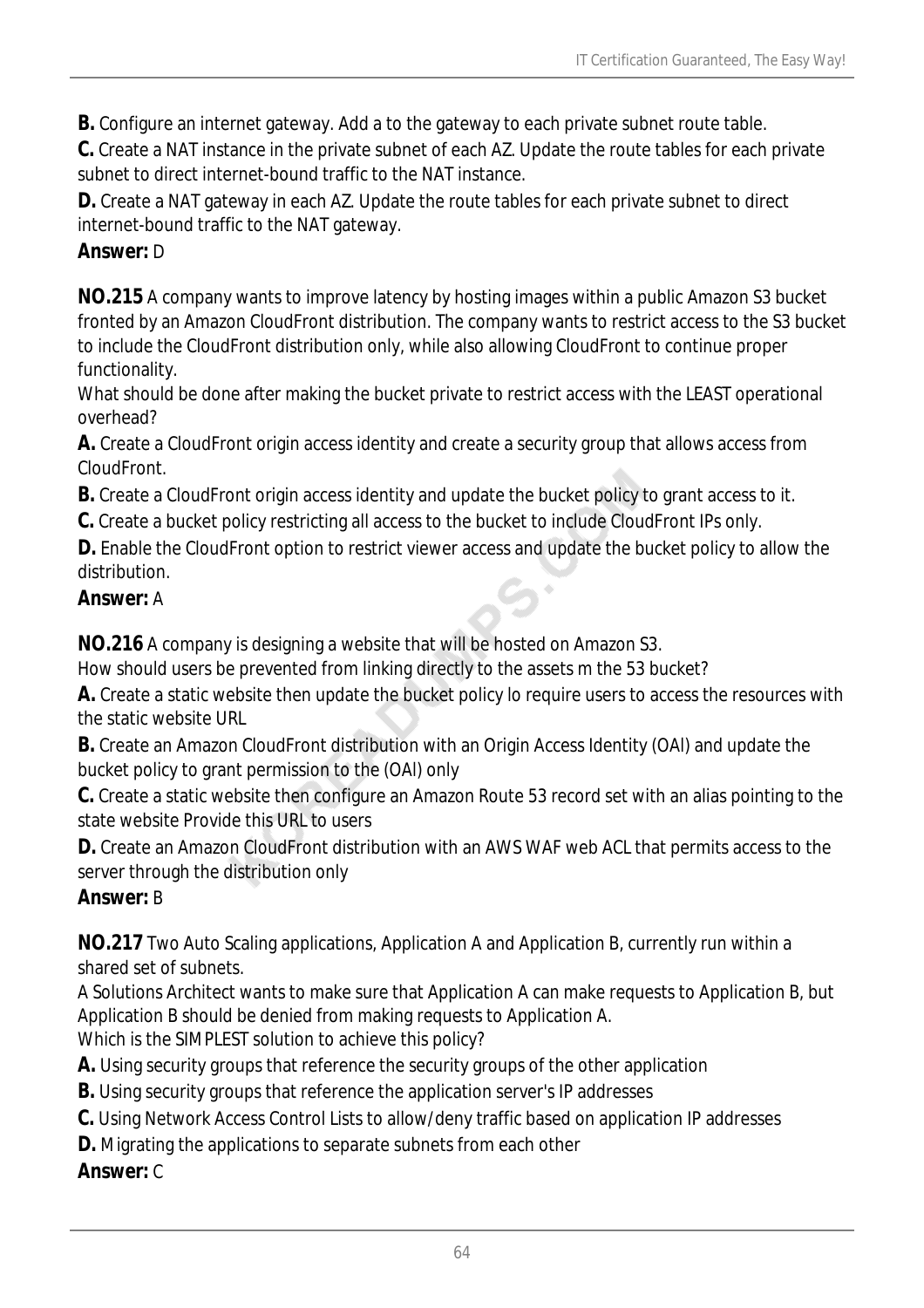**B.** Configure an internet gateway. Add a to the gateway to each private subnet route table.

**C.** Create a NAT instance in the private subnet of each AZ. Update the route tables for each private subnet to direct internet-bound traffic to the NAT instance.

**D.** Create a NAT gateway in each AZ. Update the route tables for each private subnet to direct internet-bound traffic to the NAT gateway.

### *Answer:* D

**NO.215** A company wants to improve latency by hosting images within a public Amazon S3 bucket fronted by an Amazon CloudFront distribution. The company wants to restrict access to the S3 bucket to include the CloudFront distribution only, while also allowing CloudFront to continue proper functionality.

What should be done after making the bucket private to restrict access with the LEAST operational overhead?

**A.** Create a CloudFront origin access identity and create a security group that allows access from CloudFront.

**B.** Create a CloudFront origin access identity and update the bucket policy to grant access to it.

**C.** Create a bucket policy restricting all access to the bucket to include CloudFront IPs only.

**D.** Enable the CloudFront option to restrict viewer access and update the bucket policy to allow the distribution.

### *Answer:* A

**NO.216** A company is designing a website that will be hosted on Amazon S3.

How should users be prevented from linking directly to the assets m the 53 bucket?

**A.** Create a static website then update the bucket policy lo require users to access the resources with the static website URL

**B.** Create an Amazon CloudFront distribution with an Origin Access Identity (OAI) and update the bucket policy to grant permission to the (OAl) only

**C.** Create a static website then configure an Amazon Route 53 record set with an alias pointing to the state website Provide this URL to users

**D.** Create an Amazon CloudFront distribution with an AWS WAF web ACL that permits access to the server through the distribution only

## *Answer:* B

**NO.217** Two Auto Scaling applications, Application A and Application B, currently run within a shared set of subnets.

A Solutions Architect wants to make sure that Application A can make requests to Application B, but Application B should be denied from making requests to Application A.

Which is the SIMPLEST solution to achieve this policy?

**A.** Using security groups that reference the security groups of the other application

**B.** Using security groups that reference the application server's IP addresses

**C.** Using Network Access Control Lists to allow/deny traffic based on application IP addresses

**D.** Migrating the applications to separate subnets from each other

### *Answer:* C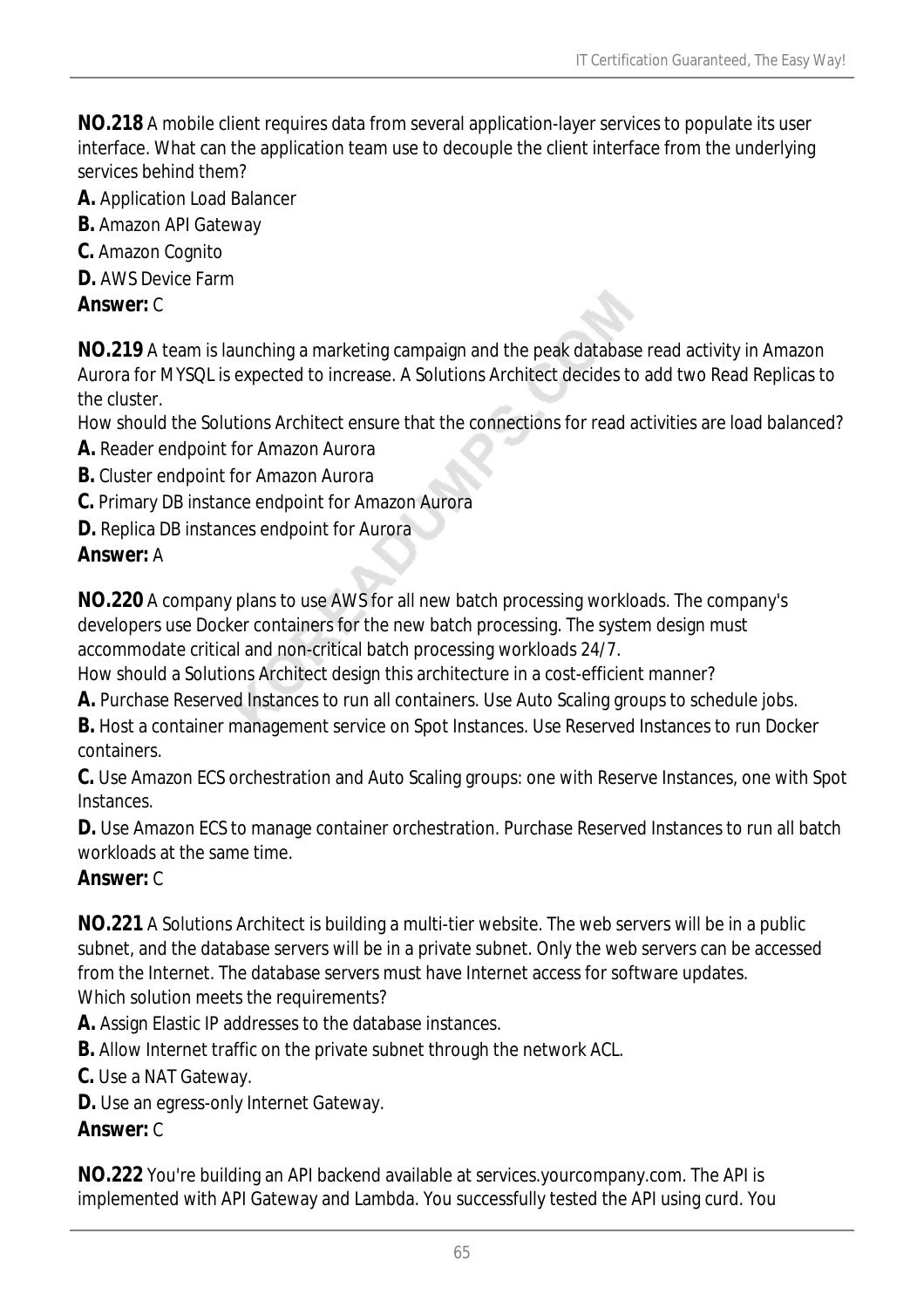**NO.218** A mobile client requires data from several application-layer services to populate its user interface. What can the application team use to decouple the client interface from the underlying services behind them?

- **A.** Application Load Balancer
- **B.** Amazon API Gateway
- **C.** Amazon Cognito
- **D.** AWS Device Farm

#### *Answer:* C

**NO.219** A team is launching a marketing campaign and the peak database read activity in Amazon Aurora for MYSQL is expected to increase. A Solutions Architect decides to add two Read Replicas to the cluster.

How should the Solutions Architect ensure that the connections for read activities are load balanced?

- **A.** Reader endpoint for Amazon Aurora
- **B.** Cluster endpoint for Amazon Aurora
- **C.** Primary DB instance endpoint for Amazon Aurora
- **D.** Replica DB instances endpoint for Aurora

#### *Answer:* A

**NO.220** A company plans to use AWS for all new batch processing workloads. The company's developers use Docker containers for the new batch processing. The system design must accommodate critical and non-critical batch processing workloads 24/7.

How should a Solutions Architect design this architecture in a cost-efficient manner?

**A.** Purchase Reserved Instances to run all containers. Use Auto Scaling groups to schedule jobs.

**B.** Host a container management service on Spot Instances. Use Reserved Instances to run Docker containers.

**C.** Use Amazon ECS orchestration and Auto Scaling groups: one with Reserve Instances, one with Spot Instances.

**D.** Use Amazon ECS to manage container orchestration. Purchase Reserved Instances to run all batch workloads at the same time.

#### *Answer:* C

**NO.221** A Solutions Architect is building a multi-tier website. The web servers will be in a public subnet, and the database servers will be in a private subnet. Only the web servers can be accessed from the Internet. The database servers must have Internet access for software updates. Which solution meets the requirements?

**A.** Assign Elastic IP addresses to the database instances.

**B.** Allow Internet traffic on the private subnet through the network ACL.

**C.** Use a NAT Gateway.

**D.** Use an egress-only Internet Gateway.

### *Answer:* C

**NO.222** You're building an API backend available at services.yourcompany.com. The API is implemented with API Gateway and Lambda. You successfully tested the API using curd. You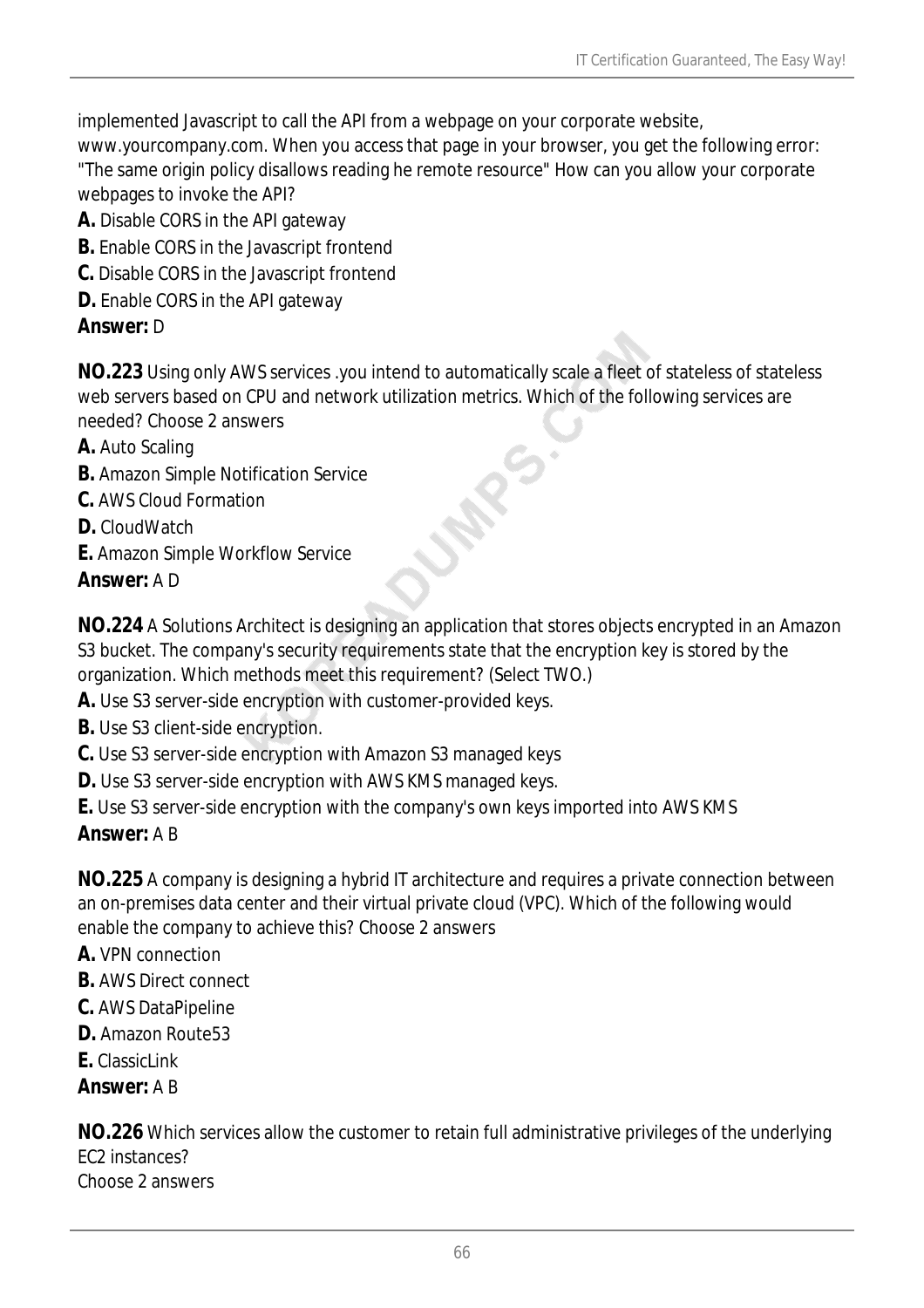implemented Javascript to call the API from a webpage on your corporate website,

www.yourcompany.com. When you access that page in your browser, you get the following error: "The same origin policy disallows reading he remote resource" How can you allow your corporate webpages to invoke the API?

- **A.** Disable CORS in the API gateway
- **B.** Enable CORS in the Javascript frontend
- **C.** Disable CORS in the Javascript frontend
- **D.** Enable CORS in the API gateway

### *Answer:* D

**NO.223** Using only AWS services .you intend to automatically scale a fleet of stateless of stateless web servers based on CPU and network utilization metrics. Which of the following services are needed? Choose 2 answers

- **A.** Auto Scaling
- **B.** Amazon Simple Notification Service
- **C.** AWS Cloud Formation
- **D.** CloudWatch
- **E.** Amazon Simple Workflow Service
- *Answer:* A D

**NO.224** A Solutions Architect is designing an application that stores objects encrypted in an Amazon S3 bucket. The company's security requirements state that the encryption key is stored by the organization. Which methods meet this requirement? (Select TWO.)

**A.** Use S3 server-side encryption with customer-provided keys.

- **B.** Use S3 client-side encryption.
- **C.** Use S3 server-side encryption with Amazon S3 managed keys
- **D.** Use S3 server-side encryption with AWS KMS managed keys.
- **E.** Use S3 server-side encryption with the company's own keys imported into AWS KMS

## *Answer:* A B

**NO.225** A company is designing a hybrid IT architecture and requires a private connection between an on-premises data center and their virtual private cloud (VPC). Which of the following would enable the company to achieve this? Choose 2 answers

- **A.** VPN connection
- **B.** AWS Direct connect
- **C.** AWS DataPipeline
- **D.** Amazon Route53
- **E.** ClassicI ink

### *Answer:* A B

**NO.226** Which services allow the customer to retain full administrative privileges of the underlying EC2 instances?

Choose 2 answers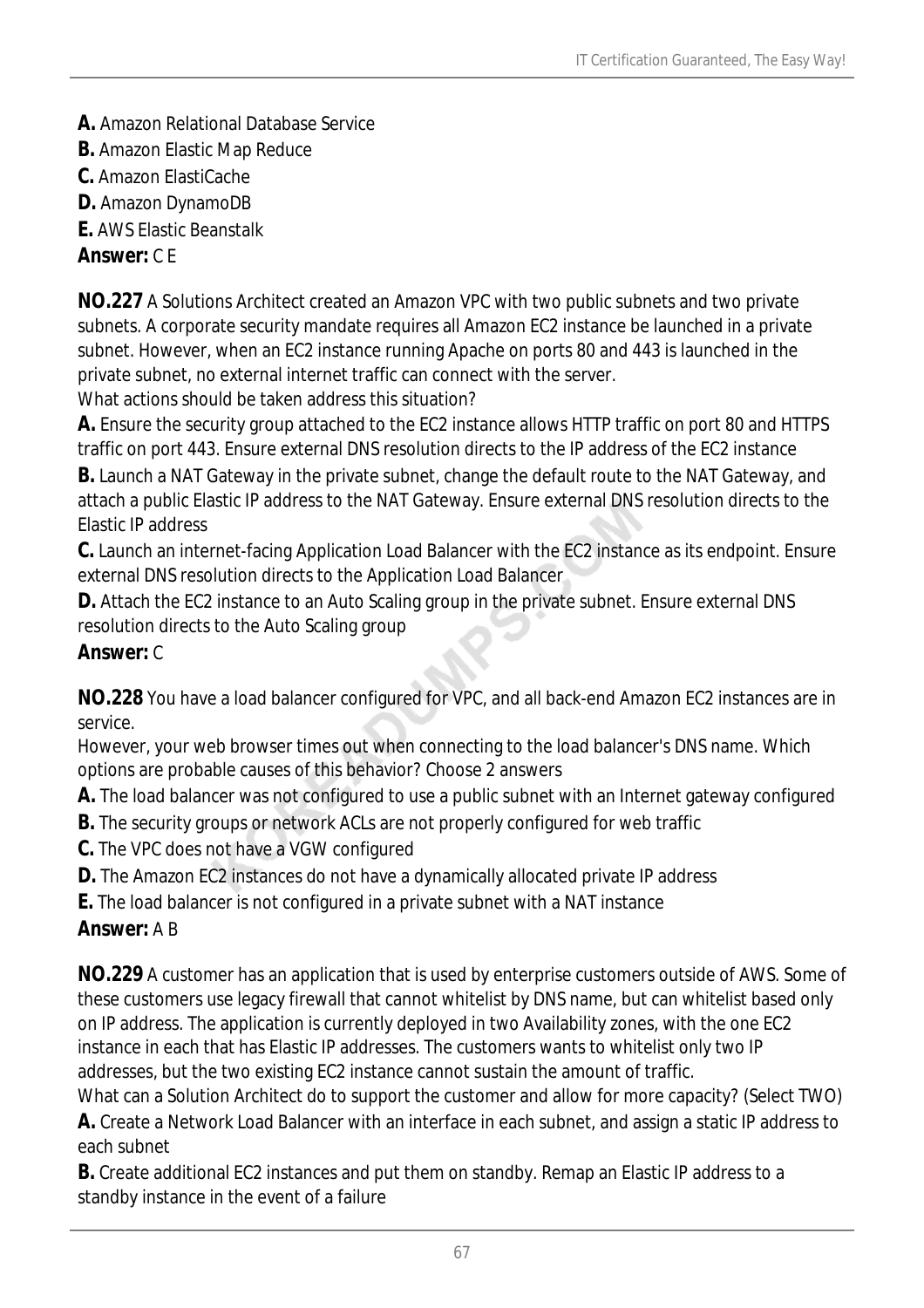- **A.** Amazon Relational Database Service
- **B.** Amazon Elastic Map Reduce
- **C.** Amazon ElastiCache
- **D.** Amazon DynamoDB
- **E.** AWS Elastic Beanstalk

### *Answer:* C E

**NO.227** A Solutions Architect created an Amazon VPC with two public subnets and two private subnets. A corporate security mandate requires all Amazon EC2 instance be launched in a private subnet. However, when an EC2 instance running Apache on ports 80 and 443 is launched in the private subnet, no external internet traffic can connect with the server.

What actions should be taken address this situation?

**A.** Ensure the security group attached to the EC2 instance allows HTTP traffic on port 80 and HTTPS traffic on port 443. Ensure external DNS resolution directs to the IP address of the EC2 instance

**B.** Launch a NAT Gateway in the private subnet, change the default route to the NAT Gateway, and attach a public Elastic IP address to the NAT Gateway. Ensure external DNS resolution directs to the Elastic IP address

**C.** Launch an internet-facing Application Load Balancer with the EC2 instance as its endpoint. Ensure external DNS resolution directs to the Application Load Balancer

**D.** Attach the EC2 instance to an Auto Scaling group in the private subnet. Ensure external DNS resolution directs to the Auto Scaling group

#### *Answer:* C

**NO.228** You have a load balancer configured for VPC, and all back-end Amazon EC2 instances are in service.

However, your web browser times out when connecting to the load balancer's DNS name. Which options are probable causes of this behavior? Choose 2 answers

**A.** The load balancer was not configured to use a public subnet with an Internet gateway configured

- **B.** The security groups or network ACLs are not properly configured for web traffic
- **C.** The VPC does not have a VGW configured
- **D.** The Amazon EC2 instances do not have a dynamically allocated private IP address
- **E.** The load balancer is not configured in a private subnet with a NAT instance

### *Answer:* A B

**NO.229** A customer has an application that is used by enterprise customers outside of AWS. Some of these customers use legacy firewall that cannot whitelist by DNS name, but can whitelist based only on IP address. The application is currently deployed in two Availability zones, with the one EC2 instance in each that has Elastic IP addresses. The customers wants to whitelist only two IP addresses, but the two existing EC2 instance cannot sustain the amount of traffic.

What can a Solution Architect do to support the customer and allow for more capacity? (Select TWO) **A.** Create a Network Load Balancer with an interface in each subnet, and assign a static IP address to each subnet

**B.** Create additional EC2 instances and put them on standby. Remap an Elastic IP address to a standby instance in the event of a failure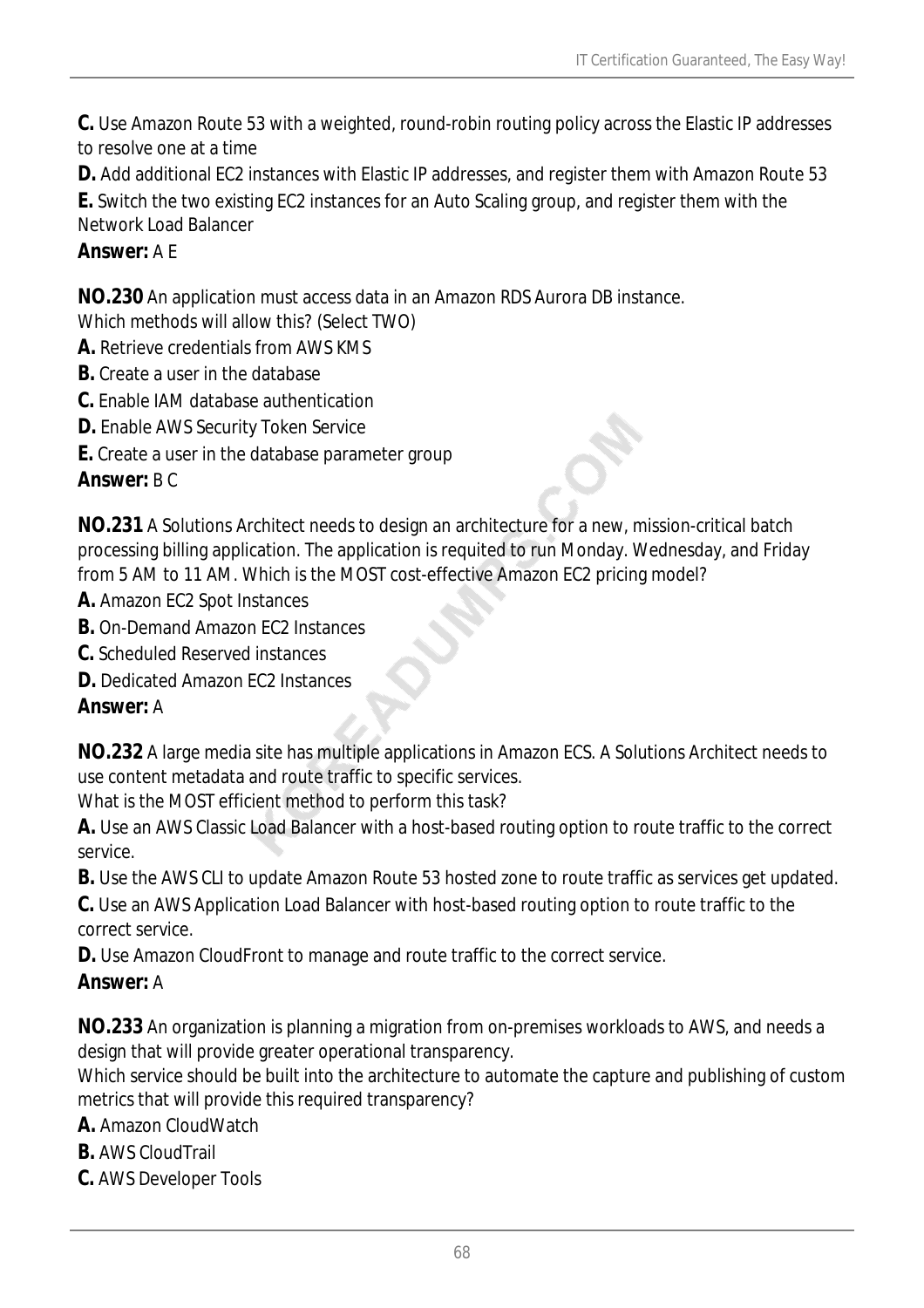**C.** Use Amazon Route 53 with a weighted, round-robin routing policy across the Elastic IP addresses to resolve one at a time

**D.** Add additional EC2 instances with Elastic IP addresses, and register them with Amazon Route 53

**E.** Switch the two existing EC2 instances for an Auto Scaling group, and register them with the Network Load Balancer

### *Answer:* A E

**NO.230** An application must access data in an Amazon RDS Aurora DB instance.

- Which methods will allow this? (Select TWO)
- **A.** Retrieve credentials from AWS KMS
- **B.** Create a user in the database
- **C.** Enable IAM database authentication
- **D.** Enable AWS Security Token Service
- **E.** Create a user in the database parameter group

#### *Answer:* B C

**NO.231** A Solutions Architect needs to design an architecture for a new, mission-critical batch processing billing application. The application is requited to run Monday. Wednesday, and Friday from 5 AM to 11 AM. Which is the MOST cost-effective Amazon EC2 pricing model?

- **A.** Amazon EC2 Spot Instances
- **B.** On-Demand Amazon EC2 Instances
- **C.** Scheduled Reserved instances
- **D.** Dedicated Amazon FC2 Instances

### *Answer:* A

**NO.232** A large media site has multiple applications in Amazon ECS. A Solutions Architect needs to use content metadata and route traffic to specific services.

What is the MOST efficient method to perform this task?

**A.** Use an AWS Classic Load Balancer with a host-based routing option to route traffic to the correct service.

**B.** Use the AWS CLI to update Amazon Route 53 hosted zone to route traffic as services get updated.

**C.** Use an AWS Application Load Balancer with host-based routing option to route traffic to the correct service.

**D.** Use Amazon CloudFront to manage and route traffic to the correct service.

### *Answer:* A

**NO.233** An organization is planning a migration from on-premises workloads to AWS, and needs a design that will provide greater operational transparency.

Which service should be built into the architecture to automate the capture and publishing of custom metrics that will provide this required transparency?

**A.** Amazon CloudWatch

- **B.** AWS CloudTrail
- **C.** AWS Developer Tools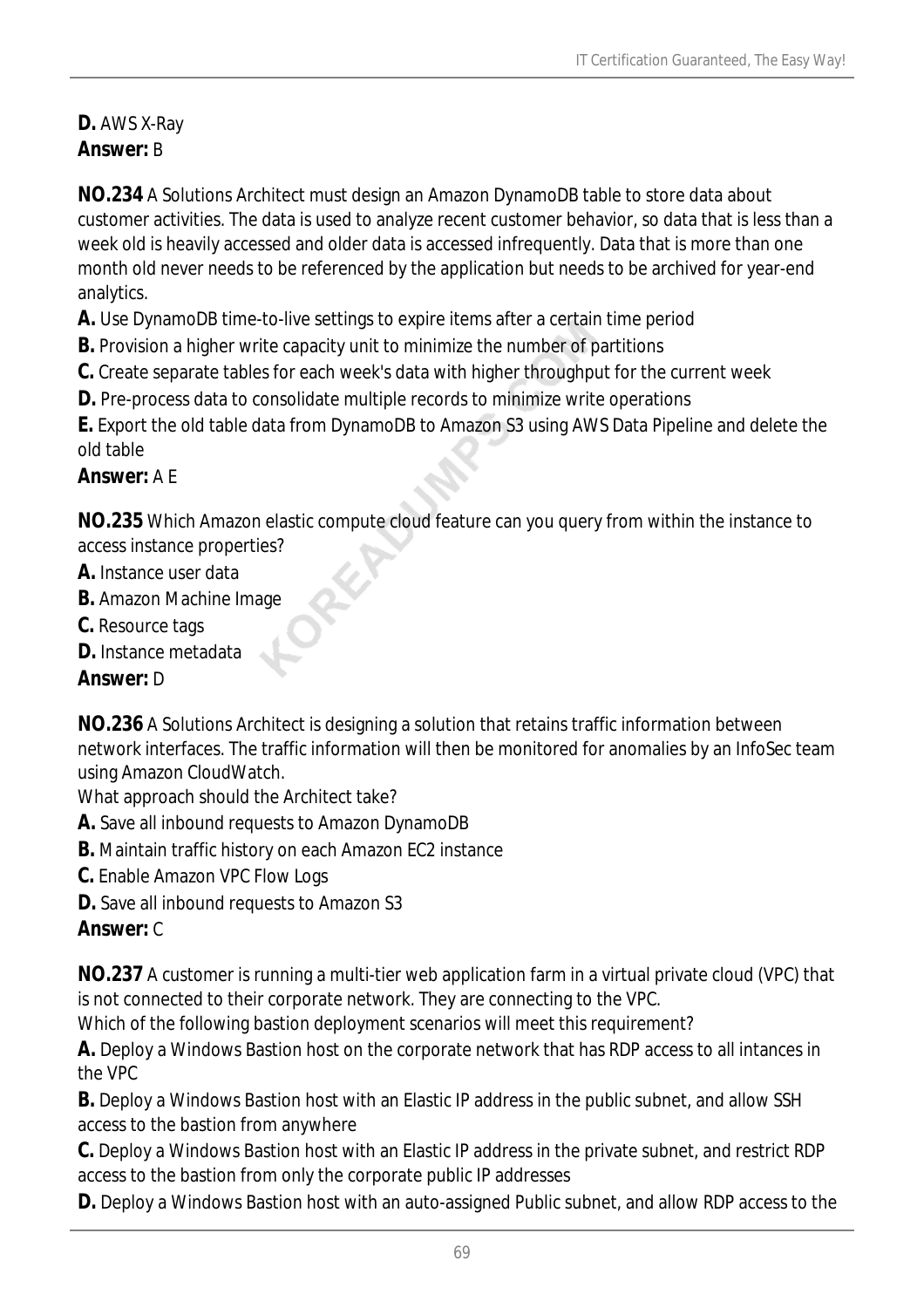## **D.** AWS X-Ray *Answer:* B

**NO.234** A Solutions Architect must design an Amazon DynamoDB table to store data about customer activities. The data is used to analyze recent customer behavior, so data that is less than a week old is heavily accessed and older data is accessed infrequently. Data that is more than one month old never needs to be referenced by the application but needs to be archived for year-end analytics.

**A.** Use DynamoDB time-to-live settings to expire items after a certain time period

- **B.** Provision a higher write capacity unit to minimize the number of partitions
- **C.** Create separate tables for each week's data with higher throughput for the current week
- **D.** Pre-process data to consolidate multiple records to minimize write operations

**E.** Export the old table data from DynamoDB to Amazon S3 using AWS Data Pipeline and delete the old table

#### *Answer:* A E

**NO.235** Which Amazon elastic compute cloud feature can you query from within the instance to access instance properties?

- **A.** Instance user data
- **B.** Amazon Machine Image
- **C.** Resource tags
- **D.** Instance metadata

### *Answer:* D

**NO.236** A Solutions Architect is designing a solution that retains traffic information between network interfaces. The traffic information will then be monitored for anomalies by an InfoSec team using Amazon CloudWatch.

What approach should the Architect take?

- **A.** Save all inbound requests to Amazon DynamoDB
- **B.** Maintain traffic history on each Amazon EC2 instance
- **C.** Enable Amazon VPC Flow Logs
- **D.** Save all inbound requests to Amazon S3

### *Answer:* C

**NO.237** A customer is running a multi-tier web application farm in a virtual private cloud (VPC) that is not connected to their corporate network. They are connecting to the VPC.

Which of the following bastion deployment scenarios will meet this requirement?

**A.** Deploy a Windows Bastion host on the corporate network that has RDP access to all intances in the VPC

**B.** Deploy a Windows Bastion host with an Elastic IP address in the public subnet, and allow SSH access to the bastion from anywhere

**C.** Deploy a Windows Bastion host with an Elastic IP address in the private subnet, and restrict RDP access to the bastion from only the corporate public IP addresses

**D.** Deploy a Windows Bastion host with an auto-assigned Public subnet, and allow RDP access to the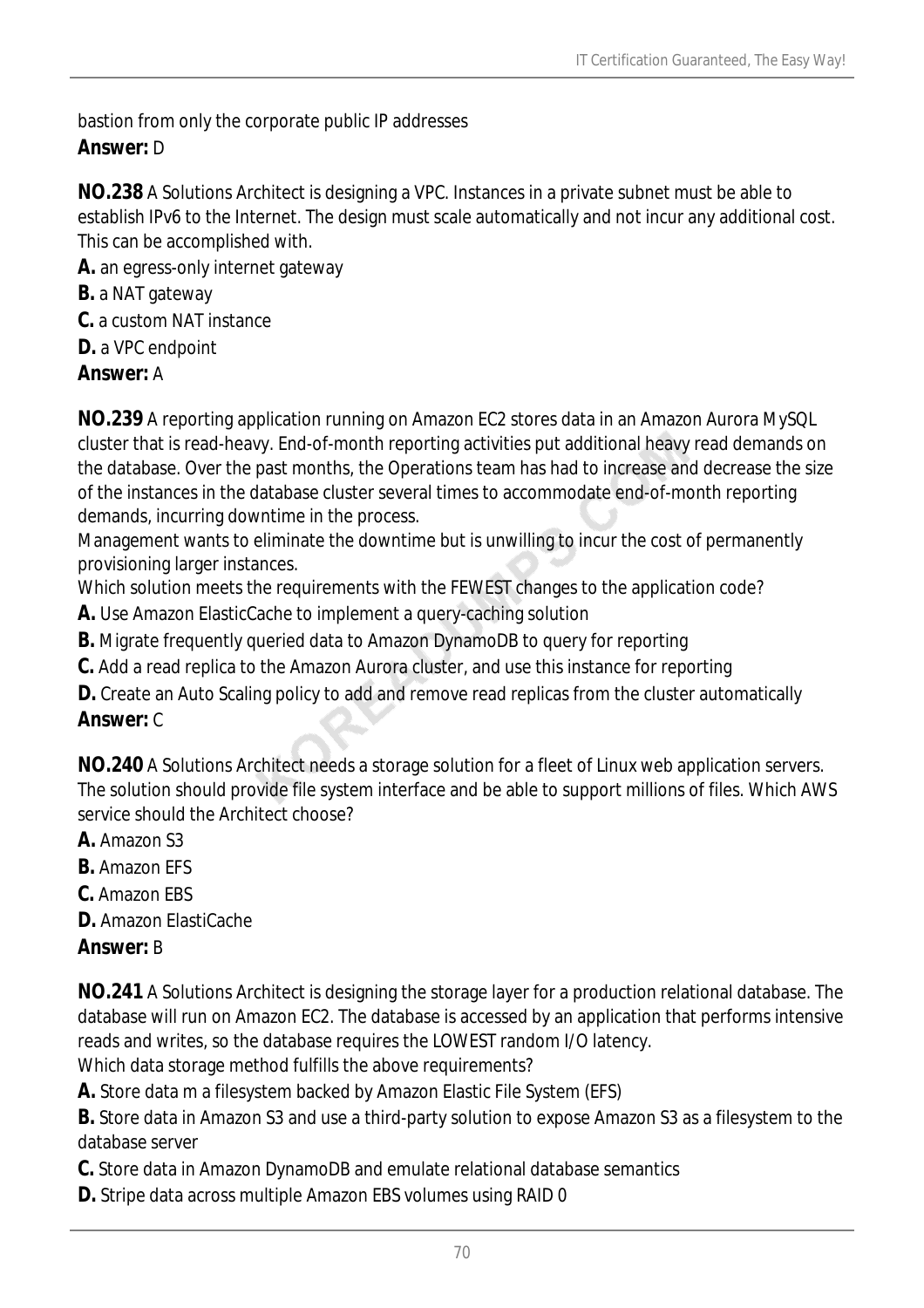bastion from only the corporate public IP addresses *Answer:* D

**NO.238** A Solutions Architect is designing a VPC. Instances in a private subnet must be able to establish IPv6 to the Internet. The design must scale automatically and not incur any additional cost. This can be accomplished with.

- **A.** an egress-only internet gateway
- **B.** a NAT gateway
- **C.** a custom NAT instance
- **D.** a VPC endpoint

#### *Answer:* A

**NO.239** A reporting application running on Amazon EC2 stores data in an Amazon Aurora MySQL cluster that is read-heavy. End-of-month reporting activities put additional heavy read demands on the database. Over the past months, the Operations team has had to increase and decrease the size of the instances in the database cluster several times to accommodate end-of-month reporting demands, incurring downtime in the process.

Management wants to eliminate the downtime but is unwilling to incur the cost of permanently provisioning larger instances.

Which solution meets the requirements with the FEWEST changes to the application code?

- **A.** Use Amazon ElasticCache to implement a query-caching solution
- **B.** Migrate frequently queried data to Amazon DynamoDB to query for reporting
- **C.** Add a read replica to the Amazon Aurora cluster, and use this instance for reporting
- **D.** Create an Auto Scaling policy to add and remove read replicas from the cluster automatically

#### *Answer:* C

**NO.240** A Solutions Architect needs a storage solution for a fleet of Linux web application servers. The solution should provide file system interface and be able to support millions of files. Which AWS service should the Architect choose?

- **A.** Amazon S3
- **B.** Amazon EFS
- **C.** Amazon EBS
- **D.** Amazon ElastiCache

#### *Answer:* B

**NO.241** A Solutions Architect is designing the storage layer for a production relational database. The database will run on Amazon EC2. The database is accessed by an application that performs intensive reads and writes, so the database requires the LOWEST random I/O latency. Which data storage method fulfills the above requirements?

**A.** Store data m a filesystem backed by Amazon Elastic File System (EFS)

**B.** Store data in Amazon S3 and use a third-party solution to expose Amazon S3 as a filesystem to the database server

- **C.** Store data in Amazon DynamoDB and emulate relational database semantics
- **D.** Stripe data across multiple Amazon EBS volumes using RAID 0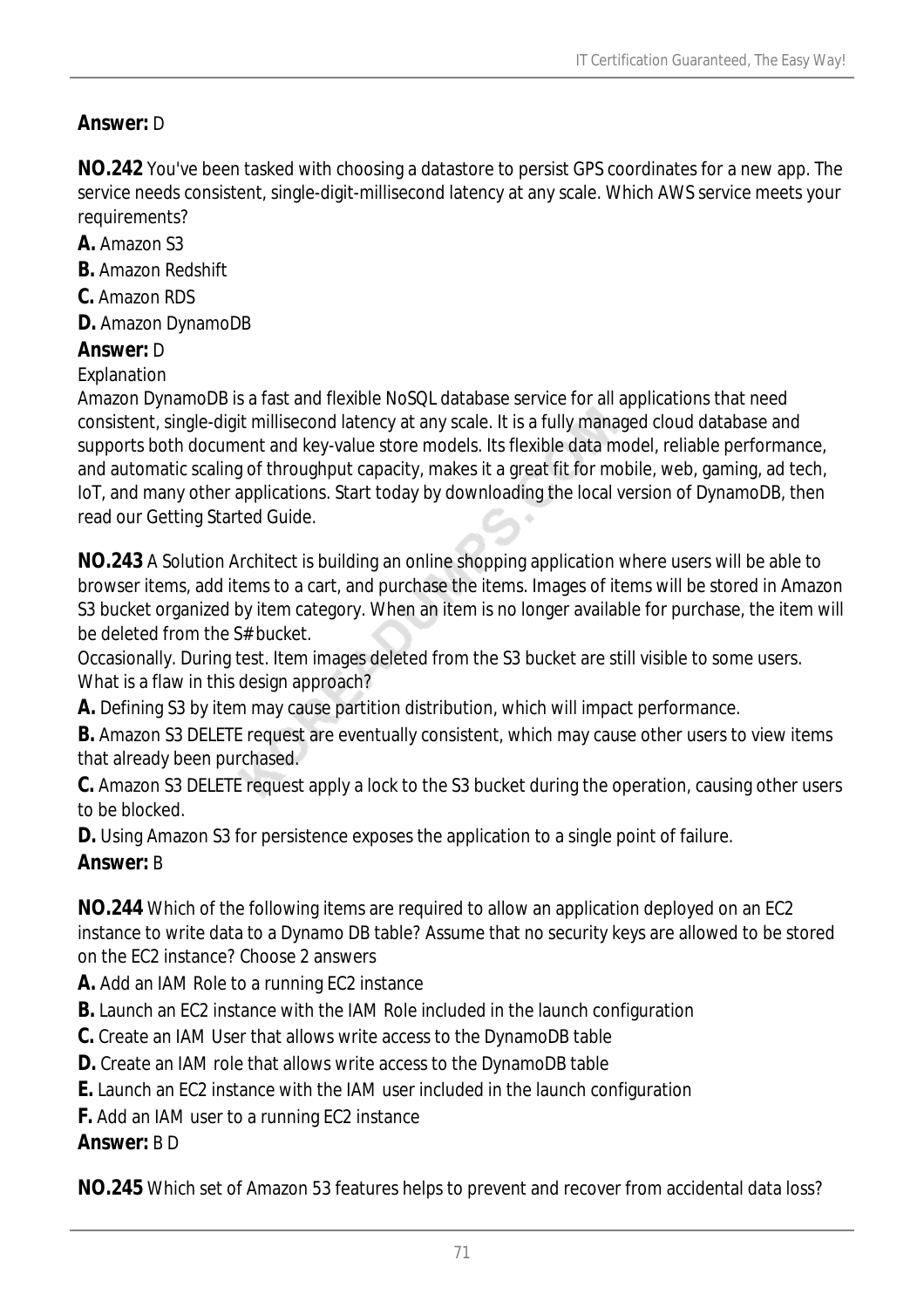### *Answer:* D

**NO.242** You've been tasked with choosing a datastore to persist GPS coordinates for a new app. The service needs consistent, single-digit-millisecond latency at any scale. Which AWS service meets your requirements?

- **A.** Amazon S3
- **B.** Amazon Redshift
- **C.** Amazon RDS
- **D.** Amazon DynamoDB

### *Answer:* D

#### Explanation

Amazon DynamoDB is a fast and flexible NoSQL database service for all applications that need consistent, single-digit millisecond latency at any scale. It is a fully managed cloud database and supports both document and key-value store models. Its flexible data model, reliable performance, and automatic scaling of throughput capacity, makes it a great fit for mobile, web, gaming, ad tech, IoT, and many other applications. Start today by downloading the local version of DynamoDB, then read our Getting Started Guide.

**NO.243** A Solution Architect is building an online shopping application where users will be able to browser items, add items to a cart, and purchase the items. Images of items will be stored in Amazon S3 bucket organized by item category. When an item is no longer available for purchase, the item will be deleted from the S# bucket.

Occasionally. During test. Item images deleted from the S3 bucket are still visible to some users. What is a flaw in this design approach?

**A.** Defining S3 by item may cause partition distribution, which will impact performance.

**B.** Amazon S3 DELETE request are eventually consistent, which may cause other users to view items that already been purchased.

**C.** Amazon S3 DELETE request apply a lock to the S3 bucket during the operation, causing other users to be blocked.

**D.** Using Amazon S3 for persistence exposes the application to a single point of failure.

### *Answer:* B

**NO.244** Which of the following items are required to allow an application deployed on an EC2 instance to write data to a Dynamo DB table? Assume that no security keys are allowed to be stored on the EC2 instance? Choose 2 answers

- **A.** Add an IAM Role to a running EC2 instance
- **B.** Launch an EC2 instance with the IAM Role included in the launch configuration
- **C.** Create an IAM User that allows write access to the DynamoDB table
- **D.** Create an IAM role that allows write access to the DynamoDB table
- **E.** Launch an EC2 instance with the IAM user included in the launch configuration
- **F.** Add an IAM user to a running EC2 instance

### *Answer:* B D

**NO.245** Which set of Amazon 53 features helps to prevent and recover from accidental data loss?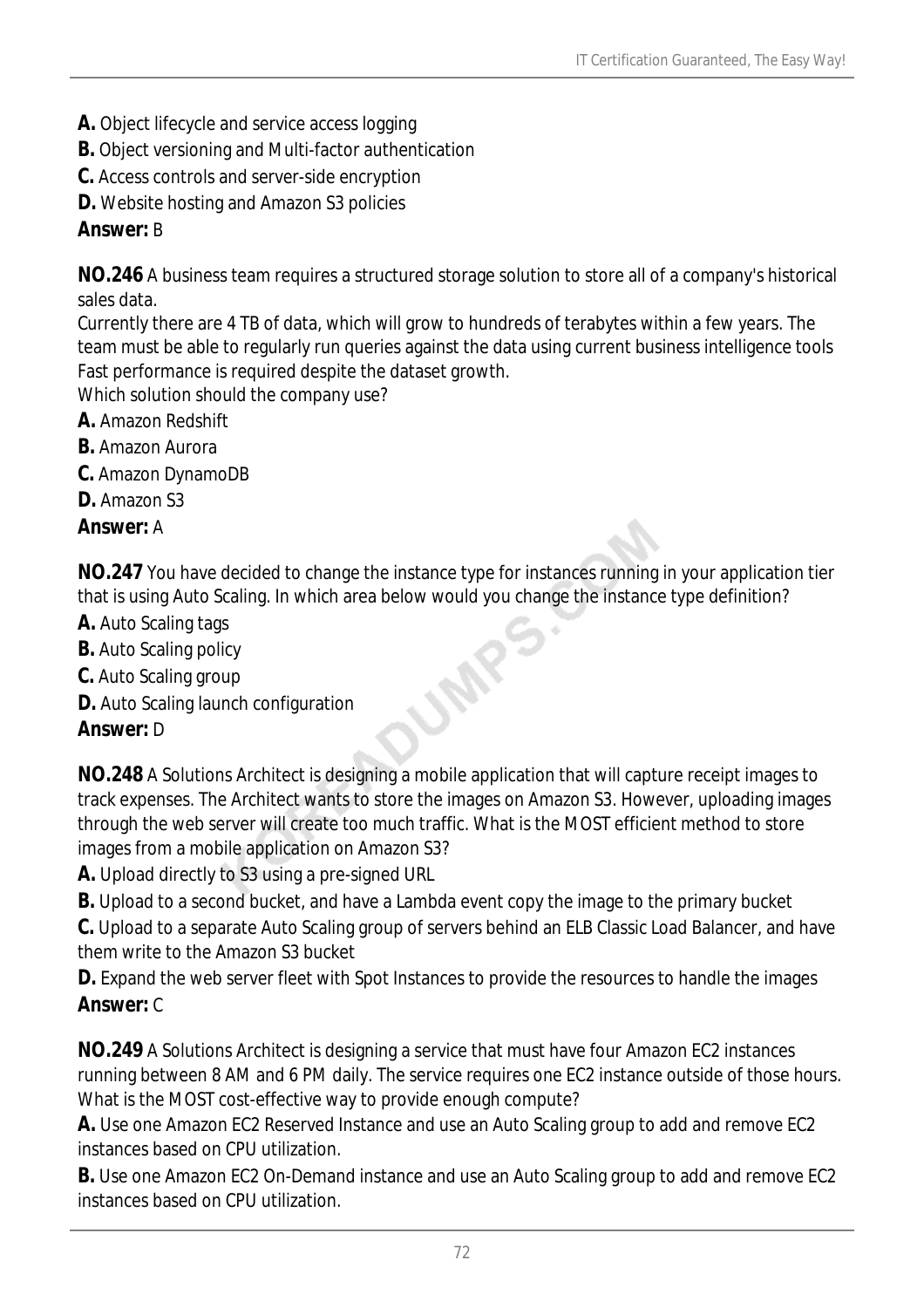- **A.** Object lifecycle and service access logging
- **B.** Object versioning and Multi-factor authentication
- **C.** Access controls and server-side encryption
- **D.** Website hosting and Amazon S3 policies

#### *Answer:* B

**NO.246** A business team requires a structured storage solution to store all of a company's historical sales data.

Currently there are 4 TB of data, which will grow to hundreds of terabytes within a few years. The team must be able to regularly run queries against the data using current business intelligence tools Fast performance is required despite the dataset growth.

Which solution should the company use?

- **A.** Amazon Redshift
- **B.** Amazon Aurora
- **C.** Amazon DynamoDB

**D.** Amazon S3

#### *Answer:* A

**NO.247** You have decided to change the instance type for instances running in your application tier that is using Auto Scaling. In which area below would you change the instance type definition?

- **A.** Auto Scaling tags
- **B.** Auto Scaling policy
- **C.** Auto Scaling group
- **D.** Auto Scaling launch configuration

### *Answer:* D

**NO.248** A Solutions Architect is designing a mobile application that will capture receipt images to track expenses. The Architect wants to store the images on Amazon S3. However, uploading images through the web server will create too much traffic. What is the MOST efficient method to store images from a mobile application on Amazon S3?

**A.** Upload directly to S3 using a pre-signed URL

**B.** Upload to a second bucket, and have a Lambda event copy the image to the primary bucket

**C.** Upload to a separate Auto Scaling group of servers behind an ELB Classic Load Balancer, and have them write to the Amazon S3 bucket

**D.** Expand the web server fleet with Spot Instances to provide the resources to handle the images *Answer:* C

**NO.249** A Solutions Architect is designing a service that must have four Amazon EC2 instances running between 8 AM and 6 PM daily. The service requires one EC2 instance outside of those hours. What is the MOST cost-effective way to provide enough compute?

**A.** Use one Amazon EC2 Reserved Instance and use an Auto Scaling group to add and remove EC2 instances based on CPU utilization.

**B.** Use one Amazon EC2 On-Demand instance and use an Auto Scaling group to add and remove EC2 instances based on CPU utilization.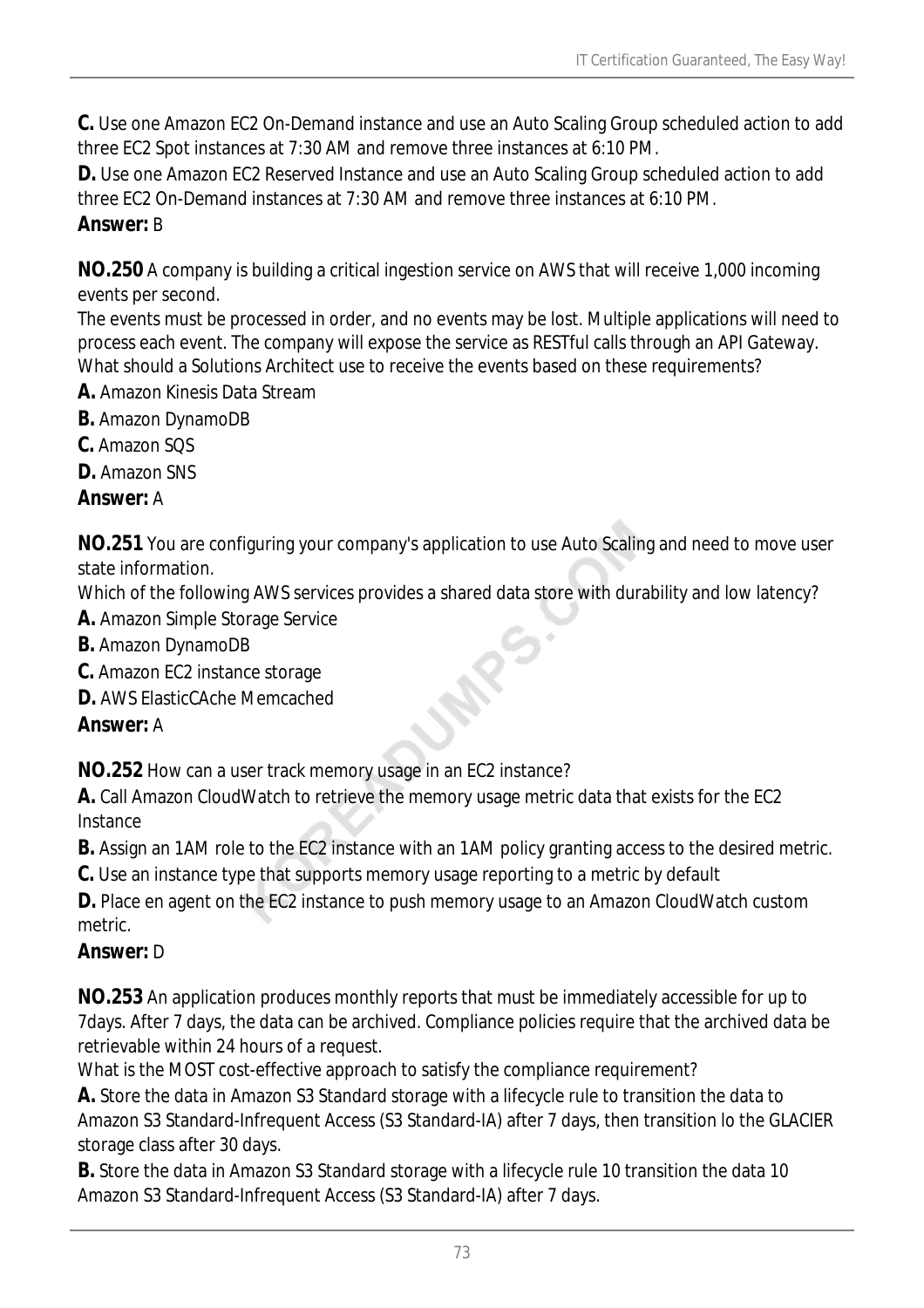**C.** Use one Amazon EC2 On-Demand instance and use an Auto Scaling Group scheduled action to add three EC2 Spot instances at 7:30 AM and remove three instances at 6:10 PM.

**D.** Use one Amazon EC2 Reserved Instance and use an Auto Scaling Group scheduled action to add three EC2 On-Demand instances at 7:30 AM and remove three instances at 6:10 PM. *Answer:* B

**NO.250** A company is building a critical ingestion service on AWS that will receive 1,000 incoming events per second.

The events must be processed in order, and no events may be lost. Multiple applications will need to process each event. The company will expose the service as RESTful calls through an API Gateway. What should a Solutions Architect use to receive the events based on these requirements?

- **A.** Amazon Kinesis Data Stream
- **B.** Amazon DynamoDB
- **C.** Amazon SQS
- **D.** Amazon SNS

*Answer:* A

**NO.251** You are configuring your company's application to use Auto Scaling and need to move user state information.

Which of the following AWS services provides a shared data store with durability and low latency?

- **A.** Amazon Simple Storage Service
- **B.** Amazon DynamoDB
- **C.** Amazon EC2 instance storage
- **D.** AWS ElasticCAche Memcached

## *Answer:* A

**NO.252** How can a user track memory usage in an EC2 instance?

**A.** Call Amazon CloudWatch to retrieve the memory usage metric data that exists for the EC2 Instance

**B.** Assign an 1AM role to the EC2 instance with an 1AM policy granting access to the desired metric.

**C.** Use an instance type that supports memory usage reporting to a metric by default

**D.** Place en agent on the EC2 instance to push memory usage to an Amazon CloudWatch custom metric.

## *Answer:* D

**NO.253** An application produces monthly reports that must be immediately accessible for up to 7days. After 7 days, the data can be archived. Compliance policies require that the archived data be retrievable within 24 hours of a request.

What is the MOST cost-effective approach to satisfy the compliance requirement?

**A.** Store the data in Amazon S3 Standard storage with a lifecycle rule to transition the data to Amazon S3 Standard-Infrequent Access (S3 Standard-IA) after 7 days, then transition lo the GLACIER storage class after 30 days.

**B.** Store the data in Amazon S3 Standard storage with a lifecycle rule 10 transition the data 10 Amazon S3 Standard-Infrequent Access (S3 Standard-IA) after 7 days.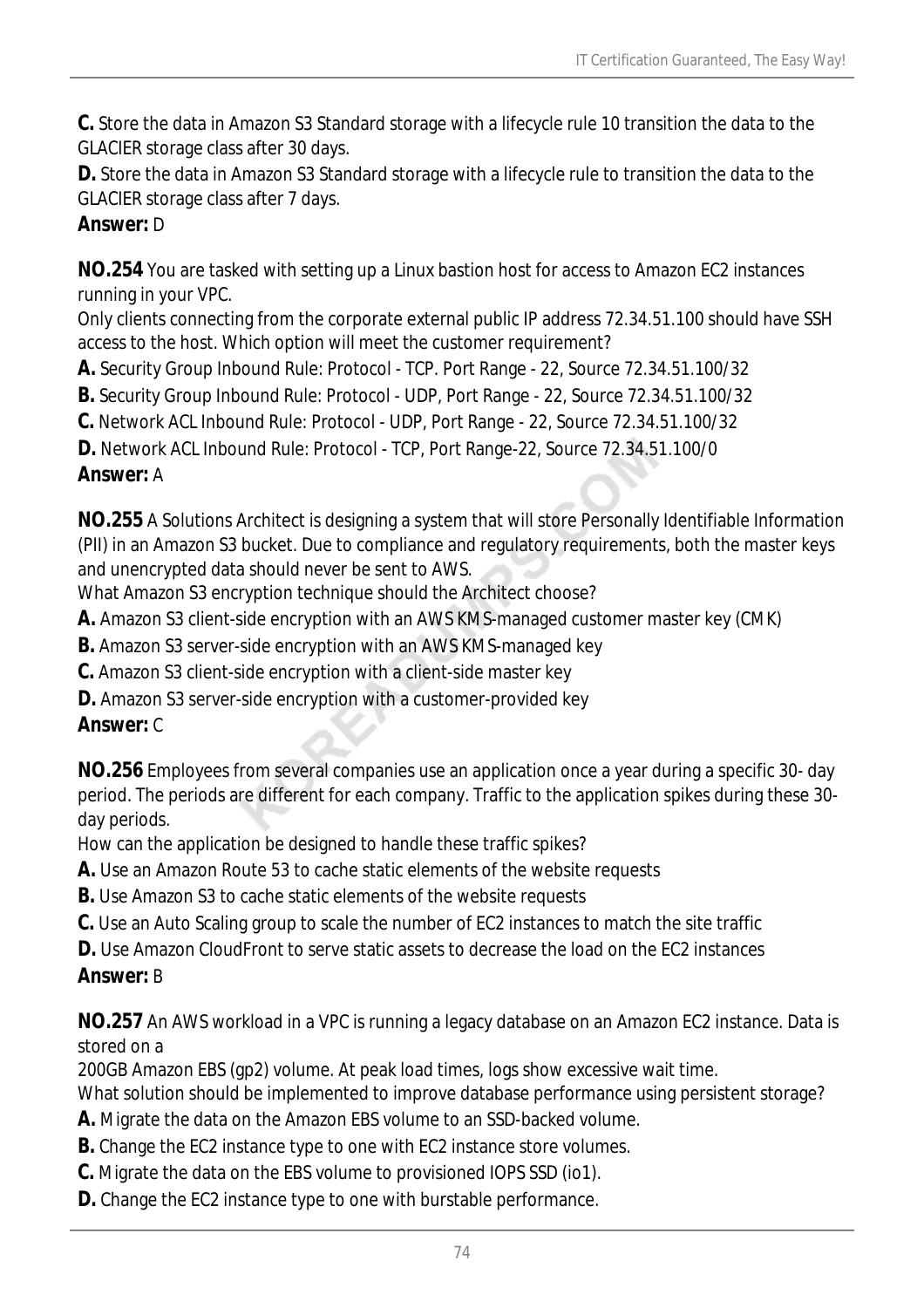**C.** Store the data in Amazon S3 Standard storage with a lifecycle rule 10 transition the data to the GLACIER storage class after 30 days.

**D.** Store the data in Amazon S3 Standard storage with a lifecycle rule to transition the data to the GLACIER storage class after 7 days.

## *Answer:* D

**NO.254** You are tasked with setting up a Linux bastion host for access to Amazon EC2 instances running in your VPC.

Only clients connecting from the corporate external public IP address 72.34.51.100 should have SSH access to the host. Which option will meet the customer requirement?

**A.** Security Group Inbound Rule: Protocol - TCP. Port Range - 22, Source 72.34.51.100/32

**B.** Security Group Inbound Rule: Protocol - UDP, Port Range - 22, Source 72.34.51.100/32

**C.** Network ACL Inbound Rule: Protocol - UDP, Port Range - 22, Source 72.34.51.100/32

**D.** Network ACL Inbound Rule: Protocol - TCP, Port Range-22, Source 72.34.51.100/0

## *Answer:* A

**NO.255** A Solutions Architect is designing a system that will store Personally Identifiable Information (PII) in an Amazon S3 bucket. Due to compliance and regulatory requirements, both the master keys and unencrypted data should never be sent to AWS.

What Amazon S3 encryption technique should the Architect choose?

**A.** Amazon S3 client-side encryption with an AWS KMS-managed customer master key (CMK)

**B.** Amazon S3 server-side encryption with an AWS KMS-managed key

**C.** Amazon S3 client-side encryption with a client-side master key

**D.** Amazon S3 server-side encryption with a customer-provided key

## *Answer:* C

**NO.256** Employees from several companies use an application once a year during a specific 30- day period. The periods are different for each company. Traffic to the application spikes during these 30 day periods.

How can the application be designed to handle these traffic spikes?

- **A.** Use an Amazon Route 53 to cache static elements of the website requests
- **B.** Use Amazon S3 to cache static elements of the website requests
- **C.** Use an Auto Scaling group to scale the number of EC2 instances to match the site traffic

**D.** Use Amazon CloudFront to serve static assets to decrease the load on the EC2 instances *Answer:* B

**NO.257** An AWS workload in a VPC is running a legacy database on an Amazon EC2 instance. Data is stored on a

200GB Amazon EBS (gp2) volume. At peak load times, logs show excessive wait time.

What solution should be implemented to improve database performance using persistent storage?

- **A.** Migrate the data on the Amazon EBS volume to an SSD-backed volume.
- **B.** Change the EC2 instance type to one with EC2 instance store volumes.
- **C.** Migrate the data on the EBS volume to provisioned IOPS SSD (io1).
- **D.** Change the EC2 instance type to one with burstable performance.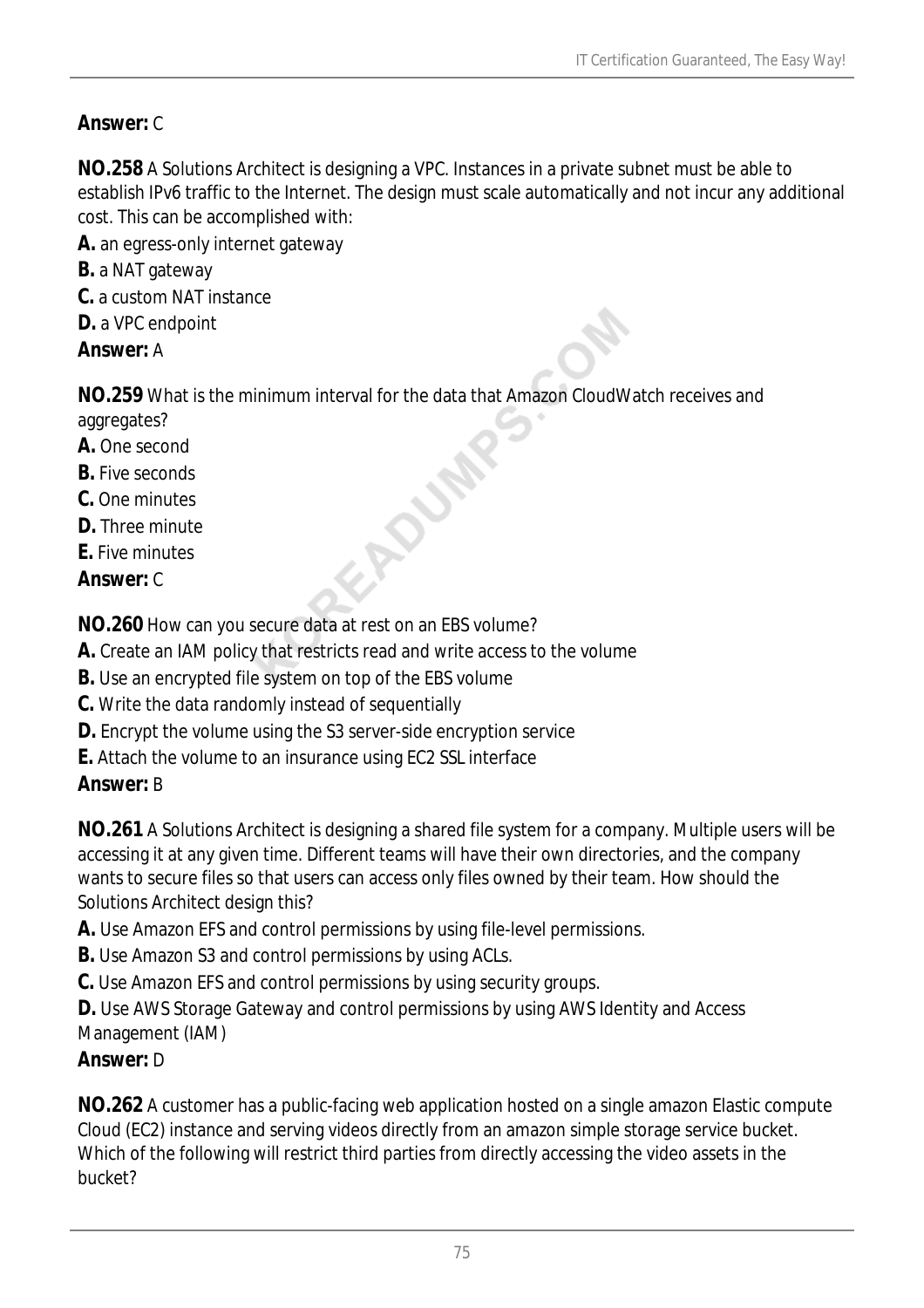## *Answer:* C

**NO.258** A Solutions Architect is designing a VPC. Instances in a private subnet must be able to establish IPv6 traffic to the Internet. The design must scale automatically and not incur any additional cost. This can be accomplished with:

- **A.** an egress-only internet gateway
- **B.** a NAT gateway
- **C.** a custom NAT instance
- **D.** a VPC endpoint
- *Answer:* A

**NO.259** What is the minimum interval for the data that Amazon CloudWatch receives and aggregates?

ACURA

- **A.** One second
- **B.** Five seconds
- **C.** One minutes
- **D.** Three minute
- **E.** Five minutes
- *Answer:* C

**NO.260** How can you secure data at rest on an EBS volume?

- **A.** Create an IAM policy that restricts read and write access to the volume
- **B.** Use an encrypted file system on top of the EBS volume
- **C.** Write the data randomly instead of sequentially
- **D.** Encrypt the volume using the S3 server-side encryption service
- **E.** Attach the volume to an insurance using EC2 SSL interface

## *Answer:* B

**NO.261** A Solutions Architect is designing a shared file system for a company. Multiple users will be accessing it at any given time. Different teams will have their own directories, and the company wants to secure files so that users can access only files owned by their team. How should the Solutions Architect design this?

- **A.** Use Amazon EFS and control permissions by using file-level permissions.
- **B.** Use Amazon S3 and control permissions by using ACLs.
- **C.** Use Amazon EFS and control permissions by using security groups.

**D.** Use AWS Storage Gateway and control permissions by using AWS Identity and Access Management (IAM)

### *Answer:* D

**NO.262** A customer has a public-facing web application hosted on a single amazon Elastic compute Cloud (EC2) instance and serving videos directly from an amazon simple storage service bucket. Which of the following will restrict third parties from directly accessing the video assets in the bucket?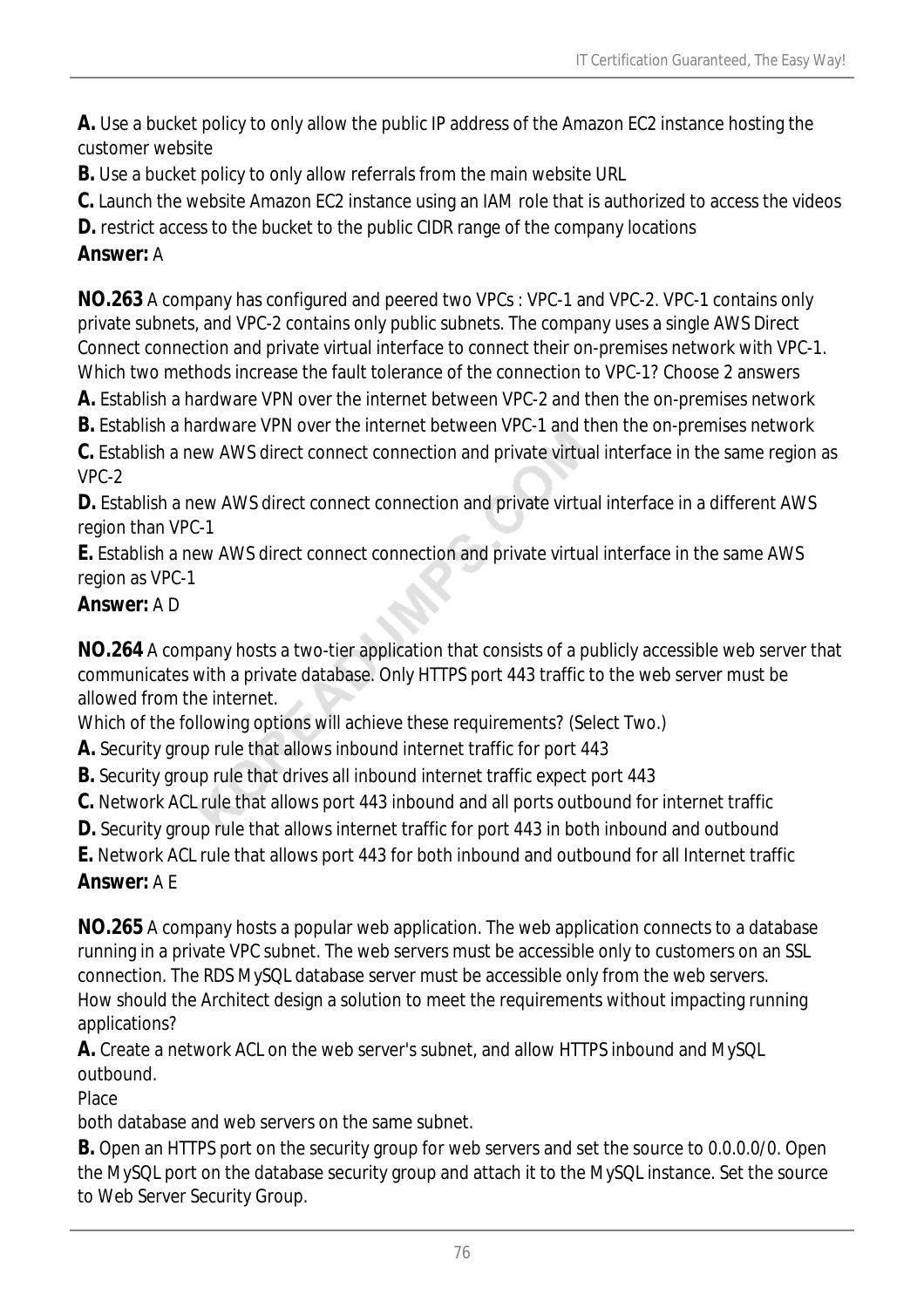**A.** Use a bucket policy to only allow the public IP address of the Amazon EC2 instance hosting the customer website

**B.** Use a bucket policy to only allow referrals from the main website URL

**C.** Launch the website Amazon EC2 instance using an IAM role that is authorized to access the videos

**D.** restrict access to the bucket to the public CIDR range of the company locations

## *Answer:* A

**NO.263** A company has configured and peered two VPCs : VPC-1 and VPC-2. VPC-1 contains only private subnets, and VPC-2 contains only public subnets. The company uses a single AWS Direct Connect connection and private virtual interface to connect their on-premises network with VPC-1. Which two methods increase the fault tolerance of the connection to VPC-1? Choose 2 answers

**A.** Establish a hardware VPN over the internet between VPC-2 and then the on-premises network

**B.** Establish a hardware VPN over the internet between VPC-1 and then the on-premises network

**C.** Establish a new AWS direct connect connection and private virtual interface in the same region as VPC-2

**D.** Establish a new AWS direct connect connection and private virtual interface in a different AWS region than VPC-1

**E.** Establish a new AWS direct connect connection and private virtual interface in the same AWS region as VPC-1

## *Answer:* A D

**NO.264** A company hosts a two-tier application that consists of a publicly accessible web server that communicates with a private database. Only HTTPS port 443 traffic to the web server must be allowed from the internet.

Which of the following options will achieve these requirements? (Select Two.)

- **A.** Security group rule that allows inbound internet traffic for port 443
- **B.** Security group rule that drives all inbound internet traffic expect port 443
- **C.** Network ACL rule that allows port 443 inbound and all ports outbound for internet traffic
- **D.** Security group rule that allows internet traffic for port 443 in both inbound and outbound

**E.** Network ACL rule that allows port 443 for both inbound and outbound for all Internet traffic *Answer:* A E

**NO.265** A company hosts a popular web application. The web application connects to a database running in a private VPC subnet. The web servers must be accessible only to customers on an SSL connection. The RDS MySQL database server must be accessible only from the web servers. How should the Architect design a solution to meet the requirements without impacting running applications?

**A.** Create a network ACL on the web server's subnet, and allow HTTPS inbound and MySQL outbound.

**Place** 

both database and web servers on the same subnet.

**B.** Open an HTTPS port on the security group for web servers and set the source to 0.0.0.0/0. Open the MySQL port on the database security group and attach it to the MySQL instance. Set the source to Web Server Security Group.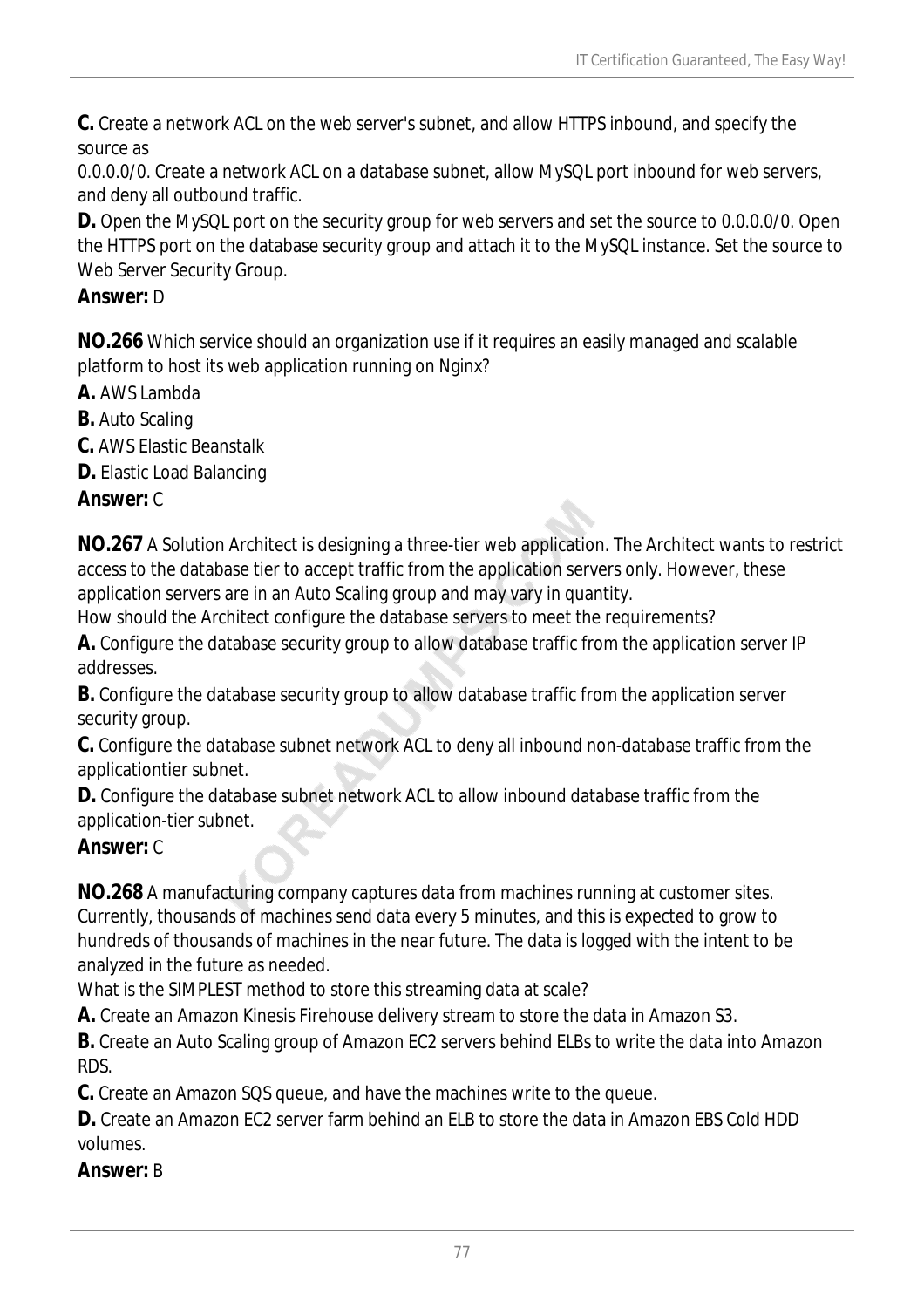**C.** Create a network ACL on the web server's subnet, and allow HTTPS inbound, and specify the source as

0.0.0.0/0. Create a network ACL on a database subnet, allow MySQL port inbound for web servers, and deny all outbound traffic.

**D.** Open the MySQL port on the security group for web servers and set the source to 0.0.0.0/0. Open the HTTPS port on the database security group and attach it to the MySQL instance. Set the source to Web Server Security Group.

## *Answer:* D

**NO.266** Which service should an organization use if it requires an easily managed and scalable platform to host its web application running on Nginx?

- **A.** AWS Lambda
- **B.** Auto Scaling
- **C.** AWS Elastic Beanstalk
- **D.** Elastic Load Balancing

*Answer:* C

**NO.267** A Solution Architect is designing a three-tier web application. The Architect wants to restrict access to the database tier to accept traffic from the application servers only. However, these application servers are in an Auto Scaling group and may vary in quantity.

How should the Architect configure the database servers to meet the requirements?

**A.** Configure the database security group to allow database traffic from the application server IP addresses.

**B.** Configure the database security group to allow database traffic from the application server security group.

**C.** Configure the database subnet network ACL to deny all inbound non-database traffic from the applicationtier subnet.

**D.** Configure the database subnet network ACL to allow inbound database traffic from the application-tier subnet.

### *Answer:* C

**NO.268** A manufacturing company captures data from machines running at customer sites. Currently, thousands of machines send data every 5 minutes, and this is expected to grow to hundreds of thousands of machines in the near future. The data is logged with the intent to be analyzed in the future as needed.

What is the SIMPLEST method to store this streaming data at scale?

**A.** Create an Amazon Kinesis Firehouse delivery stream to store the data in Amazon S3.

**B.** Create an Auto Scaling group of Amazon EC2 servers behind ELBs to write the data into Amazon RDS.

**C.** Create an Amazon SQS queue, and have the machines write to the queue.

**D.** Create an Amazon EC2 server farm behind an ELB to store the data in Amazon EBS Cold HDD volumes.

*Answer:* B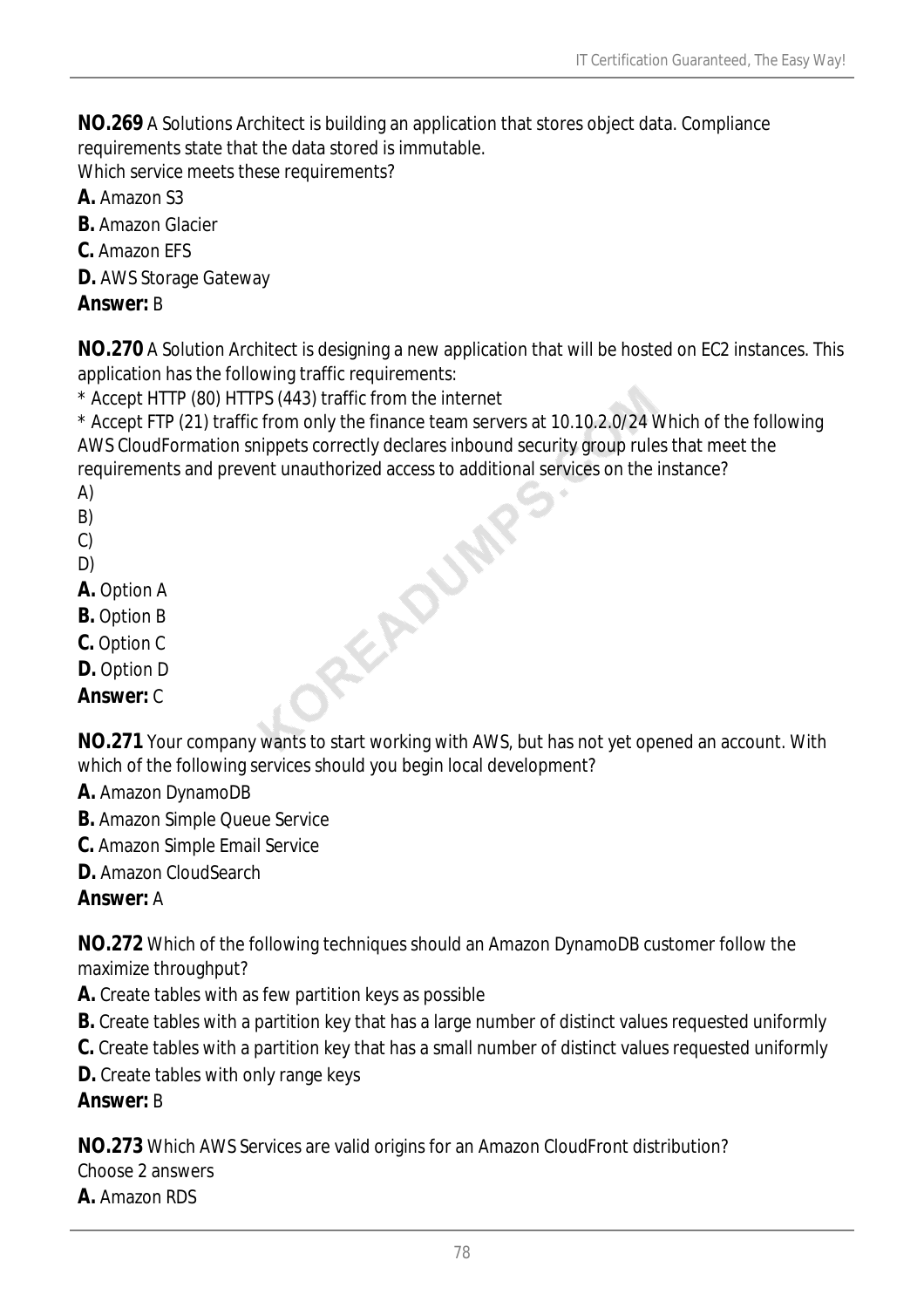**NO.269** A Solutions Architect is building an application that stores object data. Compliance requirements state that the data stored is immutable.

Which service meets these requirements?

**A.** Amazon S3

**B.** Amazon Glacier

- **C.** Amazon EFS
- **D.** AWS Storage Gateway

### *Answer:* B

**NO.270** A Solution Architect is designing a new application that will be hosted on EC2 instances. This application has the following traffic requirements:

\* Accept HTTP (80) HTTPS (443) traffic from the internet

\* Accept FTP (21) traffic from only the finance team servers at 10.10.2.0/24 Which of the following AWS CloudFormation snippets correctly declares inbound security group rules that meet the requirements and prevent unauthorized access to additional services on the instance?<br>
A)<br>
B)<br>
C)<br>
D)<br> **A**. Option A<br> **B**. Option B<br> **C**. Option C<br> **D**. Option C<br> **D**. Option D<br> **Answer** 

A)

- B)
- C)
- D)
- **A.** Option A
- **B.** Option B
- **C.** Option C
- **D.** Option D

*Answer:* C

**NO.271** Your company wants to start working with AWS, but has not yet opened an account. With which of the following services should you begin local development?

- **A.** Amazon DynamoDB
- **B.** Amazon Simple Queue Service
- **C.** Amazon Simple Email Service
- **D.** Amazon CloudSearch

### *Answer:* A

**NO.272** Which of the following techniques should an Amazon DynamoDB customer follow the maximize throughput?

- **A.** Create tables with as few partition keys as possible
- **B.** Create tables with a partition key that has a large number of distinct values requested uniformly
- **C.** Create tables with a partition key that has a small number of distinct values requested uniformly
- **D.** Create tables with only range keys

### *Answer:* B

**NO.273** Which AWS Services are valid origins for an Amazon CloudFront distribution? Choose 2 answers

#### **A.** Amazon RDS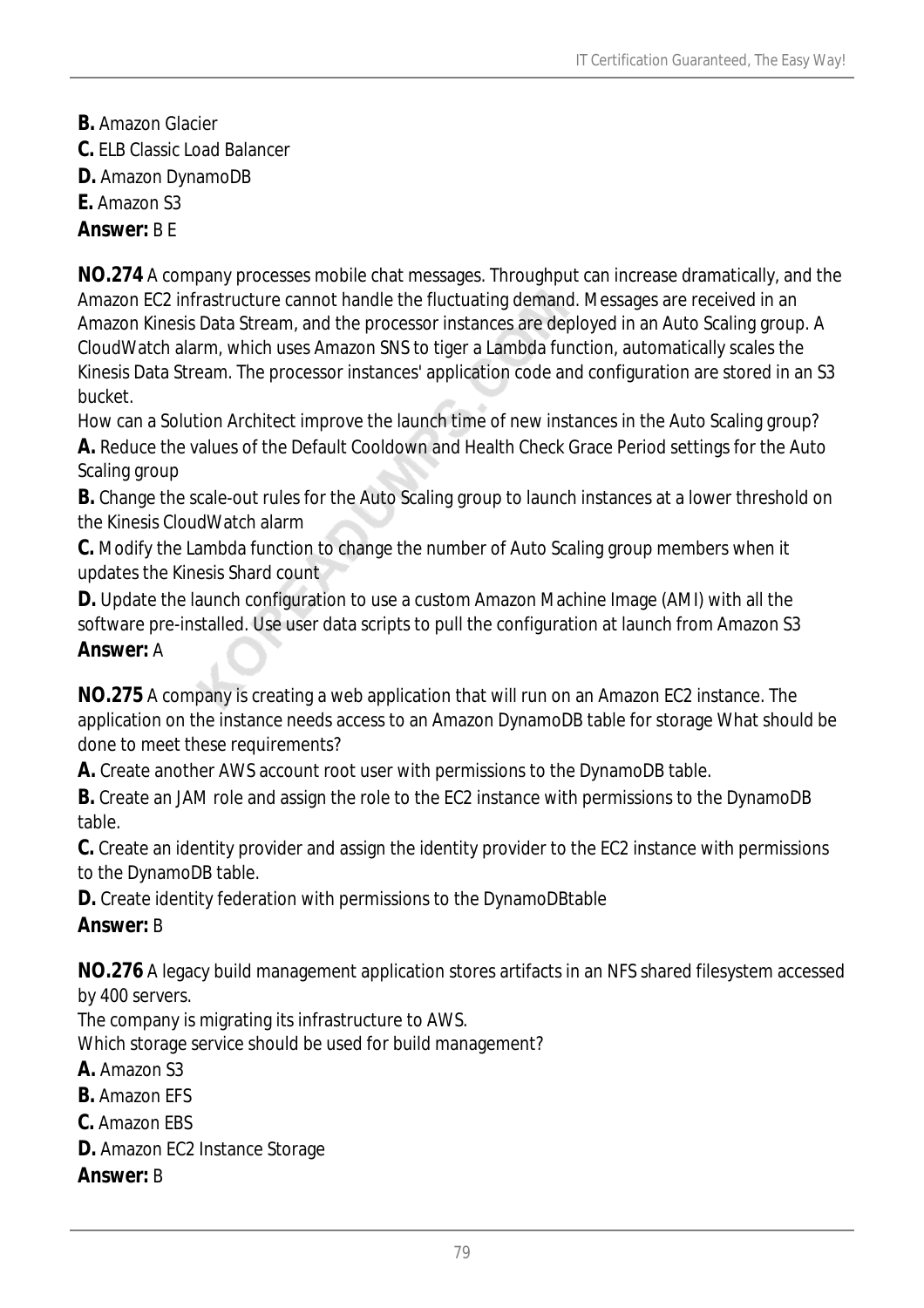- **B.** Amazon Glacier
- **C.** ELB Classic Load Balancer
- **D.** Amazon DynamoDB
- **E.** Amazon S3

#### *Answer:* B E

**NO.274** A company processes mobile chat messages. Throughput can increase dramatically, and the Amazon EC2 infrastructure cannot handle the fluctuating demand. Messages are received in an Amazon Kinesis Data Stream, and the processor instances are deployed in an Auto Scaling group. A CloudWatch alarm, which uses Amazon SNS to tiger a Lambda function, automatically scales the Kinesis Data Stream. The processor instances' application code and configuration are stored in an S3 bucket.

How can a Solution Architect improve the launch time of new instances in the Auto Scaling group?

**A.** Reduce the values of the Default Cooldown and Health Check Grace Period settings for the Auto Scaling group

**B.** Change the scale-out rules for the Auto Scaling group to launch instances at a lower threshold on the Kinesis CloudWatch alarm

**C.** Modify the Lambda function to change the number of Auto Scaling group members when it updates the Kinesis Shard count

**D.** Update the launch configuration to use a custom Amazon Machine Image (AMI) with all the software pre-installed. Use user data scripts to pull the configuration at launch from Amazon S3 *Answer:* A

**NO.275** A company is creating a web application that will run on an Amazon EC2 instance. The application on the instance needs access to an Amazon DynamoDB table for storage What should be done to meet these requirements?

**A.** Create another AWS account root user with permissions to the DynamoDB table.

**B.** Create an JAM role and assign the role to the EC2 instance with permissions to the DynamoDB table.

**C.** Create an identity provider and assign the identity provider to the EC2 instance with permissions to the DynamoDB table.

**D.** Create identity federation with permissions to the DynamoDBtable

### *Answer:* B

**NO.276** A legacy build management application stores artifacts in an NFS shared filesystem accessed by 400 servers.

The company is migrating its infrastructure to AWS.

Which storage service should be used for build management?

**A.** Amazon S3

**B.** Amazon EFS

- **C.** Amazon EBS
- **D.** Amazon EC2 Instance Storage

*Answer:* B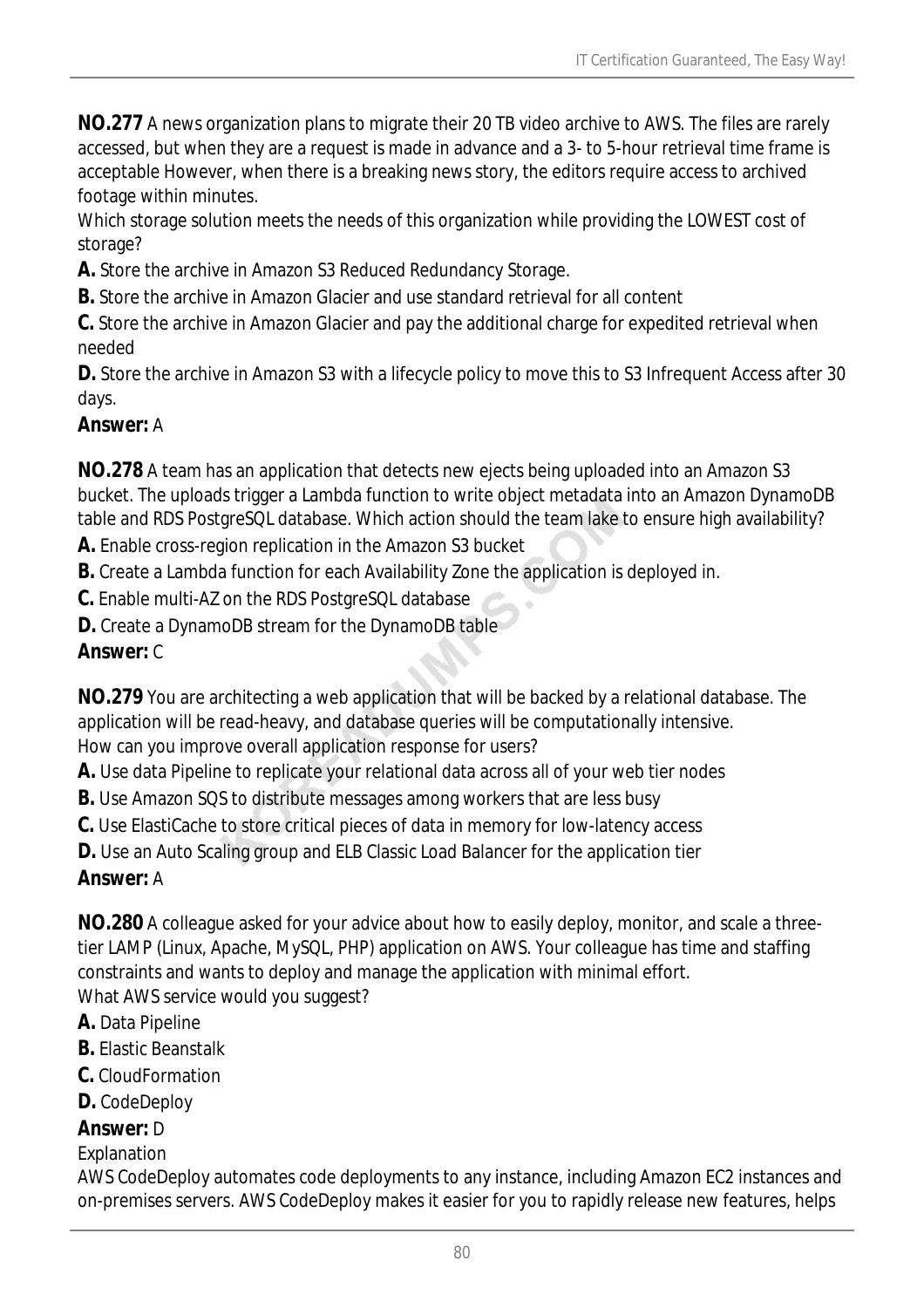**NO.277** A news organization plans to migrate their 20 TB video archive to AWS. The files are rarely accessed, but when they are a request is made in advance and a 3- to 5-hour retrieval time frame is acceptable However, when there is a breaking news story, the editors require access to archived footage within minutes.

Which storage solution meets the needs of this organization while providing the LOWEST cost of storage?

**A.** Store the archive in Amazon S3 Reduced Redundancy Storage.

**B.** Store the archive in Amazon Glacier and use standard retrieval for all content

**C.** Store the archive in Amazon Glacier and pay the additional charge for expedited retrieval when needed

**D.** Store the archive in Amazon S3 with a lifecycle policy to move this to S3 Infrequent Access after 30 days.

### *Answer:* A

**NO.278** A team has an application that detects new ejects being uploaded into an Amazon S3 bucket. The uploads trigger a Lambda function to write object metadata into an Amazon DynamoDB table and RDS PostgreSQL database. Which action should the team lake to ensure high availability?

**A.** Enable cross-region replication in the Amazon S3 bucket

**B.** Create a Lambda function for each Availability Zone the application is deployed in.

**C.** Enable multi-AZ on the RDS PostgreSQL database

**D.** Create a DynamoDB stream for the DynamoDB table

## *Answer:* C

**NO.279** You are architecting a web application that will be backed by a relational database. The application will be read-heavy, and database queries will be computationally intensive. How can you improve overall application response for users?

**A.** Use data Pipeline to replicate your relational data across all of your web tier nodes

**B.** Use Amazon SQS to distribute messages among workers that are less busy

**C.** Use ElastiCache to store critical pieces of data in memory for low-latency access

**D.** Use an Auto Scaling group and ELB Classic Load Balancer for the application tier

## *Answer:* A

**NO.280** A colleague asked for your advice about how to easily deploy, monitor, and scale a threetier LAMP (Linux, Apache, MySQL, PHP) application on AWS. Your colleague has time and staffing constraints and wants to deploy and manage the application with minimal effort. What AWS service would you suggest?

- **A.** Data Pipeline
- **B.** Elastic Beanstalk
- **C.** CloudFormation
- **D.** CodeDeploy

## *Answer:* D

Explanation

AWS CodeDeploy automates code deployments to any instance, including Amazon EC2 instances and on-premises servers. AWS CodeDeploy makes it easier for you to rapidly release new features, helps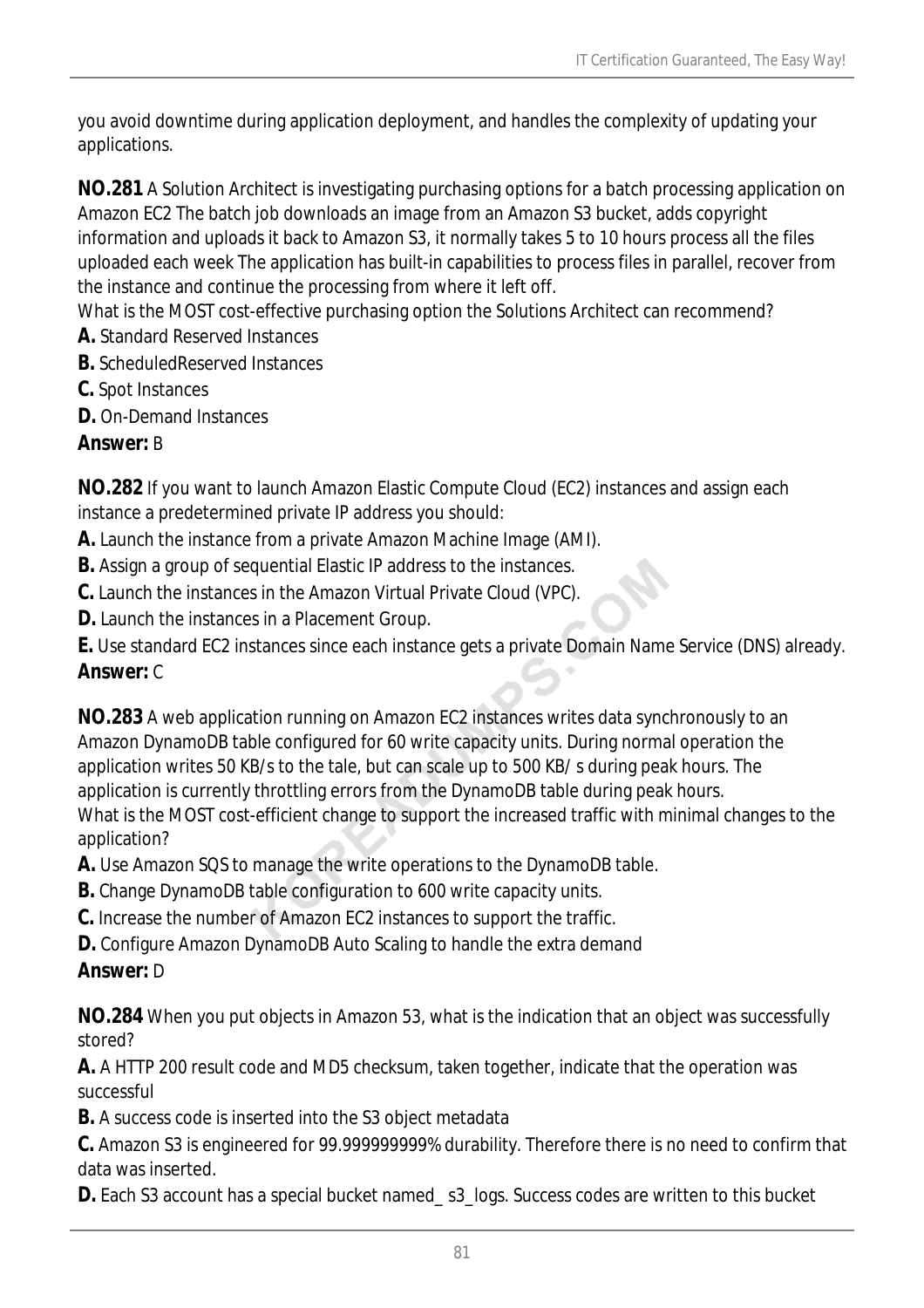you avoid downtime during application deployment, and handles the complexity of updating your applications.

**NO.281** A Solution Architect is investigating purchasing options for a batch processing application on Amazon EC2 The batch job downloads an image from an Amazon S3 bucket, adds copyright information and uploads it back to Amazon S3, it normally takes 5 to 10 hours process all the files uploaded each week The application has built-in capabilities to process files in parallel, recover from the instance and continue the processing from where it left off.

What is the MOST cost-effective purchasing option the Solutions Architect can recommend?

- **A.** Standard Reserved Instances
- **B.** ScheduledReserved Instances
- **C.** Spot Instances
- **D.** On-Demand Instances

## *Answer:* B

**NO.282** If you want to launch Amazon Elastic Compute Cloud (EC2) instances and assign each instance a predetermined private IP address you should:

- **A.** Launch the instance from a private Amazon Machine Image (AMI).
- **B.** Assign a group of sequential Elastic IP address to the instances.
- **C.** Launch the instances in the Amazon Virtual Private Cloud (VPC).
- **D.** Launch the instances in a Placement Group.

**E.** Use standard EC2 instances since each instance gets a private Domain Name Service (DNS) already. *Answer:* C

**NO.283** A web application running on Amazon EC2 instances writes data synchronously to an Amazon DynamoDB table configured for 60 write capacity units. During normal operation the application writes 50 KB/s to the tale, but can scale up to 500 KB/ s during peak hours. The application is currently throttling errors from the DynamoDB table during peak hours. What is the MOST cost-efficient change to support the increased traffic with minimal changes to the application?

- **A.** Use Amazon SQS to manage the write operations to the DynamoDB table.
- **B.** Change DynamoDB table configuration to 600 write capacity units.
- **C.** Increase the number of Amazon EC2 instances to support the traffic.
- **D.** Configure Amazon DynamoDB Auto Scaling to handle the extra demand

## *Answer:* D

**NO.284** When you put objects in Amazon 53, what is the indication that an object was successfully stored?

**A.** A HTTP 200 result code and MD5 checksum, taken together, indicate that the operation was successful

**B.** A success code is inserted into the S3 object metadata

**C.** Amazon S3 is engineered for 99.999999999% durability. Therefore there is no need to confirm that data was inserted.

**D.** Each S3 account has a special bucket named\_s3\_logs. Success codes are written to this bucket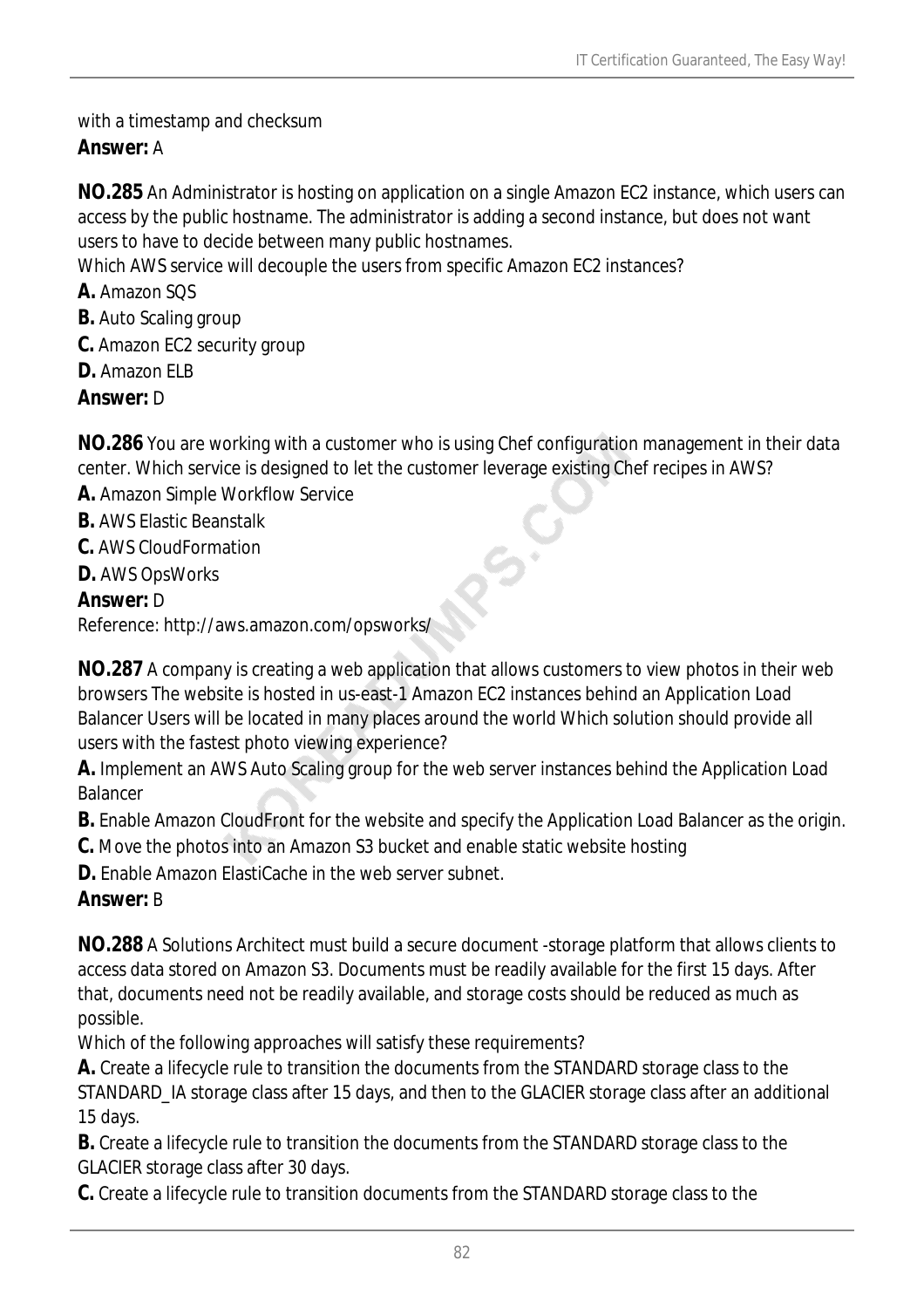### with a timestamp and checksum

## *Answer:* A

**NO.285** An Administrator is hosting on application on a single Amazon EC2 instance, which users can access by the public hostname. The administrator is adding a second instance, but does not want users to have to decide between many public hostnames.

Which AWS service will decouple the users from specific Amazon EC2 instances?

- **A.** Amazon SQS
- **B.** Auto Scaling group
- **C.** Amazon EC2 security group
- **D.** Amazon ELB
- *Answer:* D

**NO.286** You are working with a customer who is using Chef configuration management in their data center. Which service is designed to let the customer leverage existing Chef recipes in AWS?

 $\delta$ 

- **A.** Amazon Simple Workflow Service
- **B.** AWS Elastic Beanstalk
- **C.** AWS CloudFormation
- **D.** AWS OpsWorks

### *Answer:* D

Reference: http://aws.amazon.com/opsworks/

**NO.287** A company is creating a web application that allows customers to view photos in their web browsers The website is hosted in us-east-1 Amazon EC2 instances behind an Application Load Balancer Users will be located in many places around the world Which solution should provide all users with the fastest photo viewing experience?

**A.** Implement an AWS Auto Scaling group for the web server instances behind the Application Load Balancer

**B.** Enable Amazon CloudFront for the website and specify the Application Load Balancer as the origin.

- **C.** Move the photos into an Amazon S3 bucket and enable static website hosting
- **D.** Enable Amazon ElastiCache in the web server subnet.

## *Answer:* B

**NO.288** A Solutions Architect must build a secure document -storage platform that allows clients to access data stored on Amazon S3. Documents must be readily available for the first 15 days. After that, documents need not be readily available, and storage costs should be reduced as much as possible.

Which of the following approaches will satisfy these requirements?

**A.** Create a lifecycle rule to transition the documents from the STANDARD storage class to the STANDARD\_IA storage class after 15 days, and then to the GLACIER storage class after an additional 15 days.

**B.** Create a lifecycle rule to transition the documents from the STANDARD storage class to the GLACIER storage class after 30 days.

**C.** Create a lifecycle rule to transition documents from the STANDARD storage class to the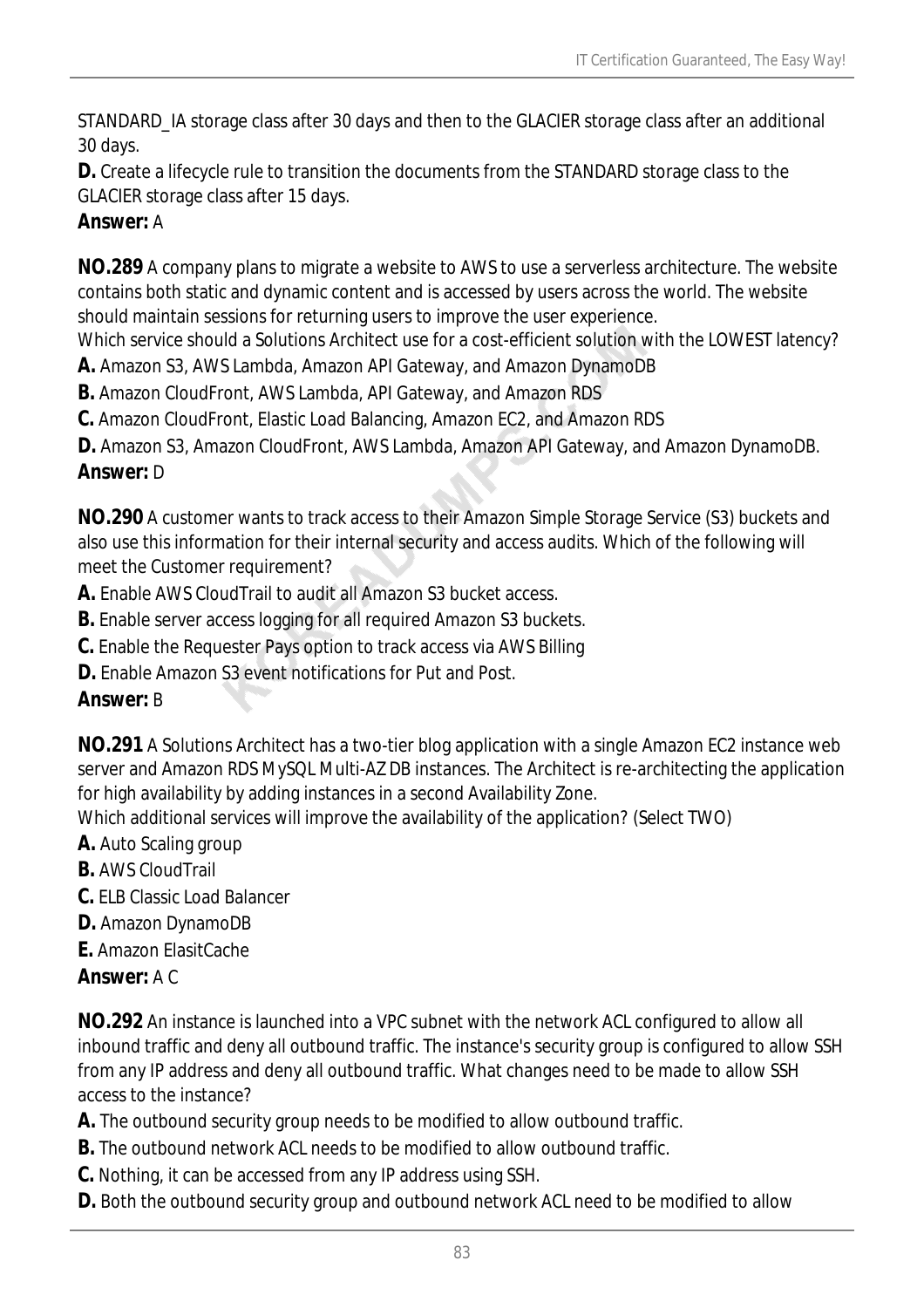STANDARD\_IA storage class after 30 days and then to the GLACIER storage class after an additional 30 days.

**D.** Create a lifecycle rule to transition the documents from the STANDARD storage class to the GLACIER storage class after 15 days.

## *Answer:* A

**NO.289** A company plans to migrate a website to AWS to use a serverless architecture. The website contains both static and dynamic content and is accessed by users across the world. The website should maintain sessions for returning users to improve the user experience.

Which service should a Solutions Architect use for a cost-efficient solution with the LOWEST latency?

**A.** Amazon S3, AWS Lambda, Amazon API Gateway, and Amazon DynamoDB

**B.** Amazon CloudFront, AWS Lambda, API Gateway, and Amazon RDS

**C.** Amazon CloudFront, Elastic Load Balancing, Amazon EC2, and Amazon RDS

**D.** Amazon S3, Amazon CloudFront, AWS Lambda, Amazon API Gateway, and Amazon DynamoDB.

## *Answer:* D

**NO.290** A customer wants to track access to their Amazon Simple Storage Service (S3) buckets and also use this information for their internal security and access audits. Which of the following will meet the Customer requirement?

**A.** Enable AWS CloudTrail to audit all Amazon S3 bucket access.

- **B.** Enable server access logging for all required Amazon S3 buckets.
- **C.** Enable the Requester Pays option to track access via AWS Billing
- **D.** Enable Amazon S3 event notifications for Put and Post.

## *Answer:* B

**NO.291** A Solutions Architect has a two-tier blog application with a single Amazon EC2 instance web server and Amazon RDS MySQL Multi-AZ DB instances. The Architect is re-architecting the application for high availability by adding instances in a second Availability Zone.

Which additional services will improve the availability of the application? (Select TWO)

- **A.** Auto Scaling group
- **B.** AWS CloudTrail
- **C.** ELB Classic Load Balancer
- **D.** Amazon DynamoDB
- **E.** Amazon ElasitCache

### *Answer:* A C

**NO.292** An instance is launched into a VPC subnet with the network ACL configured to allow all inbound traffic and deny all outbound traffic. The instance's security group is configured to allow SSH from any IP address and deny all outbound traffic. What changes need to be made to allow SSH access to the instance?

**A.** The outbound security group needs to be modified to allow outbound traffic.

- **B.** The outbound network ACL needs to be modified to allow outbound traffic.
- **C.** Nothing, it can be accessed from any IP address using SSH.
- **D.** Both the outbound security group and outbound network ACL need to be modified to allow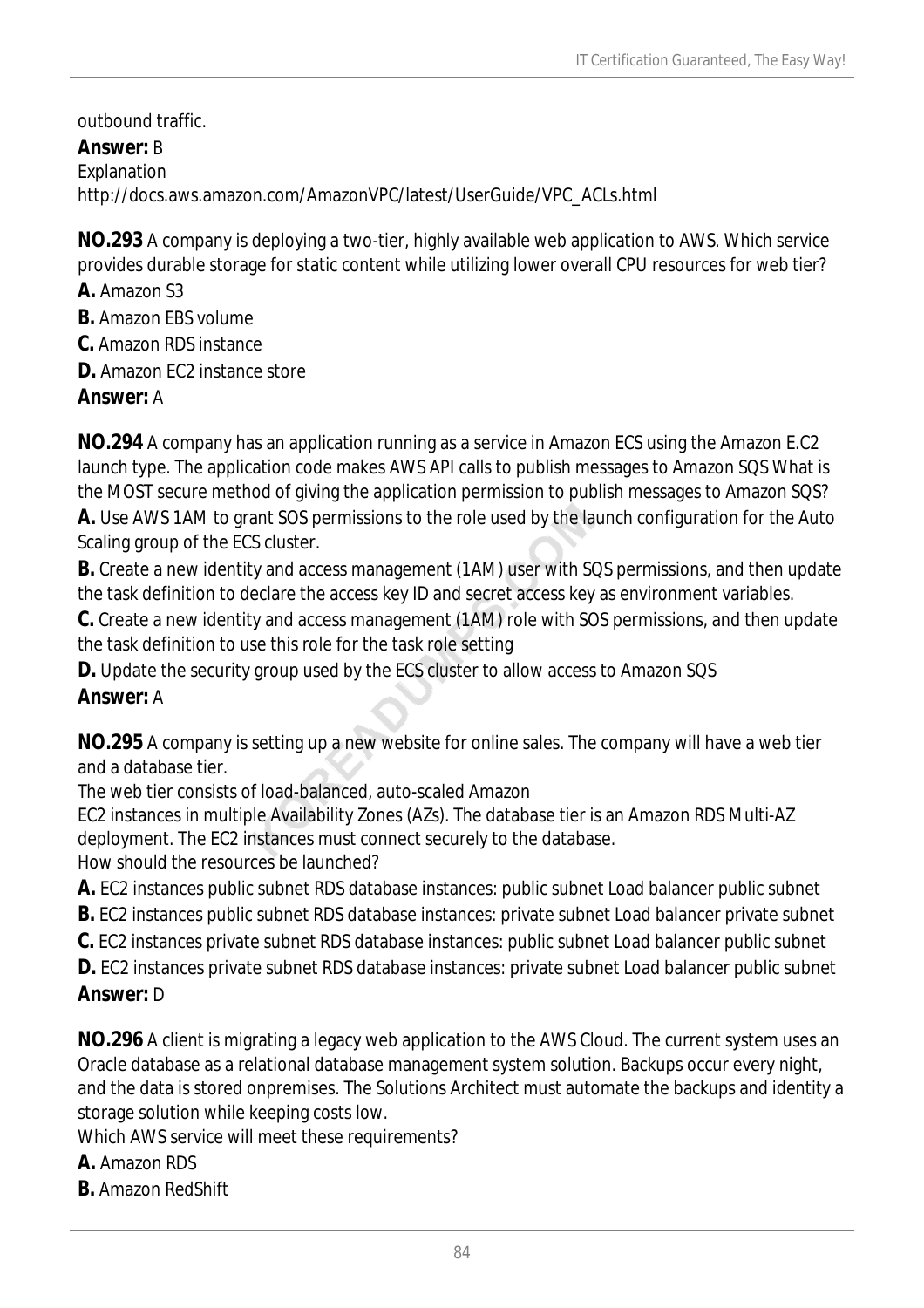outbound traffic.

*Answer:* B Explanation http://docs.aws.amazon.com/AmazonVPC/latest/UserGuide/VPC\_ACLs.html

**NO.293** A company is deploying a two-tier, highly available web application to AWS. Which service provides durable storage for static content while utilizing lower overall CPU resources for web tier?

**A.** Amazon S3

**B.** Amazon EBS volume

**C.** Amazon RDS instance

**D.** Amazon FC2 instance store

## *Answer:* A

**NO.294** A company has an application running as a service in Amazon ECS using the Amazon E.C2 launch type. The application code makes AWS API calls to publish messages to Amazon SQS What is the MOST secure method of giving the application permission to publish messages to Amazon SQS?

**A.** Use AWS 1AM to grant SOS permissions to the role used by the launch configuration for the Auto Scaling group of the ECS cluster.

**B.** Create a new identity and access management (1AM) user with SQS permissions, and then update the task definition to declare the access key ID and secret access key as environment variables.

**C.** Create a new identity and access management (1AM) role with SOS permissions, and then update the task definition to use this role for the task role setting

**D.** Update the security group used by the ECS cluster to allow access to Amazon SQS

## *Answer:* A

**NO.295** A company is setting up a new website for online sales. The company will have a web tier and a database tier.

The web tier consists of load-balanced, auto-scaled Amazon

EC2 instances in multiple Availability Zones (AZs). The database tier is an Amazon RDS Multi-AZ deployment. The EC2 instances must connect securely to the database.

How should the resources be launched?

**A.** EC2 instances public subnet RDS database instances: public subnet Load balancer public subnet

**B.** EC2 instances public subnet RDS database instances: private subnet Load balancer private subnet

**C.** EC2 instances private subnet RDS database instances: public subnet Load balancer public subnet

**D.** EC2 instances private subnet RDS database instances: private subnet Load balancer public subnet *Answer:* D

## **NO.296** A client is migrating a legacy web application to the AWS Cloud. The current system uses an Oracle database as a relational database management system solution. Backups occur every night, and the data is stored onpremises. The Solutions Architect must automate the backups and identity a storage solution while keeping costs low.

Which AWS service will meet these requirements?

- **A.** Amazon RDS
- **B.** Amazon RedShift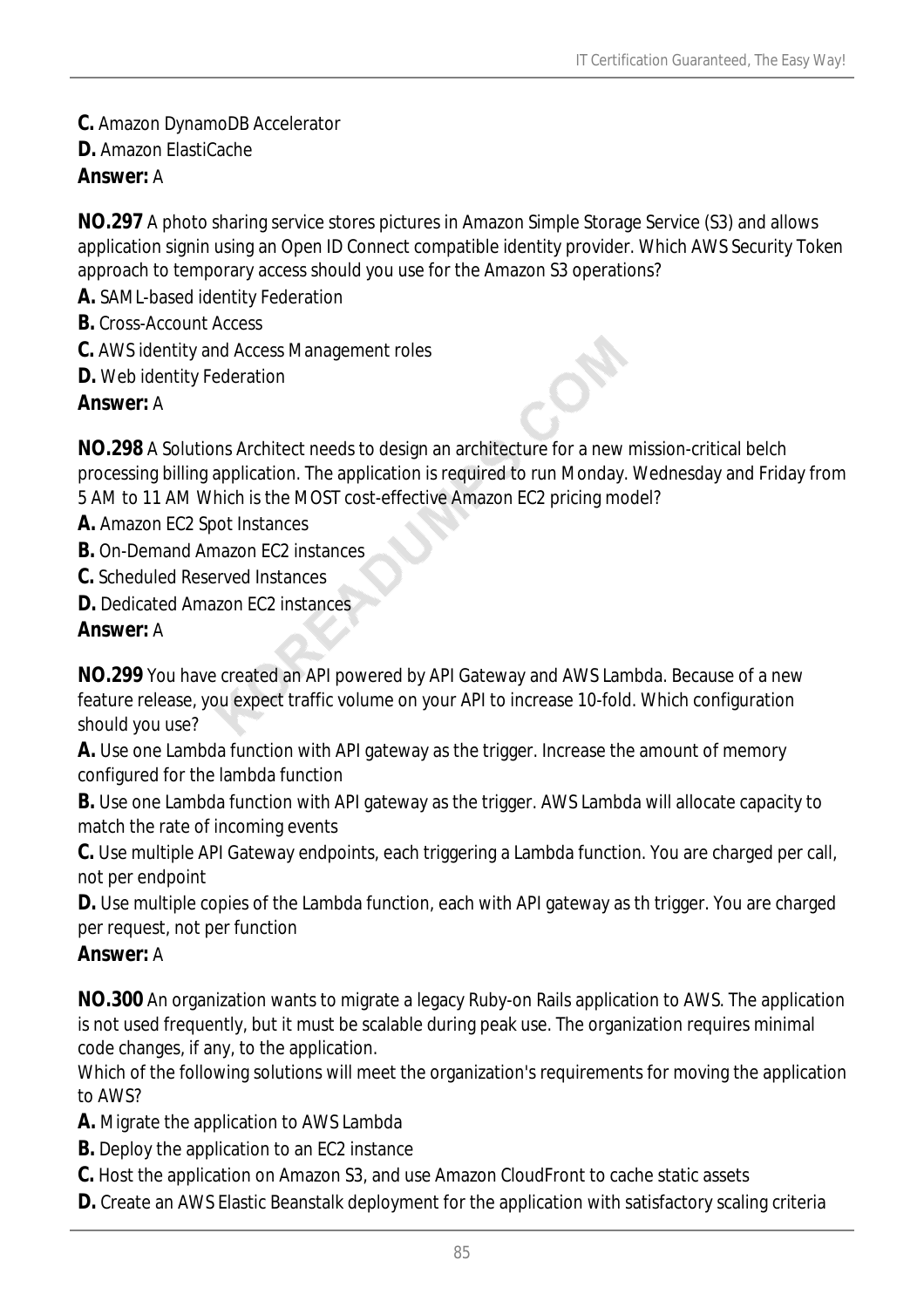- **C.** Amazon DynamoDB Accelerator
- **D.** Amazon ElastiCache

## *Answer:* A

**NO.297** A photo sharing service stores pictures in Amazon Simple Storage Service (S3) and allows application signin using an Open ID Connect compatible identity provider. Which AWS Security Token approach to temporary access should you use for the Amazon S3 operations?

- **A.** SAML-based identity Federation
- **B.** Cross-Account Access
- **C.** AWS identity and Access Management roles
- **D.** Web identity Federation

### *Answer:* A

**NO.298** A Solutions Architect needs to design an architecture for a new mission-critical belch processing billing application. The application is required to run Monday. Wednesday and Friday from 5 AM to 11 AM Which is the MOST cost-effective Amazon EC2 pricing model?

- **A.** Amazon EC2 Spot Instances
- **B.** On-Demand Amazon EC2 instances
- **C.** Scheduled Reserved Instances
- **D.** Dedicated Amazon EC2 instances

### *Answer:* A

**NO.299** You have created an API powered by API Gateway and AWS Lambda. Because of a new feature release, you expect traffic volume on your API to increase 10-fold. Which configuration should you use?

**A.** Use one Lambda function with API gateway as the trigger. Increase the amount of memory configured for the lambda function

**B.** Use one Lambda function with API gateway as the trigger. AWS Lambda will allocate capacity to match the rate of incoming events

**C.** Use multiple API Gateway endpoints, each triggering a Lambda function. You are charged per call, not per endpoint

**D.** Use multiple copies of the Lambda function, each with API gateway as th trigger. You are charged per request, not per function

### *Answer:* A

**NO.300** An organization wants to migrate a legacy Ruby-on Rails application to AWS. The application is not used frequently, but it must be scalable during peak use. The organization requires minimal code changes, if any, to the application.

Which of the following solutions will meet the organization's requirements for moving the application to AWS?

**A.** Migrate the application to AWS Lambda

- **B.** Deploy the application to an EC2 instance
- **C.** Host the application on Amazon S3, and use Amazon CloudFront to cache static assets
- **D.** Create an AWS Elastic Beanstalk deployment for the application with satisfactory scaling criteria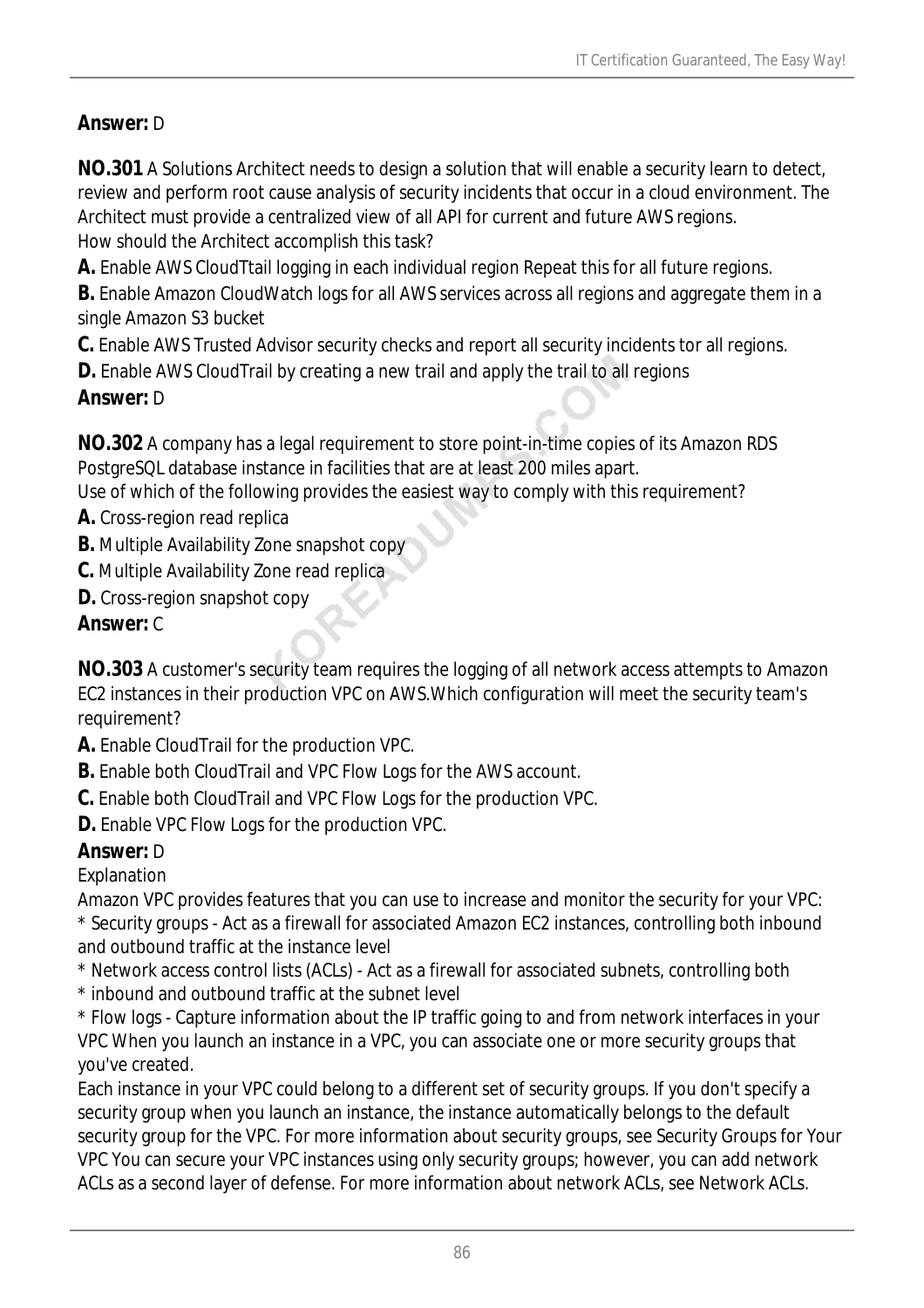## *Answer:* D

**NO.301** A Solutions Architect needs to design a solution that will enable a security learn to detect, review and perform root cause analysis of security incidents that occur in a cloud environment. The Architect must provide a centralized view of all API for current and future AWS regions. How should the Architect accomplish this task?

**A.** Enable AWS CloudTtail logging in each individual region Repeat this for all future regions.

**B.** Enable Amazon CloudWatch logs for all AWS services across all regions and aggregate them in a single Amazon S3 bucket

**C.** Enable AWS Trusted Advisor security checks and report all security incidents tor all regions.

**D.** Enable AWS Cloud Trail by creating a new trail and apply the trail to all regions

## *Answer:* D

**NO.302** A company has a legal requirement to store point-in-time copies of its Amazon RDS PostgreSQL database instance in facilities that are at least 200 miles apart.

Use of which of the following provides the easiest way to comply with this requirement?

- **A.** Cross-region read replica
- **B.** Multiple Availability Zone snapshot copy
- **C.** Multiple Availability Zone read replica
- **D.** Cross-region snapshot copy

## *Answer:* C

**NO.303** A customer's security team requires the logging of all network access attempts to Amazon EC2 instances in their production VPC on AWS.Which configuration will meet the security team's requirement?

- **A.** Enable CloudTrail for the production VPC.
- **B.** Enable both CloudTrail and VPC Flow Logs for the AWS account.
- **C.** Enable both CloudTrail and VPC Flow Logs for the production VPC.
- **D.** Enable VPC Flow Logs for the production VPC.

## *Answer:* D

Explanation

Amazon VPC provides features that you can use to increase and monitor the security for your VPC: \* Security groups - Act as a firewall for associated Amazon EC2 instances, controlling both inbound and outbound traffic at the instance level

\* Network access control lists (ACLs) - Act as a firewall for associated subnets, controlling both

\* inbound and outbound traffic at the subnet level

\* Flow logs - Capture information about the IP traffic going to and from network interfaces in your VPC When you launch an instance in a VPC, you can associate one or more security groups that you've created.

Each instance in your VPC could belong to a different set of security groups. If you don't specify a security group when you launch an instance, the instance automatically belongs to the default security group for the VPC. For more information about security groups, see Security Groups for Your VPC You can secure your VPC instances using only security groups; however, you can add network ACLs as a second layer of defense. For more information about network ACLs, see Network ACLs.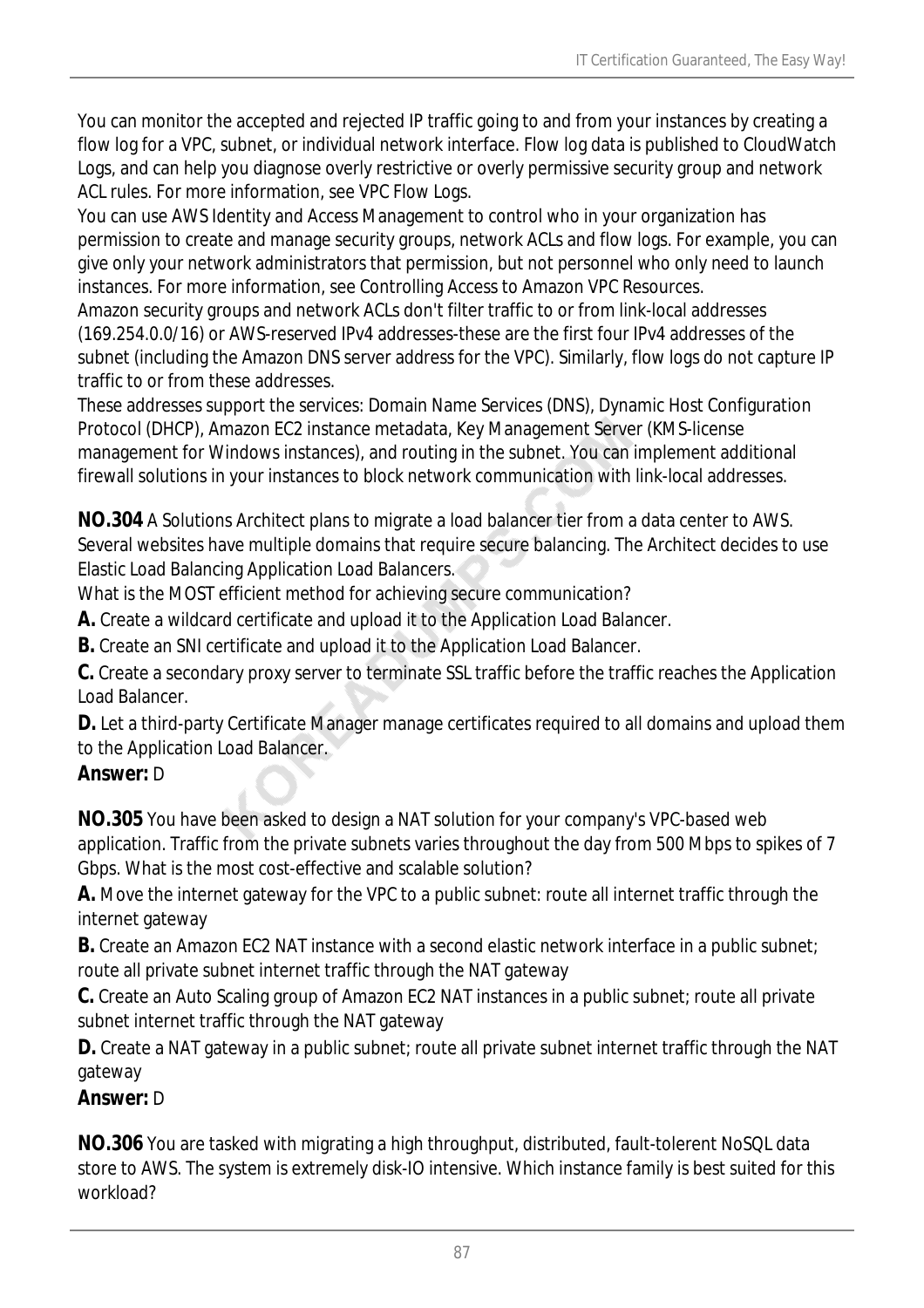You can monitor the accepted and rejected IP traffic going to and from your instances by creating a flow log for a VPC, subnet, or individual network interface. Flow log data is published to CloudWatch Logs, and can help you diagnose overly restrictive or overly permissive security group and network ACL rules. For more information, see VPC Flow Logs.

You can use AWS Identity and Access Management to control who in your organization has permission to create and manage security groups, network ACLs and flow logs. For example, you can give only your network administrators that permission, but not personnel who only need to launch instances. For more information, see Controlling Access to Amazon VPC Resources.

Amazon security groups and network ACLs don't filter traffic to or from link-local addresses (169.254.0.0/16) or AWS-reserved IPv4 addresses-these are the first four IPv4 addresses of the subnet (including the Amazon DNS server address for the VPC). Similarly, flow logs do not capture IP traffic to or from these addresses.

These addresses support the services: Domain Name Services (DNS), Dynamic Host Configuration Protocol (DHCP), Amazon EC2 instance metadata, Key Management Server (KMS-license management for Windows instances), and routing in the subnet. You can implement additional firewall solutions in your instances to block network communication with link-local addresses.

**NO.304** A Solutions Architect plans to migrate a load balancer tier from a data center to AWS. Several websites have multiple domains that require secure balancing. The Architect decides to use Elastic Load Balancing Application Load Balancers.

What is the MOST efficient method for achieving secure communication?

**A.** Create a wildcard certificate and upload it to the Application Load Balancer.

**B.** Create an SNI certificate and upload it to the Application Load Balancer.

**C.** Create a secondary proxy server to terminate SSL traffic before the traffic reaches the Application Load Balancer.

**D.** Let a third-party Certificate Manager manage certificates required to all domains and upload them to the Application Load Balancer.

## *Answer:* D

**NO.305** You have been asked to design a NAT solution for your company's VPC-based web application. Traffic from the private subnets varies throughout the day from 500 Mbps to spikes of 7 Gbps. What is the most cost-effective and scalable solution?

**A.** Move the internet gateway for the VPC to a public subnet: route all internet traffic through the internet gateway

**B.** Create an Amazon EC2 NAT instance with a second elastic network interface in a public subnet; route all private subnet internet traffic through the NAT gateway

**C.** Create an Auto Scaling group of Amazon EC2 NAT instances in a public subnet; route all private subnet internet traffic through the NAT gateway

**D.** Create a NAT gateway in a public subnet; route all private subnet internet traffic through the NAT gateway

## *Answer:* D

**NO.306** You are tasked with migrating a high throughput, distributed, fault-tolerent NoSQL data store to AWS. The system is extremely disk-IO intensive. Which instance family is best suited for this workload?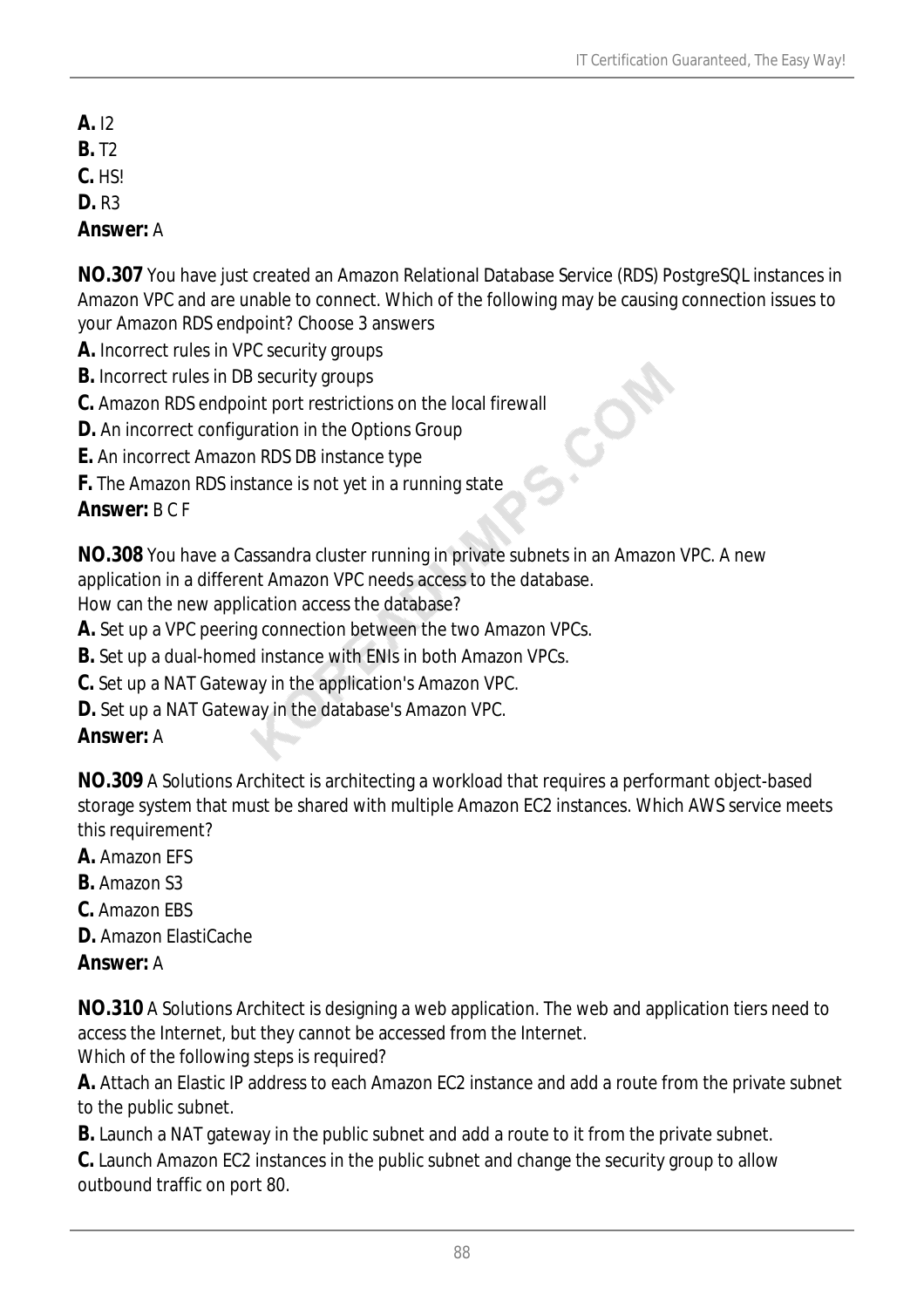- **A.** I2
- **B.** T2
- **C.** HS!
- **D.** R3

*Answer:* A

**NO.307** You have just created an Amazon Relational Database Service (RDS) PostgreSQL instances in Amazon VPC and are unable to connect. Which of the following may be causing connection issues to your Amazon RDS endpoint? Choose 3 answers

- **A.** Incorrect rules in VPC security groups
- **B.** Incorrect rules in DB security groups
- **C.** Amazon RDS endpoint port restrictions on the local firewall
- **D.** An incorrect configuration in the Options Group
- **E.** An incorrect Amazon RDS DB instance type
- **F.** The Amazon RDS instance is not yet in a running state

# *Answer:* B C F

**NO.308** You have a Cassandra cluster running in private subnets in an Amazon VPC. A new application in a different Amazon VPC needs access to the database. How can the new application access the database?

**A.** Set up a VPC peering connection between the two Amazon VPCs.

- **B.** Set up a dual-homed instance with ENIs in both Amazon VPCs.
- **C.** Set up a NAT Gateway in the application's Amazon VPC.
- **D.** Set up a NAT Gateway in the database's Amazon VPC.

# *Answer:* A

**NO.309** A Solutions Architect is architecting a workload that requires a performant object-based storage system that must be shared with multiple Amazon EC2 instances. Which AWS service meets this requirement?

- **A.** Amazon EFS
- **B.** Amazon S3
- **C.** Amazon EBS
- **D.** Amazon ElastiCache

# *Answer:* A

**NO.310** A Solutions Architect is designing a web application. The web and application tiers need to access the Internet, but they cannot be accessed from the Internet. Which of the following steps is required?

**A.** Attach an Elastic IP address to each Amazon EC2 instance and add a route from the private subnet to the public subnet.

**B.** Launch a NAT gateway in the public subnet and add a route to it from the private subnet.

**C.** Launch Amazon EC2 instances in the public subnet and change the security group to allow outbound traffic on port 80.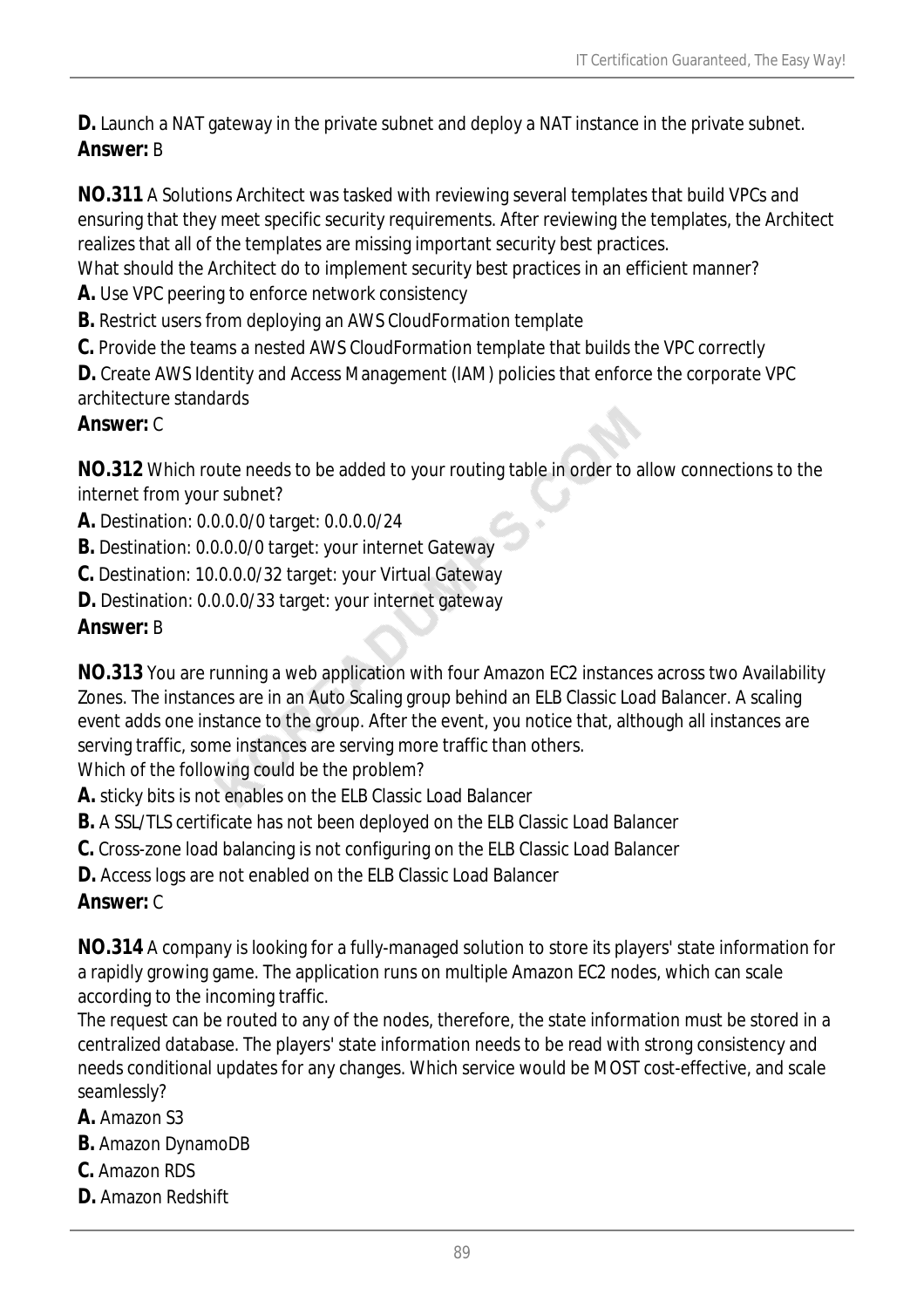**D.** Launch a NAT gateway in the private subnet and deploy a NAT instance in the private subnet. *Answer:* B

**NO.311** A Solutions Architect was tasked with reviewing several templates that build VPCs and ensuring that they meet specific security requirements. After reviewing the templates, the Architect realizes that all of the templates are missing important security best practices.

What should the Architect do to implement security best practices in an efficient manner?

**A.** Use VPC peering to enforce network consistency

**B.** Restrict users from deploying an AWS CloudFormation template

**C.** Provide the teams a nested AWS CloudFormation template that builds the VPC correctly

**D.** Create AWS Identity and Access Management (IAM) policies that enforce the corporate VPC architecture standards

### *Answer:* C

**NO.312** Which route needs to be added to your routing table in order to allow connections to the internet from your subnet?

**A.** Destination: 0.0.0.0/0 target: 0.0.0.0/24

**B.** Destination: 0.0.0.0/0 target: your internet Gateway

**C.** Destination: 10.0.0.0/32 target: your Virtual Gateway

**D.** Destination: 0.0.0.0/33 target: your internet gateway

### *Answer:* B

**NO.313** You are running a web application with four Amazon EC2 instances across two Availability Zones. The instances are in an Auto Scaling group behind an ELB Classic Load Balancer. A scaling event adds one instance to the group. After the event, you notice that, although all instances are serving traffic, some instances are serving more traffic than others.

Which of the following could be the problem?

**A.** sticky bits is not enables on the ELB Classic Load Balancer

**B.** A SSL/TLS certificate has not been deployed on the ELB Classic Load Balancer

**C.** Cross-zone load balancing is not configuring on the ELB Classic Load Balancer

**D.** Access logs are not enabled on the ELB Classic Load Balancer

## *Answer:* C

**NO.314** A company is looking for a fully-managed solution to store its players' state information for a rapidly growing game. The application runs on multiple Amazon EC2 nodes, which can scale according to the incoming traffic.

The request can be routed to any of the nodes, therefore, the state information must be stored in a centralized database. The players' state information needs to be read with strong consistency and needs conditional updates for any changes. Which service would be MOST cost-effective, and scale seamlessly?

## **A.** Amazon S3

- **B.** Amazon DynamoDB
- **C.** Amazon RDS
- **D.** Amazon Redshift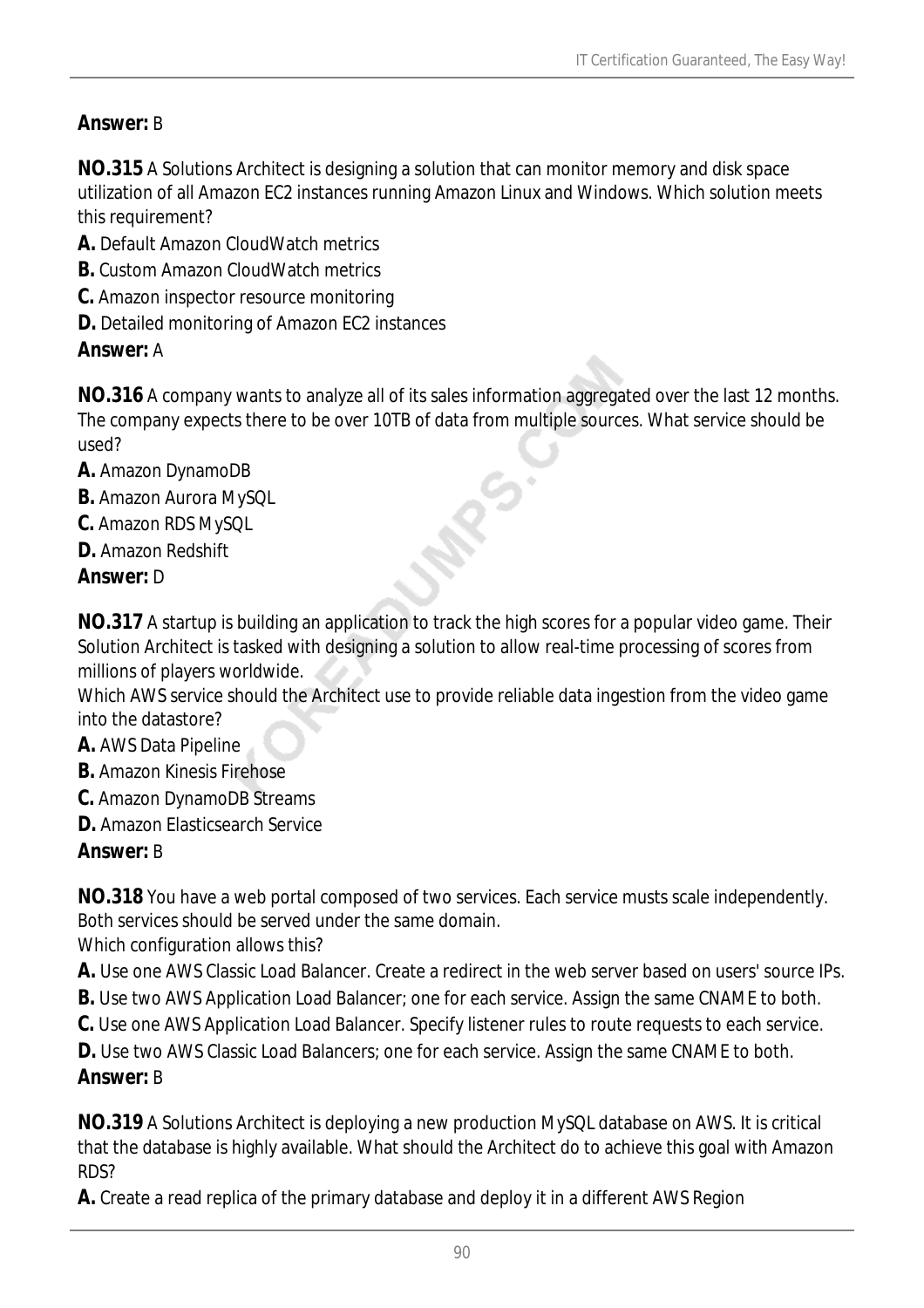## *Answer:* B

**NO.315** A Solutions Architect is designing a solution that can monitor memory and disk space utilization of all Amazon EC2 instances running Amazon Linux and Windows. Which solution meets this requirement?

- **A.** Default Amazon CloudWatch metrics
- **B.** Custom Amazon CloudWatch metrics
- **C.** Amazon inspector resource monitoring
- **D.** Detailed monitoring of Amazon EC2 instances

### *Answer:* A

**NO.316** A company wants to analyze all of its sales information aggregated over the last 12 months. The company expects there to be over 10TB of data from multiple sources. What service should be used?

- **A.** Amazon DynamoDB
- **B.** Amazon Aurora MySQL
- **C.** Amazon RDS MySQL
- **D.** Amazon Redshift

### *Answer:* D

**NO.317** A startup is building an application to track the high scores for a popular video game. Their Solution Architect is tasked with designing a solution to allow real-time processing of scores from millions of players worldwide.

Which AWS service should the Architect use to provide reliable data ingestion from the video game into the datastore?

- **A.** AWS Data Pipeline
- **B.** Amazon Kinesis Firehose
- **C.** Amazon DynamoDB Streams
- **D.** Amazon Elasticsearch Service

### *Answer:* B

**NO.318** You have a web portal composed of two services. Each service musts scale independently. Both services should be served under the same domain. Which configuration allows this?

**A.** Use one AWS Classic Load Balancer. Create a redirect in the web server based on users' source IPs.

- **B.** Use two AWS Application Load Balancer; one for each service. Assign the same CNAME to both.
- **C.** Use one AWS Application Load Balancer. Specify listener rules to route requests to each service.

**D.** Use two AWS Classic Load Balancers; one for each service. Assign the same CNAME to both.

### *Answer:* B

**NO.319** A Solutions Architect is deploying a new production MySQL database on AWS. It is critical that the database is highly available. What should the Architect do to achieve this goal with Amazon RDS?

**A.** Create a read replica of the primary database and deploy it in a different AWS Region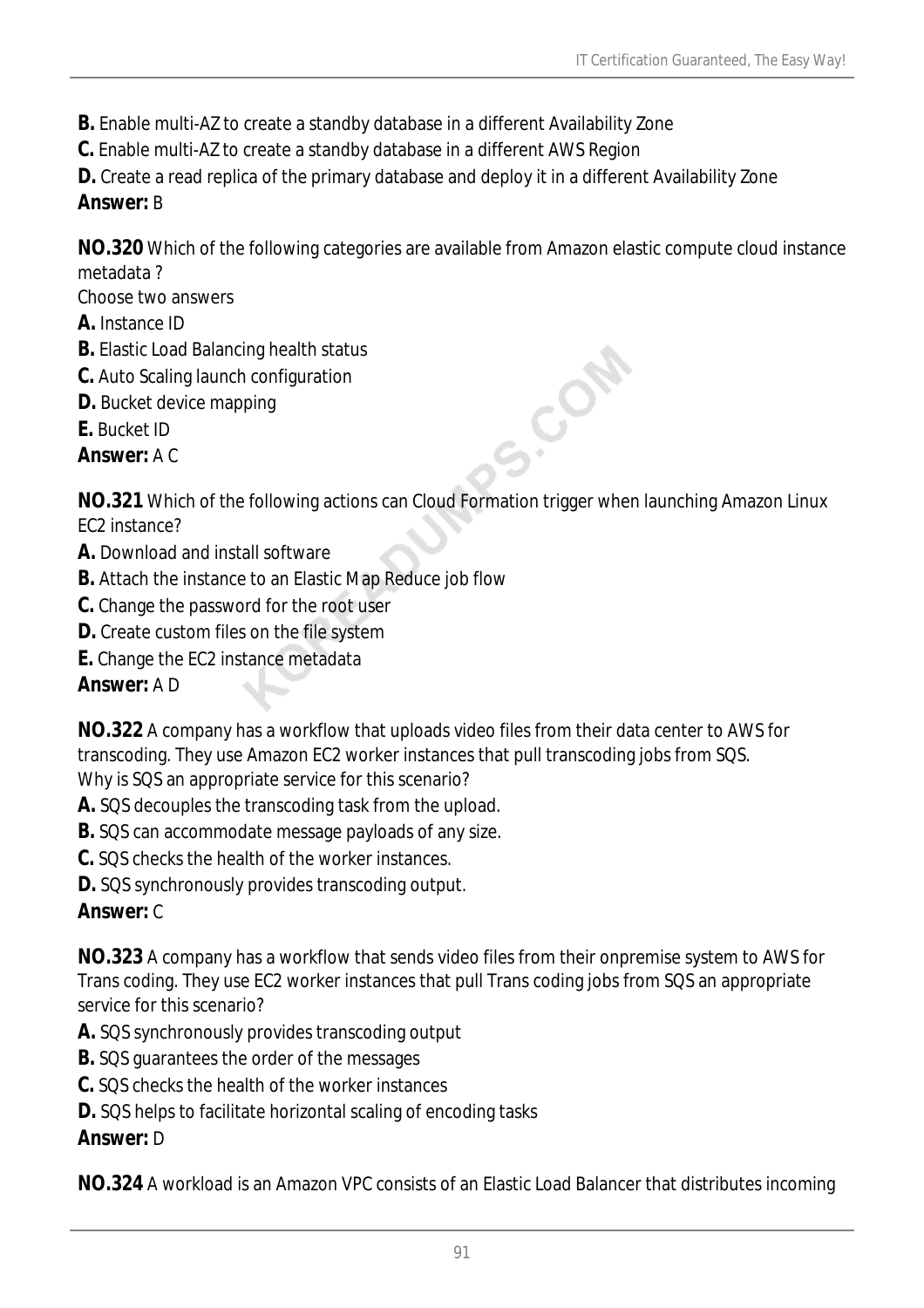- **B.** Enable multi-AZ to create a standby database in a different Availability Zone
- **C.** Enable multi-AZ to create a standby database in a different AWS Region
- **D.** Create a read replica of the primary database and deploy it in a different Availability Zone

## *Answer:* B

**NO.320** Which of the following categories are available from Amazon elastic compute cloud instance metadata ?

Choose two answers

- **A.** Instance ID
- **B.** Elastic Load Balancing health status
- **C.** Auto Scaling launch configuration
- **D.** Bucket device mapping
- **E.** Bucket ID

*Answer:* A C

**NO.321** Which of the following actions can Cloud Formation trigger when launching Amazon Linux EC2 instance?

S.COM

- **A.** Download and install software
- **B.** Attach the instance to an Elastic Map Reduce job flow
- **C.** Change the password for the root user
- **D.** Create custom files on the file system
- **E.** Change the EC2 instance metadata

*Answer:* A D

**NO.322** A company has a workflow that uploads video files from their data center to AWS for transcoding. They use Amazon EC2 worker instances that pull transcoding jobs from SQS. Why is SQS an appropriate service for this scenario?

- **A.** SQS decouples the transcoding task from the upload.
- **B.** SQS can accommodate message payloads of any size.
- **C.** SQS checks the health of the worker instances.
- **D.** SQS synchronously provides transcoding output.

## *Answer:* C

**NO.323** A company has a workflow that sends video files from their onpremise system to AWS for Trans coding. They use EC2 worker instances that pull Trans coding jobs from SQS an appropriate service for this scenario?

- **A.** SQS synchronously provides transcoding output
- **B.** SQS guarantees the order of the messages
- **C.** SQS checks the health of the worker instances
- **D.** SQS helps to facilitate horizontal scaling of encoding tasks

## *Answer:* D

**NO.324** A workload is an Amazon VPC consists of an Elastic Load Balancer that distributes incoming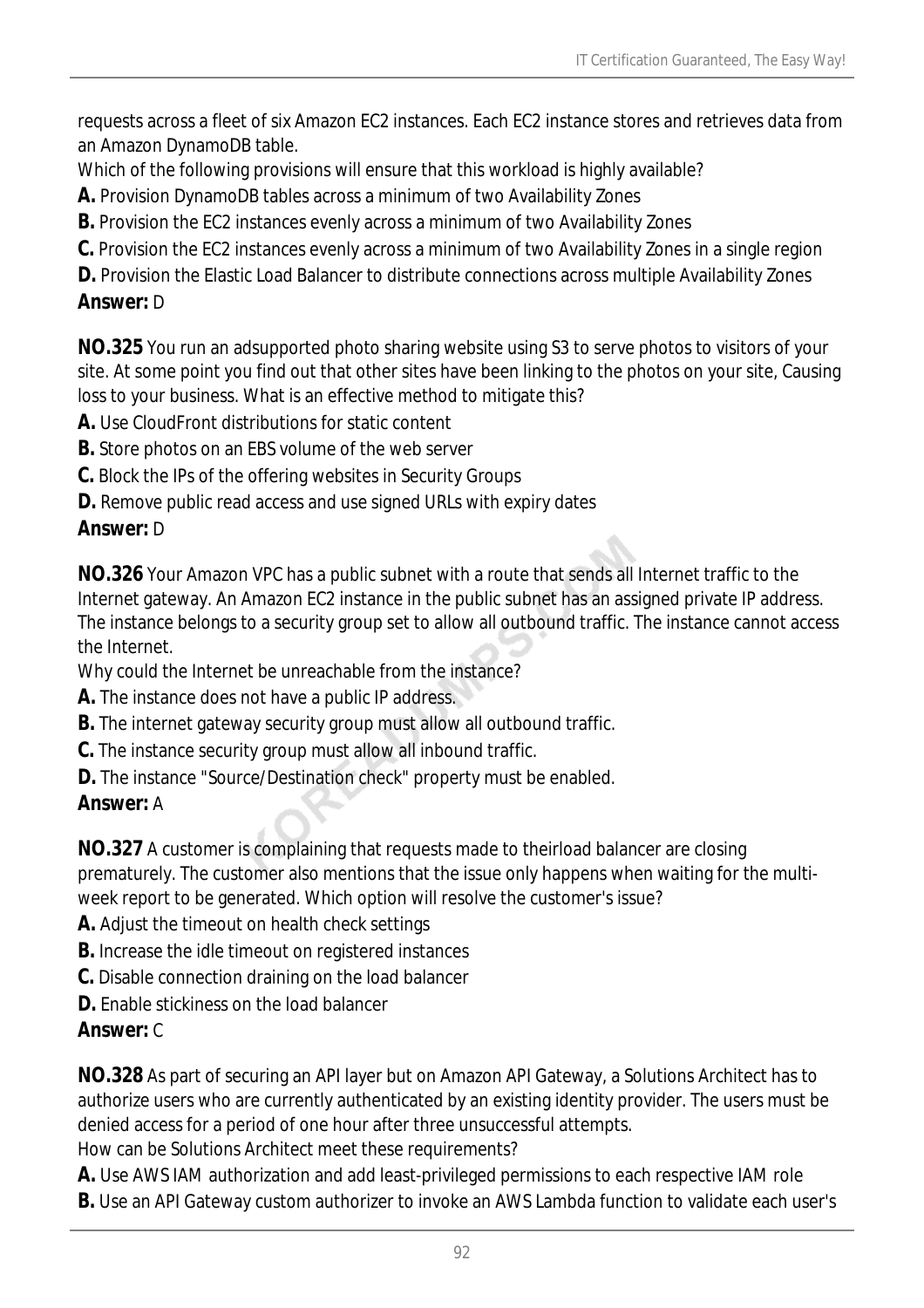requests across a fleet of six Amazon EC2 instances. Each EC2 instance stores and retrieves data from an Amazon DynamoDB table.

Which of the following provisions will ensure that this workload is highly available?

**A.** Provision DynamoDB tables across a minimum of two Availability Zones

**B.** Provision the EC2 instances evenly across a minimum of two Availability Zones

**C.** Provision the EC2 instances evenly across a minimum of two Availability Zones in a single region

**D.** Provision the Elastic Load Balancer to distribute connections across multiple Availability Zones *Answer:* D

**NO.325** You run an adsupported photo sharing website using S3 to serve photos to visitors of your site. At some point you find out that other sites have been linking to the photos on your site, Causing loss to your business. What is an effective method to mitigate this?

**A.** Use CloudFront distributions for static content

**B.** Store photos on an EBS volume of the web server

**C.** Block the IPs of the offering websites in Security Groups

**D.** Remove public read access and use signed URLs with expiry dates

## *Answer:* D

**NO.326** Your Amazon VPC has a public subnet with a route that sends all Internet traffic to the Internet gateway. An Amazon EC2 instance in the public subnet has an assigned private IP address. The instance belongs to a security group set to allow all outbound traffic. The instance cannot access the Internet.

Why could the Internet be unreachable from the instance?

- **A.** The instance does not have a public IP address.
- **B.** The internet gateway security group must allow all outbound traffic.
- **C.** The instance security group must allow all inbound traffic.
- **D.** The instance "Source/Destination check" property must be enabled.

## *Answer:* A

**NO.327** A customer is complaining that requests made to theirload balancer are closing prematurely. The customer also mentions that the issue only happens when waiting for the multiweek report to be generated. Which option will resolve the customer's issue?

- **A.** Adjust the timeout on health check settings
- **B.** Increase the idle timeout on registered instances
- **C.** Disable connection draining on the load balancer
- **D.** Enable stickiness on the load balancer

## *Answer:* C

**NO.328** As part of securing an API layer but on Amazon API Gateway, a Solutions Architect has to authorize users who are currently authenticated by an existing identity provider. The users must be denied access for a period of one hour after three unsuccessful attempts.

How can be Solutions Architect meet these requirements?

**A.** Use AWS IAM authorization and add least-privileged permissions to each respective IAM role

**B.** Use an API Gateway custom authorizer to invoke an AWS Lambda function to validate each user's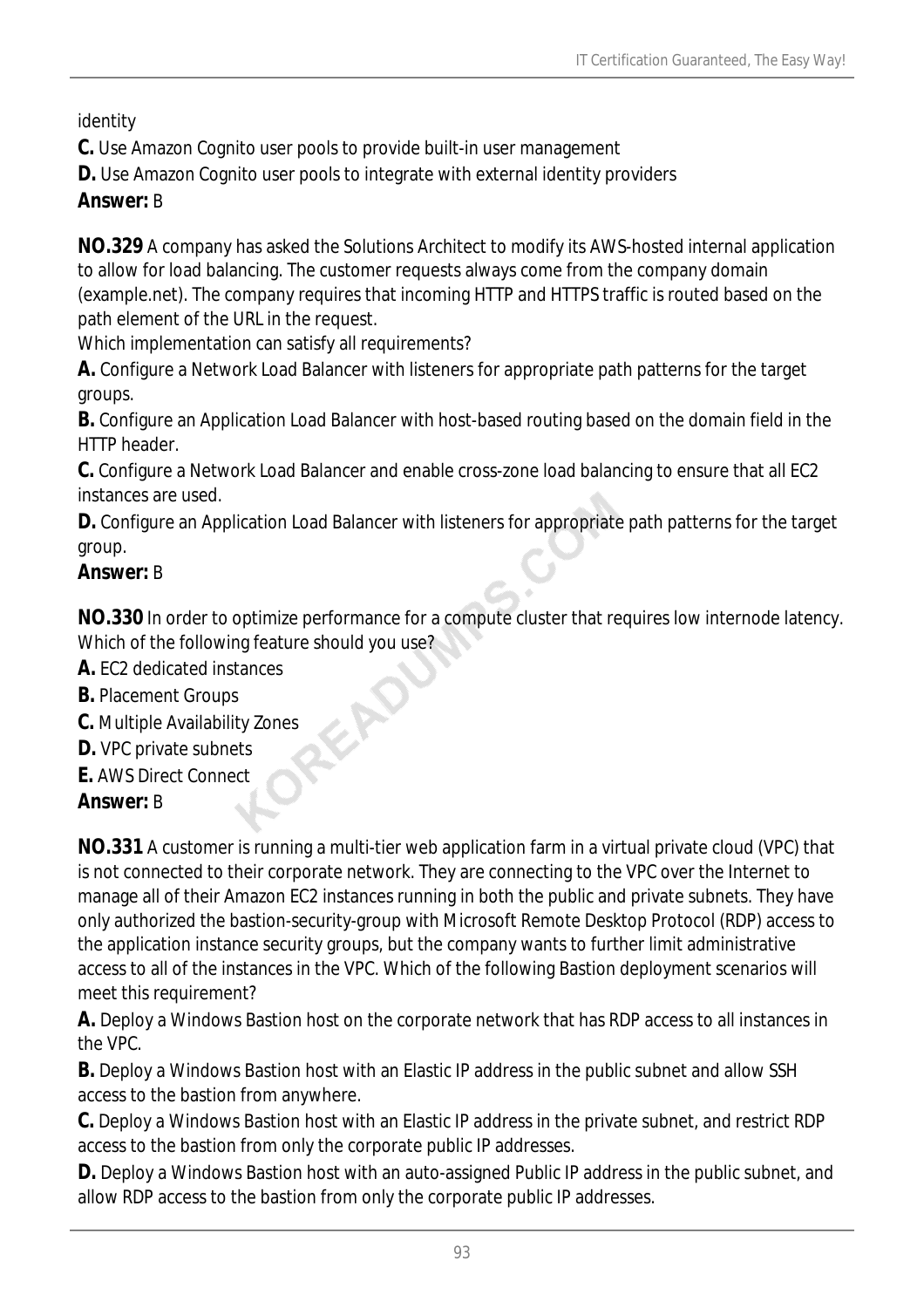identity

**C.** Use Amazon Cognito user pools to provide built-in user management

**D.** Use Amazon Cognito user pools to integrate with external identity providers

### *Answer:* B

**NO.329** A company has asked the Solutions Architect to modify its AWS-hosted internal application to allow for load balancing. The customer requests always come from the company domain (example.net). The company requires that incoming HTTP and HTTPS traffic is routed based on the path element of the URL in the request.

Which implementation can satisfy all requirements?

**A.** Configure a Network Load Balancer with listeners for appropriate path patterns for the target groups.

**B.** Configure an Application Load Balancer with host-based routing based on the domain field in the HTTP header.

**C.** Configure a Network Load Balancer and enable cross-zone load balancing to ensure that all EC2 instances are used.

**D.** Configure an Application Load Balancer with listeners for appropriate path patterns for the target group.

## *Answer:* B

**NO.330** In order to optimize performance for a compute cluster that requires low internode latency. Which of the following feature should you use?

- **A.** EC2 dedicated instances
- **B.** Placement Groups
- **C.** Multiple Availability Zones
- **D.** VPC private subnets
- **E.** AWS Direct Connect

## *Answer:* B

**NO.331** A customer is running a multi-tier web application farm in a virtual private cloud (VPC) that is not connected to their corporate network. They are connecting to the VPC over the Internet to manage all of their Amazon EC2 instances running in both the public and private subnets. They have only authorized the bastion-security-group with Microsoft Remote Desktop Protocol (RDP) access to the application instance security groups, but the company wants to further limit administrative access to all of the instances in the VPC. Which of the following Bastion deployment scenarios will meet this requirement?

**A.** Deploy a Windows Bastion host on the corporate network that has RDP access to all instances in the VPC.

**B.** Deploy a Windows Bastion host with an Elastic IP address in the public subnet and allow SSH access to the bastion from anywhere.

**C.** Deploy a Windows Bastion host with an Elastic IP address in the private subnet, and restrict RDP access to the bastion from only the corporate public IP addresses.

**D.** Deploy a Windows Bastion host with an auto-assigned Public IP address in the public subnet, and allow RDP access to the bastion from only the corporate public IP addresses.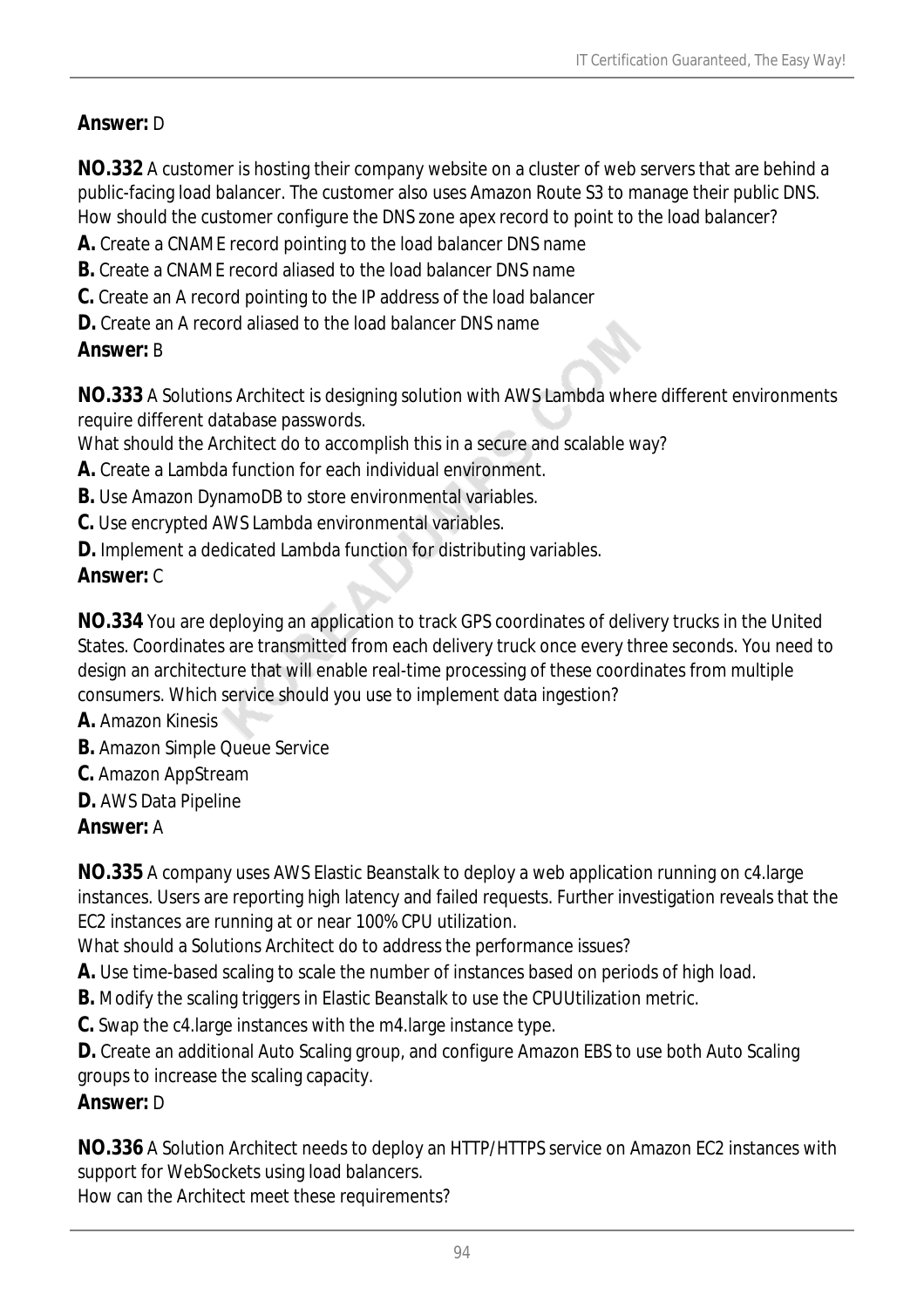## *Answer:* D

**NO.332** A customer is hosting their company website on a cluster of web servers that are behind a public-facing load balancer. The customer also uses Amazon Route S3 to manage their public DNS. How should the customer configure the DNS zone apex record to point to the load balancer?

- **A.** Create a CNAME record pointing to the load balancer DNS name
- **B.** Create a CNAME record aliased to the load balancer DNS name
- **C.** Create an A record pointing to the IP address of the load balancer
- **D.** Create an A record aliased to the load balancer DNS name

### *Answer:* B

**NO.333** A Solutions Architect is designing solution with AWS Lambda where different environments require different database passwords.

What should the Architect do to accomplish this in a secure and scalable way?

- **A.** Create a Lambda function for each individual environment.
- **B.** Use Amazon DynamoDB to store environmental variables.
- **C.** Use encrypted AWS Lambda environmental variables.
- **D.** Implement a dedicated Lambda function for distributing variables.

## *Answer:* C

**NO.334** You are deploying an application to track GPS coordinates of delivery trucks in the United States. Coordinates are transmitted from each delivery truck once every three seconds. You need to design an architecture that will enable real-time processing of these coordinates from multiple consumers. Which service should you use to implement data ingestion?

- **A.** Amazon Kinesis
- **B.** Amazon Simple Queue Service
- **C.** Amazon AppStream
- **D.** AWS Data Pipeline

## *Answer:* A

**NO.335** A company uses AWS Elastic Beanstalk to deploy a web application running on c4.large instances. Users are reporting high latency and failed requests. Further investigation reveals that the EC2 instances are running at or near 100% CPU utilization.

What should a Solutions Architect do to address the performance issues?

**A.** Use time-based scaling to scale the number of instances based on periods of high load.

**B.** Modify the scaling triggers in Elastic Beanstalk to use the CPUUtilization metric.

**C.** Swap the c4.large instances with the m4.large instance type.

**D.** Create an additional Auto Scaling group, and configure Amazon EBS to use both Auto Scaling groups to increase the scaling capacity.

## *Answer:* D

**NO.336** A Solution Architect needs to deploy an HTTP/HTTPS service on Amazon EC2 instances with support for WebSockets using load balancers.

How can the Architect meet these requirements?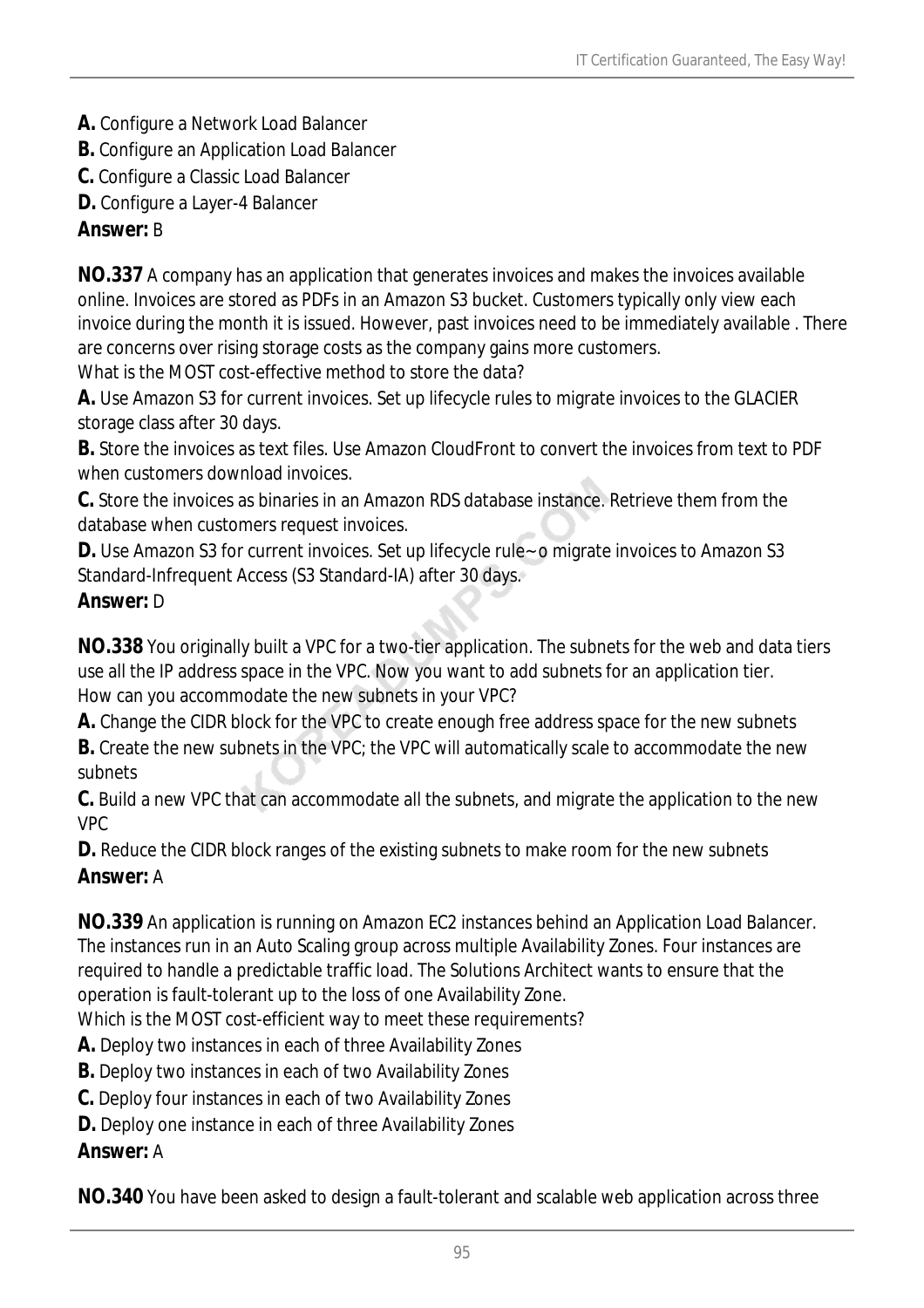- **A.** Configure a Network Load Balancer
- **B.** Configure an Application Load Balancer
- **C.** Configure a Classic Load Balancer
- **D.** Configure a Layer-4 Balancer

### *Answer:* B

**NO.337** A company has an application that generates invoices and makes the invoices available online. Invoices are stored as PDFs in an Amazon S3 bucket. Customers typically only view each invoice during the month it is issued. However, past invoices need to be immediately available . There are concerns over rising storage costs as the company gains more customers. What is the MOST cost-effective method to store the data?

**A.** Use Amazon S3 for current invoices. Set up lifecycle rules to migrate invoices to the GLACIER storage class after 30 days.

**B.** Store the invoices as text files. Use Amazon CloudFront to convert the invoices from text to PDF when customers download invoices.

**C.** Store the invoices as binaries in an Amazon RDS database instance. Retrieve them from the database when customers request invoices.

**D.** Use Amazon S3 for current invoices. Set up lifecycle rule - o migrate invoices to Amazon S3 Standard-Infrequent Access (S3 Standard-IA) after 30 days.

### *Answer:* D

**NO.338** You originally built a VPC for a two-tier application. The subnets for the web and data tiers use all the IP address space in the VPC. Now you want to add subnets for an application tier. How can you accommodate the new subnets in your VPC?

**A.** Change the CIDR block for the VPC to create enough free address space for the new subnets

**B.** Create the new subnets in the VPC; the VPC will automatically scale to accommodate the new subnets

**C.** Build a new VPC that can accommodate all the subnets, and migrate the application to the new VPC

**D.** Reduce the CIDR block ranges of the existing subnets to make room for the new subnets *Answer:* A

**NO.339** An application is running on Amazon EC2 instances behind an Application Load Balancer. The instances run in an Auto Scaling group across multiple Availability Zones. Four instances are required to handle a predictable traffic load. The Solutions Architect wants to ensure that the operation is fault-tolerant up to the loss of one Availability Zone.

Which is the MOST cost-efficient way to meet these requirements?

**A.** Deploy two instances in each of three Availability Zones

**B.** Deploy two instances in each of two Availability Zones

**C.** Deploy four instances in each of two Availability Zones

**D.** Deploy one instance in each of three Availability Zones

*Answer:* A

**NO.340** You have been asked to design a fault-tolerant and scalable web application across three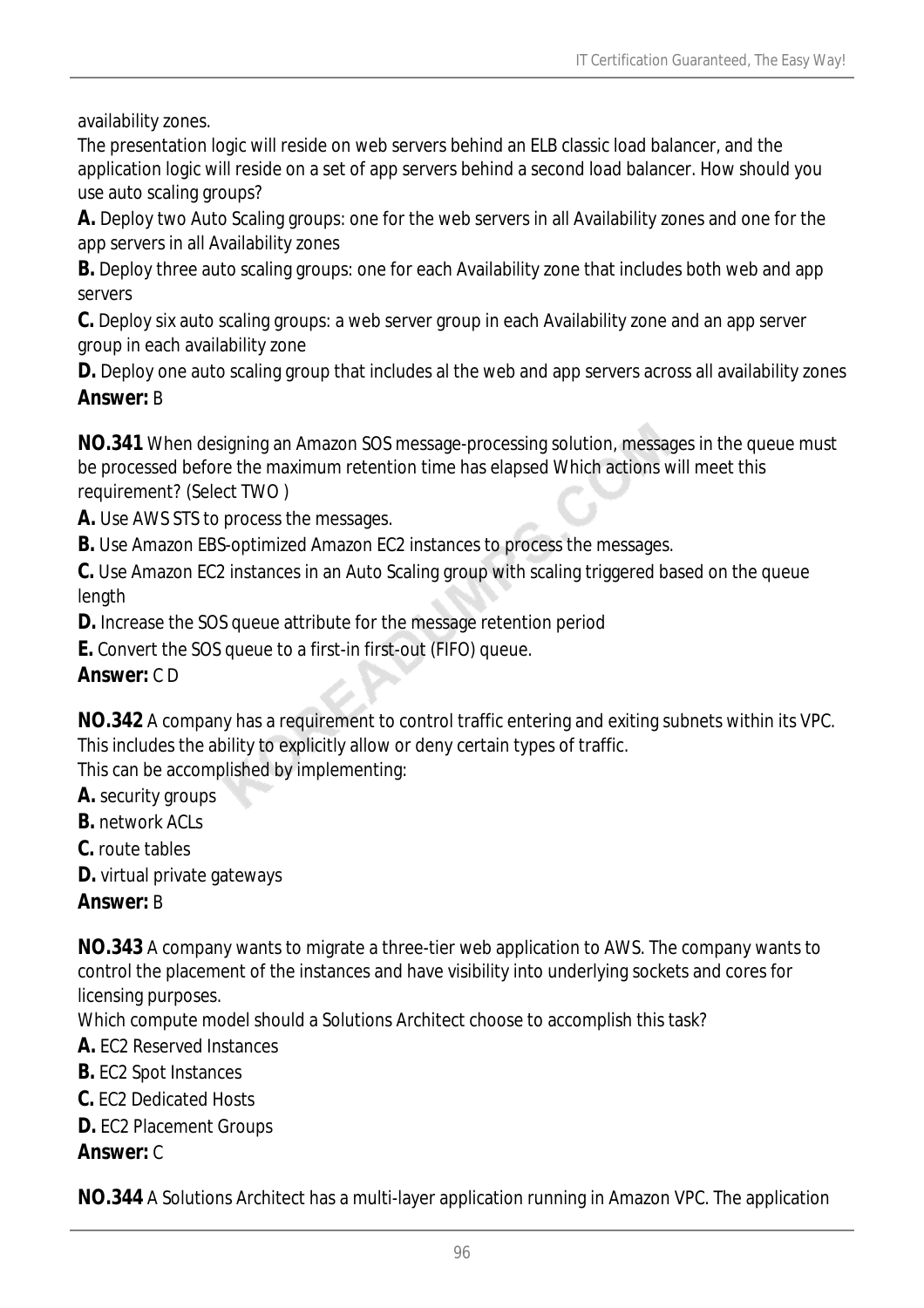availability zones.

The presentation logic will reside on web servers behind an ELB classic load balancer, and the application logic will reside on a set of app servers behind a second load balancer. How should you use auto scaling groups?

**A.** Deploy two Auto Scaling groups: one for the web servers in all Availability zones and one for the app servers in all Availability zones

**B.** Deploy three auto scaling groups: one for each Availability zone that includes both web and app servers

**C.** Deploy six auto scaling groups: a web server group in each Availability zone and an app server group in each availability zone

**D.** Deploy one auto scaling group that includes al the web and app servers across all availability zones *Answer:* B

**NO.341** When designing an Amazon SOS message-processing solution, messages in the queue must be processed before the maximum retention time has elapsed Which actions will meet this requirement? (Select TWO )

**A.** Use AWS STS to process the messages.

**B.** Use Amazon EBS-optimized Amazon EC2 instances to process the messages.

**C.** Use Amazon EC2 instances in an Auto Scaling group with scaling triggered based on the queue length

**D.** Increase the SOS queue attribute for the message retention period

**E.** Convert the SOS queue to a first-in first-out (FIFO) queue.

## *Answer:* C D

**NO.342** A company has a requirement to control traffic entering and exiting subnets within its VPC. This includes the ability to explicitly allow or deny certain types of traffic.

This can be accomplished by implementing:

**A.** security groups

**B.** network ACLs

**C.** route tables

**D.** virtual private gateways

## *Answer:* B

**NO.343** A company wants to migrate a three-tier web application to AWS. The company wants to control the placement of the instances and have visibility into underlying sockets and cores for licensing purposes.

Which compute model should a Solutions Architect choose to accomplish this task?

**A.** EC2 Reserved Instances

**B.** EC2 Spot Instances

**C.** EC2 Dedicated Hosts

**D.** EC2 Placement Groups

*Answer:* C

**NO.344** A Solutions Architect has a multi-layer application running in Amazon VPC. The application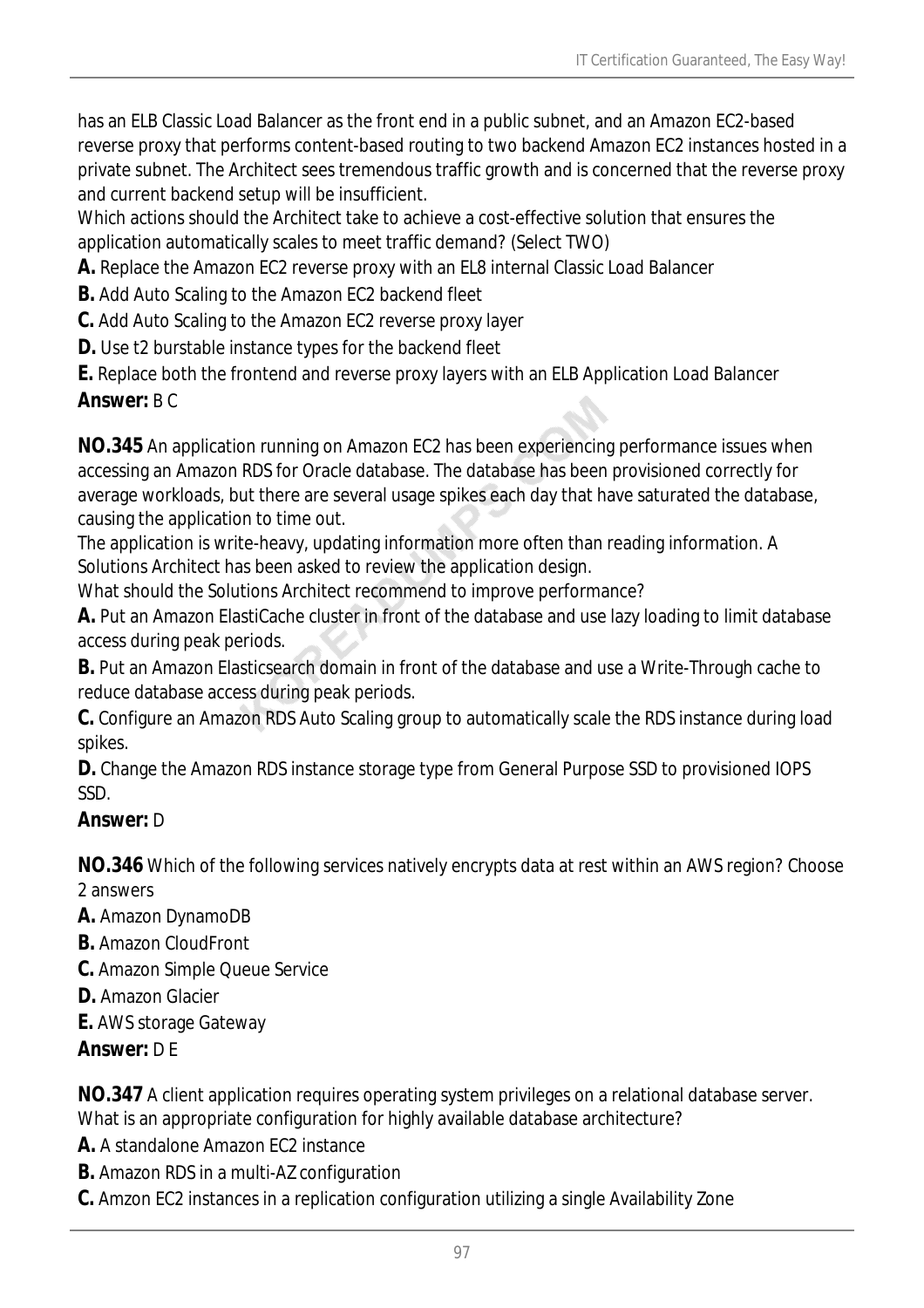has an ELB Classic Load Balancer as the front end in a public subnet, and an Amazon EC2-based reverse proxy that performs content-based routing to two backend Amazon EC2 instances hosted in a private subnet. The Architect sees tremendous traffic growth and is concerned that the reverse proxy and current backend setup will be insufficient.

Which actions should the Architect take to achieve a cost-effective solution that ensures the application automatically scales to meet traffic demand? (Select TWO)

- **A.** Replace the Amazon EC2 reverse proxy with an EL8 internal Classic Load Balancer
- **B.** Add Auto Scaling to the Amazon EC2 backend fleet
- **C.** Add Auto Scaling to the Amazon EC2 reverse proxy layer
- **D.** Use t2 burstable instance types for the backend fleet

**E.** Replace both the frontend and reverse proxy layers with an ELB Application Load Balancer *Answer:* B C

**NO.345** An application running on Amazon EC2 has been experiencing performance issues when accessing an Amazon RDS for Oracle database. The database has been provisioned correctly for average workloads, but there are several usage spikes each day that have saturated the database, causing the application to time out.

The application is write-heavy, updating information more often than reading information. A Solutions Architect has been asked to review the application design.

What should the Solutions Architect recommend to improve performance?

**A.** Put an Amazon ElastiCache cluster in front of the database and use lazy loading to limit database access during peak periods.

**B.** Put an Amazon Elasticsearch domain in front of the database and use a Write-Through cache to reduce database access during peak periods.

**C.** Configure an Amazon RDS Auto Scaling group to automatically scale the RDS instance during load spikes.

**D.** Change the Amazon RDS instance storage type from General Purpose SSD to provisioned IOPS SSD.

### *Answer:* D

**NO.346** Which of the following services natively encrypts data at rest within an AWS region? Choose 2 answers

- **A.** Amazon DynamoDB
- **B.** Amazon CloudFront
- **C.** Amazon Simple Queue Service
- **D.** Amazon Glacier
- **E.** AWS storage Gateway
- *Answer:* D E

**NO.347** A client application requires operating system privileges on a relational database server. What is an appropriate configuration for highly available database architecture?

- **A.** A standalone Amazon FC2 instance
- **B.** Amazon RDS in a multi-AZ configuration
- **C.** Amzon EC2 instances in a replication configuration utilizing a single Availability Zone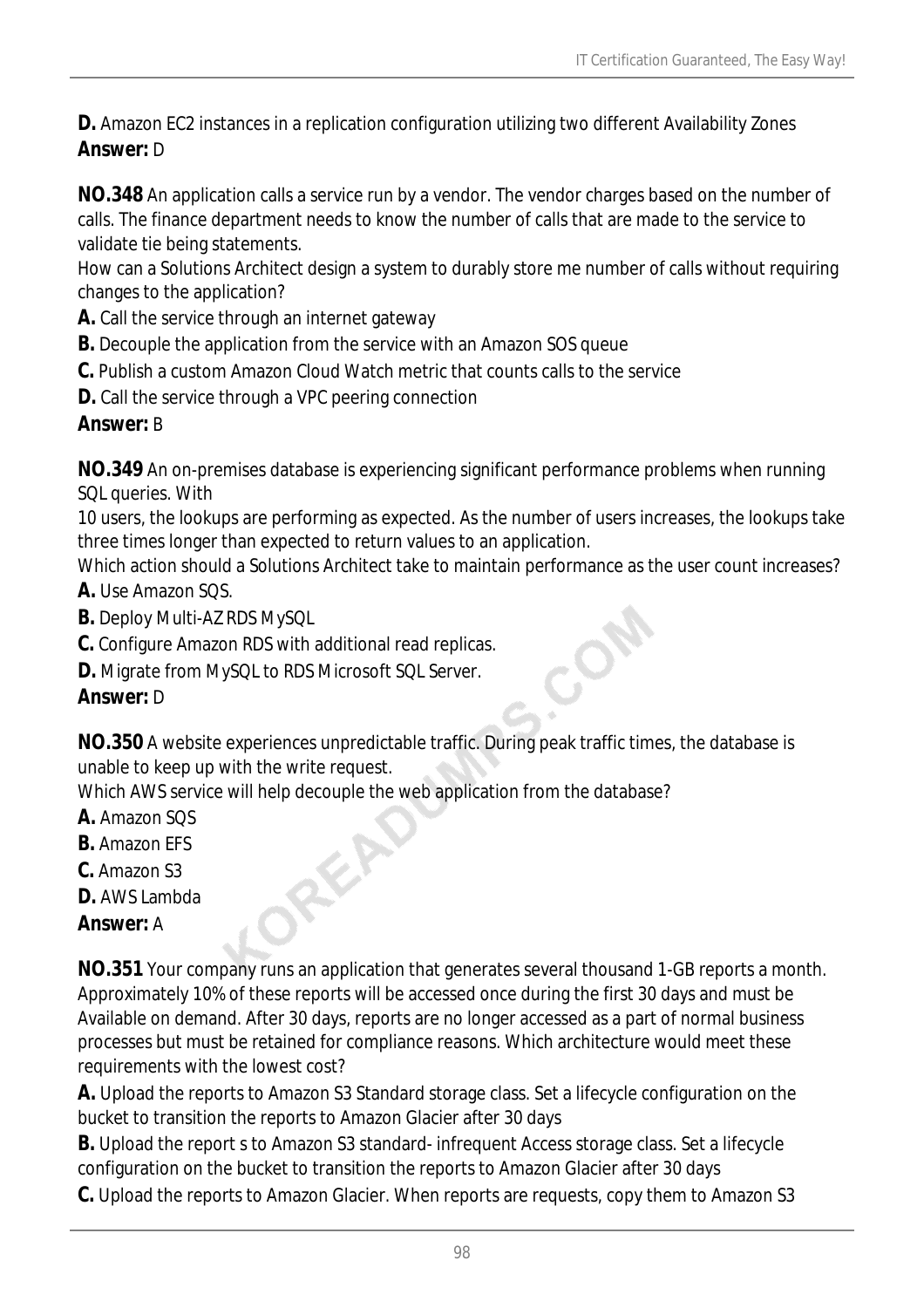**D.** Amazon EC2 instances in a replication configuration utilizing two different Availability Zones *Answer:* D

**NO.348** An application calls a service run by a vendor. The vendor charges based on the number of calls. The finance department needs to know the number of calls that are made to the service to validate tie being statements.

How can a Solutions Architect design a system to durably store me number of calls without requiring changes to the application?

**A.** Call the service through an internet gateway

- **B.** Decouple the application from the service with an Amazon SOS queue
- **C.** Publish a custom Amazon Cloud Watch metric that counts calls to the service
- **D.** Call the service through a VPC peering connection

### *Answer:* B

**NO.349** An on-premises database is experiencing significant performance problems when running SQL queries. With

10 users, the lookups are performing as expected. As the number of users increases, the lookups take three times longer than expected to return values to an application.

Which action should a Solutions Architect take to maintain performance as the user count increases? **A.** Use Amazon SQS.

- **B.** Deploy Multi-AZ RDS MySQL
- **C.** Configure Amazon RDS with additional read replicas.
- **D.** Migrate from MySQL to RDS Microsoft SQL Server.

## *Answer:* D

**NO.350** A website experiences unpredictable traffic. During peak traffic times, the database is unable to keep up with the write request.

Which AWS service will help decouple the web application from the database?

- **A.** Amazon SQS
- **B.** Amazon EFS
- **C.** Amazon S3
- **D.** AWS Lambda

### *Answer:* A

**NO.351** Your company runs an application that generates several thousand 1-GB reports a month. Approximately 10% of these reports will be accessed once during the first 30 days and must be Available on demand. After 30 days, reports are no longer accessed as a part of normal business processes but must be retained for compliance reasons. Which architecture would meet these requirements with the lowest cost?

**A.** Upload the reports to Amazon S3 Standard storage class. Set a lifecycle configuration on the bucket to transition the reports to Amazon Glacier after 30 days

**B.** Upload the report s to Amazon S3 standard- infrequent Access storage class. Set a lifecycle configuration on the bucket to transition the reports to Amazon Glacier after 30 days

**C.** Upload the reports to Amazon Glacier. When reports are requests, copy them to Amazon S3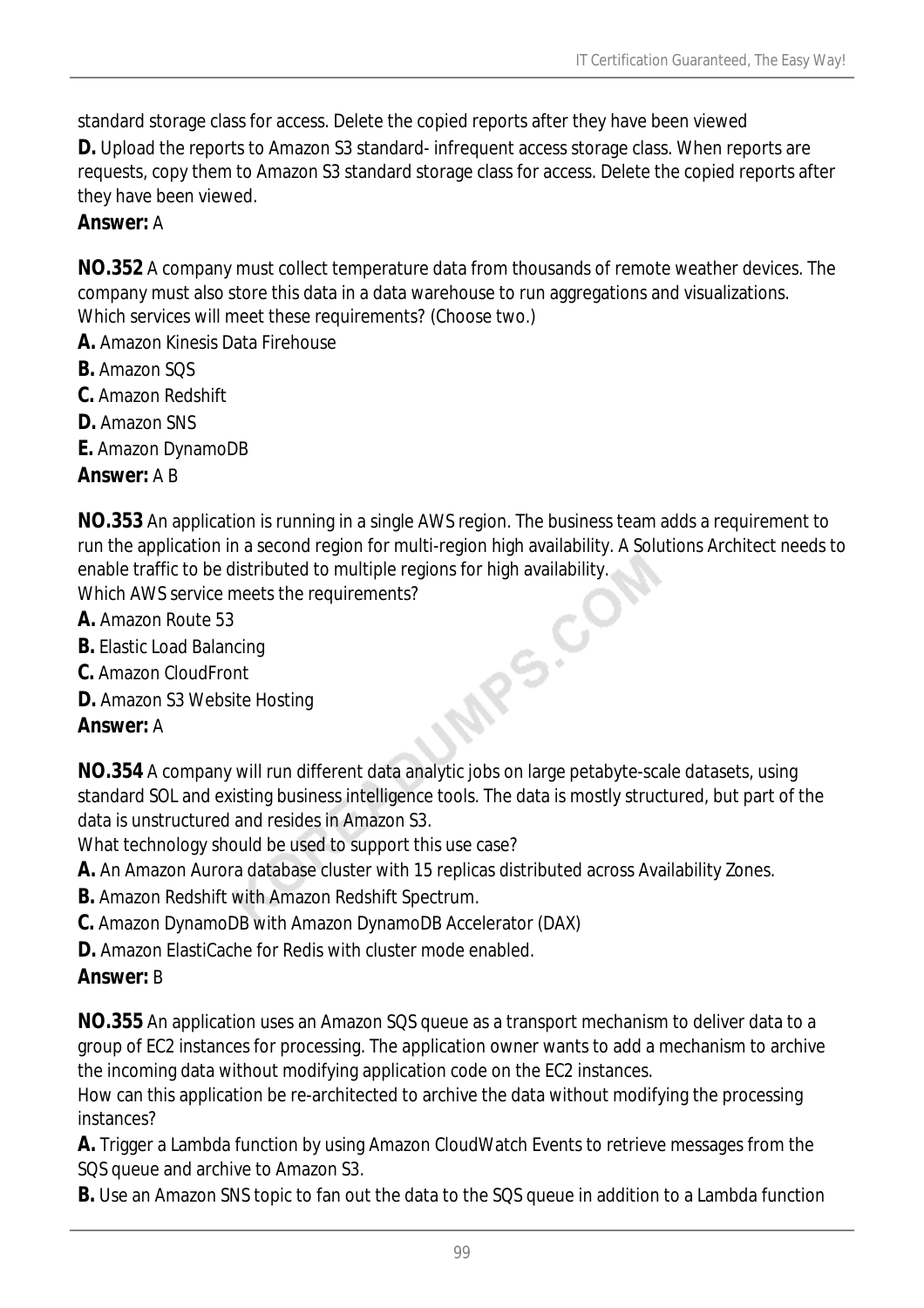standard storage class for access. Delete the copied reports after they have been viewed

**D.** Upload the reports to Amazon S3 standard- infrequent access storage class. When reports are requests, copy them to Amazon S3 standard storage class for access. Delete the copied reports after they have been viewed.

## *Answer:* A

**NO.352** A company must collect temperature data from thousands of remote weather devices. The company must also store this data in a data warehouse to run aggregations and visualizations. Which services will meet these requirements? (Choose two.)

- **A.** Amazon Kinesis Data Firehouse
- **B.** Amazon SQS
- **C.** Amazon Redshift
- **D.** Amazon SNS
- **E.** Amazon DynamoDB

*Answer:* A B

**NO.353** An application is running in a single AWS region. The business team adds a requirement to run the application in a second region for multi-region high availability. A Solutions Architect needs to enable traffic to be distributed to multiple regions for high availability.<br>Which AWS service meets the requirements?<br>**A.** Amazon Route 53<br>**B.** Elastic Load Balancing<br>**C.** Amazon CloudFront<br>**D.** Amazon S3 Website Hostino<br> Which AWS service meets the requirements?

- **A.** Amazon Route 53
- **B.** Elastic Load Balancing
- **C.** Amazon CloudFront
- **D.** Amazon S3 Website Hosting

## *Answer:* A

**NO.354** A company will run different data analytic jobs on large petabyte-scale datasets, using standard SOL and existing business intelligence tools. The data is mostly structured, but part of the data is unstructured and resides in Amazon S3.

What technology should be used to support this use case?

- **A.** An Amazon Aurora database cluster with 15 replicas distributed across Availability Zones.
- **B.** Amazon Redshift with Amazon Redshift Spectrum.
- **C.** Amazon DynamoDB with Amazon DynamoDB Accelerator (DAX)
- **D.** Amazon ElastiCache for Redis with cluster mode enabled.

### *Answer:* B

**NO.355** An application uses an Amazon SQS queue as a transport mechanism to deliver data to a group of EC2 instances for processing. The application owner wants to add a mechanism to archive the incoming data without modifying application code on the EC2 instances.

How can this application be re-architected to archive the data without modifying the processing instances?

**A.** Trigger a Lambda function by using Amazon CloudWatch Events to retrieve messages from the SQS queue and archive to Amazon S3.

**B.** Use an Amazon SNS topic to fan out the data to the SQS queue in addition to a Lambda function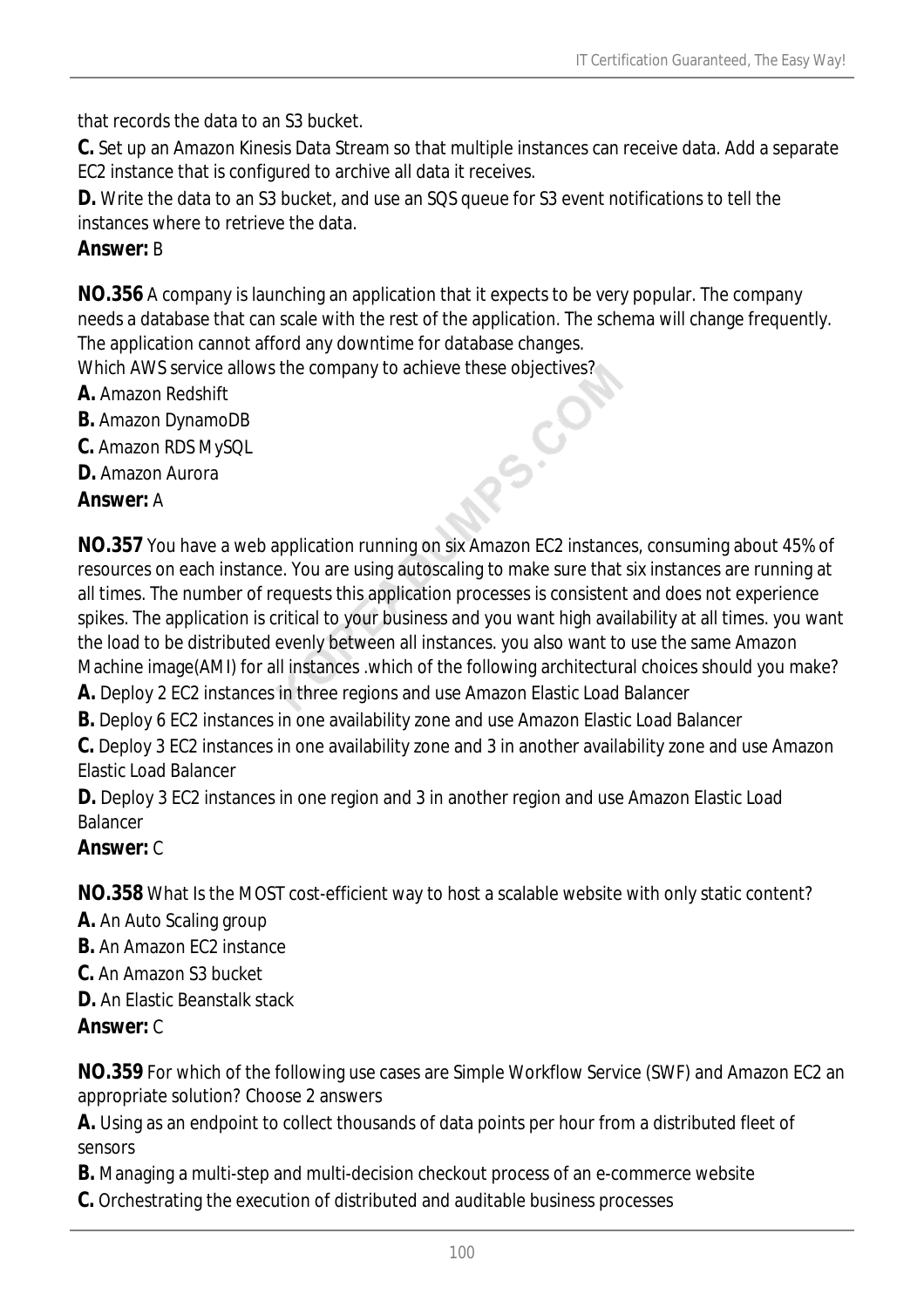that records the data to an S3 bucket.

**C.** Set up an Amazon Kinesis Data Stream so that multiple instances can receive data. Add a separate EC2 instance that is configured to archive all data it receives.

**D.** Write the data to an S3 bucket, and use an SQS queue for S3 event notifications to tell the instances where to retrieve the data.

## *Answer:* B

**NO.356** A company is launching an application that it expects to be very popular. The company needs a database that can scale with the rest of the application. The schema will change frequently. The application cannot afford any downtime for database changes. Which AWS service allows the company to achieve these objectives?

**A.** Amazon Redshift

- **B.** Amazon DynamoDB
- **C.** Amazon RDS MySQL
- **D.** Amazon Aurora

*Answer:* A

**NO.357** You have a web application running on six Amazon EC2 instances, consuming about 45% of resources on each instance. You are using autoscaling to make sure that six instances are running at all times. The number of requests this application processes is consistent and does not experience spikes. The application is critical to your business and you want high availability at all times. you want the load to be distributed evenly between all instances. you also want to use the same Amazon Machine image(AMI) for all instances .which of the following architectural choices should you make?

RS-CO

**A.** Deploy 2 EC2 instances in three regions and use Amazon Elastic Load Balancer

**B.** Deploy 6 EC2 instances in one availability zone and use Amazon Elastic Load Balancer

**C.** Deploy 3 EC2 instances in one availability zone and 3 in another availability zone and use Amazon Elastic Load Balancer

**D.** Deploy 3 EC2 instances in one region and 3 in another region and use Amazon Elastic Load Balancer

### *Answer:* C

**NO.358** What Is the MOST cost-efficient way to host a scalable website with only static content?

- **A.** An Auto Scaling group
- **B.** An Amazon FC2 instance
- **C.** An Amazon S3 bucket
- **D.** An Elastic Beanstalk stack

### *Answer:* C

**NO.359** For which of the following use cases are Simple Workflow Service (SWF) and Amazon EC2 an appropriate solution? Choose 2 answers

**A.** Using as an endpoint to collect thousands of data points per hour from a distributed fleet of sensors

**B.** Managing a multi-step and multi-decision checkout process of an e-commerce website

**C.** Orchestrating the execution of distributed and auditable business processes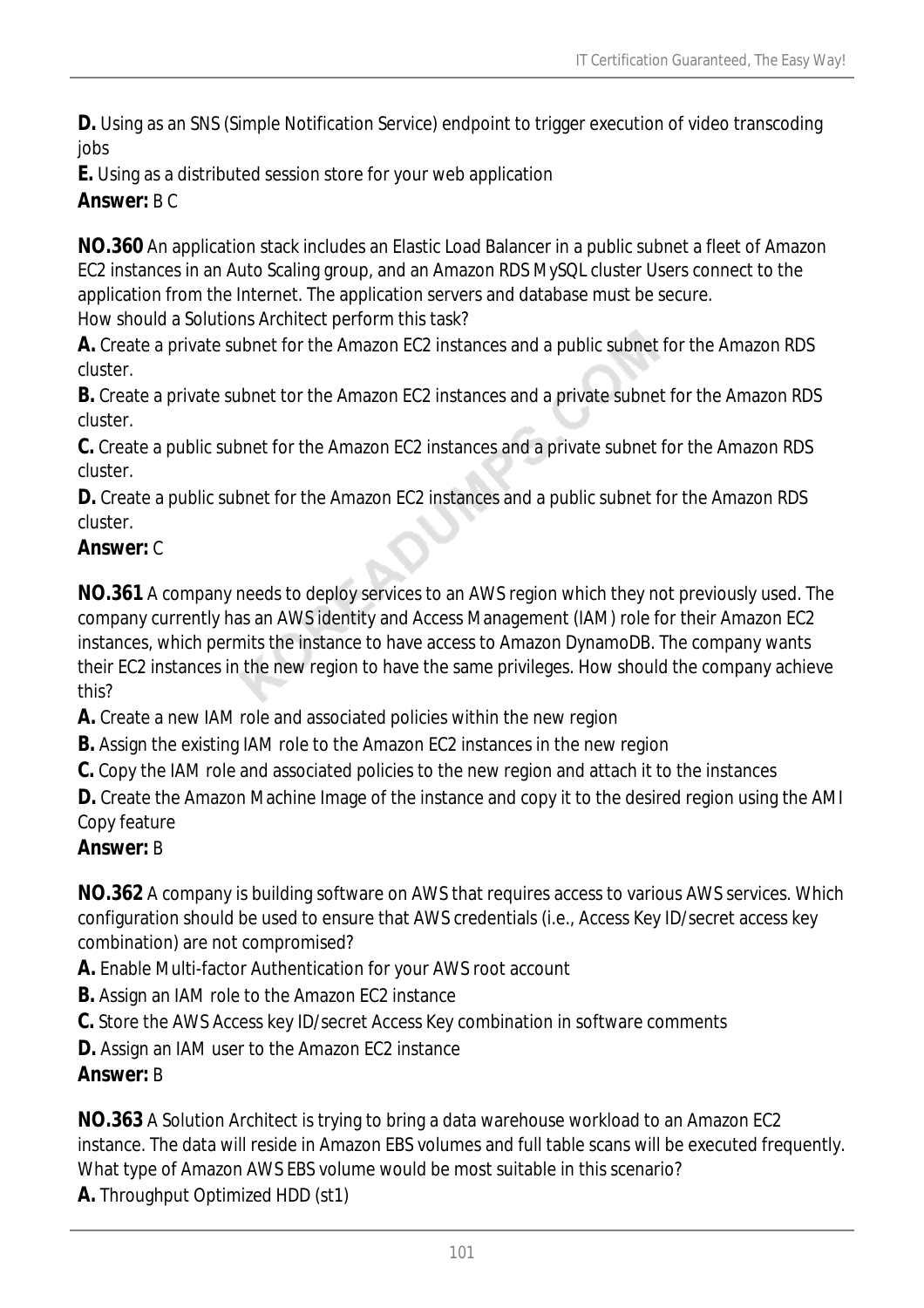**D.** Using as an SNS (Simple Notification Service) endpoint to trigger execution of video transcoding jobs

**E.** Using as a distributed session store for your web application

*Answer:* B C

**NO.360** An application stack includes an Elastic Load Balancer in a public subnet a fleet of Amazon EC2 instances in an Auto Scaling group, and an Amazon RDS MySQL cluster Users connect to the application from the Internet. The application servers and database must be secure. How should a Solutions Architect perform this task?

**A.** Create a private subnet for the Amazon EC2 instances and a public subnet for the Amazon RDS cluster.

**B.** Create a private subnet tor the Amazon EC2 instances and a private subnet for the Amazon RDS cluster.

**C.** Create a public subnet for the Amazon EC2 instances and a private subnet for the Amazon RDS cluster.

**D.** Create a public subnet for the Amazon EC2 instances and a public subnet for the Amazon RDS cluster.

## *Answer:* C

**NO.361** A company needs to deploy services to an AWS region which they not previously used. The company currently has an AWS identity and Access Management (IAM) role for their Amazon EC2 instances, which permits the instance to have access to Amazon DynamoDB. The company wants their EC2 instances in the new region to have the same privileges. How should the company achieve this?

**A.** Create a new IAM role and associated policies within the new region

**B.** Assign the existing IAM role to the Amazon EC2 instances in the new region

**C.** Copy the IAM role and associated policies to the new region and attach it to the instances

**D.** Create the Amazon Machine Image of the instance and copy it to the desired region using the AMI Copy feature

## *Answer:* B

**NO.362** A company is building software on AWS that requires access to various AWS services. Which configuration should be used to ensure that AWS credentials (i.e., Access Key ID/secret access key combination) are not compromised?

**A.** Enable Multi-factor Authentication for your AWS root account

**B.** Assign an IAM role to the Amazon EC2 instance

**C.** Store the AWS Access key ID/secret Access Key combination in software comments

**D.** Assign an IAM user to the Amazon EC2 instance

## *Answer:* B

**NO.363** A Solution Architect is trying to bring a data warehouse workload to an Amazon EC2 instance. The data will reside in Amazon EBS volumes and full table scans will be executed frequently. What type of Amazon AWS EBS volume would be most suitable in this scenario?

**A.** Throughput Optimized HDD (st1)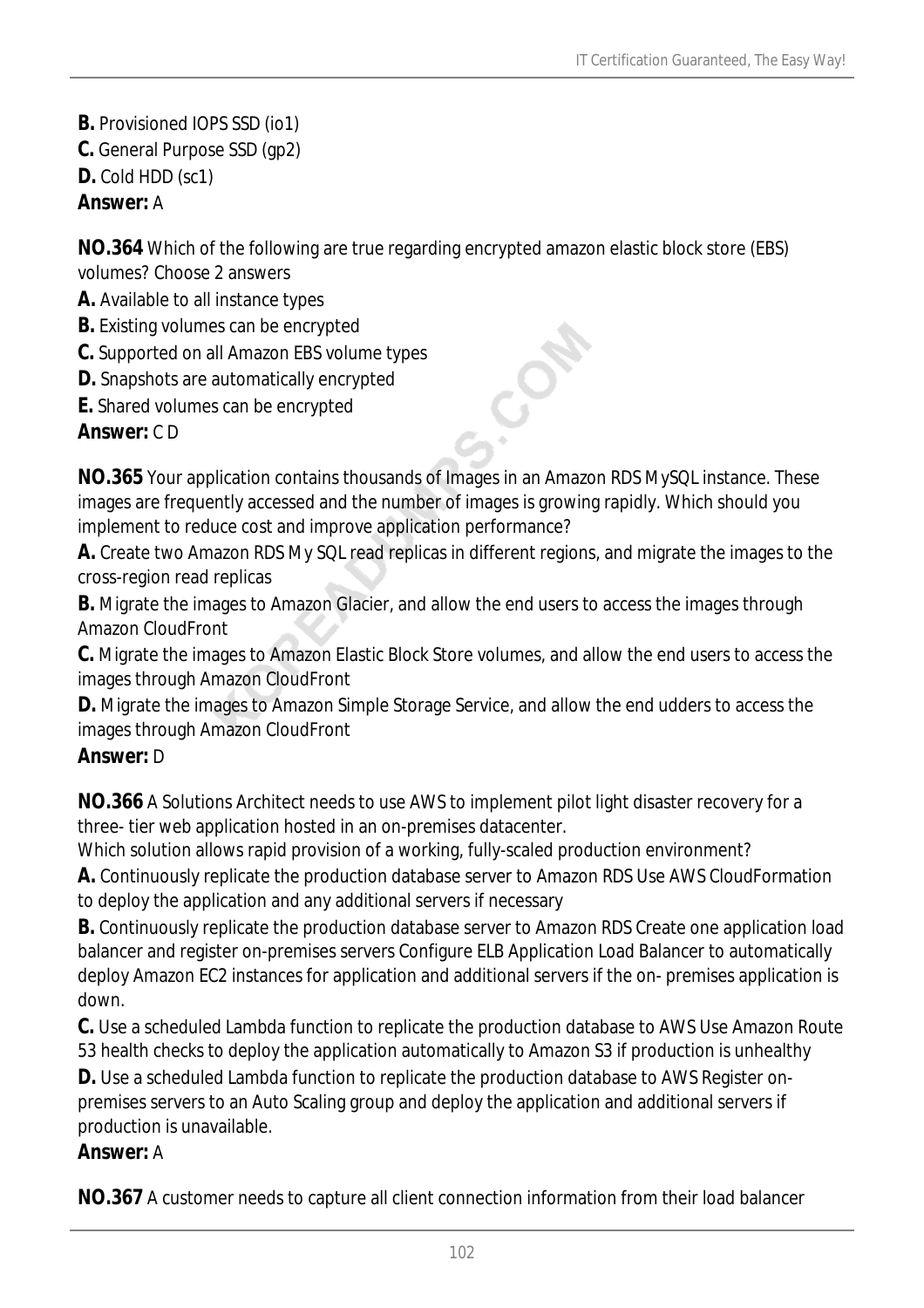- **B.** Provisioned IOPS SSD (io1)
- **C.** General Purpose SSD (gp2)
- **D.** Cold HDD (sc1)

## *Answer:* A

**NO.364** Which of the following are true regarding encrypted amazon elastic block store (EBS) volumes? Choose 2 answers

- **A.** Available to all instance types
- **B.** Existing volumes can be encrypted
- **C.** Supported on all Amazon EBS volume types
- **D.** Snapshots are automatically encrypted
- **E.** Shared volumes can be encrypted

## *Answer:* C D

**NO.365** Your application contains thousands of Images in an Amazon RDS MySQL instance. These images are frequently accessed and the number of images is growing rapidly. Which should you implement to reduce cost and improve application performance?

 $\delta$ 

**A.** Create two Amazon RDS My SQL read replicas in different regions, and migrate the images to the cross-region read replicas

**B.** Migrate the images to Amazon Glacier, and allow the end users to access the images through Amazon CloudFront

**C.** Migrate the images to Amazon Elastic Block Store volumes, and allow the end users to access the images through Amazon CloudFront

**D.** Migrate the images to Amazon Simple Storage Service, and allow the end udders to access the images through Amazon CloudFront

## *Answer:* D

**NO.366** A Solutions Architect needs to use AWS to implement pilot light disaster recovery for a three- tier web application hosted in an on-premises datacenter.

Which solution allows rapid provision of a working, fully-scaled production environment?

**A.** Continuously replicate the production database server to Amazon RDS Use AWS CloudFormation to deploy the application and any additional servers if necessary

**B.** Continuously replicate the production database server to Amazon RDS Create one application load balancer and register on-premises servers Configure ELB Application Load Balancer to automatically deploy Amazon EC2 instances for application and additional servers if the on- premises application is down.

**C.** Use a scheduled Lambda function to replicate the production database to AWS Use Amazon Route 53 health checks to deploy the application automatically to Amazon S3 if production is unhealthy

**D.** Use a scheduled Lambda function to replicate the production database to AWS Register onpremises servers to an Auto Scaling group and deploy the application and additional servers if production is unavailable.

### *Answer:* A

**NO.367** A customer needs to capture all client connection information from their load balancer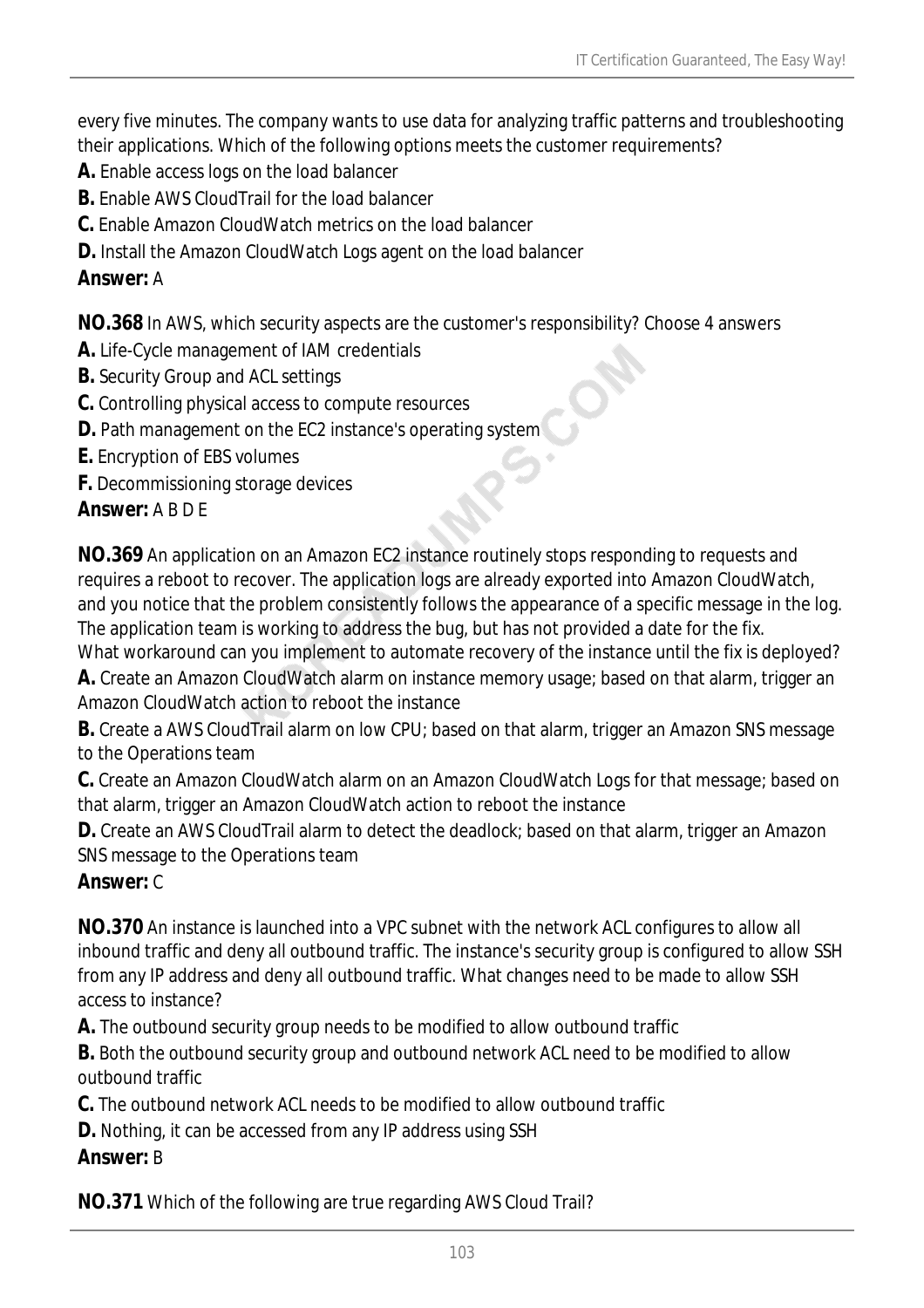every five minutes. The company wants to use data for analyzing traffic patterns and troubleshooting their applications. Which of the following options meets the customer requirements?

- **A.** Enable access logs on the load balancer
- **B.** Enable AWS CloudTrail for the load balancer
- **C.** Enable Amazon CloudWatch metrics on the load balancer
- **D.** Install the Amazon CloudWatch Logs agent on the load balancer

## *Answer:* A

**NO.368** In AWS, which security aspects are the customer's responsibility? Choose 4 answers

- **A.** Life-Cycle management of IAM credentials
- **B.** Security Group and ACL settings
- **C.** Controlling physical access to compute resources
- **D.** Path management on the EC2 instance's operating system
- **E.** Encryption of EBS volumes
- **F.** Decommissioning storage devices

## *Answer:* A B D E

**NO.369** An application on an Amazon EC2 instance routinely stops responding to requests and requires a reboot to recover. The application logs are already exported into Amazon CloudWatch, and you notice that the problem consistently follows the appearance of a specific message in the log. The application team is working to address the bug, but has not provided a date for the fix.

What workaround can you implement to automate recovery of the instance until the fix is deployed? **A.** Create an Amazon CloudWatch alarm on instance memory usage; based on that alarm, trigger an Amazon CloudWatch action to reboot the instance

**B.** Create a AWS CloudTrail alarm on low CPU; based on that alarm, trigger an Amazon SNS message to the Operations team

**C.** Create an Amazon CloudWatch alarm on an Amazon CloudWatch Logs for that message; based on that alarm, trigger an Amazon CloudWatch action to reboot the instance

**D.** Create an AWS CloudTrail alarm to detect the deadlock; based on that alarm, trigger an Amazon SNS message to the Operations team

## *Answer:* C

**NO.370** An instance is launched into a VPC subnet with the network ACL configures to allow all inbound traffic and deny all outbound traffic. The instance's security group is configured to allow SSH from any IP address and deny all outbound traffic. What changes need to be made to allow SSH access to instance?

**A.** The outbound security group needs to be modified to allow outbound traffic

**B.** Both the outbound security group and outbound network ACL need to be modified to allow outbound traffic

**C.** The outbound network ACL needs to be modified to allow outbound traffic

**D.** Nothing, it can be accessed from any IP address using SSH

## *Answer:* B

**NO.371** Which of the following are true regarding AWS Cloud Trail?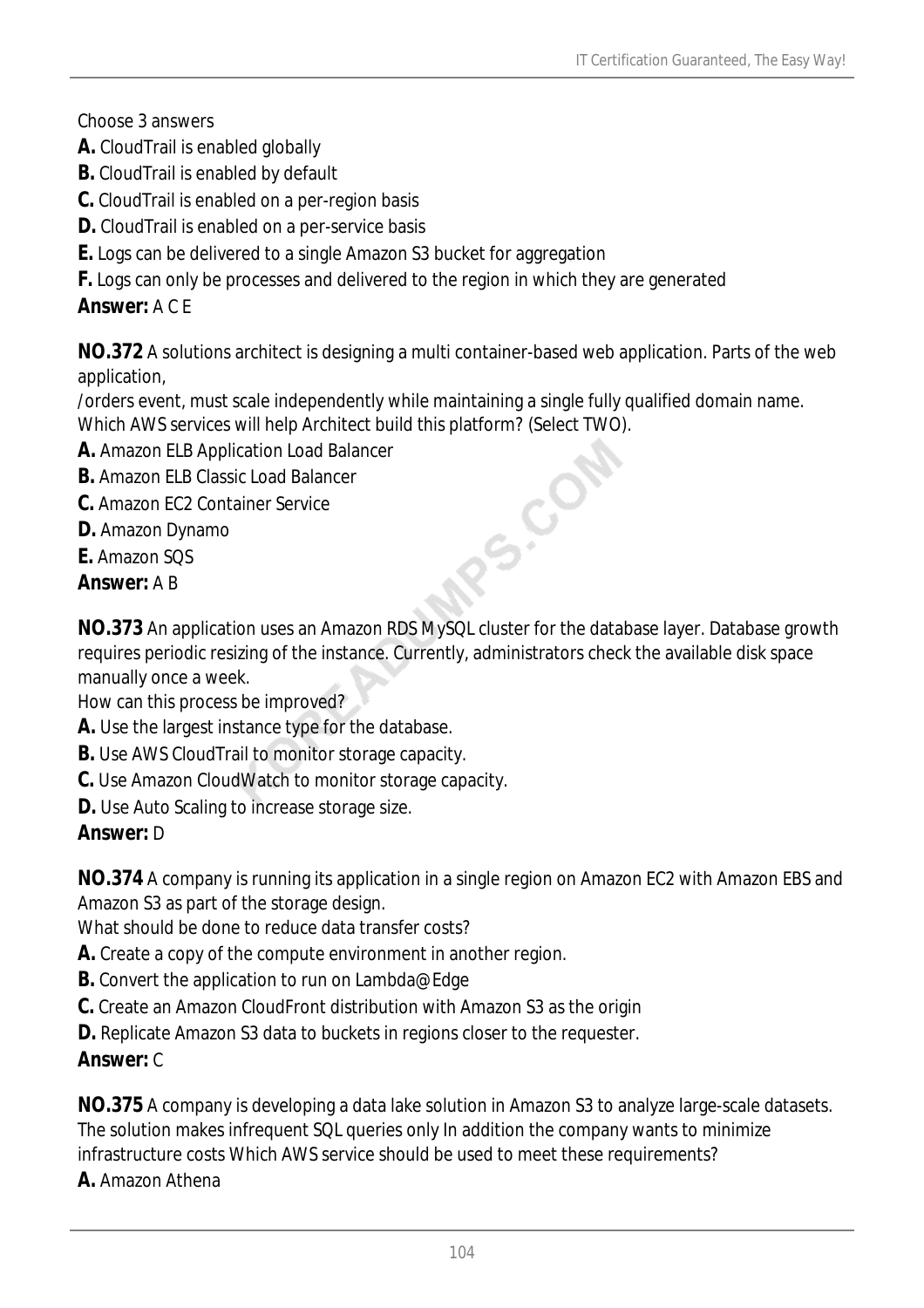Choose 3 answers

- **A.** CloudTrail is enabled globally
- **B.** CloudTrail is enabled by default
- **C.** CloudTrail is enabled on a per-region basis
- **D.** CloudTrail is enabled on a per-service basis
- **E.** Logs can be delivered to a single Amazon S3 bucket for aggregation
- **F.** Logs can only be processes and delivered to the region in which they are generated

## *Answer:* A C E

**NO.372** A solutions architect is designing a multi container-based web application. Parts of the web application,

/orders event, must scale independently while maintaining a single fully qualified domain name. Which AWS services will help Architect build this platform? (Select TWO).

- **A.** Amazon ELB Application Load Balancer RS.CO
- **B.** Amazon ELB Classic Load Balancer
- **C.** Amazon EC2 Container Service
- **D.** Amazon Dynamo
- **E.** Amazon SQS
- *Answer:* A B

**NO.373** An application uses an Amazon RDS MySQL cluster for the database layer. Database growth requires periodic resizing of the instance. Currently, administrators check the available disk space manually once a week.

How can this process be improved?

- **A.** Use the largest instance type for the database.
- **B.** Use AWS CloudTrail to monitor storage capacity.
- **C.** Use Amazon CloudWatch to monitor storage capacity.
- **D.** Use Auto Scaling to increase storage size.

## *Answer:* D

**NO.374** A company is running its application in a single region on Amazon EC2 with Amazon EBS and Amazon S3 as part of the storage design.

What should be done to reduce data transfer costs?

- **A.** Create a copy of the compute environment in another region.
- **B.** Convert the application to run on Lambda@Edge
- **C.** Create an Amazon CloudFront distribution with Amazon S3 as the origin
- **D.** Replicate Amazon S3 data to buckets in regions closer to the requester.

## *Answer:* C

**NO.375** A company is developing a data lake solution in Amazon S3 to analyze large-scale datasets. The solution makes infrequent SQL queries only In addition the company wants to minimize infrastructure costs Which AWS service should be used to meet these requirements?

**A.** Amazon Athena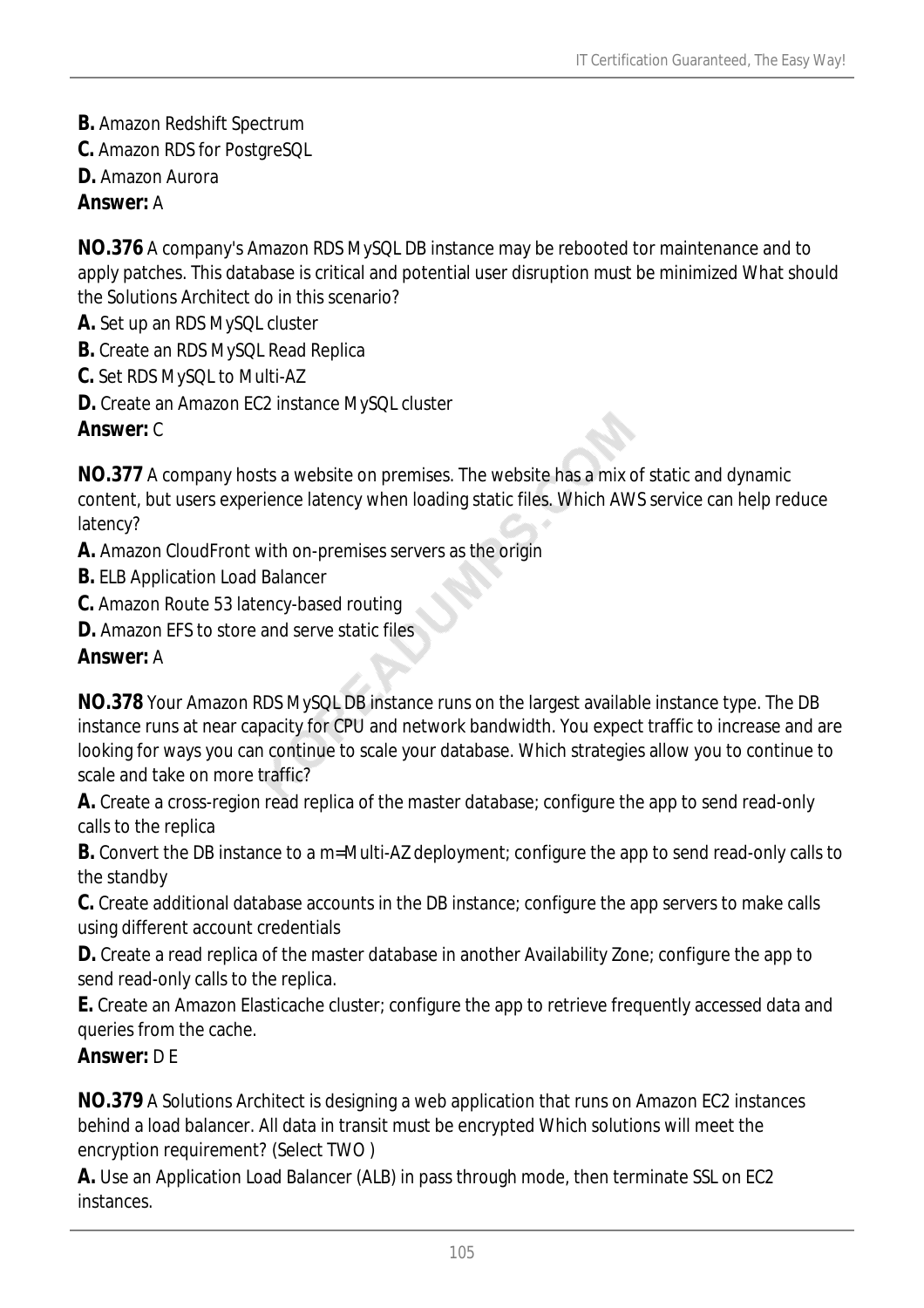- **B.** Amazon Redshift Spectrum
- **C.** Amazon RDS for PostgreSQL
- **D.** Amazon Aurora

### *Answer:* A

**NO.376** A company's Amazon RDS MySQL DB instance may be rebooted tor maintenance and to apply patches. This database is critical and potential user disruption must be minimized What should the Solutions Architect do in this scenario?

- **A.** Set up an RDS MySQL cluster
- **B.** Create an RDS MySQL Read Replica
- **C.** Set RDS MySQL to Multi-AZ
- **D.** Create an Amazon EC2 instance MySQL cluster

### *Answer:* C

**NO.377** A company hosts a website on premises. The website has a mix of static and dynamic content, but users experience latency when loading static files. Which AWS service can help reduce latency?

- **A.** Amazon CloudFront with on-premises servers as the origin
- **B.** ELB Application Load Balancer
- **C.** Amazon Route 53 latency-based routing
- **D.** Amazon EFS to store and serve static files

## *Answer:* A

**NO.378** Your Amazon RDS MySQL DB instance runs on the largest available instance type. The DB instance runs at near capacity for CPU and network bandwidth. You expect traffic to increase and are looking for ways you can continue to scale your database. Which strategies allow you to continue to scale and take on more traffic?

**A.** Create a cross-region read replica of the master database; configure the app to send read-only calls to the replica

**B.** Convert the DB instance to a m=Multi-AZ deployment; configure the app to send read-only calls to the standby

**C.** Create additional database accounts in the DB instance; configure the app servers to make calls using different account credentials

**D.** Create a read replica of the master database in another Availability Zone; configure the app to send read-only calls to the replica.

**E.** Create an Amazon Elasticache cluster; configure the app to retrieve frequently accessed data and queries from the cache.

### *Answer:* D F

**NO.379** A Solutions Architect is designing a web application that runs on Amazon EC2 instances behind a load balancer. All data in transit must be encrypted Which solutions will meet the encryption requirement? (Select TWO )

**A.** Use an Application Load Balancer (ALB) in pass through mode, then terminate SSL on EC2 instances.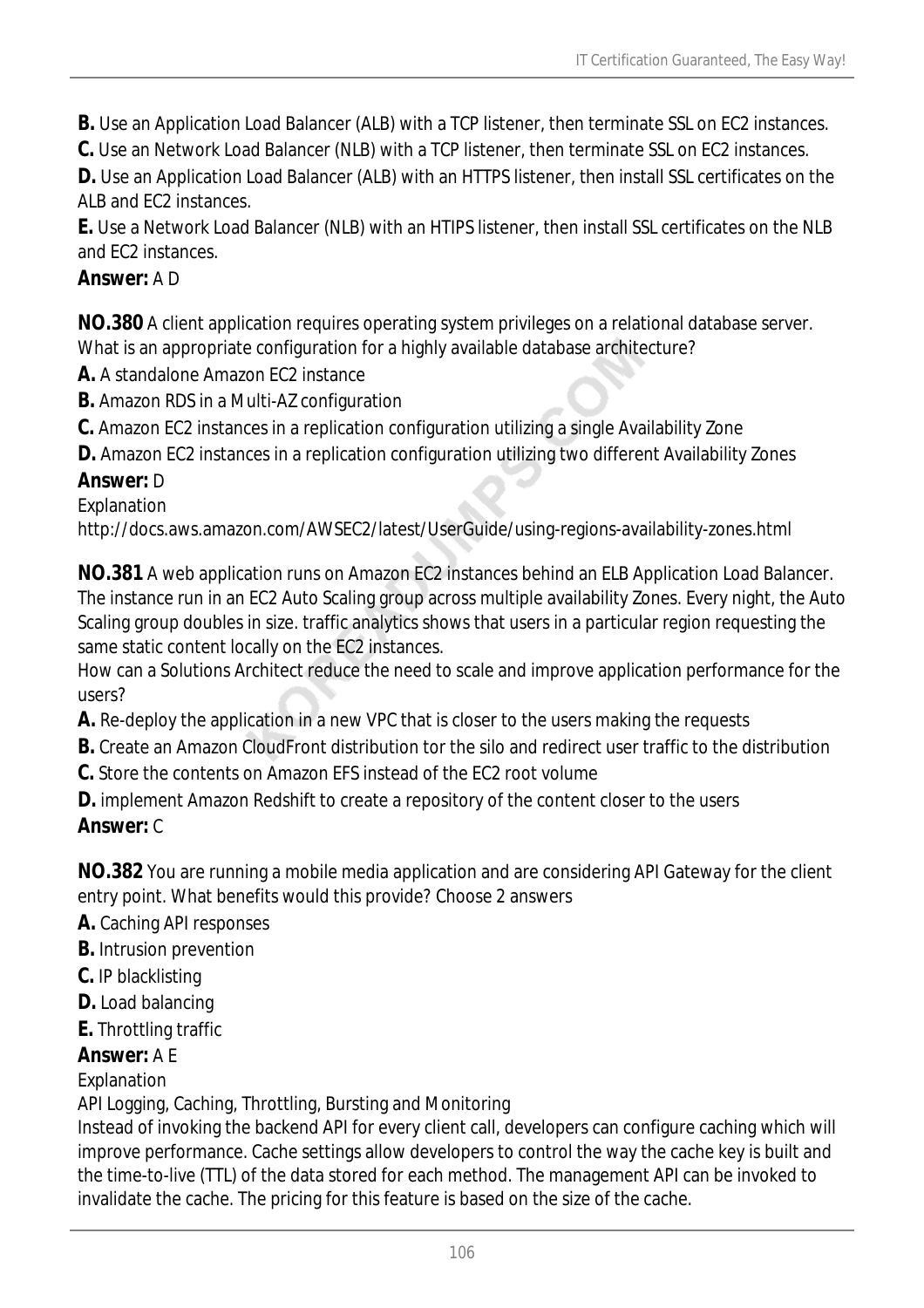- **B.** Use an Application Load Balancer (ALB) with a TCP listener, then terminate SSL on EC2 instances.
- **C.** Use an Network Load Balancer (NLB) with a TCP listener, then terminate SSL on EC2 instances.

**D.** Use an Application Load Balancer (ALB) with an HTTPS listener, then install SSL certificates on the ALB and EC2 instances.

**E.** Use a Network Load Balancer (NLB) with an HTIPS listener, then install SSL certificates on the NLB and EC2 instances.

## *Answer:* A D

**NO.380** A client application requires operating system privileges on a relational database server. What is an appropriate configuration for a highly available database architecture?

- **A.** A standalone Amazon FC2 instance
- **B.** Amazon RDS in a Multi-AZ configuration
- **C.** Amazon EC2 instances in a replication configuration utilizing a single Availability Zone
- **D.** Amazon EC2 instances in a replication configuration utilizing two different Availability Zones

### *Answer:* D

Explanation

http://docs.aws.amazon.com/AWSEC2/latest/UserGuide/using-regions-availability-zones.html

**NO.381** A web application runs on Amazon EC2 instances behind an ELB Application Load Balancer. The instance run in an EC2 Auto Scaling group across multiple availability Zones. Every night, the Auto Scaling group doubles in size. traffic analytics shows that users in a particular region requesting the same static content locally on the EC2 instances.

How can a Solutions Architect reduce the need to scale and improve application performance for the users?

- **A.** Re-deploy the application in a new VPC that is closer to the users making the requests
- **B.** Create an Amazon CloudFront distribution tor the silo and redirect user traffic to the distribution
- **C.** Store the contents on Amazon EFS instead of the EC2 root volume
- **D.** implement Amazon Redshift to create a repository of the content closer to the users *Answer:* C

**NO.382** You are running a mobile media application and are considering API Gateway for the client entry point. What benefits would this provide? Choose 2 answers

- **A.** Caching API responses
- **B.** Intrusion prevention
- **C.** IP blacklisting
- **D.** Load balancing
- **E.** Throttling traffic

### *Answer:* A E

### Explanation

API Logging, Caching, Throttling, Bursting and Monitoring

Instead of invoking the backend API for every client call, developers can configure caching which will improve performance. Cache settings allow developers to control the way the cache key is built and the time-to-live (TTL) of the data stored for each method. The management API can be invoked to invalidate the cache. The pricing for this feature is based on the size of the cache.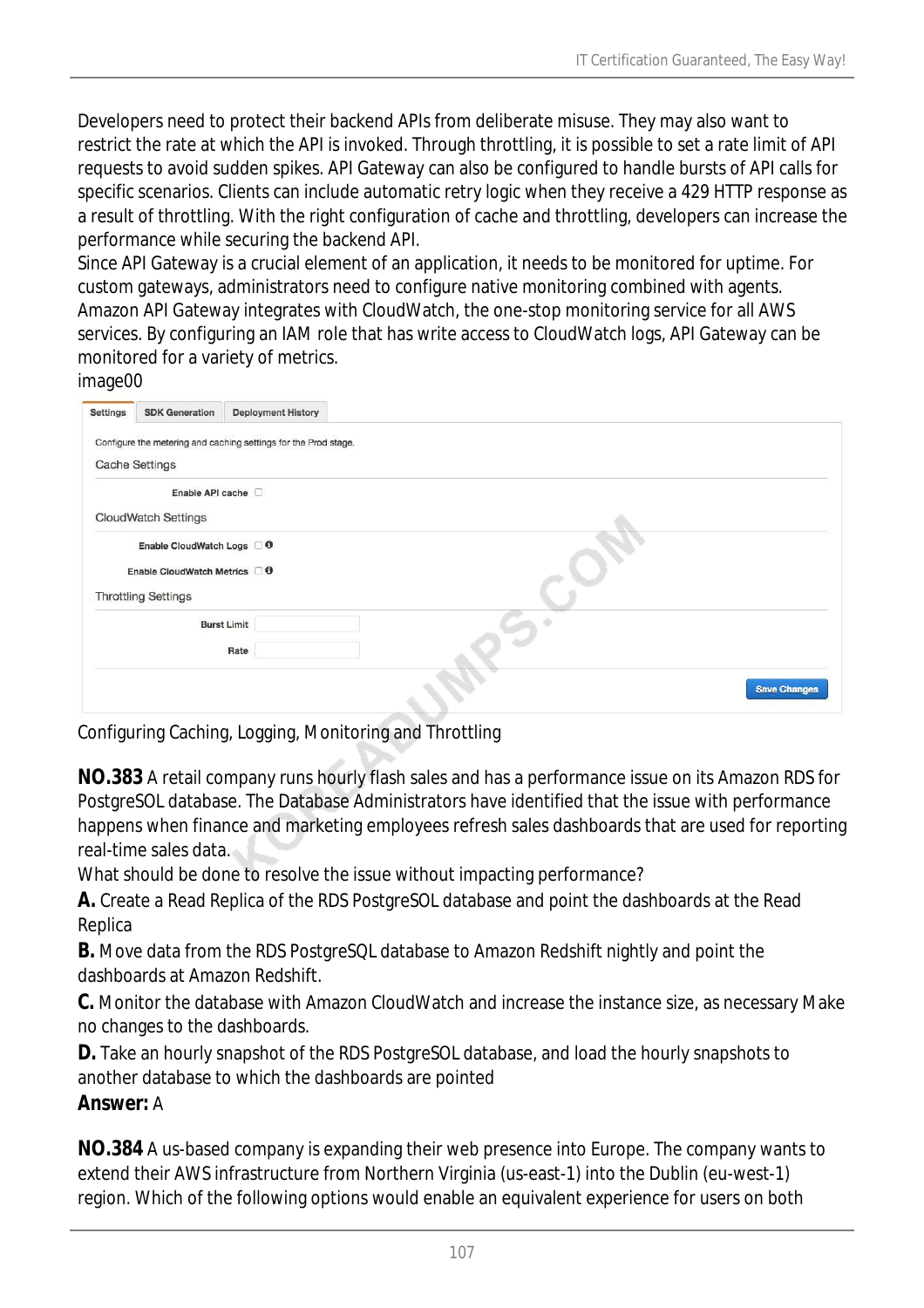Developers need to protect their backend APIs from deliberate misuse. They may also want to restrict the rate at which the API is invoked. Through throttling, it is possible to set a rate limit of API requests to avoid sudden spikes. API Gateway can also be configured to handle bursts of API calls for specific scenarios. Clients can include automatic retry logic when they receive a 429 HTTP response as a result of throttling. With the right configuration of cache and throttling, developers can increase the performance while securing the backend API.

Since API Gateway is a crucial element of an application, it needs to be monitored for uptime. For custom gateways, administrators need to configure native monitoring combined with agents. Amazon API Gateway integrates with CloudWatch, the one-stop monitoring service for all AWS services. By configuring an IAM role that has write access to CloudWatch logs, API Gateway can be monitored for a variety of metrics.

#### image00

| <b>Settings</b>                        | <b>SDK Generation</b> | <b>Deployment History</b>                                       |                     |
|----------------------------------------|-----------------------|-----------------------------------------------------------------|---------------------|
|                                        |                       | Configure the metering and caching settings for the Prod stage. |                     |
|                                        | <b>Cache Settings</b> |                                                                 |                     |
|                                        | Enable API cache      |                                                                 |                     |
| CloudWatch Settings                    |                       |                                                                 |                     |
| Enable CloudWatch Logs 0               |                       |                                                                 |                     |
| Enable CloudWatch Metrics <sup>6</sup> |                       |                                                                 |                     |
| <b>Throttling Settings</b>             |                       |                                                                 |                     |
|                                        |                       | <b>Burst Limit</b>                                              |                     |
|                                        |                       | Rate                                                            |                     |
|                                        |                       |                                                                 | <b>Save Changes</b> |
|                                        |                       |                                                                 |                     |

Configuring Caching, Logging, Monitoring and Throttling

**NO.383** A retail company runs hourly flash sales and has a performance issue on its Amazon RDS for PostgreSOL database. The Database Administrators have identified that the issue with performance happens when finance and marketing employees refresh sales dashboards that are used for reporting real-time sales data.

What should be done to resolve the issue without impacting performance?

**A.** Create a Read Replica of the RDS PostgreSOL database and point the dashboards at the Read Replica

**B.** Move data from the RDS PostgreSQL database to Amazon Redshift nightly and point the dashboards at Amazon Redshift.

**C.** Monitor the database with Amazon CloudWatch and increase the instance size, as necessary Make no changes to the dashboards.

**D.** Take an hourly snapshot of the RDS PostgreSOL database, and load the hourly snapshots to another database to which the dashboards are pointed

#### *Answer:* A

**NO.384** A us-based company is expanding their web presence into Europe. The company wants to extend their AWS infrastructure from Northern Virginia (us-east-1) into the Dublin (eu-west-1) region. Which of the following options would enable an equivalent experience for users on both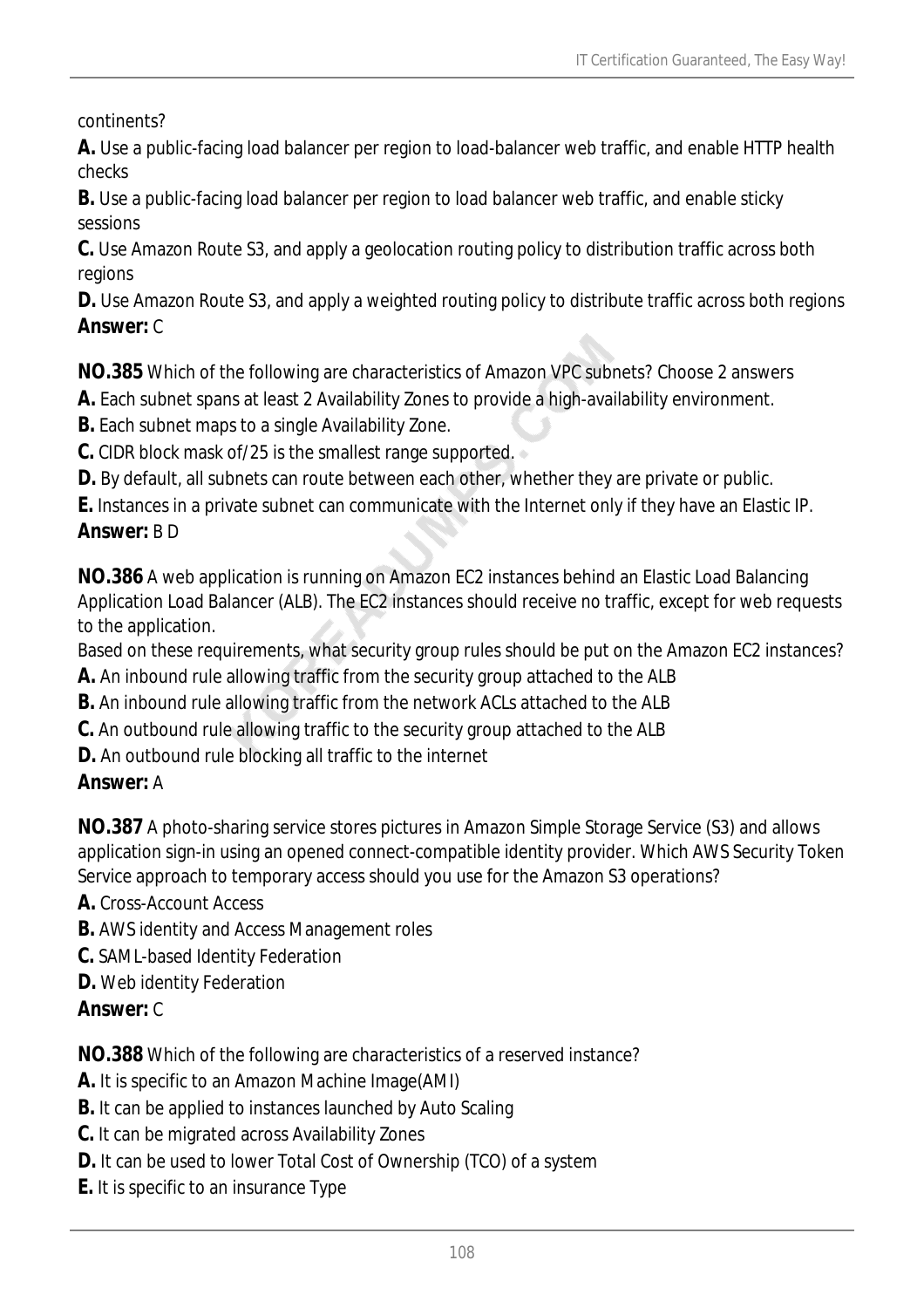continents?

**A.** Use a public-facing load balancer per region to load-balancer web traffic, and enable HTTP health checks

**B.** Use a public-facing load balancer per region to load balancer web traffic, and enable sticky sessions

**C.** Use Amazon Route S3, and apply a geolocation routing policy to distribution traffic across both regions

**D.** Use Amazon Route S3, and apply a weighted routing policy to distribute traffic across both regions *Answer:* C

**NO.385** Which of the following are characteristics of Amazon VPC subnets? Choose 2 answers

**A.** Each subnet spans at least 2 Availability Zones to provide a high-availability environment.

**B.** Each subnet maps to a single Availability Zone.

**C.** CIDR block mask of/25 is the smallest range supported.

**D.** By default, all subnets can route between each other, whether they are private or public.

**E.** Instances in a private subnet can communicate with the Internet only if they have an Elastic IP. *Answer:* B D

**NO.386** A web application is running on Amazon EC2 instances behind an Elastic Load Balancing Application Load Balancer (ALB). The EC2 instances should receive no traffic, except for web requests to the application.

Based on these requirements, what security group rules should be put on the Amazon EC2 instances?

**A.** An inbound rule allowing traffic from the security group attached to the ALB

- **B.** An inbound rule allowing traffic from the network ACLs attached to the ALB
- **C.** An outbound rule allowing traffic to the security group attached to the ALB
- **D.** An outbound rule blocking all traffic to the internet

## *Answer:* A

**NO.387** A photo-sharing service stores pictures in Amazon Simple Storage Service (S3) and allows application sign-in using an opened connect-compatible identity provider. Which AWS Security Token Service approach to temporary access should you use for the Amazon S3 operations?

- **A.** Cross-Account Access
- **B.** AWS identity and Access Management roles
- **C.** SAML-based Identity Federation
- **D.** Web identity Federation
- *Answer:* C

**NO.388** Which of the following are characteristics of a reserved instance?

- **A.** It is specific to an Amazon Machine Image(AMI)
- **B.** It can be applied to instances launched by Auto Scaling
- **C.** It can be migrated across Availability Zones
- **D.** It can be used to lower Total Cost of Ownership (TCO) of a system
- **E.** It is specific to an insurance Type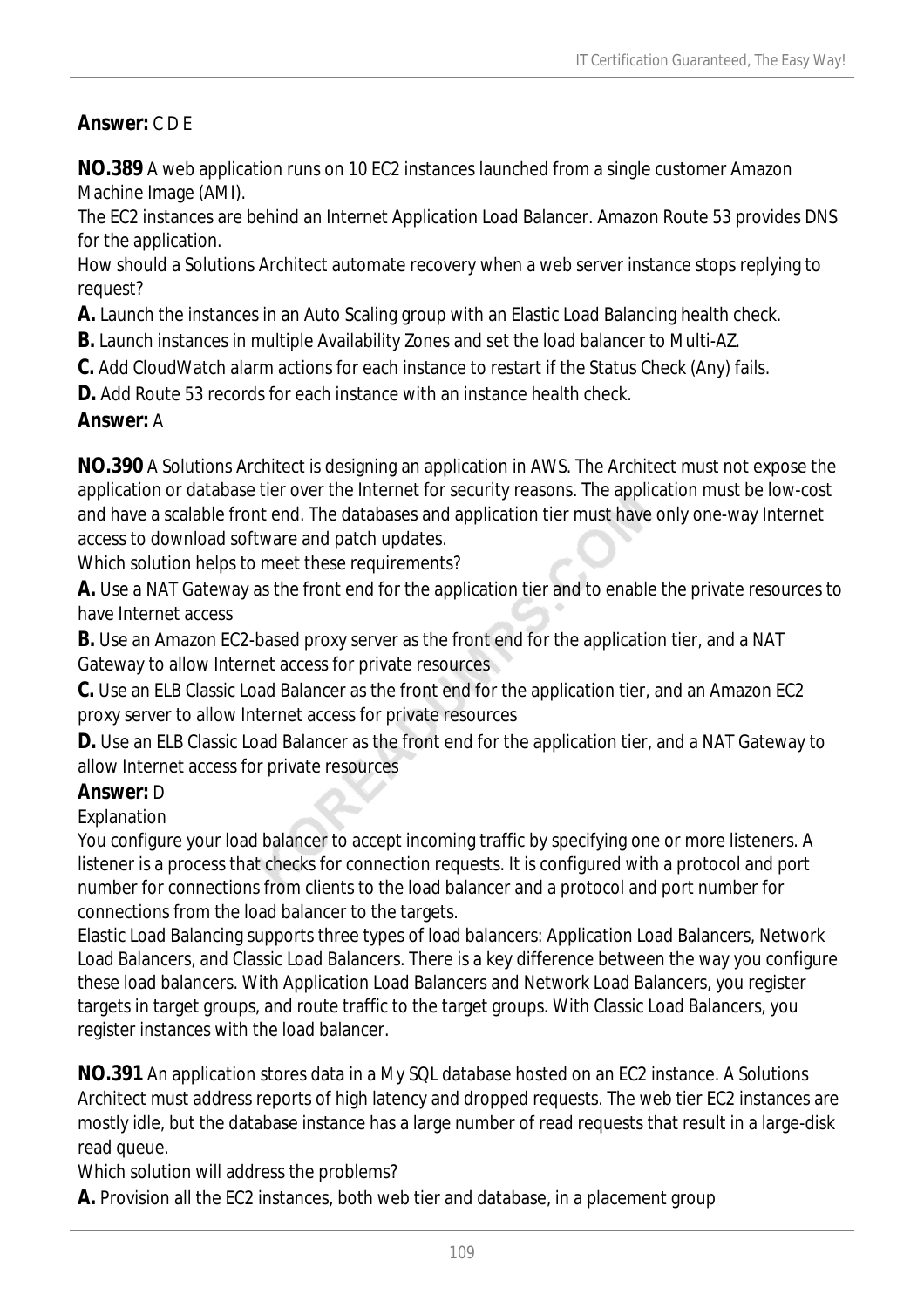# *Answer:* C D E

**NO.389** A web application runs on 10 EC2 instances launched from a single customer Amazon Machine Image (AMI).

The EC2 instances are behind an Internet Application Load Balancer. Amazon Route 53 provides DNS for the application.

How should a Solutions Architect automate recovery when a web server instance stops replying to request?

**A.** Launch the instances in an Auto Scaling group with an Elastic Load Balancing health check.

- **B.** Launch instances in multiple Availability Zones and set the load balancer to Multi-AZ.
- **C.** Add CloudWatch alarm actions for each instance to restart if the Status Check (Any) fails.

**D.** Add Route 53 records for each instance with an instance health check.

#### *Answer:* A

**NO.390** A Solutions Architect is designing an application in AWS. The Architect must not expose the application or database tier over the Internet for security reasons. The application must be low-cost and have a scalable front end. The databases and application tier must have only one-way Internet access to download software and patch updates.

Which solution helps to meet these requirements?

**A.** Use a NAT Gateway as the front end for the application tier and to enable the private resources to have Internet access

**B.** Use an Amazon EC2-based proxy server as the front end for the application tier, and a NAT Gateway to allow Internet access for private resources

**C.** Use an ELB Classic Load Balancer as the front end for the application tier, and an Amazon EC2 proxy server to allow Internet access for private resources

**D.** Use an ELB Classic Load Balancer as the front end for the application tier, and a NAT Gateway to allow Internet access for private resources

#### *Answer:* D

Explanation

You configure your load balancer to accept incoming traffic by specifying one or more listeners. A listener is a process that checks for connection requests. It is configured with a protocol and port number for connections from clients to the load balancer and a protocol and port number for connections from the load balancer to the targets.

Elastic Load Balancing supports three types of load balancers: Application Load Balancers, Network Load Balancers, and Classic Load Balancers. There is a key difference between the way you configure these load balancers. With Application Load Balancers and Network Load Balancers, you register targets in target groups, and route traffic to the target groups. With Classic Load Balancers, you register instances with the load balancer.

**NO.391** An application stores data in a My SQL database hosted on an EC2 instance. A Solutions Architect must address reports of high latency and dropped requests. The web tier EC2 instances are mostly idle, but the database instance has a large number of read requests that result in a large-disk read queue.

Which solution will address the problems?

**A.** Provision all the EC2 instances, both web tier and database, in a placement group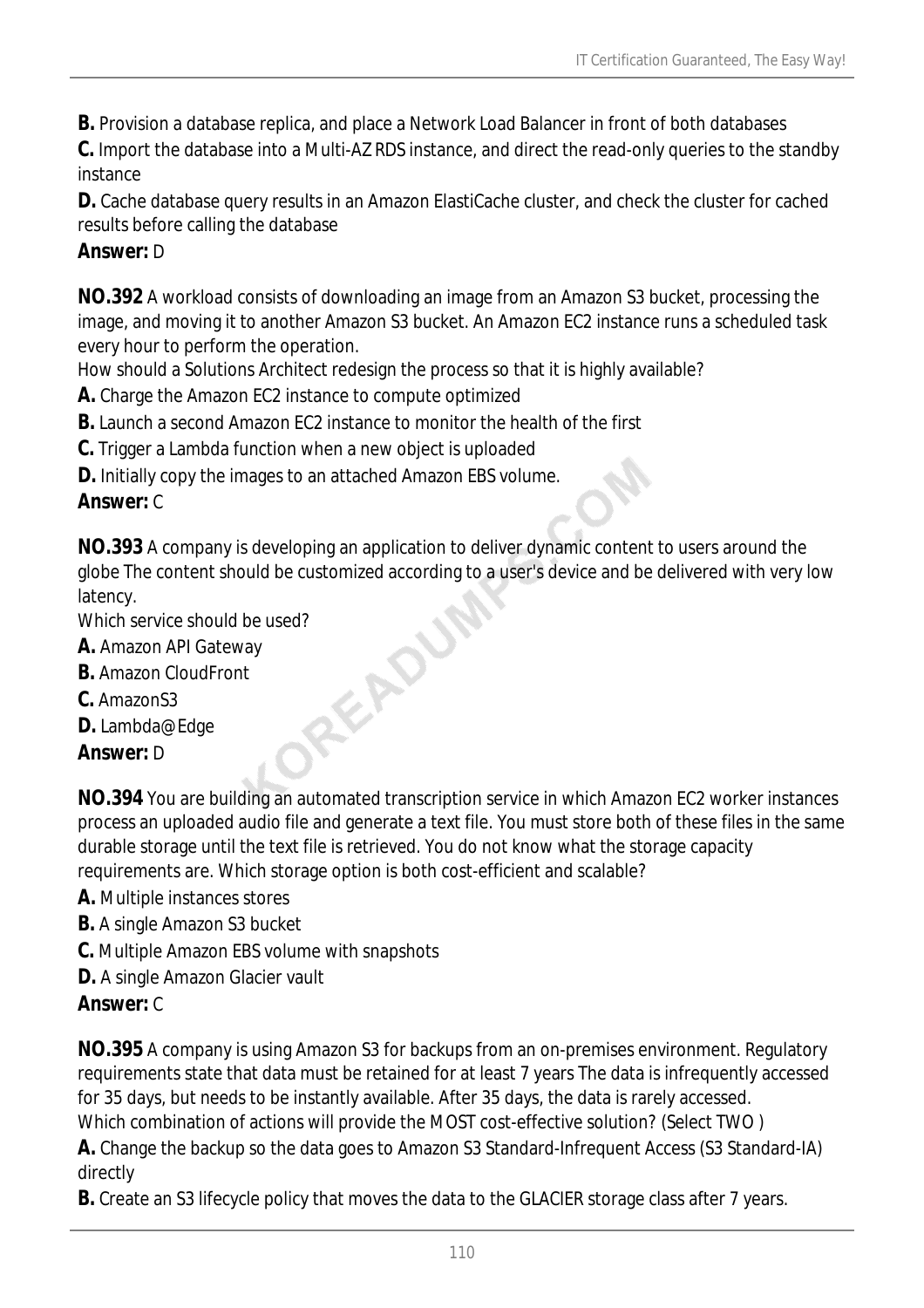**B.** Provision a database replica, and place a Network Load Balancer in front of both databases

**C.** Import the database into a Multi-AZ RDS instance, and direct the read-only queries to the standby instance

**D.** Cache database query results in an Amazon ElastiCache cluster, and check the cluster for cached results before calling the database

### *Answer:* D

**NO.392** A workload consists of downloading an image from an Amazon S3 bucket, processing the image, and moving it to another Amazon S3 bucket. An Amazon EC2 instance runs a scheduled task every hour to perform the operation.

How should a Solutions Architect redesign the process so that it is highly available?

**A.** Charge the Amazon EC2 instance to compute optimized

- **B.** Launch a second Amazon EC2 instance to monitor the health of the first
- **C.** Trigger a Lambda function when a new object is uploaded
- **D.** Initially copy the images to an attached Amazon EBS volume.

### *Answer:* C

**NO.393** A company is developing an application to deliver dynamic content to users around the globe The content should be customized according to a user's device and be delivered with very low latency. Which service should be used?<br> **A.** Amazon API Gateway<br> **B.** Amazon CloudFront<br> **C.** AmazonS3<br> **D.** Lambda@Edae<br> **Answer** 

- **A.** Amazon API Gateway
- **B.** Amazon CloudFront
- **C.** AmazonS3
- **D.** Lambda@Edge

*Answer:* D

**NO.394** You are building an automated transcription service in which Amazon EC2 worker instances process an uploaded audio file and generate a text file. You must store both of these files in the same durable storage until the text file is retrieved. You do not know what the storage capacity requirements are. Which storage option is both cost-efficient and scalable?

- **A.** Multiple instances stores
- **B.** A single Amazon S3 bucket
- **C.** Multiple Amazon EBS volume with snapshots
- **D.** A single Amazon Glacier vault

# *Answer:* C

**NO.395** A company is using Amazon S3 for backups from an on-premises environment. Regulatory requirements state that data must be retained for at least 7 years The data is infrequently accessed for 35 days, but needs to be instantly available. After 35 days, the data is rarely accessed. Which combination of actions will provide the MOST cost-effective solution? (Select TWO )

**A.** Change the backup so the data goes to Amazon S3 Standard-Infrequent Access (S3 Standard-IA) directly

**B.** Create an S3 lifecycle policy that moves the data to the GLACIER storage class after 7 years.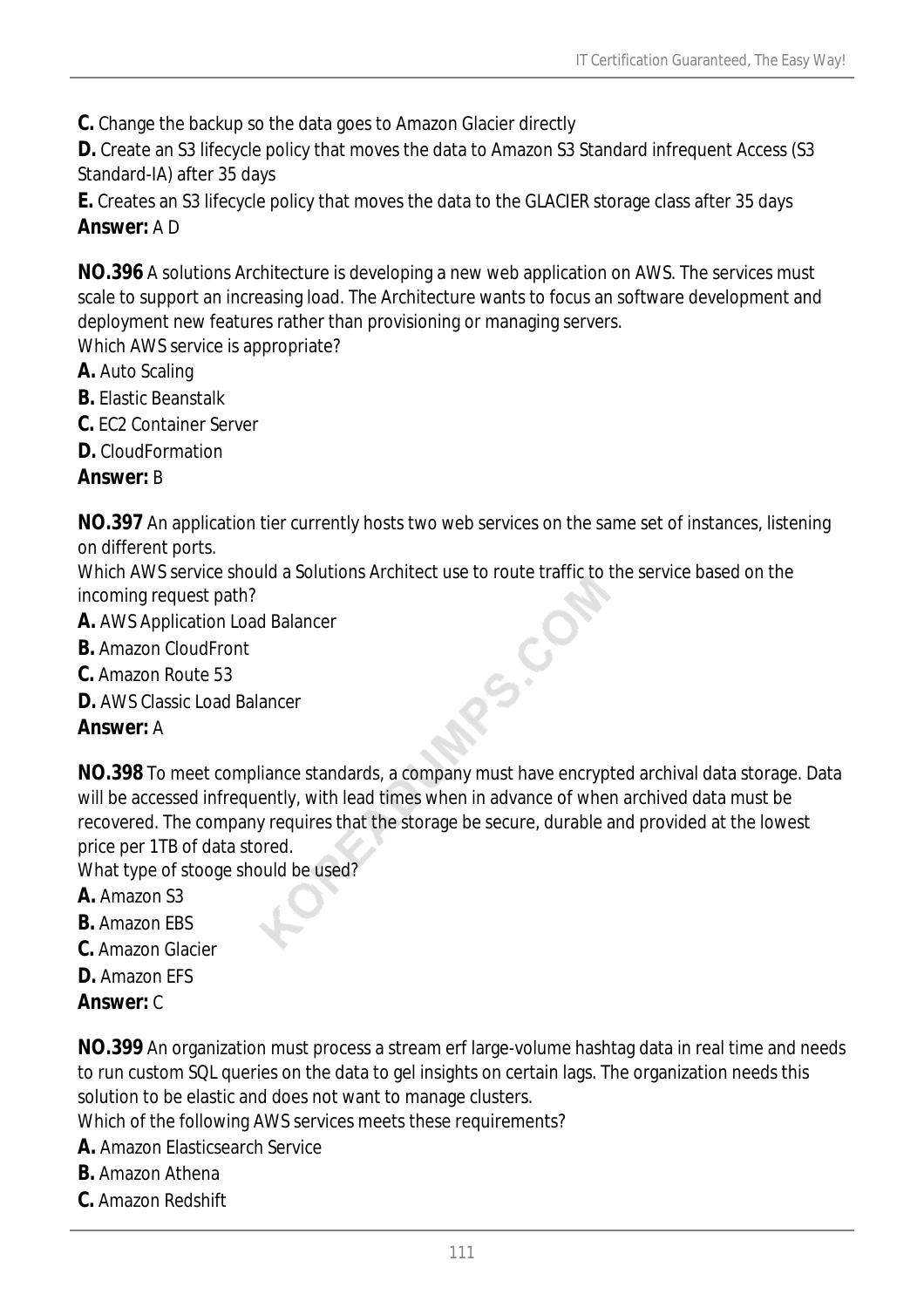**C.** Change the backup so the data goes to Amazon Glacier directly

**D.** Create an S3 lifecycle policy that moves the data to Amazon S3 Standard infrequent Access (S3 Standard-IA) after 35 days

**E.** Creates an S3 lifecycle policy that moves the data to the GLACIER storage class after 35 days *Answer:* A D

**NO.396** A solutions Architecture is developing a new web application on AWS. The services must scale to support an increasing load. The Architecture wants to focus an software development and deployment new features rather than provisioning or managing servers. Which AWS service is appropriate?

- **A.** Auto Scaling
- **B.** Elastic Beanstalk
- **C.** EC2 Container Server
- **D.** CloudFormation

#### *Answer:* B

**NO.397** An application tier currently hosts two web services on the same set of instances, listening on different ports.

Which AWS service should a Solutions Architect use to route traffic to the service based on the incoming request path?

- **A.** AWS Application Load Balancer
- **B.** Amazon CloudFront
- **C.** Amazon Route 53
- **D.** AWS Classic Load Balancer

#### *Answer:* A

**NO.398** To meet compliance standards, a company must have encrypted archival data storage. Data will be accessed infrequently, with lead times when in advance of when archived data must be recovered. The company requires that the storage be secure, durable and provided at the lowest price per 1TB of data stored.

PS.CO

What type of stooge should be used?

- **A.** Amazon S3
- **B.** Amazon EBS
- **C.** Amazon Glacier
- **D.** Amazon EFS
- *Answer:* C

**NO.399** An organization must process a stream erf large-volume hashtag data in real time and needs to run custom SQL queries on the data to gel insights on certain lags. The organization needs this solution to be elastic and does not want to manage clusters.

Which of the following AWS services meets these requirements?

- **A.** Amazon Elasticsearch Service
- **B.** Amazon Athena
- **C.** Amazon Redshift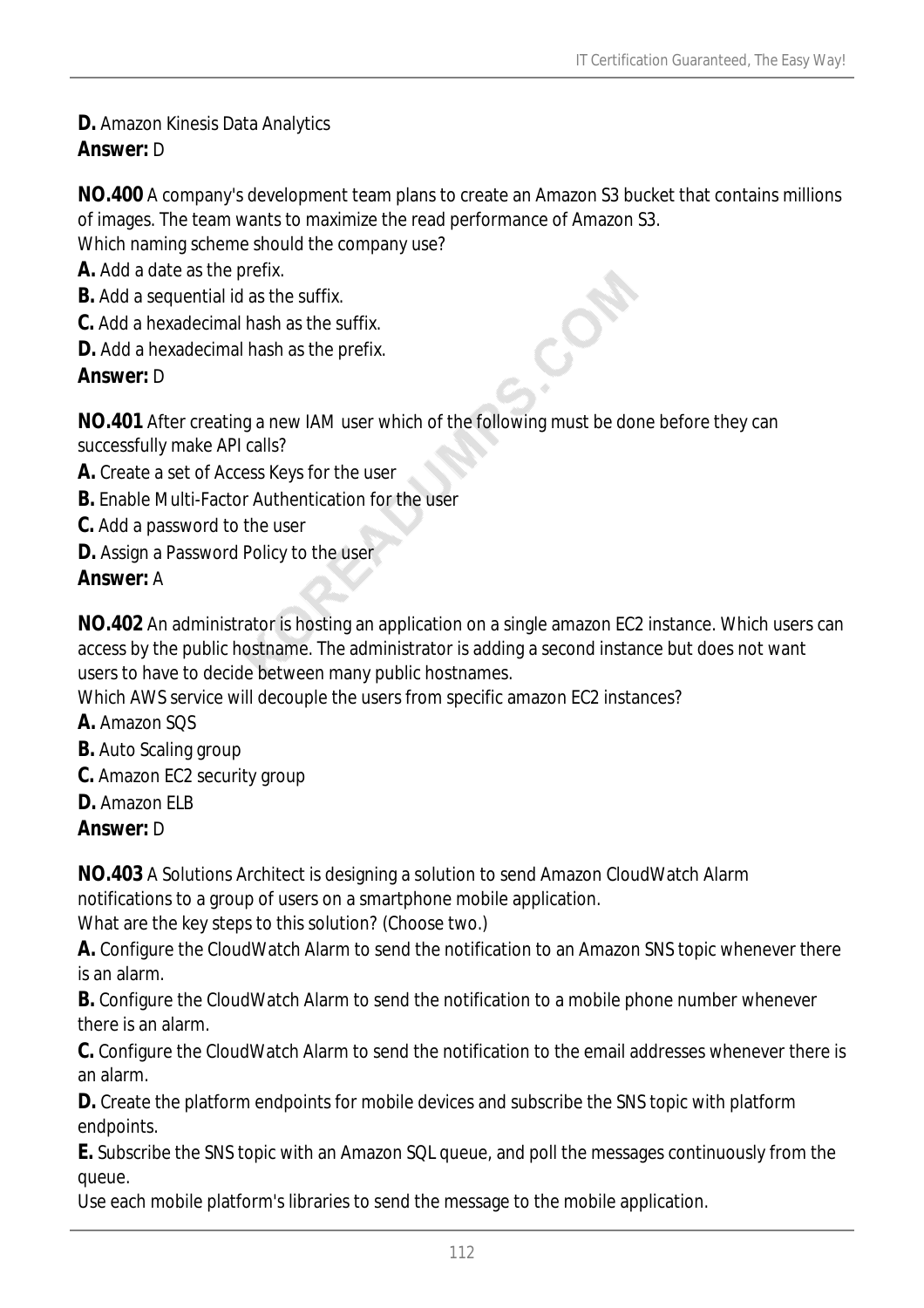#### **D.** Amazon Kinesis Data Analytics *Answer:* D

**NO.400** A company's development team plans to create an Amazon S3 bucket that contains millions of images. The team wants to maximize the read performance of Amazon S3.

Which naming scheme should the company use?

- **A.** Add a date as the prefix.
- **B.** Add a sequential id as the suffix.
- **C.** Add a hexadecimal hash as the suffix.
- **D.** Add a hexadecimal hash as the prefix.

#### *Answer:* D

**NO.401** After creating a new IAM user which of the following must be done before they can successfully make API calls?

- **A.** Create a set of Access Keys for the user
- **B.** Enable Multi-Factor Authentication for the user
- **C.** Add a password to the user
- **D.** Assign a Password Policy to the user

#### *Answer:* A

**NO.402** An administrator is hosting an application on a single amazon EC2 instance. Which users can access by the public hostname. The administrator is adding a second instance but does not want users to have to decide between many public hostnames.

Which AWS service will decouple the users from specific amazon EC2 instances?

- **A.** Amazon SQS
- **B.** Auto Scaling group
- **C.** Amazon EC2 security group
- **D.** Amazon ELB

#### *Answer:* D

**NO.403** A Solutions Architect is designing a solution to send Amazon CloudWatch Alarm notifications to a group of users on a smartphone mobile application.

What are the key steps to this solution? (Choose two.)

**A.** Configure the CloudWatch Alarm to send the notification to an Amazon SNS topic whenever there is an alarm.

**B.** Configure the CloudWatch Alarm to send the notification to a mobile phone number whenever there is an alarm.

**C.** Configure the CloudWatch Alarm to send the notification to the email addresses whenever there is an alarm.

**D.** Create the platform endpoints for mobile devices and subscribe the SNS topic with platform endpoints.

**E.** Subscribe the SNS topic with an Amazon SQL queue, and poll the messages continuously from the queue.

Use each mobile platform's libraries to send the message to the mobile application.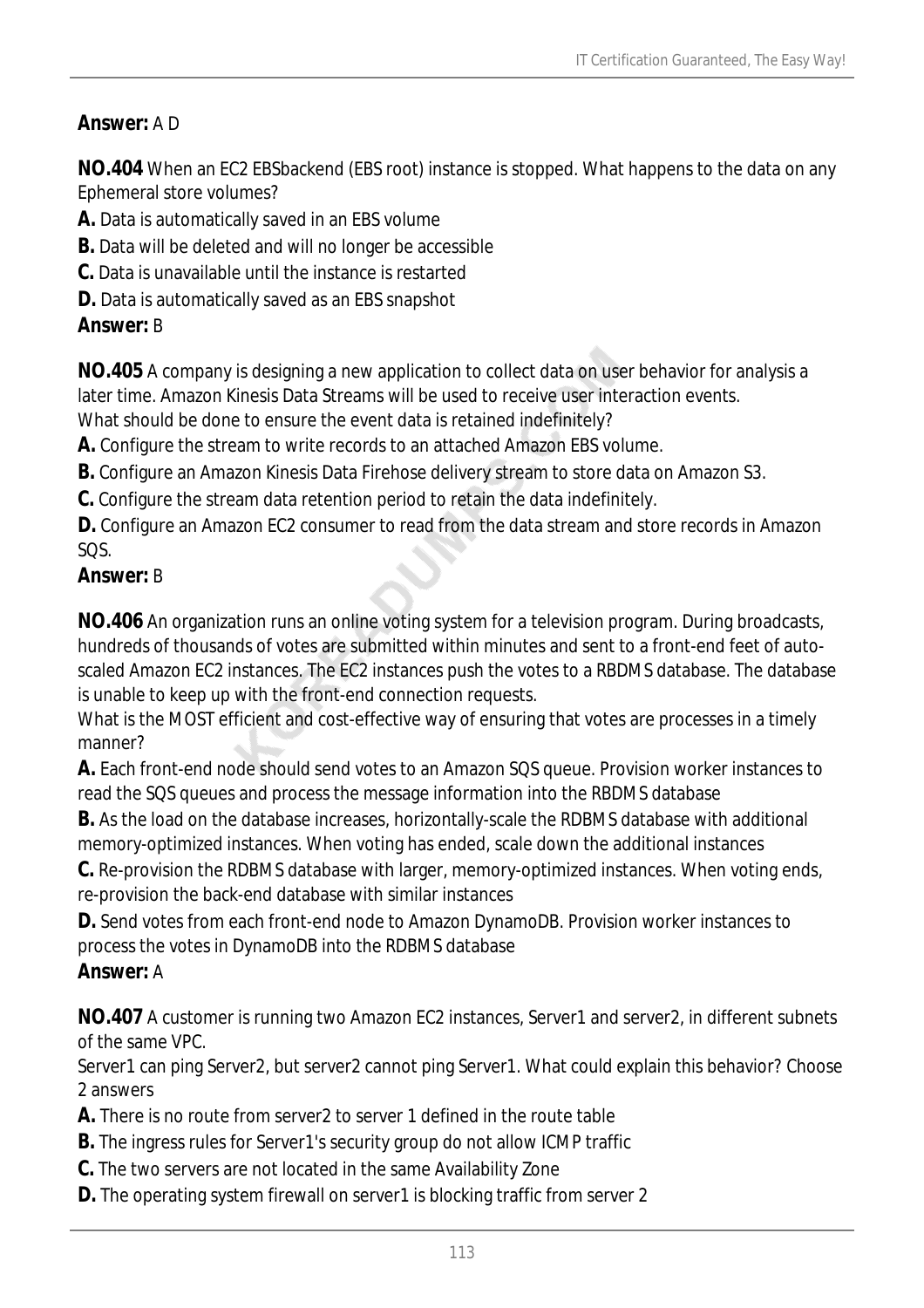# *Answer:* A D

**NO.404** When an EC2 EBSbackend (EBS root) instance is stopped. What happens to the data on any Ephemeral store volumes?

- **A.** Data is automatically saved in an EBS volume
- **B.** Data will be deleted and will no longer be accessible
- **C.** Data is unavailable until the instance is restarted
- **D.** Data is automatically saved as an EBS snapshot

#### *Answer:* B

**NO.405** A company is designing a new application to collect data on user behavior for analysis a later time. Amazon Kinesis Data Streams will be used to receive user interaction events.

What should be done to ensure the event data is retained indefinitely?

**A.** Configure the stream to write records to an attached Amazon EBS volume.

**B.** Configure an Amazon Kinesis Data Firehose delivery stream to store data on Amazon S3.

**C.** Configure the stream data retention period to retain the data indefinitely.

**D.** Configure an Amazon EC2 consumer to read from the data stream and store records in Amazon SQS.

#### *Answer:* B

**NO.406** An organization runs an online voting system for a television program. During broadcasts, hundreds of thousands of votes are submitted within minutes and sent to a front-end feet of autoscaled Amazon EC2 instances. The EC2 instances push the votes to a RBDMS database. The database is unable to keep up with the front-end connection requests.

What is the MOST efficient and cost-effective way of ensuring that votes are processes in a timely manner?

**A.** Each front-end node should send votes to an Amazon SQS queue. Provision worker instances to read the SQS queues and process the message information into the RBDMS database

**B.** As the load on the database increases, horizontally-scale the RDBMS database with additional memory-optimized instances. When voting has ended, scale down the additional instances

**C.** Re-provision the RDBMS database with larger, memory-optimized instances. When voting ends, re-provision the back-end database with similar instances

**D.** Send votes from each front-end node to Amazon DynamoDB. Provision worker instances to process the votes in DynamoDB into the RDBMS database

#### *Answer:* A

**NO.407** A customer is running two Amazon EC2 instances, Server1 and server2, in different subnets of the same VPC.

Server1 can ping Server2, but server2 cannot ping Server1. What could explain this behavior? Choose 2 answers

**A.** There is no route from server2 to server 1 defined in the route table

- **B.** The ingress rules for Server1's security group do not allow ICMP traffic
- **C.** The two servers are not located in the same Availability Zone
- **D.** The operating system firewall on server1 is blocking traffic from server 2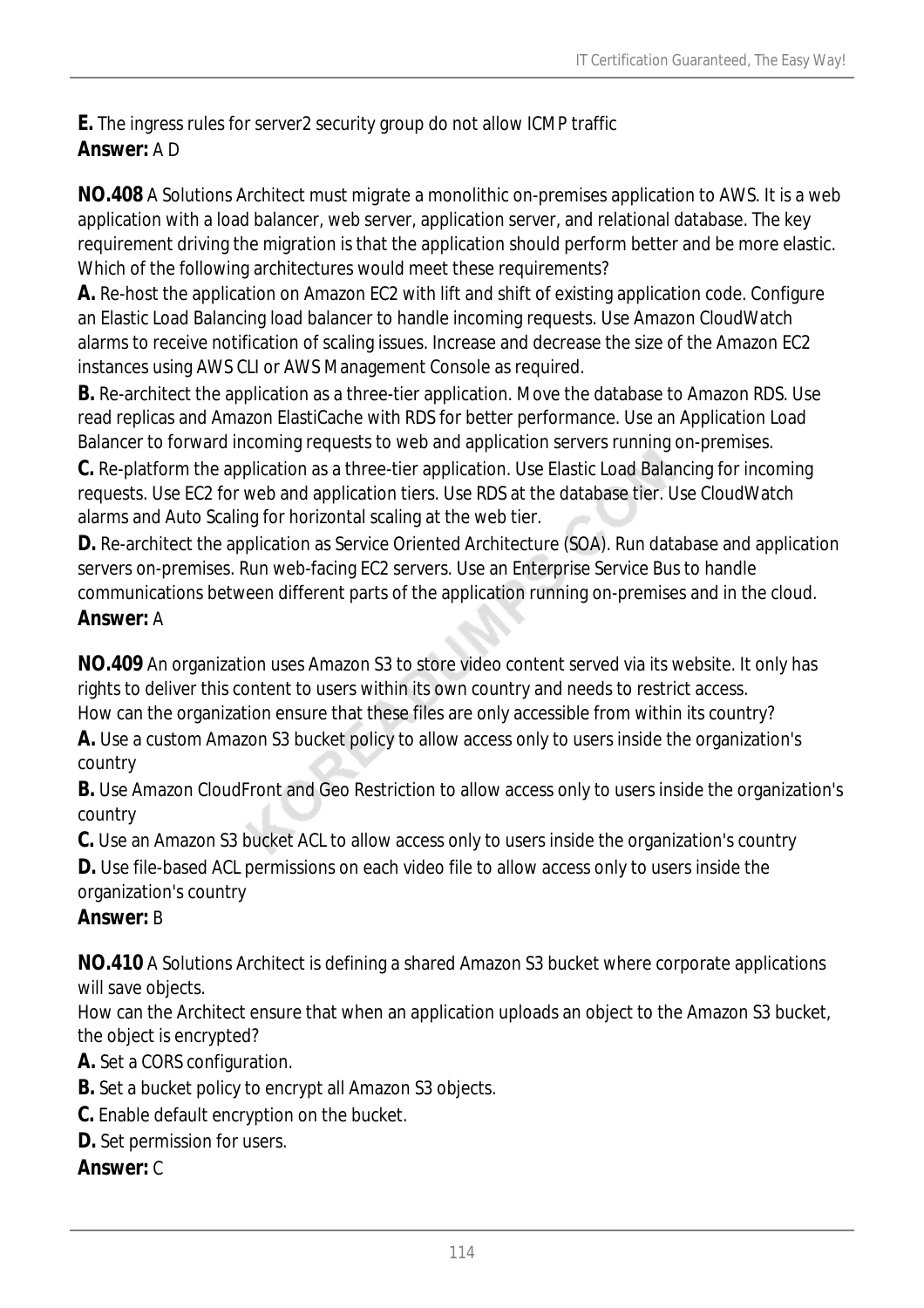**E.** The ingress rules for server2 security group do not allow ICMP traffic *Answer:* A D

**NO.408** A Solutions Architect must migrate a monolithic on-premises application to AWS. It is a web application with a load balancer, web server, application server, and relational database. The key requirement driving the migration is that the application should perform better and be more elastic. Which of the following architectures would meet these requirements?

**A.** Re-host the application on Amazon EC2 with lift and shift of existing application code. Configure an Elastic Load Balancing load balancer to handle incoming requests. Use Amazon CloudWatch alarms to receive notification of scaling issues. Increase and decrease the size of the Amazon EC2 instances using AWS CLI or AWS Management Console as required.

**B.** Re-architect the application as a three-tier application. Move the database to Amazon RDS. Use read replicas and Amazon ElastiCache with RDS for better performance. Use an Application Load Balancer to forward incoming requests to web and application servers running on-premises.

**C.** Re-platform the application as a three-tier application. Use Elastic Load Balancing for incoming requests. Use EC2 for web and application tiers. Use RDS at the database tier. Use CloudWatch alarms and Auto Scaling for horizontal scaling at the web tier.

**D.** Re-architect the application as Service Oriented Architecture (SOA). Run database and application servers on-premises. Run web-facing EC2 servers. Use an Enterprise Service Bus to handle communications between different parts of the application running on-premises and in the cloud. *Answer:* A

**NO.409** An organization uses Amazon S3 to store video content served via its website. It only has rights to deliver this content to users within its own country and needs to restrict access. How can the organization ensure that these files are only accessible from within its country?

**A.** Use a custom Amazon S3 bucket policy to allow access only to users inside the organization's country

**B.** Use Amazon CloudFront and Geo Restriction to allow access only to users inside the organization's country

**C.** Use an Amazon S3 bucket ACL to allow access only to users inside the organization's country

**D.** Use file-based ACL permissions on each video file to allow access only to users inside the organization's country

# *Answer:* B

**NO.410** A Solutions Architect is defining a shared Amazon S3 bucket where corporate applications will save objects.

How can the Architect ensure that when an application uploads an object to the Amazon S3 bucket, the object is encrypted?

**A.** Set a CORS configuration.

- **B.** Set a bucket policy to encrypt all Amazon S3 objects.
- **C.** Enable default encryption on the bucket.
- **D.** Set permission for users.

# *Answer:* C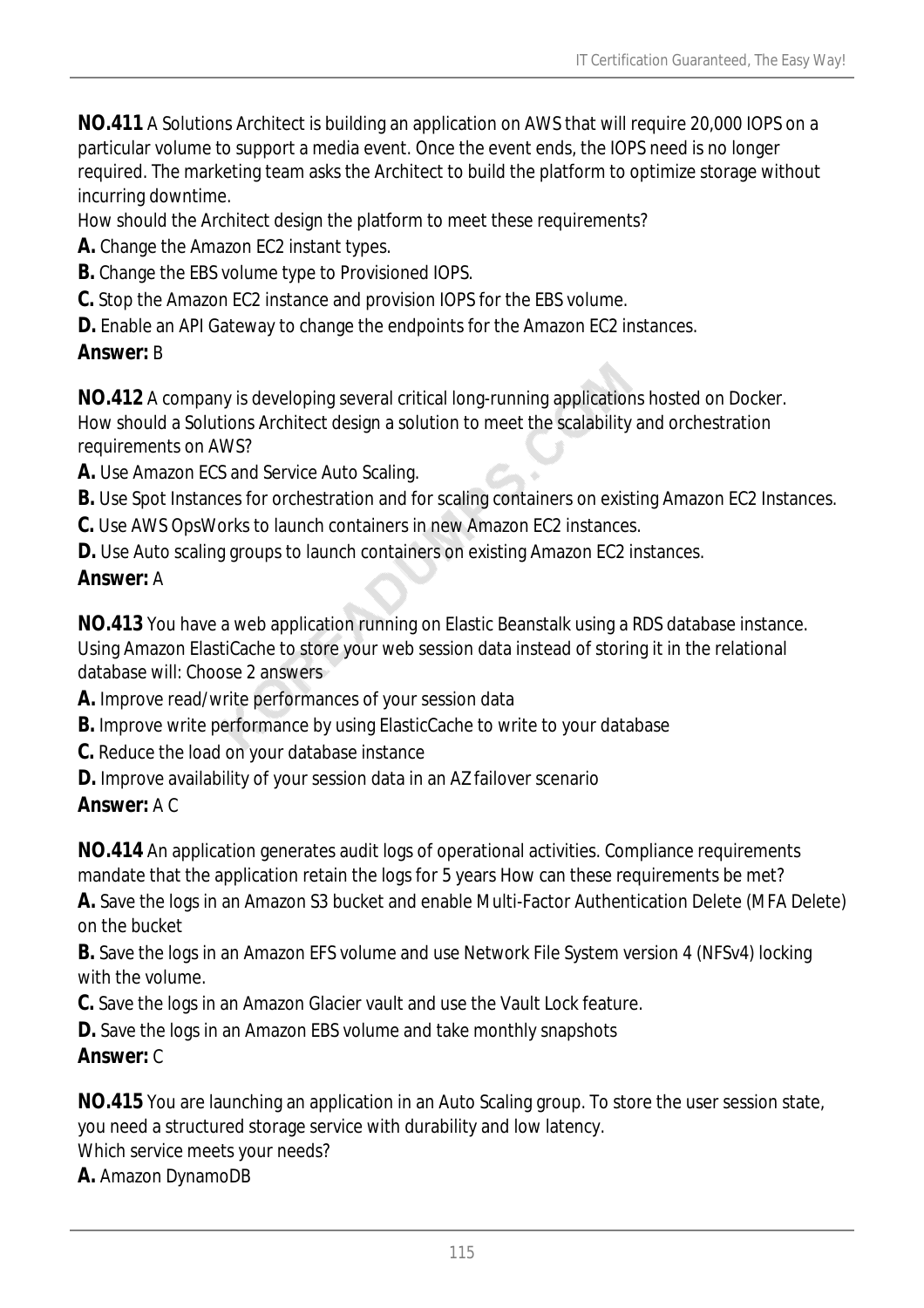**NO.411** A Solutions Architect is building an application on AWS that will require 20,000 IOPS on a particular volume to support a media event. Once the event ends, the IOPS need is no longer required. The marketing team asks the Architect to build the platform to optimize storage without incurring downtime.

How should the Architect design the platform to meet these requirements?

- **A.** Change the Amazon EC2 instant types.
- **B.** Change the EBS volume type to Provisioned IOPS.
- **C.** Stop the Amazon EC2 instance and provision IOPS for the EBS volume.
- **D.** Enable an API Gateway to change the endpoints for the Amazon EC2 instances.

#### *Answer:* B

**NO.412** A company is developing several critical long-running applications hosted on Docker. How should a Solutions Architect design a solution to meet the scalability and orchestration requirements on AWS?

**A.** Use Amazon ECS and Service Auto Scaling.

- **B.** Use Spot Instances for orchestration and for scaling containers on existing Amazon EC2 Instances.
- **C.** Use AWS OpsWorks to launch containers in new Amazon EC2 instances.
- **D.** Use Auto scaling groups to launch containers on existing Amazon EC2 instances.

# *Answer:* A

**NO.413** You have a web application running on Elastic Beanstalk using a RDS database instance. Using Amazon ElastiCache to store your web session data instead of storing it in the relational database will: Choose 2 answers

- **A.** Improve read/write performances of your session data
- **B.** Improve write performance by using ElasticCache to write to your database
- **C.** Reduce the load on your database instance
- **D.** Improve availability of your session data in an AZ failover scenario
- *Answer:* A C

**NO.414** An application generates audit logs of operational activities. Compliance requirements mandate that the application retain the logs for 5 years How can these requirements be met?

**A.** Save the logs in an Amazon S3 bucket and enable Multi-Factor Authentication Delete (MFA Delete) on the bucket

**B.** Save the logs in an Amazon EFS volume and use Network File System version 4 (NFSv4) locking with the volume.

- **C.** Save the logs in an Amazon Glacier vault and use the Vault Lock feature.
- **D.** Save the logs in an Amazon EBS volume and take monthly snapshots

# *Answer:* C

**NO.415** You are launching an application in an Auto Scaling group. To store the user session state, you need a structured storage service with durability and low latency.

Which service meets your needs?

**A.** Amazon DynamoDB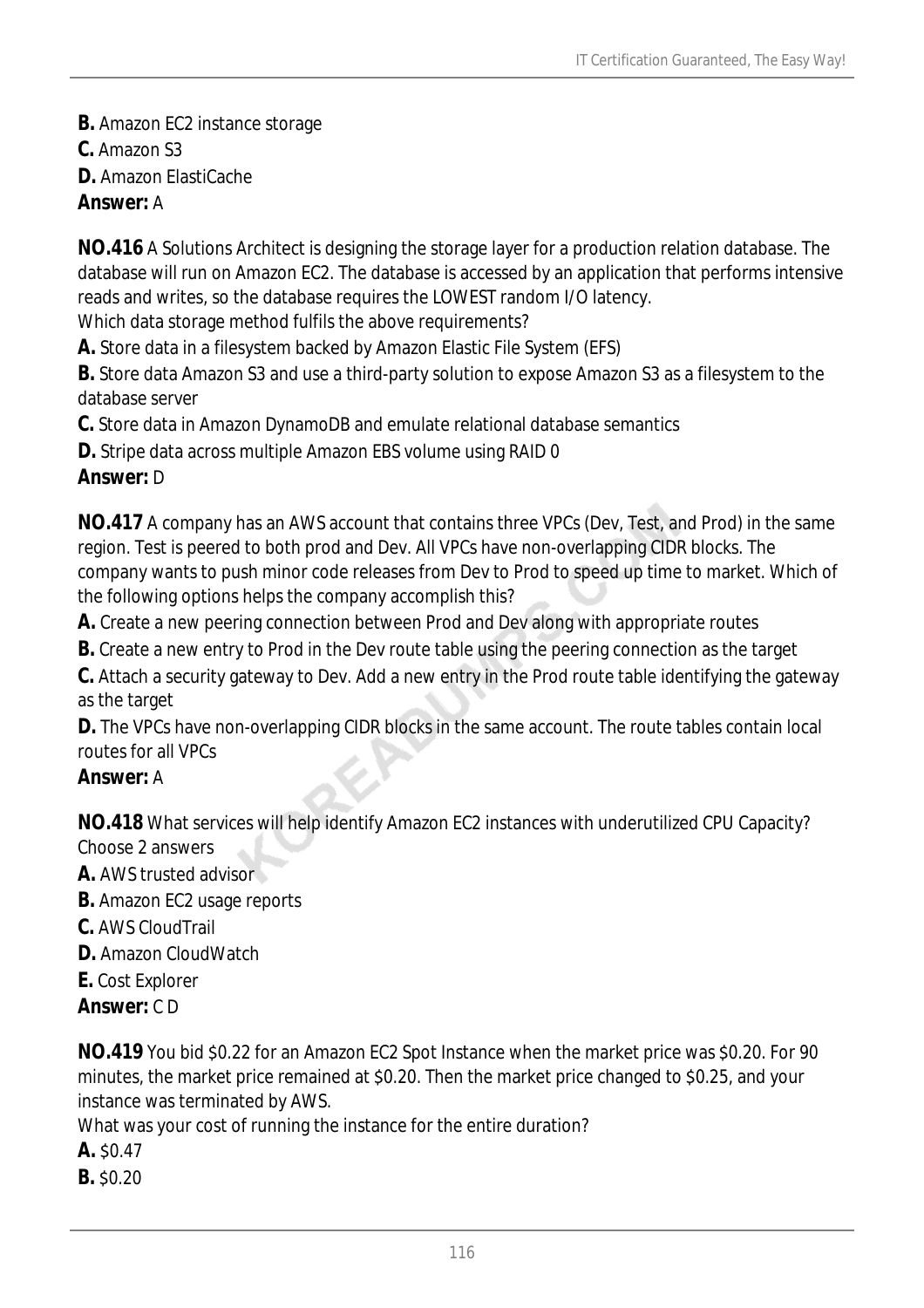**B.** Amazon EC2 instance storage

**C.** Amazon S3

**D.** Amazon ElastiCache

*Answer:* A

**NO.416** A Solutions Architect is designing the storage layer for a production relation database. The database will run on Amazon EC2. The database is accessed by an application that performs intensive reads and writes, so the database requires the LOWEST random I/O latency.

Which data storage method fulfils the above requirements?

**A.** Store data in a filesystem backed by Amazon Elastic File System (EFS)

**B.** Store data Amazon S3 and use a third-party solution to expose Amazon S3 as a filesystem to the database server

**C.** Store data in Amazon DynamoDB and emulate relational database semantics

**D.** Stripe data across multiple Amazon EBS volume using RAID 0

# *Answer:* D

**NO.417** A company has an AWS account that contains three VPCs (Dev, Test, and Prod) in the same region. Test is peered to both prod and Dev. All VPCs have non-overlapping CIDR blocks. The company wants to push minor code releases from Dev to Prod to speed up time to market. Which of the following options helps the company accomplish this?

**A.** Create a new peering connection between Prod and Dev along with appropriate routes

**B.** Create a new entry to Prod in the Dev route table using the peering connection as the target

**C.** Attach a security gateway to Dev. Add a new entry in the Prod route table identifying the gateway as the target

**D.** The VPCs have non-overlapping CIDR blocks in the same account. The route tables contain local routes for all VPCs

# *Answer:* A

**NO.418** What services will help identify Amazon EC2 instances with underutilized CPU Capacity? Choose 2 answers

**A.** AWS trusted advisor

- **B.** Amazon EC2 usage reports
- **C.** AWS CloudTrail
- **D.** Amazon CloudWatch
- **E.** Cost Explorer
- *Answer:* C D

**NO.419** You bid \$0.22 for an Amazon EC2 Spot Instance when the market price was \$0.20. For 90 minutes, the market price remained at \$0.20. Then the market price changed to \$0.25, and your instance was terminated by AWS.

What was your cost of running the instance for the entire duration?

- **A.** \$0.47
- **B.** \$0.20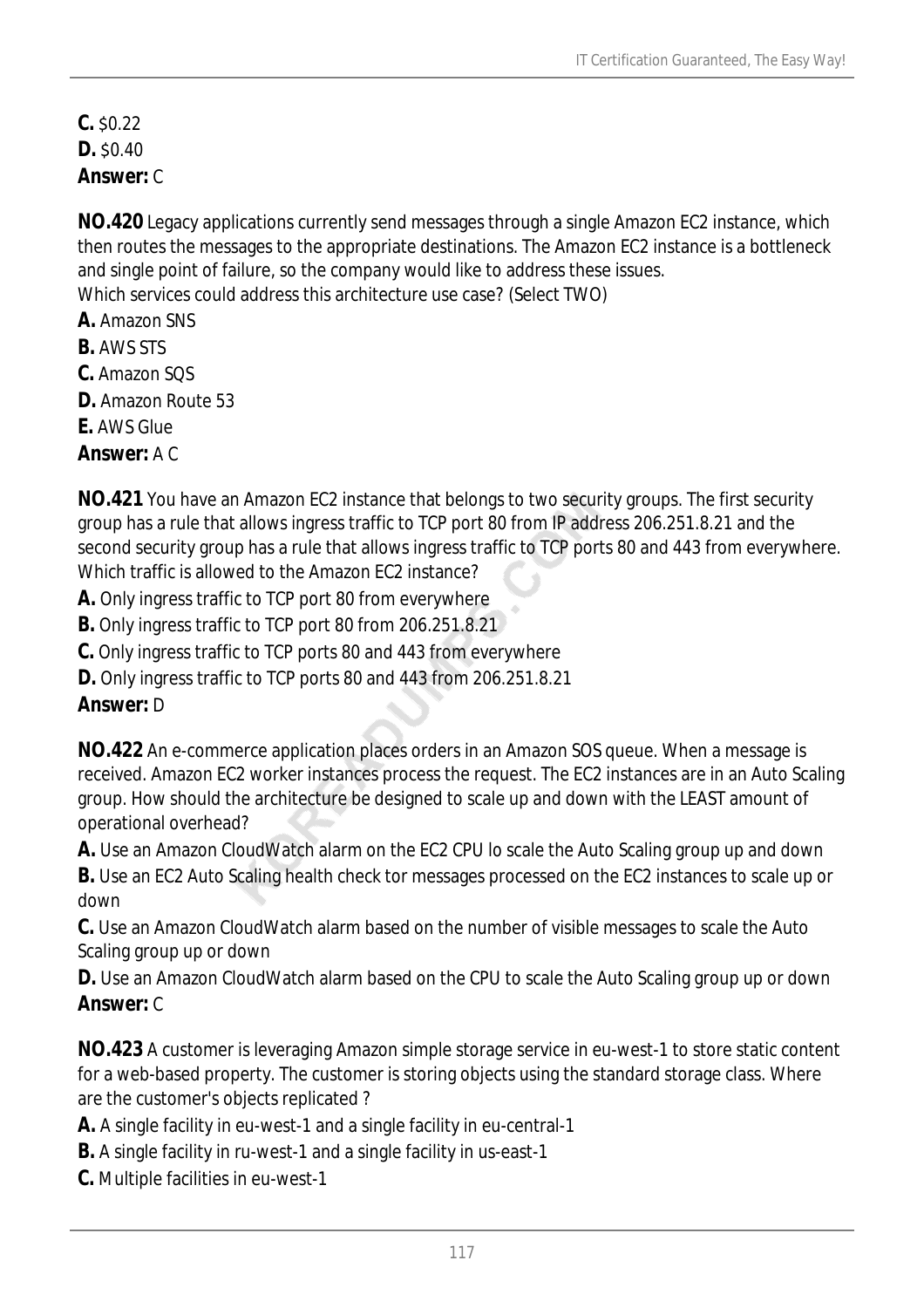**C.** \$0.22 **D.** \$0.40 *Answer:* C

**NO.420** Legacy applications currently send messages through a single Amazon EC2 instance, which then routes the messages to the appropriate destinations. The Amazon EC2 instance is a bottleneck and single point of failure, so the company would like to address these issues. Which services could address this architecture use case? (Select TWO)

**A.** Amazon SNS

- **B.** AWS STS
- **C.** Amazon SQS
- **D.** Amazon Route 53
- **E.** AWS Glue

*Answer:* A C

**NO.421** You have an Amazon EC2 instance that belongs to two security groups. The first security group has a rule that allows ingress traffic to TCP port 80 from IP address 206.251.8.21 and the second security group has a rule that allows ingress traffic to TCP ports 80 and 443 from everywhere. Which traffic is allowed to the Amazon EC2 instance?

**A.** Only ingress traffic to TCP port 80 from everywhere

**B.** Only ingress traffic to TCP port 80 from 206.251.8.21

**C.** Only ingress traffic to TCP ports 80 and 443 from everywhere

**D.** Only ingress traffic to TCP ports 80 and 443 from 206.251.8.21

# *Answer:* D

**NO.422** An e-commerce application places orders in an Amazon SOS queue. When a message is received. Amazon EC2 worker instances process the request. The EC2 instances are in an Auto Scaling group. How should the architecture be designed to scale up and down with the LEAST amount of operational overhead?

**A.** Use an Amazon CloudWatch alarm on the EC2 CPU lo scale the Auto Scaling group up and down

**B.** Use an EC2 Auto Scaling health check tor messages processed on the EC2 instances to scale up or down

**C.** Use an Amazon CloudWatch alarm based on the number of visible messages to scale the Auto Scaling group up or down

**D.** Use an Amazon CloudWatch alarm based on the CPU to scale the Auto Scaling group up or down *Answer:* C

**NO.423** A customer is leveraging Amazon simple storage service in eu-west-1 to store static content for a web-based property. The customer is storing objects using the standard storage class. Where are the customer's objects replicated ?

- **A.** A single facility in eu-west-1 and a single facility in eu-central-1
- **B.** A single facility in ru-west-1 and a single facility in us-east-1
- **C.** Multiple facilities in eu-west-1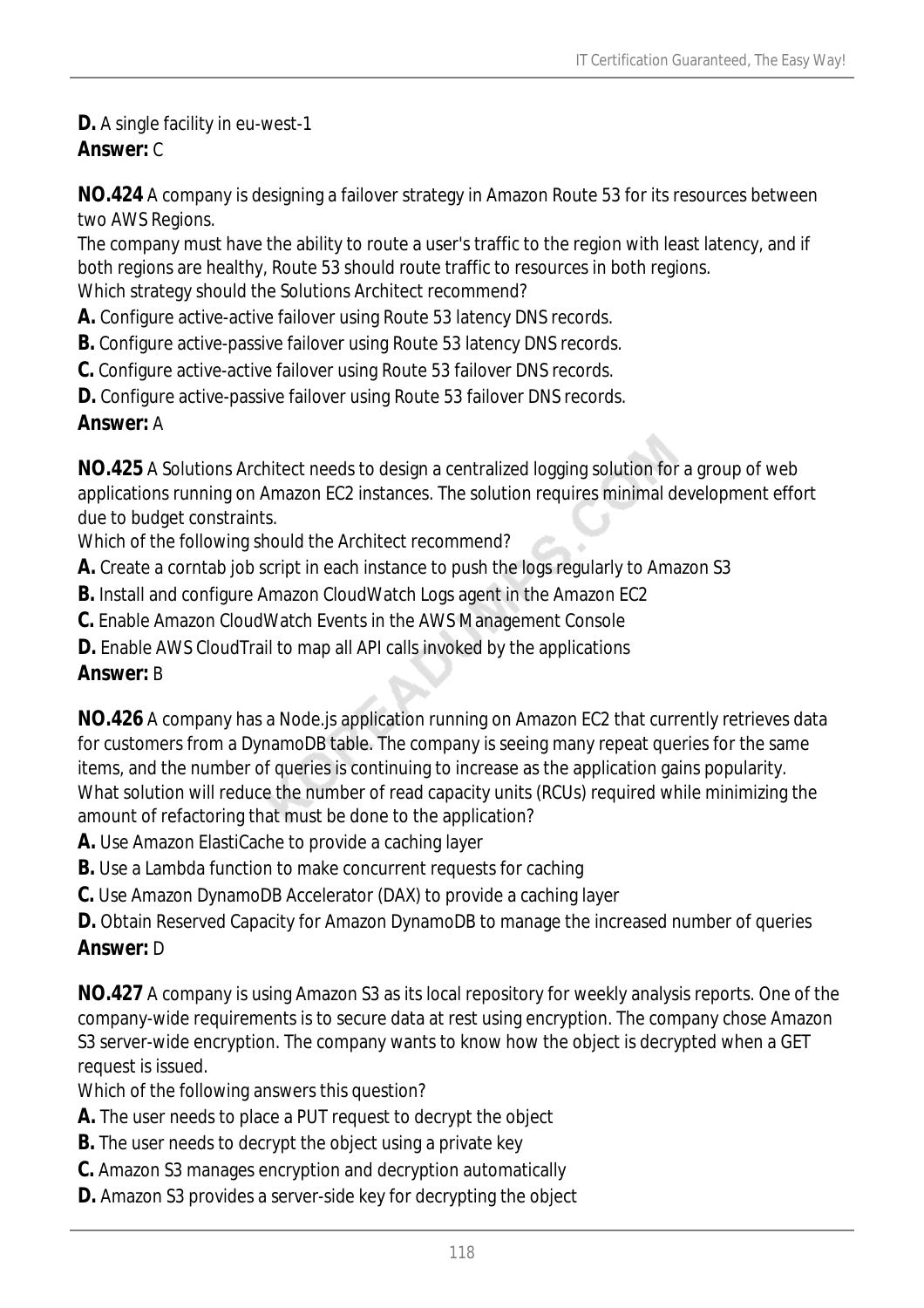**D.** A single facility in eu-west-1

# *Answer:* C

**NO.424** A company is designing a failover strategy in Amazon Route 53 for its resources between two AWS Regions.

The company must have the ability to route a user's traffic to the region with least latency, and if both regions are healthy, Route 53 should route traffic to resources in both regions.

Which strategy should the Solutions Architect recommend?

- **A.** Configure active-active failover using Route 53 latency DNS records.
- **B.** Configure active-passive failover using Route 53 latency DNS records.
- **C.** Configure active-active failover using Route 53 failover DNS records.
- **D.** Configure active-passive failover using Route 53 failover DNS records.

### *Answer:* A

**NO.425** A Solutions Architect needs to design a centralized logging solution for a group of web applications running on Amazon EC2 instances. The solution requires minimal development effort due to budget constraints.

Which of the following should the Architect recommend?

- **A.** Create a corntab job script in each instance to push the logs regularly to Amazon S3
- **B.** Install and configure Amazon CloudWatch Logs agent in the Amazon EC2
- **C.** Enable Amazon CloudWatch Events in the AWS Management Console
- **D.** Enable AWS CloudTrail to map all API calls invoked by the applications

# *Answer:* B

**NO.426** A company has a Node.js application running on Amazon EC2 that currently retrieves data for customers from a DynamoDB table. The company is seeing many repeat queries for the same items, and the number of queries is continuing to increase as the application gains popularity. What solution will reduce the number of read capacity units (RCUs) required while minimizing the amount of refactoring that must be done to the application?

- **A.** Use Amazon ElastiCache to provide a caching layer
- **B.** Use a Lambda function to make concurrent requests for caching
- **C.** Use Amazon DynamoDB Accelerator (DAX) to provide a caching layer
- **D.** Obtain Reserved Capacity for Amazon DynamoDB to manage the increased number of queries *Answer:* D

**NO.427** A company is using Amazon S3 as its local repository for weekly analysis reports. One of the company-wide requirements is to secure data at rest using encryption. The company chose Amazon S3 server-wide encryption. The company wants to know how the object is decrypted when a GET request is issued.

Which of the following answers this question?

- **A.** The user needs to place a PUT request to decrypt the object
- **B.** The user needs to decrypt the object using a private key
- **C.** Amazon S3 manages encryption and decryption automatically
- **D.** Amazon S3 provides a server-side key for decrypting the object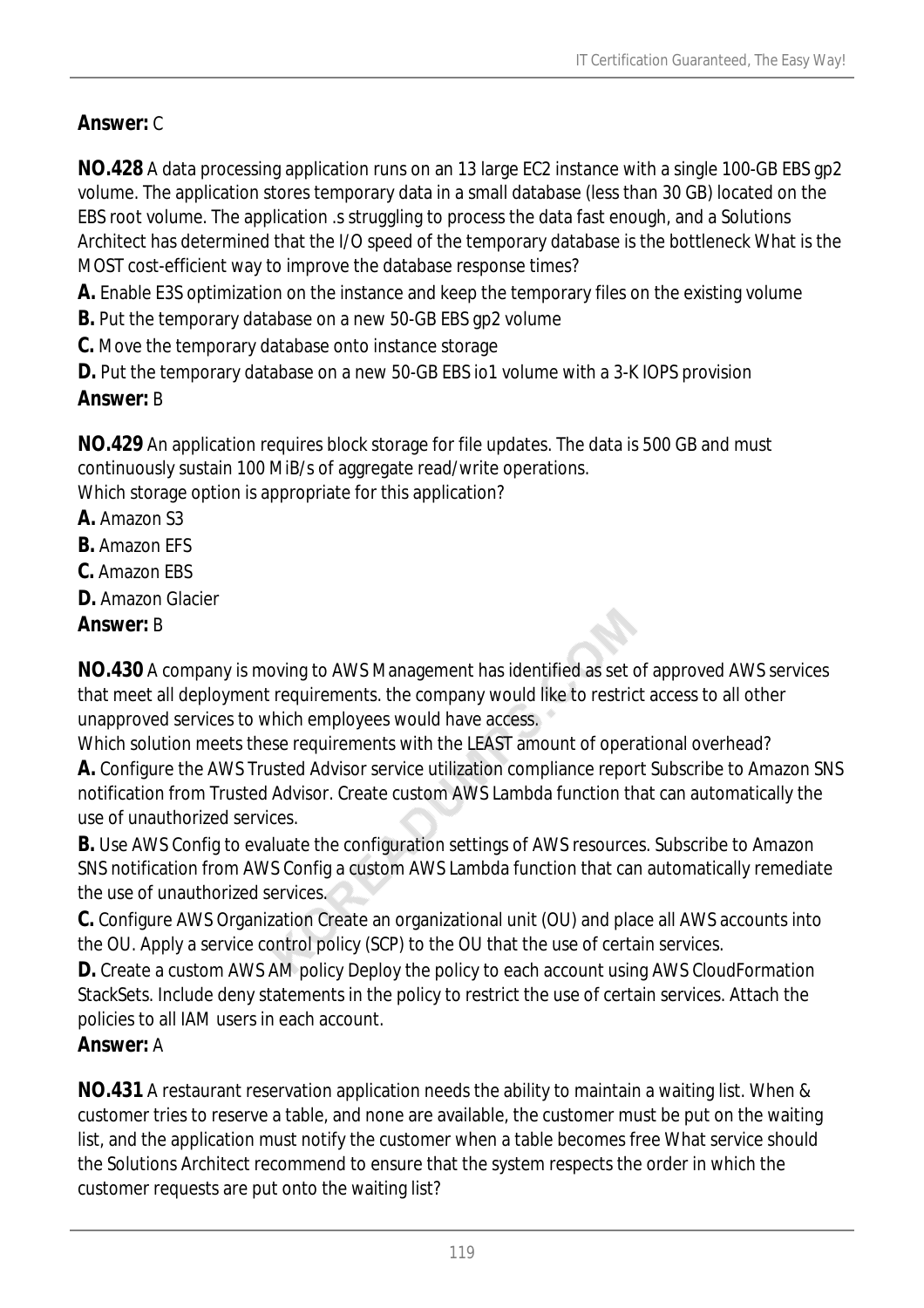# *Answer:* C

**NO.428** A data processing application runs on an 13 large EC2 instance with a single 100-GB EBS gp2 volume. The application stores temporary data in a small database (less than 30 GB) located on the EBS root volume. The application .s struggling to process the data fast enough, and a Solutions Architect has determined that the I/O speed of the temporary database is the bottleneck What is the MOST cost-efficient way to improve the database response times?

**A.** Enable E3S optimization on the instance and keep the temporary files on the existing volume

- **B.** Put the temporary database on a new 50-GB EBS gp2 volume
- **C.** Move the temporary database onto instance storage
- **D.** Put the temporary database on a new 50-GB EBS io1 volume with a 3-K IOPS provision

# *Answer:* B

**NO.429** An application requires block storage for file updates. The data is 500 GB and must continuously sustain 100 MiB/s of aggregate read/write operations.

Which storage option is appropriate for this application?

- **A.** Amazon S3
- **B.** Amazon EFS
- **C.** Amazon EBS
- **D.** Amazon Glacier
- *Answer:* B

**NO.430** A company is moving to AWS Management has identified as set of approved AWS services that meet all deployment requirements. the company would like to restrict access to all other unapproved services to which employees would have access.

Which solution meets these requirements with the LEAST amount of operational overhead? **A.** Configure the AWS Trusted Advisor service utilization compliance report Subscribe to Amazon SNS notification from Trusted Advisor. Create custom AWS Lambda function that can automatically the use of unauthorized services.

**B.** Use AWS Config to evaluate the configuration settings of AWS resources. Subscribe to Amazon SNS notification from AWS Config a custom AWS Lambda function that can automatically remediate the use of unauthorized services.

**C.** Configure AWS Organization Create an organizational unit (OU) and place all AWS accounts into the OU. Apply a service control policy (SCP) to the OU that the use of certain services.

**D.** Create a custom AWS AM policy Deploy the policy to each account using AWS CloudFormation StackSets. Include deny statements in the policy to restrict the use of certain services. Attach the policies to all IAM users in each account.

# *Answer:* A

**NO.431** A restaurant reservation application needs the ability to maintain a waiting list. When & customer tries to reserve a table, and none are available, the customer must be put on the waiting list, and the application must notify the customer when a table becomes free What service should the Solutions Architect recommend to ensure that the system respects the order in which the customer requests are put onto the waiting list?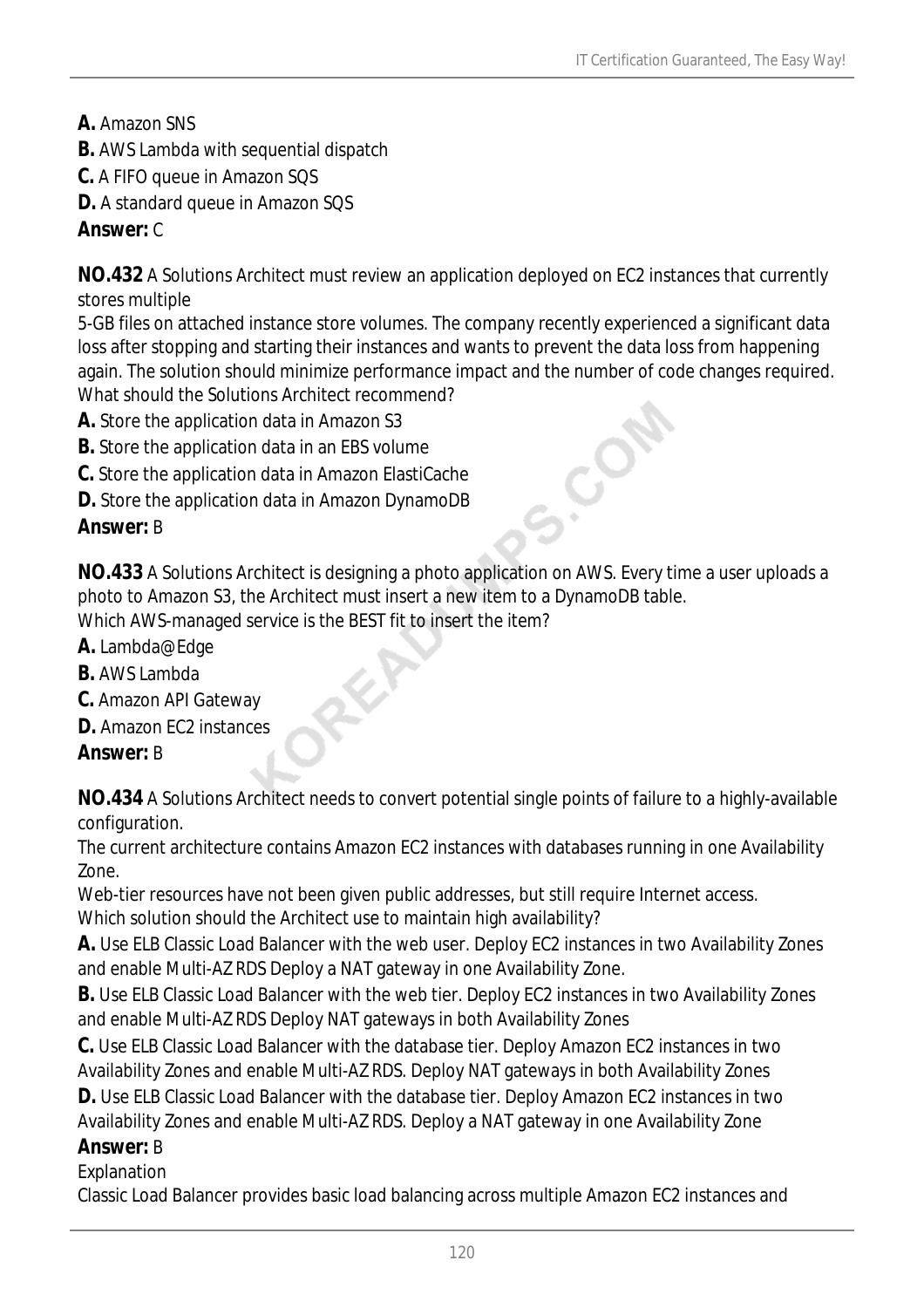- **A.** Amazon SNS
- **B.** AWS Lambda with sequential dispatch
- **C.** A FIFO queue in Amazon SQS
- **D.** A standard queue in Amazon SQS

### *Answer:* C

**NO.432** A Solutions Architect must review an application deployed on EC2 instances that currently stores multiple

5-GB files on attached instance store volumes. The company recently experienced a significant data loss after stopping and starting their instances and wants to prevent the data loss from happening again. The solution should minimize performance impact and the number of code changes required. What should the Solutions Architect recommend?

- **A.** Store the application data in Amazon S3
- **B.** Store the application data in an EBS volume
- **C.** Store the application data in Amazon ElastiCache
- **D.** Store the application data in Amazon DynamoDB

### *Answer:* B

**NO.433** A Solutions Architect is designing a photo application on AWS. Every time a user uploads a photo to Amazon S3, the Architect must insert a new item to a DynamoDB table.

Which AWS-managed service is the BEST fit to insert the item?

- **A.** Lambda@Edge
- **B.** AWS Lambda
- **C.** Amazon API Gateway
- **D.** Amazon EC2 instances

#### *Answer:* B

**NO.434** A Solutions Architect needs to convert potential single points of failure to a highly-available configuration.

The current architecture contains Amazon EC2 instances with databases running in one Availability Zone.

Web-tier resources have not been given public addresses, but still require Internet access. Which solution should the Architect use to maintain high availability?

**A.** Use ELB Classic Load Balancer with the web user. Deploy EC2 instances in two Availability Zones and enable Multi-AZ RDS Deploy a NAT gateway in one Availability Zone.

**B.** Use ELB Classic Load Balancer with the web tier. Deploy EC2 instances in two Availability Zones and enable Multi-AZ RDS Deploy NAT gateways in both Availability Zones

**C.** Use ELB Classic Load Balancer with the database tier. Deploy Amazon EC2 instances in two Availability Zones and enable Multi-AZ RDS. Deploy NAT gateways in both Availability Zones

**D.** Use ELB Classic Load Balancer with the database tier. Deploy Amazon EC2 instances in two Availability Zones and enable Multi-AZ RDS. Deploy a NAT gateway in one Availability Zone

*Answer:* B

Explanation

Classic Load Balancer provides basic load balancing across multiple Amazon EC2 instances and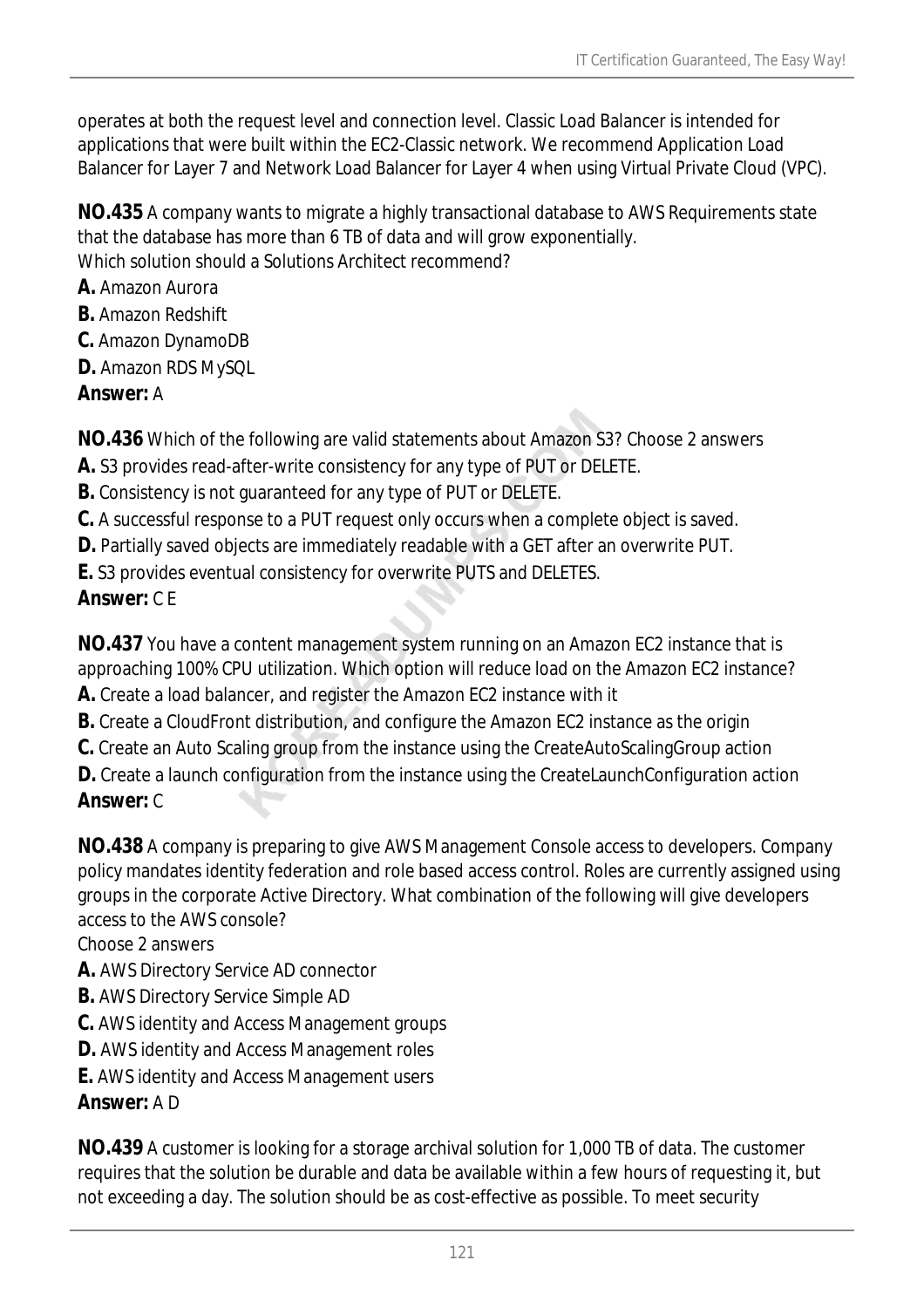operates at both the request level and connection level. Classic Load Balancer is intended for applications that were built within the EC2-Classic network. We recommend Application Load Balancer for Layer 7 and Network Load Balancer for Layer 4 when using Virtual Private Cloud (VPC).

**NO.435** A company wants to migrate a highly transactional database to AWS Requirements state that the database has more than 6 TB of data and will grow exponentially. Which solution should a Solutions Architect recommend?

- **A.** Amazon Aurora
- **B.** Amazon Redshift
- **C.** Amazon DynamoDB
- **D.** Amazon RDS MySQL
- *Answer:* A

**NO.436** Which of the following are valid statements about Amazon S3? Choose 2 answers

- **A.** S3 provides read-after-write consistency for any type of PUT or DELETE.
- **B.** Consistency is not guaranteed for any type of PUT or DELETE.
- **C.** A successful response to a PUT request only occurs when a complete object is saved.
- **D.** Partially saved objects are immediately readable with a GET after an overwrite PUT.
- **E.** S3 provides eventual consistency for overwrite PUTS and DELETES.

# *Answer:* C E

**NO.437** You have a content management system running on an Amazon EC2 instance that is approaching 100% CPU utilization. Which option will reduce load on the Amazon EC2 instance?

- **A.** Create a load balancer, and register the Amazon EC2 instance with it
- **B.** Create a CloudFront distribution, and configure the Amazon EC2 instance as the origin
- **C.** Create an Auto Scaling group from the instance using the CreateAutoScalingGroup action

**D.** Create a launch configuration from the instance using the CreateLaunchConfiguration action *Answer:* C

**NO.438** A company is preparing to give AWS Management Console access to developers. Company policy mandates identity federation and role based access control. Roles are currently assigned using groups in the corporate Active Directory. What combination of the following will give developers access to the AWS console?

Choose 2 answers

- **A.** AWS Directory Service AD connector
- **B.** AWS Directory Service Simple AD
- **C.** AWS identity and Access Management groups
- **D.** AWS identity and Access Management roles
- **E.** AWS identity and Access Management users

# *Answer:* A D

**NO.439** A customer is looking for a storage archival solution for 1,000 TB of data. The customer requires that the solution be durable and data be available within a few hours of requesting it, but not exceeding a day. The solution should be as cost-effective as possible. To meet security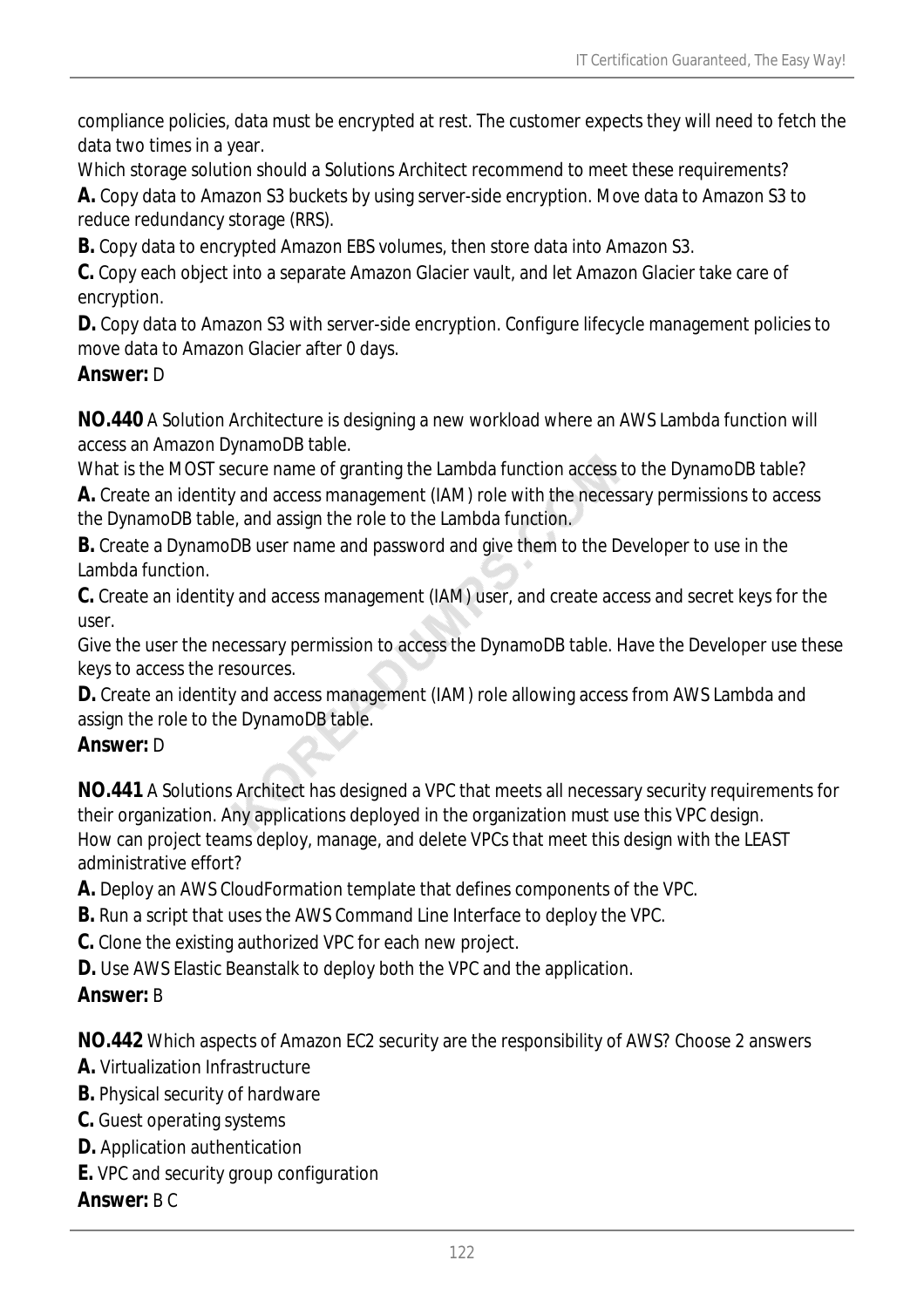compliance policies, data must be encrypted at rest. The customer expects they will need to fetch the data two times in a year.

Which storage solution should a Solutions Architect recommend to meet these requirements?

**A.** Copy data to Amazon S3 buckets by using server-side encryption. Move data to Amazon S3 to reduce redundancy storage (RRS).

**B.** Copy data to encrypted Amazon EBS volumes, then store data into Amazon S3.

**C.** Copy each object into a separate Amazon Glacier vault, and let Amazon Glacier take care of encryption.

**D.** Copy data to Amazon S3 with server-side encryption. Configure lifecycle management policies to move data to Amazon Glacier after 0 days.

### *Answer:* D

**NO.440** A Solution Architecture is designing a new workload where an AWS Lambda function will access an Amazon DynamoDB table.

What is the MOST secure name of granting the Lambda function access to the DynamoDB table?

**A.** Create an identity and access management (IAM) role with the necessary permissions to access the DynamoDB table, and assign the role to the Lambda function.

**B.** Create a DynamoDB user name and password and give them to the Developer to use in the Lambda function.

**C.** Create an identity and access management (IAM) user, and create access and secret keys for the user.

Give the user the necessary permission to access the DynamoDB table. Have the Developer use these keys to access the resources.

**D.** Create an identity and access management (IAM) role allowing access from AWS Lambda and assign the role to the DynamoDB table.

# *Answer:* D

**NO.441** A Solutions Architect has designed a VPC that meets all necessary security requirements for their organization. Any applications deployed in the organization must use this VPC design. How can project teams deploy, manage, and delete VPCs that meet this design with the LEAST administrative effort?

**A.** Deploy an AWS CloudFormation template that defines components of the VPC.

- **B.** Run a script that uses the AWS Command Line Interface to deploy the VPC.
- **C.** Clone the existing authorized VPC for each new project.

**D.** Use AWS Elastic Beanstalk to deploy both the VPC and the application.

# *Answer:* B

**NO.442** Which aspects of Amazon EC2 security are the responsibility of AWS? Choose 2 answers

- **A.** Virtualization Infrastructure
- **B.** Physical security of hardware
- **C.** Guest operating systems
- **D.** Application authentication
- **E.** VPC and security group configuration

#### *Answer:* B C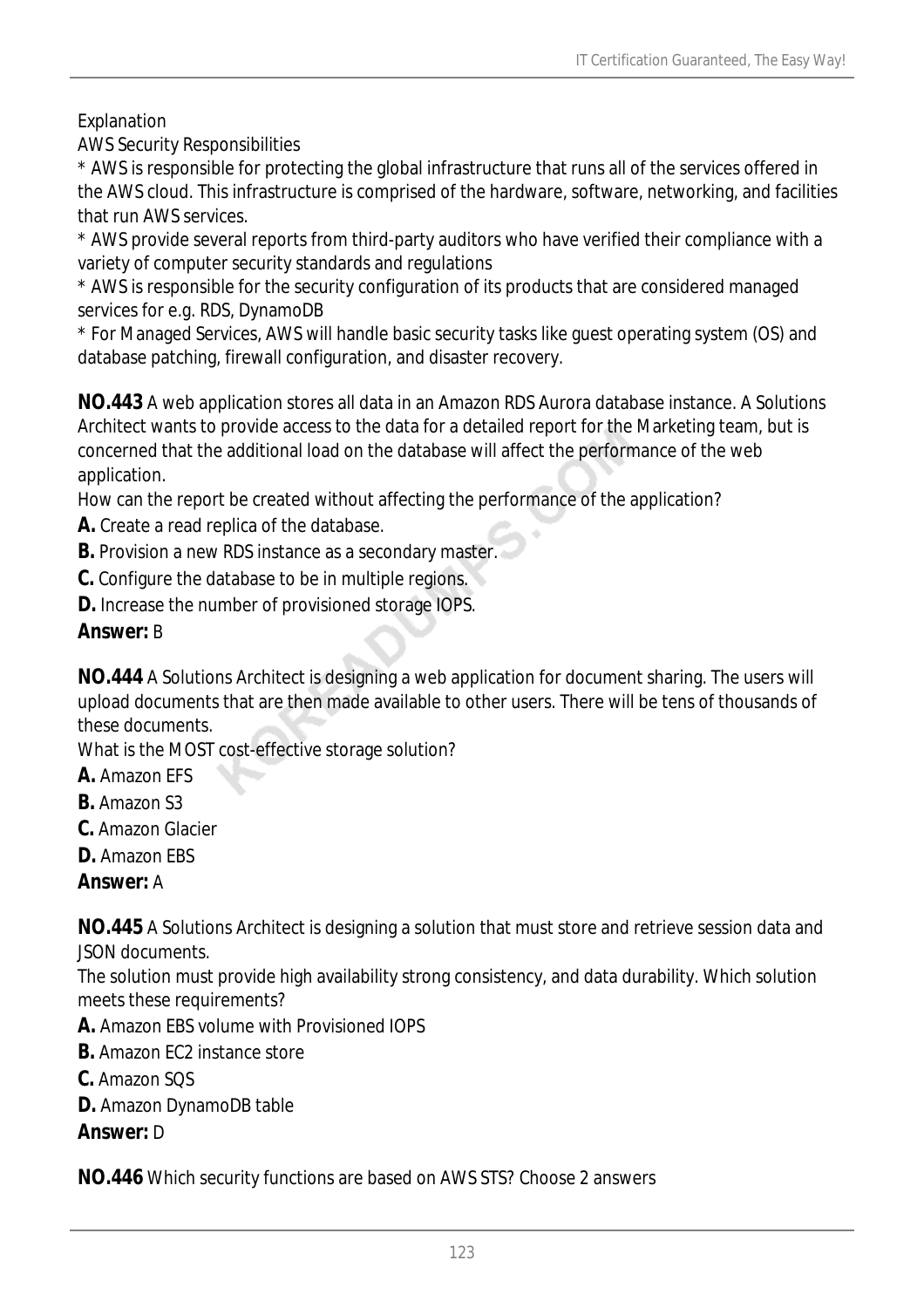### Explanation

AWS Security Responsibilities

\* AWS is responsible for protecting the global infrastructure that runs all of the services offered in the AWS cloud. This infrastructure is comprised of the hardware, software, networking, and facilities that run AWS services.

\* AWS provide several reports from third-party auditors who have verified their compliance with a variety of computer security standards and regulations

\* AWS is responsible for the security configuration of its products that are considered managed services for e.g. RDS, DynamoDB

\* For Managed Services, AWS will handle basic security tasks like guest operating system (OS) and database patching, firewall configuration, and disaster recovery.

**NO.443** A web application stores all data in an Amazon RDS Aurora database instance. A Solutions Architect wants to provide access to the data for a detailed report for the Marketing team, but is concerned that the additional load on the database will affect the performance of the web application.

How can the report be created without affecting the performance of the application?

- **A.** Create a read replica of the database.
- **B.** Provision a new RDS instance as a secondary master.
- **C.** Configure the database to be in multiple regions.

**D.** Increase the number of provisioned storage IOPS.

### *Answer:* B

**NO.444** A Solutions Architect is designing a web application for document sharing. The users will upload documents that are then made available to other users. There will be tens of thousands of these documents.

What is the MOST cost-effective storage solution?

- **A.** Amazon EFS
- **B.** Amazon S3
- **C.** Amazon Glacier
- **D.** Amazon EBS

*Answer:* A

**NO.445** A Solutions Architect is designing a solution that must store and retrieve session data and JSON documents.

The solution must provide high availability strong consistency, and data durability. Which solution meets these requirements?

- **A.** Amazon EBS volume with Provisioned IOPS
- **B.** Amazon FC2 instance store
- **C.** Amazon SQS
- **D.** Amazon DynamoDB table

#### *Answer:* D

**NO.446** Which security functions are based on AWS STS? Choose 2 answers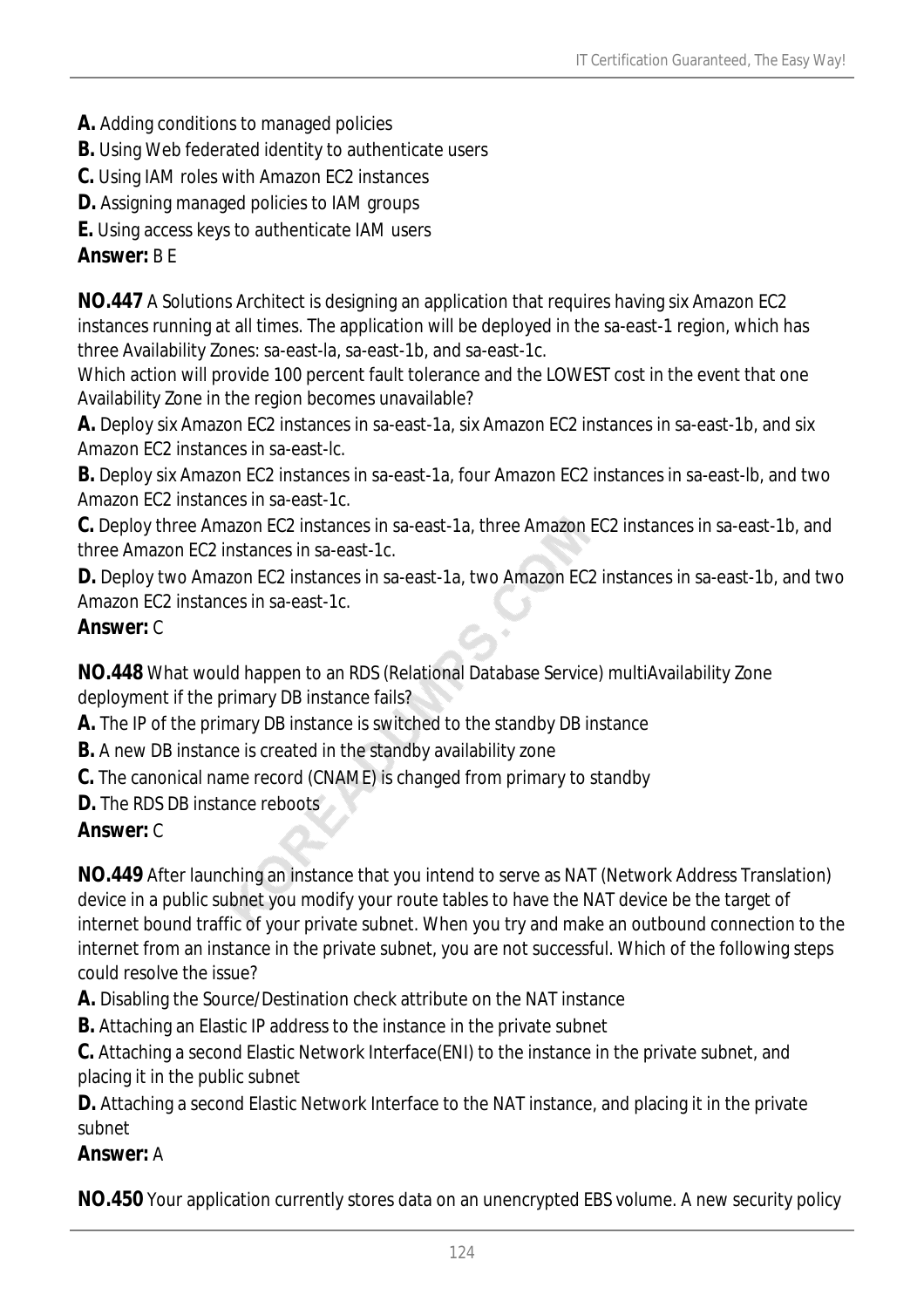- **A.** Adding conditions to managed policies
- **B.** Using Web federated identity to authenticate users
- **C.** Using IAM roles with Amazon EC2 instances
- **D.** Assigning managed policies to IAM groups

**E.** Using access keys to authenticate IAM users

#### *Answer:* B E

**NO.447** A Solutions Architect is designing an application that requires having six Amazon EC2 instances running at all times. The application will be deployed in the sa-east-1 region, which has three Availability Zones: sa-east-la, sa-east-1b, and sa-east-1c.

Which action will provide 100 percent fault tolerance and the LOWEST cost in the event that one Availability Zone in the region becomes unavailable?

**A.** Deploy six Amazon EC2 instances in sa-east-1a, six Amazon EC2 instances in sa-east-1b, and six Amazon EC2 instances in sa-east-lc.

**B.** Deploy six Amazon EC2 instances in sa-east-1a, four Amazon EC2 instances in sa-east-lb, and two Amazon EC2 instances in sa-east-1c.

**C.** Deploy three Amazon EC2 instances in sa-east-1a, three Amazon EC2 instances in sa-east-1b, and three Amazon EC2 instances in sa-east-1c.

**D.** Deploy two Amazon EC2 instances in sa-east-1a, two Amazon EC2 instances in sa-east-1b, and two Amazon EC2 instances in sa-east-1c.

#### *Answer:* C

**NO.448** What would happen to an RDS (Relational Database Service) multiAvailability Zone deployment if the primary DB instance fails?

**A.** The IP of the primary DB instance is switched to the standby DB instance

- **B.** A new DB instance is created in the standby availability zone
- **C.** The canonical name record (CNAME) is changed from primary to standby

**D.** The RDS DB instance reboots

#### *Answer:* C

**NO.449** After launching an instance that you intend to serve as NAT (Network Address Translation) device in a public subnet you modify your route tables to have the NAT device be the target of internet bound traffic of your private subnet. When you try and make an outbound connection to the internet from an instance in the private subnet, you are not successful. Which of the following steps could resolve the issue?

**A.** Disabling the Source/Destination check attribute on the NAT instance

**B.** Attaching an Elastic IP address to the instance in the private subnet

**C.** Attaching a second Elastic Network Interface(ENI) to the instance in the private subnet, and placing it in the public subnet

**D.** Attaching a second Elastic Network Interface to the NAT instance, and placing it in the private subnet

#### *Answer:* A

**NO.450** Your application currently stores data on an unencrypted EBS volume. A new security policy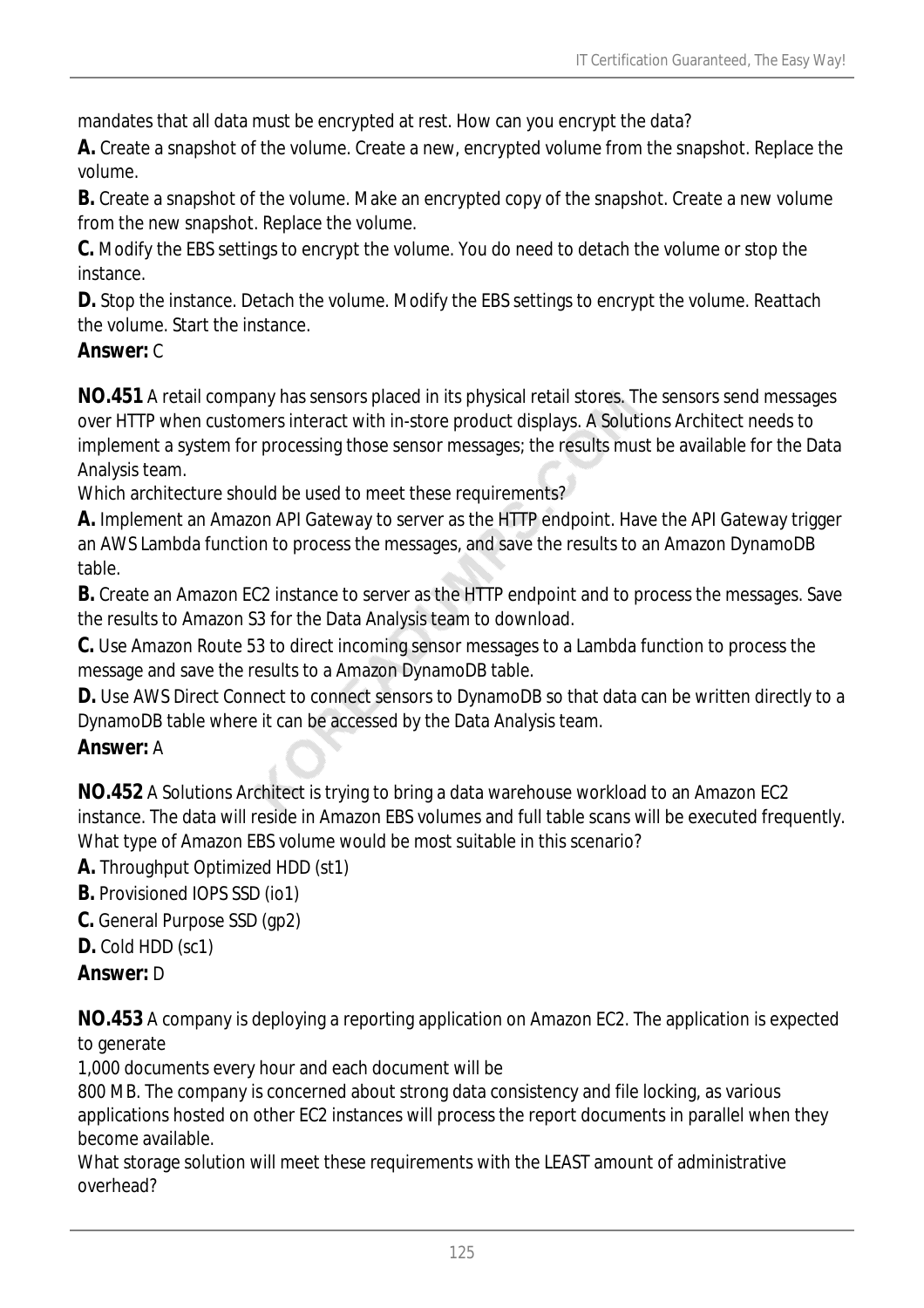mandates that all data must be encrypted at rest. How can you encrypt the data?

**A.** Create a snapshot of the volume. Create a new, encrypted volume from the snapshot. Replace the volume.

**B.** Create a snapshot of the volume. Make an encrypted copy of the snapshot. Create a new volume from the new snapshot. Replace the volume.

**C.** Modify the EBS settings to encrypt the volume. You do need to detach the volume or stop the instance.

**D.** Stop the instance. Detach the volume. Modify the EBS settings to encrypt the volume. Reattach the volume. Start the instance.

#### *Answer:* C

**NO.451** A retail company has sensors placed in its physical retail stores. The sensors send messages over HTTP when customers interact with in-store product displays. A Solutions Architect needs to implement a system for processing those sensor messages; the results must be available for the Data Analysis team.

Which architecture should be used to meet these requirements?

**A.** Implement an Amazon API Gateway to server as the HTTP endpoint. Have the API Gateway trigger an AWS Lambda function to process the messages, and save the results to an Amazon DynamoDB table.

**B.** Create an Amazon EC2 instance to server as the HTTP endpoint and to process the messages. Save the results to Amazon S3 for the Data Analysis team to download.

**C.** Use Amazon Route 53 to direct incoming sensor messages to a Lambda function to process the message and save the results to a Amazon DynamoDB table.

**D.** Use AWS Direct Connect to connect sensors to DynamoDB so that data can be written directly to a DynamoDB table where it can be accessed by the Data Analysis team.

# *Answer:* A

**NO.452** A Solutions Architect is trying to bring a data warehouse workload to an Amazon EC2 instance. The data will reside in Amazon EBS volumes and full table scans will be executed frequently. What type of Amazon EBS volume would be most suitable in this scenario?

**A.** Throughput Optimized HDD (st1)

**B.** Provisioned IOPS SSD (io1)

**C.** General Purpose SSD (gp2)

# **D.** Cold HDD (sc1)

# *Answer:* D

**NO.453** A company is deploying a reporting application on Amazon EC2. The application is expected to generate

1,000 documents every hour and each document will be

800 MB. The company is concerned about strong data consistency and file locking, as various applications hosted on other EC2 instances will process the report documents in parallel when they become available.

What storage solution will meet these requirements with the LEAST amount of administrative overhead?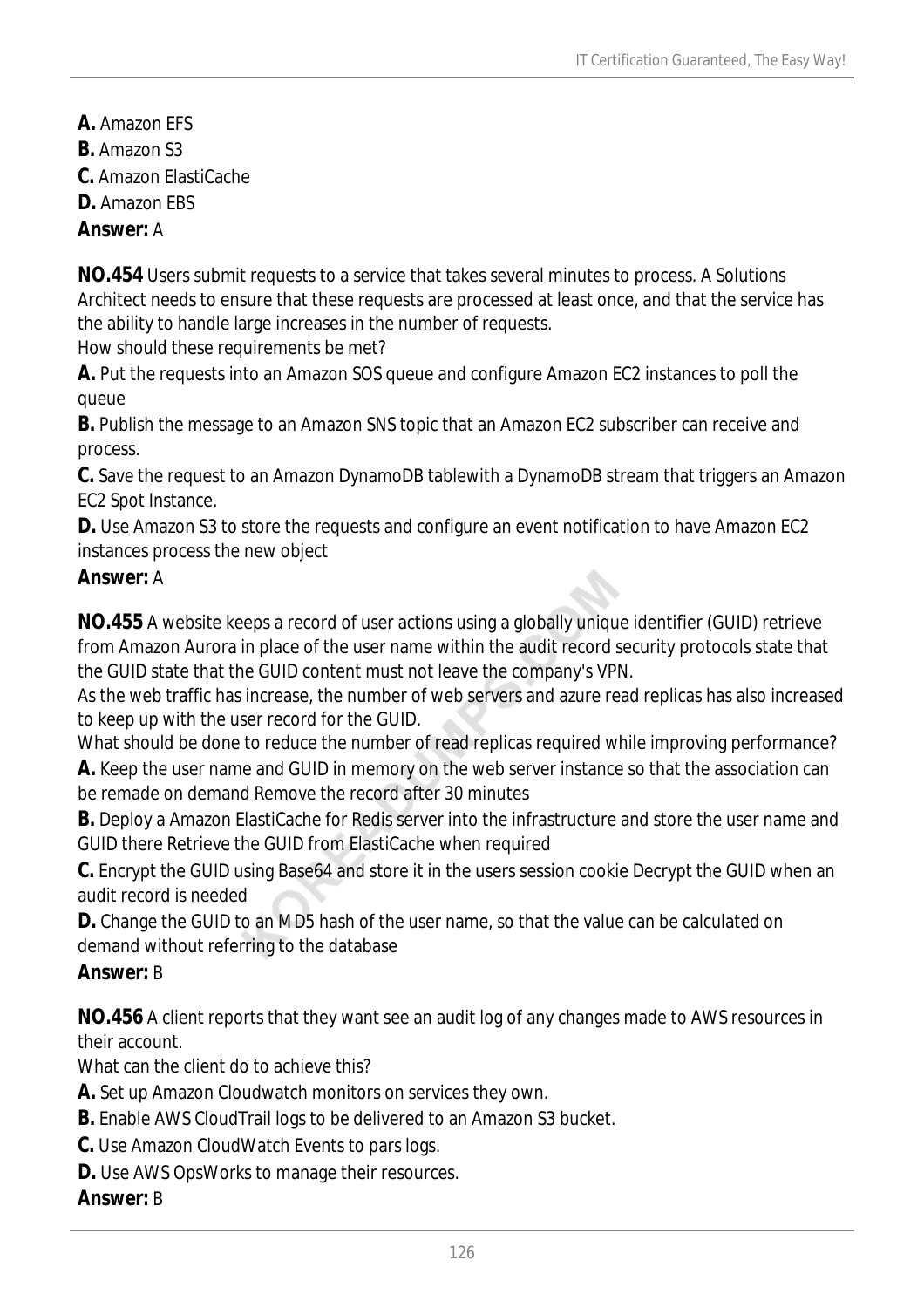- **A.** Amazon EFS
- **B.** Amazon S3
- **C.** Amazon ElastiCache
- **D.** Amazon EBS

### *Answer:* A

**NO.454** Users submit requests to a service that takes several minutes to process. A Solutions Architect needs to ensure that these requests are processed at least once, and that the service has the ability to handle large increases in the number of requests.

How should these requirements be met?

**A.** Put the requests into an Amazon SOS queue and configure Amazon EC2 instances to poll the queue

**B.** Publish the message to an Amazon SNS topic that an Amazon EC2 subscriber can receive and process.

**C.** Save the request to an Amazon DynamoDB tablewith a DynamoDB stream that triggers an Amazon EC2 Spot Instance.

**D.** Use Amazon S3 to store the requests and configure an event notification to have Amazon EC2 instances process the new object

### *Answer:* A

**NO.455** A website keeps a record of user actions using a globally unique identifier (GUID) retrieve from Amazon Aurora in place of the user name within the audit record security protocols state that the GUID state that the GUID content must not leave the company's VPN.

As the web traffic has increase, the number of web servers and azure read replicas has also increased to keep up with the user record for the GUID.

What should be done to reduce the number of read replicas required while improving performance?

**A.** Keep the user name and GUID in memory on the web server instance so that the association can be remade on demand Remove the record after 30 minutes

**B.** Deploy a Amazon ElastiCache for Redis server into the infrastructure and store the user name and GUID there Retrieve the GUID from ElastiCache when required

**C.** Encrypt the GUID using Base64 and store it in the users session cookie Decrypt the GUID when an audit record is needed

**D.** Change the GUID to an MD5 hash of the user name, so that the value can be calculated on demand without referring to the database

# *Answer:* B

**NO.456** A client reports that they want see an audit log of any changes made to AWS resources in their account.

What can the client do to achieve this?

- **A.** Set up Amazon Cloudwatch monitors on services they own.
- **B.** Enable AWS CloudTrail logs to be delivered to an Amazon S3 bucket.
- **C.** Use Amazon CloudWatch Events to pars logs.
- **D.** Use AWS OpsWorks to manage their resources.

#### *Answer:* B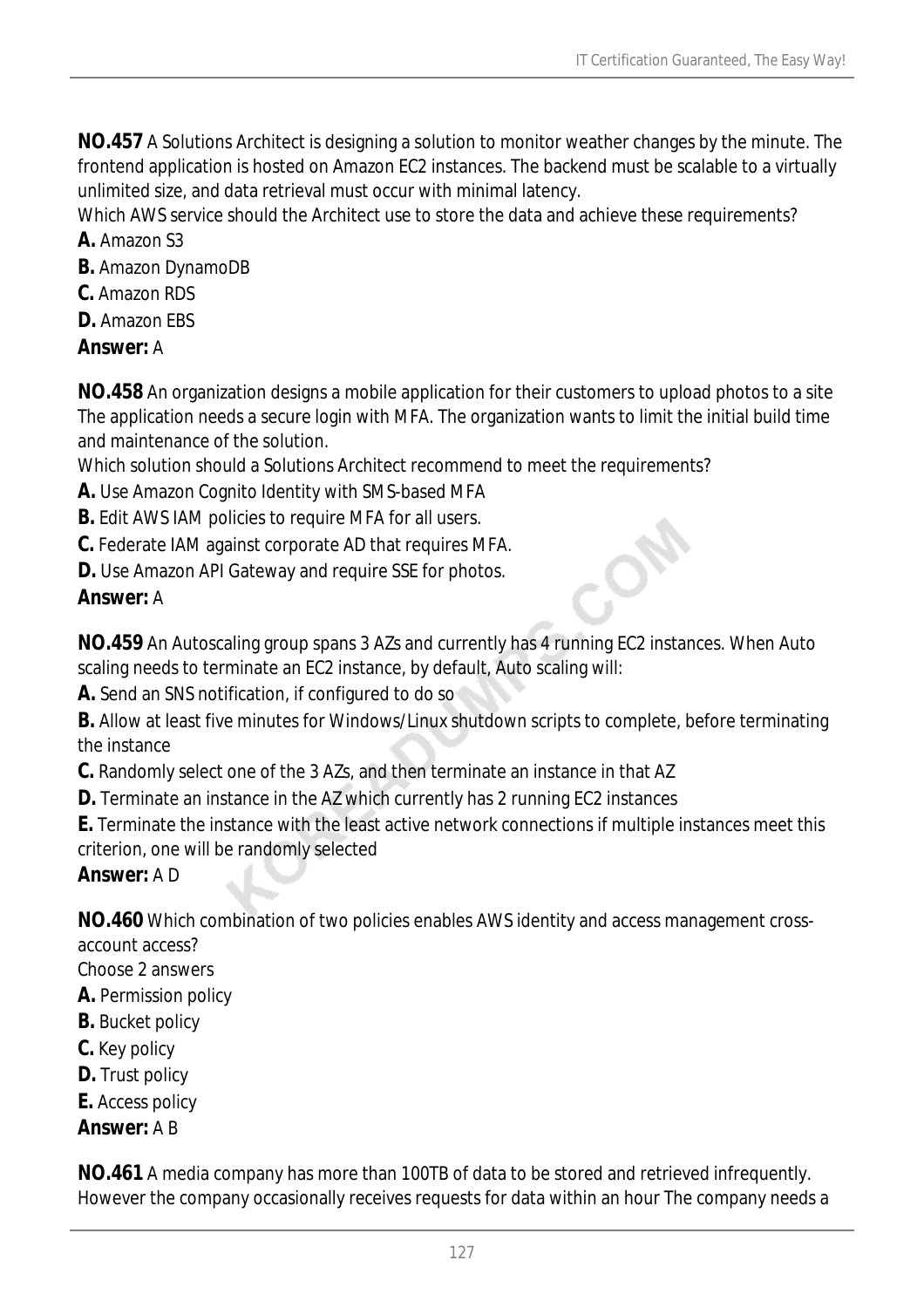**NO.457** A Solutions Architect is designing a solution to monitor weather changes by the minute. The frontend application is hosted on Amazon EC2 instances. The backend must be scalable to a virtually unlimited size, and data retrieval must occur with minimal latency.

Which AWS service should the Architect use to store the data and achieve these requirements?

- **A.** Amazon S3
- **B.** Amazon DynamoDB
- **C.** Amazon RDS
- **D.** Amazon EBS

### *Answer:* A

**NO.458** An organization designs a mobile application for their customers to upload photos to a site The application needs a secure login with MFA. The organization wants to limit the initial build time and maintenance of the solution.

Which solution should a Solutions Architect recommend to meet the requirements?

- **A.** Use Amazon Cognito Identity with SMS-based MFA
- **B.** Edit AWS IAM policies to require MFA for all users.
- **C.** Federate IAM against corporate AD that requires MFA.
- **D.** Use Amazon API Gateway and require SSE for photos.

# *Answer:* A

**NO.459** An Autoscaling group spans 3 AZs and currently has 4 running EC2 instances. When Auto scaling needs to terminate an EC2 instance, by default, Auto scaling will:

**A.** Send an SNS notification, if configured to do so

**B.** Allow at least five minutes for Windows/Linux shutdown scripts to complete, before terminating the instance

**C.** Randomly select one of the 3 AZs, and then terminate an instance in that AZ

**D.** Terminate an instance in the AZ which currently has 2 running EC2 instances

**E.** Terminate the instance with the least active network connections if multiple instances meet this criterion, one will be randomly selected

*Answer:* A D

**NO.460** Which combination of two policies enables AWS identity and access management cross-

account access?

Choose 2 answers

- **A.** Permission policy
- **B.** Bucket policy
- **C.** Key policy
- **D.** Trust policy
- **E.** Access policy

*Answer:* A B

**NO.461** A media company has more than 100TB of data to be stored and retrieved infrequently. However the company occasionally receives requests for data within an hour The company needs a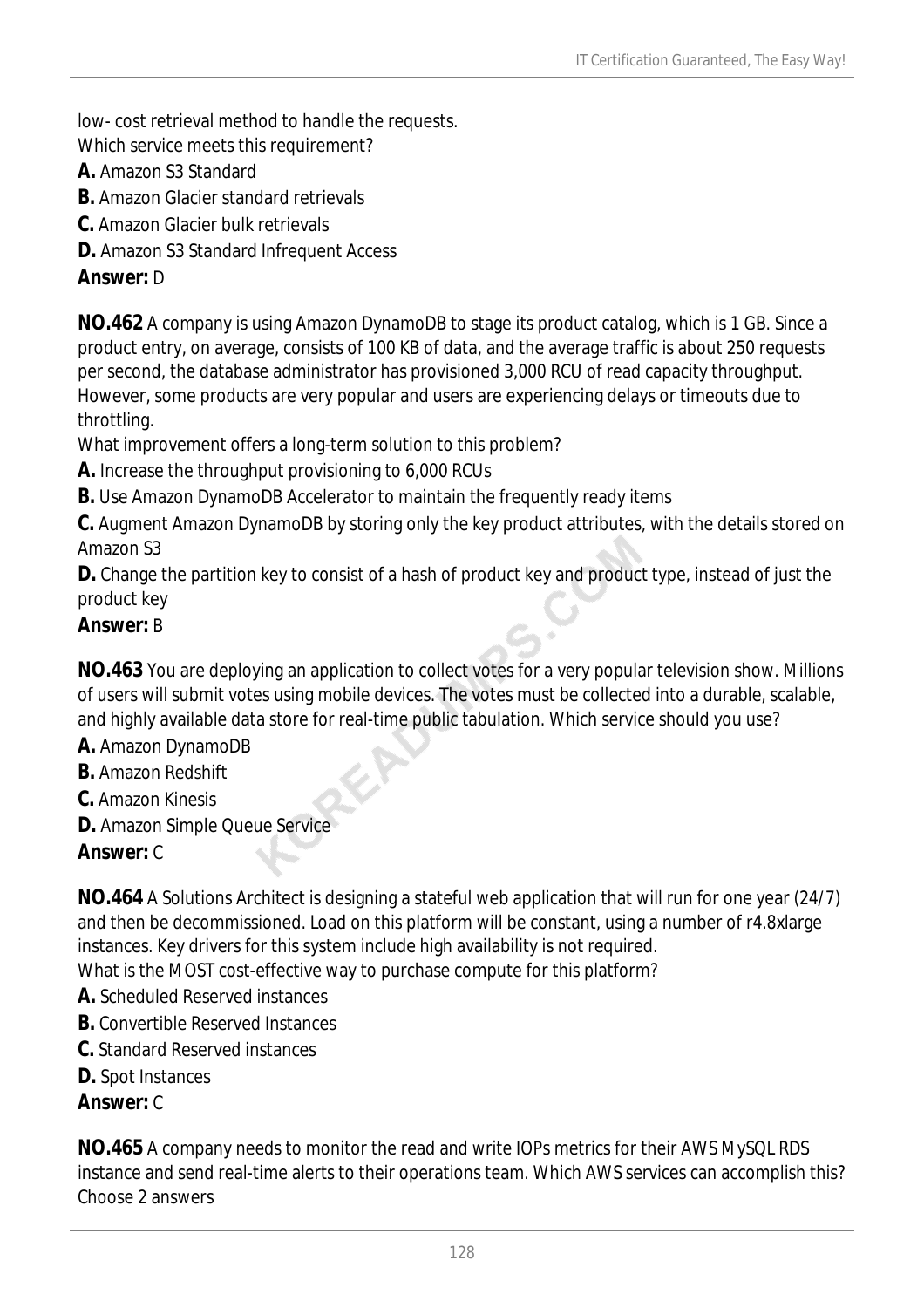low- cost retrieval method to handle the requests.

Which service meets this requirement?

- **A.** Amazon S3 Standard
- **B.** Amazon Glacier standard retrievals
- **C.** Amazon Glacier bulk retrievals
- **D.** Amazon S3 Standard Infrequent Access

### *Answer:* D

**NO.462** A company is using Amazon DynamoDB to stage its product catalog, which is 1 GB. Since a product entry, on average, consists of 100 KB of data, and the average traffic is about 250 requests per second, the database administrator has provisioned 3,000 RCU of read capacity throughput. However, some products are very popular and users are experiencing delays or timeouts due to throttling.

What improvement offers a long-term solution to this problem?

**A.** Increase the throughput provisioning to 6,000 RCUs

**B.** Use Amazon DynamoDB Accelerator to maintain the frequently ready items

**C.** Augment Amazon DynamoDB by storing only the key product attributes, with the details stored on Amazon S3

**D.** Change the partition key to consist of a hash of product key and product type, instead of just the product key

### *Answer:* B

**NO.463** You are deploying an application to collect votes for a very popular television show. Millions of users will submit votes using mobile devices. The votes must be collected into a durable, scalable, and highly available data store for real-time public tabulation. Which service should you use?

- **A.** Amazon DynamoDB
- **B.** Amazon Redshift
- **C.** Amazon Kinesis
- **D.** Amazon Simple Queue Service

# *Answer:* C

**NO.464** A Solutions Architect is designing a stateful web application that will run for one year (24/7) and then be decommissioned. Load on this platform will be constant, using a number of r4.8xlarge instances. Key drivers for this system include high availability is not required. What is the MOST cost-effective way to purchase compute for this platform?

- **A.** Scheduled Reserved instances
- **B.** Convertible Reserved Instances
- **C.** Standard Reserved instances
- **D.** Spot Instances

#### *Answer:* C

**NO.465** A company needs to monitor the read and write IOPs metrics for their AWS MySQL RDS instance and send real-time alerts to their operations team. Which AWS services can accomplish this? Choose 2 answers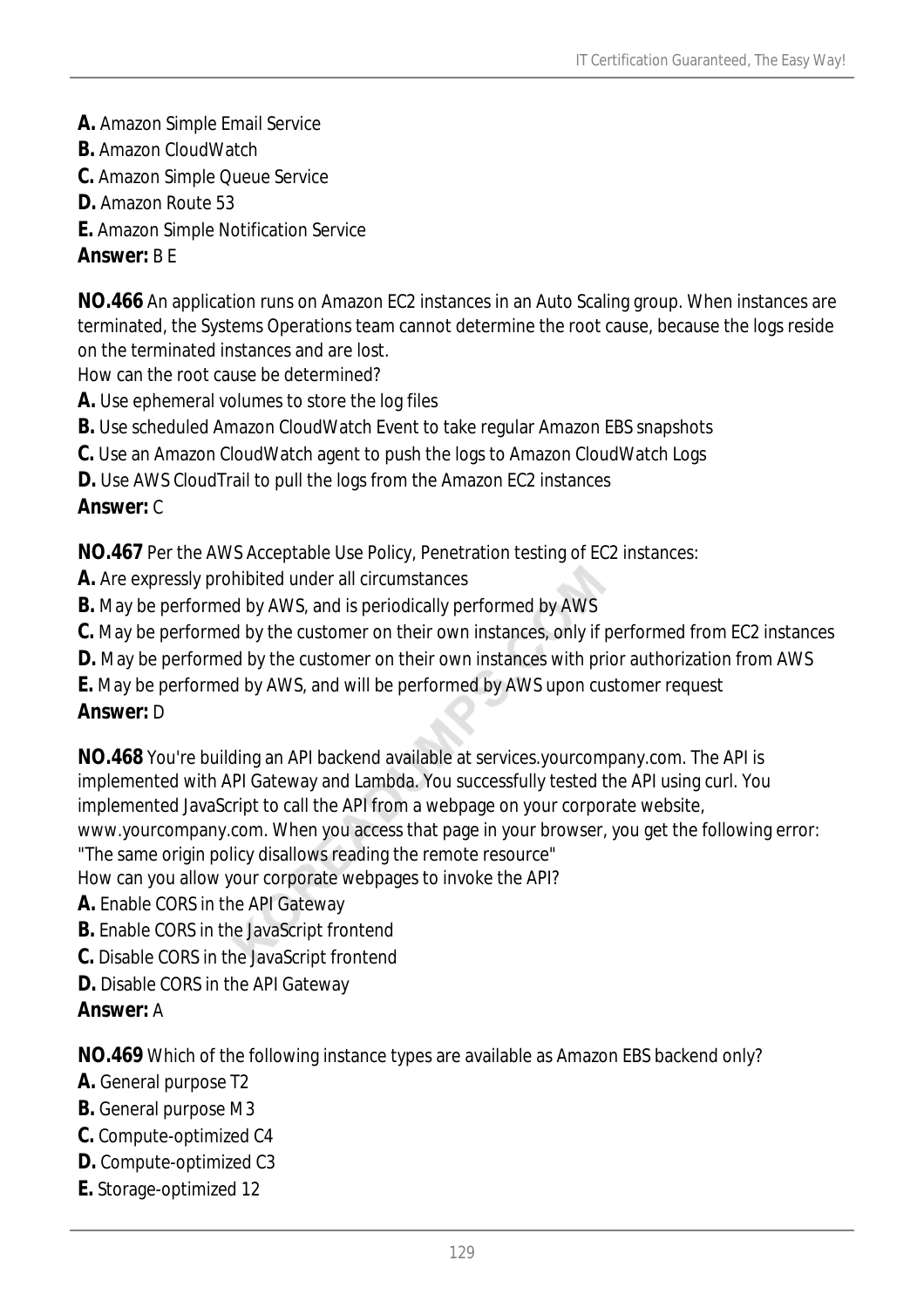- **A.** Amazon Simple Email Service
- **B.** Amazon CloudWatch
- **C.** Amazon Simple Queue Service
- **D.** Amazon Route 53
- **E.** Amazon Simple Notification Service

### *Answer:* B E

**NO.466** An application runs on Amazon EC2 instances in an Auto Scaling group. When instances are terminated, the Systems Operations team cannot determine the root cause, because the logs reside on the terminated instances and are lost.

How can the root cause be determined?

- **A.** Use ephemeral volumes to store the log files
- **B.** Use scheduled Amazon CloudWatch Event to take regular Amazon EBS snapshots
- **C.** Use an Amazon CloudWatch agent to push the logs to Amazon CloudWatch Logs
- **D.** Use AWS CloudTrail to pull the logs from the Amazon EC2 instances

# *Answer:* C

**NO.467** Per the AWS Acceptable Use Policy, Penetration testing of EC2 instances:

- **A.** Are expressly prohibited under all circumstances
- **B.** May be performed by AWS, and is periodically performed by AWS
- **C.** May be performed by the customer on their own instances, only if performed from EC2 instances
- **D.** May be performed by the customer on their own instances with prior authorization from AWS
- **E.** May be performed by AWS, and will be performed by AWS upon customer request

#### *Answer:* D

**NO.468** You're building an API backend available at services.yourcompany.com. The API is implemented with API Gateway and Lambda. You successfully tested the API using curl. You implemented JavaScript to call the API from a webpage on your corporate website, www.yourcompany.com. When you access that page in your browser, you get the following error:

"The same origin policy disallows reading the remote resource"

How can you allow your corporate webpages to invoke the API?

- **A.** Enable CORS in the API Gateway
- **B.** Enable CORS in the JavaScript frontend
- **C.** Disable CORS in the JavaScript frontend
- **D.** Disable CORS in the API Gateway

# *Answer:* A

**NO.469** Which of the following instance types are available as Amazon EBS backend only?

- **A.** General purpose T2
- **B.** General purpose M3
- **C.** Compute-optimized C4
- **D.** Compute-optimized C3
- **E.** Storage-optimized 12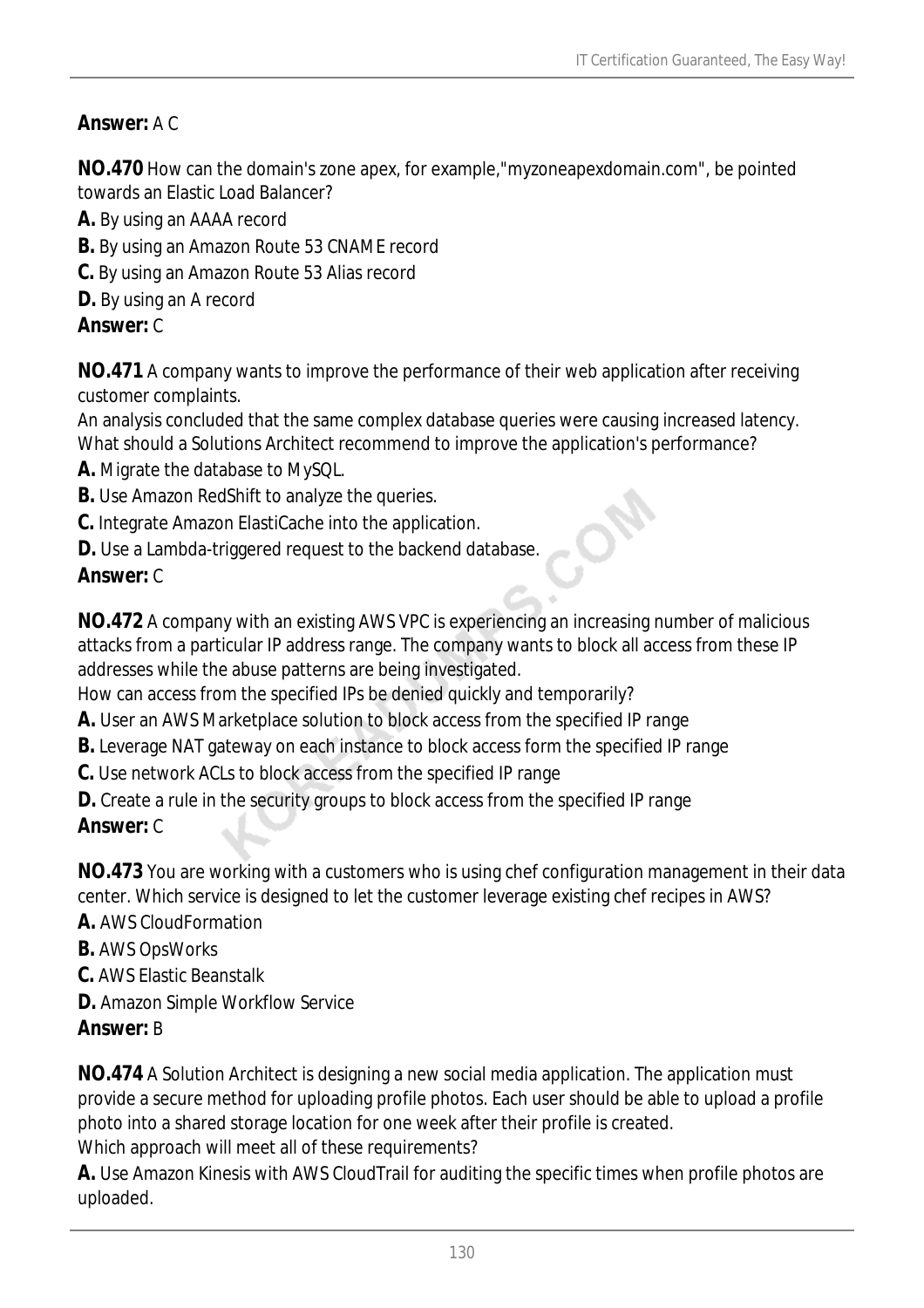# *Answer:* A C

**NO.470** How can the domain's zone apex, for example,"myzoneapexdomain.com", be pointed towards an Elastic Load Balancer?

- **A.** By using an AAAA record
- **B.** By using an Amazon Route 53 CNAME record
- **C.** By using an Amazon Route 53 Alias record
- **D.** By using an A record

### *Answer:* C

**NO.471** A company wants to improve the performance of their web application after receiving customer complaints.

An analysis concluded that the same complex database queries were causing increased latency. What should a Solutions Architect recommend to improve the application's performance?

- **A.** Migrate the database to MySQL.
- **B.** Use Amazon RedShift to analyze the queries.
- **C.** Integrate Amazon ElastiCache into the application.
- **D.** Use a Lambda-triggered request to the backend database.

# *Answer:* C

**NO.472** A company with an existing AWS VPC is experiencing an increasing number of malicious attacks from a particular IP address range. The company wants to block all access from these IP addresses while the abuse patterns are being investigated.

How can access from the specified IPs be denied quickly and temporarily?

- **A.** User an AWS Marketplace solution to block access from the specified IP range
- **B.** Leverage NAT gateway on each instance to block access form the specified IP range
- **C.** Use network ACLs to block access from the specified IP range
- **D.** Create a rule in the security groups to block access from the specified IP range *Answer:* C

**NO.473** You are working with a customers who is using chef configuration management in their data center. Which service is designed to let the customer leverage existing chef recipes in AWS?

- **A.** AWS CloudFormation
- **B.** AWS OpsWorks
- **C.** AWS Elastic Beanstalk
- **D.** Amazon Simple Workflow Service

# *Answer:* B

**NO.474** A Solution Architect is designing a new social media application. The application must provide a secure method for uploading profile photos. Each user should be able to upload a profile photo into a shared storage location for one week after their profile is created.

Which approach will meet all of these requirements?

**A.** Use Amazon Kinesis with AWS CloudTrail for auditing the specific times when profile photos are uploaded.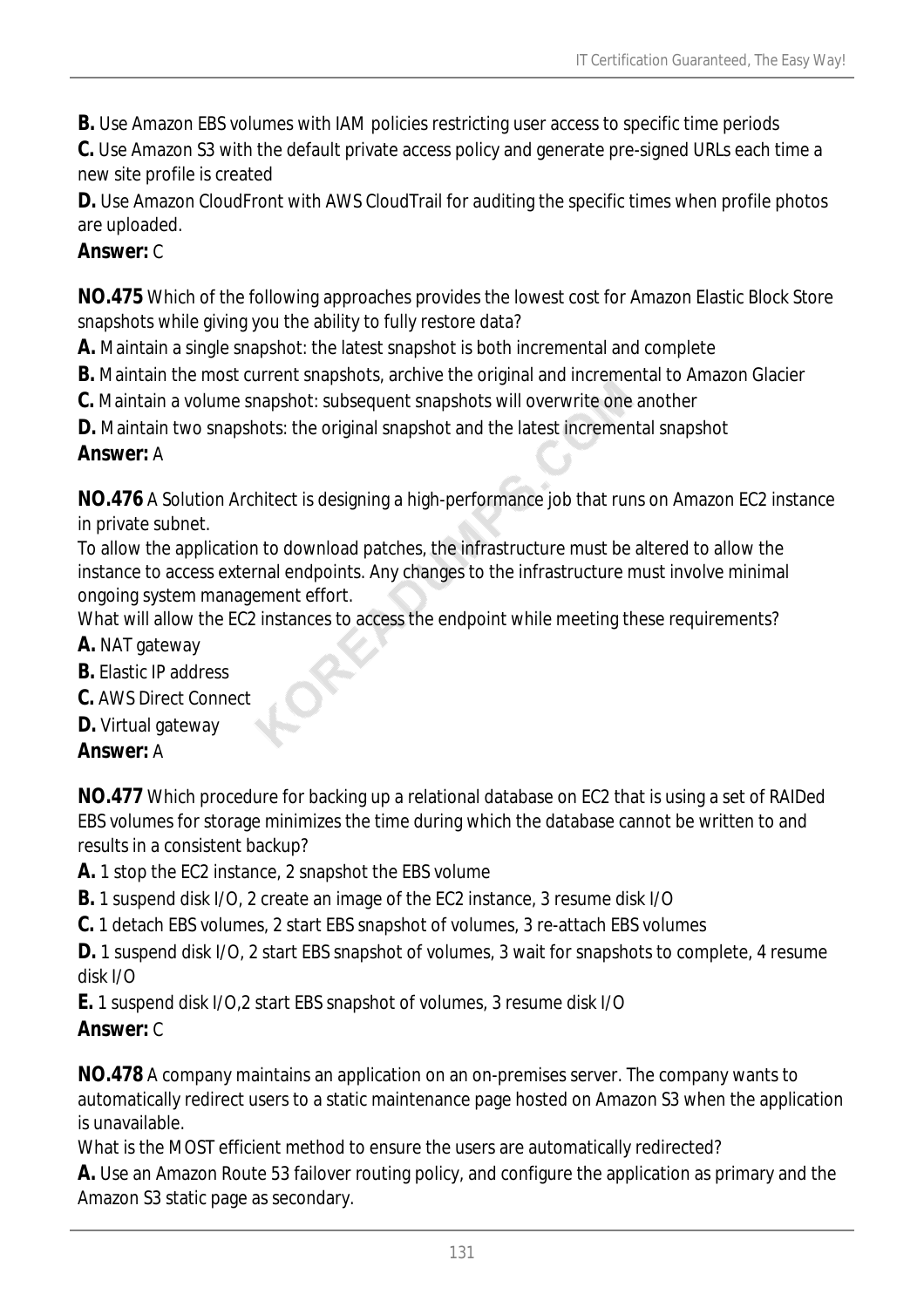**B.** Use Amazon EBS volumes with IAM policies restricting user access to specific time periods

**C.** Use Amazon S3 with the default private access policy and generate pre-signed URLs each time a new site profile is created

**D.** Use Amazon CloudFront with AWS CloudTrail for auditing the specific times when profile photos are uploaded.

# *Answer:* C

**NO.475** Which of the following approaches provides the lowest cost for Amazon Elastic Block Store snapshots while giving you the ability to fully restore data?

- **A.** Maintain a single snapshot: the latest snapshot is both incremental and complete
- **B.** Maintain the most current snapshots, archive the original and incremental to Amazon Glacier
- **C.** Maintain a volume snapshot: subsequent snapshots will overwrite one another
- **D.** Maintain two snapshots: the original snapshot and the latest incremental snapshot

# *Answer:* A

**NO.476** A Solution Architect is designing a high-performance job that runs on Amazon EC2 instance in private subnet.

To allow the application to download patches, the infrastructure must be altered to allow the instance to access external endpoints. Any changes to the infrastructure must involve minimal ongoing system management effort.

What will allow the EC2 instances to access the endpoint while meeting these requirements?

- **A.** NAT gateway
- **B.** Elastic IP address
- **C.** AWS Direct Connect
- **D.** Virtual gateway

# *Answer:* A

**NO.477** Which procedure for backing up a relational database on EC2 that is using a set of RAIDed EBS volumes for storage minimizes the time during which the database cannot be written to and results in a consistent backup?

**A.** 1 stop the EC2 instance, 2 snapshot the EBS volume

- **B.** 1 suspend disk I/O, 2 create an image of the EC2 instance, 3 resume disk I/O
- **C.** 1 detach EBS volumes, 2 start EBS snapshot of volumes, 3 re-attach EBS volumes

**D.** 1 suspend disk I/O, 2 start EBS snapshot of volumes, 3 wait for snapshots to complete, 4 resume disk I/O

**E.** 1 suspend disk I/O,2 start EBS snapshot of volumes, 3 resume disk I/O

# *Answer:* C

**NO.478** A company maintains an application on an on-premises server. The company wants to automatically redirect users to a static maintenance page hosted on Amazon S3 when the application is unavailable.

What is the MOST efficient method to ensure the users are automatically redirected?

**A.** Use an Amazon Route 53 failover routing policy, and configure the application as primary and the Amazon S3 static page as secondary.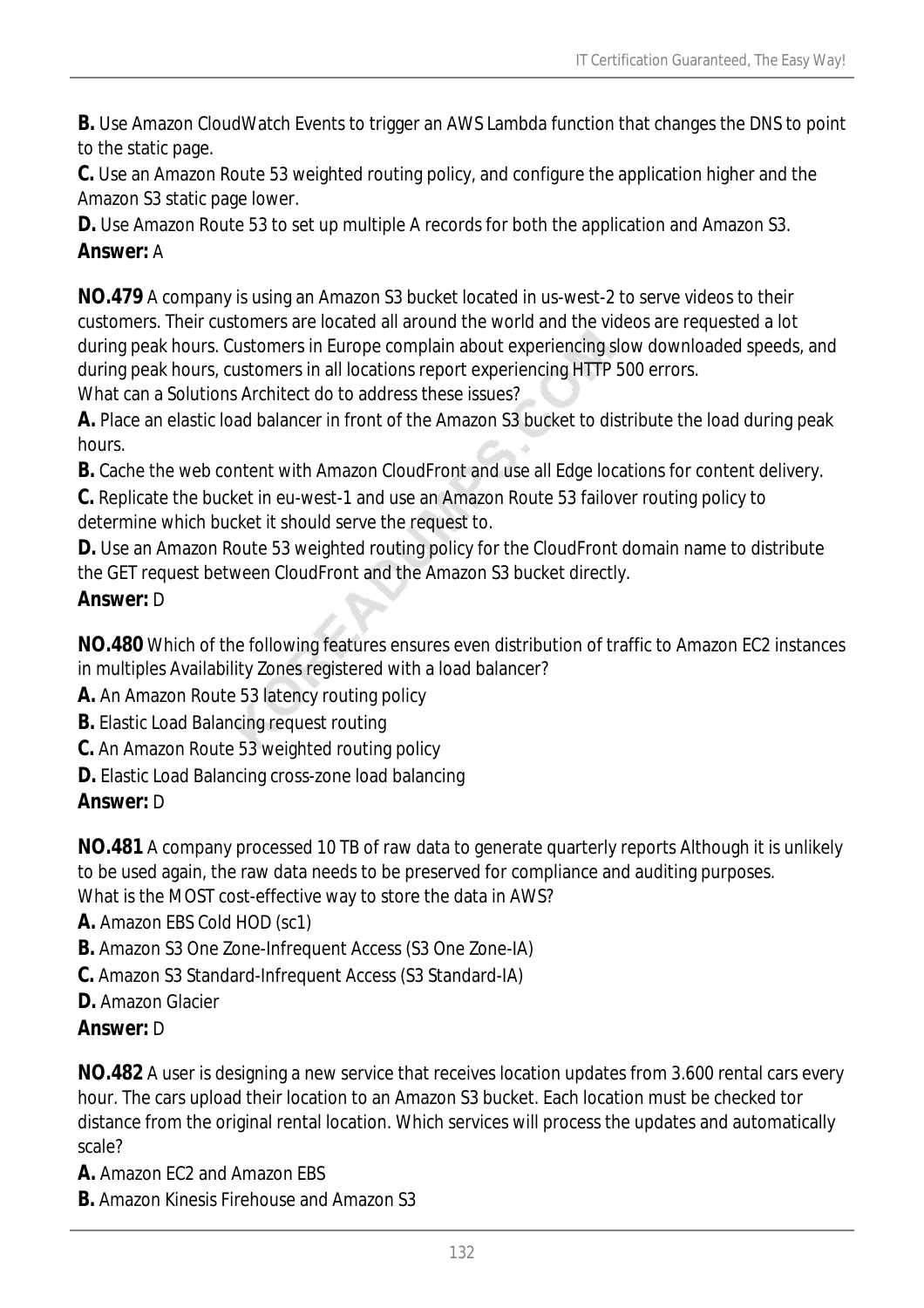**B.** Use Amazon CloudWatch Events to trigger an AWS Lambda function that changes the DNS to point to the static page.

**C.** Use an Amazon Route 53 weighted routing policy, and configure the application higher and the Amazon S3 static page lower.

**D.** Use Amazon Route 53 to set up multiple A records for both the application and Amazon S3. *Answer:* A

**NO.479** A company is using an Amazon S3 bucket located in us-west-2 to serve videos to their customers. Their customers are located all around the world and the videos are requested a lot during peak hours. Customers in Europe complain about experiencing slow downloaded speeds, and during peak hours, customers in all locations report experiencing HTTP 500 errors. What can a Solutions Architect do to address these issues?

**A.** Place an elastic load balancer in front of the Amazon S3 bucket to distribute the load during peak hours.

**B.** Cache the web content with Amazon CloudFront and use all Edge locations for content delivery.

**C.** Replicate the bucket in eu-west-1 and use an Amazon Route 53 failover routing policy to determine which bucket it should serve the request to.

**D.** Use an Amazon Route 53 weighted routing policy for the CloudFront domain name to distribute the GET request between CloudFront and the Amazon S3 bucket directly. *Answer:* D

**NO.480** Which of the following features ensures even distribution of traffic to Amazon EC2 instances in multiples Availability Zones registered with a load balancer?

**A.** An Amazon Route 53 latency routing policy

**B.** Elastic Load Balancing request routing

**C.** An Amazon Route 53 weighted routing policy

**D.** Elastic Load Balancing cross-zone load balancing

*Answer:* D

**NO.481** A company processed 10 TB of raw data to generate quarterly reports Although it is unlikely to be used again, the raw data needs to be preserved for compliance and auditing purposes.

What is the MOST cost-effective way to store the data in AWS?

- **A.** Amazon EBS Cold HOD (sc1)
- **B.** Amazon S3 One Zone-Infrequent Access (S3 One Zone-IA)
- **C.** Amazon S3 Standard-Infrequent Access (S3 Standard-IA)
- **D.** Amazon Glacier

# *Answer:* D

**NO.482** A user is designing a new service that receives location updates from 3.600 rental cars every hour. The cars upload their location to an Amazon S3 bucket. Each location must be checked tor distance from the original rental location. Which services will process the updates and automatically scale?

**A.** Amazon EC2 and Amazon EBS

**B.** Amazon Kinesis Firehouse and Amazon S3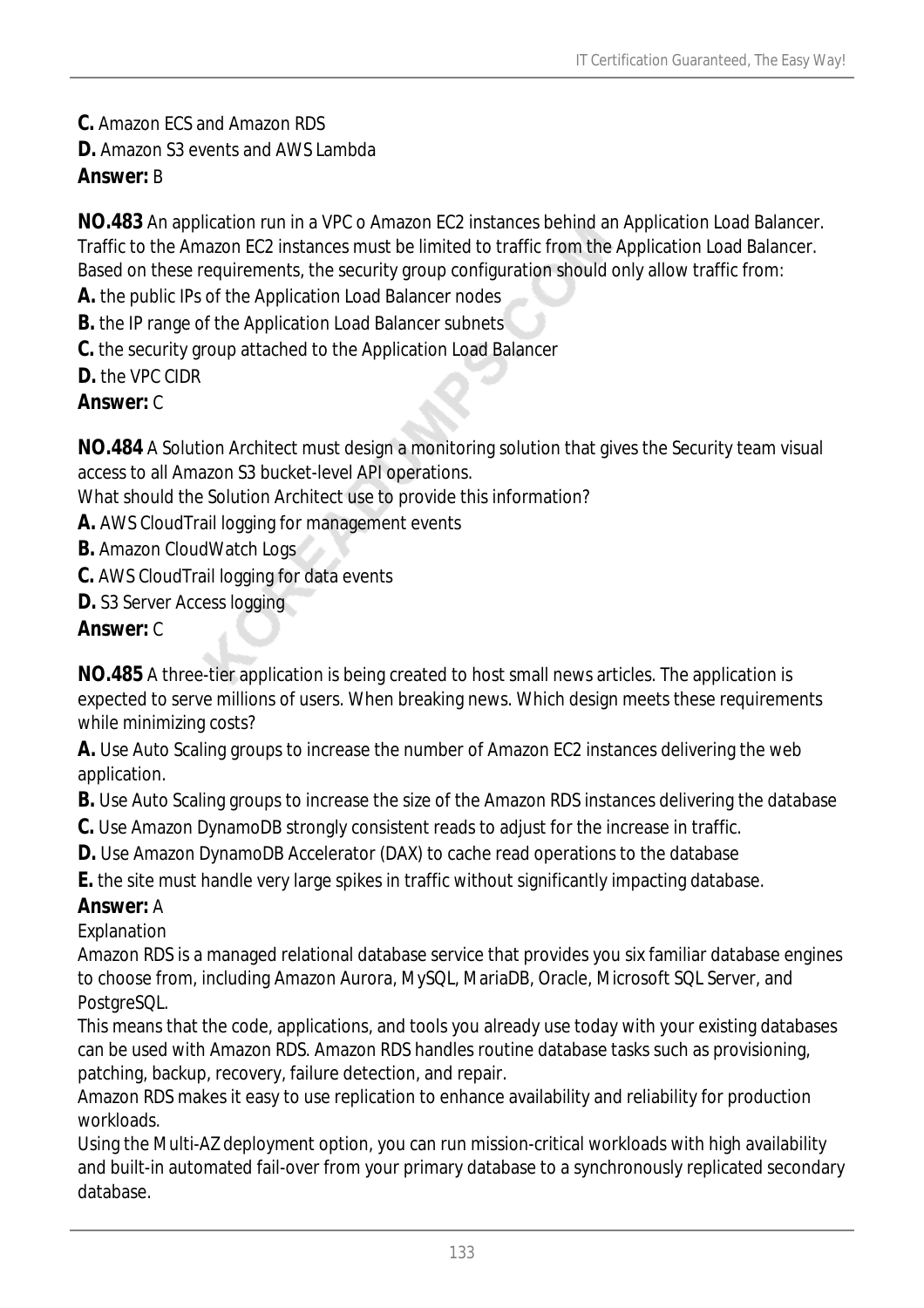**C.** Amazon ECS and Amazon RDS

**D.** Amazon S3 events and AWS Lambda

# *Answer:* B

**NO.483** An application run in a VPC o Amazon EC2 instances behind an Application Load Balancer. Traffic to the Amazon EC2 instances must be limited to traffic from the Application Load Balancer. Based on these requirements, the security group configuration should only allow traffic from:

- **A.** the public IPs of the Application Load Balancer nodes
- **B.** the IP range of the Application Load Balancer subnets
- **C.** the security group attached to the Application Load Balancer
- **D.** the VPC CIDR

### *Answer:* C

**NO.484** A Solution Architect must design a monitoring solution that gives the Security team visual access to all Amazon S3 bucket-level API operations.

What should the Solution Architect use to provide this information?

- **A.** AWS CloudTrail logging for management events
- **B.** Amazon CloudWatch Logs
- **C.** AWS CloudTrail logging for data events
- **D.** S3 Server Access logging

### *Answer:* C

**NO.485** A three-tier application is being created to host small news articles. The application is expected to serve millions of users. When breaking news. Which design meets these requirements while minimizing costs?

**A.** Use Auto Scaling groups to increase the number of Amazon EC2 instances delivering the web application.

**B.** Use Auto Scaling groups to increase the size of the Amazon RDS instances delivering the database

**C.** Use Amazon DynamoDB strongly consistent reads to adjust for the increase in traffic.

**D.** Use Amazon DynamoDB Accelerator (DAX) to cache read operations to the database

**E.** the site must handle very large spikes in traffic without significantly impacting database.

#### *Answer:* A

Explanation

Amazon RDS is a managed relational database service that provides you six familiar database engines to choose from, including Amazon Aurora, MySQL, MariaDB, Oracle, Microsoft SQL Server, and PostgreSQL.

This means that the code, applications, and tools you already use today with your existing databases can be used with Amazon RDS. Amazon RDS handles routine database tasks such as provisioning, patching, backup, recovery, failure detection, and repair.

Amazon RDS makes it easy to use replication to enhance availability and reliability for production workloads.

Using the Multi-AZ deployment option, you can run mission-critical workloads with high availability and built-in automated fail-over from your primary database to a synchronously replicated secondary database.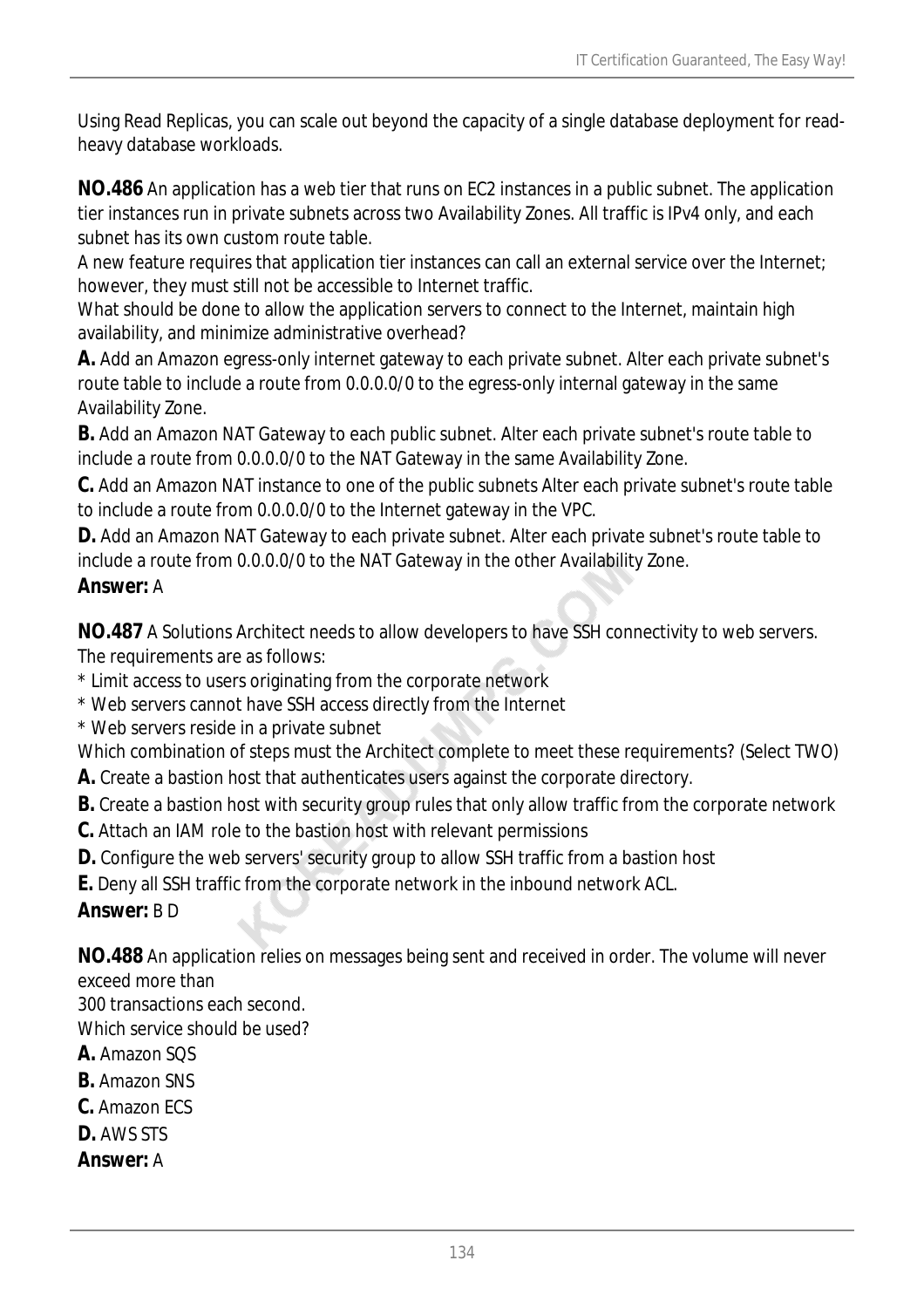Using Read Replicas, you can scale out beyond the capacity of a single database deployment for readheavy database workloads.

**NO.486** An application has a web tier that runs on EC2 instances in a public subnet. The application tier instances run in private subnets across two Availability Zones. All traffic is IPv4 only, and each subnet has its own custom route table.

A new feature requires that application tier instances can call an external service over the Internet; however, they must still not be accessible to Internet traffic.

What should be done to allow the application servers to connect to the Internet, maintain high availability, and minimize administrative overhead?

**A.** Add an Amazon egress-only internet gateway to each private subnet. Alter each private subnet's route table to include a route from 0.0.0.0/0 to the egress-only internal gateway in the same Availability Zone.

**B.** Add an Amazon NAT Gateway to each public subnet. Alter each private subnet's route table to include a route from 0.0.0.0/0 to the NAT Gateway in the same Availability Zone.

**C.** Add an Amazon NAT instance to one of the public subnets Alter each private subnet's route table to include a route from 0.0.0.0/0 to the Internet gateway in the VPC.

**D.** Add an Amazon NAT Gateway to each private subnet. Alter each private subnet's route table to include a route from 0.0.0.0/0 to the NAT Gateway in the other Availability Zone.

# *Answer:* A

**NO.487** A Solutions Architect needs to allow developers to have SSH connectivity to web servers. The requirements are as follows:

- \* Limit access to users originating from the corporate network
- \* Web servers cannot have SSH access directly from the Internet
- \* Web servers reside in a private subnet

Which combination of steps must the Architect complete to meet these requirements? (Select TWO)

- **A.** Create a bastion host that authenticates users against the corporate directory.
- **B.** Create a bastion host with security group rules that only allow traffic from the corporate network
- **C.** Attach an IAM role to the bastion host with relevant permissions
- **D.** Configure the web servers' security group to allow SSH traffic from a bastion host
- **E.** Deny all SSH traffic from the corporate network in the inbound network ACL.

*Answer:* B D

**NO.488** An application relies on messages being sent and received in order. The volume will never exceed more than

300 transactions each second.

Which service should be used?

- **A.** Amazon SQS
- **B.** Amazon SNS
- **C.** Amazon ECS
- **D.** AWS STS
- *Answer:* A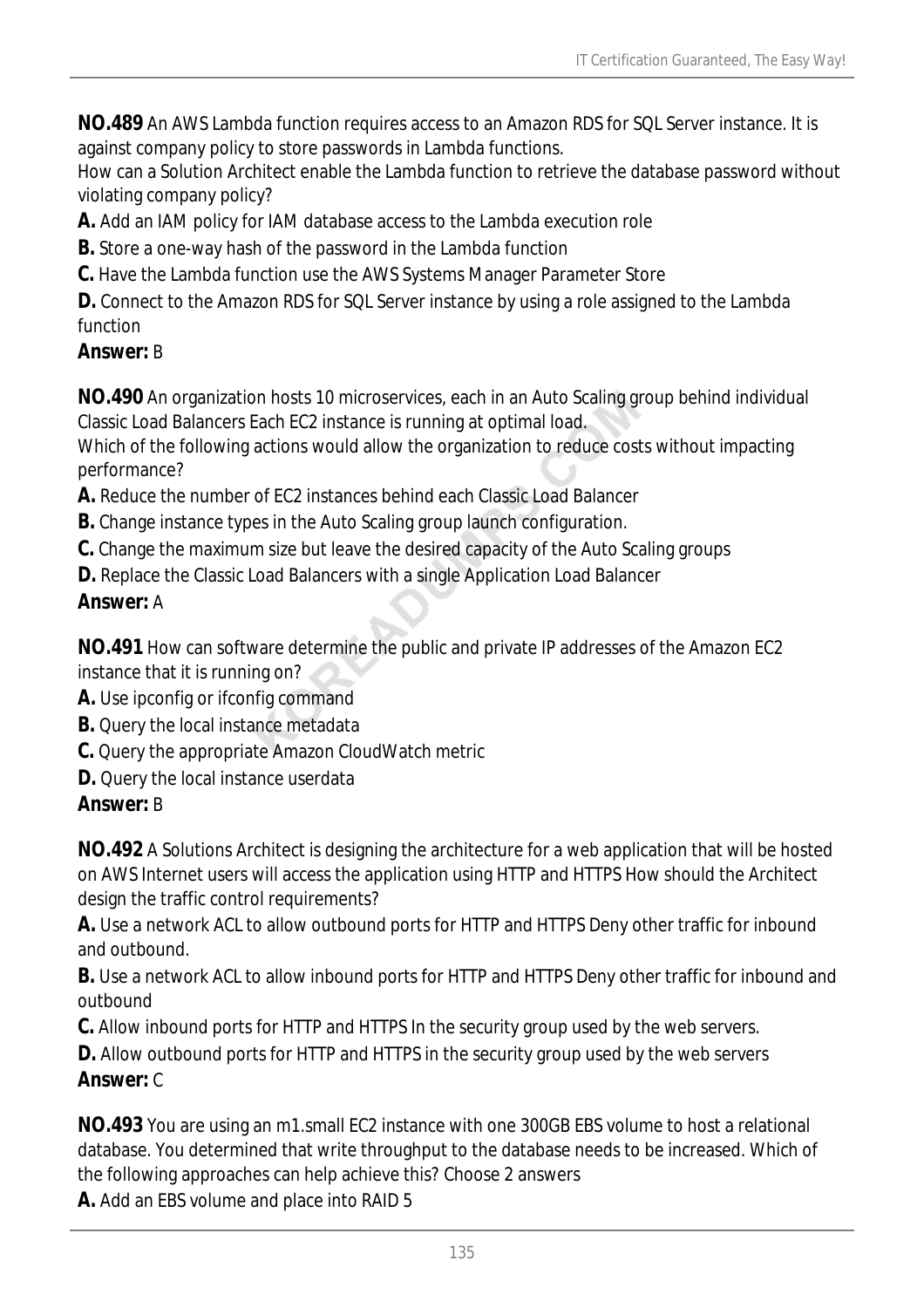**NO.489** An AWS Lambda function requires access to an Amazon RDS for SQL Server instance. It is against company policy to store passwords in Lambda functions.

How can a Solution Architect enable the Lambda function to retrieve the database password without violating company policy?

**A.** Add an IAM policy for IAM database access to the Lambda execution role

- **B.** Store a one-way hash of the password in the Lambda function
- **C.** Have the Lambda function use the AWS Systems Manager Parameter Store

**D.** Connect to the Amazon RDS for SQL Server instance by using a role assigned to the Lambda function

### *Answer:* B

**NO.490** An organization hosts 10 microservices, each in an Auto Scaling group behind individual Classic Load Balancers Each EC2 instance is running at optimal load.

Which of the following actions would allow the organization to reduce costs without impacting performance?

- **A.** Reduce the number of EC2 instances behind each Classic Load Balancer
- **B.** Change instance types in the Auto Scaling group launch configuration.
- **C.** Change the maximum size but leave the desired capacity of the Auto Scaling groups
- **D.** Replace the Classic Load Balancers with a single Application Load Balancer

# *Answer:* A

**NO.491** How can software determine the public and private IP addresses of the Amazon EC2 instance that it is running on?

- **A.** Use ipconfig or ifconfig command
- **B.** Query the local instance metadata
- **C.** Query the appropriate Amazon CloudWatch metric
- **D.** Query the local instance userdata

# *Answer:* B

**NO.492** A Solutions Architect is designing the architecture for a web application that will be hosted on AWS Internet users will access the application using HTTP and HTTPS How should the Architect design the traffic control requirements?

**A.** Use a network ACL to allow outbound ports for HTTP and HTTPS Deny other traffic for inbound and outbound.

**B.** Use a network ACL to allow inbound ports for HTTP and HTTPS Deny other traffic for inbound and outbound

**C.** Allow inbound ports for HTTP and HTTPS In the security group used by the web servers.

**D.** Allow outbound ports for HTTP and HTTPS in the security group used by the web servers *Answer:* C

**NO.493** You are using an m1.small EC2 instance with one 300GB EBS volume to host a relational database. You determined that write throughput to the database needs to be increased. Which of the following approaches can help achieve this? Choose 2 answers

**A.** Add an EBS volume and place into RAID 5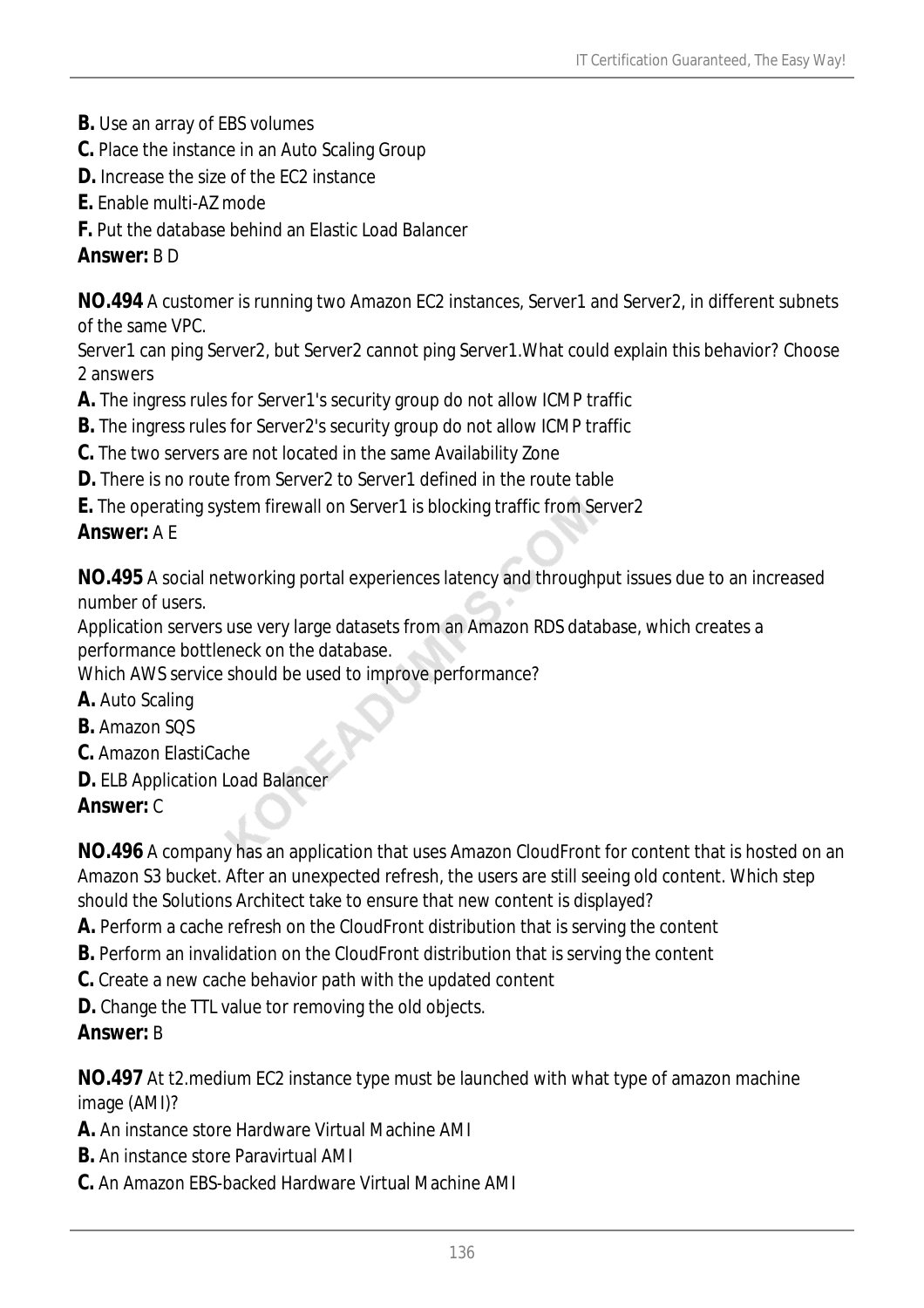- **B.** Use an array of EBS volumes
- **C.** Place the instance in an Auto Scaling Group
- **D.** Increase the size of the EC2 instance
- **E.** Enable multi-AZ mode
- **F.** Put the database behind an Elastic Load Balancer

#### *Answer:* B D

**NO.494** A customer is running two Amazon EC2 instances, Server1 and Server2, in different subnets of the same VPC.

Server1 can ping Server2, but Server2 cannot ping Server1.What could explain this behavior? Choose 2 answers

- **A.** The ingress rules for Server1's security group do not allow ICMP traffic
- **B.** The ingress rules for Server2's security group do not allow ICMP traffic
- **C.** The two servers are not located in the same Availability Zone
- **D.** There is no route from Server2 to Server1 defined in the route table
- **E.** The operating system firewall on Server1 is blocking traffic from Server2

#### *Answer:* A E

**NO.495** A social networking portal experiences latency and throughput issues due to an increased number of users.

Application servers use very large datasets from an Amazon RDS database, which creates a performance bottleneck on the database.

Which AWS service should be used to improve performance?

- **A.** Auto Scaling
- **B.** Amazon SQS
- **C.** Amazon ElastiCache
- **D.** ELB Application Load Balancer

#### *Answer:* C

**NO.496** A company has an application that uses Amazon CloudFront for content that is hosted on an Amazon S3 bucket. After an unexpected refresh, the users are still seeing old content. Which step should the Solutions Architect take to ensure that new content is displayed?

- **A.** Perform a cache refresh on the CloudFront distribution that is serving the content
- **B.** Perform an invalidation on the CloudFront distribution that is serving the content
- **C.** Create a new cache behavior path with the updated content
- **D.** Change the TTL value tor removing the old objects.

#### *Answer:* B

**NO.497** At t2.medium EC2 instance type must be launched with what type of amazon machine image (AMI)?

- **A.** An instance store Hardware Virtual Machine AMI
- **B.** An instance store Paravirtual AMI
- **C.** An Amazon EBS-backed Hardware Virtual Machine AMI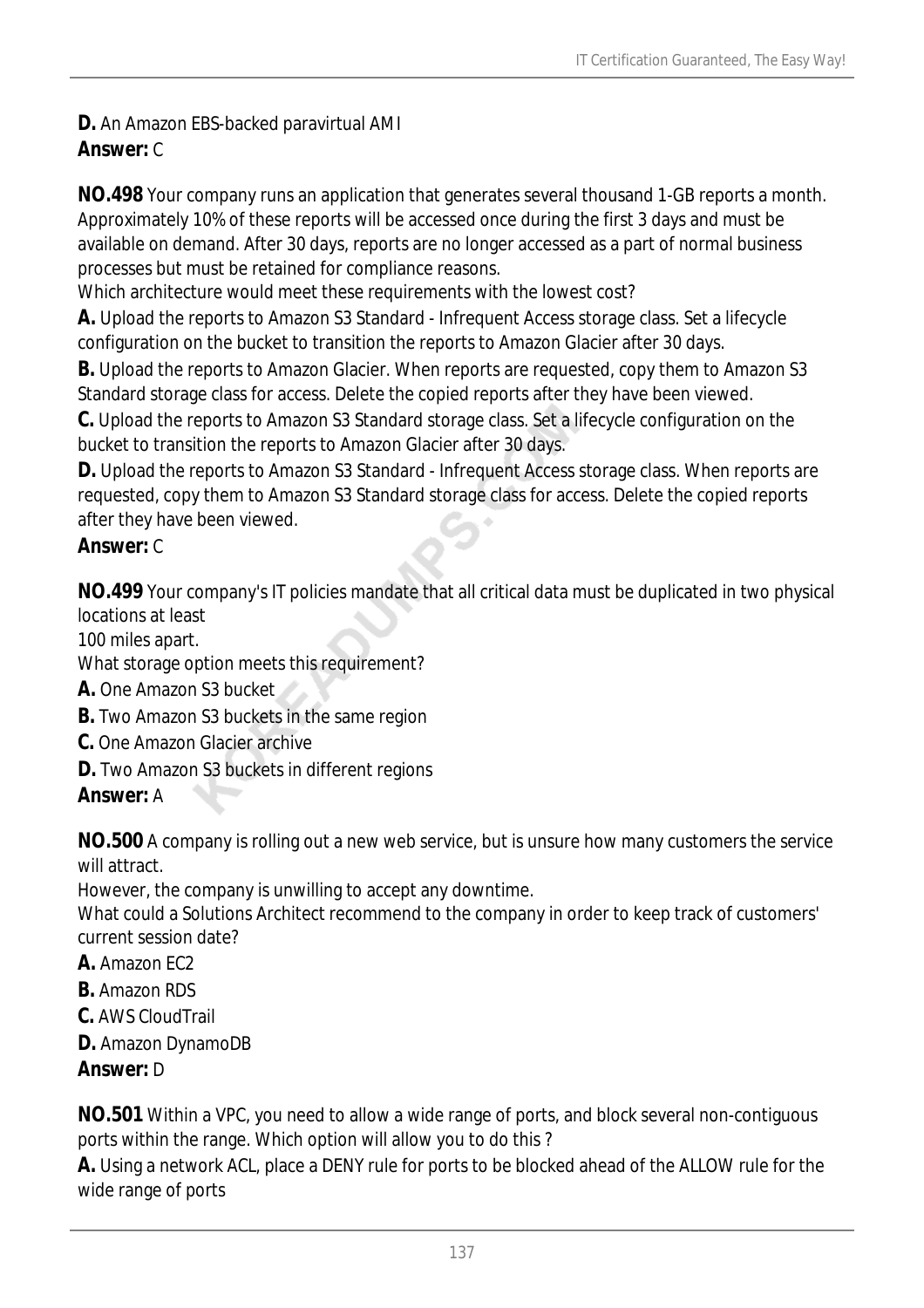#### **D.** An Amazon EBS-backed paravirtual AMI *Answer:* C

**NO.498** Your company runs an application that generates several thousand 1-GB reports a month. Approximately 10% of these reports will be accessed once during the first 3 days and must be available on demand. After 30 days, reports are no longer accessed as a part of normal business processes but must be retained for compliance reasons.

Which architecture would meet these requirements with the lowest cost?

**A.** Upload the reports to Amazon S3 Standard - Infrequent Access storage class. Set a lifecycle configuration on the bucket to transition the reports to Amazon Glacier after 30 days.

**B.** Upload the reports to Amazon Glacier. When reports are requested, copy them to Amazon S3 Standard storage class for access. Delete the copied reports after they have been viewed.

**C.** Upload the reports to Amazon S3 Standard storage class. Set a lifecycle configuration on the bucket to transition the reports to Amazon Glacier after 30 days.

**D.** Upload the reports to Amazon S3 Standard - Infrequent Access storage class. When reports are requested, copy them to Amazon S3 Standard storage class for access. Delete the copied reports after they have been viewed.

### *Answer:* C

**NO.499** Your company's IT policies mandate that all critical data must be duplicated in two physical locations at least

100 miles apart.

What storage option meets this requirement?

**A.** One Amazon S3 bucket

- **B.** Two Amazon S3 buckets in the same region
- **C.** One Amazon Glacier archive
- **D.** Two Amazon S3 buckets in different regions

*Answer:* A

**NO.500** A company is rolling out a new web service, but is unsure how many customers the service will attract.

However, the company is unwilling to accept any downtime.

What could a Solutions Architect recommend to the company in order to keep track of customers' current session date?

- **A.** Amazon EC2
- **B.** Amazon RDS
- **C.** AWS CloudTrail
- **D.** Amazon DynamoDB

# *Answer:* D

**NO.501** Within a VPC, you need to allow a wide range of ports, and block several non-contiguous ports within the range. Which option will allow you to do this ?

**A.** Using a network ACL, place a DENY rule for ports to be blocked ahead of the ALLOW rule for the wide range of ports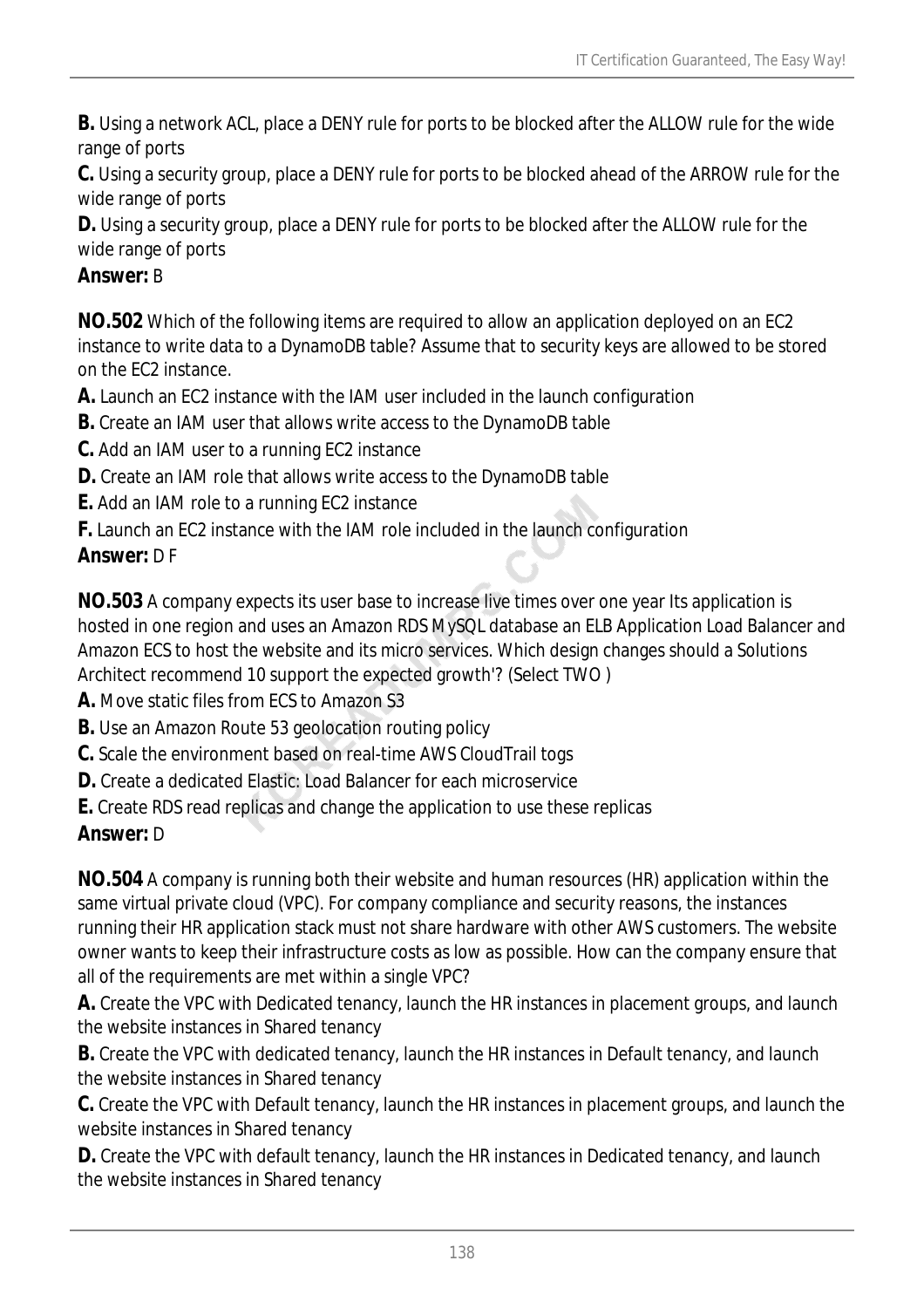**B.** Using a network ACL, place a DENY rule for ports to be blocked after the ALLOW rule for the wide range of ports

**C.** Using a security group, place a DENY rule for ports to be blocked ahead of the ARROW rule for the wide range of ports

**D.** Using a security group, place a DENY rule for ports to be blocked after the ALLOW rule for the wide range of ports

### *Answer:* B

**NO.502** Which of the following items are required to allow an application deployed on an EC2 instance to write data to a DynamoDB table? Assume that to security keys are allowed to be stored on the EC2 instance.

**A.** Launch an EC2 instance with the IAM user included in the launch configuration

- **B.** Create an IAM user that allows write access to the DynamoDB table
- **C.** Add an IAM user to a running EC2 instance
- **D.** Create an IAM role that allows write access to the DynamoDB table
- **E.** Add an IAM role to a running EC2 instance
- **F.** Launch an EC2 instance with the IAM role included in the launch configuration

# *Answer:* D F

**NO.503** A company expects its user base to increase live times over one year Its application is hosted in one region and uses an Amazon RDS MySQL database an ELB Application Load Balancer and Amazon ECS to host the website and its micro services. Which design changes should a Solutions Architect recommend 10 support the expected growth'? (Select TWO )

**A.** Move static files from ECS to Amazon S3

- **B.** Use an Amazon Route 53 geolocation routing policy
- **C.** Scale the environment based on real-time AWS CloudTrail togs
- **D.** Create a dedicated Elastic: Load Balancer for each microservice
- **E.** Create RDS read replicas and change the application to use these replicas

# *Answer:* D

**NO.504** A company is running both their website and human resources (HR) application within the same virtual private cloud (VPC). For company compliance and security reasons, the instances running their HR application stack must not share hardware with other AWS customers. The website owner wants to keep their infrastructure costs as low as possible. How can the company ensure that all of the requirements are met within a single VPC?

**A.** Create the VPC with Dedicated tenancy, launch the HR instances in placement groups, and launch the website instances in Shared tenancy

**B.** Create the VPC with dedicated tenancy, launch the HR instances in Default tenancy, and launch the website instances in Shared tenancy

**C.** Create the VPC with Default tenancy, launch the HR instances in placement groups, and launch the website instances in Shared tenancy

**D.** Create the VPC with default tenancy, launch the HR instances in Dedicated tenancy, and launch the website instances in Shared tenancy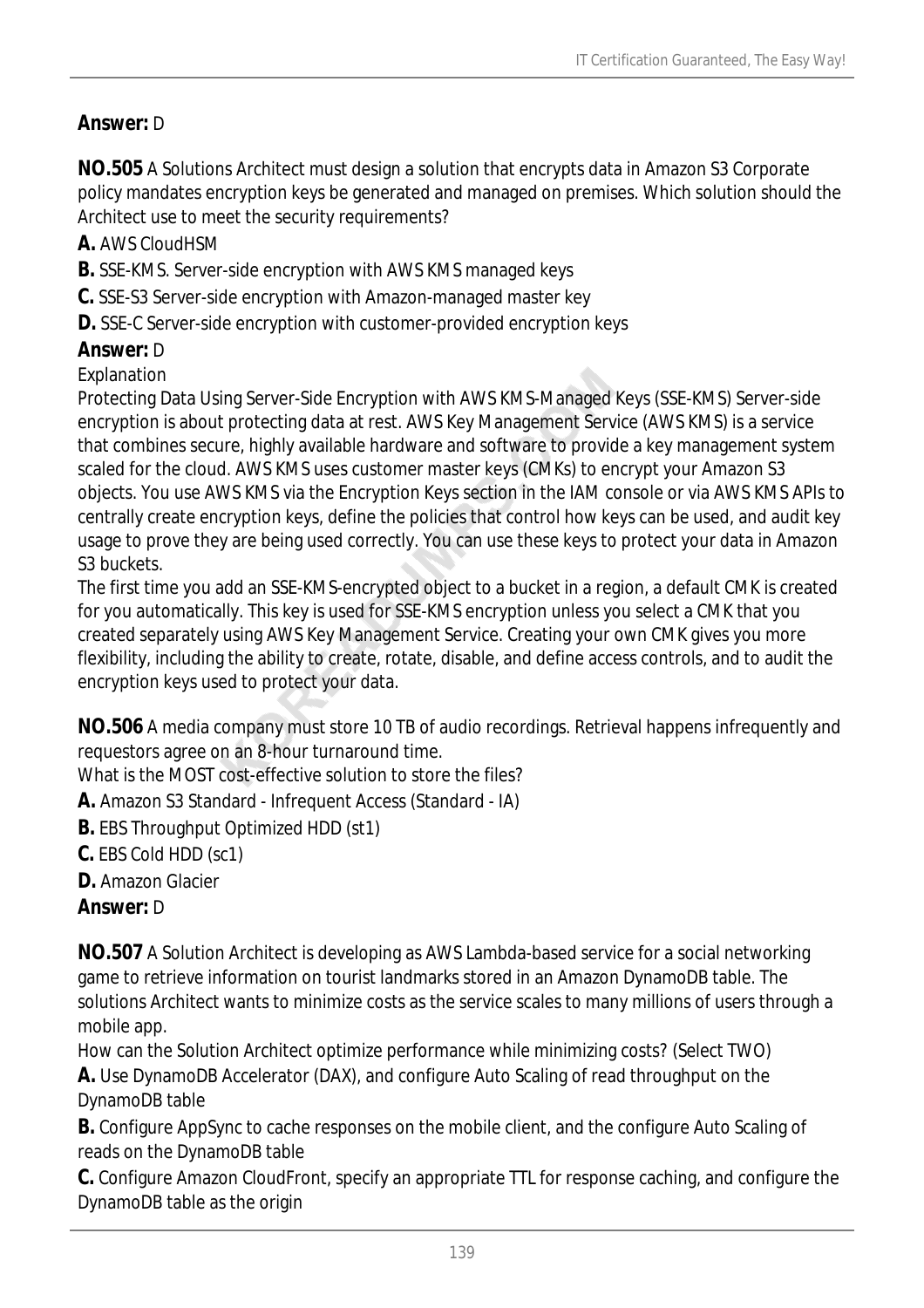# *Answer:* D

**NO.505** A Solutions Architect must design a solution that encrypts data in Amazon S3 Corporate policy mandates encryption keys be generated and managed on premises. Which solution should the Architect use to meet the security requirements?

**A.** AWS CloudHSM

- **B.** SSE-KMS. Server-side encryption with AWS KMS managed keys
- **C.** SSE-S3 Server-side encryption with Amazon-managed master key
- **D.** SSE-C Server-side encryption with customer-provided encryption keys

# *Answer:* D

Explanation

Protecting Data Using Server-Side Encryption with AWS KMS-Managed Keys (SSE-KMS) Server-side encryption is about protecting data at rest. AWS Key Management Service (AWS KMS) is a service that combines secure, highly available hardware and software to provide a key management system scaled for the cloud. AWS KMS uses customer master keys (CMKs) to encrypt your Amazon S3 objects. You use AWS KMS via the Encryption Keys section in the IAM console or via AWS KMS APIs to centrally create encryption keys, define the policies that control how keys can be used, and audit key usage to prove they are being used correctly. You can use these keys to protect your data in Amazon S<sub>3</sub> buckets.

The first time you add an SSE-KMS-encrypted object to a bucket in a region, a default CMK is created for you automatically. This key is used for SSE-KMS encryption unless you select a CMK that you created separately using AWS Key Management Service. Creating your own CMK gives you more flexibility, including the ability to create, rotate, disable, and define access controls, and to audit the encryption keys used to protect your data.

**NO.506** A media company must store 10 TB of audio recordings. Retrieval happens infrequently and requestors agree on an 8-hour turnaround time.

What is the MOST cost-effective solution to store the files?

**A.** Amazon S3 Standard - Infrequent Access (Standard - IA)

- **B.** EBS Throughput Optimized HDD (st1)
- **C.** EBS Cold HDD (sc1)

**D.** Amazon Glacier

# *Answer:* D

**NO.507** A Solution Architect is developing as AWS Lambda-based service for a social networking game to retrieve information on tourist landmarks stored in an Amazon DynamoDB table. The solutions Architect wants to minimize costs as the service scales to many millions of users through a mobile app.

How can the Solution Architect optimize performance while minimizing costs? (Select TWO)

**A.** Use DynamoDB Accelerator (DAX), and configure Auto Scaling of read throughput on the DynamoDB table

**B.** Configure AppSync to cache responses on the mobile client, and the configure Auto Scaling of reads on the DynamoDB table

**C.** Configure Amazon CloudFront, specify an appropriate TTL for response caching, and configure the DynamoDB table as the origin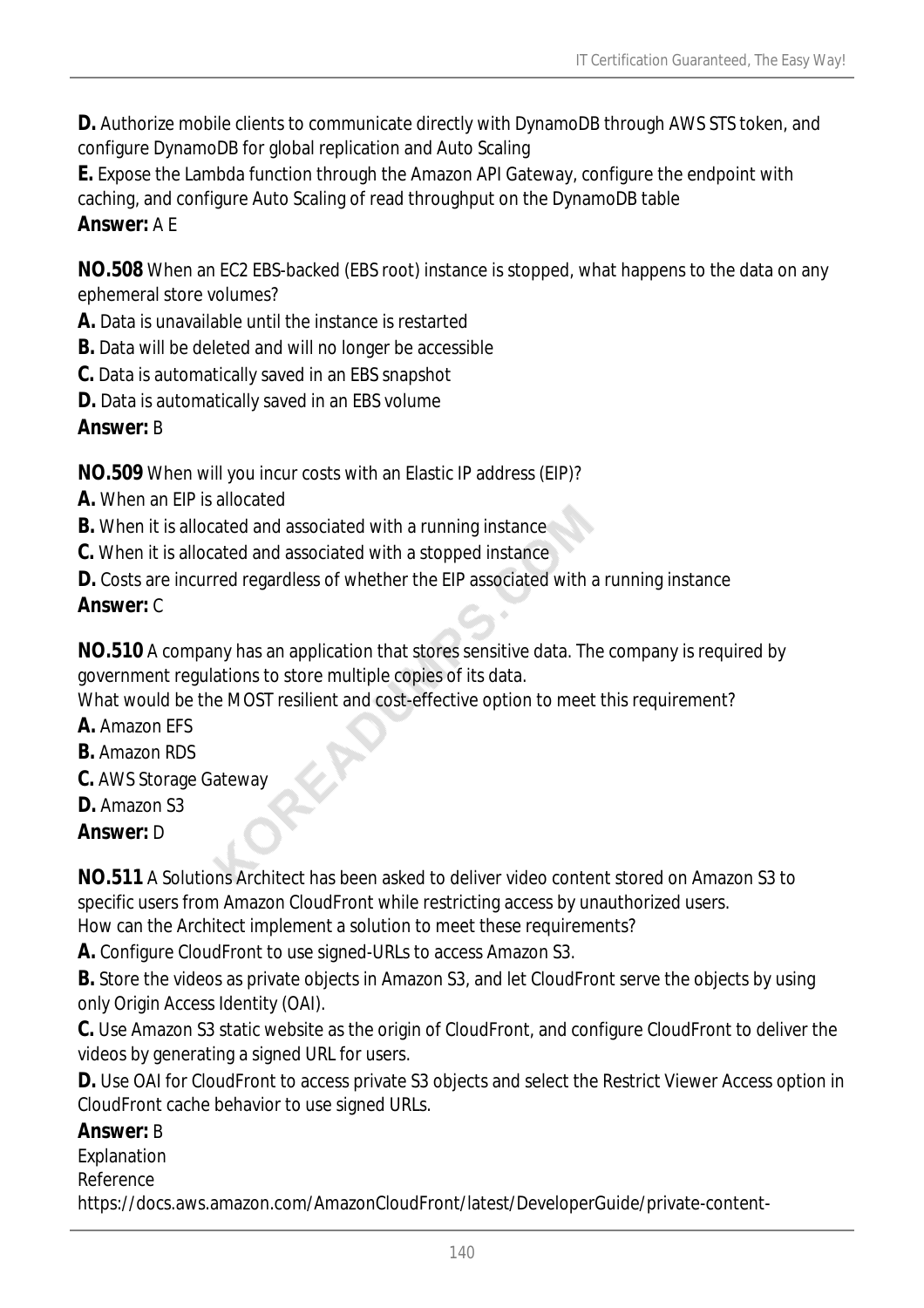**D.** Authorize mobile clients to communicate directly with DynamoDB through AWS STS token, and configure DynamoDB for global replication and Auto Scaling

**E.** Expose the Lambda function through the Amazon API Gateway, configure the endpoint with caching, and configure Auto Scaling of read throughput on the DynamoDB table *Answer:* A E

**NO.508** When an EC2 EBS-backed (EBS root) instance is stopped, what happens to the data on any ephemeral store volumes?

**A.** Data is unavailable until the instance is restarted

- **B.** Data will be deleted and will no longer be accessible
- **C.** Data is automatically saved in an EBS snapshot
- **D.** Data is automatically saved in an EBS volume

#### *Answer:* B

**NO.509** When will you incur costs with an Elastic IP address (EIP)?

- **A.** When an EIP is allocated
- **B.** When it is allocated and associated with a running instance
- **C.** When it is allocated and associated with a stopped instance

**D.** Costs are incurred regardless of whether the EIP associated with a running instance

#### *Answer:* C

**NO.510** A company has an application that stores sensitive data. The company is required by government regulations to store multiple copies of its data.

What would be the MOST resilient and cost-effective option to meet this requirement?

- **A.** Amazon EFS
- **B.** Amazon RDS
- **C.** AWS Storage Gateway
- **D.** Amazon S3

*Answer:* D

**NO.511** A Solutions Architect has been asked to deliver video content stored on Amazon S3 to specific users from Amazon CloudFront while restricting access by unauthorized users.

How can the Architect implement a solution to meet these requirements?

**A.** Configure CloudFront to use signed-URLs to access Amazon S3.

**B.** Store the videos as private objects in Amazon S3, and let CloudFront serve the objects by using only Origin Access Identity (OAI).

**C.** Use Amazon S3 static website as the origin of CloudFront, and configure CloudFront to deliver the videos by generating a signed URL for users.

**D.** Use OAI for CloudFront to access private S3 objects and select the Restrict Viewer Access option in CloudFront cache behavior to use signed URLs.

#### *Answer:* B

Explanation

Reference

https://docs.aws.amazon.com/AmazonCloudFront/latest/DeveloperGuide/private-content-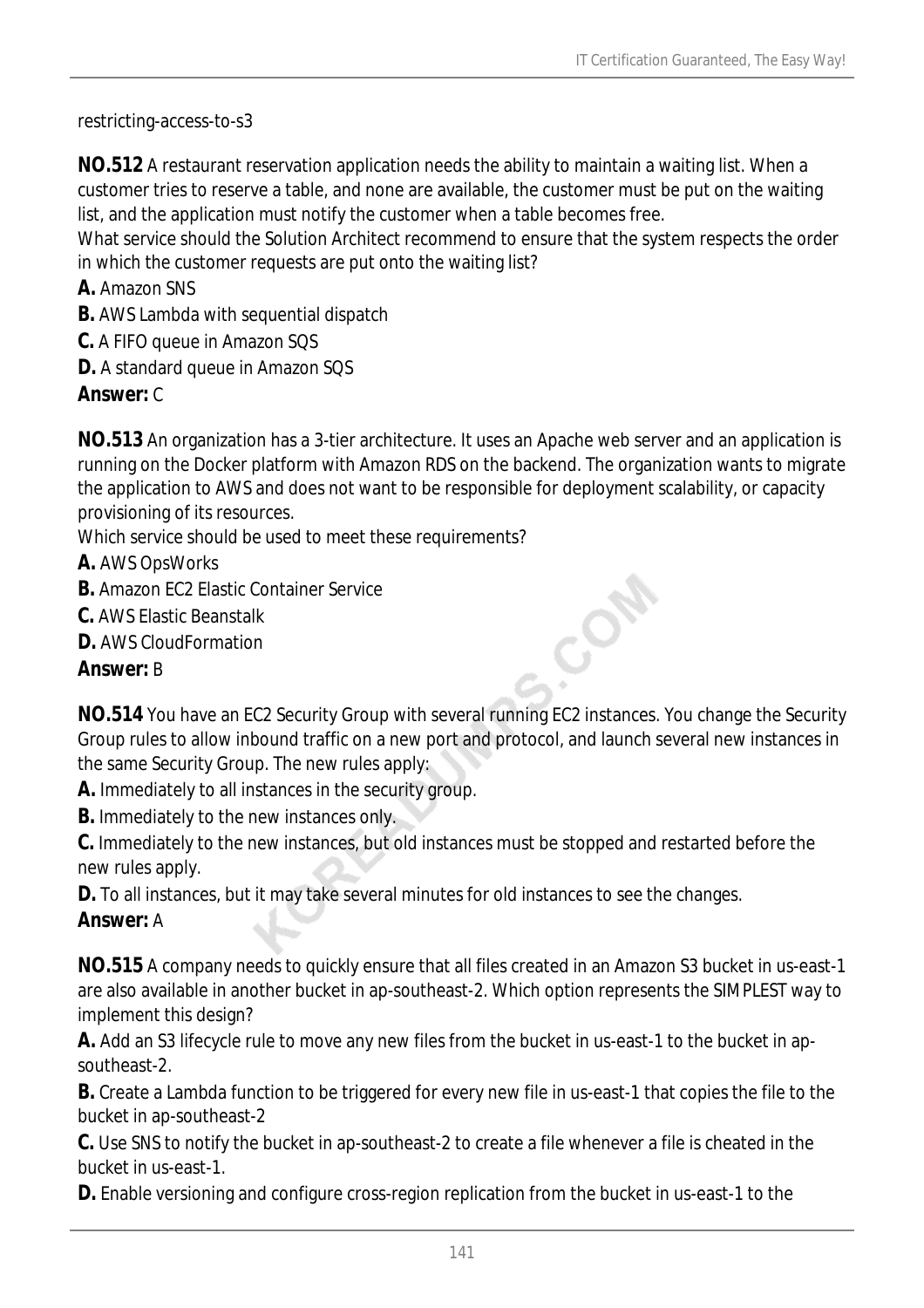restricting-access-to-s3

**NO.512** A restaurant reservation application needs the ability to maintain a waiting list. When a customer tries to reserve a table, and none are available, the customer must be put on the waiting list, and the application must notify the customer when a table becomes free.

What service should the Solution Architect recommend to ensure that the system respects the order in which the customer requests are put onto the waiting list?

- **A.** Amazon SNS
- **B.** AWS Lambda with sequential dispatch
- **C.** A FIFO queue in Amazon SQS
- **D.** A standard queue in Amazon SQS

# *Answer:* C

**NO.513** An organization has a 3-tier architecture. It uses an Apache web server and an application is running on the Docker platform with Amazon RDS on the backend. The organization wants to migrate the application to AWS and does not want to be responsible for deployment scalability, or capacity provisioning of its resources.

Which service should be used to meet these requirements?

- **A.** AWS OpsWorks
- **B.** Amazon FC2 Flastic Container Service
- **C.** AWS Elastic Beanstalk
- **D.** AWS CloudFormation

# *Answer:* B

**NO.514** You have an EC2 Security Group with several running EC2 instances. You change the Security Group rules to allow inbound traffic on a new port and protocol, and launch several new instances in the same Security Group. The new rules apply:

CON

**A.** Immediately to all instances in the security group.

**B.** Immediately to the new instances only.

**C.** Immediately to the new instances, but old instances must be stopped and restarted before the new rules apply.

**D.** To all instances, but it may take several minutes for old instances to see the changes.

#### *Answer:* A

**NO.515** A company needs to quickly ensure that all files created in an Amazon S3 bucket in us-east-1 are also available in another bucket in ap-southeast-2. Which option represents the SIMPLEST way to implement this design?

**A.** Add an S3 lifecycle rule to move any new files from the bucket in us-east-1 to the bucket in apsoutheast-2.

**B.** Create a Lambda function to be triggered for every new file in us-east-1 that copies the file to the bucket in ap-southeast-2

**C.** Use SNS to notify the bucket in ap-southeast-2 to create a file whenever a file is cheated in the bucket in us-east-1.

**D.** Enable versioning and configure cross-region replication from the bucket in us-east-1 to the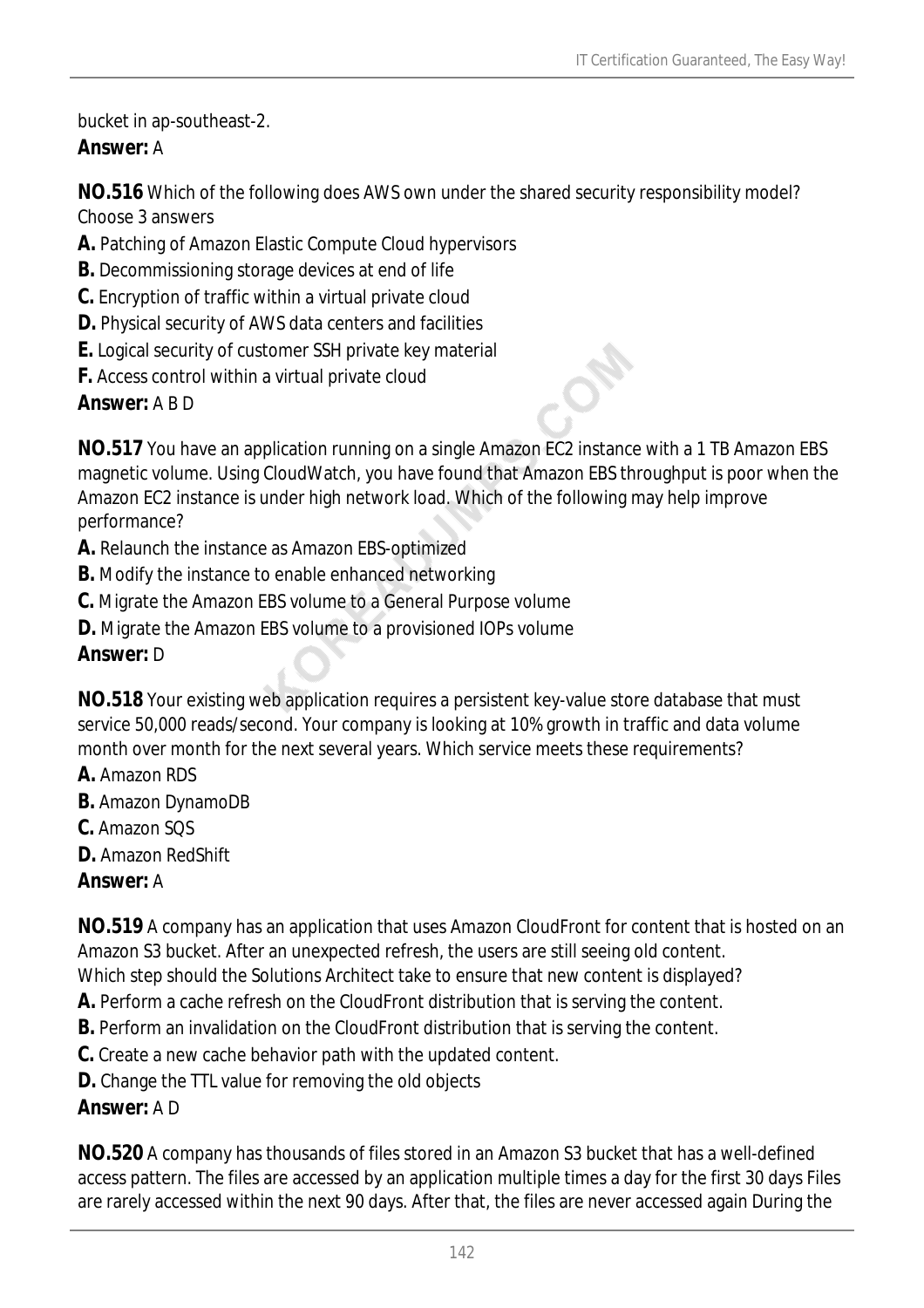bucket in ap-southeast-2.

# *Answer:* A

**NO.516** Which of the following does AWS own under the shared security responsibility model? Choose 3 answers

- **A.** Patching of Amazon Elastic Compute Cloud hypervisors
- **B.** Decommissioning storage devices at end of life
- **C.** Encryption of traffic within a virtual private cloud
- **D.** Physical security of AWS data centers and facilities
- **E.** Logical security of customer SSH private key material
- **F.** Access control within a virtual private cloud

*Answer:* A B D

**NO.517** You have an application running on a single Amazon EC2 instance with a 1 TB Amazon EBS magnetic volume. Using CloudWatch, you have found that Amazon EBS throughput is poor when the Amazon EC2 instance is under high network load. Which of the following may help improve performance?

- **A.** Relaunch the instance as Amazon EBS-optimized
- **B.** Modify the instance to enable enhanced networking
- **C.** Migrate the Amazon EBS volume to a General Purpose volume
- **D.** Migrate the Amazon EBS volume to a provisioned IOPs volume

### *Answer:* D

**NO.518** Your existing web application requires a persistent key-value store database that must service 50,000 reads/second. Your company is looking at 10% growth in traffic and data volume month over month for the next several years. Which service meets these requirements?

- **A.** Amazon RDS
- **B.** Amazon DynamoDB
- **C.** Amazon SQS
- **D.** Amazon RedShift

# *Answer:* A

**NO.519** A company has an application that uses Amazon CloudFront for content that is hosted on an Amazon S3 bucket. After an unexpected refresh, the users are still seeing old content.

- Which step should the Solutions Architect take to ensure that new content is displayed?
- **A.** Perform a cache refresh on the CloudFront distribution that is serving the content. **B.** Perform an invalidation on the CloudFront distribution that is serving the content.
- **C.** Create a new cache behavior path with the updated content.
- **D.** Change the TTL value for removing the old objects

# *Answer:* A D

**NO.520** A company has thousands of files stored in an Amazon S3 bucket that has a well-defined access pattern. The files are accessed by an application multiple times a day for the first 30 days Files are rarely accessed within the next 90 days. After that, the files are never accessed again During the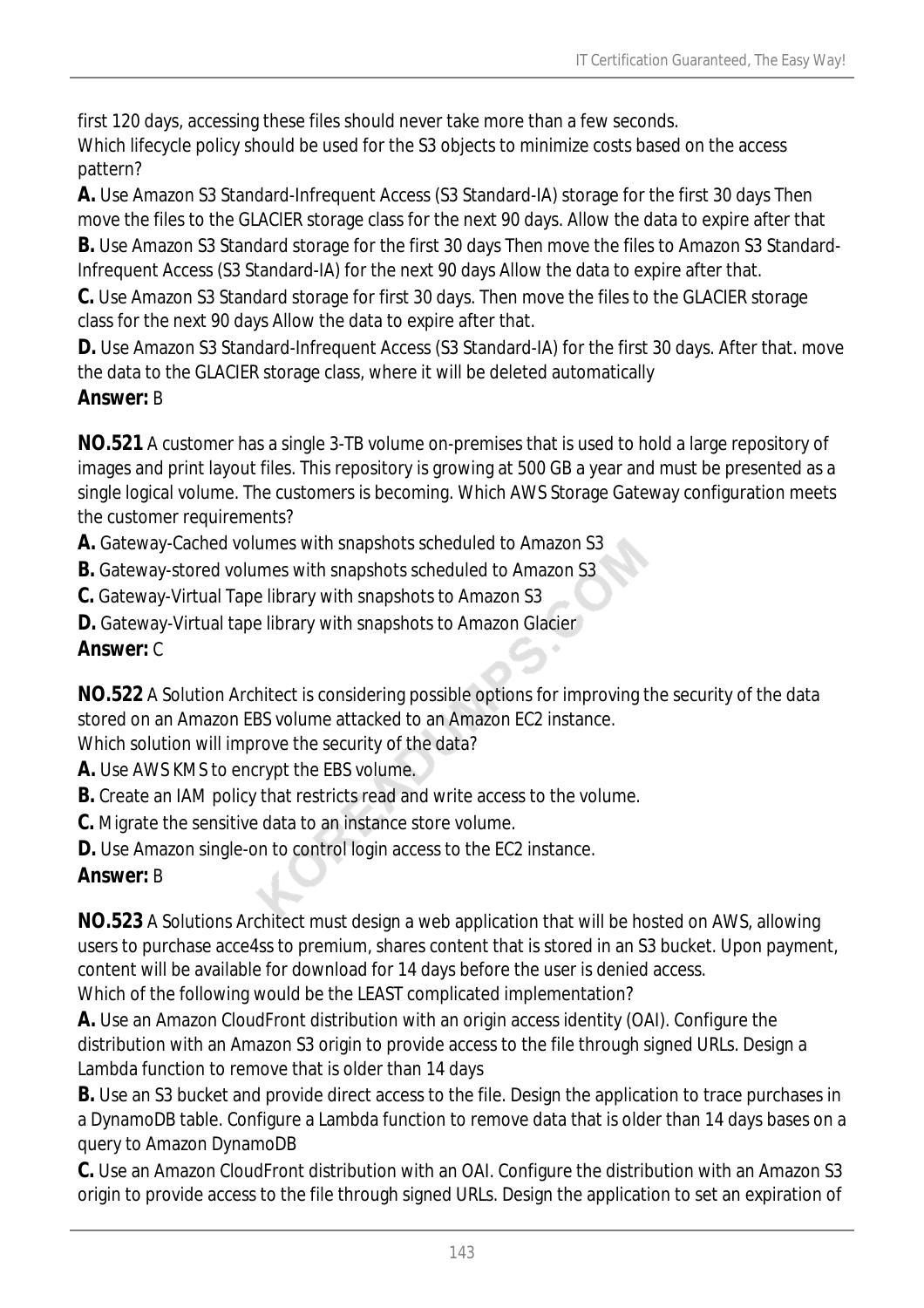first 120 days, accessing these files should never take more than a few seconds. Which lifecycle policy should be used for the S3 objects to minimize costs based on the access pattern?

**A.** Use Amazon S3 Standard-Infrequent Access (S3 Standard-IA) storage for the first 30 days Then move the files to the GLACIER storage class for the next 90 days. Allow the data to expire after that **B.** Use Amazon S3 Standard storage for the first 30 days Then move the files to Amazon S3 Standard-

Infrequent Access (S3 Standard-IA) for the next 90 days Allow the data to expire after that.

**C.** Use Amazon S3 Standard storage for first 30 days. Then move the files to the GLACIER storage class for the next 90 days Allow the data to expire after that.

**D.** Use Amazon S3 Standard-Infrequent Access (S3 Standard-IA) for the first 30 days. After that. move the data to the GLACIER storage class, where it will be deleted automatically

### *Answer:* B

**NO.521** A customer has a single 3-TB volume on-premises that is used to hold a large repository of images and print layout files. This repository is growing at 500 GB a year and must be presented as a single logical volume. The customers is becoming. Which AWS Storage Gateway configuration meets the customer requirements?

- **A.** Gateway-Cached volumes with snapshots scheduled to Amazon S3
- **B.** Gateway-stored volumes with snapshots scheduled to Amazon S3
- **C.** Gateway-Virtual Tape library with snapshots to Amazon S3
- **D.** Gateway-Virtual tape library with snapshots to Amazon Glacier

### *Answer:* C

**NO.522** A Solution Architect is considering possible options for improving the security of the data stored on an Amazon EBS volume attacked to an Amazon EC2 instance.

Which solution will improve the security of the data?

- **A.** Use AWS KMS to encrypt the EBS volume.
- **B.** Create an IAM policy that restricts read and write access to the volume.
- **C.** Migrate the sensitive data to an instance store volume.
- **D.** Use Amazon single-on to control login access to the EC2 instance.

# *Answer:* B

**NO.523** A Solutions Architect must design a web application that will be hosted on AWS, allowing users to purchase acce4ss to premium, shares content that is stored in an S3 bucket. Upon payment, content will be available for download for 14 days before the user is denied access. Which of the following would be the LEAST complicated implementation?

**A.** Use an Amazon CloudFront distribution with an origin access identity (OAI). Configure the distribution with an Amazon S3 origin to provide access to the file through signed URLs. Design a Lambda function to remove that is older than 14 days

**B.** Use an S3 bucket and provide direct access to the file. Design the application to trace purchases in a DynamoDB table. Configure a Lambda function to remove data that is older than 14 days bases on a query to Amazon DynamoDB

**C.** Use an Amazon CloudFront distribution with an OAI. Configure the distribution with an Amazon S3 origin to provide access to the file through signed URLs. Design the application to set an expiration of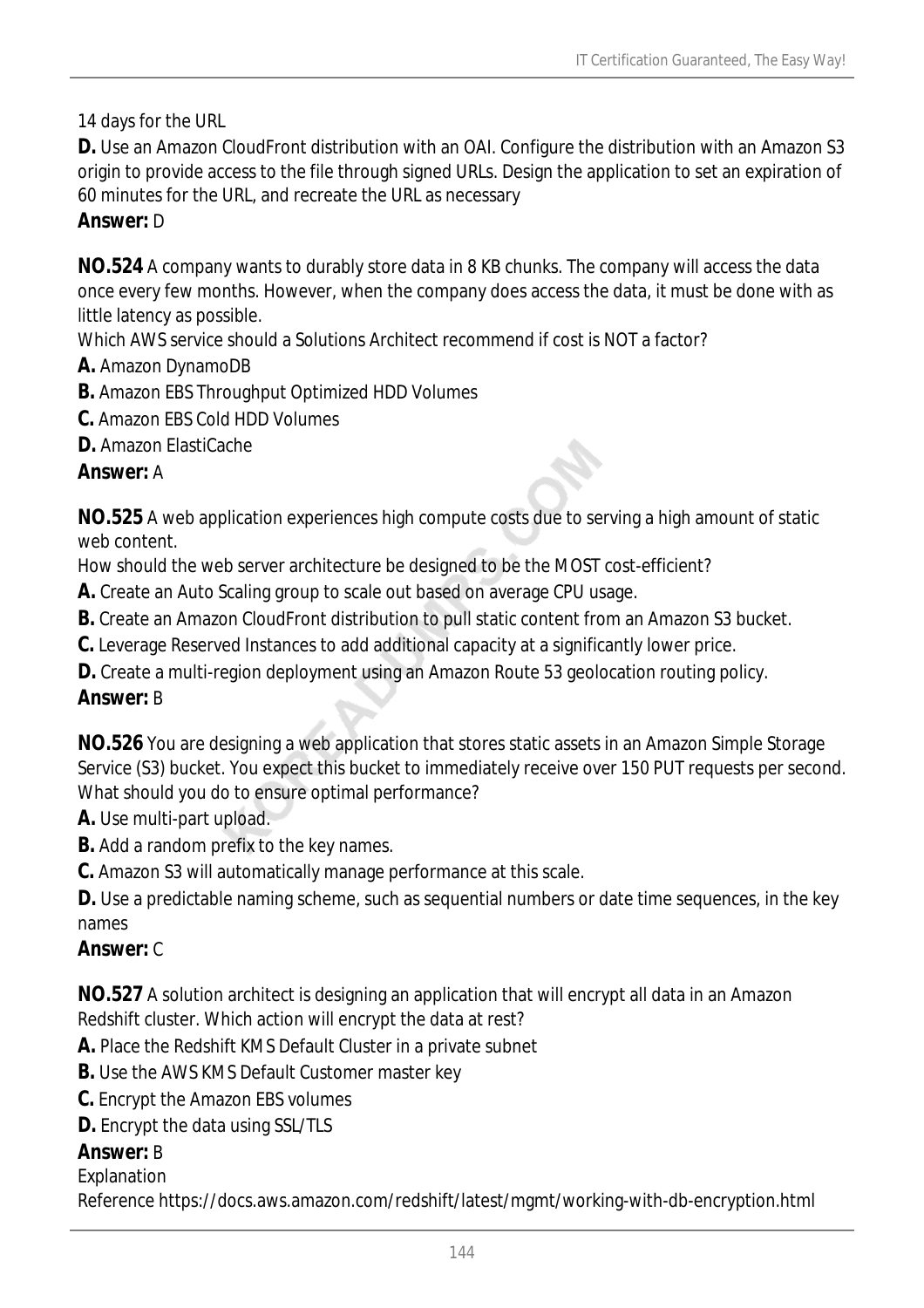14 days for the URL

**D.** Use an Amazon CloudFront distribution with an OAI. Configure the distribution with an Amazon S3 origin to provide access to the file through signed URLs. Design the application to set an expiration of 60 minutes for the URL, and recreate the URL as necessary

#### *Answer:* D

**NO.524** A company wants to durably store data in 8 KB chunks. The company will access the data once every few months. However, when the company does access the data, it must be done with as little latency as possible.

Which AWS service should a Solutions Architect recommend if cost is NOT a factor?

- **A.** Amazon DynamoDB
- **B.** Amazon EBS Throughput Optimized HDD Volumes
- **C.** Amazon EBS Cold HDD Volumes
- **D.** Amazon ElastiCache

### *Answer:* A

**NO.525** A web application experiences high compute costs due to serving a high amount of static web content.

How should the web server architecture be designed to be the MOST cost-efficient?

- **A.** Create an Auto Scaling group to scale out based on average CPU usage.
- **B.** Create an Amazon CloudFront distribution to pull static content from an Amazon S3 bucket.
- **C.** Leverage Reserved Instances to add additional capacity at a significantly lower price.
- **D.** Create a multi-region deployment using an Amazon Route 53 geolocation routing policy.

# *Answer:* B

**NO.526** You are designing a web application that stores static assets in an Amazon Simple Storage Service (S3) bucket. You expect this bucket to immediately receive over 150 PUT requests per second. What should you do to ensure optimal performance?

- **A.** Use multi-part upload.
- **B.** Add a random prefix to the key names.
- **C.** Amazon S3 will automatically manage performance at this scale.

**D.** Use a predictable naming scheme, such as sequential numbers or date time sequences, in the key names

#### *Answer:* C

**NO.527** A solution architect is designing an application that will encrypt all data in an Amazon Redshift cluster. Which action will encrypt the data at rest?

- **A.** Place the Redshift KMS Default Cluster in a private subnet
- **B.** Use the AWS KMS Default Customer master key
- **C.** Encrypt the Amazon EBS volumes
- **D.** Encrypt the data using SSL/TLS

# *Answer:* B

#### Explanation

Reference https://docs.aws.amazon.com/redshift/latest/mgmt/working-with-db-encryption.html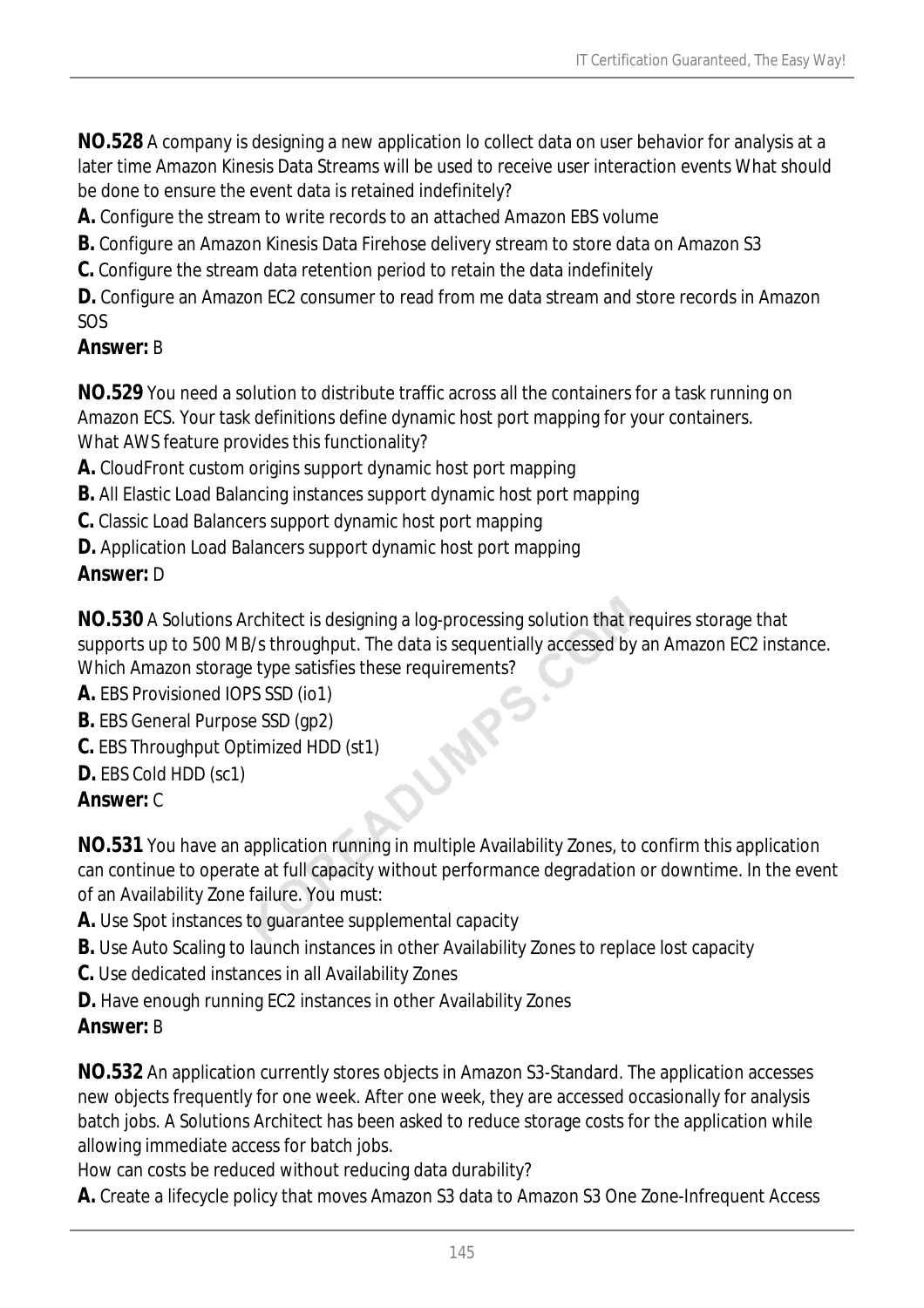**NO.528** A company is designing a new application lo collect data on user behavior for analysis at a later time Amazon Kinesis Data Streams will be used to receive user interaction events What should be done to ensure the event data is retained indefinitely?

**A.** Configure the stream to write records to an attached Amazon EBS volume

**B.** Configure an Amazon Kinesis Data Firehose delivery stream to store data on Amazon S3

**C.** Configure the stream data retention period to retain the data indefinitely

**D.** Configure an Amazon EC2 consumer to read from me data stream and store records in Amazon SOS

## *Answer:* B

**NO.529** You need a solution to distribute traffic across all the containers for a task running on Amazon ECS. Your task definitions define dynamic host port mapping for your containers. What AWS feature provides this functionality?

**A.** CloudFront custom origins support dynamic host port mapping

**B.** All Elastic Load Balancing instances support dynamic host port mapping

**C.** Classic Load Balancers support dynamic host port mapping

**D.** Application Load Balancers support dynamic host port mapping

## *Answer:* D

**NO.530** A Solutions Architect is designing a log-processing solution that requires storage that supports up to 500 MB/s throughput. The data is sequentially accessed by an Amazon EC2 instance. Which Amazon storage type satisfies these requirements?

LAR

**A.** EBS Provisioned IOPS SSD (io1)

- **B.** EBS General Purpose SSD (gp2)
- **C.** EBS Throughput Optimized HDD (st1)
- **D.** EBS Cold HDD (sc1)

# *Answer:* C

**NO.531** You have an application running in multiple Availability Zones, to confirm this application can continue to operate at full capacity without performance degradation or downtime. In the event of an Availability Zone failure. You must:

- **A.** Use Spot instances to guarantee supplemental capacity
- **B.** Use Auto Scaling to launch instances in other Availability Zones to replace lost capacity
- **C.** Use dedicated instances in all Availability Zones
- **D.** Have enough running EC2 instances in other Availability Zones

# *Answer:* B

**NO.532** An application currently stores objects in Amazon S3-Standard. The application accesses new objects frequently for one week. After one week, they are accessed occasionally for analysis batch jobs. A Solutions Architect has been asked to reduce storage costs for the application while allowing immediate access for batch jobs.

How can costs be reduced without reducing data durability?

**A.** Create a lifecycle policy that moves Amazon S3 data to Amazon S3 One Zone-Infrequent Access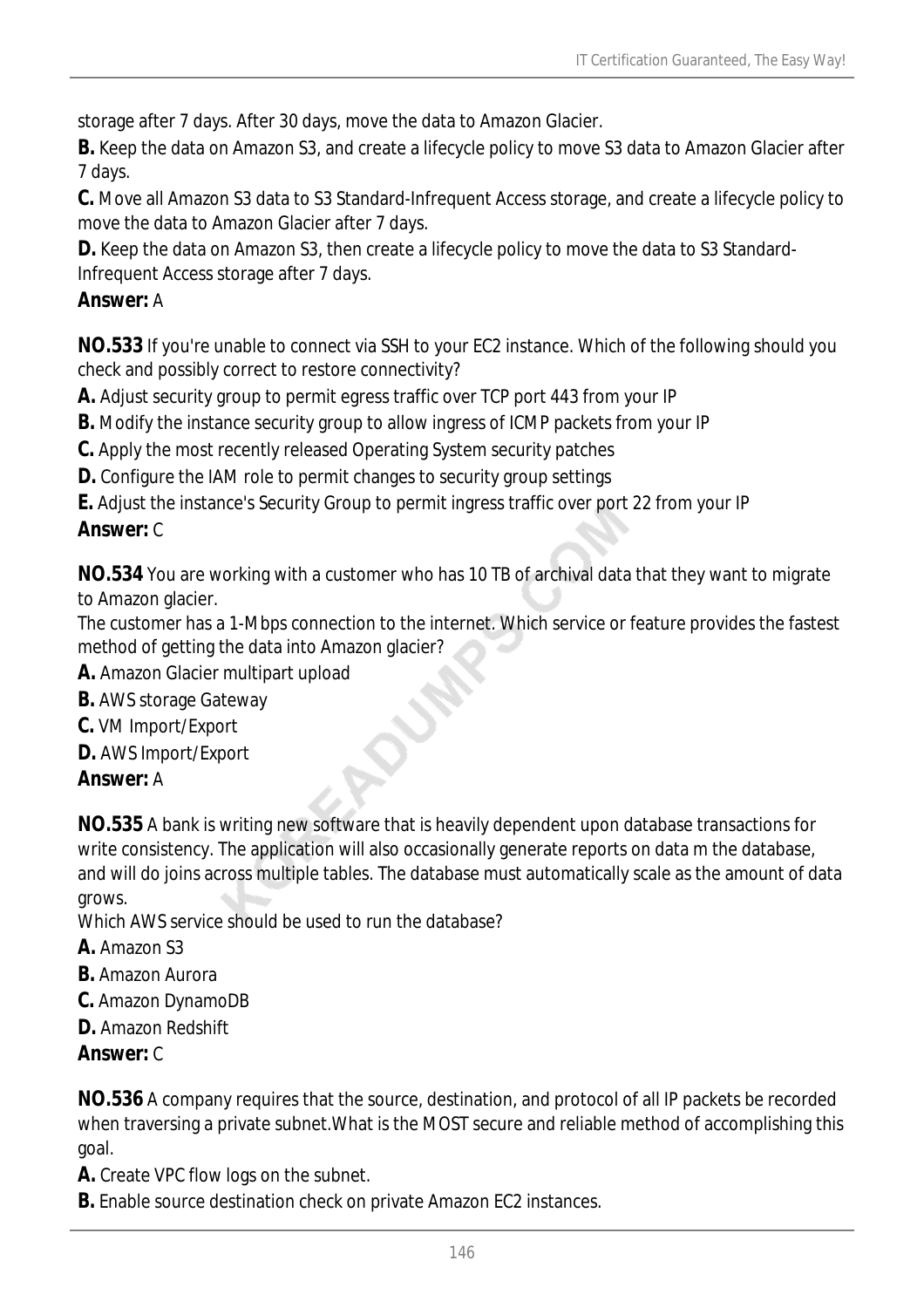storage after 7 days. After 30 days, move the data to Amazon Glacier.

**B.** Keep the data on Amazon S3, and create a lifecycle policy to move S3 data to Amazon Glacier after 7 days.

**C.** Move all Amazon S3 data to S3 Standard-Infrequent Access storage, and create a lifecycle policy to move the data to Amazon Glacier after 7 days.

**D.** Keep the data on Amazon S3, then create a lifecycle policy to move the data to S3 Standard-Infrequent Access storage after 7 days.

#### *Answer:* A

**NO.533** If you're unable to connect via SSH to your EC2 instance. Which of the following should you check and possibly correct to restore connectivity?

**A.** Adjust security group to permit egress traffic over TCP port 443 from your IP

**B.** Modify the instance security group to allow ingress of ICMP packets from your IP

**C.** Apply the most recently released Operating System security patches

**D.** Configure the IAM role to permit changes to security group settings

**E.** Adjust the instance's Security Group to permit ingress traffic over port 22 from your IP *Answer:* C

**NO.534** You are working with a customer who has 10 TB of archival data that they want to migrate to Amazon glacier.

The customer has a 1-Mbps connection to the internet. Which service or feature provides the fastest method of getting the data into Amazon glacier?

- **A.** Amazon Glacier multipart upload
- **B.** AWS storage Gateway
- **C.** VM Import/Export
- **D.** AWS Import/Export

#### *Answer:* A

**NO.535** A bank is writing new software that is heavily dependent upon database transactions for write consistency. The application will also occasionally generate reports on data m the database, and will do joins across multiple tables. The database must automatically scale as the amount of data grows.

Which AWS service should be used to run the database?

- **A.** Amazon S3
- **B.** Amazon Aurora
- **C.** Amazon DynamoDB
- **D.** Amazon Redshift

#### *Answer:* C

**NO.536** A company requires that the source, destination, and protocol of all IP packets be recorded when traversing a private subnet.What is the MOST secure and reliable method of accomplishing this goal.

**A.** Create VPC flow logs on the subnet.

**B.** Enable source destination check on private Amazon EC2 instances.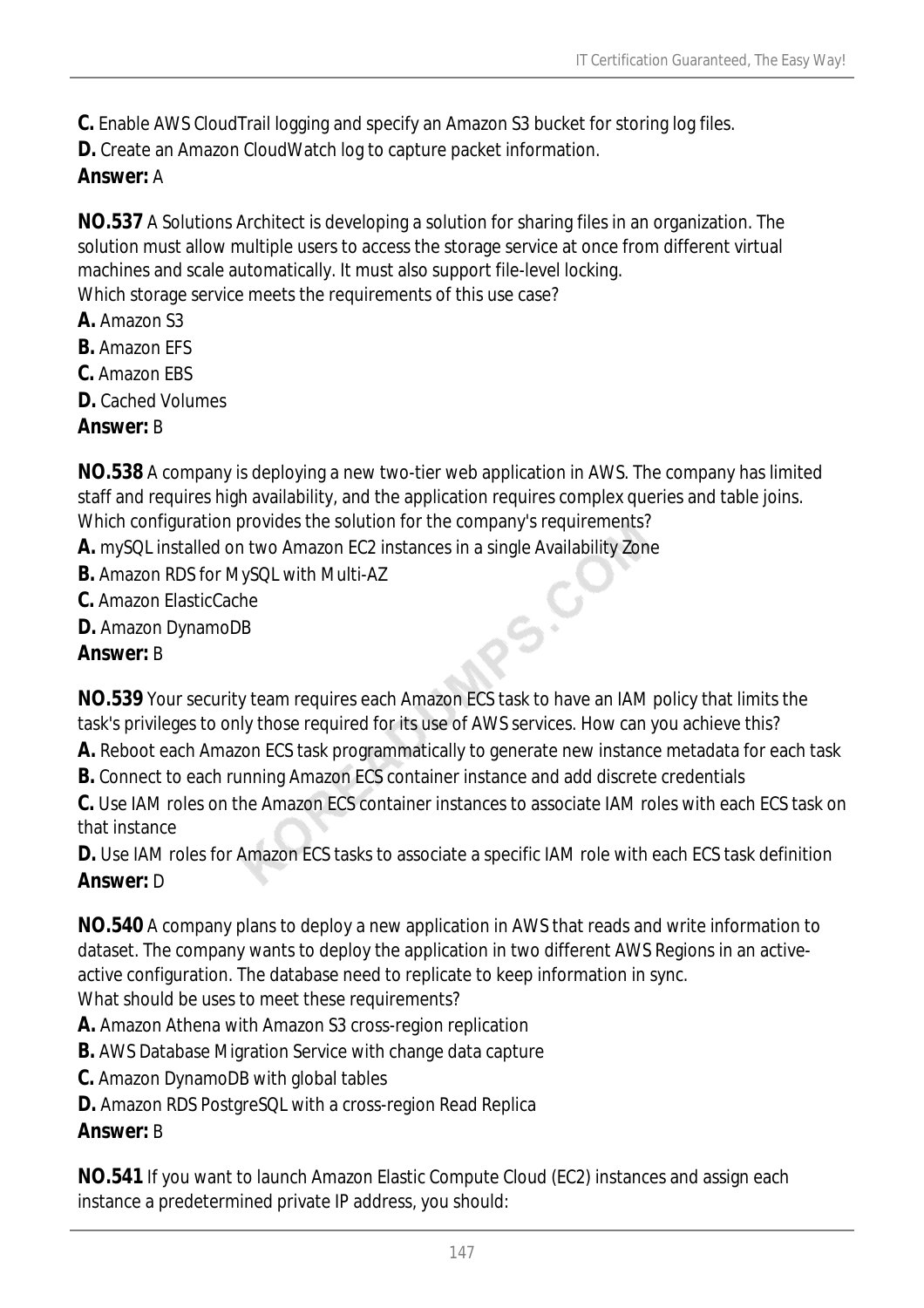**C.** Enable AWS CloudTrail logging and specify an Amazon S3 bucket for storing log files.

**D.** Create an Amazon CloudWatch log to capture packet information.

# *Answer:* A

**NO.537** A Solutions Architect is developing a solution for sharing files in an organization. The solution must allow multiple users to access the storage service at once from different virtual machines and scale automatically. It must also support file-level locking. Which storage service meets the requirements of this use case?

- **A.** Amazon S3
- **B.** Amazon EFS
- **C.** Amazon EBS
- **D.** Cached Volumes
- *Answer:* B

**NO.538** A company is deploying a new two-tier web application in AWS. The company has limited staff and requires high availability, and the application requires complex queries and table joins. Which configuration provides the solution for the company's requirements?

- **A.** mySQL installed on two Amazon EC2 instances in a single Availability Zone
- **B.** Amazon RDS for MySQL with Multi-AZ
- **C.** Amazon ElasticCache
- **D.** Amazon DynamoDB

#### *Answer:* B

**NO.539** Your security team requires each Amazon ECS task to have an IAM policy that limits the task's privileges to only those required for its use of AWS services. How can you achieve this?

**A.** Reboot each Amazon ECS task programmatically to generate new instance metadata for each task

os.C

**B.** Connect to each running Amazon ECS container instance and add discrete credentials

**C.** Use IAM roles on the Amazon ECS container instances to associate IAM roles with each ECS task on that instance

**D.** Use IAM roles for Amazon ECS tasks to associate a specific IAM role with each ECS task definition *Answer:* D

**NO.540** A company plans to deploy a new application in AWS that reads and write information to dataset. The company wants to deploy the application in two different AWS Regions in an activeactive configuration. The database need to replicate to keep information in sync. What should be uses to meet these requirements?

- **A.** Amazon Athena with Amazon S3 cross-region replication
- **B.** AWS Database Migration Service with change data capture
- **C.** Amazon DynamoDB with global tables
- **D.** Amazon RDS PostgreSQL with a cross-region Read Replica

## *Answer:* B

**NO.541** If you want to launch Amazon Elastic Compute Cloud (EC2) instances and assign each instance a predetermined private IP address, you should: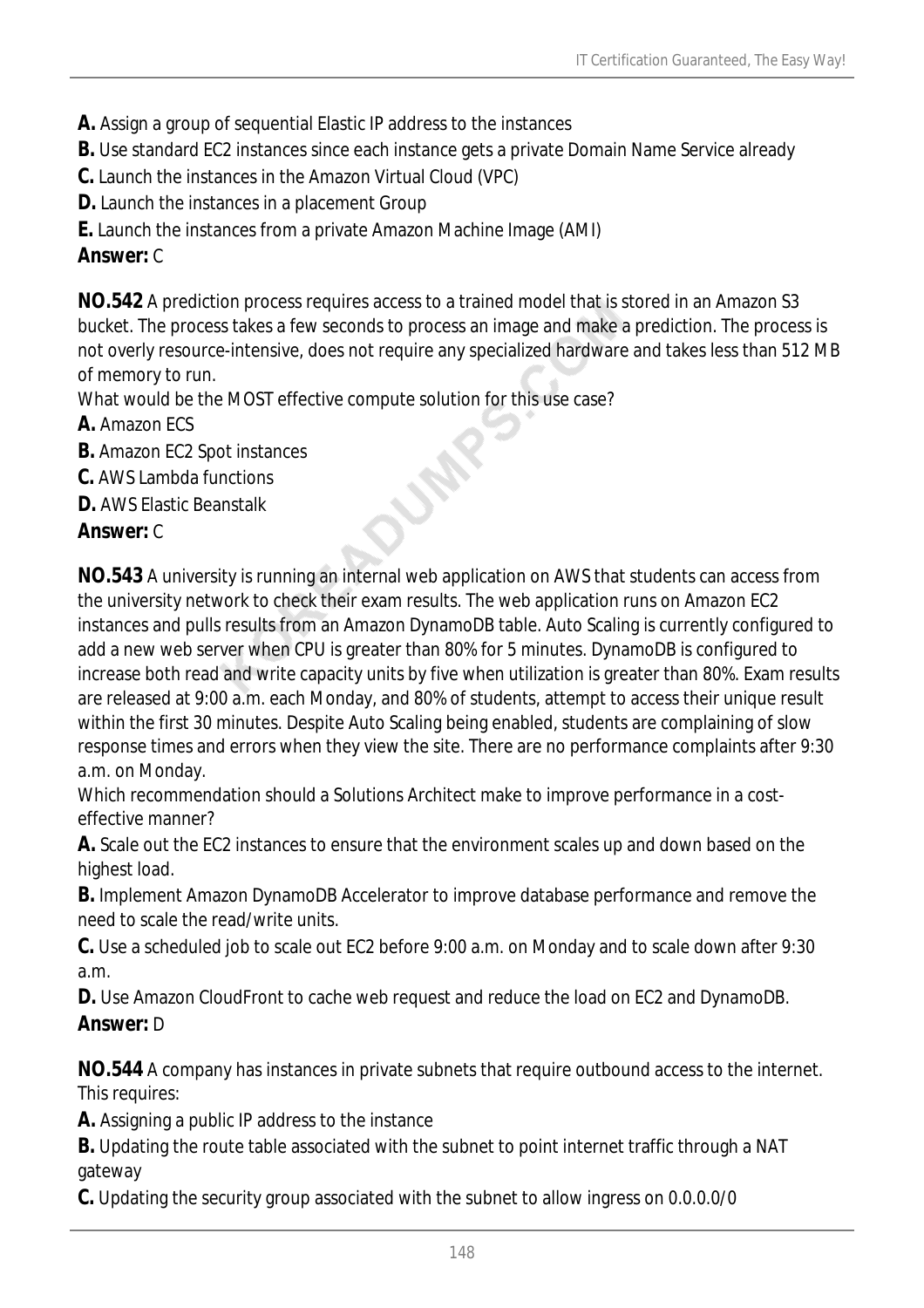- **A.** Assign a group of sequential Elastic IP address to the instances
- **B.** Use standard EC2 instances since each instance gets a private Domain Name Service already
- **C.** Launch the instances in the Amazon Virtual Cloud (VPC)
- **D.** Launch the instances in a placement Group
- **E.** Launch the instances from a private Amazon Machine Image (AMI)

## *Answer:* C

**NO.542** A prediction process requires access to a trained model that is stored in an Amazon S3 bucket. The process takes a few seconds to process an image and make a prediction. The process is not overly resource-intensive, does not require any specialized hardware and takes less than 512 MB of memory to run.

What would be the MOST effective compute solution for this use case?

- **A.** Amazon ECS
- **B.** Amazon EC2 Spot instances
- **C.** AWS Lambda functions
- **D.** AWS Elastic Beanstalk

## *Answer:* C

**NO.543** A university is running an internal web application on AWS that students can access from the university network to check their exam results. The web application runs on Amazon EC2 instances and pulls results from an Amazon DynamoDB table. Auto Scaling is currently configured to add a new web server when CPU is greater than 80% for 5 minutes. DynamoDB is configured to increase both read and write capacity units by five when utilization is greater than 80%. Exam results are released at 9:00 a.m. each Monday, and 80% of students, attempt to access their unique result within the first 30 minutes. Despite Auto Scaling being enabled, students are complaining of slow response times and errors when they view the site. There are no performance complaints after 9:30 a.m. on Monday.

Which recommendation should a Solutions Architect make to improve performance in a costeffective manner?

**A.** Scale out the EC2 instances to ensure that the environment scales up and down based on the highest load.

**B.** Implement Amazon DynamoDB Accelerator to improve database performance and remove the need to scale the read/write units.

**C.** Use a scheduled job to scale out EC2 before 9:00 a.m. on Monday and to scale down after 9:30 a.m.

**D.** Use Amazon CloudFront to cache web request and reduce the load on EC2 and DynamoDB. *Answer:* D

**NO.544** A company has instances in private subnets that require outbound access to the internet. This requires:

**A.** Assigning a public IP address to the instance

**B.** Updating the route table associated with the subnet to point internet traffic through a NAT gateway

**C.** Updating the security group associated with the subnet to allow ingress on 0.0.0.0/0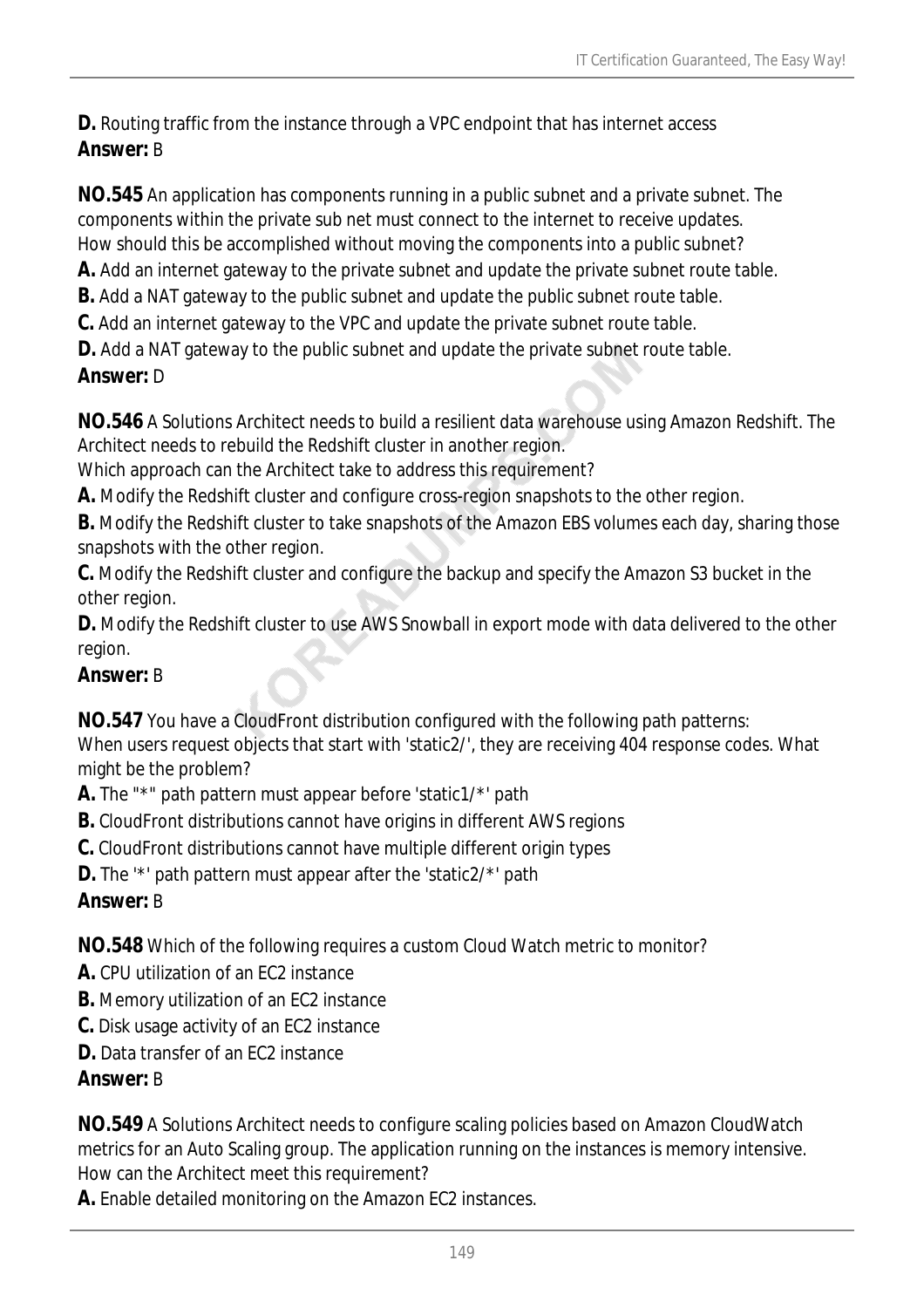**D.** Routing traffic from the instance through a VPC endpoint that has internet access *Answer:* B

**NO.545** An application has components running in a public subnet and a private subnet. The components within the private sub net must connect to the internet to receive updates. How should this be accomplished without moving the components into a public subnet?

**A.** Add an internet gateway to the private subnet and update the private subnet route table.

**B.** Add a NAT gateway to the public subnet and update the public subnet route table.

**C.** Add an internet gateway to the VPC and update the private subnet route table.

**D.** Add a NAT gateway to the public subnet and update the private subnet route table.

#### *Answer:* D

**NO.546** A Solutions Architect needs to build a resilient data warehouse using Amazon Redshift. The Architect needs to rebuild the Redshift cluster in another region.

Which approach can the Architect take to address this requirement?

**A.** Modify the Redshift cluster and configure cross-region snapshots to the other region.

**B.** Modify the Redshift cluster to take snapshots of the Amazon EBS volumes each day, sharing those snapshots with the other region.

**C.** Modify the Redshift cluster and configure the backup and specify the Amazon S3 bucket in the other region.

**D.** Modify the Redshift cluster to use AWS Snowball in export mode with data delivered to the other region.

## *Answer:* B

**NO.547** You have a CloudFront distribution configured with the following path patterns: When users request objects that start with 'static2/', they are receiving 404 response codes. What might be the problem?

**A.** The "\*" path pattern must appear before 'static1/\*' path

**B.** CloudFront distributions cannot have origins in different AWS regions

**C.** CloudFront distributions cannot have multiple different origin types

**D.** The '\*' path pattern must appear after the 'static2/\*' path

## *Answer:* B

**NO.548** Which of the following requires a custom Cloud Watch metric to monitor?

- **A.** CPU utilization of an EC2 instance
- **B.** Memory utilization of an EC2 instance
- **C.** Disk usage activity of an EC2 instance
- **D.** Data transfer of an EC2 instance

## *Answer:* B

**NO.549** A Solutions Architect needs to configure scaling policies based on Amazon CloudWatch metrics for an Auto Scaling group. The application running on the instances is memory intensive. How can the Architect meet this requirement?

**A.** Enable detailed monitoring on the Amazon EC2 instances.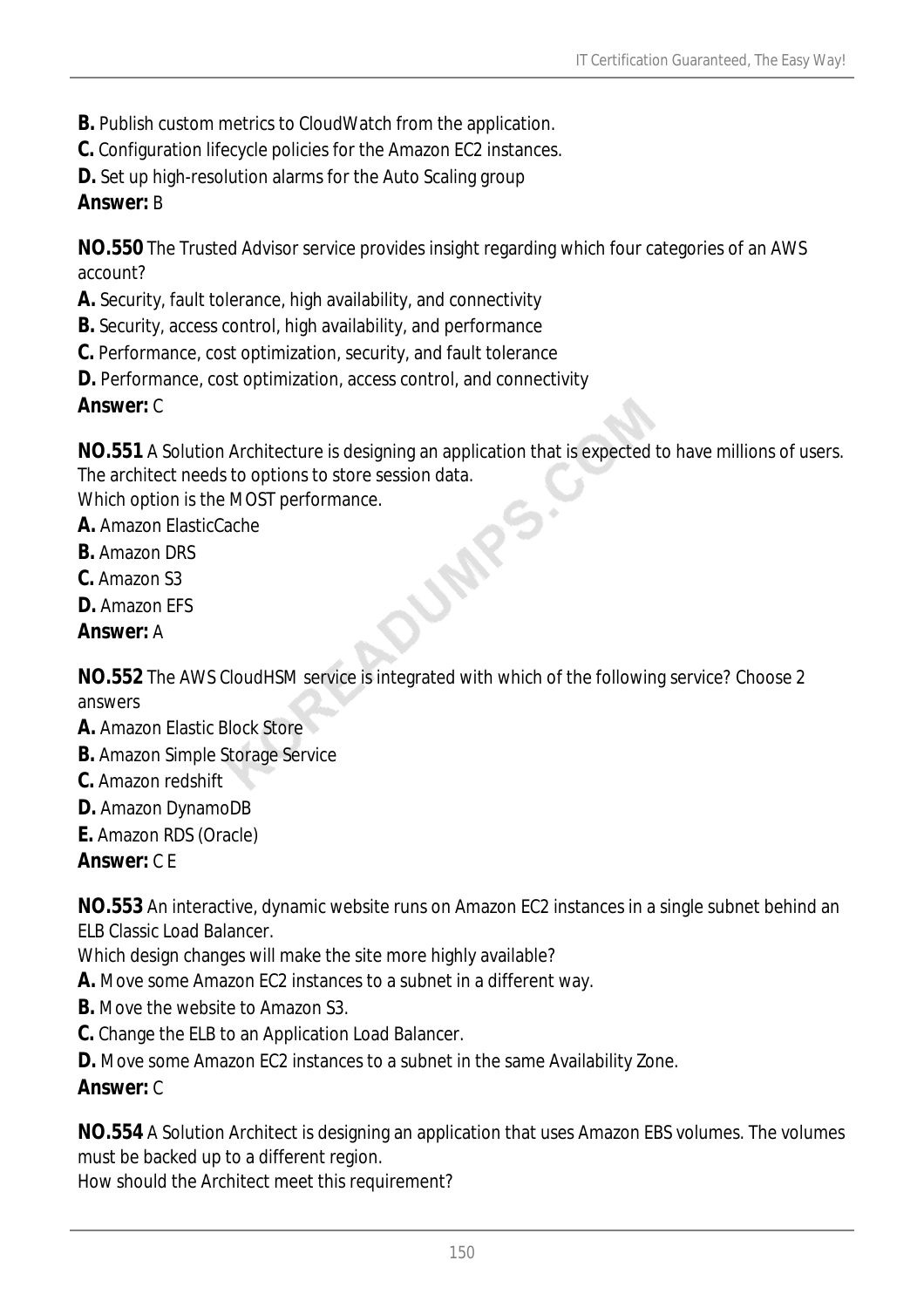- **B.** Publish custom metrics to CloudWatch from the application.
- **C.** Configuration lifecycle policies for the Amazon EC2 instances.
- **D.** Set up high-resolution alarms for the Auto Scaling group

## *Answer:* B

**NO.550** The Trusted Advisor service provides insight regarding which four categories of an AWS account?

- **A.** Security, fault tolerance, high availability, and connectivity
- **B.** Security, access control, high availability, and performance
- **C.** Performance, cost optimization, security, and fault tolerance
- **D.** Performance, cost optimization, access control, and connectivity

## *Answer:* C

**NO.551** A Solution Architecture is designing an application that is expected to have millions of users. The architect needs to options to store session data.

LAR

Which option is the MOST performance.

**A.** Amazon ElasticCache

- **B.** Amazon DRS
- **C.** Amazon S3
- **D.** Amazon EFS
- *Answer:* A

**NO.552** The AWS CloudHSM service is integrated with which of the following service? Choose 2 answers

- **A.** Amazon Elastic Block Store
- **B.** Amazon Simple Storage Service
- **C.** Amazon redshift
- **D.** Amazon DynamoDB
- **E.** Amazon RDS (Oracle)

*Answer:* C E

**NO.553** An interactive, dynamic website runs on Amazon EC2 instances in a single subnet behind an ELB Classic Load Balancer.

Which design changes will make the site more highly available?

- **A.** Move some Amazon EC2 instances to a subnet in a different way.
- **B.** Move the website to Amazon S3.
- **C.** Change the ELB to an Application Load Balancer.
- **D.** Move some Amazon EC2 instances to a subnet in the same Availability Zone.

## *Answer:* C

**NO.554** A Solution Architect is designing an application that uses Amazon EBS volumes. The volumes must be backed up to a different region.

How should the Architect meet this requirement?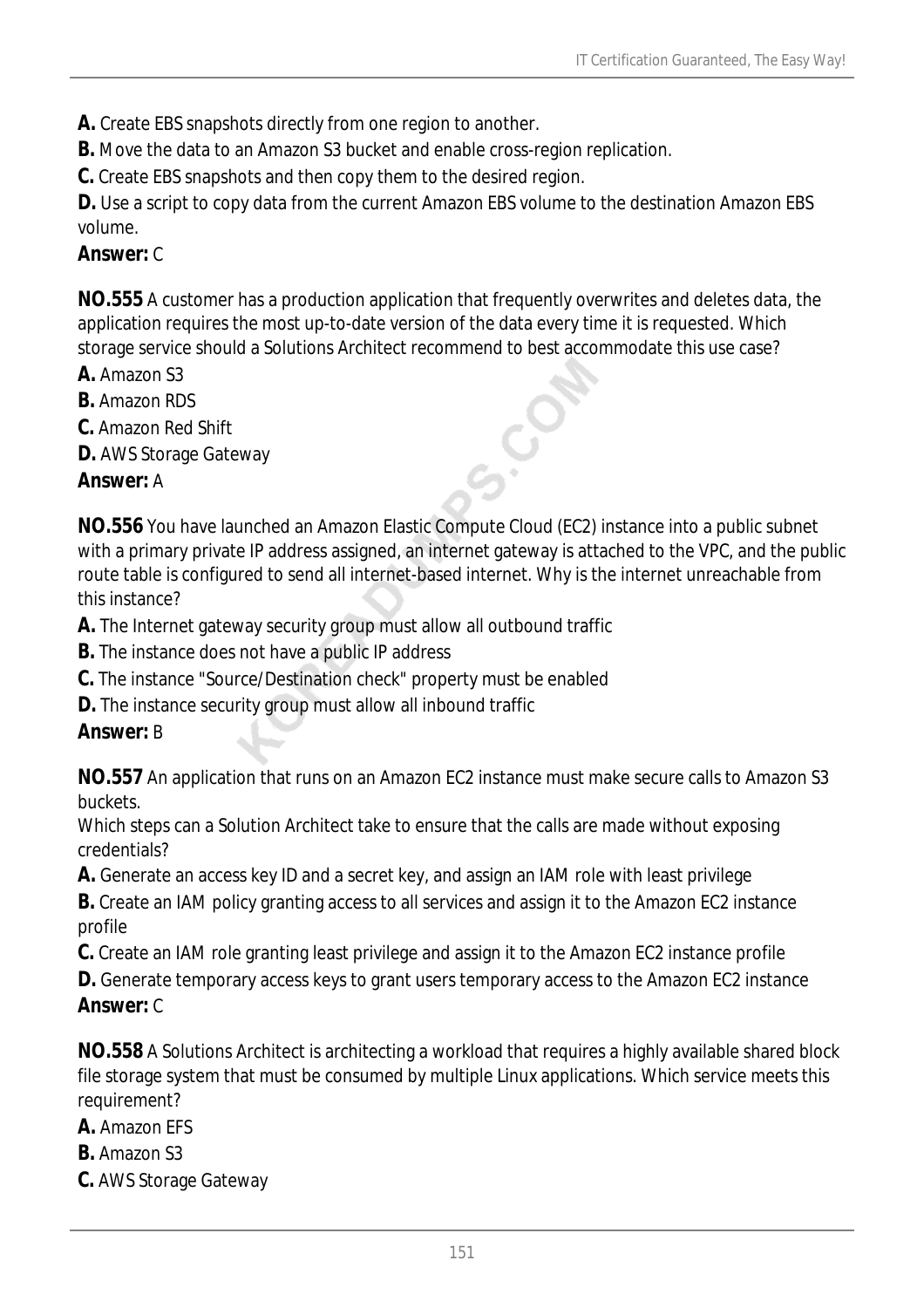**A.** Create EBS snapshots directly from one region to another.

**B.** Move the data to an Amazon S3 bucket and enable cross-region replication.

**C.** Create EBS snapshots and then copy them to the desired region.

**D.** Use a script to copy data from the current Amazon EBS volume to the destination Amazon EBS volume.

## *Answer:* C

**NO.555** A customer has a production application that frequently overwrites and deletes data, the application requires the most up-to-date version of the data every time it is requested. Which storage service should a Solutions Architect recommend to best accommodate this use case?

- **A.** Amazon S3
- **B.** Amazon RDS
- **C.** Amazon Red Shift
- **D.** AWS Storage Gateway

#### *Answer:* A

**NO.556** You have launched an Amazon Elastic Compute Cloud (EC2) instance into a public subnet with a primary private IP address assigned, an internet gateway is attached to the VPC, and the public route table is configured to send all internet-based internet. Why is the internet unreachable from this instance?

**A.** The Internet gateway security group must allow all outbound traffic

- **B.** The instance does not have a public IP address
- **C.** The instance "Source/Destination check" property must be enabled
- **D.** The instance security group must allow all inbound traffic

## *Answer:* B

**NO.557** An application that runs on an Amazon EC2 instance must make secure calls to Amazon S3 buckets.

Which steps can a Solution Architect take to ensure that the calls are made without exposing credentials?

**A.** Generate an access key ID and a secret key, and assign an IAM role with least privilege

**B.** Create an IAM policy granting access to all services and assign it to the Amazon EC2 instance profile

**C.** Create an IAM role granting least privilege and assign it to the Amazon EC2 instance profile

**D.** Generate temporary access keys to grant users temporary access to the Amazon EC2 instance *Answer:* C

**NO.558** A Solutions Architect is architecting a workload that requires a highly available shared block file storage system that must be consumed by multiple Linux applications. Which service meets this requirement?

**A.** Amazon EFS

- **B.** Amazon S3
- **C.** AWS Storage Gateway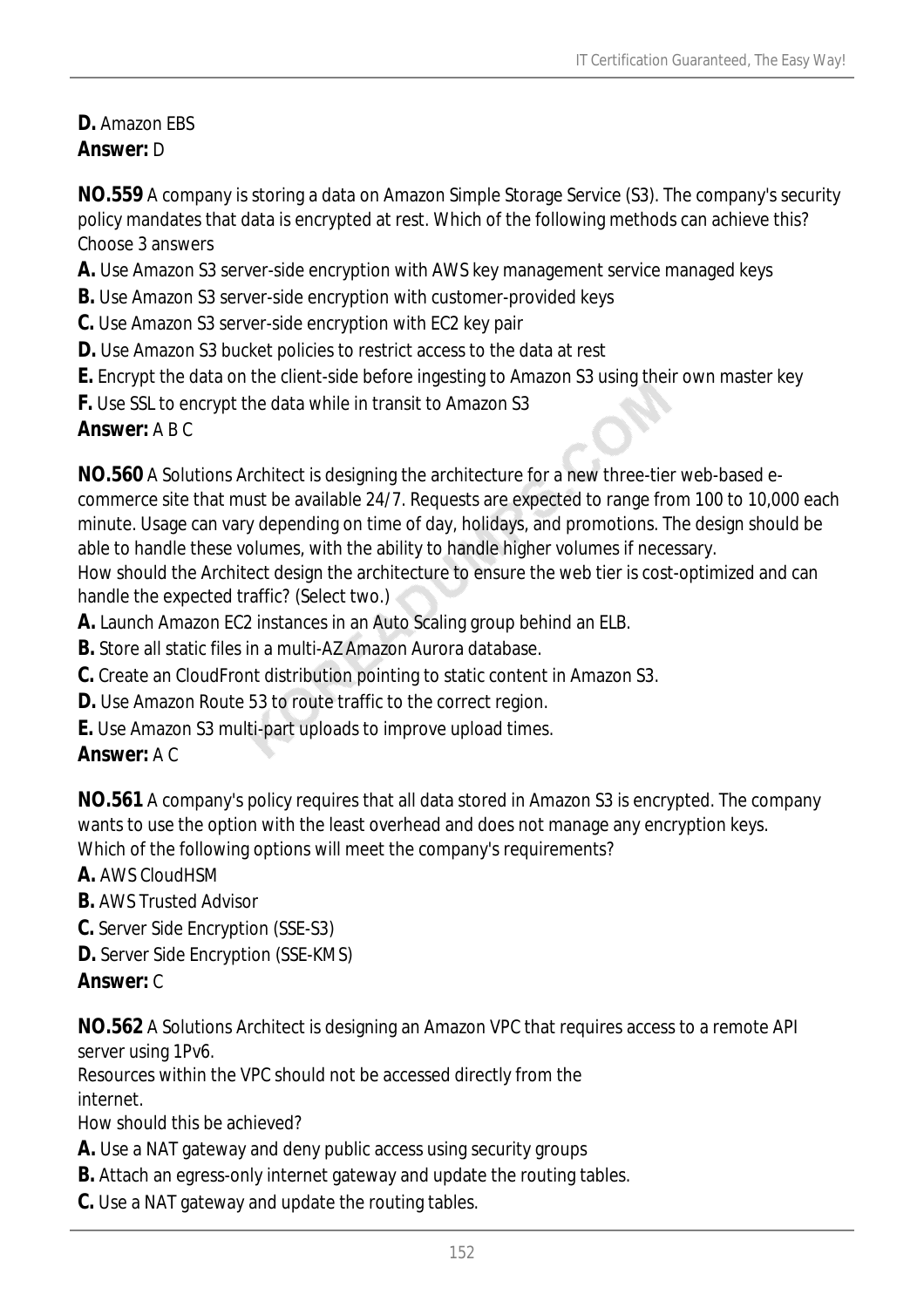## **D.** Amazon EBS *Answer:* D

**NO.559** A company is storing a data on Amazon Simple Storage Service (S3). The company's security policy mandates that data is encrypted at rest. Which of the following methods can achieve this? Choose 3 answers

- **A.** Use Amazon S3 server-side encryption with AWS key management service managed keys
- **B.** Use Amazon S3 server-side encryption with customer-provided keys
- **C.** Use Amazon S3 server-side encryption with EC2 key pair
- **D.** Use Amazon S3 bucket policies to restrict access to the data at rest
- **E.** Encrypt the data on the client-side before ingesting to Amazon S3 using their own master key
- **F.** Use SSL to encrypt the data while in transit to Amazon S3

#### *Answer:* A B C

**NO.560** A Solutions Architect is designing the architecture for a new three-tier web-based ecommerce site that must be available 24/7. Requests are expected to range from 100 to 10,000 each minute. Usage can vary depending on time of day, holidays, and promotions. The design should be able to handle these volumes, with the ability to handle higher volumes if necessary.

How should the Architect design the architecture to ensure the web tier is cost-optimized and can handle the expected traffic? (Select two.)

- **A.** Launch Amazon EC2 instances in an Auto Scaling group behind an ELB.
- **B.** Store all static files in a multi-AZ Amazon Aurora database.
- **C.** Create an CloudFront distribution pointing to static content in Amazon S3.
- **D.** Use Amazon Route 53 to route traffic to the correct region.
- **E.** Use Amazon S3 multi-part uploads to improve upload times.

## *Answer:* A C

**NO.561** A company's policy requires that all data stored in Amazon S3 is encrypted. The company wants to use the option with the least overhead and does not manage any encryption keys. Which of the following options will meet the company's requirements?

**A.** AWS CloudHSM

**B.** AWS Trusted Advisor

- **C.** Server Side Encryption (SSE-S3)
- **D.** Server Side Encryption (SSE-KMS)

## *Answer:* C

**NO.562** A Solutions Architect is designing an Amazon VPC that requires access to a remote API server using 1Pv6.

Resources within the VPC should not be accessed directly from the internet.

How should this be achieved?

- **A.** Use a NAT gateway and deny public access using security groups
- **B.** Attach an egress-only internet gateway and update the routing tables.
- **C.** Use a NAT gateway and update the routing tables.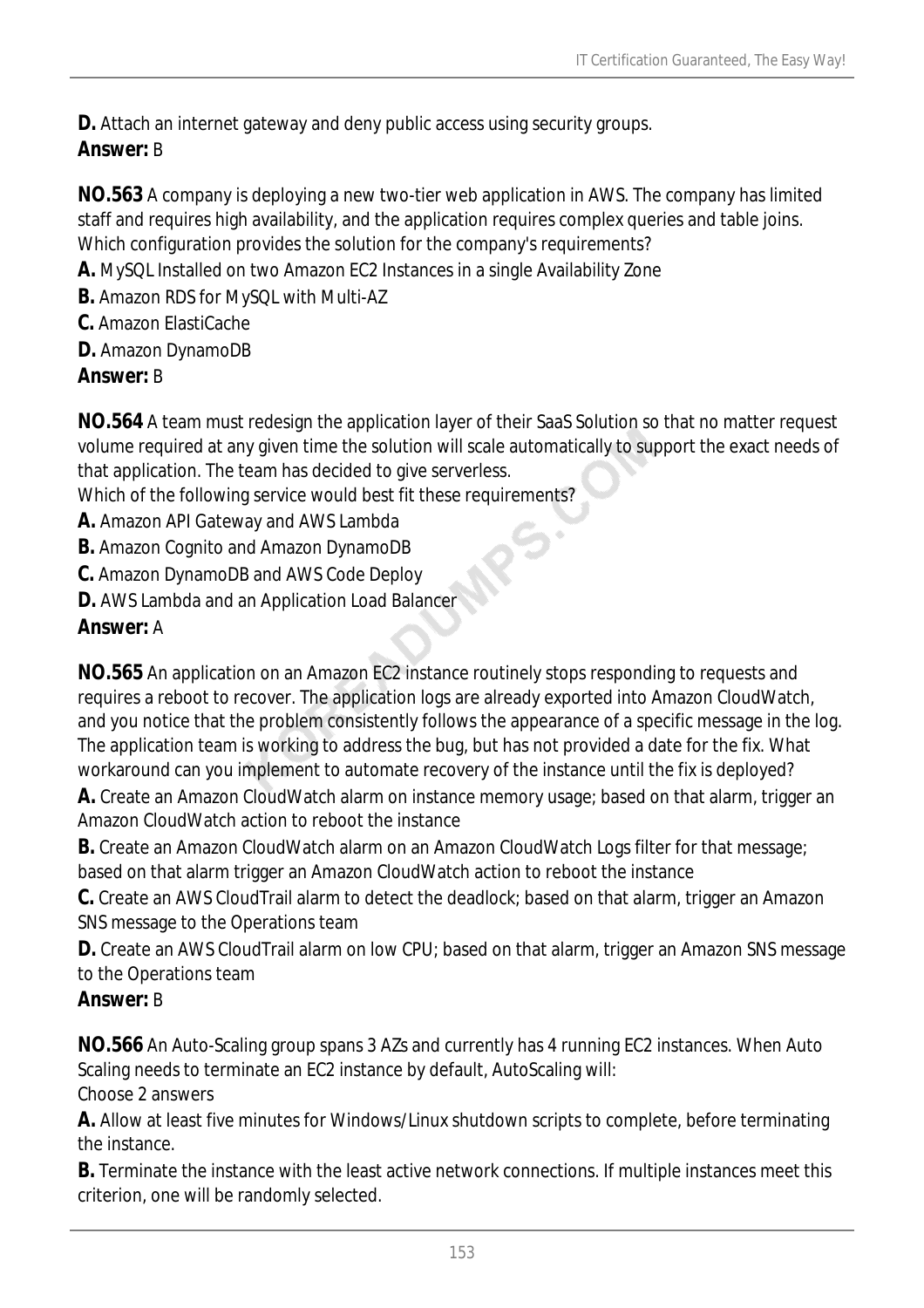**D.** Attach an internet gateway and deny public access using security groups. *Answer:* B

**NO.563** A company is deploying a new two-tier web application in AWS. The company has limited staff and requires high availability, and the application requires complex queries and table joins. Which configuration provides the solution for the company's requirements?

- **A.** MySQL Installed on two Amazon EC2 Instances in a single Availability Zone
- **B.** Amazon RDS for MySQL with Multi-AZ
- **C.** Amazon ElastiCache
- **D.** Amazon DynamoDB

## *Answer:* B

**NO.564** A team must redesign the application layer of their SaaS Solution so that no matter request volume required at any given time the solution will scale automatically to support the exact needs of that application. The team has decided to give serverless.

Which of the following service would best fit these requirements?

- **A.** Amazon API Gateway and AWS Lambda
- **B.** Amazon Cognito and Amazon DynamoDB
- **C.** Amazon DynamoDB and AWS Code Deploy
- **D.** AWS Lambda and an Application Load Balancer

# *Answer:* A

**NO.565** An application on an Amazon EC2 instance routinely stops responding to requests and requires a reboot to recover. The application logs are already exported into Amazon CloudWatch, and you notice that the problem consistently follows the appearance of a specific message in the log. The application team is working to address the bug, but has not provided a date for the fix. What workaround can you implement to automate recovery of the instance until the fix is deployed?

**A.** Create an Amazon CloudWatch alarm on instance memory usage; based on that alarm, trigger an Amazon CloudWatch action to reboot the instance

**B.** Create an Amazon CloudWatch alarm on an Amazon CloudWatch Logs filter for that message; based on that alarm trigger an Amazon CloudWatch action to reboot the instance

**C.** Create an AWS CloudTrail alarm to detect the deadlock; based on that alarm, trigger an Amazon SNS message to the Operations team

**D.** Create an AWS CloudTrail alarm on low CPU; based on that alarm, trigger an Amazon SNS message to the Operations team

## *Answer:* B

**NO.566** An Auto-Scaling group spans 3 AZs and currently has 4 running EC2 instances. When Auto Scaling needs to terminate an EC2 instance by default, AutoScaling will: Choose 2 answers

**A.** Allow at least five minutes for Windows/Linux shutdown scripts to complete, before terminating the instance.

**B.** Terminate the instance with the least active network connections. If multiple instances meet this criterion, one will be randomly selected.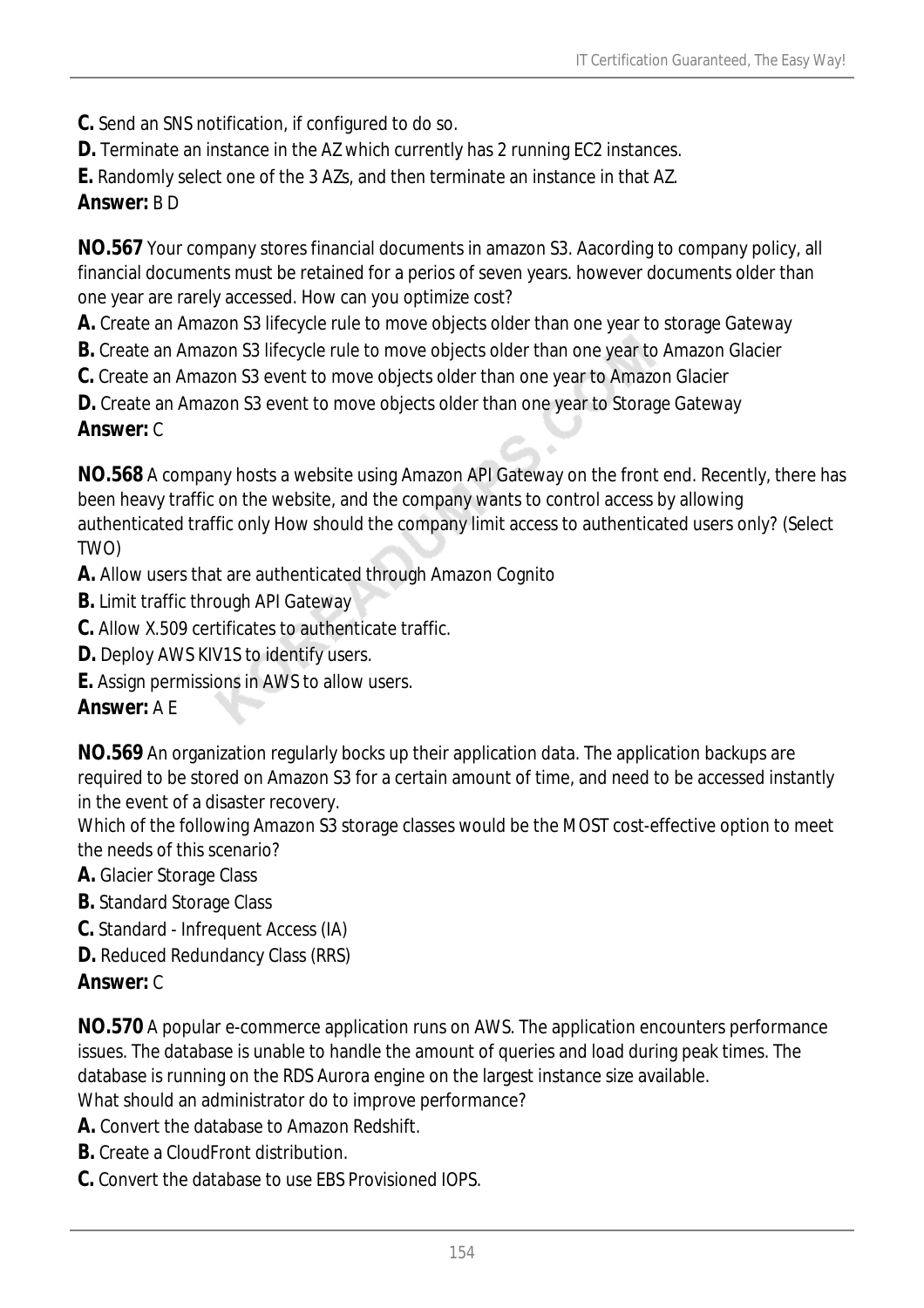- **C.** Send an SNS notification, if configured to do so.
- **D.** Terminate an instance in the AZ which currently has 2 running EC2 instances.
- **E.** Randomly select one of the 3 AZs, and then terminate an instance in that AZ.

#### *Answer:* B D

**NO.567** Your company stores financial documents in amazon S3. Aacording to company policy, all financial documents must be retained for a perios of seven years. however documents older than one year are rarely accessed. How can you optimize cost?

**A.** Create an Amazon S3 lifecycle rule to move objects older than one year to storage Gateway

- **B.** Create an Amazon S3 lifecycle rule to move objects older than one year to Amazon Glacier
- **C.** Create an Amazon S3 event to move objects older than one year to Amazon Glacier

**D.** Create an Amazon S3 event to move objects older than one year to Storage Gateway

#### *Answer:* C

**NO.568** A company hosts a website using Amazon API Gateway on the front end. Recently, there has been heavy traffic on the website, and the company wants to control access by allowing authenticated traffic only How should the company limit access to authenticated users only? (Select TWO)

- **A.** Allow users that are authenticated through Amazon Cognito
- **B.** Limit traffic through API Gateway
- **C.** Allow X.509 certificates to authenticate traffic.
- **D.** Deploy AWS KIV1S to identify users.
- **E.** Assign permissions in AWS to allow users.

## *Answer:* A E

**NO.569** An organization regularly bocks up their application data. The application backups are required to be stored on Amazon S3 for a certain amount of time, and need to be accessed instantly in the event of a disaster recovery.

Which of the following Amazon S3 storage classes would be the MOST cost-effective option to meet the needs of this scenario?

- **A.** Glacier Storage Class
- **B.** Standard Storage Class
- **C.** Standard Infrequent Access (IA)
- **D.** Reduced Redundancy Class (RRS)

## *Answer:* C

**NO.570** A popular e-commerce application runs on AWS. The application encounters performance issues. The database is unable to handle the amount of queries and load during peak times. The database is running on the RDS Aurora engine on the largest instance size available. What should an administrator do to improve performance?

- **A.** Convert the database to Amazon Redshift.
- **B.** Create a CloudFront distribution.
- **C.** Convert the database to use EBS Provisioned IOPS.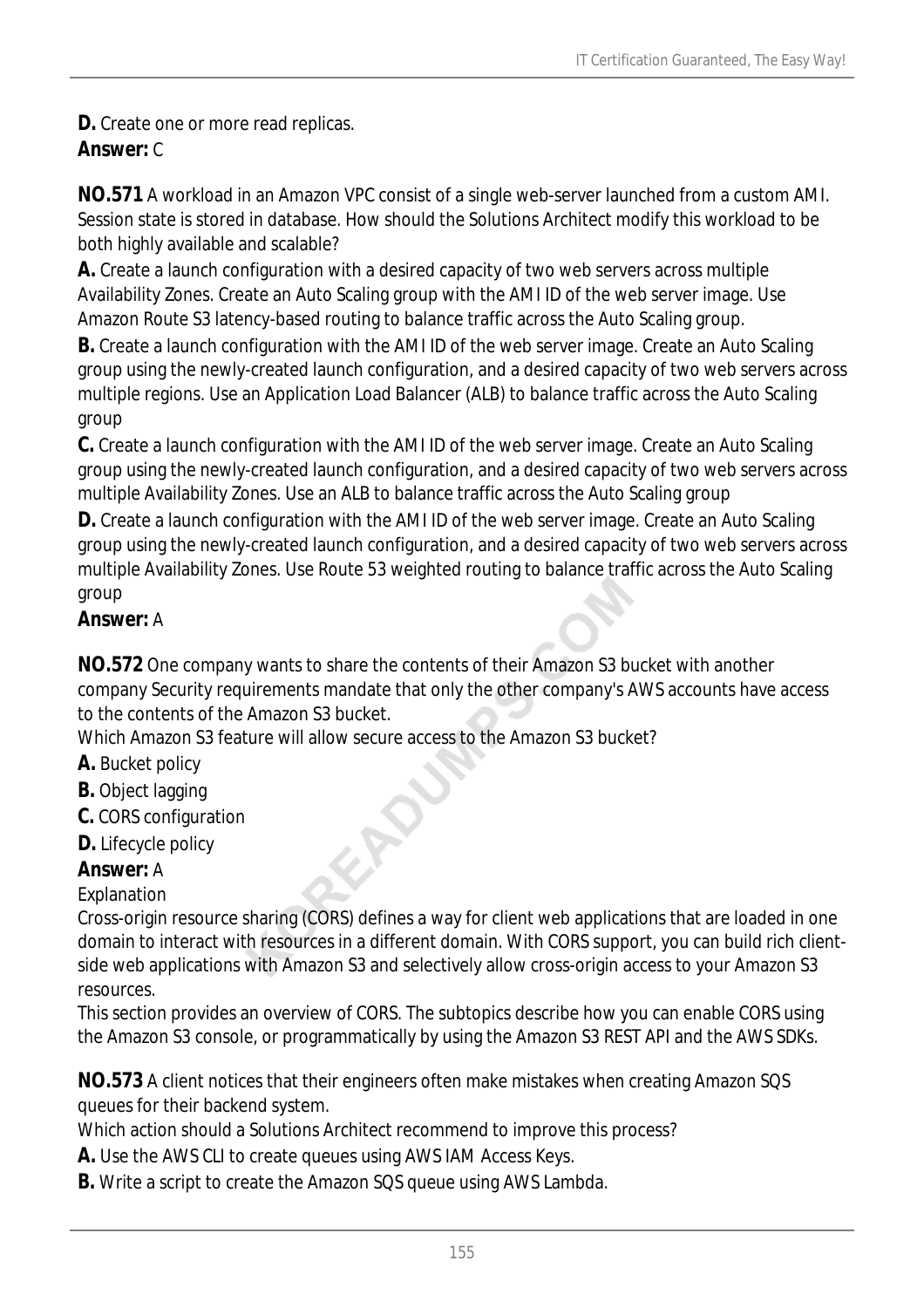**D.** Create one or more read replicas.

# *Answer:* C

**NO.571** A workload in an Amazon VPC consist of a single web-server launched from a custom AMI. Session state is stored in database. How should the Solutions Architect modify this workload to be both highly available and scalable?

**A.** Create a launch configuration with a desired capacity of two web servers across multiple Availability Zones. Create an Auto Scaling group with the AMI ID of the web server image. Use Amazon Route S3 latency-based routing to balance traffic across the Auto Scaling group.

**B.** Create a launch configuration with the AMI ID of the web server image. Create an Auto Scaling group using the newly-created launch configuration, and a desired capacity of two web servers across multiple regions. Use an Application Load Balancer (ALB) to balance traffic across the Auto Scaling group

**C.** Create a launch configuration with the AMI ID of the web server image. Create an Auto Scaling group using the newly-created launch configuration, and a desired capacity of two web servers across multiple Availability Zones. Use an ALB to balance traffic across the Auto Scaling group

**D.** Create a launch configuration with the AMI ID of the web server image. Create an Auto Scaling group using the newly-created launch configuration, and a desired capacity of two web servers across multiple Availability Zones. Use Route 53 weighted routing to balance traffic across the Auto Scaling group

# *Answer:* A

**NO.572** One company wants to share the contents of their Amazon S3 bucket with another company Security requirements mandate that only the other company's AWS accounts have access to the contents of the Amazon S3 bucket.

Which Amazon S3 feature will allow secure access to the Amazon S3 bucket?

- **A.** Bucket policy
- **B.** Object lagging
- **C.** CORS configuration
- **D.** Lifecycle policy

# *Answer:* A

## Explanation

Cross-origin resource sharing (CORS) defines a way for client web applications that are loaded in one domain to interact with resources in a different domain. With CORS support, you can build rich clientside web applications with Amazon S3 and selectively allow cross-origin access to your Amazon S3 resources.

This section provides an overview of CORS. The subtopics describe how you can enable CORS using the Amazon S3 console, or programmatically by using the Amazon S3 REST API and the AWS SDKs.

**NO.573** A client notices that their engineers often make mistakes when creating Amazon SQS queues for their backend system.

Which action should a Solutions Architect recommend to improve this process?

- **A.** Use the AWS CLI to create queues using AWS IAM Access Keys.
- **B.** Write a script to create the Amazon SQS queue using AWS Lambda.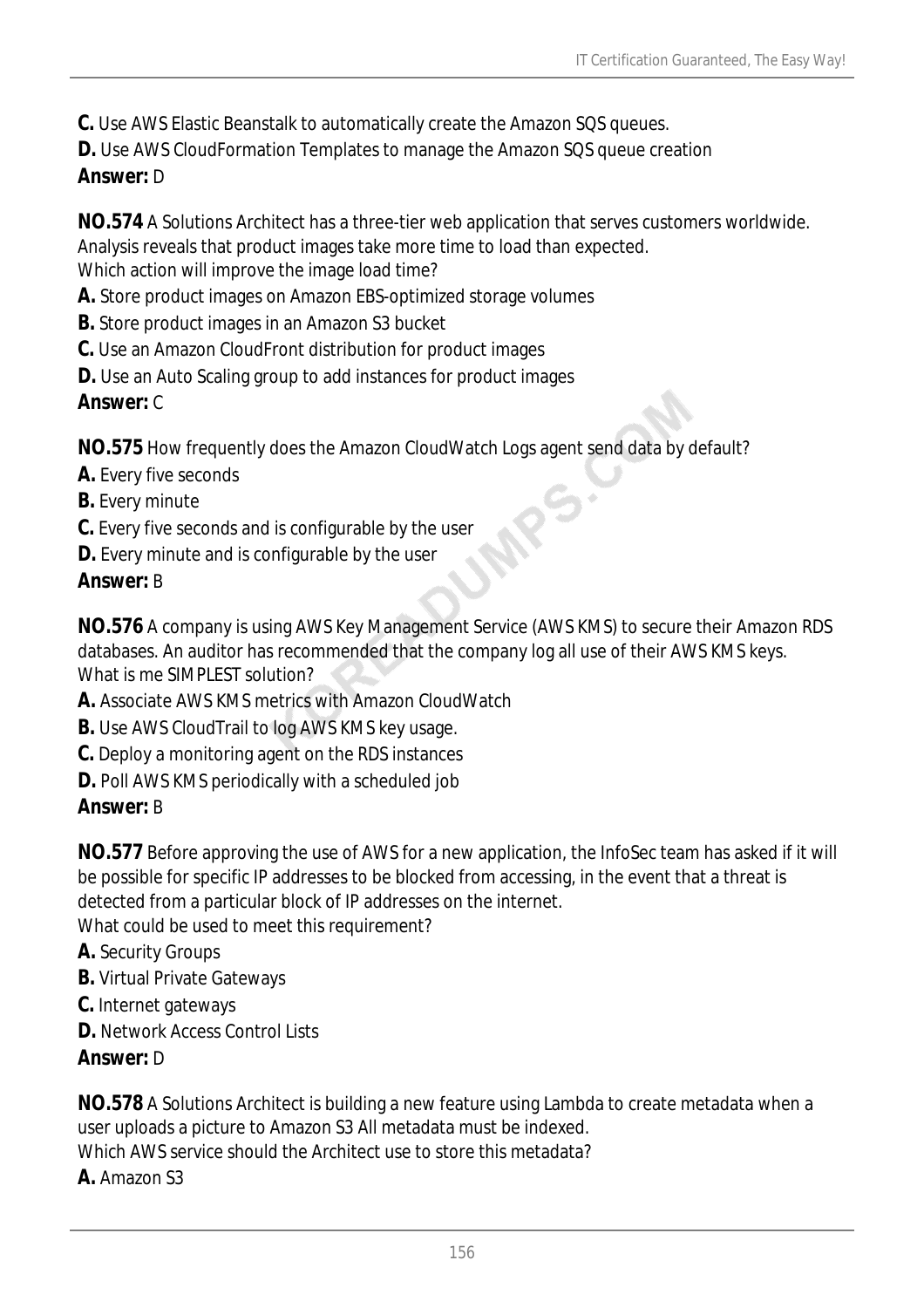**C.** Use AWS Elastic Beanstalk to automatically create the Amazon SQS queues.

**D.** Use AWS CloudFormation Templates to manage the Amazon SQS queue creation

#### *Answer:* D

**NO.574** A Solutions Architect has a three-tier web application that serves customers worldwide. Analysis reveals that product images take more time to load than expected.

Which action will improve the image load time?

- **A.** Store product images on Amazon EBS-optimized storage volumes
- **B.** Store product images in an Amazon S3 bucket
- **C.** Use an Amazon CloudFront distribution for product images
- **D.** Use an Auto Scaling group to add instances for product images

## *Answer:* C

**NO.575** How frequently does the Amazon CloudWatch Logs agent send data by default?

- **A.** Every five seconds
- **B.** Every minute
- **C.** Every five seconds and is configurable by the user
- **D.** Every minute and is configurable by the user

## *Answer:* B

**NO.576** A company is using AWS Key Management Service (AWS KMS) to secure their Amazon RDS databases. An auditor has recommended that the company log all use of their AWS KMS keys. What is me SIMPLEST solution?

- **A.** Associate AWS KMS metrics with Amazon CloudWatch
- **B.** Use AWS CloudTrail to log AWS KMS key usage.
- **C.** Deploy a monitoring agent on the RDS instances
- **D.** Poll AWS KMS periodically with a scheduled job

## *Answer:* B

**NO.577** Before approving the use of AWS for a new application, the InfoSec team has asked if it will be possible for specific IP addresses to be blocked from accessing, in the event that a threat is detected from a particular block of IP addresses on the internet.

What could be used to meet this requirement?

- **A.** Security Groups
- **B.** Virtual Private Gateways
- **C.** Internet gateways
- **D.** Network Access Control Lists
- *Answer:* D

**NO.578** A Solutions Architect is building a new feature using Lambda to create metadata when a user uploads a picture to Amazon S3 All metadata must be indexed.

Which AWS service should the Architect use to store this metadata?

**A.** Amazon S3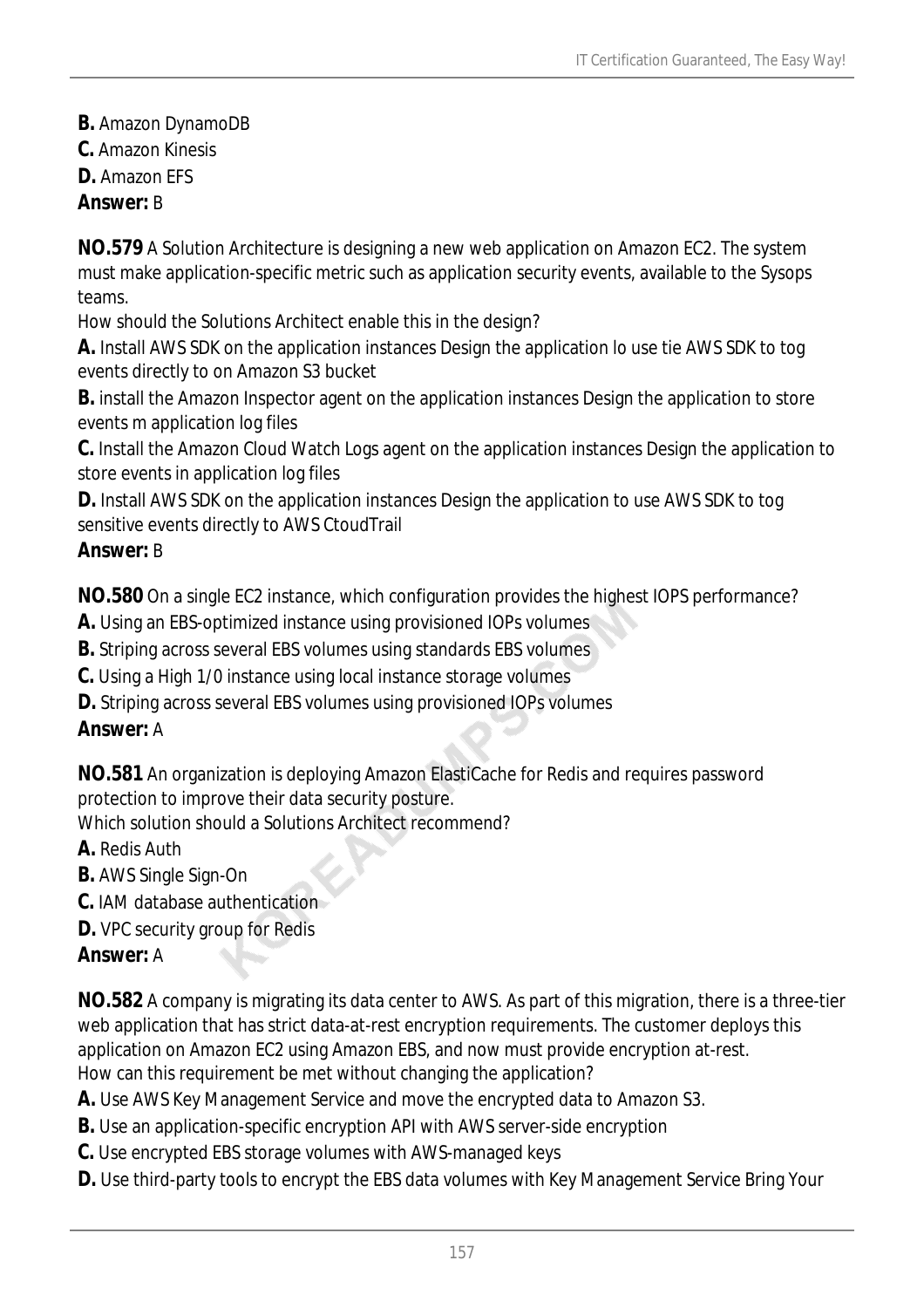- **B.** Amazon DynamoDB
- **C.** Amazon Kinesis
- **D.** Amazon EFS

#### *Answer:* B

**NO.579** A Solution Architecture is designing a new web application on Amazon EC2. The system must make application-specific metric such as application security events, available to the Sysops teams.

How should the Solutions Architect enable this in the design?

**A.** Install AWS SDK on the application instances Design the application lo use tie AWS SDK to tog events directly to on Amazon S3 bucket

**B.** install the Amazon Inspector agent on the application instances Design the application to store events m application log files

**C.** Install the Amazon Cloud Watch Logs agent on the application instances Design the application to store events in application log files

**D.** Install AWS SDK on the application instances Design the application to use AWS SDK to tog sensitive events directly to AWS CtoudTrail

## *Answer:* B

**NO.580** On a single EC2 instance, which configuration provides the highest IOPS performance?

- **A.** Using an EBS-optimized instance using provisioned IOPs volumes
- **B.** Striping across several EBS volumes using standards EBS volumes
- **C.** Using a High 1/0 instance using local instance storage volumes
- **D.** Striping across several EBS volumes using provisioned IOPs volumes

## *Answer:* A

**NO.581** An organization is deploying Amazon ElastiCache for Redis and requires password protection to improve their data security posture.

Which solution should a Solutions Architect recommend?

- **A.** Redis Auth
- **B.** AWS Single Sign-On
- **C.** IAM database authentication
- **D.** VPC security group for Redis

## *Answer:* A

**NO.582** A company is migrating its data center to AWS. As part of this migration, there is a three-tier web application that has strict data-at-rest encryption requirements. The customer deploys this application on Amazon EC2 using Amazon EBS, and now must provide encryption at-rest. How can this requirement be met without changing the application?

**A.** Use AWS Key Management Service and move the encrypted data to Amazon S3.

- **B.** Use an application-specific encryption API with AWS server-side encryption
- **C.** Use encrypted EBS storage volumes with AWS-managed keys
- **D.** Use third-party tools to encrypt the EBS data volumes with Key Management Service Bring Your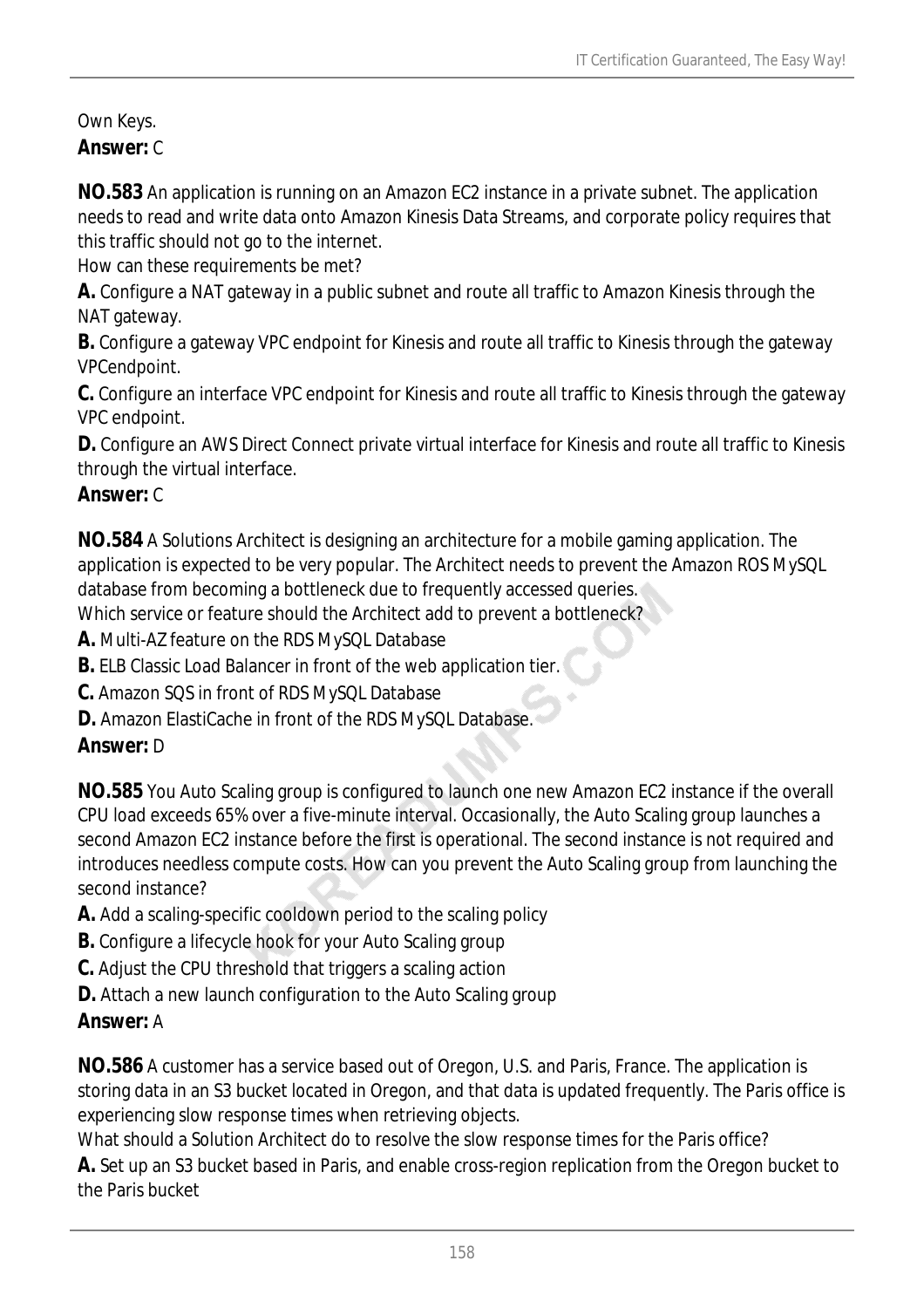Own Keys. *Answer:* C

**NO.583** An application is running on an Amazon EC2 instance in a private subnet. The application needs to read and write data onto Amazon Kinesis Data Streams, and corporate policy requires that this traffic should not go to the internet.

How can these requirements be met?

**A.** Configure a NAT gateway in a public subnet and route all traffic to Amazon Kinesis through the NAT gateway.

**B.** Configure a gateway VPC endpoint for Kinesis and route all traffic to Kinesis through the gateway VPCendpoint.

**C.** Configure an interface VPC endpoint for Kinesis and route all traffic to Kinesis through the gateway VPC endpoint.

**D.** Configure an AWS Direct Connect private virtual interface for Kinesis and route all traffic to Kinesis through the virtual interface.

#### *Answer:* C

**NO.584** A Solutions Architect is designing an architecture for a mobile gaming application. The application is expected to be very popular. The Architect needs to prevent the Amazon ROS MySQL database from becoming a bottleneck due to frequently accessed queries.

Which service or feature should the Architect add to prevent a bottleneck?

**A.** Multi-AZ feature on the RDS MySQL Database

**B.** ELB Classic Load Balancer in front of the web application tier.

**C.** Amazon SQS in front of RDS MySQL Database

**D.** Amazon ElastiCache in front of the RDS MySQL Database.

#### *Answer:* D

**NO.585** You Auto Scaling group is configured to launch one new Amazon EC2 instance if the overall CPU load exceeds 65% over a five-minute interval. Occasionally, the Auto Scaling group launches a second Amazon EC2 instance before the first is operational. The second instance is not required and introduces needless compute costs. How can you prevent the Auto Scaling group from launching the second instance?

**A.** Add a scaling-specific cooldown period to the scaling policy

- **B.** Configure a lifecycle hook for your Auto Scaling group
- **C.** Adjust the CPU threshold that triggers a scaling action
- **D.** Attach a new launch configuration to the Auto Scaling group

#### *Answer:* A

the Paris bucket

**NO.586** A customer has a service based out of Oregon, U.S. and Paris, France. The application is storing data in an S3 bucket located in Oregon, and that data is updated frequently. The Paris office is experiencing slow response times when retrieving objects.

What should a Solution Architect do to resolve the slow response times for the Paris office? **A.** Set up an S3 bucket based in Paris, and enable cross-region replication from the Oregon bucket to

158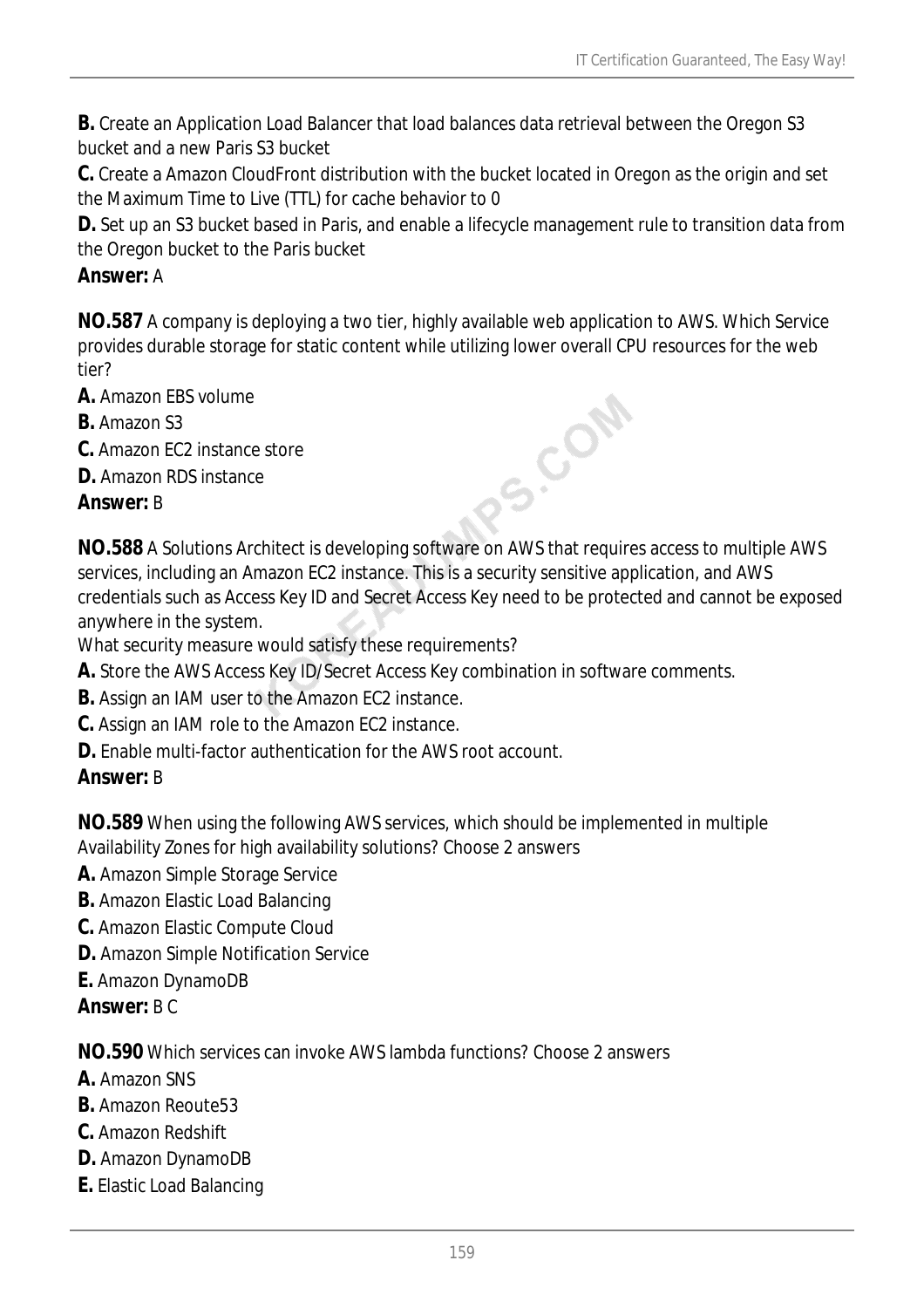**B.** Create an Application Load Balancer that load balances data retrieval between the Oregon S3 bucket and a new Paris S3 bucket

**C.** Create a Amazon CloudFront distribution with the bucket located in Oregon as the origin and set the Maximum Time to Live (TTL) for cache behavior to 0

**D.** Set up an S3 bucket based in Paris, and enable a lifecycle management rule to transition data from the Oregon bucket to the Paris bucket

### *Answer:* A

**NO.587** A company is deploying a two tier, highly available web application to AWS. Which Service provides durable storage for static content while utilizing lower overall CPU resources for the web tier?

- **A.** Amazon EBS volume
- **B.** Amazon S3
- **C.** Amazon EC2 instance store
- **D.** Amazon RDS instance

#### *Answer:* B

**NO.588** A Solutions Architect is developing software on AWS that requires access to multiple AWS services, including an Amazon EC2 instance. This is a security sensitive application, and AWS credentials such as Access Key ID and Secret Access Key need to be protected and cannot be exposed anywhere in the system.

PS.COM

What security measure would satisfy these requirements?

- **A.** Store the AWS Access Key ID/Secret Access Key combination in software comments.
- **B.** Assign an IAM user to the Amazon EC2 instance.
- **C.** Assign an IAM role to the Amazon EC2 instance.
- **D.** Enable multi-factor authentication for the AWS root account.

#### *Answer:* B

**NO.589** When using the following AWS services, which should be implemented in multiple Availability Zones for high availability solutions? Choose 2 answers

- **A.** Amazon Simple Storage Service
- **B.** Amazon Elastic Load Balancing
- **C.** Amazon Elastic Compute Cloud
- **D.** Amazon Simple Notification Service
- **E.** Amazon DynamoDB
- *Answer:* B C

**NO.590** Which services can invoke AWS lambda functions? Choose 2 answers

- **A.** Amazon SNS
- **B.** Amazon Reoute53
- **C.** Amazon Redshift
- **D.** Amazon DynamoDB
- **E.** Elastic Load Balancing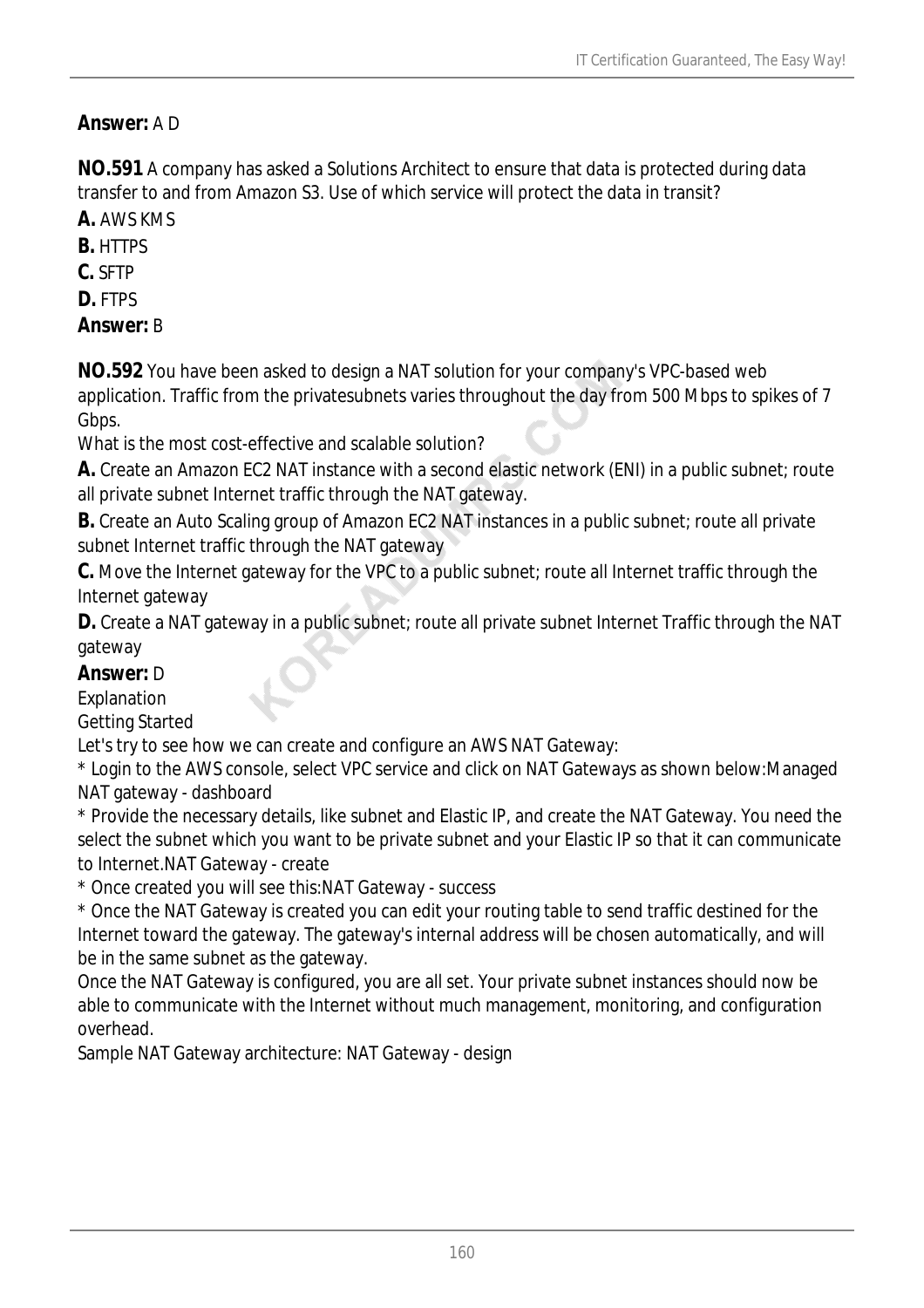## *Answer:* A D

**NO.591** A company has asked a Solutions Architect to ensure that data is protected during data transfer to and from Amazon S3. Use of which service will protect the data in transit?

**A.** AWS KMS

**B.** HTTPS

**C.** SFTP

**D.** FTPS

*Answer:* B

**NO.592** You have been asked to design a NAT solution for your company's VPC-based web application. Traffic from the privatesubnets varies throughout the day from 500 Mbps to spikes of 7 Gbps.

What is the most cost-effective and scalable solution?

**A.** Create an Amazon EC2 NAT instance with a second elastic network (ENI) in a public subnet; route all private subnet Internet traffic through the NAT gateway.

**B.** Create an Auto Scaling group of Amazon EC2 NAT instances in a public subnet; route all private subnet Internet traffic through the NAT gateway

**C.** Move the Internet gateway for the VPC to a public subnet; route all Internet traffic through the Internet gateway

**D.** Create a NAT gateway in a public subnet; route all private subnet Internet Traffic through the NAT gateway

#### *Answer:* D

Explanation

Getting Started

Let's try to see how we can create and configure an AWS NAT Gateway:

\* Login to the AWS console, select VPC service and click on NAT Gateways as shown below:Managed NAT gateway - dashboard

\* Provide the necessary details, like subnet and Elastic IP, and create the NAT Gateway. You need the select the subnet which you want to be private subnet and your Elastic IP so that it can communicate to Internet.NAT Gateway - create

\* Once created you will see this:NAT Gateway - success

\* Once the NAT Gateway is created you can edit your routing table to send traffic destined for the Internet toward the gateway. The gateway's internal address will be chosen automatically, and will be in the same subnet as the gateway.

Once the NAT Gateway is configured, you are all set. Your private subnet instances should now be able to communicate with the Internet without much management, monitoring, and configuration overhead.

Sample NAT Gateway architecture: NAT Gateway - design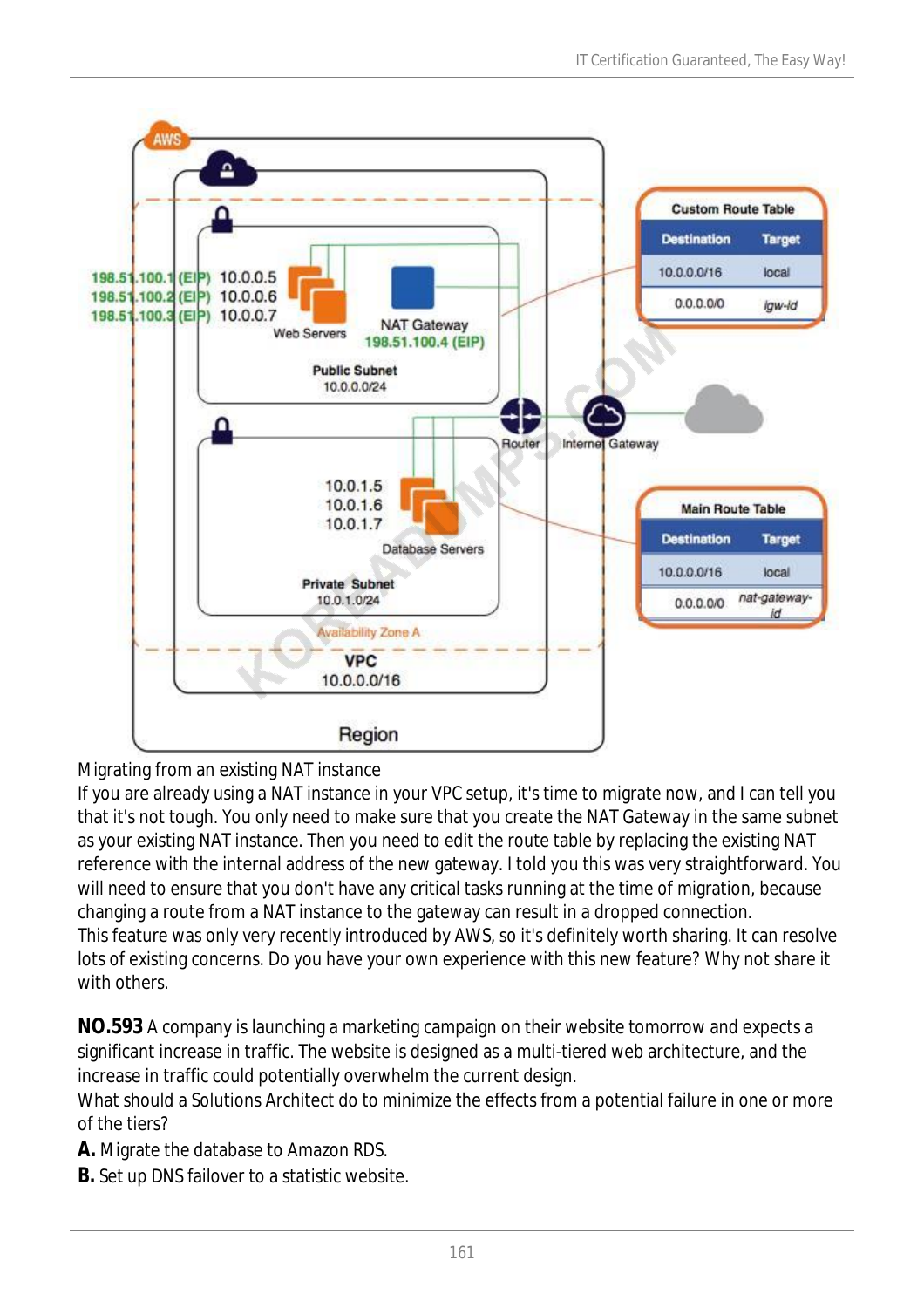

## Migrating from an existing NAT instance

If you are already using a NAT instance in your VPC setup, it's time to migrate now, and I can tell you that it's not tough. You only need to make sure that you create the NAT Gateway in the same subnet as your existing NAT instance. Then you need to edit the route table by replacing the existing NAT reference with the internal address of the new gateway. I told you this was very straightforward. You will need to ensure that you don't have any critical tasks running at the time of migration, because changing a route from a NAT instance to the gateway can result in a dropped connection. This feature was only very recently introduced by AWS, so it's definitely worth sharing. It can resolve lots of existing concerns. Do you have your own experience with this new feature? Why not share it with others.

**NO.593** A company is launching a marketing campaign on their website tomorrow and expects a significant increase in traffic. The website is designed as a multi-tiered web architecture, and the increase in traffic could potentially overwhelm the current design.

What should a Solutions Architect do to minimize the effects from a potential failure in one or more of the tiers?

**A.** Migrate the database to Amazon RDS.

**B.** Set up DNS failover to a statistic website.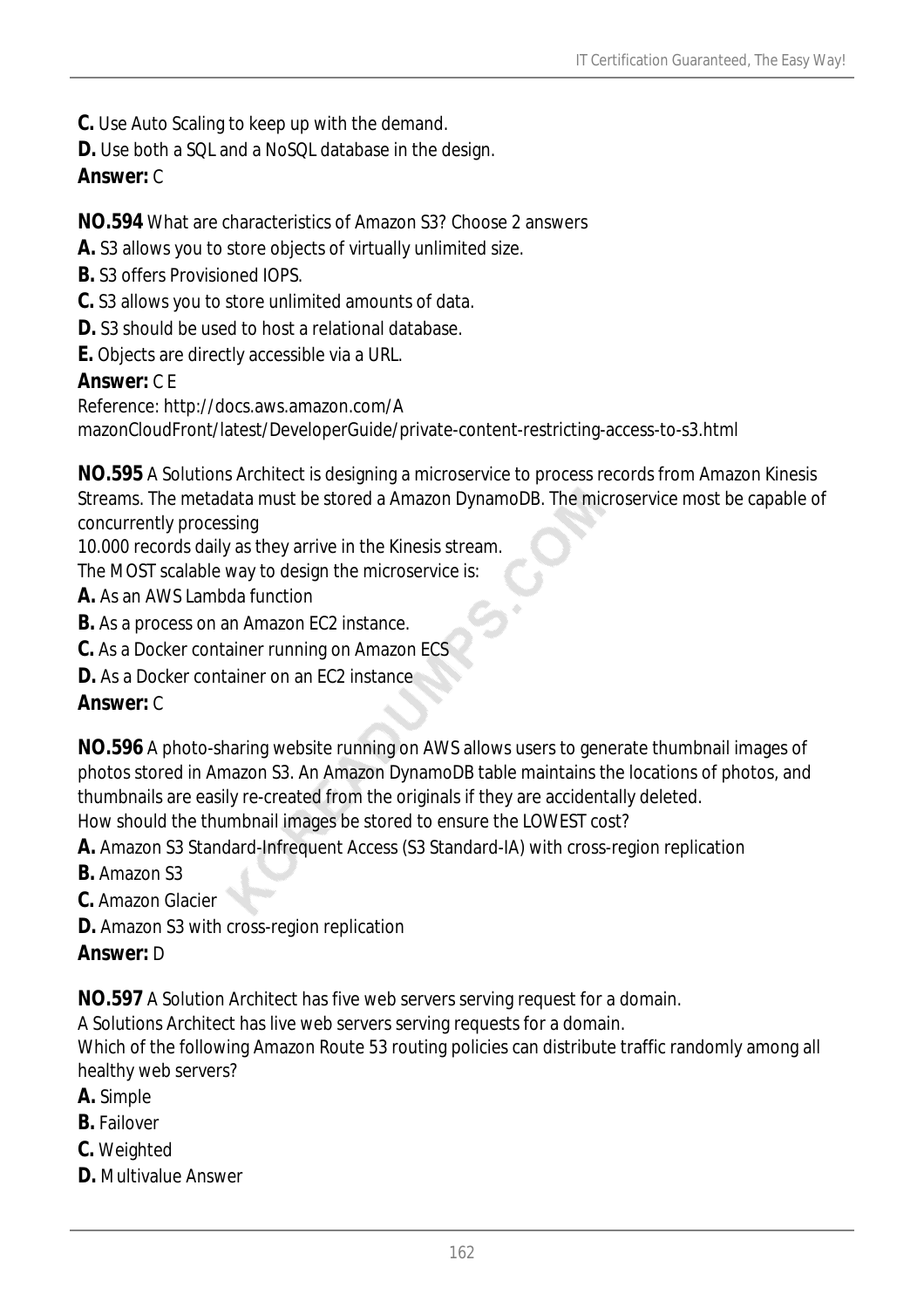- **C.** Use Auto Scaling to keep up with the demand.
- **D.** Use both a SQL and a NoSQL database in the design.

### *Answer:* C

#### **NO.594** What are characteristics of Amazon S3? Choose 2 answers

- **A.** S3 allows you to store objects of virtually unlimited size.
- **B.** S3 offers Provisioned IOPS.
- **C.** S3 allows you to store unlimited amounts of data.
- **D.** S3 should be used to host a relational database.
- **E.** Objects are directly accessible via a URL.

#### *Answer:* C E

Reference: http://docs.aws.amazon.com/A

mazonCloudFront/latest/DeveloperGuide/private-content-restricting-access-to-s3.html

**NO.595** A Solutions Architect is designing a microservice to process records from Amazon Kinesis Streams. The metadata must be stored a Amazon DynamoDB. The microservice most be capable of concurrently processing

10.000 records daily as they arrive in the Kinesis stream.

The MOST scalable way to design the microservice is:

- **A.** As an AWS Lambda function
- **B.** As a process on an Amazon EC2 instance.
- **C.** As a Docker container running on Amazon ECS
- **D.** As a Docker container on an EC2 instance

#### *Answer:* C

**NO.596** A photo-sharing website running on AWS allows users to generate thumbnail images of photos stored in Amazon S3. An Amazon DynamoDB table maintains the locations of photos, and thumbnails are easily re-created from the originals if they are accidentally deleted. How should the thumbnail images be stored to ensure the LOWEST cost?

- **A.** Amazon S3 Standard-Infrequent Access (S3 Standard-IA) with cross-region replication
- **B.** Amazon S3

**C.** Amazon Glacier

**D.** Amazon S3 with cross-region replication

#### *Answer:* D

**NO.597** A Solution Architect has five web servers serving request for a domain.

A Solutions Architect has live web servers serving requests for a domain.

Which of the following Amazon Route 53 routing policies can distribute traffic randomly among all healthy web servers?

- **A.** Simple
- **B.** Failover
- **C.** Weighted
- **D.** Multivalue Answer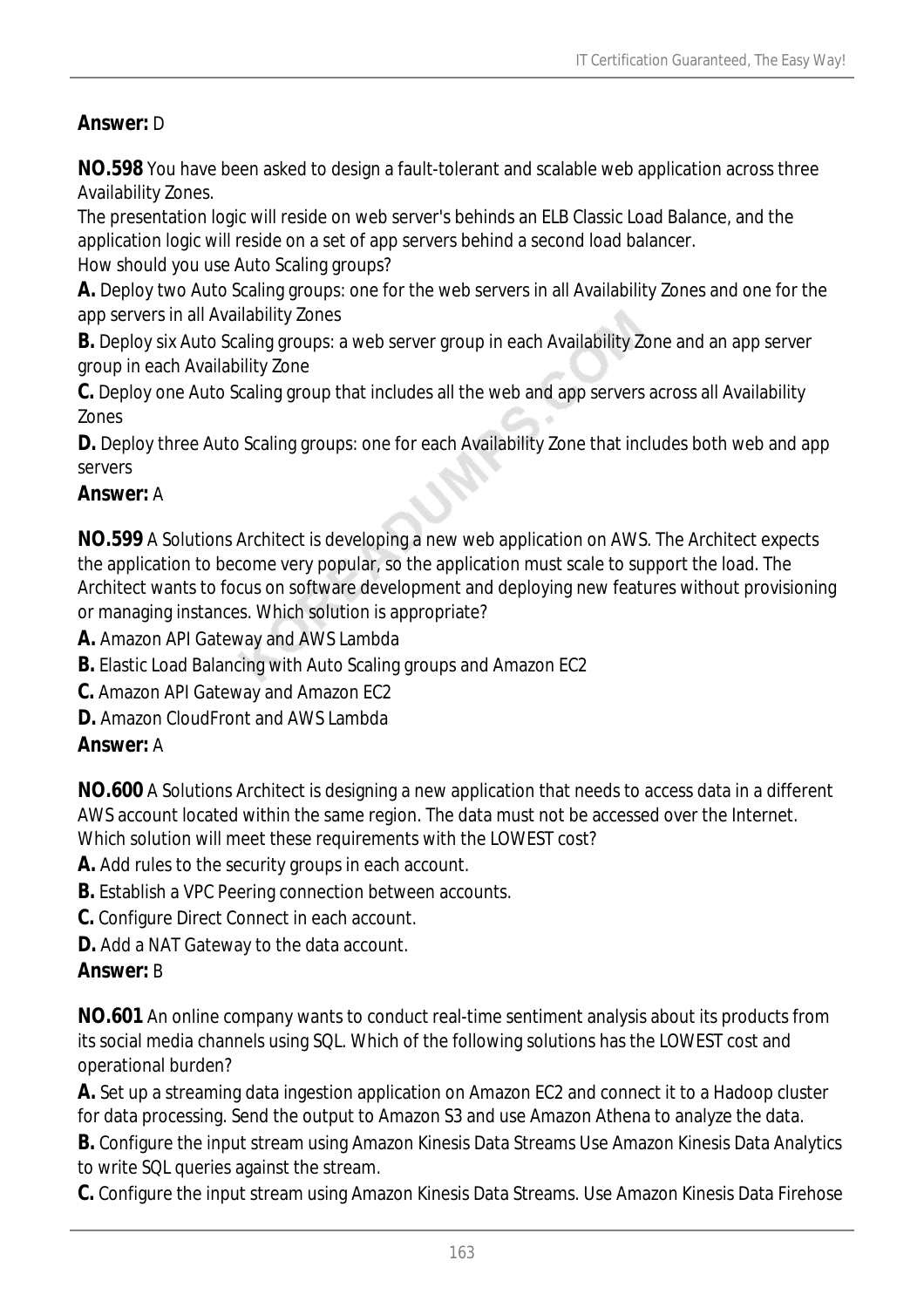#### *Answer:* D

**NO.598** You have been asked to design a fault-tolerant and scalable web application across three Availability Zones.

The presentation logic will reside on web server's behinds an ELB Classic Load Balance, and the application logic will reside on a set of app servers behind a second load balancer. How should you use Auto Scaling groups?

**A.** Deploy two Auto Scaling groups: one for the web servers in all Availability Zones and one for the app servers in all Availability Zones

**B.** Deploy six Auto Scaling groups: a web server group in each Availability Zone and an app server group in each Availability Zone

**C.** Deploy one Auto Scaling group that includes all the web and app servers across all Availability Zones

**D.** Deploy three Auto Scaling groups: one for each Availability Zone that includes both web and app servers

#### *Answer:* A

**NO.599** A Solutions Architect is developing a new web application on AWS. The Architect expects the application to become very popular, so the application must scale to support the load. The Architect wants to focus on software development and deploying new features without provisioning or managing instances. Which solution is appropriate?

**A.** Amazon API Gateway and AWS Lambda

**B.** Elastic Load Balancing with Auto Scaling groups and Amazon EC2

**C.** Amazon API Gateway and Amazon EC2

**D.** Amazon CloudFront and AWS Lambda

#### *Answer:* A

**NO.600** A Solutions Architect is designing a new application that needs to access data in a different AWS account located within the same region. The data must not be accessed over the Internet. Which solution will meet these requirements with the LOWEST cost?

**A.** Add rules to the security groups in each account.

**B.** Establish a VPC Peering connection between accounts.

**C.** Configure Direct Connect in each account.

**D.** Add a NAT Gateway to the data account.

#### *Answer:* B

**NO.601** An online company wants to conduct real-time sentiment analysis about its products from its social media channels using SQL. Which of the following solutions has the LOWEST cost and operational burden?

**A.** Set up a streaming data ingestion application on Amazon EC2 and connect it to a Hadoop cluster for data processing. Send the output to Amazon S3 and use Amazon Athena to analyze the data.

**B.** Configure the input stream using Amazon Kinesis Data Streams Use Amazon Kinesis Data Analytics to write SQL queries against the stream.

**C.** Configure the input stream using Amazon Kinesis Data Streams. Use Amazon Kinesis Data Firehose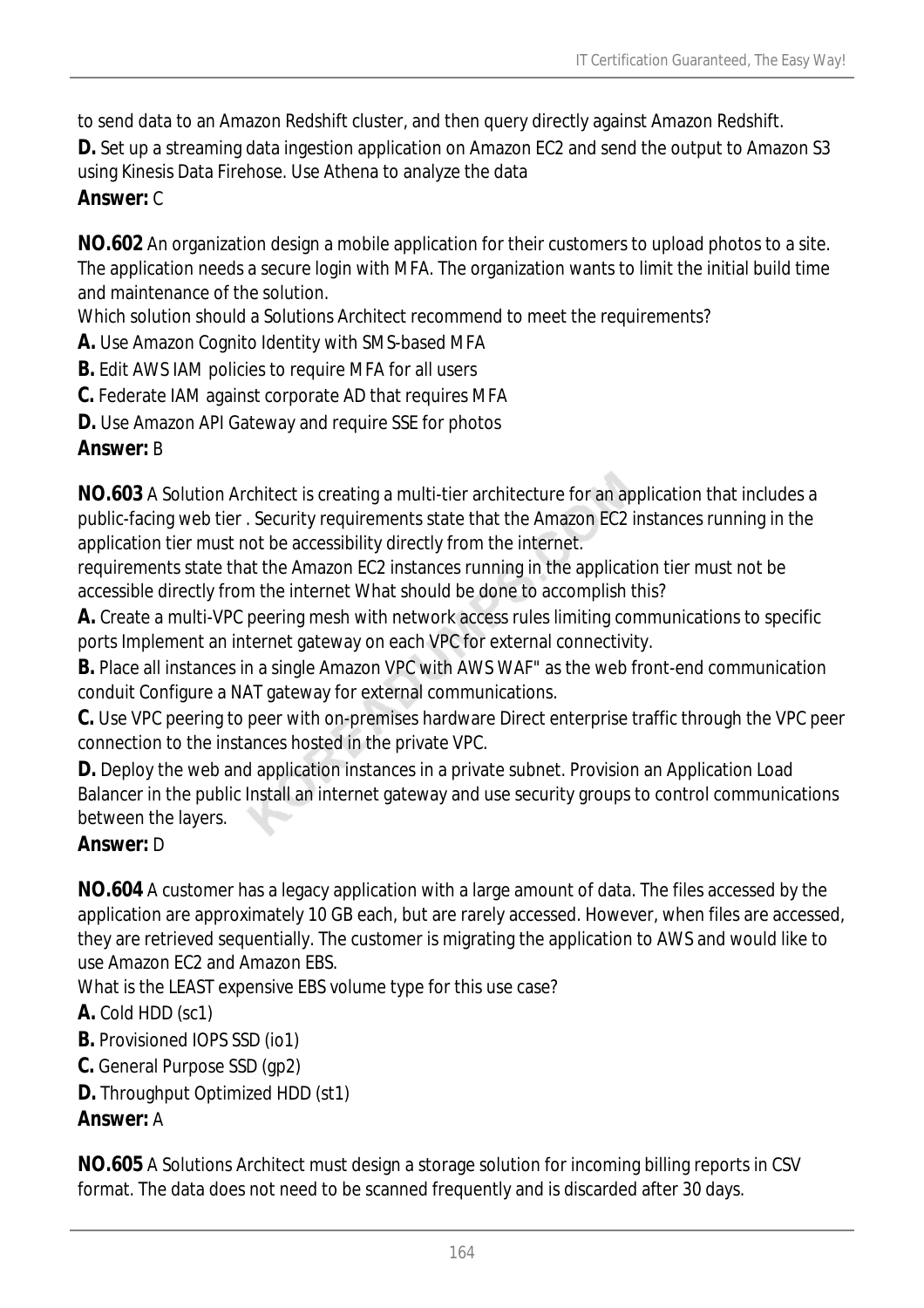to send data to an Amazon Redshift cluster, and then query directly against Amazon Redshift.

**D.** Set up a streaming data ingestion application on Amazon EC2 and send the output to Amazon S3 using Kinesis Data Firehose. Use Athena to analyze the data

# *Answer:* C

**NO.602** An organization design a mobile application for their customers to upload photos to a site. The application needs a secure login with MFA. The organization wants to limit the initial build time and maintenance of the solution.

Which solution should a Solutions Architect recommend to meet the requirements?

**A.** Use Amazon Cognito Identity with SMS-based MFA

**B.** Edit AWS IAM policies to require MFA for all users

**C.** Federate IAM against corporate AD that requires MFA

**D.** Use Amazon API Gateway and require SSE for photos

## *Answer:* B

**NO.603** A Solution Architect is creating a multi-tier architecture for an application that includes a public-facing web tier . Security requirements state that the Amazon EC2 instances running in the application tier must not be accessibility directly from the internet.

requirements state that the Amazon EC2 instances running in the application tier must not be accessible directly from the internet What should be done to accomplish this?

**A.** Create a multi-VPC peering mesh with network access rules limiting communications to specific ports Implement an internet gateway on each VPC for external connectivity.

**B.** Place all instances in a single Amazon VPC with AWS WAF" as the web front-end communication conduit Configure a NAT gateway for external communications.

**C.** Use VPC peering to peer with on-premises hardware Direct enterprise traffic through the VPC peer connection to the instances hosted in the private VPC.

**D.** Deploy the web and application instances in a private subnet. Provision an Application Load Balancer in the public Install an internet gateway and use security groups to control communications between the layers.

## *Answer:* D

**NO.604** A customer has a legacy application with a large amount of data. The files accessed by the application are approximately 10 GB each, but are rarely accessed. However, when files are accessed, they are retrieved sequentially. The customer is migrating the application to AWS and would like to use Amazon EC2 and Amazon EBS.

What is the LEAST expensive EBS volume type for this use case?

## **A.** Cold HDD (sc1)

**B.** Provisioned IOPS SSD (io1)

- **C.** General Purpose SSD (gp2)
- **D.** Throughput Optimized HDD (st1)

## *Answer:* A

**NO.605** A Solutions Architect must design a storage solution for incoming billing reports in CSV format. The data does not need to be scanned frequently and is discarded after 30 days.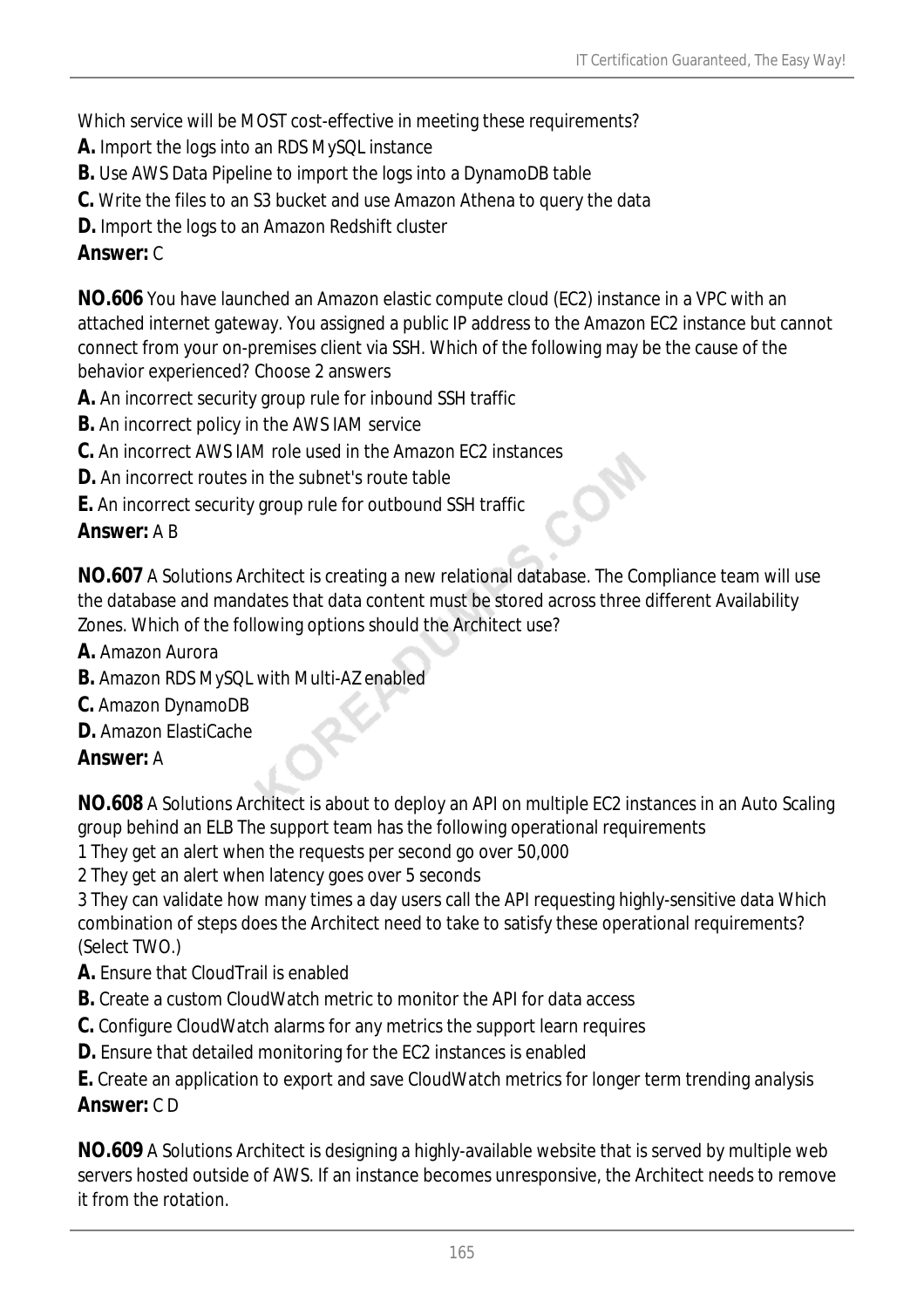Which service will be MOST cost-effective in meeting these requirements?

- **A.** Import the logs into an RDS MySQL instance
- **B.** Use AWS Data Pipeline to import the logs into a DynamoDB table
- **C.** Write the files to an S3 bucket and use Amazon Athena to query the data
- **D.** Import the logs to an Amazon Redshift cluster

## *Answer:* C

**NO.606** You have launched an Amazon elastic compute cloud (EC2) instance in a VPC with an attached internet gateway. You assigned a public IP address to the Amazon EC2 instance but cannot connect from your on-premises client via SSH. Which of the following may be the cause of the behavior experienced? Choose 2 answers

- **A.** An incorrect security group rule for inbound SSH traffic
- **B.** An incorrect policy in the AWS IAM service
- **C.** An incorrect AWS IAM role used in the Amazon EC2 instances
- **D.** An incorrect routes in the subnet's route table
- **E.** An incorrect security group rule for outbound SSH traffic

## *Answer:* A B

**NO.607** A Solutions Architect is creating a new relational database. The Compliance team will use the database and mandates that data content must be stored across three different Availability Zones. Which of the following options should the Architect use?

- **A.** Amazon Aurora
- **B.** Amazon RDS MySQL with Multi-AZ enabled
- **C.** Amazon DynamoDB
- **D.** Amazon ElastiCache

## *Answer:* A

**NO.608** A Solutions Architect is about to deploy an API on multiple EC2 instances in an Auto Scaling group behind an ELB The support team has the following operational requirements

- 1 They get an alert when the requests per second go over 50,000
- 2 They get an alert when latency goes over 5 seconds

3 They can validate how many times a day users call the API requesting highly-sensitive data Which combination of steps does the Architect need to take to satisfy these operational requirements? (Select TWO.)

- **A.** Ensure that CloudTrail is enabled
- **B.** Create a custom CloudWatch metric to monitor the API for data access
- **C.** Configure CloudWatch alarms for any metrics the support learn requires
- **D.** Ensure that detailed monitoring for the EC2 instances is enabled

**E.** Create an application to export and save CloudWatch metrics for longer term trending analysis *Answer:* C D

**NO.609** A Solutions Architect is designing a highly-available website that is served by multiple web servers hosted outside of AWS. If an instance becomes unresponsive, the Architect needs to remove it from the rotation.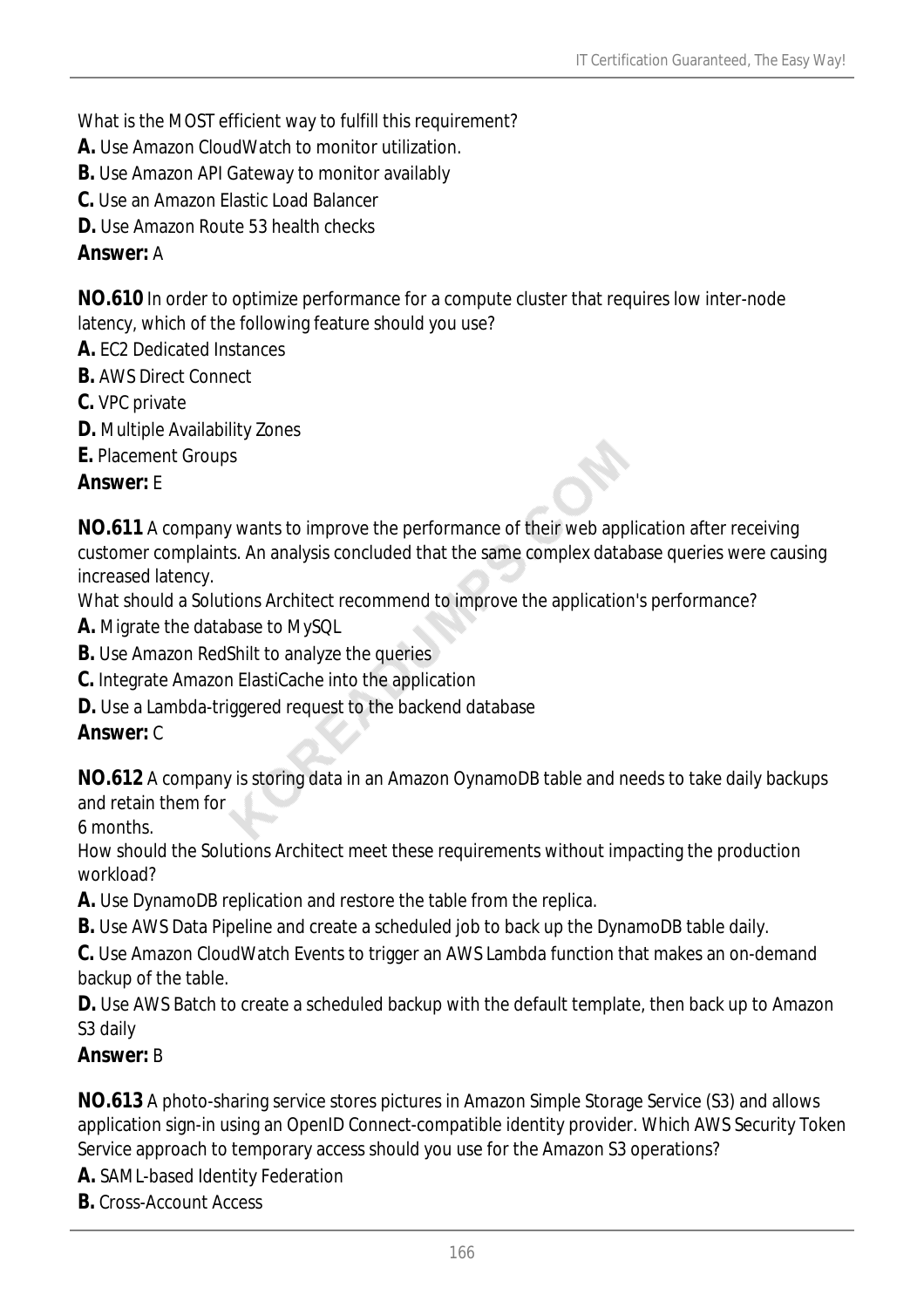What is the MOST efficient way to fulfill this requirement?

**A.** Use Amazon CloudWatch to monitor utilization.

- **B.** Use Amazon API Gateway to monitor availably
- **C.** Use an Amazon Elastic Load Balancer

**D.** Use Amazon Route 53 health checks

#### *Answer:* A

**NO.610** In order to optimize performance for a compute cluster that requires low inter-node latency, which of the following feature should you use?

- **A.** EC2 Dedicated Instances
- **B.** AWS Direct Connect
- **C.** VPC private
- **D.** Multiple Availability Zones
- **E.** Placement Groups

#### *Answer:* E

**NO.611** A company wants to improve the performance of their web application after receiving customer complaints. An analysis concluded that the same complex database queries were causing increased latency.

What should a Solutions Architect recommend to improve the application's performance?

- **A.** Migrate the database to MySQL
- **B.** Use Amazon RedShilt to analyze the queries
- **C.** Integrate Amazon ElastiCache into the application
- **D.** Use a Lambda-triggered request to the backend database

#### *Answer:* C

**NO.612** A company is storing data in an Amazon OynamoDB table and needs to take daily backups and retain them for

6 months.

How should the Solutions Architect meet these requirements without impacting the production workload?

**A.** Use DynamoDB replication and restore the table from the replica.

**B.** Use AWS Data Pipeline and create a scheduled job to back up the DynamoDB table daily.

**C.** Use Amazon CloudWatch Events to trigger an AWS Lambda function that makes an on-demand backup of the table.

**D.** Use AWS Batch to create a scheduled backup with the default template, then back up to Amazon S3 daily

#### *Answer:* B

**NO.613** A photo-sharing service stores pictures in Amazon Simple Storage Service (S3) and allows application sign-in using an OpenID Connect-compatible identity provider. Which AWS Security Token Service approach to temporary access should you use for the Amazon S3 operations?

**A.** SAML-based Identity Federation

**B.** Cross-Account Access